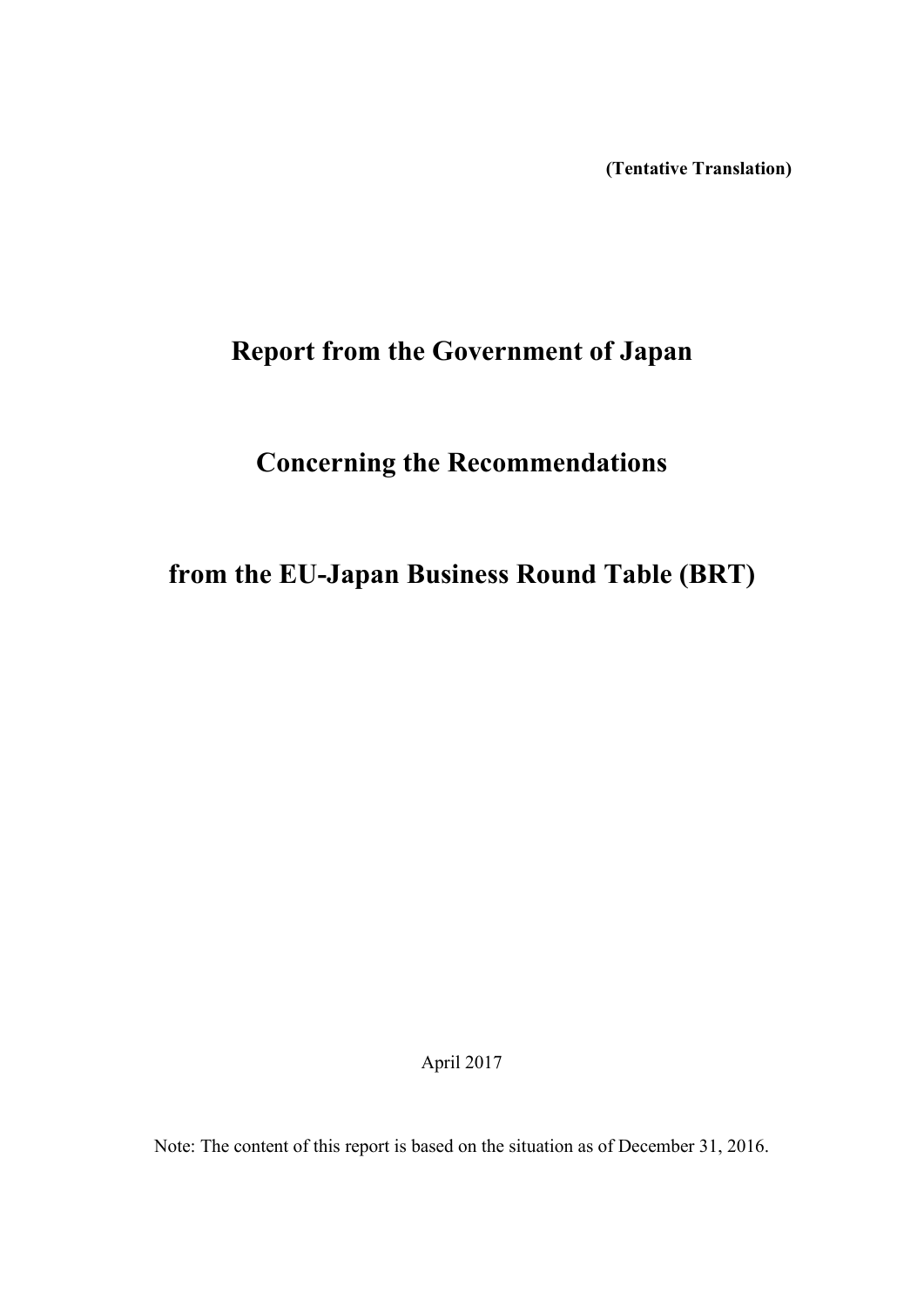**(Tentative Translation)**

# **Report from the Government of Japan**

# **Concerning the Recommendations**

# **from the EU-Japan Business Round Table (BRT)**

April 2017

Note: The content of this report is based on the situation as of December 31, 2016.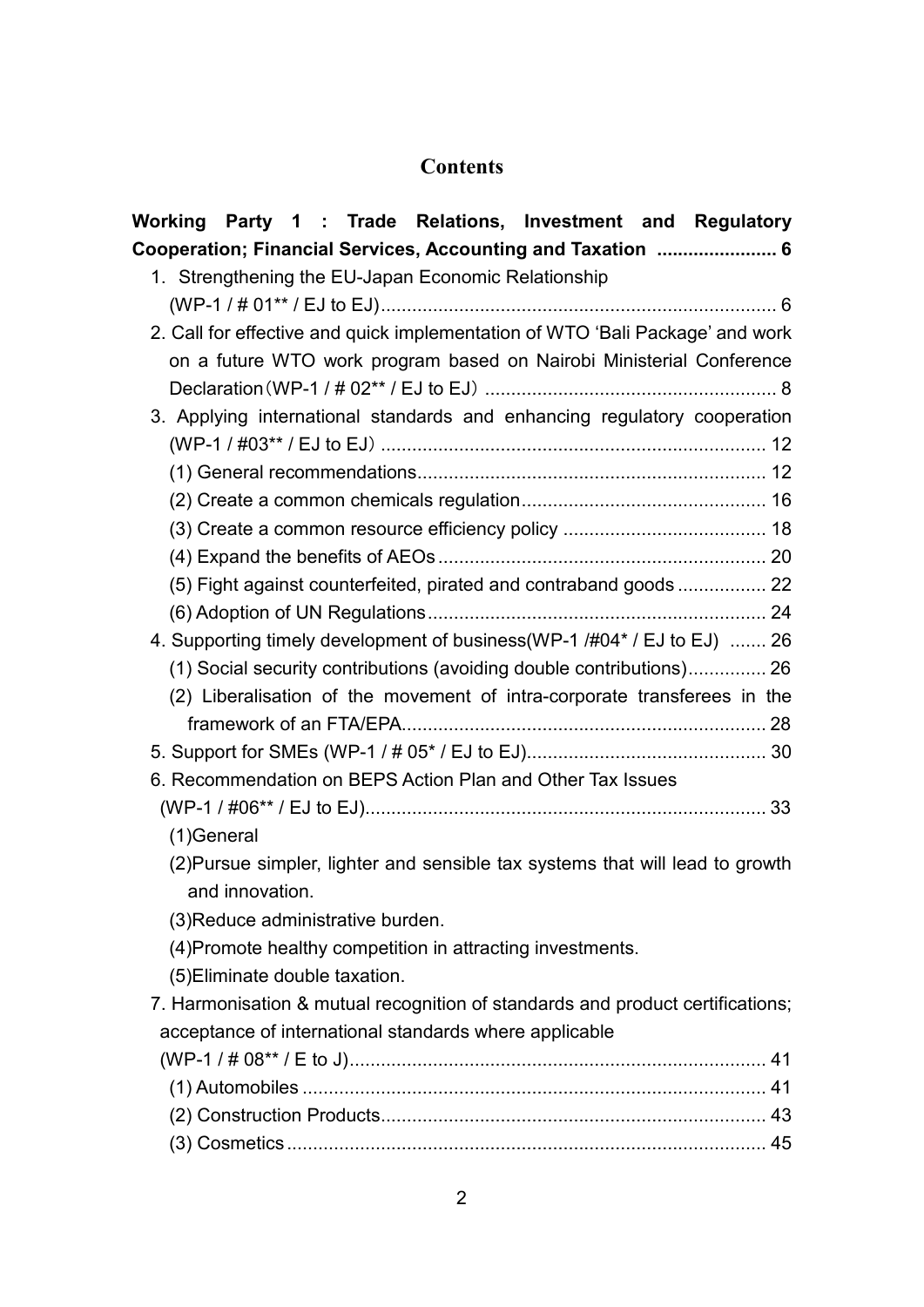## **Contents**

| Working Party 1: Trade Relations, Investment and Regulatory                    |
|--------------------------------------------------------------------------------|
| Cooperation; Financial Services, Accounting and Taxation  6                    |
| 1. Strengthening the EU-Japan Economic Relationship                            |
|                                                                                |
| 2. Call for effective and quick implementation of WTO 'Bali Package' and work  |
| on a future WTO work program based on Nairobi Ministerial Conference           |
|                                                                                |
| 3. Applying international standards and enhancing regulatory cooperation       |
|                                                                                |
|                                                                                |
|                                                                                |
|                                                                                |
|                                                                                |
| (5) Fight against counterfeited, pirated and contraband goods  22              |
|                                                                                |
| 4. Supporting timely development of business(WP-1 /#04* / EJ to EJ)  26        |
| (1) Social security contributions (avoiding double contributions) 26           |
| (2) Liberalisation of the movement of intra-corporate transferees in the       |
|                                                                                |
|                                                                                |
| 6. Recommendation on BEPS Action Plan and Other Tax Issues                     |
|                                                                                |
| (1)General                                                                     |
| (2) Pursue simpler, lighter and sensible tax systems that will lead to growth  |
| and innovation.                                                                |
| (3) Reduce administrative burden.                                              |
| (4) Promote healthy competition in attracting investments.                     |
| (5) Eliminate double taxation.                                                 |
| 7. Harmonisation & mutual recognition of standards and product certifications; |
| acceptance of international standards where applicable                         |
|                                                                                |
|                                                                                |
|                                                                                |
|                                                                                |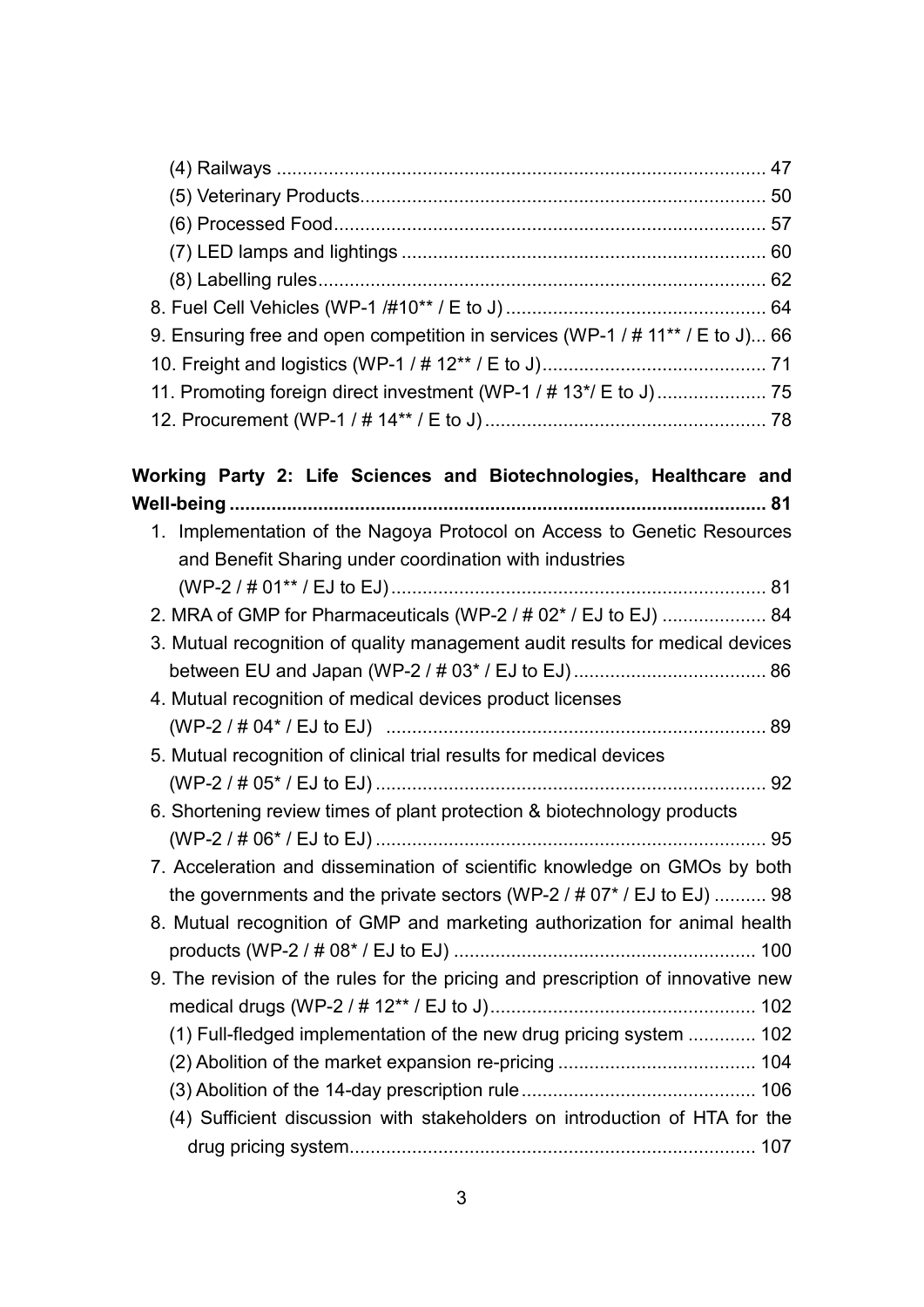| 9. Ensuring free and open competition in services (WP-1 / # 11** / E to J) 66 |  |
|-------------------------------------------------------------------------------|--|
|                                                                               |  |
|                                                                               |  |
|                                                                               |  |

| Working Party 2: Life Sciences and Biotechnologies, Healthcare and              |
|---------------------------------------------------------------------------------|
|                                                                                 |
| 1. Implementation of the Nagoya Protocol on Access to Genetic Resources         |
| and Benefit Sharing under coordination with industries                          |
|                                                                                 |
| 2. MRA of GMP for Pharmaceuticals (WP-2 / # 02* / EJ to EJ)  84                 |
| 3. Mutual recognition of quality management audit results for medical devices   |
|                                                                                 |
| 4. Mutual recognition of medical devices product licenses                       |
|                                                                                 |
| 5. Mutual recognition of clinical trial results for medical devices             |
|                                                                                 |
| 6. Shortening review times of plant protection & biotechnology products         |
|                                                                                 |
| 7. Acceleration and dissemination of scientific knowledge on GMOs by both       |
| the governments and the private sectors (WP-2 $/$ # 07* $/$ EJ to EJ)  98       |
| 8. Mutual recognition of GMP and marketing authorization for animal health      |
|                                                                                 |
| 9. The revision of the rules for the pricing and prescription of innovative new |
|                                                                                 |
| (1) Full-fledged implementation of the new drug pricing system  102             |
|                                                                                 |
|                                                                                 |
| (4) Sufficient discussion with stakeholders on introduction of HTA for the      |
|                                                                                 |
|                                                                                 |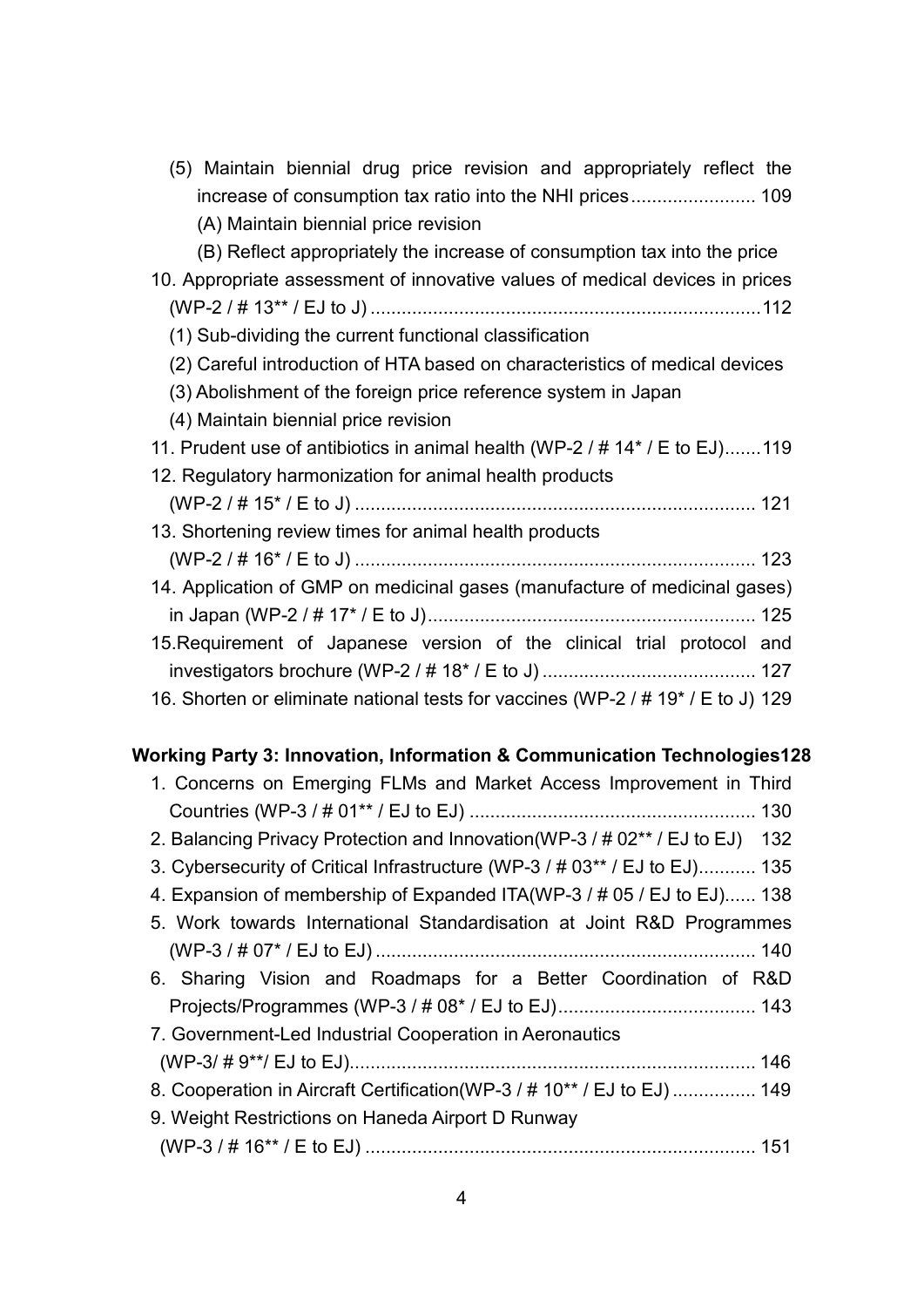| (5) Maintain biennial drug price revision and appropriately reflect the          |
|----------------------------------------------------------------------------------|
|                                                                                  |
| (A) Maintain biennial price revision                                             |
| (B) Reflect appropriately the increase of consumption tax into the price         |
| 10. Appropriate assessment of innovative values of medical devices in prices     |
|                                                                                  |
| (1) Sub-dividing the current functional classification                           |
| (2) Careful introduction of HTA based on characteristics of medical devices      |
| (3) Abolishment of the foreign price reference system in Japan                   |
| (4) Maintain biennial price revision                                             |
| 11. Prudent use of antibiotics in animal health (WP-2 / # 14* / E to EJ)119      |
| 12. Regulatory harmonization for animal health products                          |
|                                                                                  |
| 13. Shortening review times for animal health products                           |
|                                                                                  |
| 14. Application of GMP on medicinal gases (manufacture of medicinal gases)       |
|                                                                                  |
| 15. Requirement of Japanese version of the clinical trial protocol and           |
|                                                                                  |
| 16. Shorten or eliminate national tests for vaccines (WP-2 / # 19* / E to J) 129 |

## **Working Party 3: Innovation, Information & Communication Technologies128**

| 1. Concerns on Emerging FLMs and Market Access Improvement in Third           |
|-------------------------------------------------------------------------------|
|                                                                               |
| 2. Balancing Privacy Protection and Innovation (WP-3 / # 02** / EJ to EJ) 132 |
| 3. Cybersecurity of Critical Infrastructure (WP-3 / # 03** / EJ to EJ) 135    |
| 4. Expansion of membership of Expanded ITA(WP-3 / # 05 / EJ to EJ) 138        |
| 5. Work towards International Standardisation at Joint R&D Programmes         |
|                                                                               |
| 6. Sharing Vision and Roadmaps for a Better Coordination of R&D               |
|                                                                               |
| 7. Government-Led Industrial Cooperation in Aeronautics                       |
|                                                                               |
| 8. Cooperation in Aircraft Certification (WP-3 / # 10** / EJ to EJ)  149      |
| 9. Weight Restrictions on Haneda Airport D Runway                             |
|                                                                               |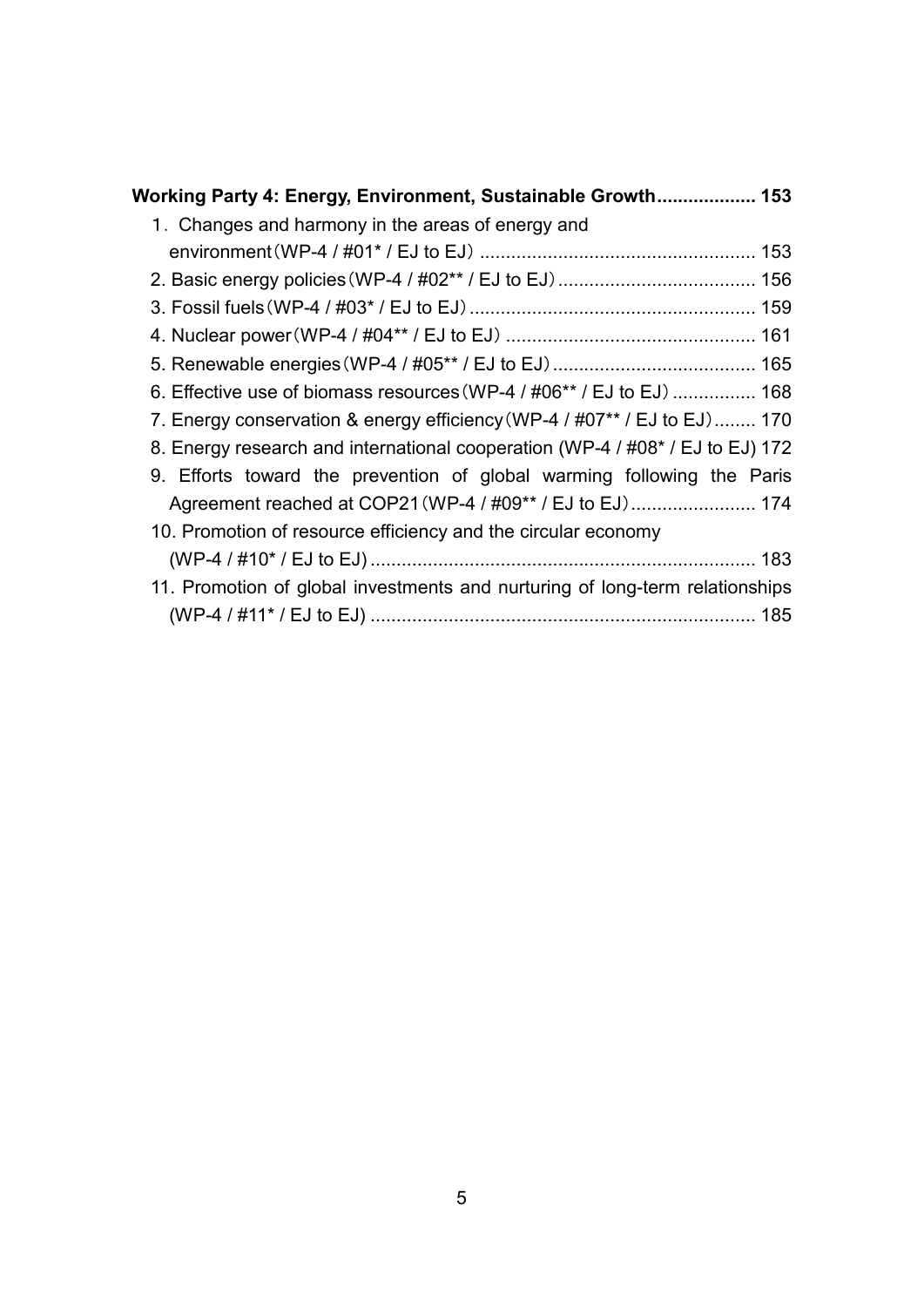| Working Party 4: Energy, Environment, Sustainable Growth 153                  |
|-------------------------------------------------------------------------------|
| 1. Changes and harmony in the areas of energy and                             |
|                                                                               |
|                                                                               |
|                                                                               |
|                                                                               |
|                                                                               |
| 6. Effective use of biomass resources (WP-4 / #06** / EJ to EJ)  168          |
| 7. Energy conservation & energy efficiency (WP-4 / #07** / EJ to EJ) 170      |
| 8. Energy research and international cooperation (WP-4 / #08* / EJ to EJ) 172 |
| 9. Efforts toward the prevention of global warming following the Paris        |
| Agreement reached at COP21 (WP-4 / #09** / EJ to EJ) 174                      |
| 10. Promotion of resource efficiency and the circular economy                 |
|                                                                               |
| 11. Promotion of global investments and nurturing of long-term relationships  |
|                                                                               |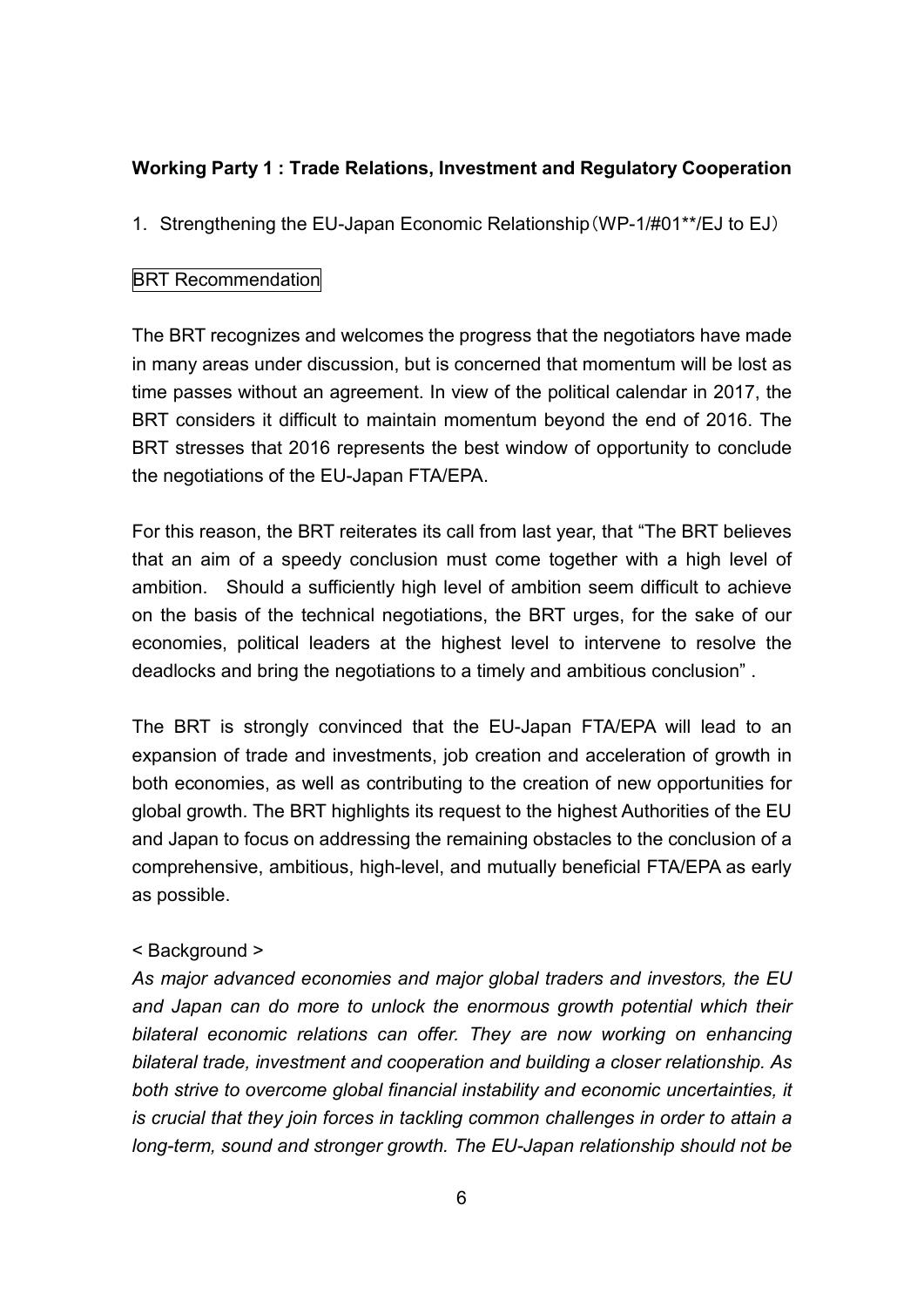## **Working Party 1 : Trade Relations, Investment and Regulatory Cooperation**

1. Strengthening the EU-Japan Economic Relationship(WP-1/#01\*\*/EJ to EJ)

#### **BRT Recommendation**

The BRT recognizes and welcomes the progress that the negotiators have made in many areas under discussion, but is concerned that momentum will be lost as time passes without an agreement. In view of the political calendar in 2017, the BRT considers it difficult to maintain momentum beyond the end of 2016. The BRT stresses that 2016 represents the best window of opportunity to conclude the negotiations of the EU-Japan FTA/EPA.

For this reason, the BRT reiterates its call from last year, that "The BRT believes that an aim of a speedy conclusion must come together with a high level of ambition. Should a sufficiently high level of ambition seem difficult to achieve on the basis of the technical negotiations, the BRT urges, for the sake of our economies, political leaders at the highest level to intervene to resolve the deadlocks and bring the negotiations to a timely and ambitious conclusion" .

The BRT is strongly convinced that the EU-Japan FTA/EPA will lead to an expansion of trade and investments, job creation and acceleration of growth in both economies, as well as contributing to the creation of new opportunities for global growth. The BRT highlights its request to the highest Authorities of the EU and Japan to focus on addressing the remaining obstacles to the conclusion of a comprehensive, ambitious, high-level, and mutually beneficial FTA/EPA as early as possible.

#### < Background >

*As major advanced economies and major global traders and investors, the EU and Japan can do more to unlock the enormous growth potential which their bilateral economic relations can offer. They are now working on enhancing bilateral trade, investment and cooperation and building a closer relationship. As both strive to overcome global financial instability and economic uncertainties, it is crucial that they join forces in tackling common challenges in order to attain a long-term, sound and stronger growth. The EU-Japan relationship should not be*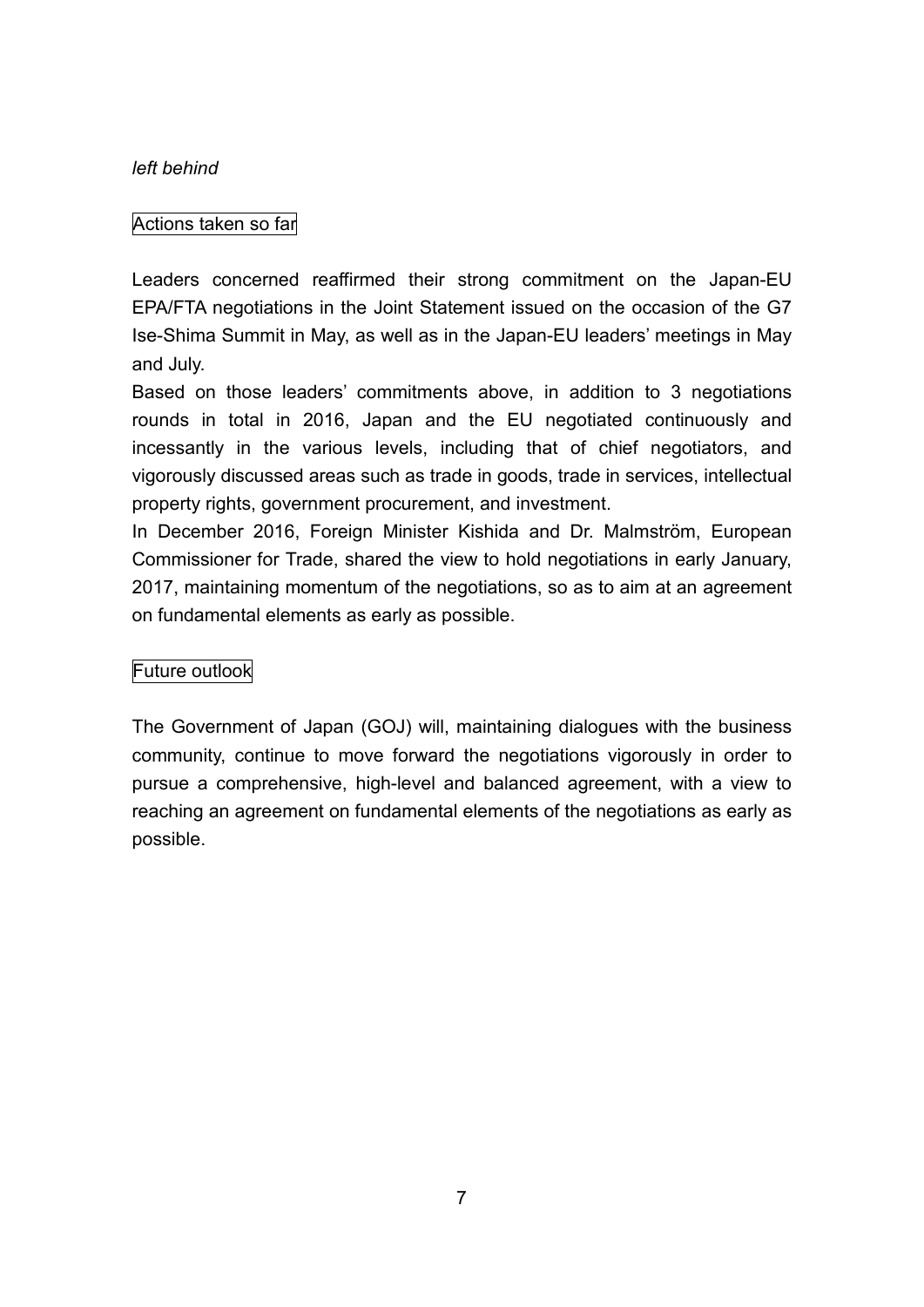#### *left behind*

#### Actions taken so far

Leaders concerned reaffirmed their strong commitment on the Japan-EU EPA/FTA negotiations in the Joint Statement issued on the occasion of the G7 Ise-Shima Summit in May, as well as in the Japan-EU leaders' meetings in May and July.

Based on those leaders' commitments above, in addition to 3 negotiations rounds in total in 2016, Japan and the EU negotiated continuously and incessantly in the various levels, including that of chief negotiators, and vigorously discussed areas such as trade in goods, trade in services, intellectual property rights, government procurement, and investment.

In December 2016, Foreign Minister Kishida and Dr. Malmström, European Commissioner for Trade, shared the view to hold negotiations in early January, 2017, maintaining momentum of the negotiations, so as to aim at an agreement on fundamental elements as early as possible.

#### Future outlook

The Government of Japan (GOJ) will, maintaining dialogues with the business community, continue to move forward the negotiations vigorously in order to pursue a comprehensive, high-level and balanced agreement, with a view to reaching an agreement on fundamental elements of the negotiations as early as possible.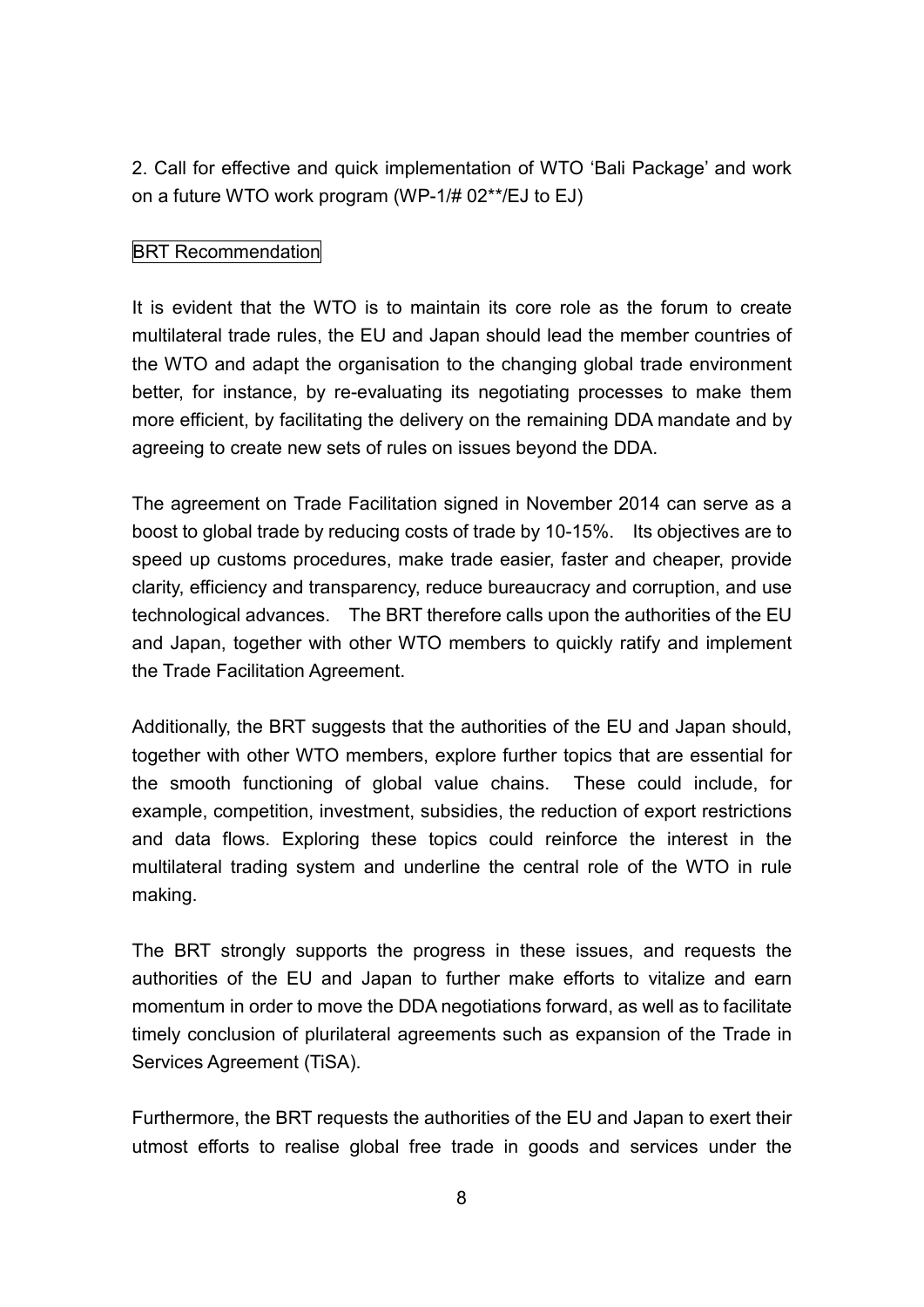2. Call for effective and quick implementation of WTO 'Bali Package' and work on a future WTO work program (WP-1/# 02\*\*/EJ to EJ)

#### BRT Recommendation

It is evident that the WTO is to maintain its core role as the forum to create multilateral trade rules, the EU and Japan should lead the member countries of the WTO and adapt the organisation to the changing global trade environment better, for instance, by re-evaluating its negotiating processes to make them more efficient, by facilitating the delivery on the remaining DDA mandate and by agreeing to create new sets of rules on issues beyond the DDA.

The agreement on Trade Facilitation signed in November 2014 can serve as a boost to global trade by reducing costs of trade by 10-15%. Its objectives are to speed up customs procedures, make trade easier, faster and cheaper, provide clarity, efficiency and transparency, reduce bureaucracy and corruption, and use technological advances. The BRT therefore calls upon the authorities of the EU and Japan, together with other WTO members to quickly ratify and implement the Trade Facilitation Agreement.

Additionally, the BRT suggests that the authorities of the EU and Japan should. together with other WTO members, explore further topics that are essential for the smooth functioning of global value chains. These could include, for example, competition, investment, subsidies, the reduction of export restrictions and data flows. Exploring these topics could reinforce the interest in the multilateral trading system and underline the central role of the WTO in rule making.

The BRT strongly supports the progress in these issues, and requests the authorities of the EU and Japan to further make efforts to vitalize and earn momentum in order to move the DDA negotiations forward, as well as to facilitate timely conclusion of plurilateral agreements such as expansion of the Trade in Services Agreement (TiSA).

Furthermore, the BRT requests the authorities of the EU and Japan to exert their utmost efforts to realise global free trade in goods and services under the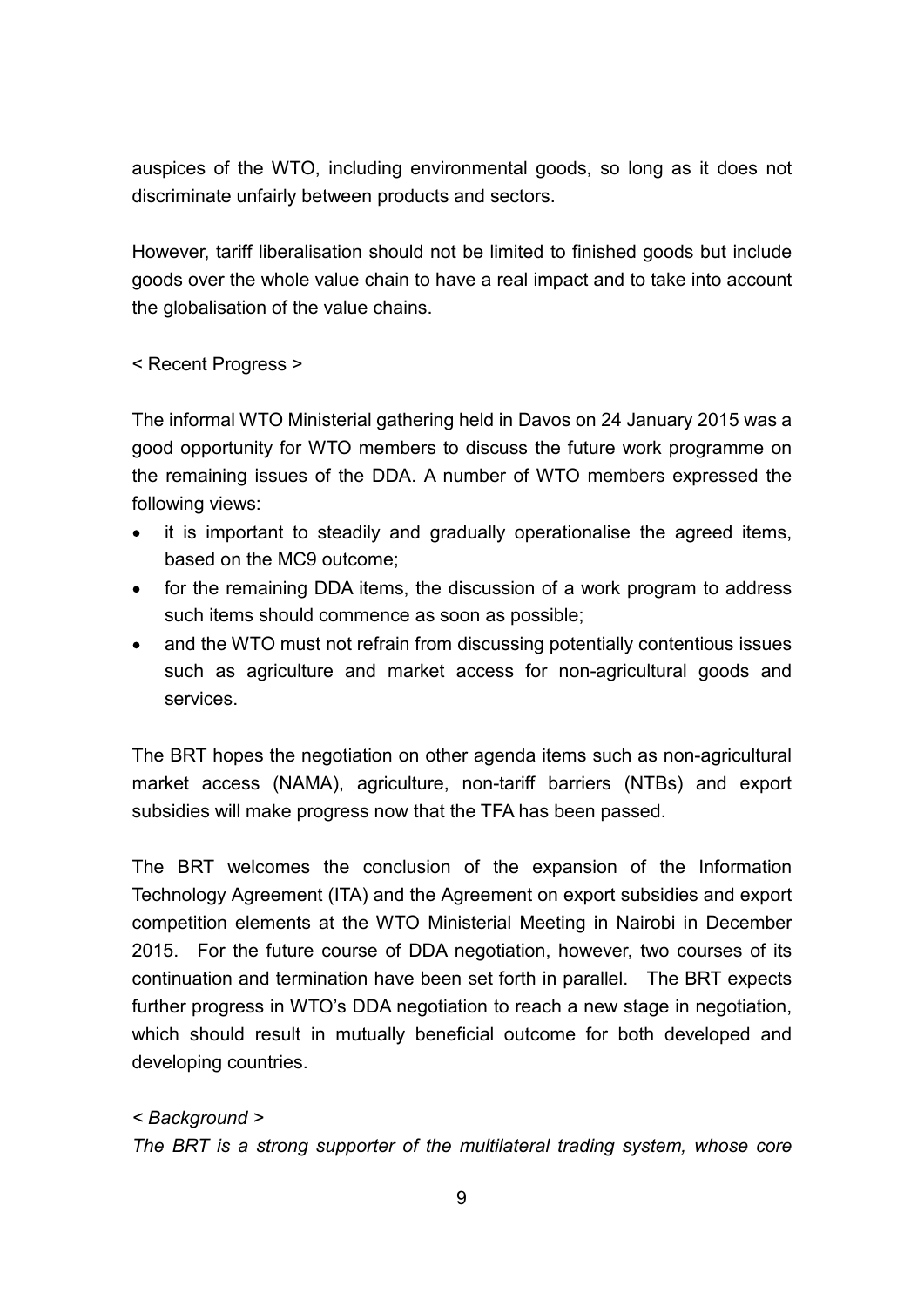auspices of the WTO, including environmental goods, so long as it does not discriminate unfairly between products and sectors.

However, tariff liberalisation should not be limited to finished goods but include goods over the whole value chain to have a real impact and to take into account the globalisation of the value chains.

< Recent Progress >

The informal WTO Ministerial gathering held in Davos on 24 January 2015 was a good opportunity for WTO members to discuss the future work programme on the remaining issues of the DDA. A number of WTO members expressed the following views:

- it is important to steadily and gradually operationalise the agreed items, based on the MC9 outcome;
- for the remaining DDA items, the discussion of a work program to address such items should commence as soon as possible;
- and the WTO must not refrain from discussing potentially contentious issues such as agriculture and market access for non-agricultural goods and services.

The BRT hopes the negotiation on other agenda items such as non-agricultural market access (NAMA), agriculture, non-tariff barriers (NTBs) and export subsidies will make progress now that the TFA has been passed.

The BRT welcomes the conclusion of the expansion of the Information Technology Agreement (ITA) and the Agreement on export subsidies and export competition elements at the WTO Ministerial Meeting in Nairobi in December 2015. For the future course of DDA negotiation, however, two courses of its continuation and termination have been set forth in parallel. The BRT expects further progress in WTO's DDA negotiation to reach a new stage in negotiation, which should result in mutually beneficial outcome for both developed and developing countries.

*< Background > The BRT is a strong supporter of the multilateral trading system, whose core*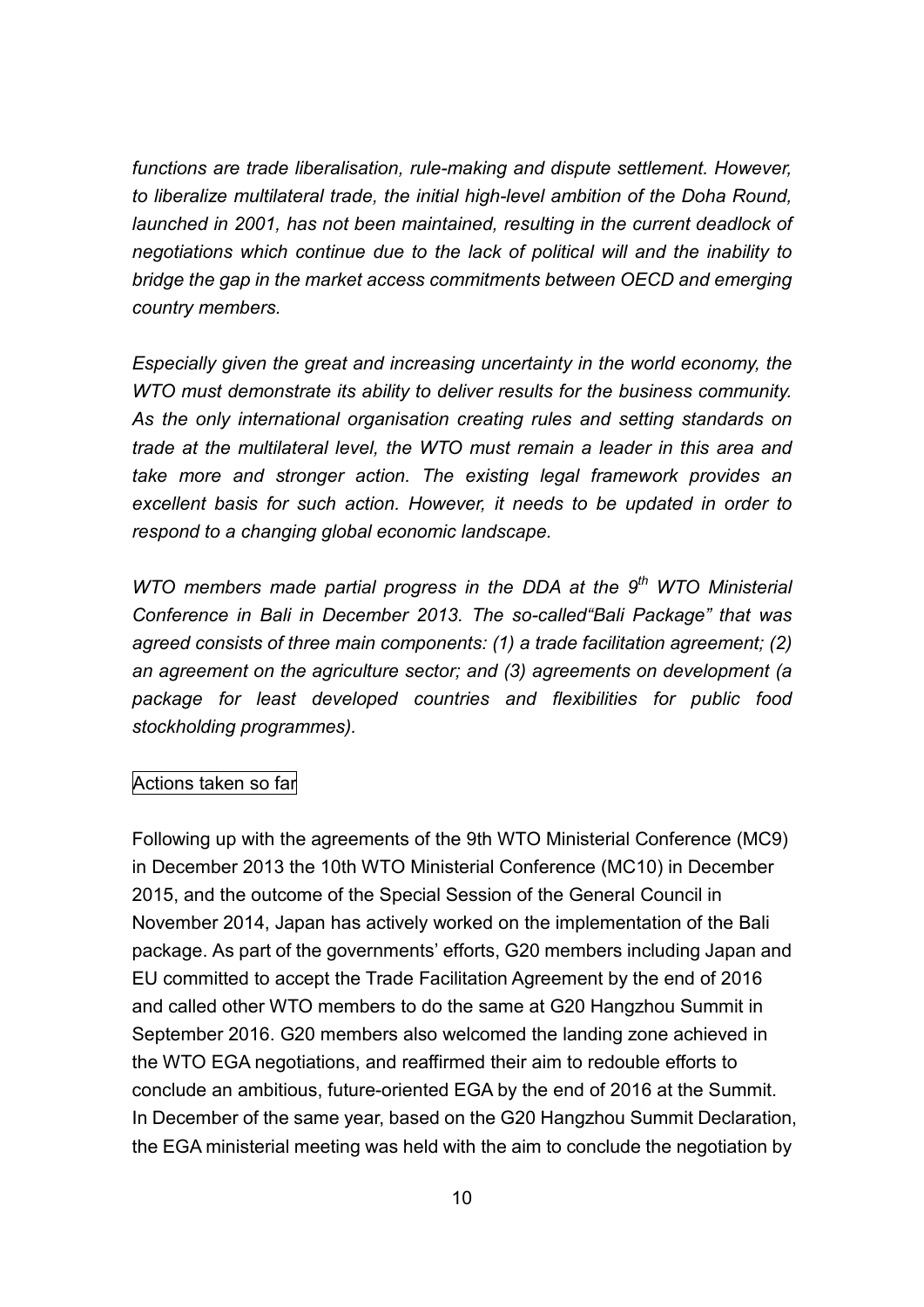*functions are trade liberalisation, rule-making and dispute settlement. However, to liberalize multilateral trade, the initial high-level ambition of the Doha Round, launched in 2001, has not been maintained, resulting in the current deadlock of negotiations which continue due to the lack of political will and the inability to bridge the gap in the market access commitments between OECD and emerging country members.*

*Especially given the great and increasing uncertainty in the world economy, the WTO must demonstrate its ability to deliver results for the business community. As the only international organisation creating rules and setting standards on trade at the multilateral level, the WTO must remain a leader in this area and take more and stronger action. The existing legal framework provides an excellent basis for such action. However, it needs to be updated in order to respond to a changing global economic landscape.*

*WTO members made partial progress in the DDA at the 9 th WTO Ministerial Conference in Bali in December 2013. The so-called"Bali Package" that was agreed consists of three main components: (1) a trade facilitation agreement; (2) an agreement on the agriculture sector; and (3) agreements on development (a package for least developed countries and flexibilities for public food stockholding programmes).*

#### Actions taken so far

Following up with the agreements of the 9th WTO Ministerial Conference (MC9) in December 2013 the 10th WTO Ministerial Conference (MC10) in December 2015, and the outcome of the Special Session of the General Council in November 2014, Japan has actively worked on the implementation of the Bali package. As part of the governments' efforts, G20 members including Japan and EU committed to accept the Trade Facilitation Agreement by the end of 2016 and called other WTO members to do the same at G20 Hangzhou Summit in September 2016. G20 members also welcomed the landing zone achieved in the WTO EGA negotiations, and reaffirmed their aim to redouble efforts to conclude an ambitious, future-oriented EGA by the end of 2016 at the Summit. In December of the same year, based on the G20 Hangzhou Summit Declaration, the EGA ministerial meeting was held with the aim to conclude the negotiation by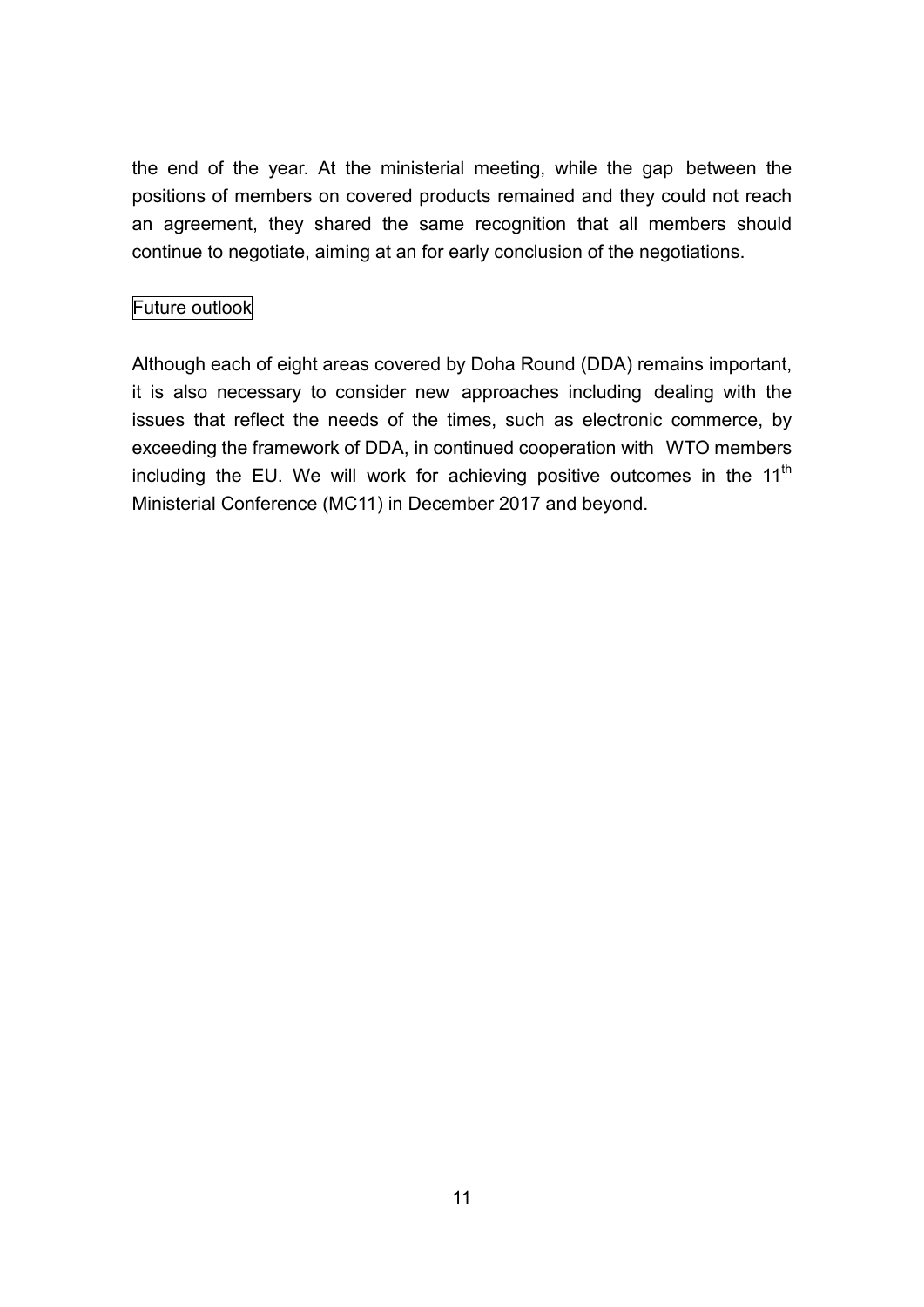the end of the year. At the ministerial meeting, while the gap between the positions of members on covered products remained and they could not reach an agreement, they shared the same recognition that all members should continue to negotiate, aiming at an for early conclusion of the negotiations.

## Future outlook

Although each of eight areas covered by Doha Round (DDA) remains important, it is also necessary to consider new approaches including dealing with the issues that reflect the needs of the times, such as electronic commerce, by exceeding the framework of DDA, in continued cooperation with WTO members including the EU. We will work for achieving positive outcomes in the 11<sup>th</sup> Ministerial Conference (MC11) in December 2017 and beyond.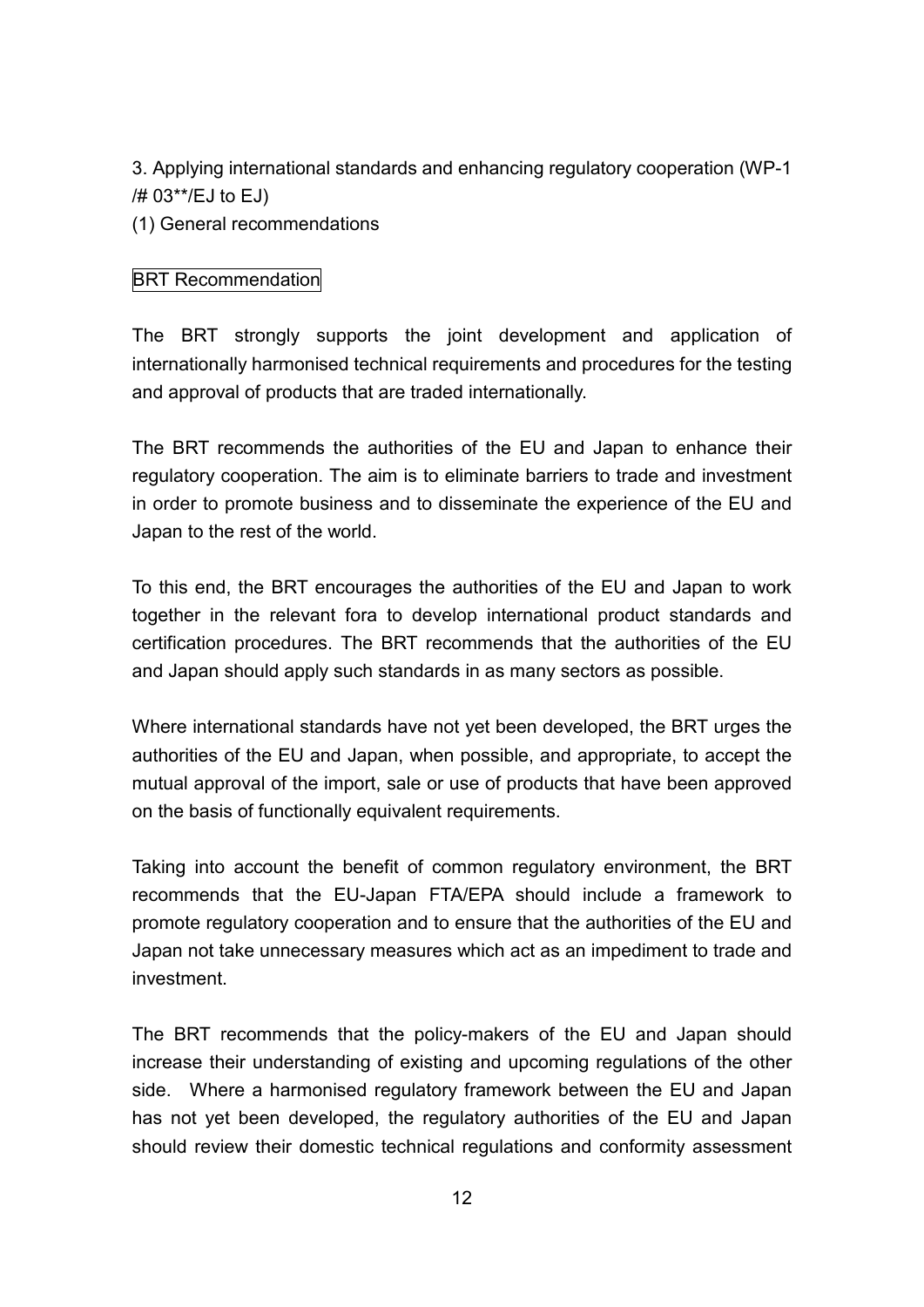3. Applying international standards and enhancing regulatory cooperation (WP-1 /# 03\*\*/EJ to EJ)

(1) General recommendations

#### **BRT Recommendation**

The BRT strongly supports the joint development and application of internationally harmonised technical requirements and procedures for the testing and approval of products that are traded internationally.

The BRT recommends the authorities of the EU and Japan to enhance their regulatory cooperation. The aim is to eliminate barriers to trade and investment in order to promote business and to disseminate the experience of the EU and Japan to the rest of the world.

To this end, the BRT encourages the authorities of the EU and Japan to work together in the relevant fora to develop international product standards and certification procedures. The BRT recommends that the authorities of the EU and Japan should apply such standards in as many sectors as possible.

Where international standards have not yet been developed, the BRT urges the authorities of the EU and Japan, when possible, and appropriate, to accept the mutual approval of the import, sale or use of products that have been approved on the basis of functionally equivalent requirements.

Taking into account the benefit of common regulatory environment, the BRT recommends that the EU-Japan FTA/EPA should include a framework to promote regulatory cooperation and to ensure that the authorities of the EU and Japan not take unnecessary measures which act as an impediment to trade and investment.

The BRT recommends that the policy-makers of the EU and Japan should increase their understanding of existing and upcoming regulations of the other side. Where a harmonised regulatory framework between the EU and Japan has not yet been developed, the regulatory authorities of the EU and Japan should review their domestic technical regulations and conformity assessment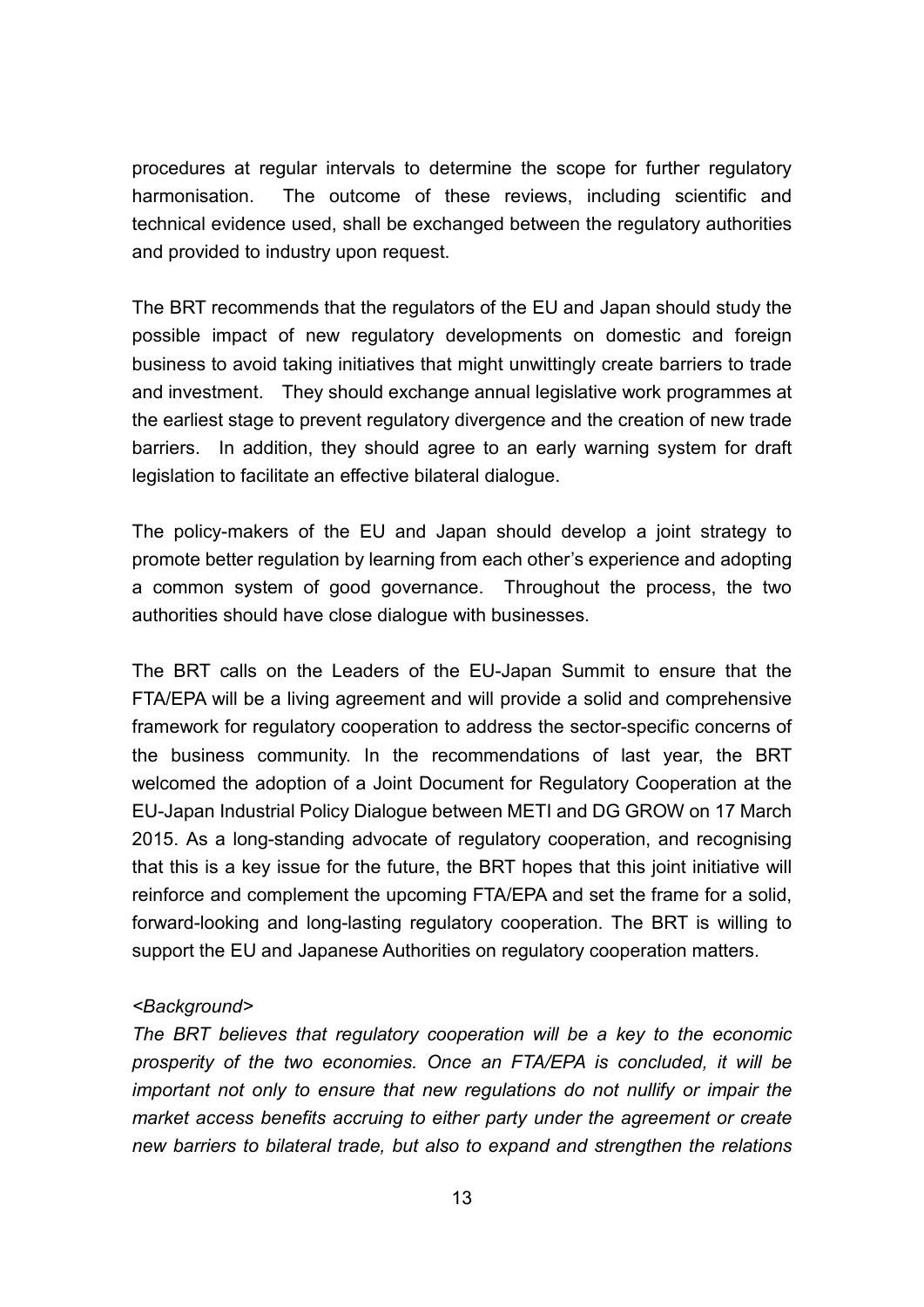procedures at regular intervals to determine the scope for further regulatory harmonisation. The outcome of these reviews, including scientific and technical evidence used, shall be exchanged between the regulatory authorities and provided to industry upon request.

The BRT recommends that the regulators of the EU and Japan should study the possible impact of new regulatory developments on domestic and foreign business to avoid taking initiatives that might unwittingly create barriers to trade and investment. They should exchange annual legislative work programmes at the earliest stage to prevent regulatory divergence and the creation of new trade barriers. In addition, they should agree to an early warning system for draft legislation to facilitate an effective bilateral dialogue.

The policy-makers of the EU and Japan should develop a joint strategy to promote better regulation by learning from each other's experience and adopting a common system of good governance. Throughout the process, the two authorities should have close dialogue with businesses.

The BRT calls on the Leaders of the EU-Japan Summit to ensure that the FTA/EPA will be a living agreement and will provide a solid and comprehensive framework for regulatory cooperation to address the sector-specific concerns of the business community. In the recommendations of last year, the BRT welcomed the adoption of a Joint Document for Regulatory Cooperation at the EU-Japan Industrial Policy Dialogue between METI and DG GROW on 17 March 2015. As a long-standing advocate of regulatory cooperation, and recognising that this is a key issue for the future, the BRT hopes that this joint initiative will reinforce and complement the upcoming FTA/EPA and set the frame for a solid, forward-looking and long-lasting regulatory cooperation. The BRT is willing to support the EU and Japanese Authorities on regulatory cooperation matters.

#### *<Background>*

*The BRT believes that regulatory cooperation will be a key to the economic prosperity of the two economies. Once an FTA/EPA is concluded, it will be important not only to ensure that new regulations do not nullify or impair the market access benefits accruing to either party under the agreement or create new barriers to bilateral trade, but also to expand and strengthen the relations*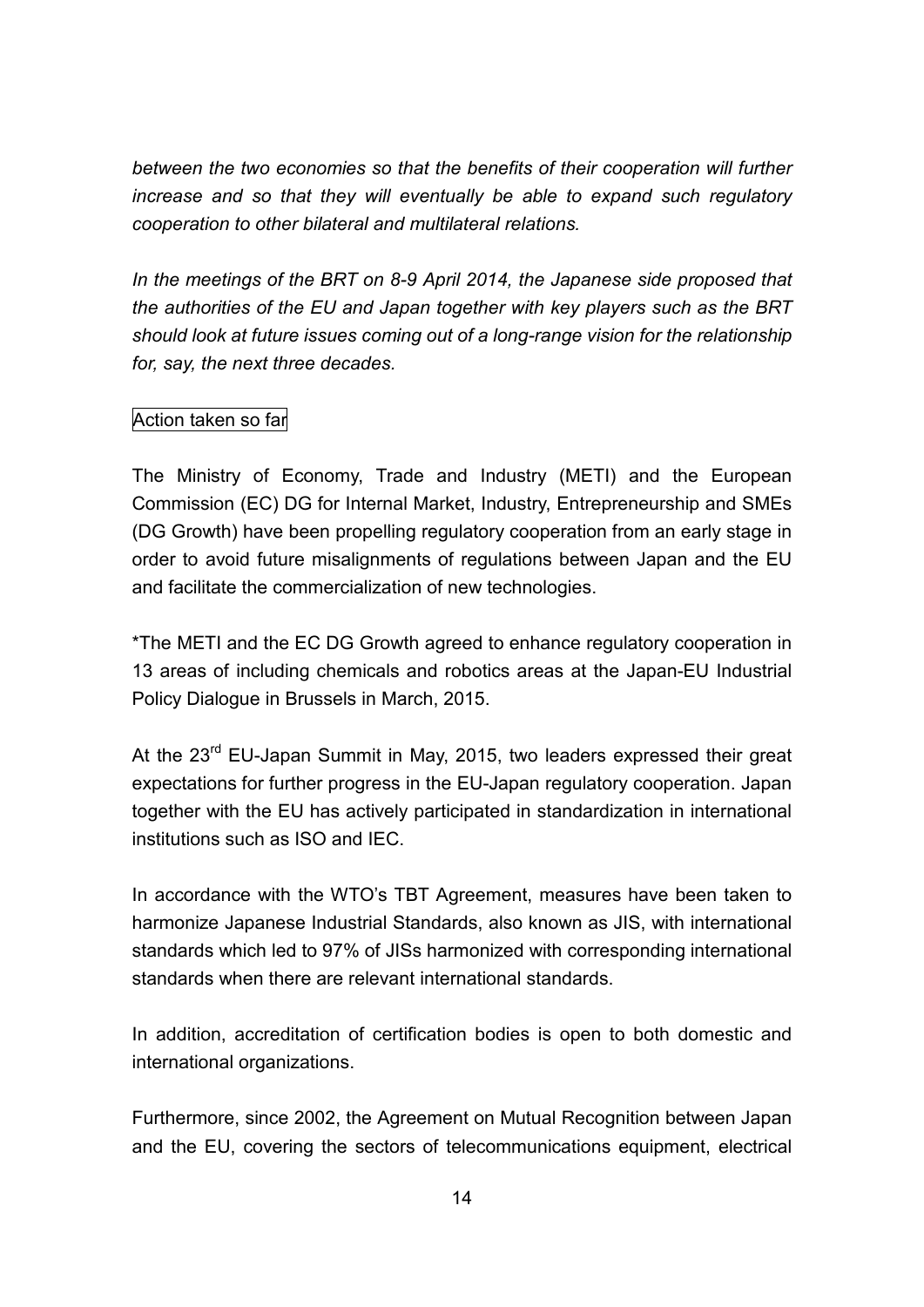*between the two economies so that the benefits of their cooperation will further increase and so that they will eventually be able to expand such regulatory cooperation to other bilateral and multilateral relations.*

*In the meetings of the BRT on 8-9 April 2014, the Japanese side proposed that the authorities of the EU and Japan together with key players such as the BRT should look at future issues coming out of a long-range vision for the relationship for, say, the next three decades.*

#### Action taken so far

The Ministry of Economy, Trade and Industry (METI) and the European Commission (EC) DG for Internal Market, Industry, Entrepreneurship and SMEs (DG Growth) have been propelling regulatory cooperation from an early stage in order to avoid future misalignments of regulations between Japan and the EU and facilitate the commercialization of new technologies.

\*The METI and the EC DG Growth agreed to enhance regulatory cooperation in 13 areas of including chemicals and robotics areas at the Japan-EU Industrial Policy Dialogue in Brussels in March, 2015.

At the 23<sup>rd</sup> EU-Japan Summit in May, 2015, two leaders expressed their great expectations for further progress in the EU-Japan regulatory cooperation. Japan together with the EU has actively participated in standardization in international institutions such as ISO and IEC.

In accordance with the WTO's TBT Agreement, measures have been taken to harmonize Japanese Industrial Standards, also known as JIS, with international standards which led to 97% of JISs harmonized with corresponding international standards when there are relevant international standards.

In addition, accreditation of certification bodies is open to both domestic and international organizations.

Furthermore, since 2002, the Agreement on Mutual Recognition between Japan and the EU, covering the sectors of telecommunications equipment, electrical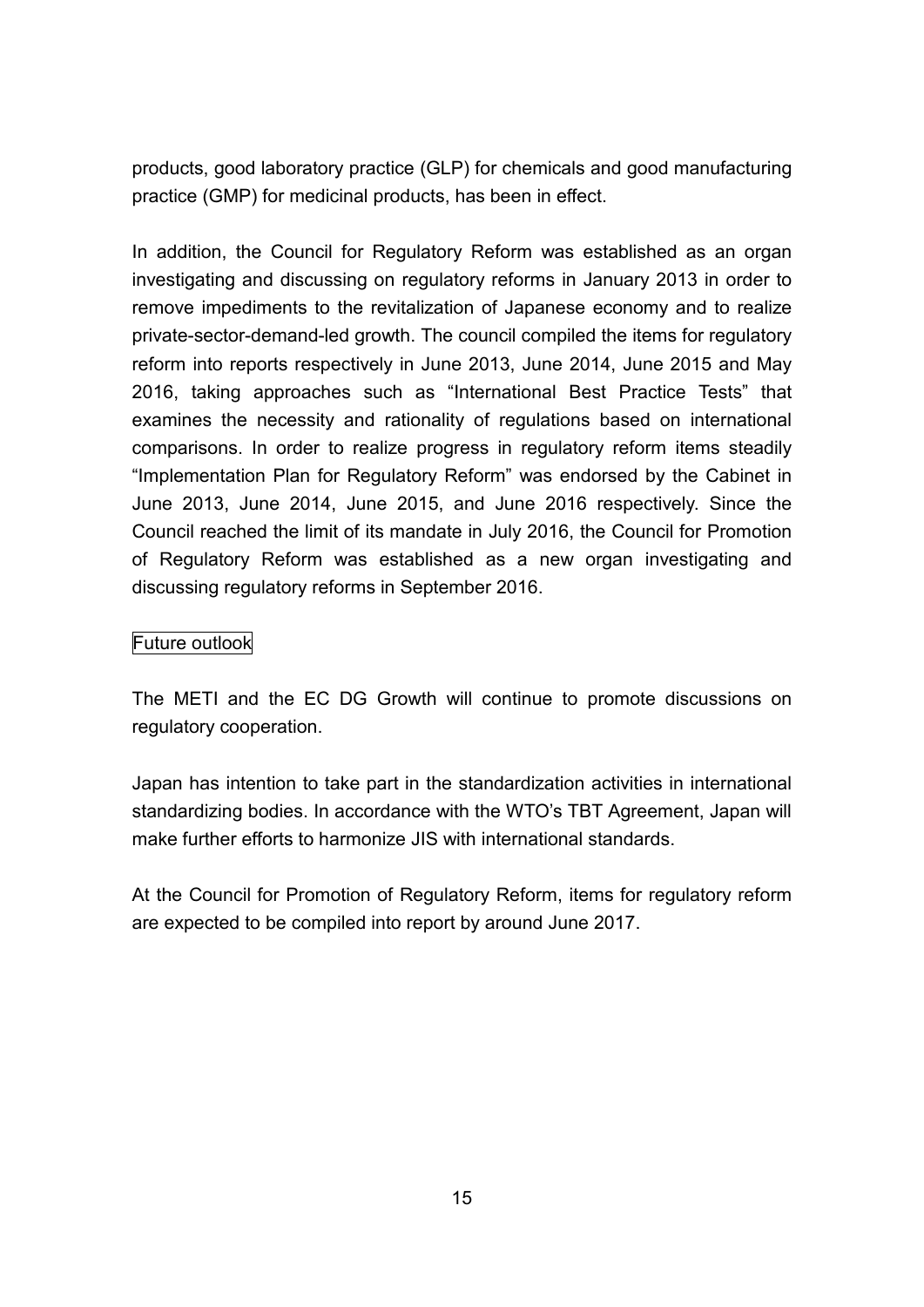products, good laboratory practice (GLP) for chemicals and good manufacturing practice (GMP) for medicinal products, has been in effect.

In addition, the Council for Regulatory Reform was established as an organ investigating and discussing on regulatory reforms in January 2013 in order to remove impediments to the revitalization of Japanese economy and to realize private-sector-demand-led growth. The council compiled the items for regulatory reform into reports respectively in June 2013, June 2014, June 2015 and May 2016, taking approaches such as "International Best Practice Tests" that examines the necessity and rationality of regulations based on international comparisons. In order to realize progress in regulatory reform items steadily "Implementation Plan for Regulatory Reform" was endorsed by the Cabinet in June 2013, June 2014, June 2015, and June 2016 respectively. Since the Council reached the limit of its mandate in July 2016, the Council for Promotion of Regulatory Reform was established as a new organ investigating and discussing regulatory reforms in September 2016.

#### Future outlook

The METI and the EC DG Growth will continue to promote discussions on regulatory cooperation.

Japan has intention to take part in the standardization activities in international standardizing bodies. In accordance with the WTO's TBT Agreement, Japan will make further efforts to harmonize JIS with international standards.

At the Council for Promotion of Regulatory Reform, items for regulatory reform are expected to be compiled into report by around June 2017.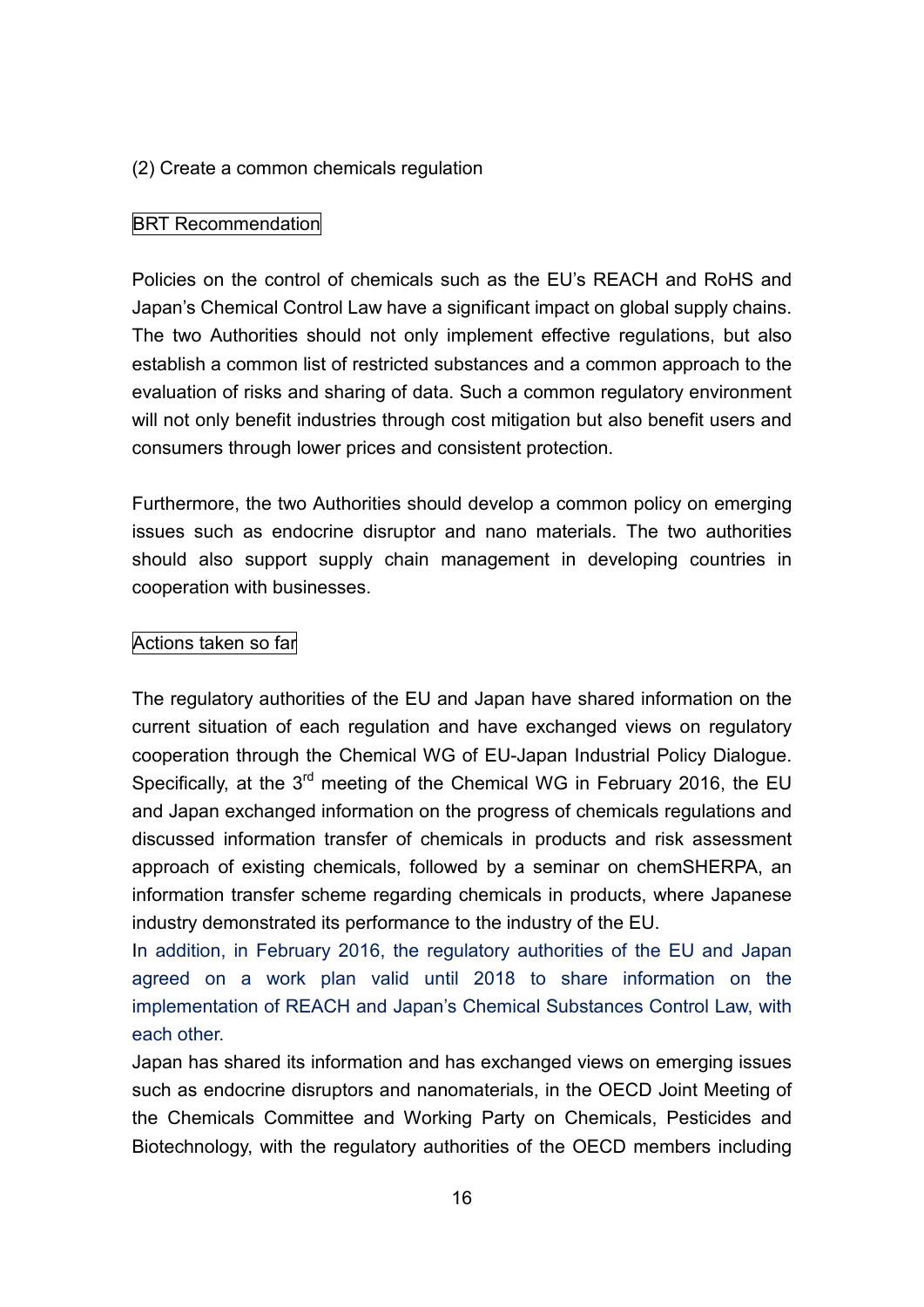#### (2) Create a common chemicals regulation

#### BRT Recommendation

Policies on the control of chemicals such as the EU's REACH and RoHS and Japan's Chemical Control Law have a significant impact on global supply chains. The two Authorities should not only implement effective regulations, but also establish a common list of restricted substances and a common approach to the evaluation of risks and sharing of data. Such a common regulatory environment will not only benefit industries through cost mitigation but also benefit users and consumers through lower prices and consistent protection.

Furthermore, the two Authorities should develop a common policy on emerging issues such as endocrine disruptor and nano materials. The two authorities should also support supply chain management in developing countries in cooperation with businesses.

#### Actions taken so far

The regulatory authorities of the EU and Japan have shared information on the current situation of each regulation and have exchanged views on regulatory cooperation through the Chemical WG of EU-Japan Industrial Policy Dialogue. Specifically, at the  $3<sup>rd</sup>$  meeting of the Chemical WG in February 2016, the EU and Japan exchanged information on the progress of chemicals regulations and discussed information transfer of chemicals in products and risk assessment approach of existing chemicals, followed by a seminar on chemSHERPA, an information transfer scheme regarding chemicals in products, where Japanese industry demonstrated its performance to the industry of the EU.

In addition, in February 2016, the regulatory authorities of the EU and Japan agreed on a work plan valid until 2018 to share information on the implementation of REACH and Japan's Chemical Substances Control Law, with each other.

Japan has shared its information and has exchanged views on emerging issues such as endocrine disruptors and nanomaterials, in the OECD Joint Meeting of the Chemicals Committee and Working Party on Chemicals, Pesticides and Biotechnology, with the regulatory authorities of the OECD members including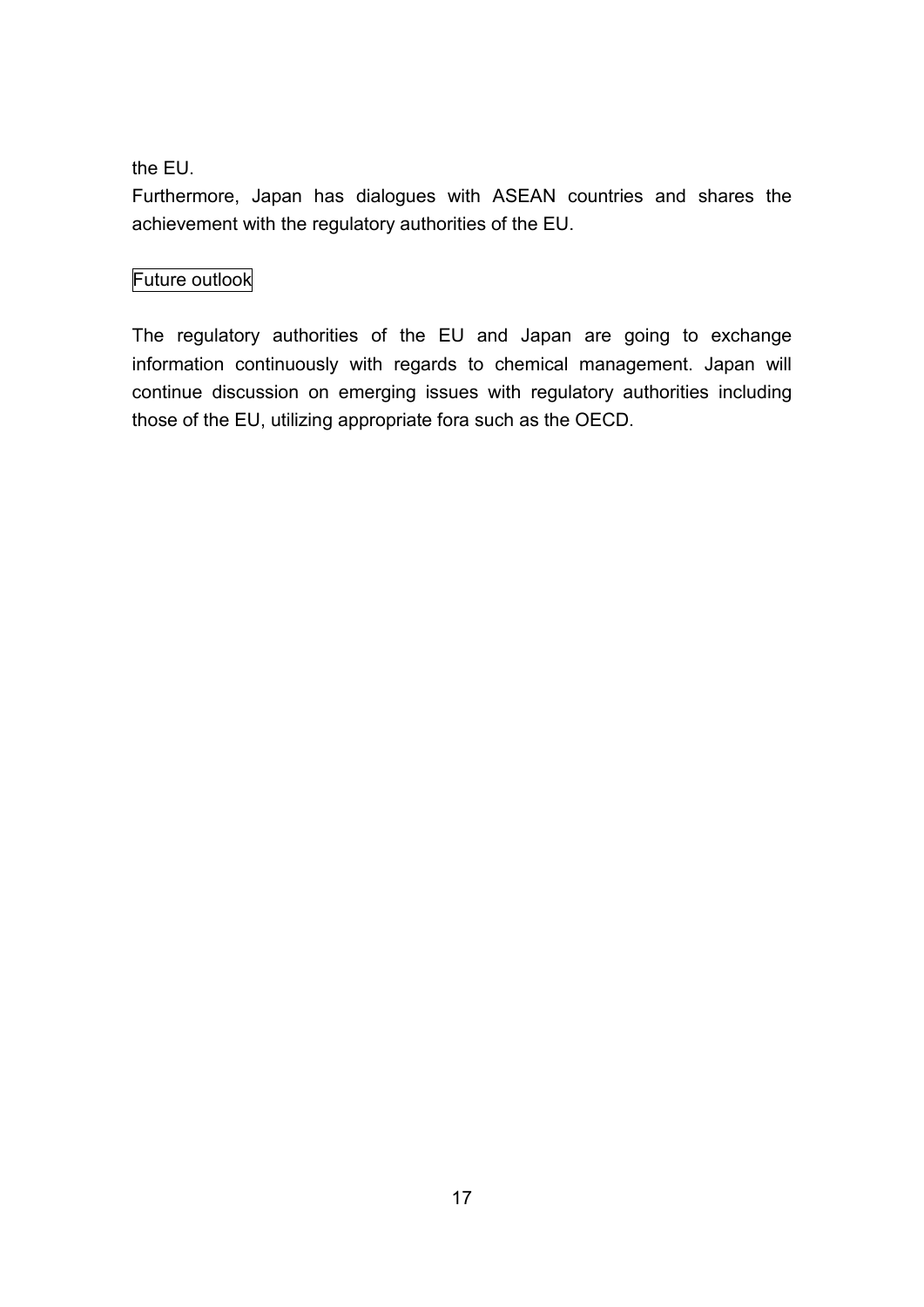### the EU.

Furthermore, Japan has dialogues with ASEAN countries and shares the achievement with the regulatory authorities of the EU.

## Future outlook

The regulatory authorities of the EU and Japan are going to exchange information continuously with regards to chemical management. Japan will continue discussion on emerging issues with regulatory authorities including those of the EU, utilizing appropriate fora such as the OECD.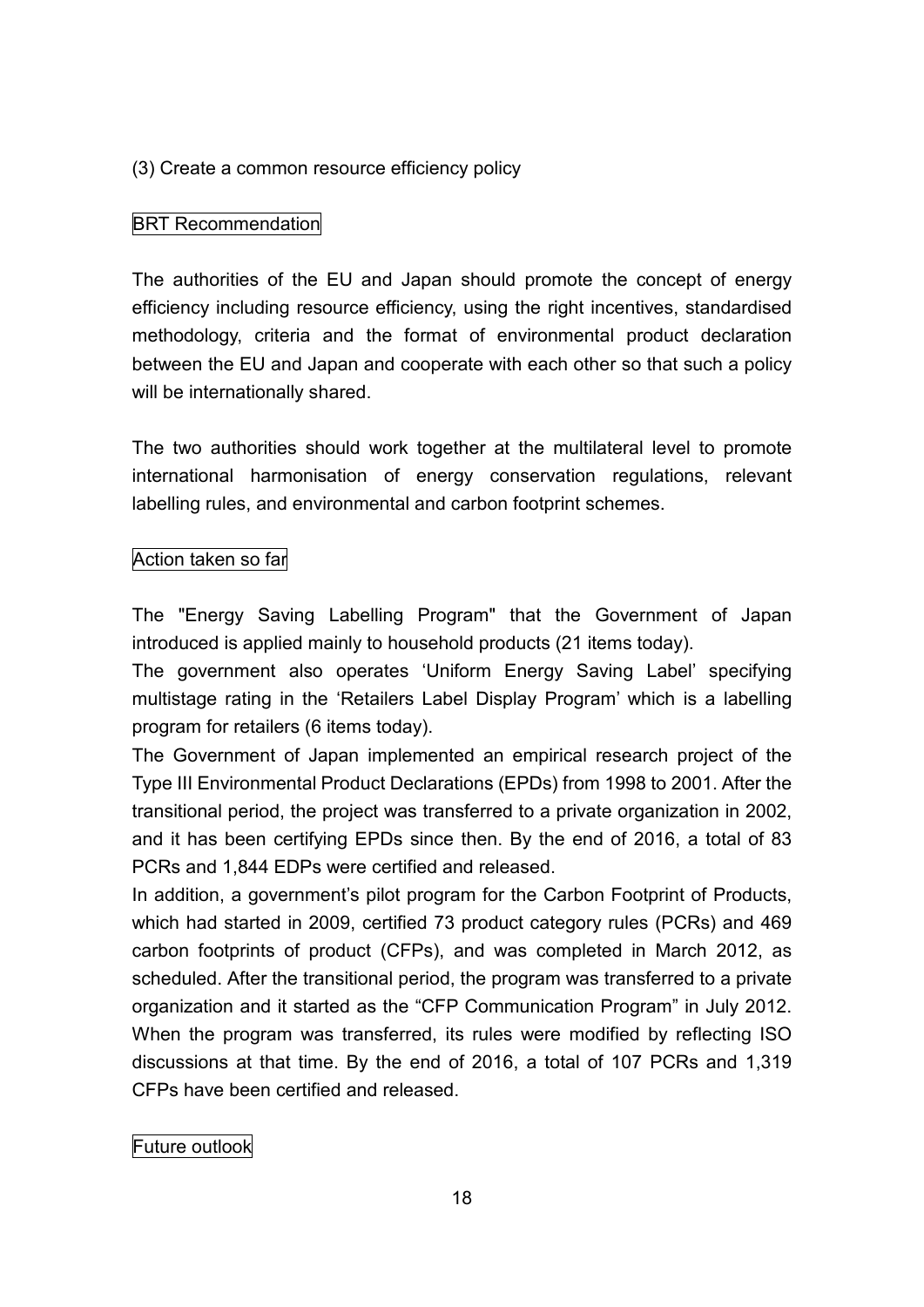#### (3) Create a common resource efficiency policy

#### **BRT Recommendation**

The authorities of the EU and Japan should promote the concept of energy efficiency including resource efficiency, using the right incentives, standardised methodology, criteria and the format of environmental product declaration between the EU and Japan and cooperate with each other so that such a policy will be internationally shared.

The two authorities should work together at the multilateral level to promote international harmonisation of energy conservation regulations, relevant labelling rules, and environmental and carbon footprint schemes.

#### Action taken so far

The "Energy Saving Labelling Program" that the Government of Japan introduced is applied mainly to household products (21 items today).

The government also operates 'Uniform Energy Saving Label' specifying multistage rating in the 'Retailers Label Display Program' which is a labelling program for retailers (6 items today).

The Government of Japan implemented an empirical research project of the Type III Environmental Product Declarations (EPDs) from 1998 to 2001. After the transitional period, the project was transferred to a private organization in 2002, and it has been certifying EPDs since then. By the end of 2016, a total of 83 PCRs and 1,844 EDPs were certified and released.

In addition, a government's pilot program for the Carbon Footprint of Products, which had started in 2009, certified 73 product category rules (PCRs) and 469 carbon footprints of product (CFPs), and was completed in March 2012, as scheduled. After the transitional period, the program was transferred to a private organization and it started as the "CFP Communication Program" in July 2012. When the program was transferred, its rules were modified by reflecting ISO discussions at that time. By the end of 2016, a total of 107 PCRs and 1,319 CFPs have been certified and released.

Future outlook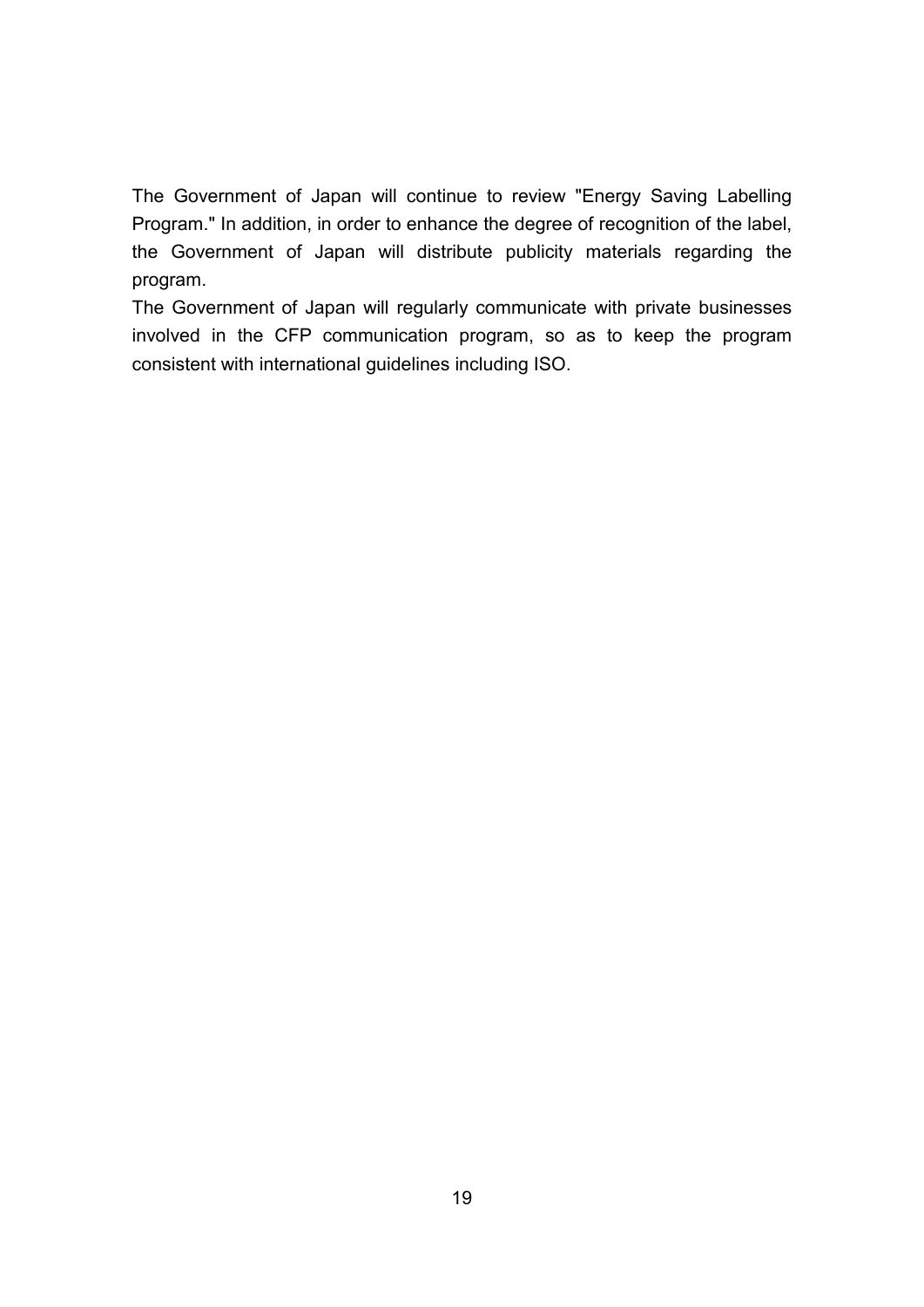The Government of Japan will continue to review "Energy Saving Labelling Program." In addition, in order to enhance the degree of recognition of the label, the Government of Japan will distribute publicity materials regarding the program.

The Government of Japan will regularly communicate with private businesses involved in the CFP communication program, so as to keep the program consistent with international guidelines including ISO.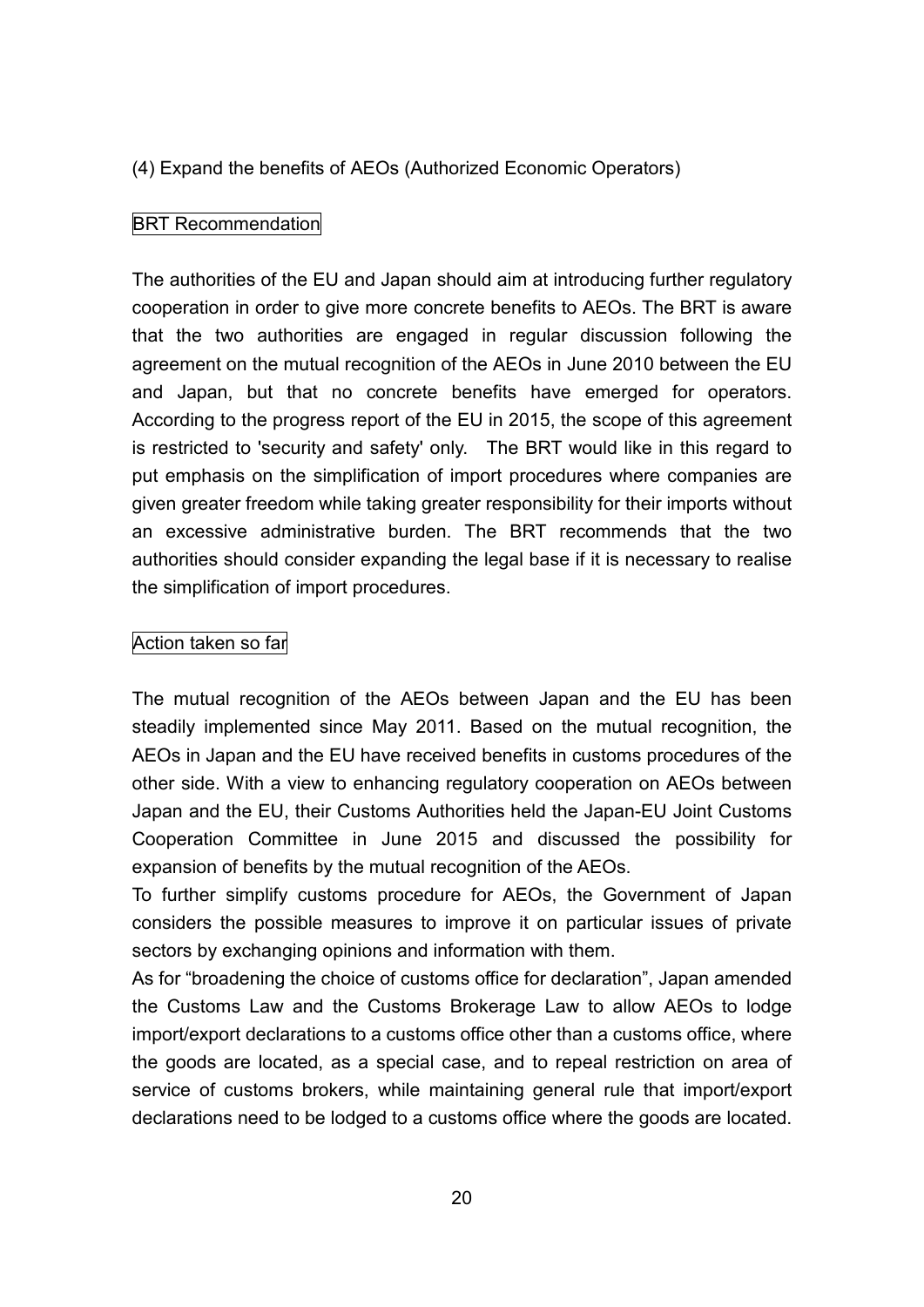#### (4) Expand the benefits of AEOs (Authorized Economic Operators)

#### **BRT Recommendation**

The authorities of the EU and Japan should aim at introducing further regulatory cooperation in order to give more concrete benefits to AEOs. The BRT is aware that the two authorities are engaged in regular discussion following the agreement on the mutual recognition of the AEOs in June 2010 between the EU and Japan, but that no concrete benefits have emerged for operators. According to the progress report of the EU in 2015, the scope of this agreement is restricted to 'security and safety' only. The BRT would like in this regard to put emphasis on the simplification of import procedures where companies are given greater freedom while taking greater responsibility for their imports without an excessive administrative burden. The BRT recommends that the two authorities should consider expanding the legal base if it is necessary to realise the simplification of import procedures.

#### Action taken so far

The mutual recognition of the AEOs between Japan and the EU has been steadily implemented since May 2011. Based on the mutual recognition, the AEOs in Japan and the EU have received benefits in customs procedures of the other side. With a view to enhancing regulatory cooperation on AEOs between Japan and the EU, their Customs Authorities held the Japan-EU Joint Customs Cooperation Committee in June 2015 and discussed the possibility for expansion of benefits by the mutual recognition of the AEOs.

To further simplify customs procedure for AEOs, the Government of Japan considers the possible measures to improve it on particular issues of private sectors by exchanging opinions and information with them.

As for "broadening the choice of customs office for declaration", Japan amended the Customs Law and the Customs Brokerage Law to allow AEOs to lodge import/export declarations to a customs office other than a customs office, where the goods are located, as a special case, and to repeal restriction on area of service of customs brokers, while maintaining general rule that import/export declarations need to be lodged to a customs office where the goods are located.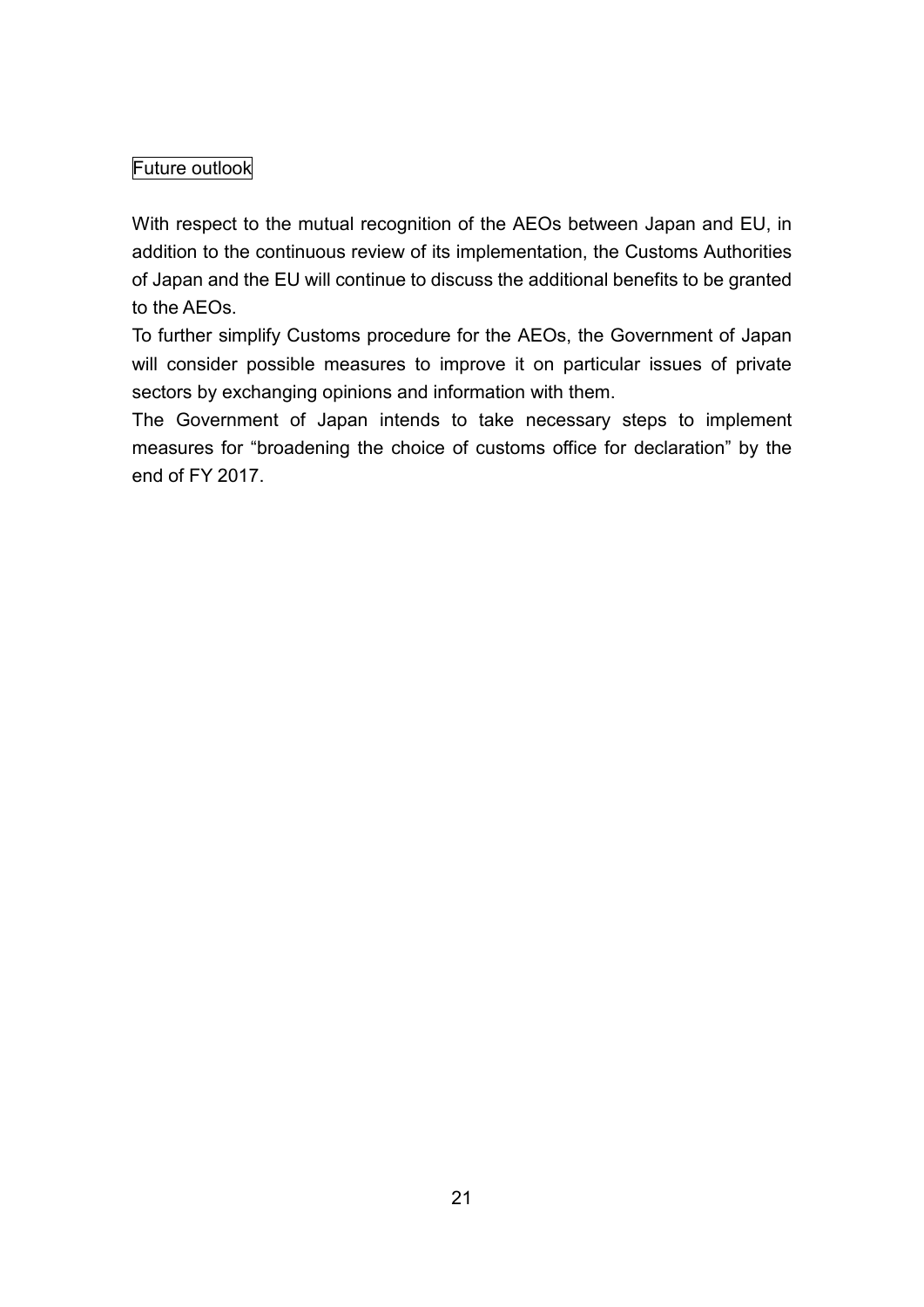## Future outlook

With respect to the mutual recognition of the AEOs between Japan and EU, in addition to the continuous review of its implementation, the Customs Authorities of Japan and the EU will continue to discuss the additional benefits to be granted to the AEOs.

To further simplify Customs procedure for the AEOs, the Government of Japan will consider possible measures to improve it on particular issues of private sectors by exchanging opinions and information with them.

The Government of Japan intends to take necessary steps to implement measures for "broadening the choice of customs office for declaration" by the end of FY 2017.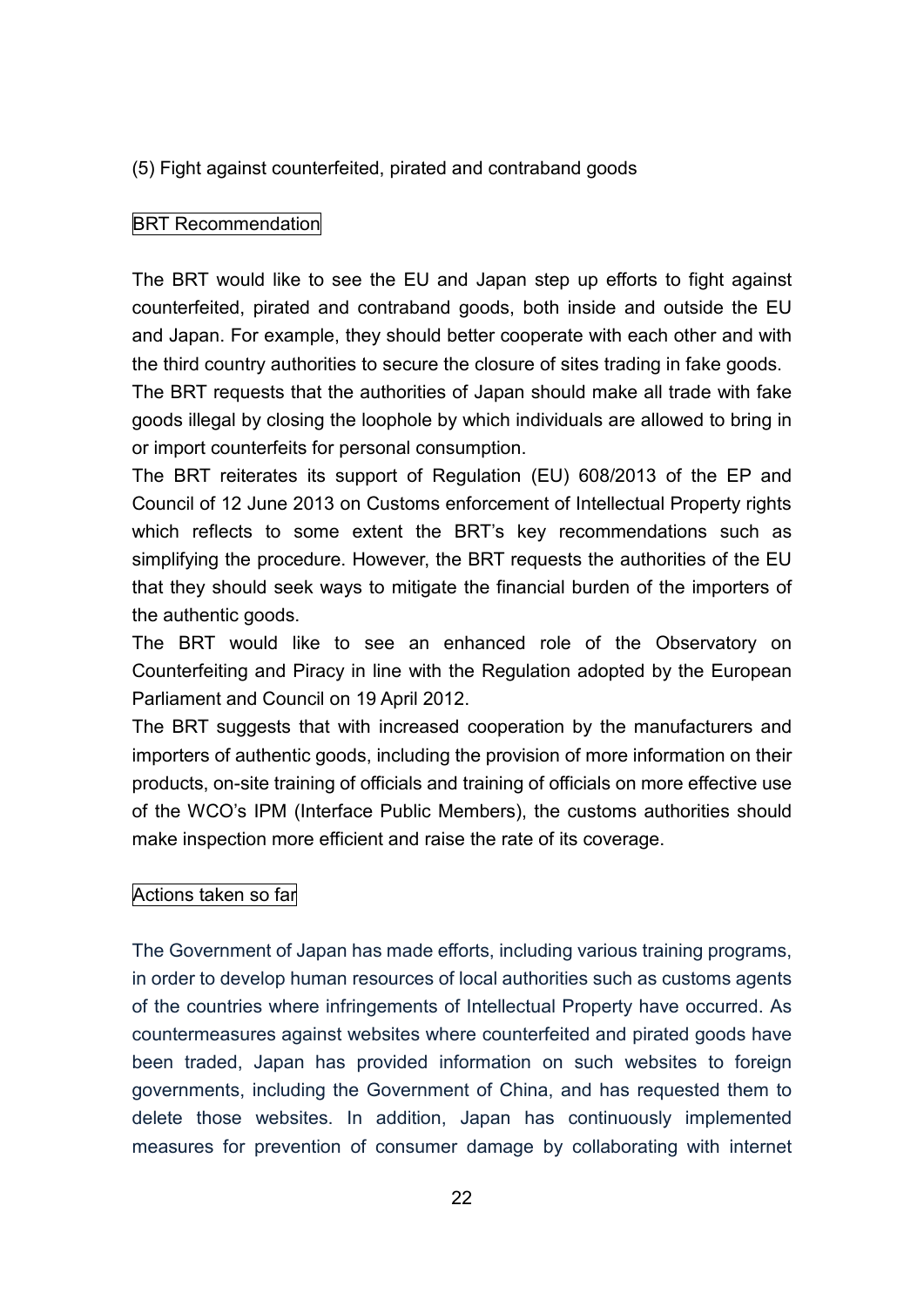(5) Fight against counterfeited, pirated and contraband goods

#### BRT Recommendation

The BRT would like to see the EU and Japan step up efforts to fight against counterfeited, pirated and contraband goods, both inside and outside the EU and Japan. For example, they should better cooperate with each other and with the third country authorities to secure the closure of sites trading in fake goods.

The BRT requests that the authorities of Japan should make all trade with fake goods illegal by closing the loophole by which individuals are allowed to bring in or import counterfeits for personal consumption.

The BRT reiterates its support of Regulation (EU) 608/2013 of the EP and Council of 12 June 2013 on Customs enforcement of Intellectual Property rights which reflects to some extent the BRT's key recommendations such as simplifying the procedure. However, the BRT requests the authorities of the EU that they should seek ways to mitigate the financial burden of the importers of the authentic goods.

The BRT would like to see an enhanced role of the Observatory on Counterfeiting and Piracy in line with the Regulation adopted by the European Parliament and Council on 19 April 2012.

The BRT suggests that with increased cooperation by the manufacturers and importers of authentic goods, including the provision of more information on their products, on-site training of officials and training of officials on more effective use of the WCO's IPM (Interface Public Members), the customs authorities should make inspection more efficient and raise the rate of its coverage.

#### Actions taken so far

The Government of Japan has made efforts, including various training programs, in order to develop human resources of local authorities such as customs agents of the countries where infringements of Intellectual Property have occurred. As countermeasures against websites where counterfeited and pirated goods have been traded, Japan has provided information on such websites to foreign governments, including the Government of China, and has requested them to delete those websites. In addition, Japan has continuously implemented measures for prevention of consumer damage by collaborating with internet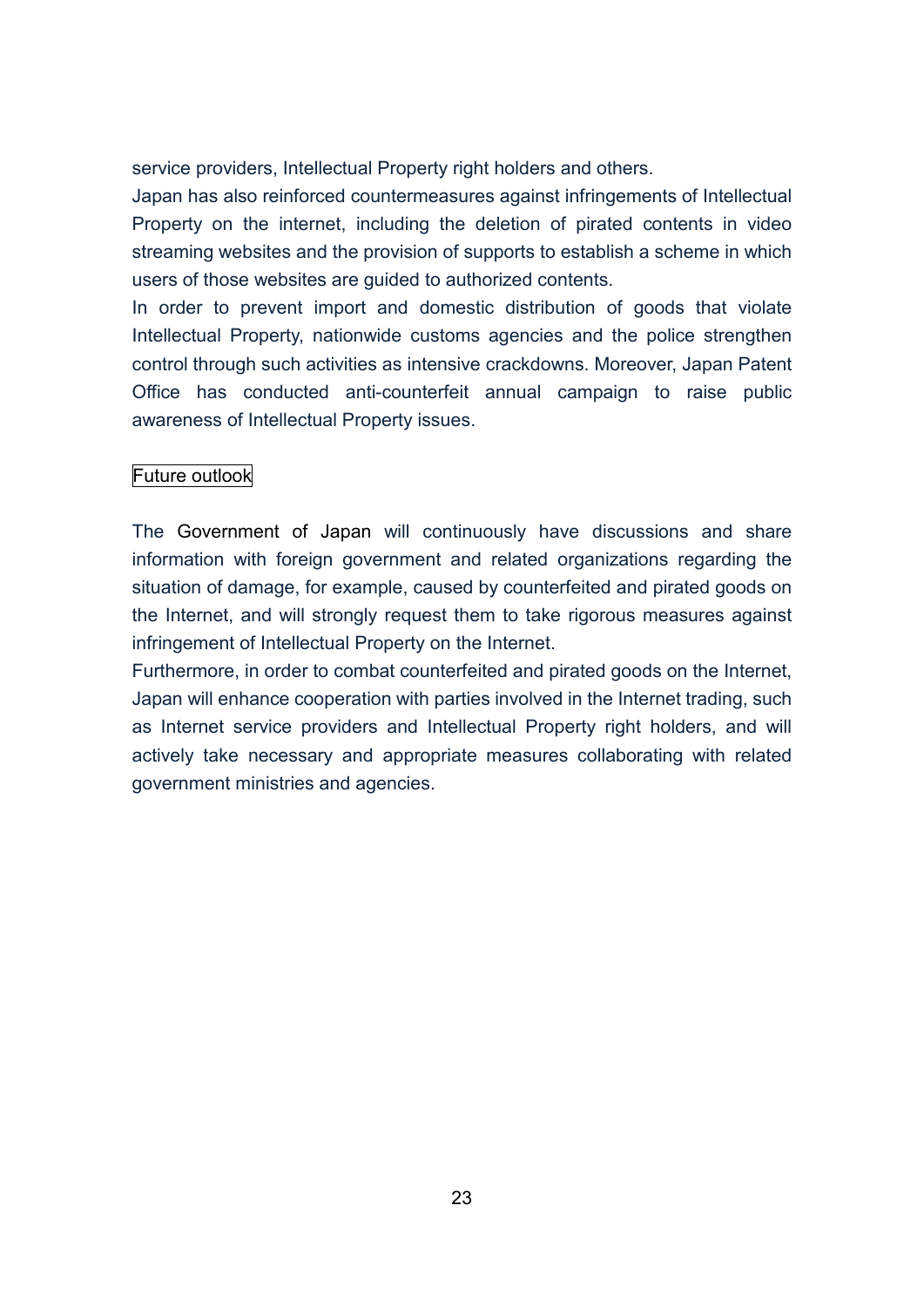service providers, Intellectual Property right holders and others.

Japan has also reinforced countermeasures against infringements of Intellectual Property on the internet, including the deletion of pirated contents in video streaming websites and the provision of supports to establish a scheme in which users of those websites are guided to authorized contents.

In order to prevent import and domestic distribution of goods that violate Intellectual Property, nationwide customs agencies and the police strengthen control through such activities as intensive crackdowns. Moreover, Japan Patent Office has conducted anti-counterfeit annual campaign to raise public awareness of Intellectual Property issues.

#### Future outlook

The Government of Japan will continuously have discussions and share information with foreign government and related organizations regarding the situation of damage, for example, caused by counterfeited and pirated goods on the Internet, and will strongly request them to take rigorous measures against infringement of Intellectual Property on the Internet.

Furthermore, in order to combat counterfeited and pirated goods on the Internet, Japan will enhance cooperation with parties involved in the Internet trading, such as Internet service providers and Intellectual Property right holders, and will actively take necessary and appropriate measures collaborating with related government ministries and agencies.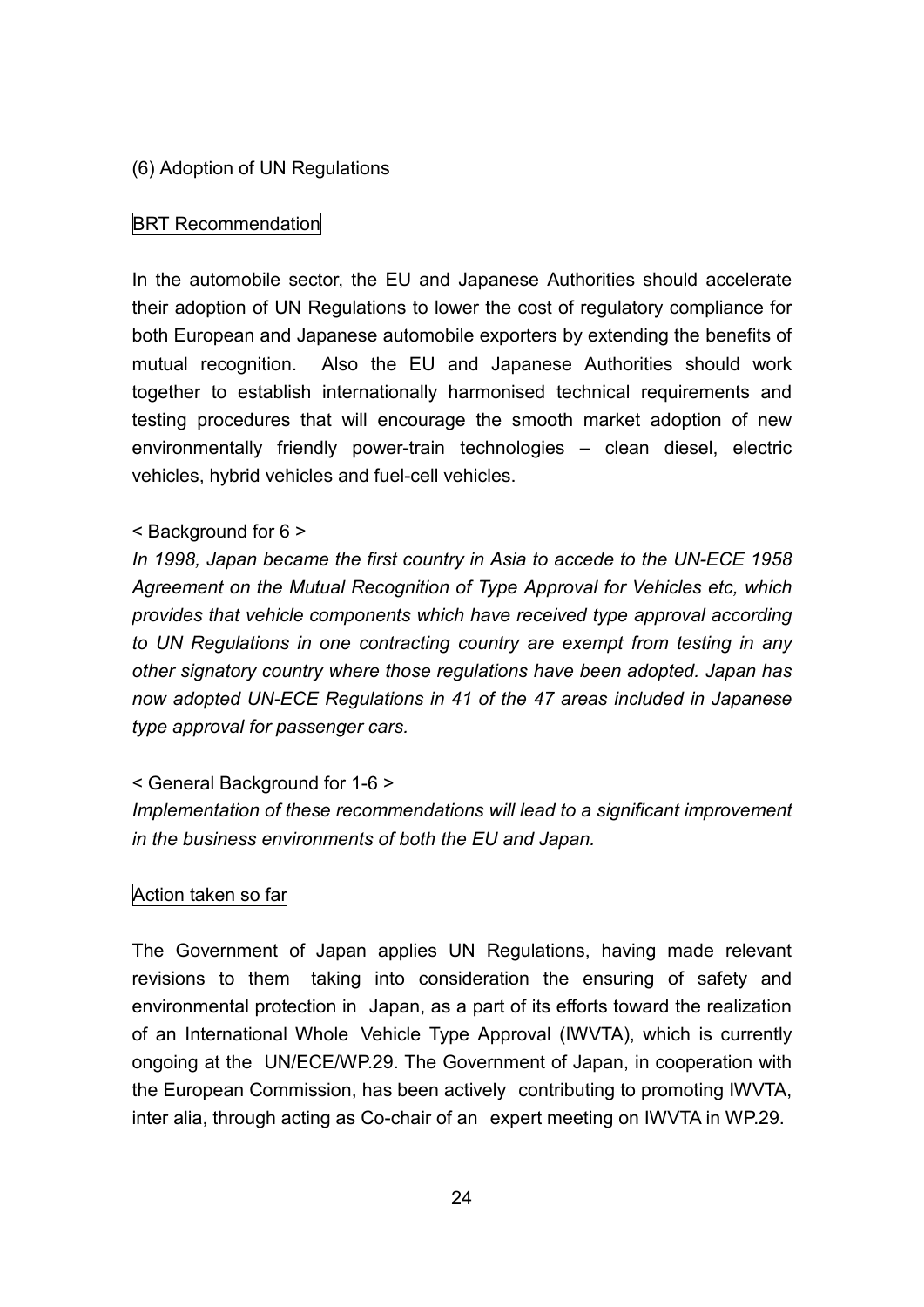#### (6) Adoption of UN Regulations

#### BRT Recommendation

In the automobile sector, the EU and Japanese Authorities should accelerate their adoption of UN Regulations to lower the cost of regulatory compliance for both European and Japanese automobile exporters by extending the benefits of mutual recognition. Also the EU and Japanese Authorities should work together to establish internationally harmonised technical requirements and testing procedures that will encourage the smooth market adoption of new environmentally friendly power-train technologies – clean diesel, electric vehicles, hybrid vehicles and fuel-cell vehicles.

#### < Background for 6 >

*In 1998, Japan became the first country in Asia to accede to the UN-ECE 1958 Agreement on the Mutual Recognition of Type Approval for Vehicles etc, which provides that vehicle components which have received type approval according to UN Regulations in one contracting country are exempt from testing in any other signatory country where those regulations have been adopted. Japan has now adopted UN-ECE Regulations in 41 of the 47 areas included in Japanese type approval for passenger cars.*

#### < General Background for 1-6 >

*Implementation of these recommendations will lead to a significant improvement in the business environments of both the EU and Japan.*

#### Action taken so far

The Government of Japan applies UN Regulations, having made relevant revisions to them taking into consideration the ensuring of safety and environmental protection in Japan, as a part of its efforts toward the realization of an International Whole Vehicle Type Approval (IWVTA), which is currently ongoing at the UN/ECE/WP.29. The Government of Japan, in cooperation with the European Commission, has been actively contributing to promoting IWVTA, inter alia, through acting as Co-chair of an expert meeting on IWVTA in WP.29.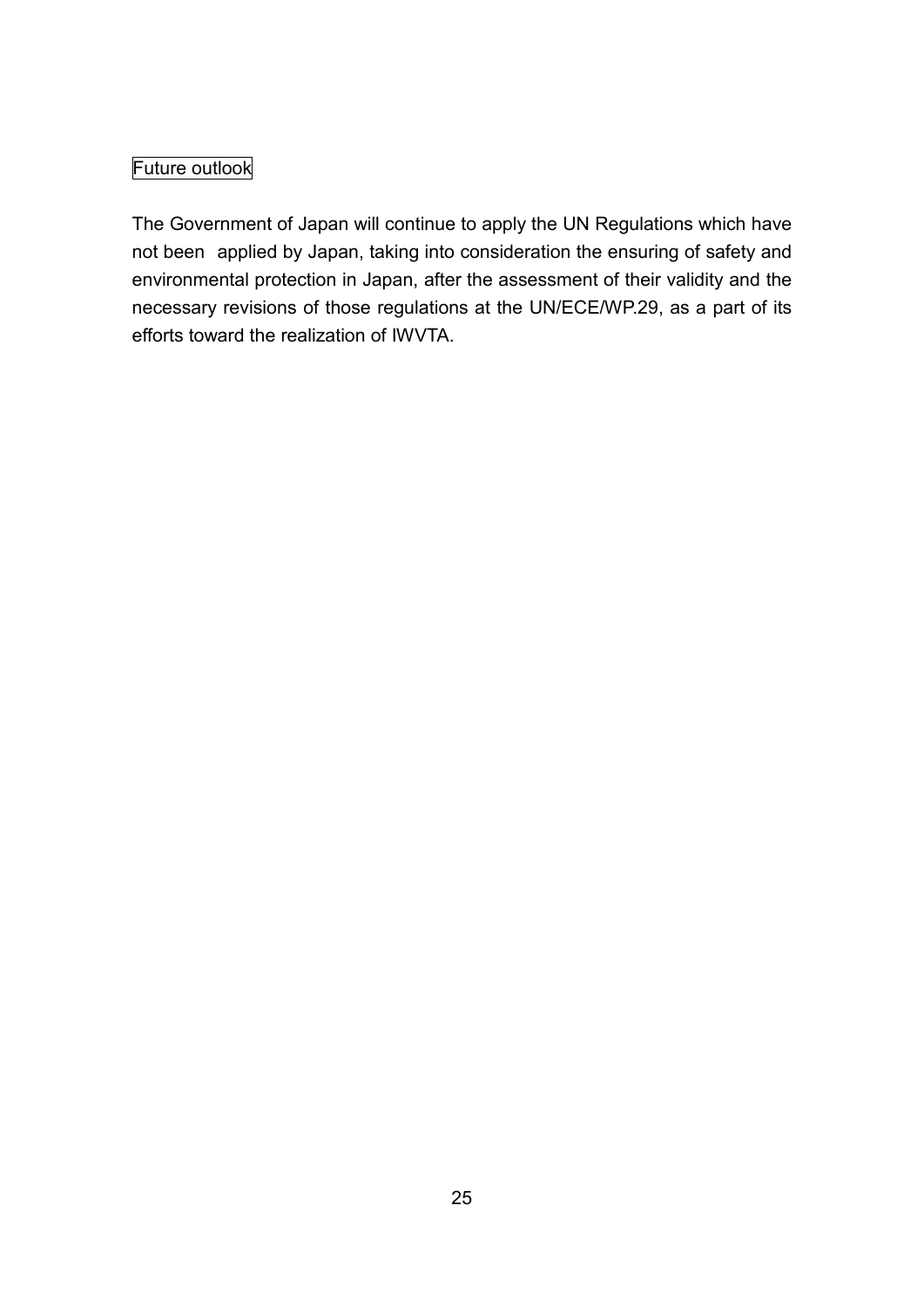## Future outlook

The Government of Japan will continue to apply the UN Regulations which have not been applied by Japan, taking into consideration the ensuring of safety and environmental protection in Japan, after the assessment of their validity and the necessary revisions of those regulations at the UN/ECE/WP.29, as a part of its efforts toward the realization of IWVTA.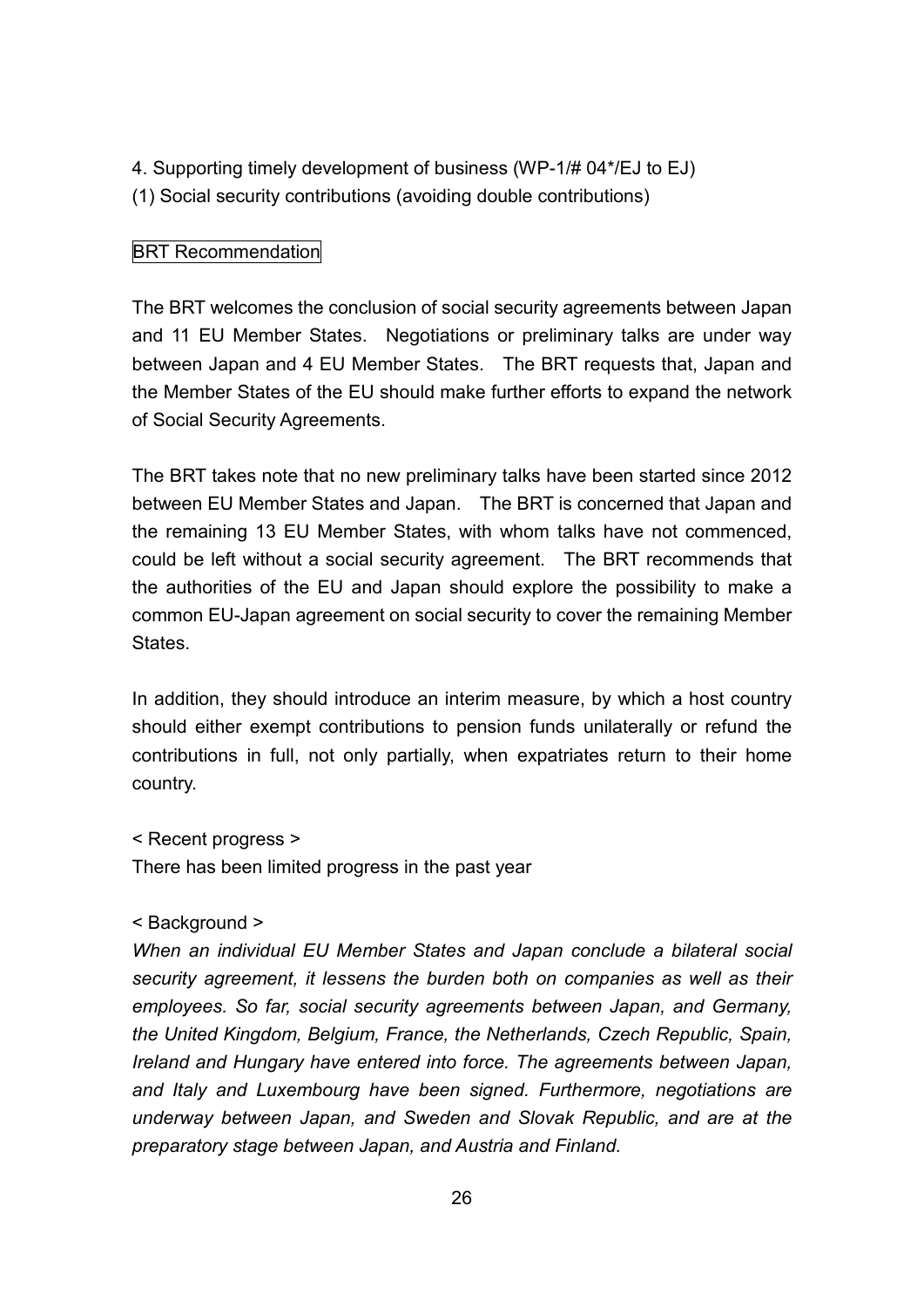4. Supporting timely development of business (WP-1/# 04\*/EJ to EJ) (1) Social security contributions (avoiding double contributions)

#### BRT Recommendation

The BRT welcomes the conclusion of social security agreements between Japan and 11 EU Member States. Negotiations or preliminary talks are under way between Japan and 4 EU Member States. The BRT requests that, Japan and the Member States of the EU should make further efforts to expand the network of Social Security Agreements.

The BRT takes note that no new preliminary talks have been started since 2012 between EU Member States and Japan. The BRT is concerned that Japan and the remaining 13 EU Member States, with whom talks have not commenced, could be left without a social security agreement. The BRT recommends that the authorities of the EU and Japan should explore the possibility to make a common EU-Japan agreement on social security to cover the remaining Member States.

In addition, they should introduce an interim measure, by which a host country should either exempt contributions to pension funds unilaterally or refund the contributions in full, not only partially, when expatriates return to their home country.

```
< Recent progress >
```
There has been limited progress in the past year

```
< Background >
```
*When an individual EU Member States and Japan conclude a bilateral social security agreement, it lessens the burden both on companies as well as their employees. So far, social security agreements between Japan, and Germany, the United Kingdom, Belgium, France, the Netherlands, Czech Republic, Spain, Ireland and Hungary have entered into force. The agreements between Japan, and Italy and Luxembourg have been signed. Furthermore, negotiations are underway between Japan, and Sweden and Slovak Republic, and are at the preparatory stage between Japan, and Austria and Finland.*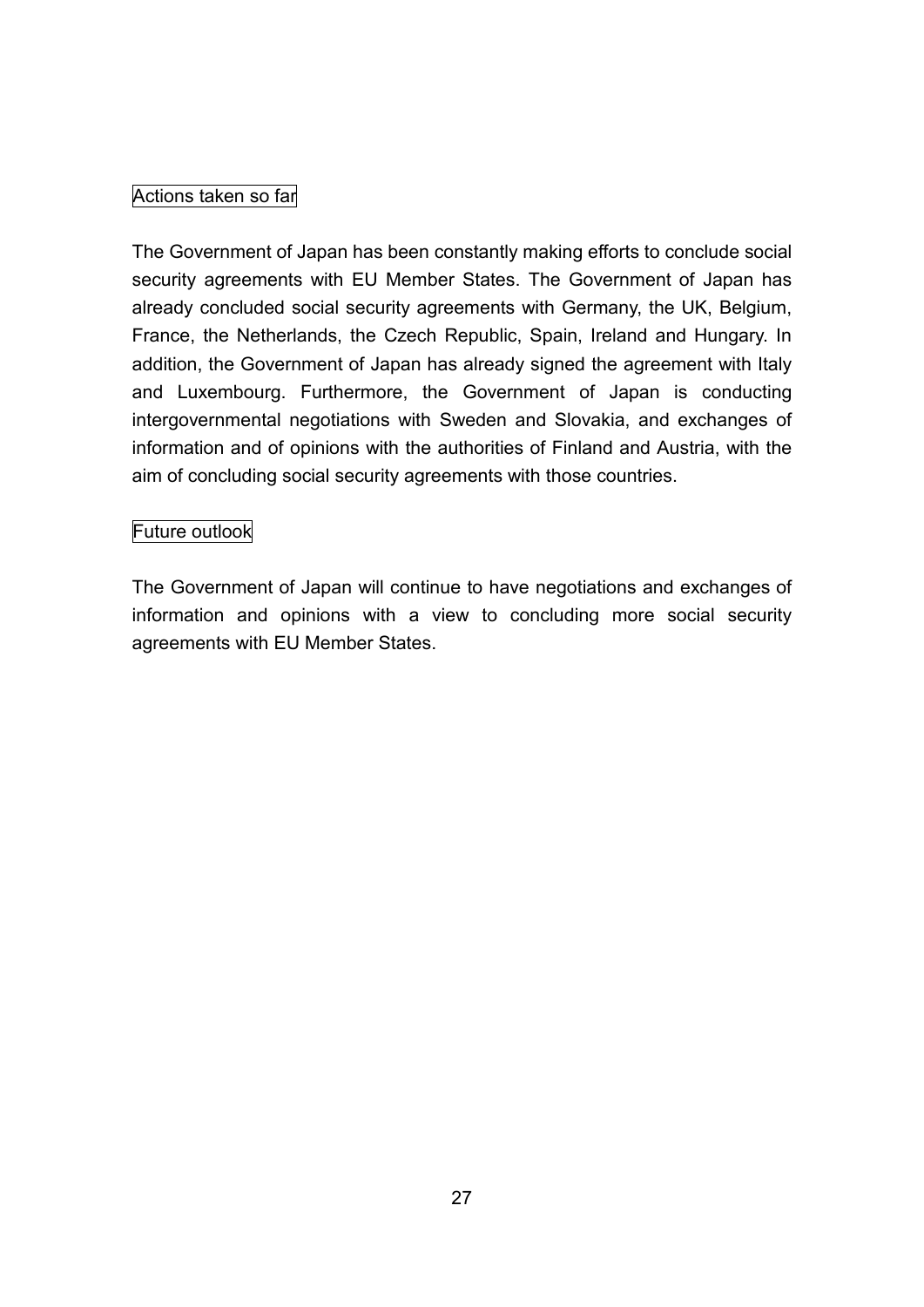## Actions taken so far

The Government of Japan has been constantly making efforts to conclude social security agreements with EU Member States. The Government of Japan has already concluded social security agreements with Germany, the UK, Belgium, France, the Netherlands, the Czech Republic, Spain, Ireland and Hungary. In addition, the Government of Japan has already signed the agreement with Italy and Luxembourg. Furthermore, the Government of Japan is conducting intergovernmental negotiations with Sweden and Slovakia, and exchanges of information and of opinions with the authorities of Finland and Austria, with the aim of concluding social security agreements with those countries.

#### Future outlook

The Government of Japan will continue to have negotiations and exchanges of information and opinions with a view to concluding more social security agreements with EU Member States.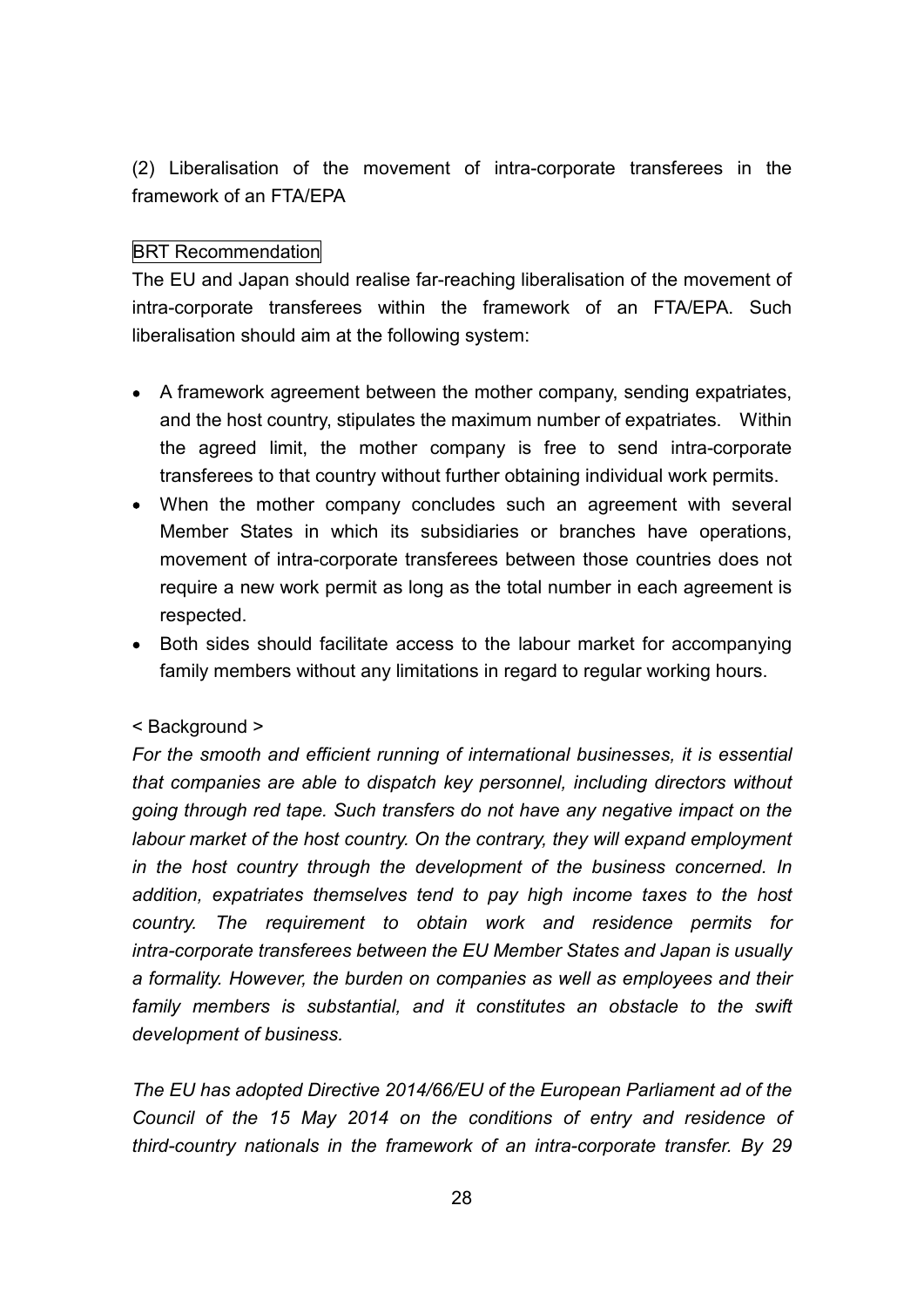(2) Liberalisation of the movement of intra-corporate transferees in the framework of an FTA/EPA

#### BRT Recommendation

The EU and Japan should realise far-reaching liberalisation of the movement of intra-corporate transferees within the framework of an FTA/EPA. Such liberalisation should aim at the following system:

- A framework agreement between the mother company, sending expatriates, and the host country, stipulates the maximum number of expatriates. Within the agreed limit, the mother company is free to send intra-corporate transferees to that country without further obtaining individual work permits.
- When the mother company concludes such an agreement with several Member States in which its subsidiaries or branches have operations, movement of intra-corporate transferees between those countries does not require a new work permit as long as the total number in each agreement is respected.
- Both sides should facilitate access to the labour market for accompanying family members without any limitations in regard to regular working hours.

#### < Background >

*For the smooth and efficient running of international businesses, it is essential that companies are able to dispatch key personnel, including directors without going through red tape. Such transfers do not have any negative impact on the labour market of the host country. On the contrary, they will expand employment in the host country through the development of the business concerned. In addition, expatriates themselves tend to pay high income taxes to the host country. The requirement to obtain work and residence permits for intra-corporate transferees between the EU Member States and Japan is usually a formality. However, the burden on companies as well as employees and their family members is substantial, and it constitutes an obstacle to the swift development of business.*

*The EU has adopted Directive 2014/66/EU of the European Parliament ad of the Council of the 15 May 2014 on the conditions of entry and residence of third-country nationals in the framework of an intra-corporate transfer. By 29*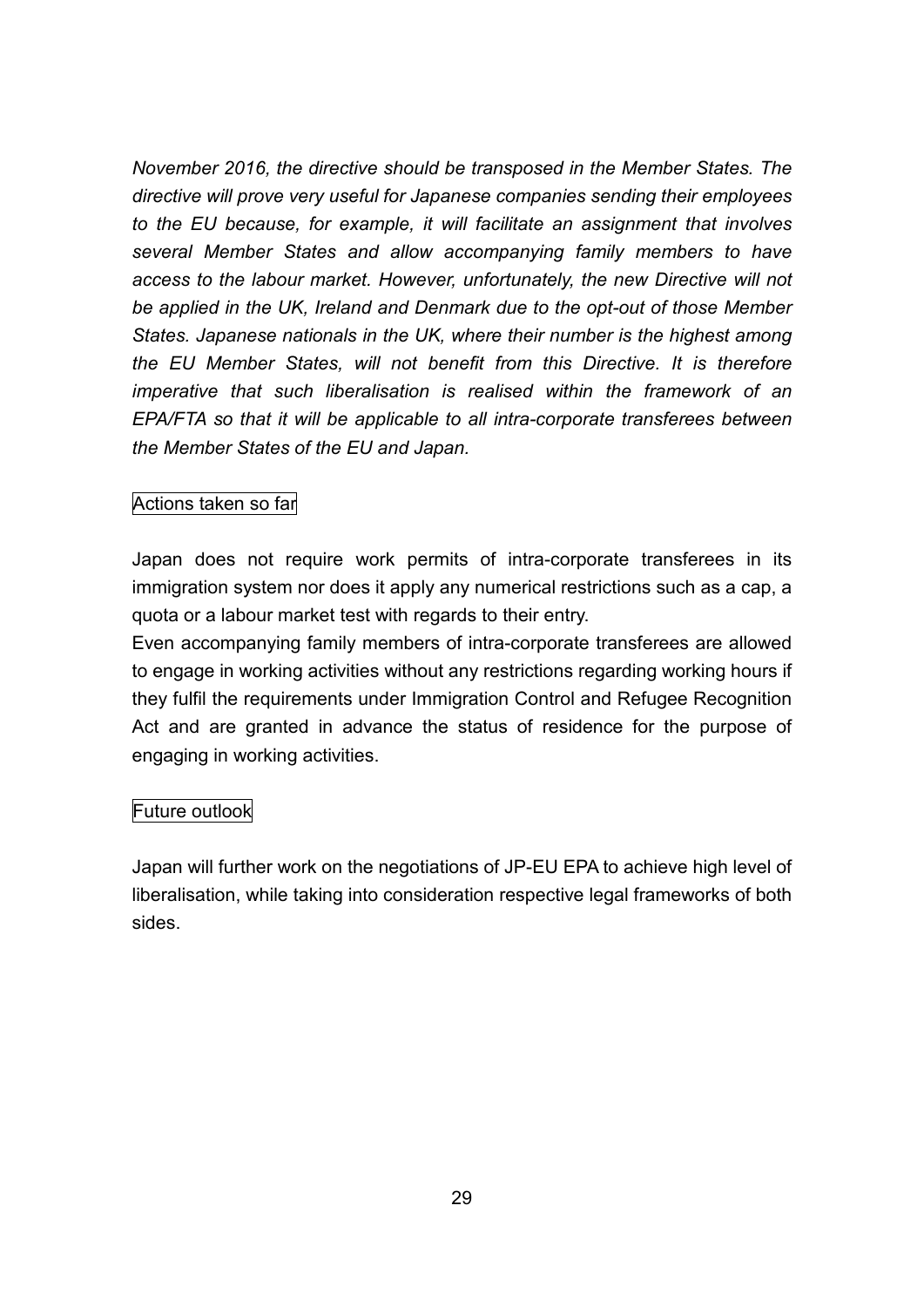*November 2016, the directive should be transposed in the Member States. The directive will prove very useful for Japanese companies sending their employees to the EU because, for example, it will facilitate an assignment that involves several Member States and allow accompanying family members to have access to the labour market. However, unfortunately, the new Directive will not be applied in the UK, Ireland and Denmark due to the opt-out of those Member States. Japanese nationals in the UK, where their number is the highest among the EU Member States, will not benefit from this Directive. It is therefore imperative that such liberalisation is realised within the framework of an EPA/FTA so that it will be applicable to all intra-corporate transferees between the Member States of the EU and Japan.*

#### Actions taken so far

Japan does not require work permits of intra-corporate transferees in its immigration system nor does it apply any numerical restrictions such as a cap, a quota or a labour market test with regards to their entry.

Even accompanying family members of intra-corporate transferees are allowed to engage in working activities without any restrictions regarding working hours if they fulfil the requirements under Immigration Control and Refugee Recognition Act and are granted in advance the status of residence for the purpose of engaging in working activities.

#### Future outlook

Japan will further work on the negotiations of JP-EU EPA to achieve high level of liberalisation, while taking into consideration respective legal frameworks of both sides.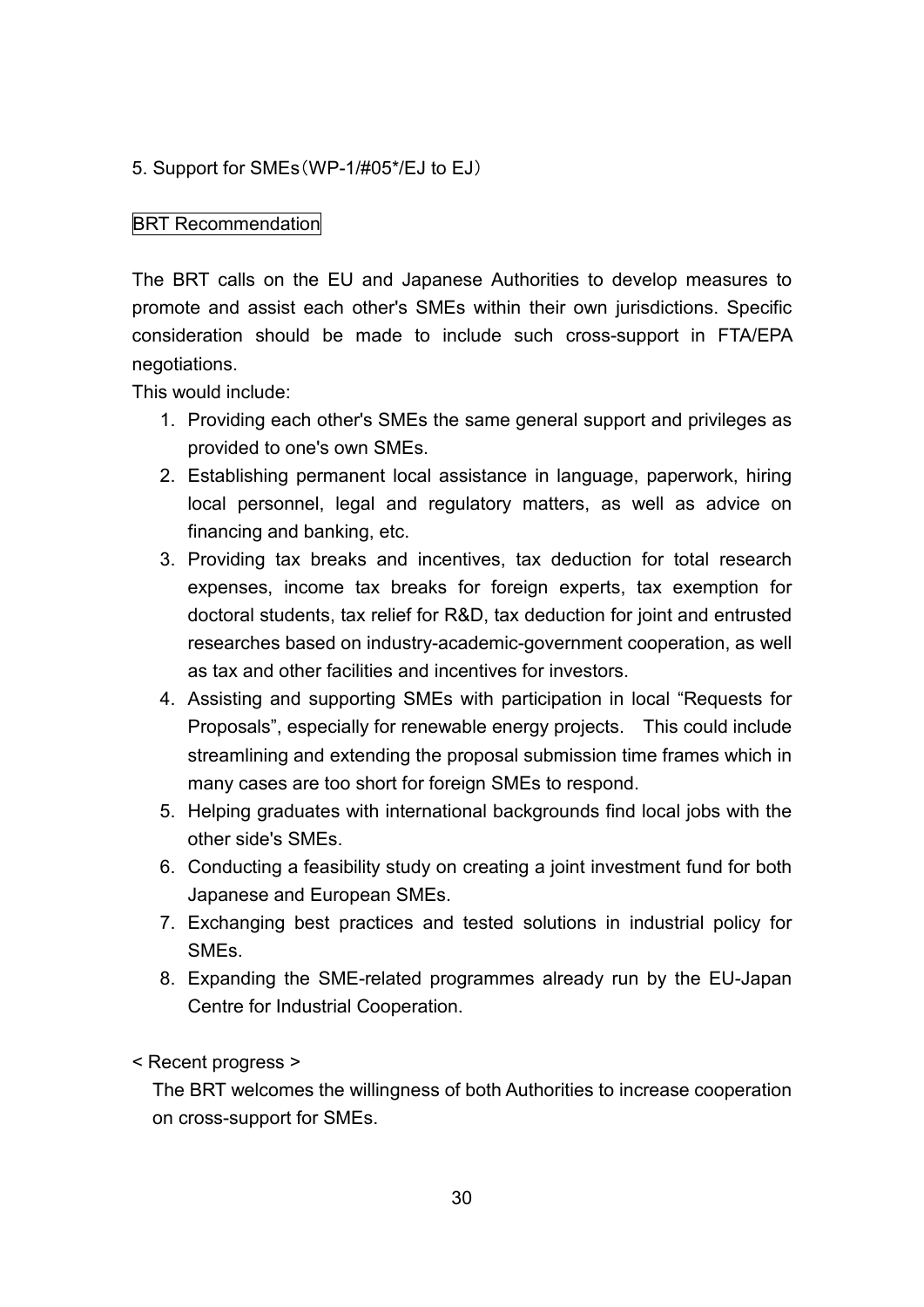#### 5. Support for SMEs(WP-1/#05\*/EJ to EJ)

#### **BRT Recommendation**

The BRT calls on the EU and Japanese Authorities to develop measures to promote and assist each other's SMEs within their own jurisdictions. Specific consideration should be made to include such cross-support in FTA/EPA negotiations.

This would include:

- 1. Providing each other's SMEs the same general support and privileges as provided to one's own SMEs.
- 2. Establishing permanent local assistance in language, paperwork, hiring local personnel, legal and regulatory matters, as well as advice on financing and banking, etc.
- 3. Providing tax breaks and incentives, tax deduction for total research expenses, income tax breaks for foreign experts, tax exemption for doctoral students, tax relief for R&D, tax deduction for joint and entrusted researches based on industry-academic-government cooperation, as well as tax and other facilities and incentives for investors.
- 4. Assisting and supporting SMEs with participation in local "Requests for Proposals", especially for renewable energy projects. This could include streamlining and extending the proposal submission time frames which in many cases are too short for foreign SMEs to respond.
- 5. Helping graduates with international backgrounds find local jobs with the other side's SMEs.
- 6. Conducting a feasibility study on creating a joint investment fund for both Japanese and European SMEs.
- 7. Exchanging best practices and tested solutions in industrial policy for SMEs.
- 8. Expanding the SME-related programmes already run by the EU-Japan Centre for Industrial Cooperation.

< Recent progress >

The BRT welcomes the willingness of both Authorities to increase cooperation on cross-support for SMEs.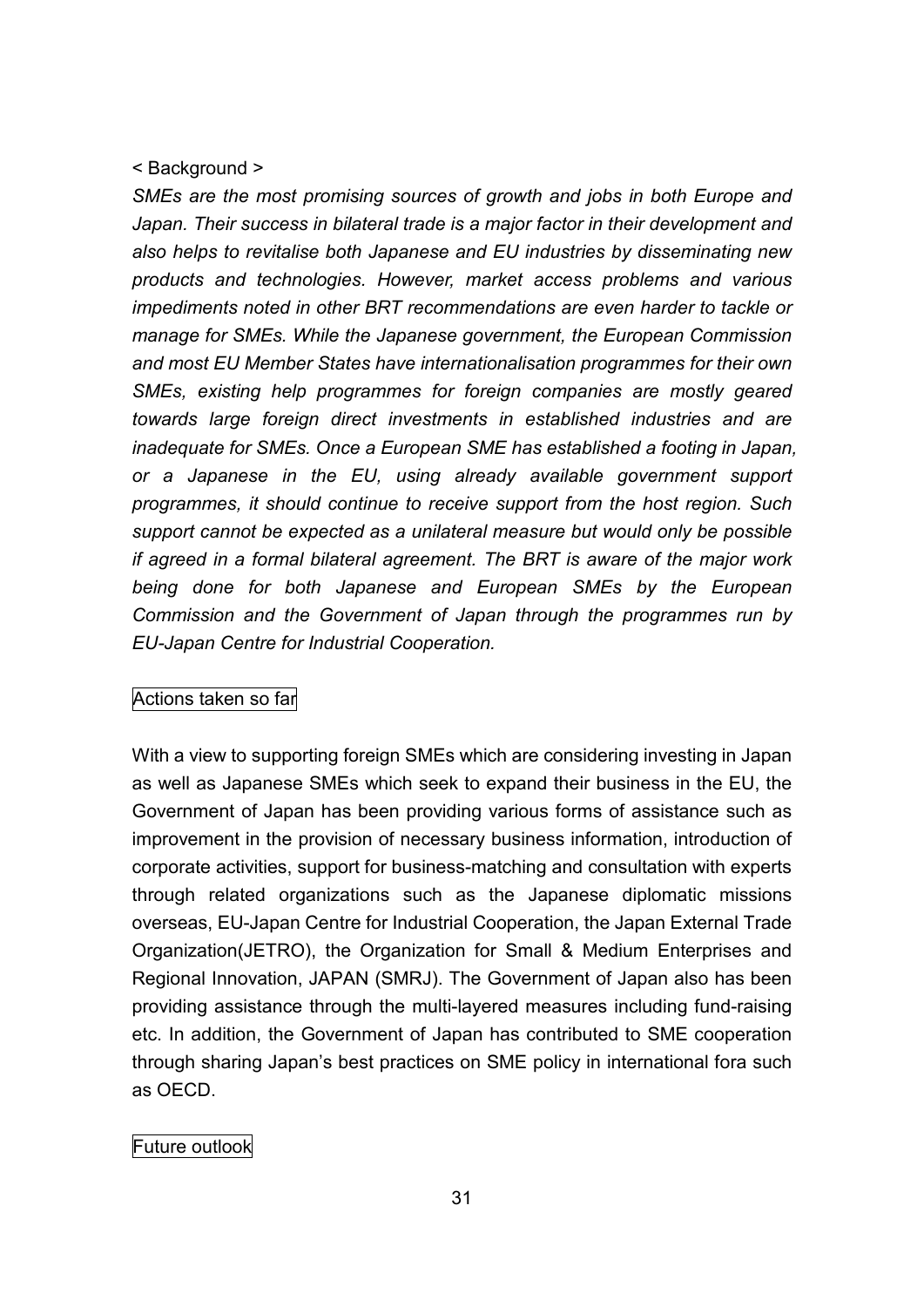#### < Background >

*SMEs are the most promising sources of growth and jobs in both Europe and Japan. Their success in bilateral trade is a major factor in their development and also helps to revitalise both Japanese and EU industries by disseminating new products and technologies. However, market access problems and various impediments noted in other BRT recommendations are even harder to tackle or manage for SMEs. While the Japanese government, the European Commission and most EU Member States have internationalisation programmes for their own SMEs, existing help programmes for foreign companies are mostly geared towards large foreign direct investments in established industries and are inadequate for SMEs. Once a European SME has established a footing in Japan, or a Japanese in the EU, using already available government support programmes, it should continue to receive support from the host region. Such support cannot be expected as a unilateral measure but would only be possible if agreed in a formal bilateral agreement. The BRT is aware of the major work being done for both Japanese and European SMEs by the European Commission and the Government of Japan through the programmes run by EU-Japan Centre for Industrial Cooperation.*

#### Actions taken so far

With a view to supporting foreign SMEs which are considering investing in Japan as well as Japanese SMEs which seek to expand their business in the EU, the Government of Japan has been providing various forms of assistance such as improvement in the provision of necessary business information, introduction of corporate activities, support for business-matching and consultation with experts through related organizations such as the Japanese diplomatic missions overseas, EU-Japan Centre for Industrial Cooperation, the Japan External Trade Organization(JETRO), the Organization for Small & Medium Enterprises and Regional Innovation, JAPAN (SMRJ). The Government of Japan also has been providing assistance through the multi-layered measures including fund-raising etc. In addition, the Government of Japan has contributed to SME cooperation through sharing Japan's best practices on SME policy in international fora such as OECD.

#### Future outlook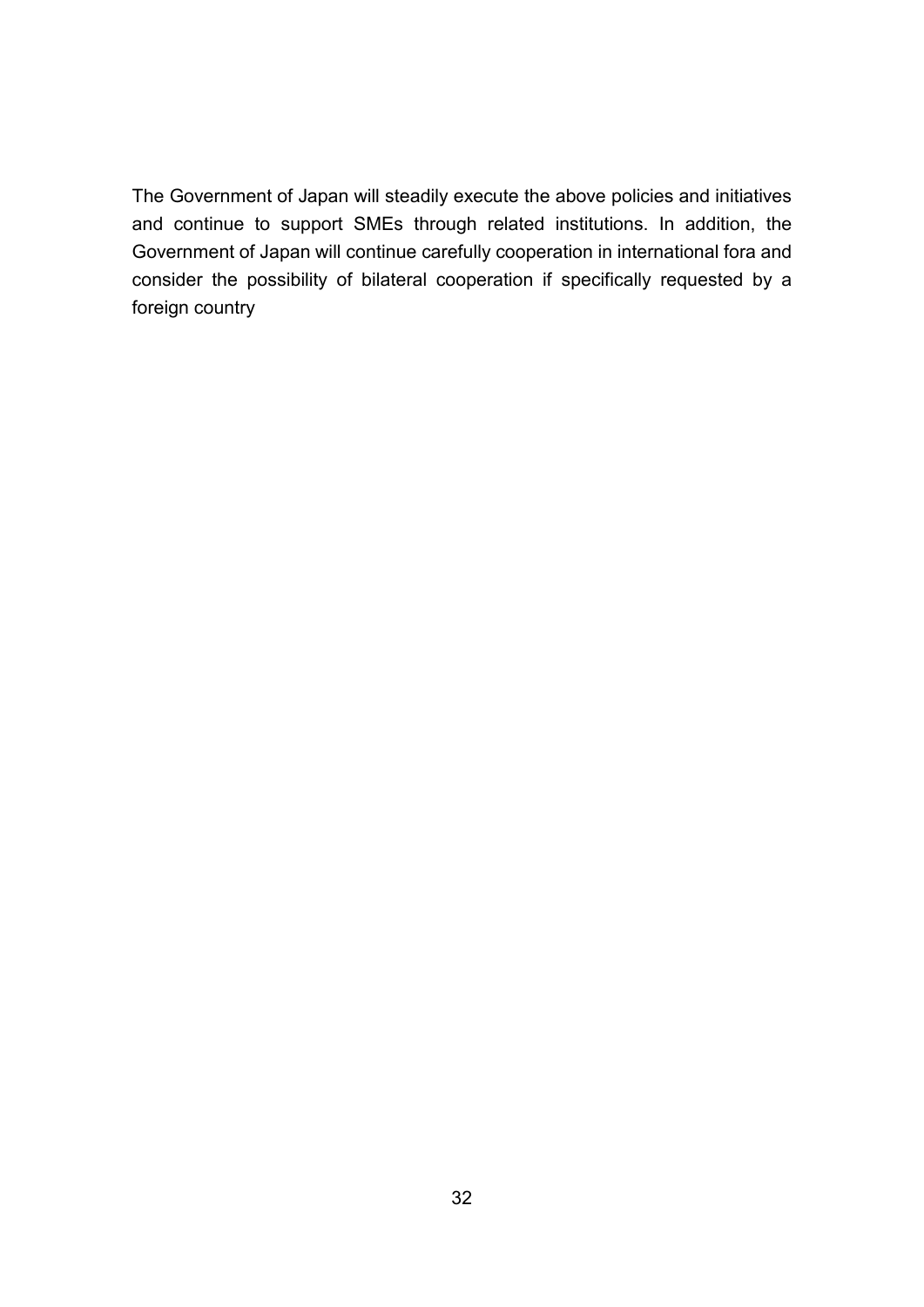The Government of Japan will steadily execute the above policies and initiatives and continue to support SMEs through related institutions. In addition, the Government of Japan will continue carefully cooperation in international fora and consider the possibility of bilateral cooperation if specifically requested by a foreign country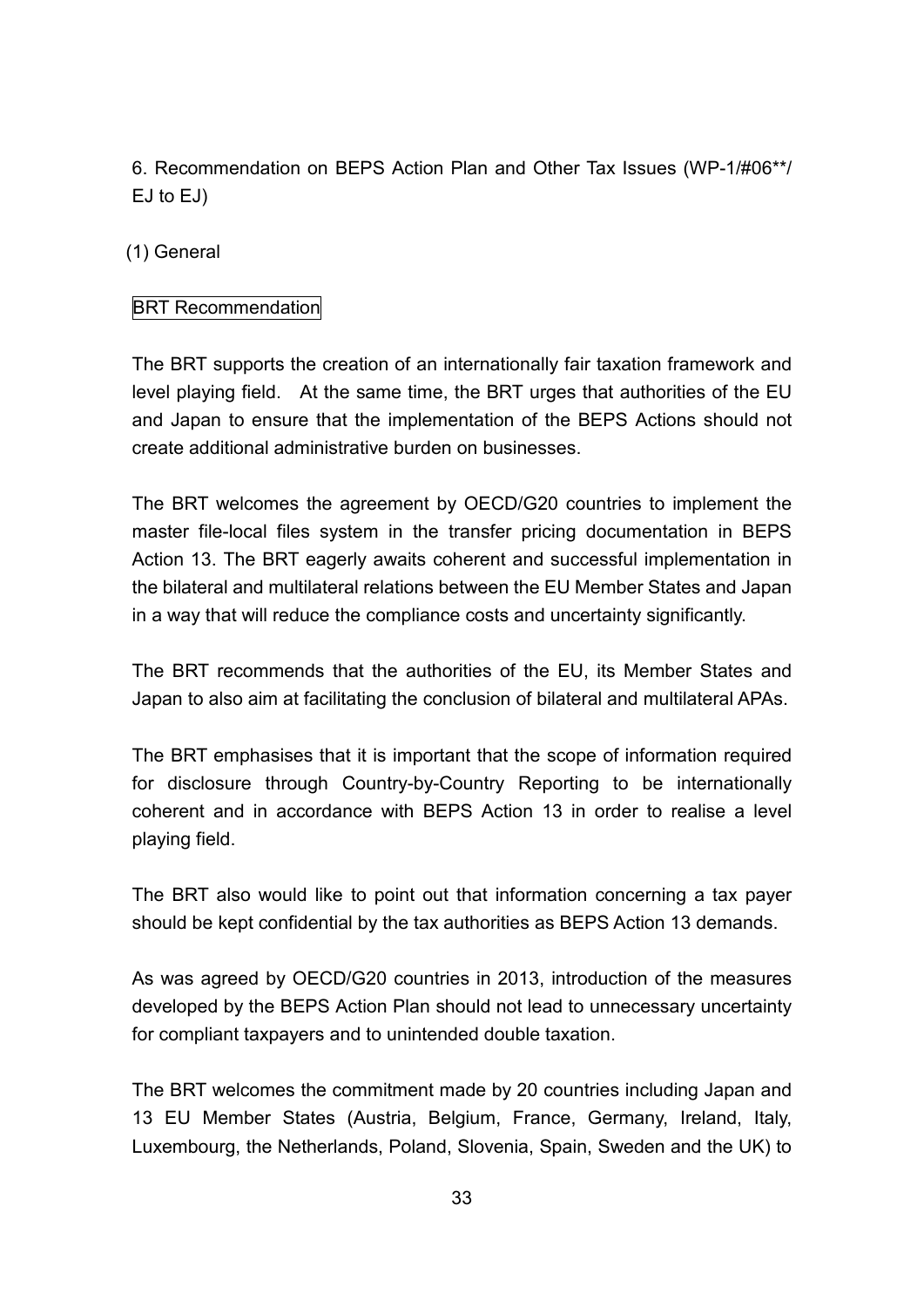6. Recommendation on BEPS Action Plan and Other Tax Issues (WP-1/#06\*\*/ EJ to EJ)

(1) General

## BRT Recommendation

The BRT supports the creation of an internationally fair taxation framework and level playing field. At the same time, the BRT urges that authorities of the EU and Japan to ensure that the implementation of the BEPS Actions should not create additional administrative burden on businesses.

The BRT welcomes the agreement by OECD/G20 countries to implement the master file-local files system in the transfer pricing documentation in BEPS Action 13. The BRT eagerly awaits coherent and successful implementation in the bilateral and multilateral relations between the EU Member States and Japan in a way that will reduce the compliance costs and uncertainty significantly.

The BRT recommends that the authorities of the EU, its Member States and Japan to also aim at facilitating the conclusion of bilateral and multilateral APAs.

The BRT emphasises that it is important that the scope of information required for disclosure through Country-by-Country Reporting to be internationally coherent and in accordance with BEPS Action 13 in order to realise a level playing field.

The BRT also would like to point out that information concerning a tax payer should be kept confidential by the tax authorities as BEPS Action 13 demands.

As was agreed by OECD/G20 countries in 2013, introduction of the measures developed by the BEPS Action Plan should not lead to unnecessary uncertainty for compliant taxpayers and to unintended double taxation.

The BRT welcomes the commitment made by 20 countries including Japan and 13 EU Member States (Austria, Belgium, France, Germany, Ireland, Italy, Luxembourg, the Netherlands, Poland, Slovenia, Spain, Sweden and the UK) to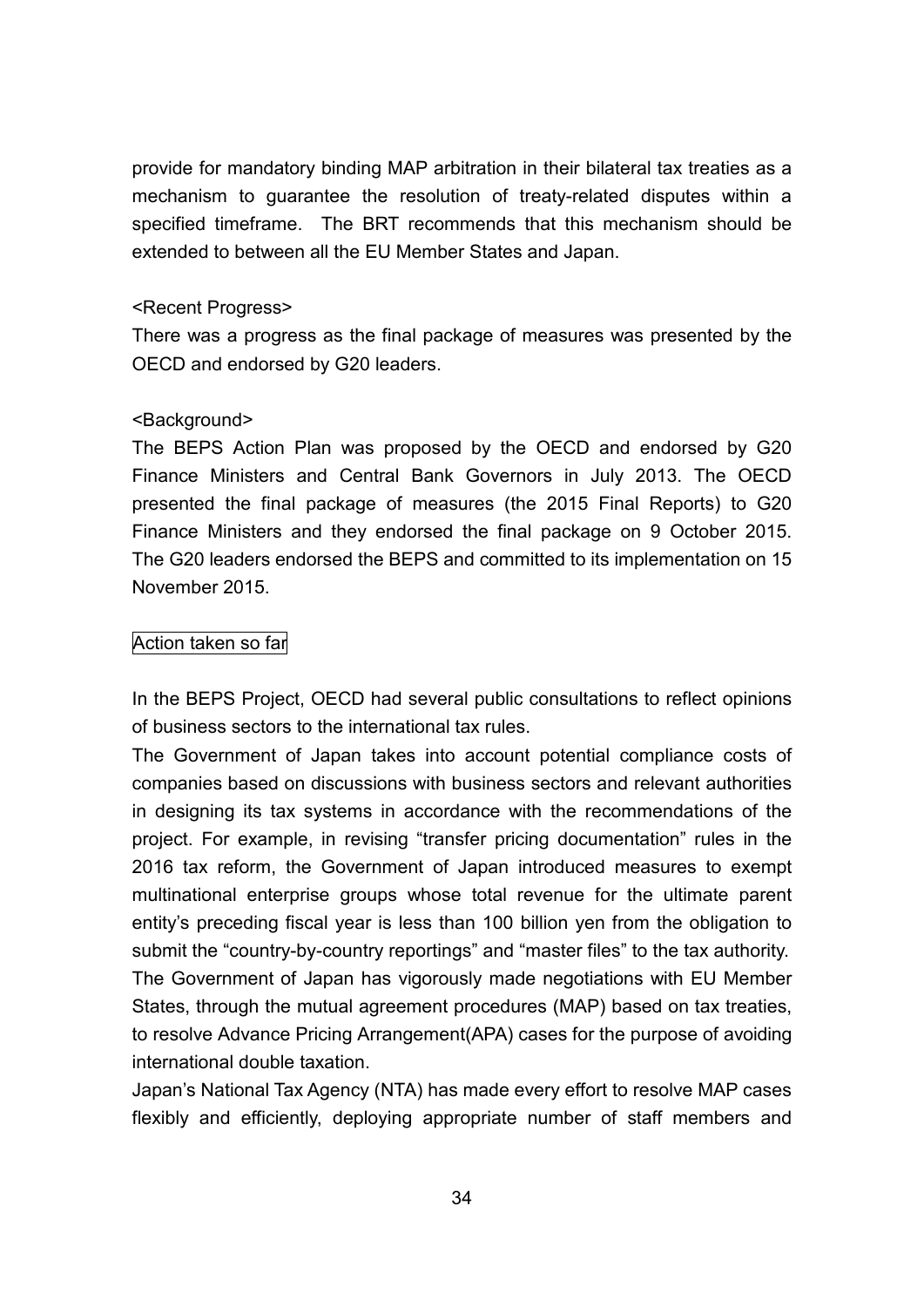provide for mandatory binding MAP arbitration in their bilateral tax treaties as a mechanism to guarantee the resolution of treaty-related disputes within a specified timeframe. The BRT recommends that this mechanism should be extended to between all the EU Member States and Japan.

#### <Recent Progress>

There was a progress as the final package of measures was presented by the OECD and endorsed by G20 leaders.

#### <Background>

The BEPS Action Plan was proposed by the OECD and endorsed by G20 Finance Ministers and Central Bank Governors in July 2013. The OECD presented the final package of measures (the 2015 Final Reports) to G20 Finance Ministers and they endorsed the final package on 9 October 2015. The G20 leaders endorsed the BEPS and committed to its implementation on 15 November 2015.

#### Action taken so far

In the BEPS Project, OECD had several public consultations to reflect opinions of business sectors to the international tax rules.

The Government of Japan takes into account potential compliance costs of companies based on discussions with business sectors and relevant authorities in designing its tax systems in accordance with the recommendations of the project. For example, in revising "transfer pricing documentation" rules in the 2016 tax reform, the Government of Japan introduced measures to exempt multinational enterprise groups whose total revenue for the ultimate parent entity's preceding fiscal year is less than 100 billion yen from the obligation to submit the "country-by-country reportings" and "master files" to the tax authority. The Government of Japan has vigorously made negotiations with EU Member States, through the mutual agreement procedures (MAP) based on tax treaties, to resolve Advance Pricing Arrangement(APA) cases for the purpose of avoiding international double taxation.

Japan's National Tax Agency (NTA) has made every effort to resolve MAP cases flexibly and efficiently, deploying appropriate number of staff members and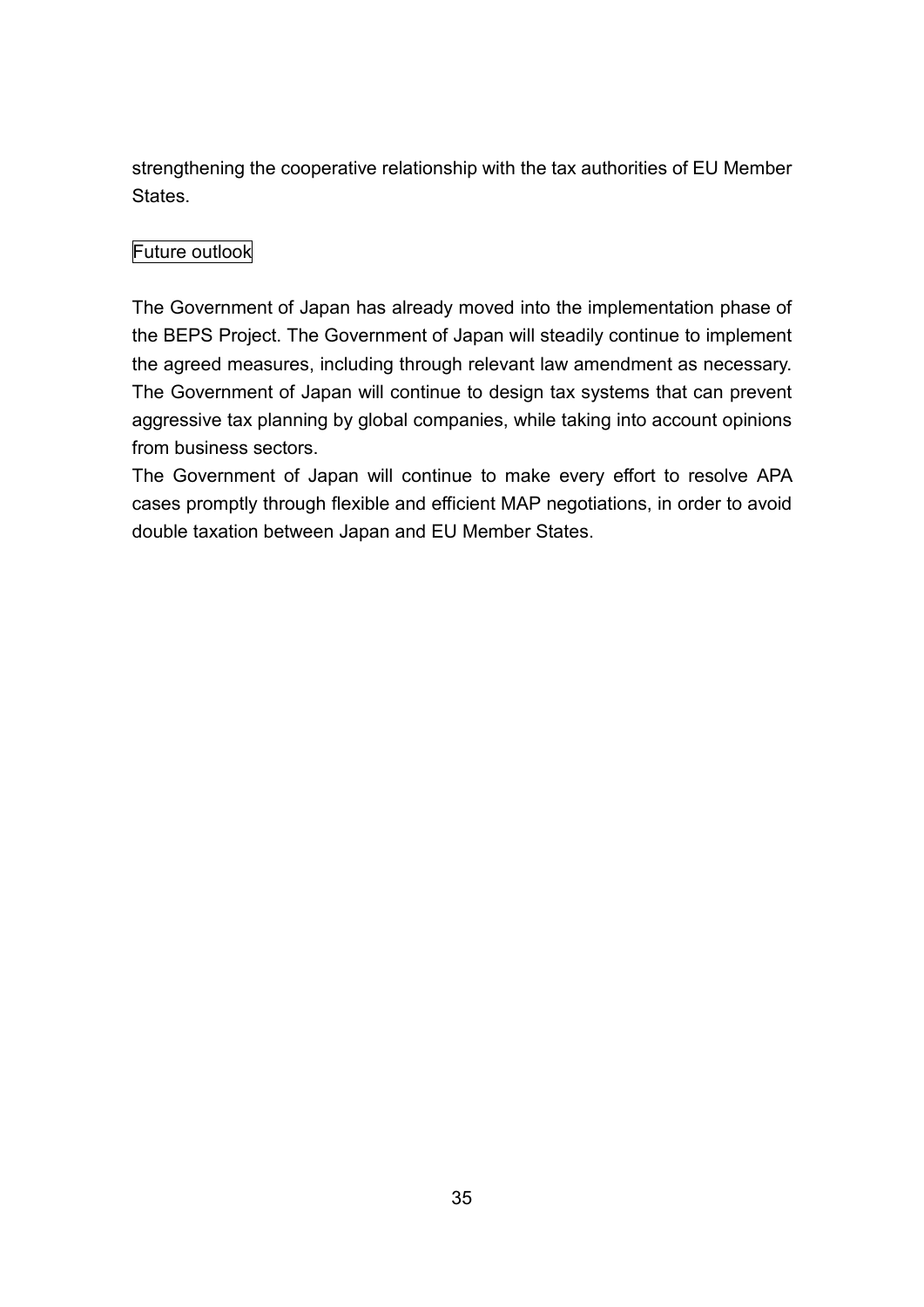strengthening the cooperative relationship with the tax authorities of EU Member States.

## Future outlook

The Government of Japan has already moved into the implementation phase of the BEPS Project. The Government of Japan will steadily continue to implement the agreed measures, including through relevant law amendment as necessary. The Government of Japan will continue to design tax systems that can prevent aggressive tax planning by global companies, while taking into account opinions from business sectors.

The Government of Japan will continue to make every effort to resolve APA cases promptly through flexible and efficient MAP negotiations, in order to avoid double taxation between Japan and EU Member States.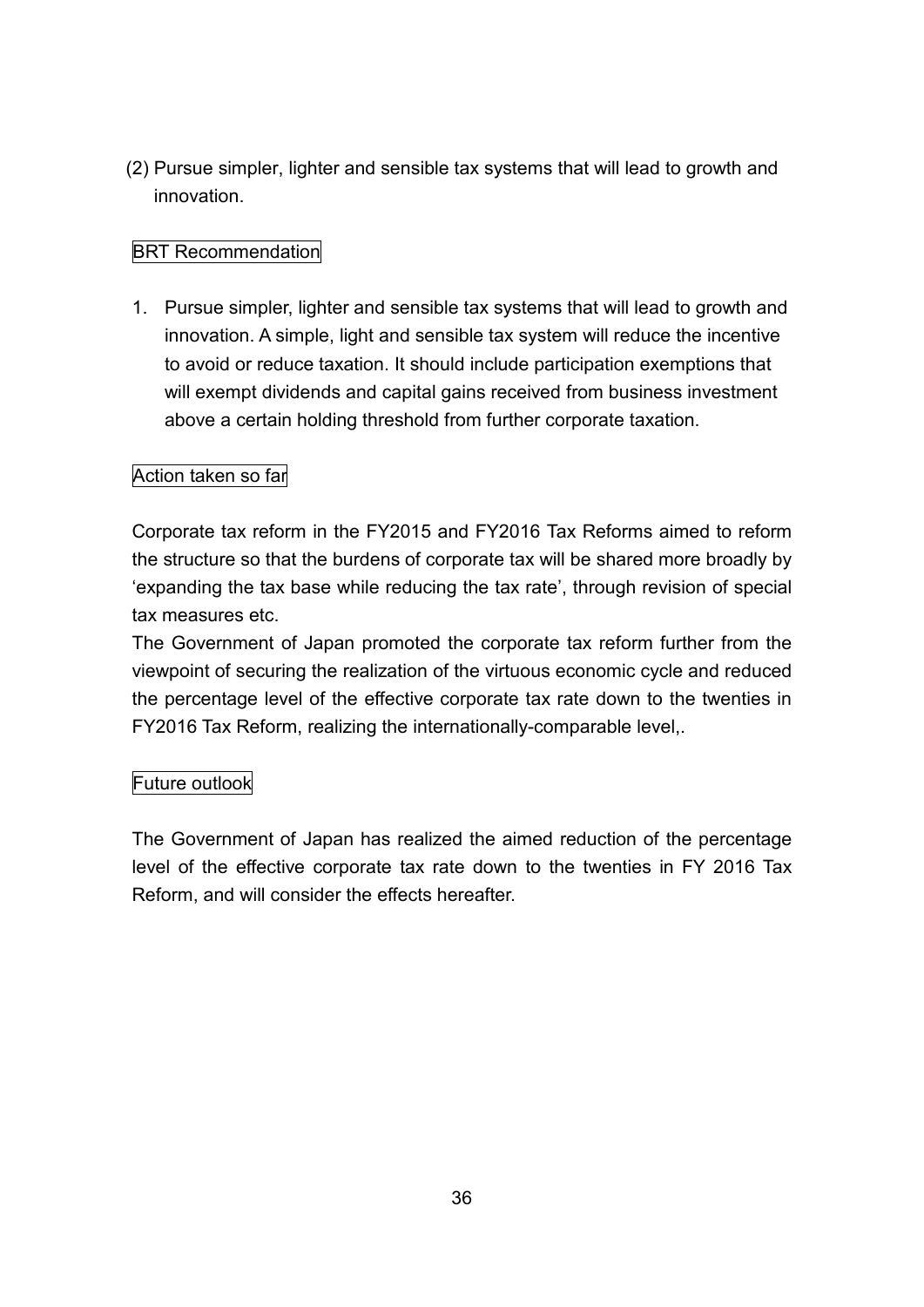(2) Pursue simpler, lighter and sensible tax systems that will lead to growth and innovation.

## BRT Recommendation

1. Pursue simpler, lighter and sensible tax systems that will lead to growth and innovation. A simple, light and sensible tax system will reduce the incentive to avoid or reduce taxation. It should include participation exemptions that will exempt dividends and capital gains received from business investment above a certain holding threshold from further corporate taxation.

#### Action taken so far

Corporate tax reform in the FY2015 and FY2016 Tax Reforms aimed to reform the structure so that the burdens of corporate tax will be shared more broadly by 'expanding the tax base while reducing the tax rate', through revision of special tax measures etc.

The Government of Japan promoted the corporate tax reform further from the viewpoint of securing the realization of the virtuous economic cycle and reduced the percentage level of the effective corporate tax rate down to the twenties in FY2016 Tax Reform, realizing the internationally-comparable level,.

#### Future outlook

The Government of Japan has realized the aimed reduction of the percentage level of the effective corporate tax rate down to the twenties in FY 2016 Tax Reform, and will consider the effects hereafter.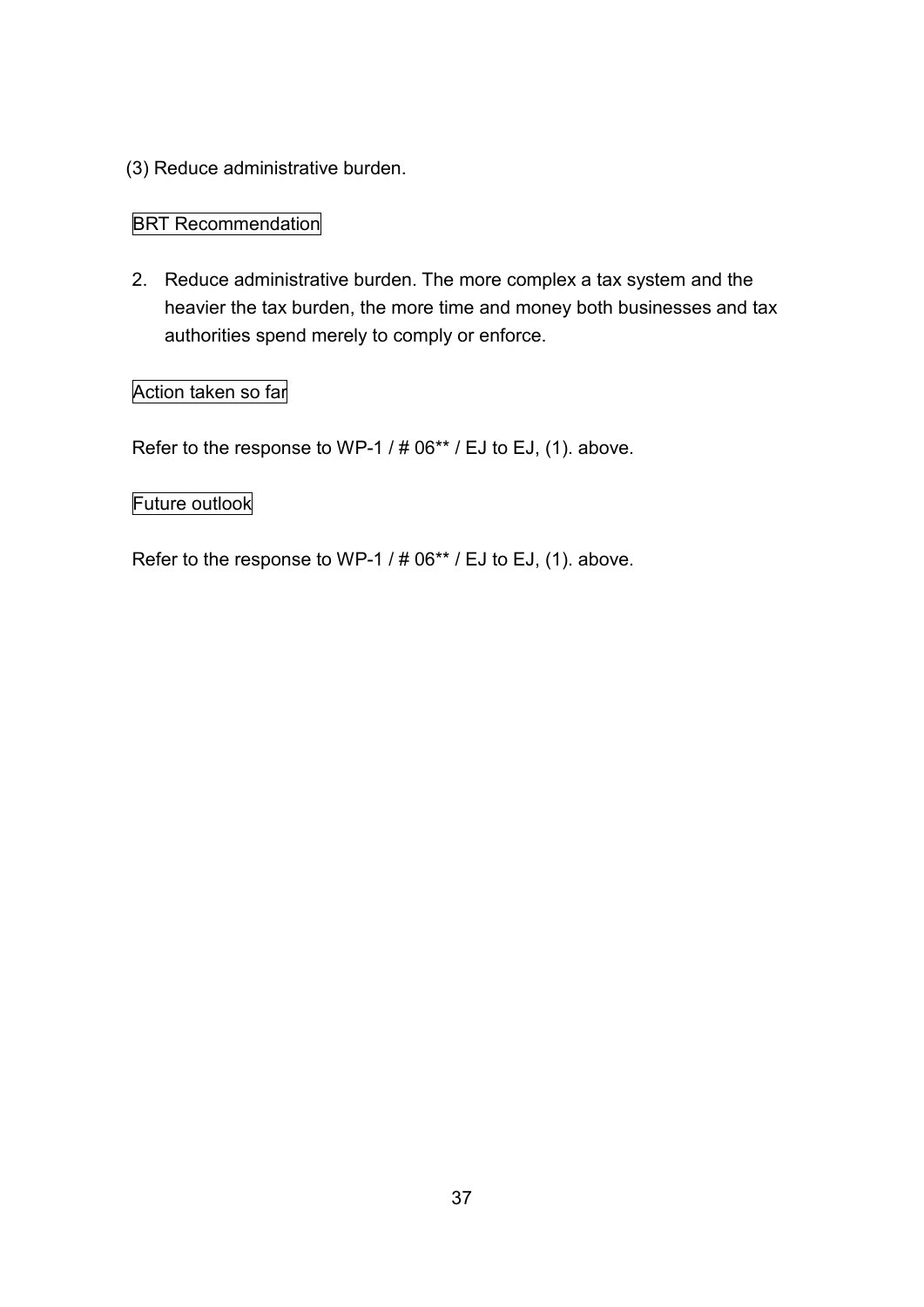(3) Reduce administrative burden.

## **BRT Recommendation**

2. Reduce administrative burden. The more complex a tax system and the heavier the tax burden, the more time and money both businesses and tax authorities spend merely to comply or enforce.

## Action taken so far

Refer to the response to WP-1 / # 06\*\* / EJ to EJ, (1). above.

## Future outlook

Refer to the response to WP-1 / # 06\*\* / EJ to EJ, (1). above.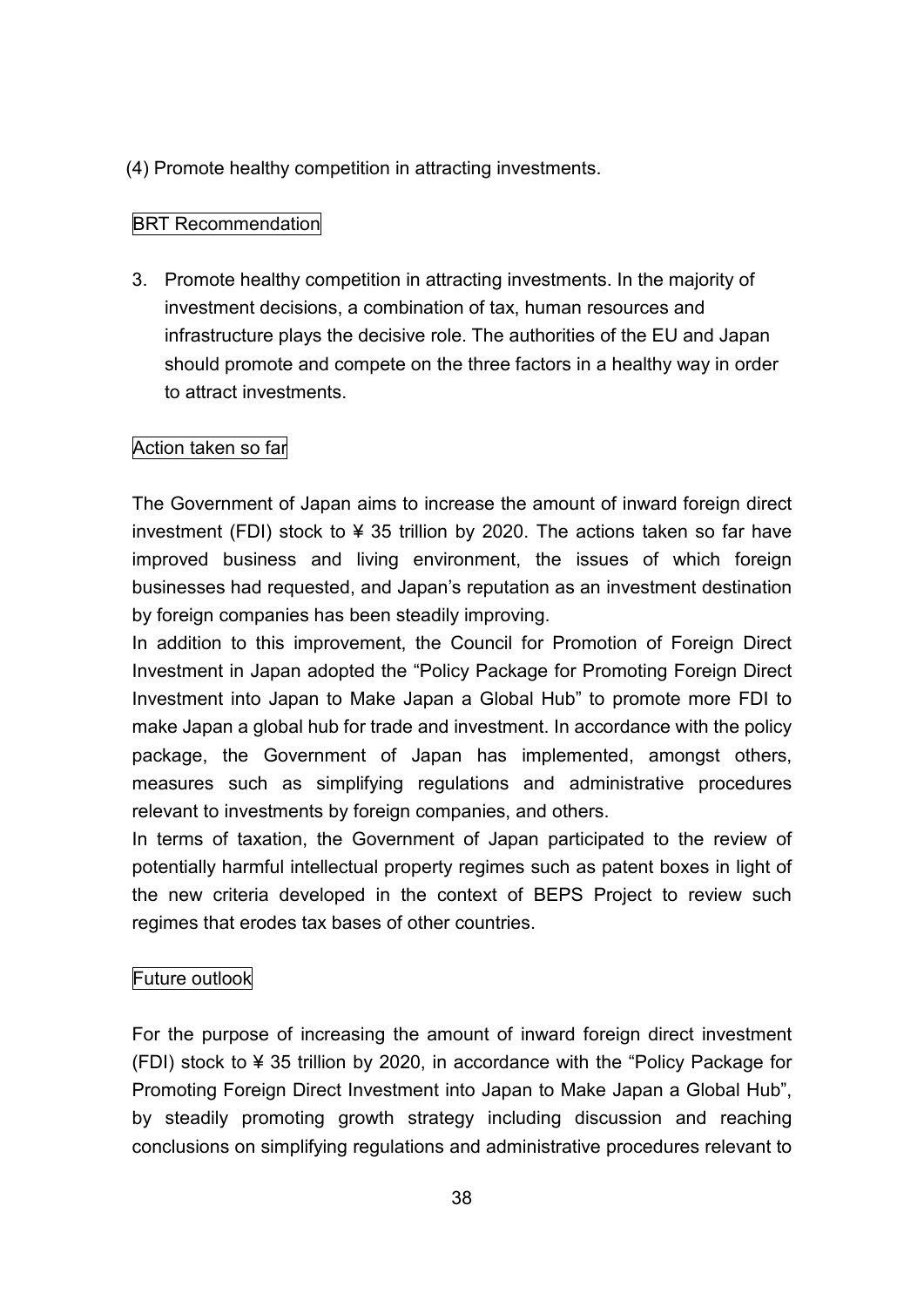(4) Promote healthy competition in attracting investments.

## BRT Recommendation

3. Promote healthy competition in attracting investments. In the majority of investment decisions, a combination of tax, human resources and infrastructure plays the decisive role. The authorities of the EU and Japan should promote and compete on the three factors in a healthy way in order to attract investments.

## Action taken so far

The Government of Japan aims to increase the amount of inward foreign direct investment (FDI) stock to ¥ 35 trillion by 2020. The actions taken so far have improved business and living environment, the issues of which foreign businesses had requested, and Japan's reputation as an investment destination by foreign companies has been steadily improving.

In addition to this improvement, the Council for Promotion of Foreign Direct Investment in Japan adopted the "Policy Package for Promoting Foreign Direct Investment into Japan to Make Japan a Global Hub" to promote more FDI to make Japan a global hub for trade and investment. In accordance with the policy package, the Government of Japan has implemented, amongst others, measures such as simplifying regulations and administrative procedures relevant to investments by foreign companies, and others.

In terms of taxation, the Government of Japan participated to the review of potentially harmful intellectual property regimes such as patent boxes in light of the new criteria developed in the context of BEPS Project to review such regimes that erodes tax bases of other countries.

## Future outlook

For the purpose of increasing the amount of inward foreign direct investment (FDI) stock to ¥ 35 trillion by 2020, in accordance with the "Policy Package for Promoting Foreign Direct Investment into Japan to Make Japan a Global Hub", by steadily promoting growth strategy including discussion and reaching conclusions on simplifying regulations and administrative procedures relevant to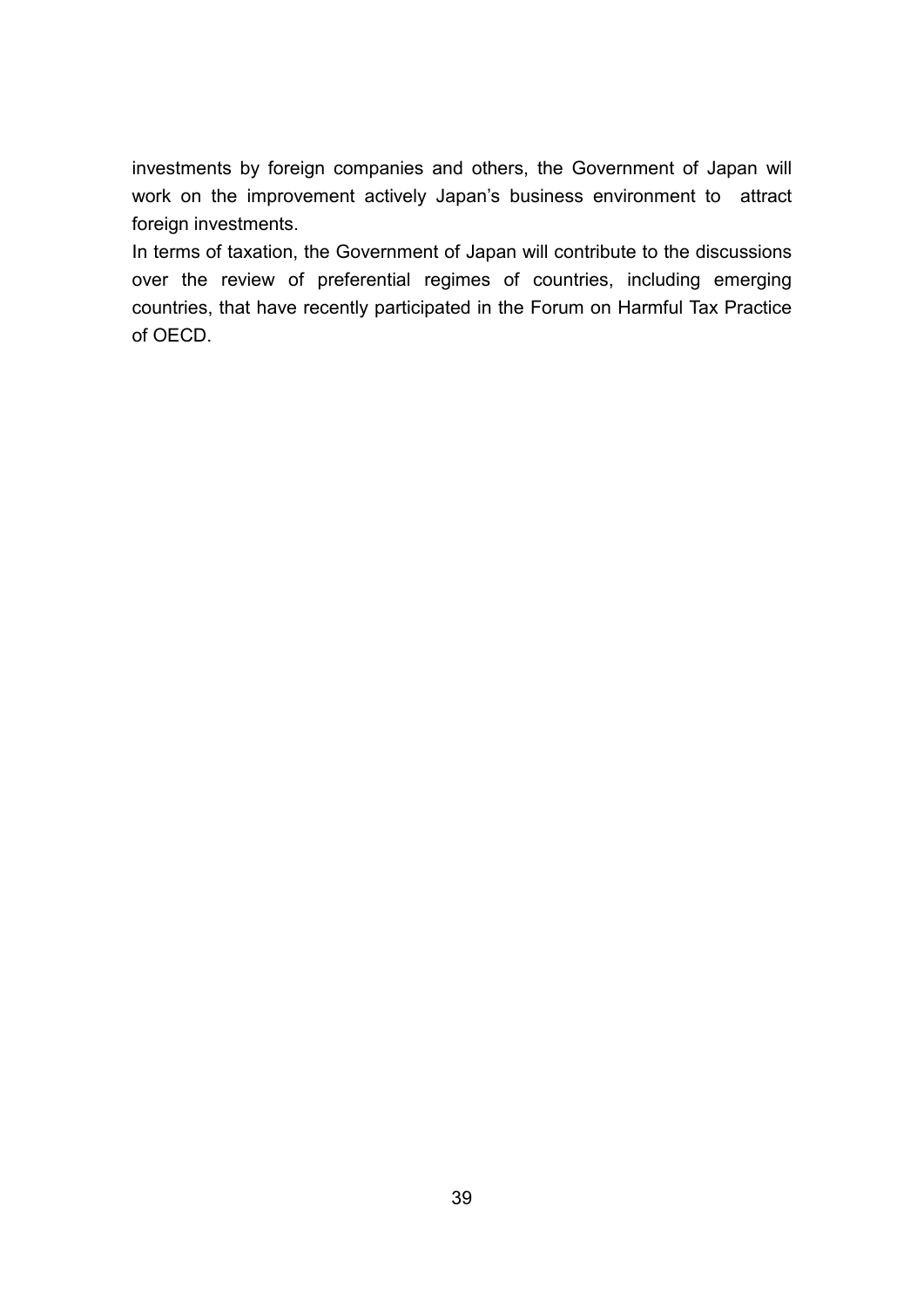investments by foreign companies and others, the Government of Japan will work on the improvement actively Japan's business environment to attract foreign investments.

In terms of taxation, the Government of Japan will contribute to the discussions over the review of preferential regimes of countries, including emerging countries, that have recently participated in the Forum on Harmful Tax Practice of OECD.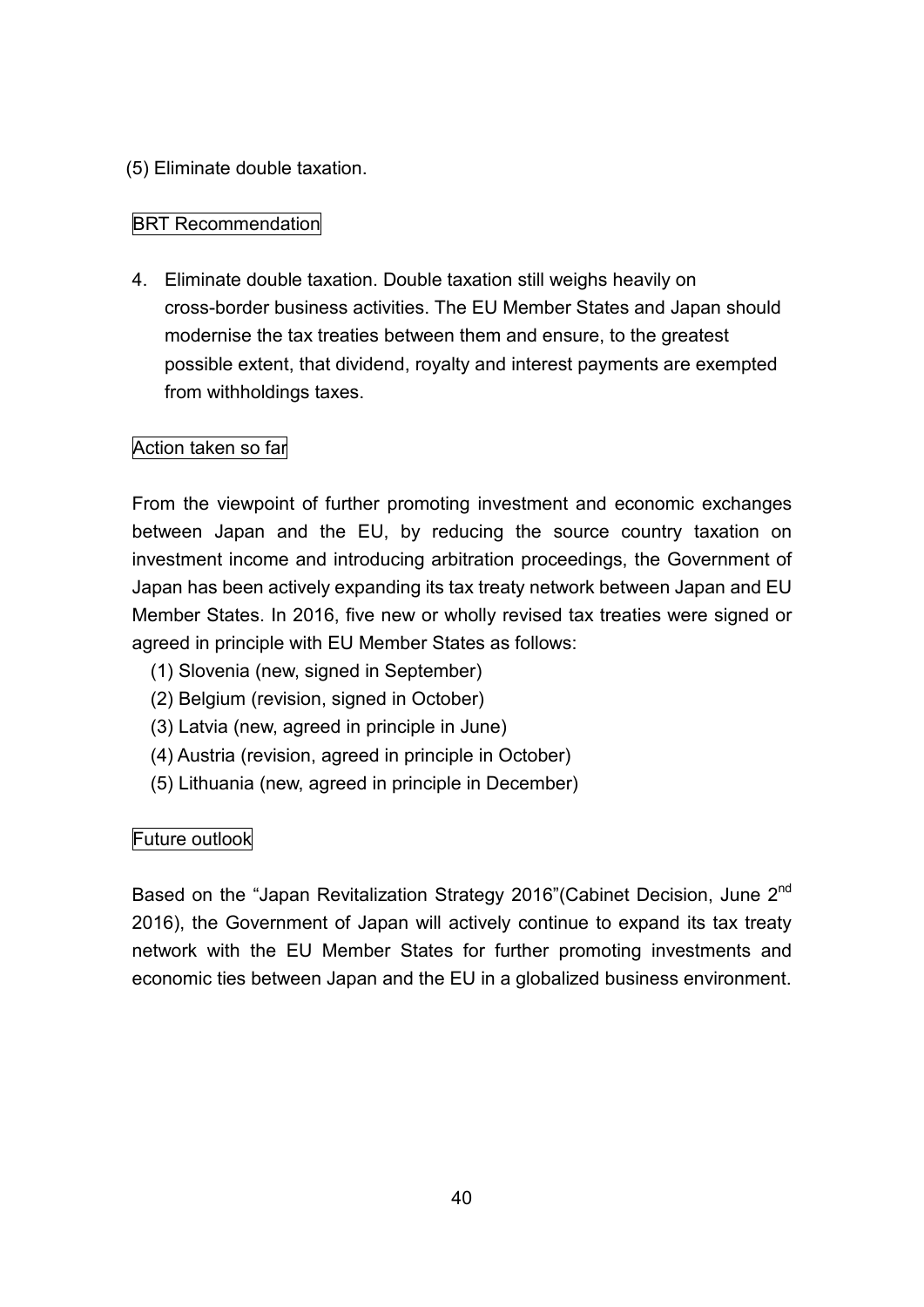## (5) Eliminate double taxation.

## BRT Recommendation

4. Eliminate double taxation. Double taxation still weighs heavily on cross-border business activities. The EU Member States and Japan should modernise the tax treaties between them and ensure, to the greatest possible extent, that dividend, royalty and interest payments are exempted from withholdings taxes.

## Action taken so far

From the viewpoint of further promoting investment and economic exchanges between Japan and the EU, by reducing the source country taxation on investment income and introducing arbitration proceedings, the Government of Japan has been actively expanding its tax treaty network between Japan and EU Member States. In 2016, five new or wholly revised tax treaties were signed or agreed in principle with EU Member States as follows:

- (1) Slovenia (new, signed in September)
- (2) Belgium (revision, signed in October)
- (3) Latvia (new, agreed in principle in June)
- (4) Austria (revision, agreed in principle in October)
- (5) Lithuania (new, agreed in principle in December)

## Future outlook

Based on the "Japan Revitalization Strategy 2016" (Cabinet Decision, June 2<sup>nd</sup> 2016), the Government of Japan will actively continue to expand its tax treaty network with the EU Member States for further promoting investments and economic ties between Japan and the EU in a globalized business environment.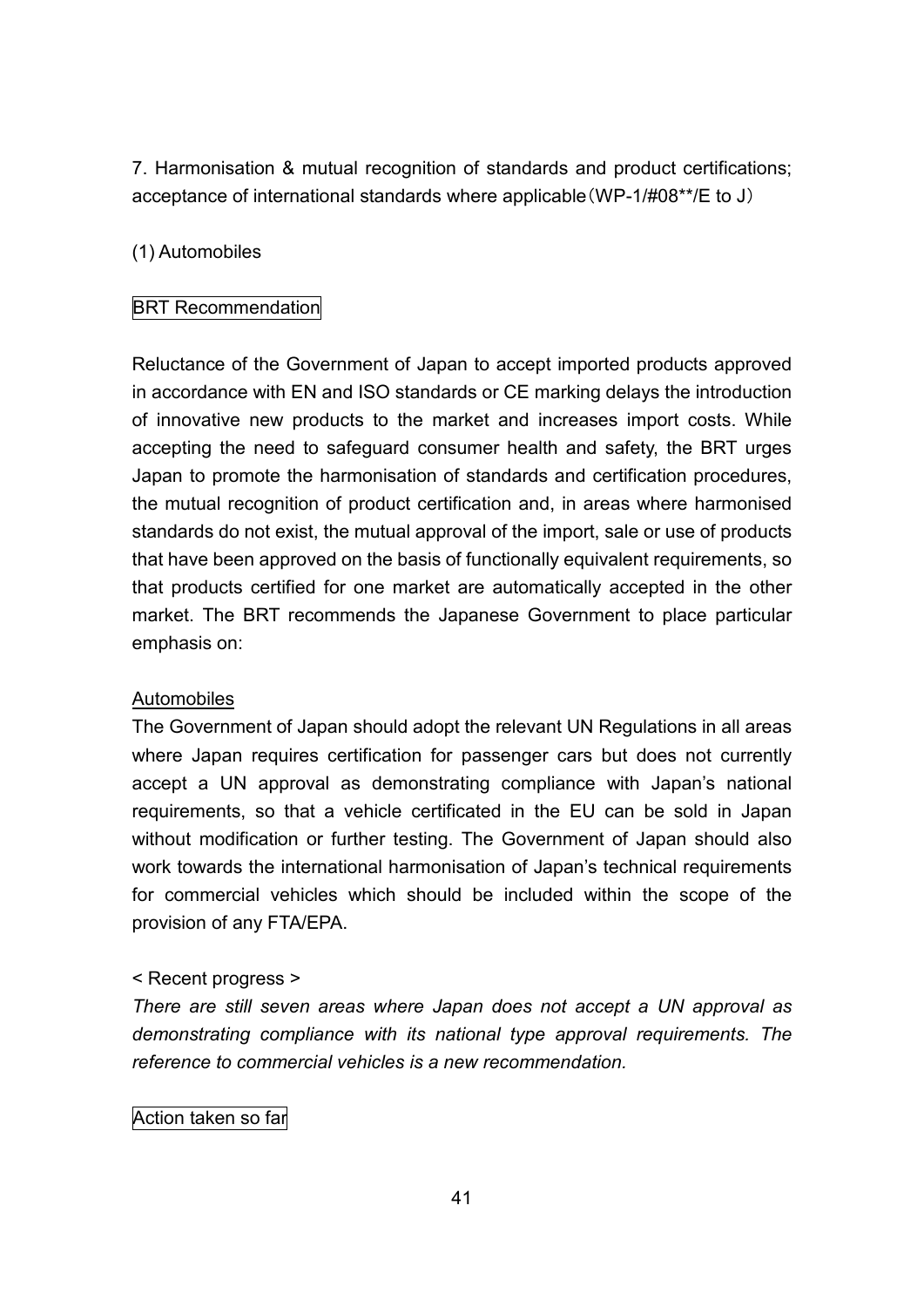7. Harmonisation & mutual recognition of standards and product certifications; acceptance of international standards where applicable(WP-1/#08\*\*/E to J)

## (1) Automobiles

## BRT Recommendation

Reluctance of the Government of Japan to accept imported products approved in accordance with EN and ISO standards or CE marking delays the introduction of innovative new products to the market and increases import costs. While accepting the need to safeguard consumer health and safety, the BRT urges Japan to promote the harmonisation of standards and certification procedures, the mutual recognition of product certification and, in areas where harmonised standards do not exist, the mutual approval of the import, sale or use of products that have been approved on the basis of functionally equivalent requirements, so that products certified for one market are automatically accepted in the other market. The BRT recommends the Japanese Government to place particular emphasis on:

## Automobiles

The Government of Japan should adopt the relevant UN Regulations in all areas where Japan requires certification for passenger cars but does not currently accept a UN approval as demonstrating compliance with Japan's national requirements, so that a vehicle certificated in the EU can be sold in Japan without modification or further testing. The Government of Japan should also work towards the international harmonisation of Japan's technical requirements for commercial vehicles which should be included within the scope of the provision of any FTA/EPA.

## < Recent progress >

*There are still seven areas where Japan does not accept a UN approval as demonstrating compliance with its national type approval requirements. The reference to commercial vehicles is a new recommendation.*

## Action taken so far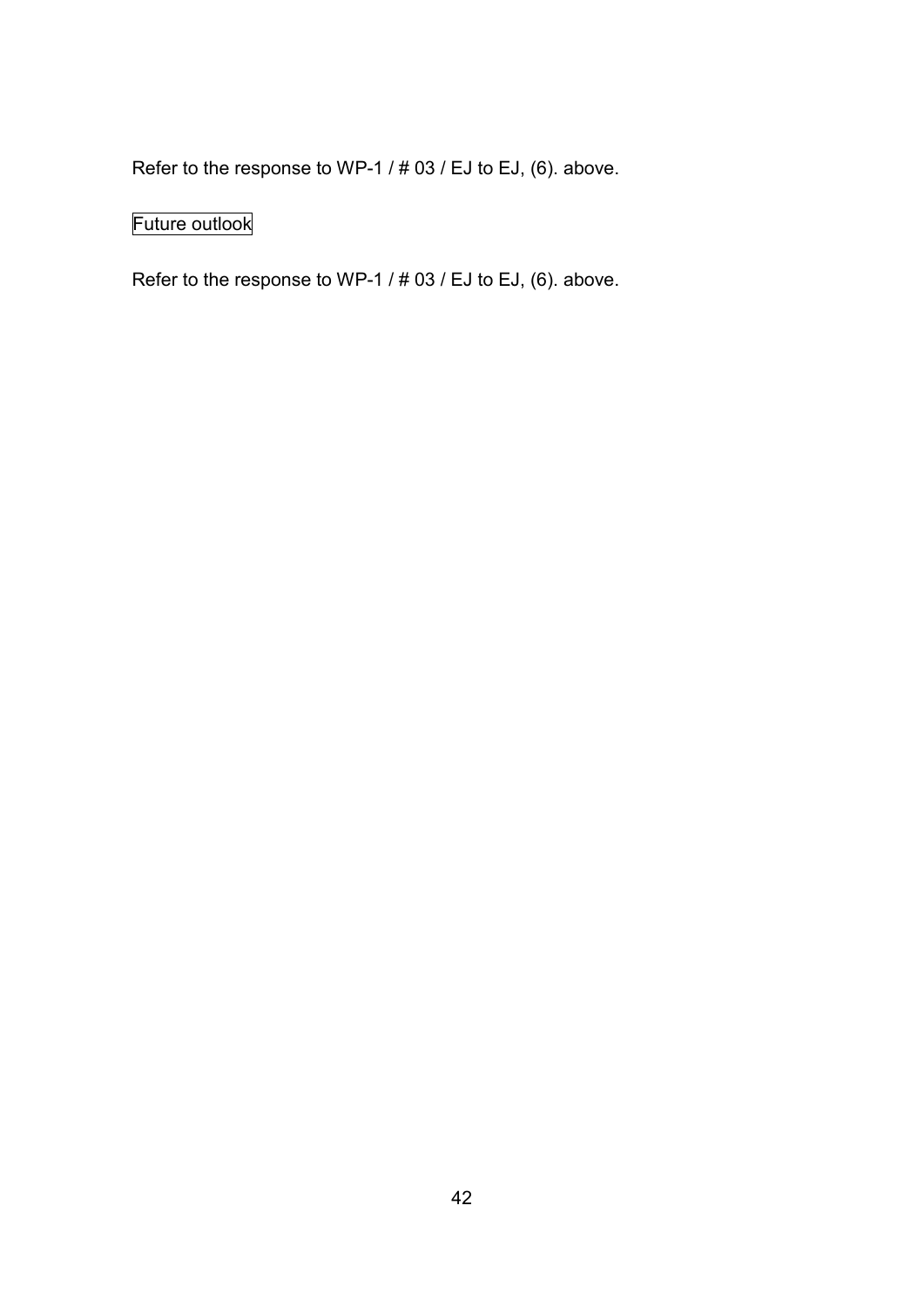Refer to the response to WP-1 / # 03 / EJ to EJ, (6). above.

# Future outlook

Refer to the response to WP-1 / # 03 / EJ to EJ, (6). above.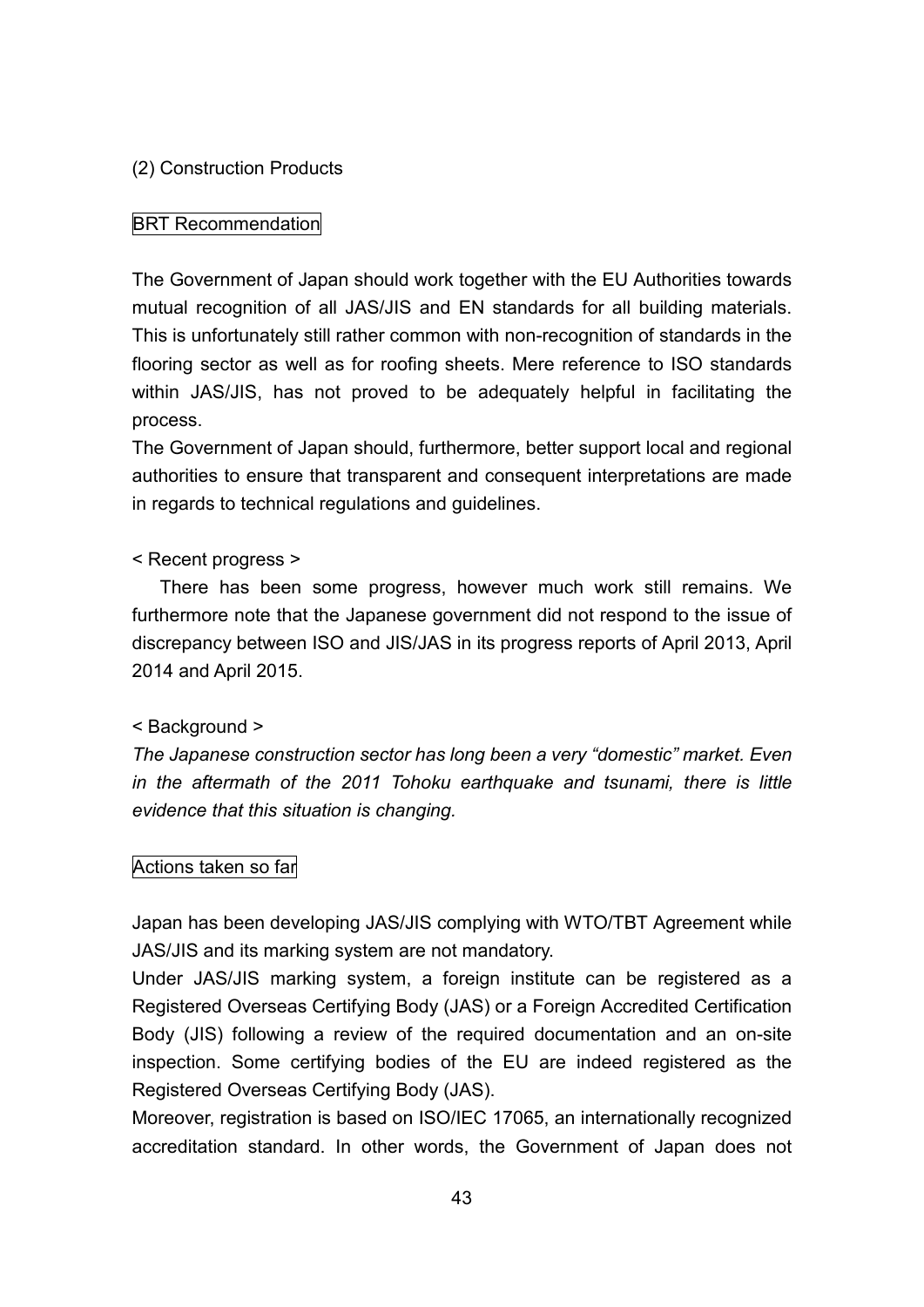## (2) Construction Products

## BRT Recommendation

The Government of Japan should work together with the EU Authorities towards mutual recognition of all JAS/JIS and EN standards for all building materials. This is unfortunately still rather common with non-recognition of standards in the flooring sector as well as for roofing sheets. Mere reference to ISO standards within JAS/JIS, has not proved to be adequately helpful in facilitating the process.

The Government of Japan should, furthermore, better support local and regional authorities to ensure that transparent and consequent interpretations are made in regards to technical regulations and guidelines.

### < Recent progress >

There has been some progress, however much work still remains. We furthermore note that the Japanese government did not respond to the issue of discrepancy between ISO and JIS/JAS in its progress reports of April 2013, April 2014 and April 2015.

## < Background >

*The Japanese construction sector has long been a very "domestic" market. Even in the aftermath of the 2011 Tohoku earthquake and tsunami, there is little evidence that this situation is changing.*

### Actions taken so far

Japan has been developing JAS/JIS complying with WTO/TBT Agreement while JAS/JIS and its marking system are not mandatory.

Under JAS/JIS marking system, a foreign institute can be registered as a Registered Overseas Certifying Body (JAS) or a Foreign Accredited Certification Body (JIS) following a review of the required documentation and an on-site inspection. Some certifying bodies of the EU are indeed registered as the Registered Overseas Certifying Body (JAS).

Moreover, registration is based on ISO/IEC 17065, an internationally recognized accreditation standard. In other words, the Government of Japan does not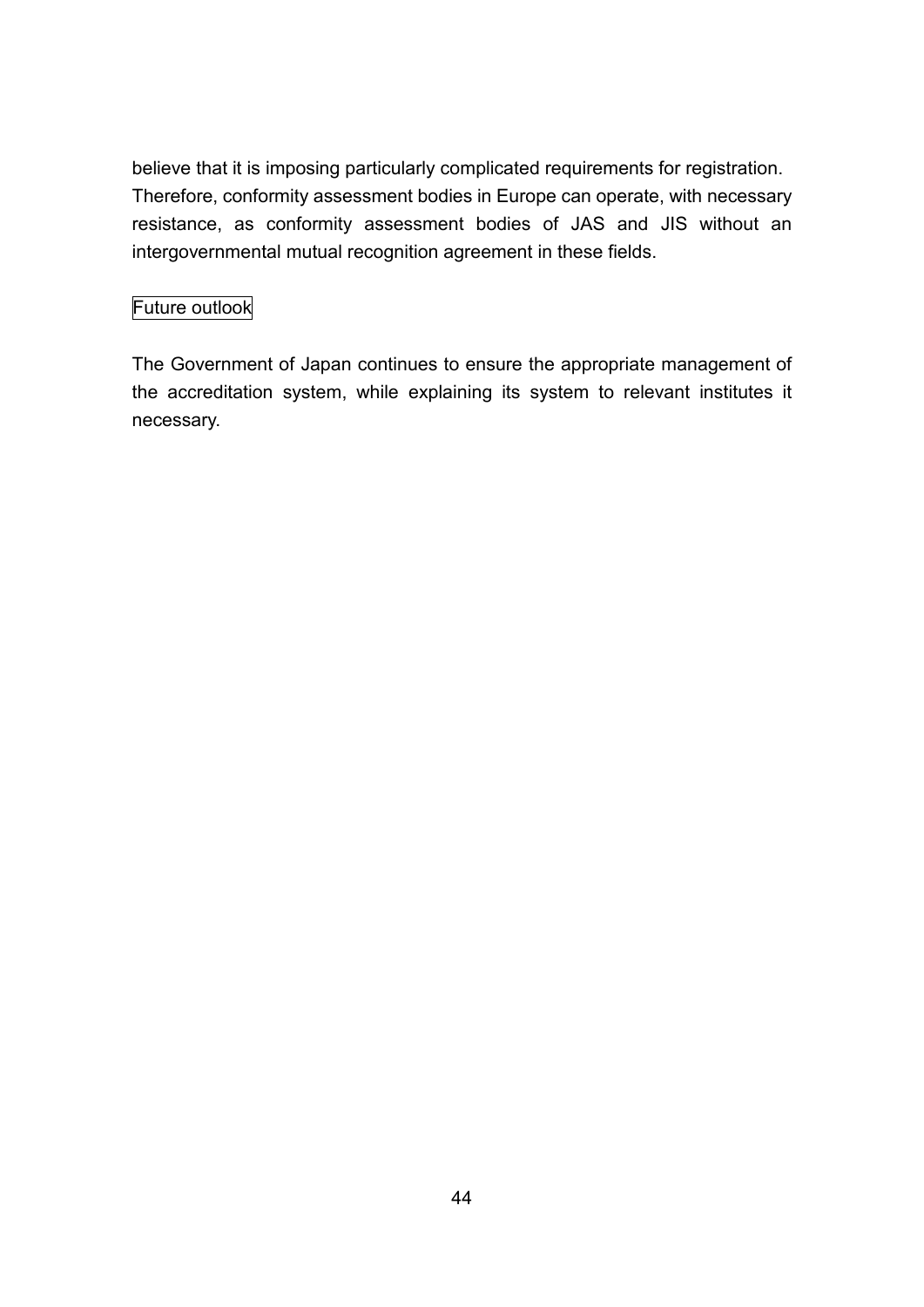believe that it is imposing particularly complicated requirements for registration. Therefore, conformity assessment bodies in Europe can operate, with necessary resistance, as conformity assessment bodies of JAS and JIS without an intergovernmental mutual recognition agreement in these fields.

## Future outlook

The Government of Japan continues to ensure the appropriate management of the accreditation system, while explaining its system to relevant institutes it necessary.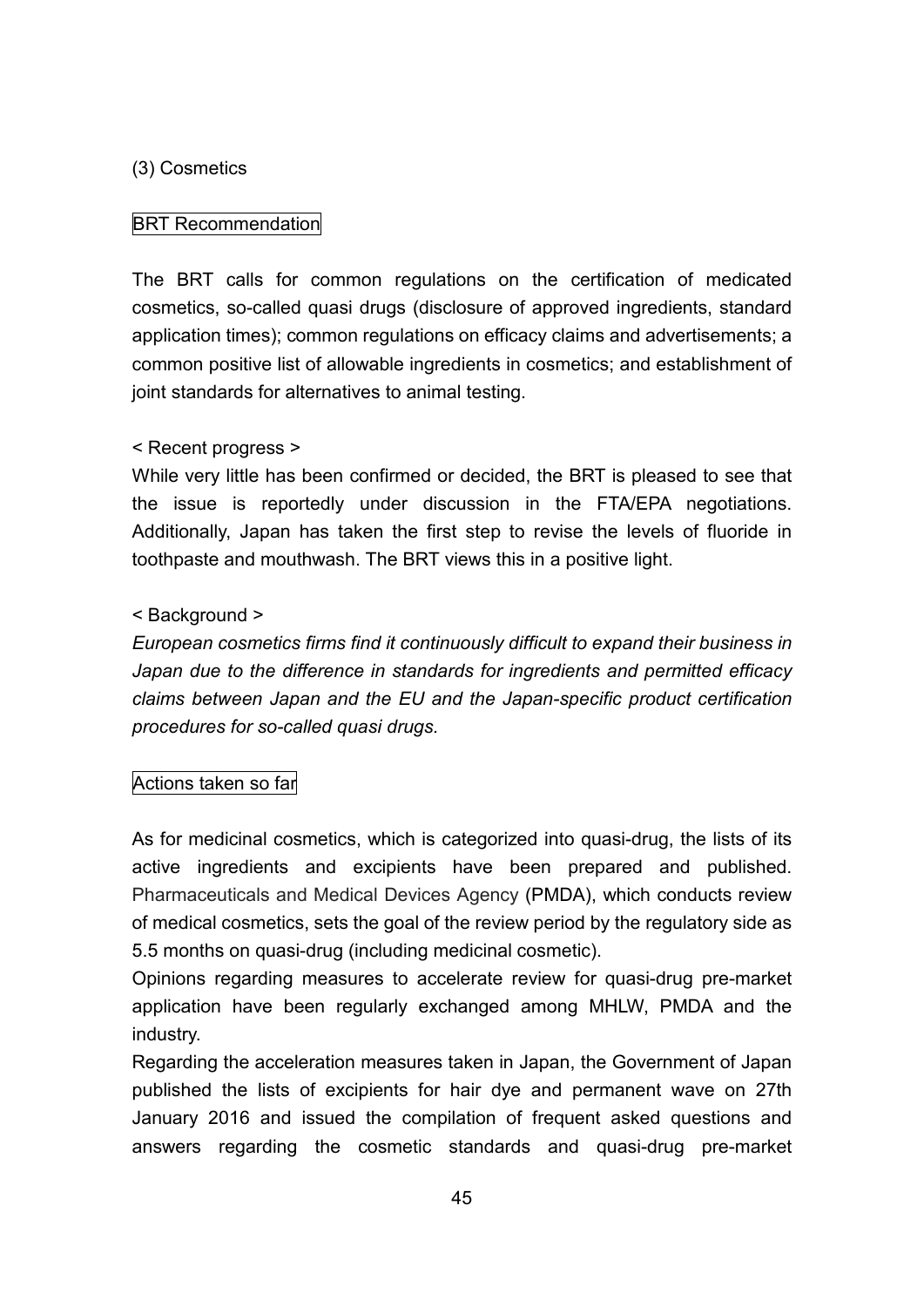## (3) Cosmetics

## BRT Recommendation

The BRT calls for common regulations on the certification of medicated cosmetics, so-called quasi drugs (disclosure of approved ingredients, standard application times); common regulations on efficacy claims and advertisements; a common positive list of allowable ingredients in cosmetics; and establishment of joint standards for alternatives to animal testing.

### < Recent progress >

While very little has been confirmed or decided, the BRT is pleased to see that the issue is reportedly under discussion in the FTA/EPA negotiations. Additionally, Japan has taken the first step to revise the levels of fluoride in toothpaste and mouthwash. The BRT views this in a positive light.

## < Background >

*European cosmetics firms find it continuously difficult to expand their business in Japan due to the difference in standards for ingredients and permitted efficacy claims between Japan and the EU and the Japan-specific product certification procedures for so-called quasi drugs.*

## Actions taken so far

As for medicinal cosmetics, which is categorized into quasi-drug, the lists of its active ingredients and excipients have been prepared and published. Pharmaceuticals and Medical Devices Agency (PMDA), which conducts review of medical cosmetics, sets the goal of the review period by the regulatory side as 5.5 months on quasi-drug (including medicinal cosmetic).

Opinions regarding measures to accelerate review for quasi-drug pre-market application have been regularly exchanged among MHLW, PMDA and the industry.

Regarding the acceleration measures taken in Japan, the Government of Japan published the lists of excipients for hair dye and permanent wave on 27th January 2016 and issued the compilation of frequent asked questions and answers regarding the cosmetic standards and quasi-drug pre-market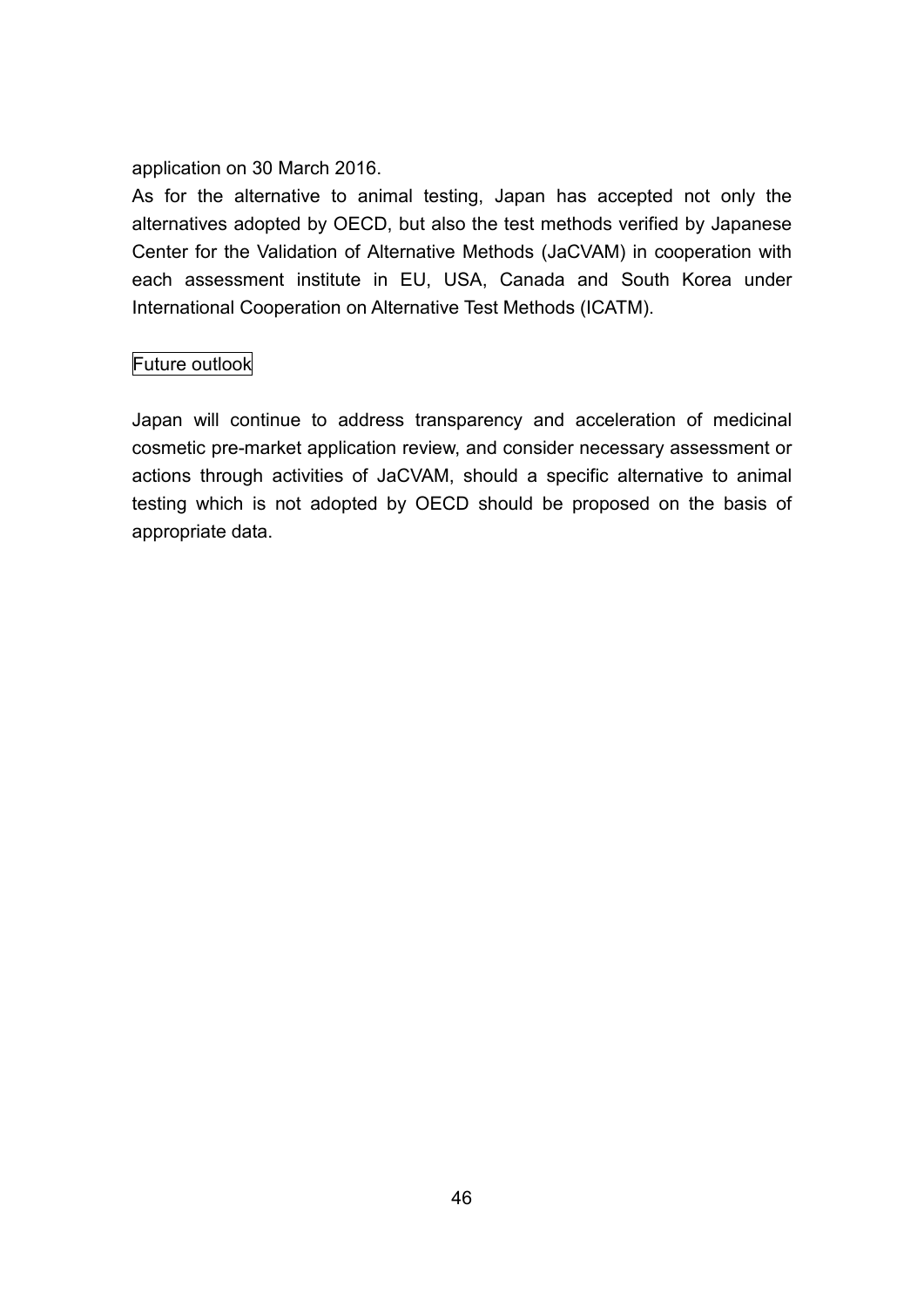application on 30 March 2016.

As for the alternative to animal testing, Japan has accepted not only the alternatives adopted by OECD, but also the test methods verified by Japanese Center for the Validation of Alternative Methods (JaCVAM) in cooperation with each assessment institute in EU, USA, Canada and South Korea under International Cooperation on Alternative Test Methods (ICATM).

## Future outlook

Japan will continue to address transparency and acceleration of medicinal cosmetic pre-market application review, and consider necessary assessment or actions through activities of JaCVAM, should a specific alternative to animal testing which is not adopted by OECD should be proposed on the basis of appropriate data.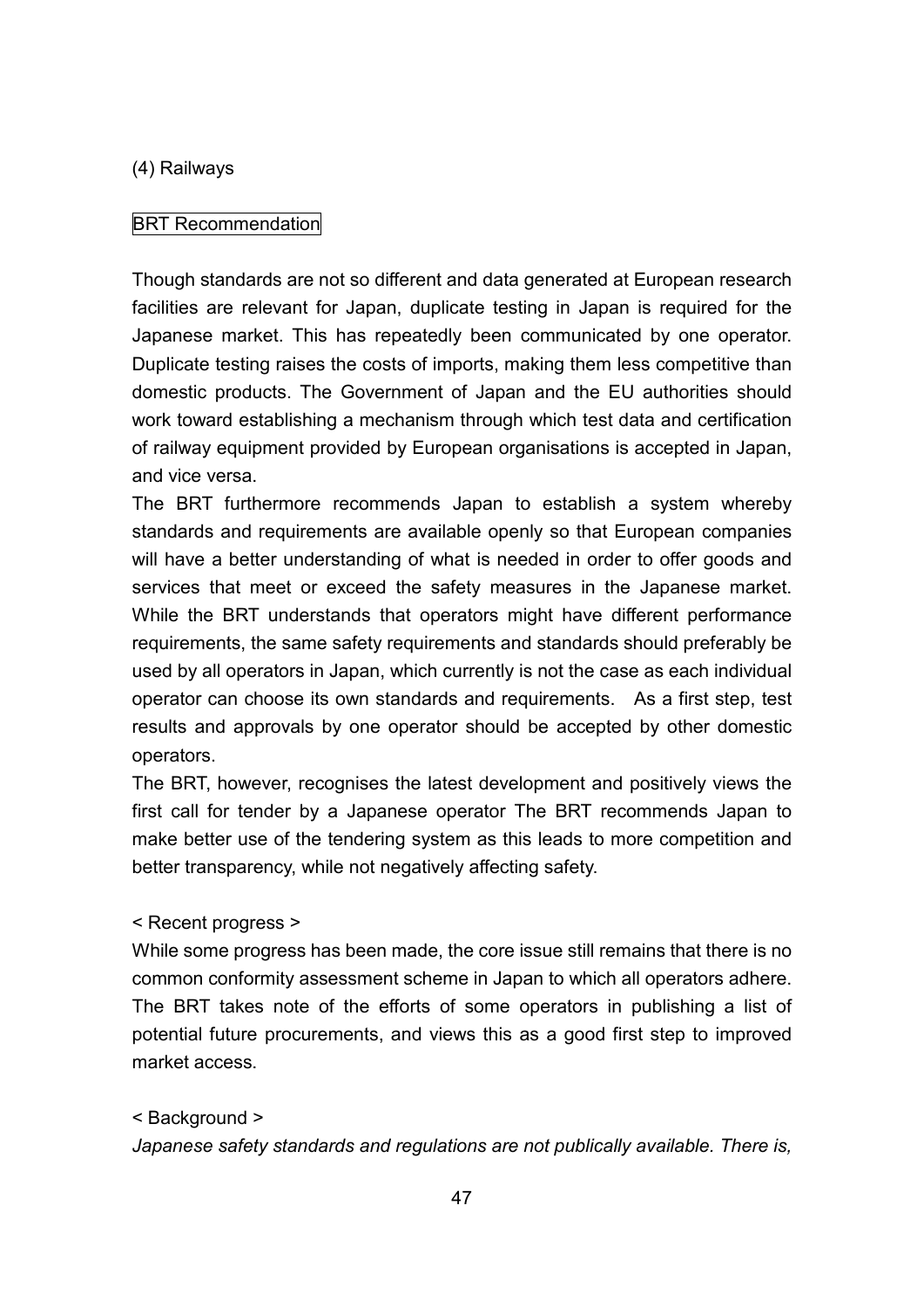#### (4) Railways

#### BRT Recommendation

Though standards are not so different and data generated at European research facilities are relevant for Japan, duplicate testing in Japan is required for the Japanese market. This has repeatedly been communicated by one operator. Duplicate testing raises the costs of imports, making them less competitive than domestic products. The Government of Japan and the EU authorities should work toward establishing a mechanism through which test data and certification of railway equipment provided by European organisations is accepted in Japan, and vice versa.

The BRT furthermore recommends Japan to establish a system whereby standards and requirements are available openly so that European companies will have a better understanding of what is needed in order to offer goods and services that meet or exceed the safety measures in the Japanese market. While the BRT understands that operators might have different performance requirements, the same safety requirements and standards should preferably be used by all operators in Japan, which currently is not the case as each individual operator can choose its own standards and requirements. As a first step, test results and approvals by one operator should be accepted by other domestic operators.

The BRT, however, recognises the latest development and positively views the first call for tender by a Japanese operator The BRT recommends Japan to make better use of the tendering system as this leads to more competition and better transparency, while not negatively affecting safety.

#### < Recent progress >

While some progress has been made, the core issue still remains that there is no common conformity assessment scheme in Japan to which all operators adhere. The BRT takes note of the efforts of some operators in publishing a list of potential future procurements, and views this as a good first step to improved market access.

#### < Background >

*Japanese safety standards and regulations are not publically available. There is,*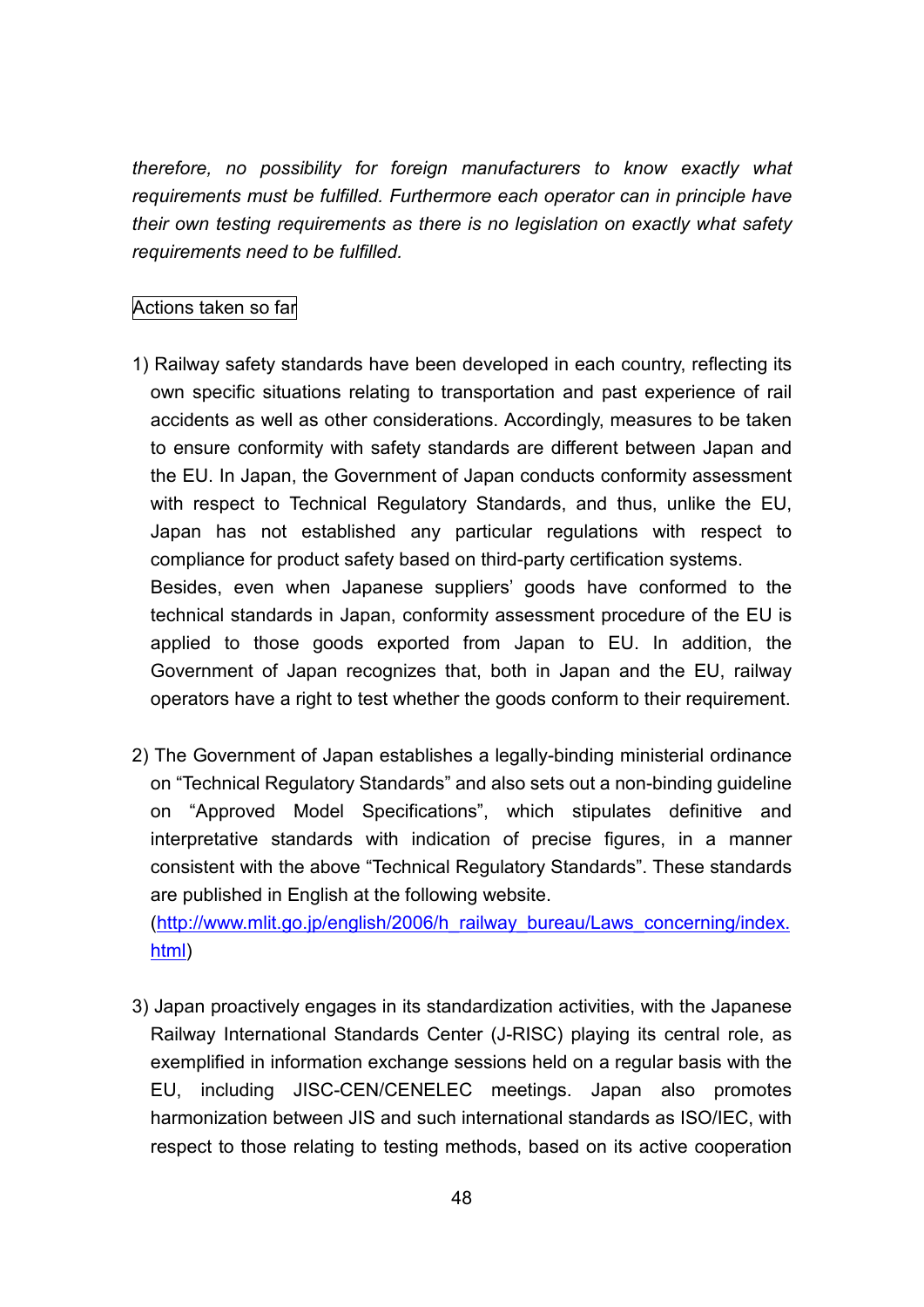*therefore, no possibility for foreign manufacturers to know exactly what requirements must be fulfilled. Furthermore each operator can in principle have their own testing requirements as there is no legislation on exactly what safety requirements need to be fulfilled.*

## Actions taken so far

- 1) Railway safety standards have been developed in each country, reflecting its own specific situations relating to transportation and past experience of rail accidents as well as other considerations. Accordingly, measures to be taken to ensure conformity with safety standards are different between Japan and the EU. In Japan, the Government of Japan conducts conformity assessment with respect to Technical Regulatory Standards, and thus, unlike the EU. Japan has not established any particular regulations with respect to compliance for product safety based on third-party certification systems. Besides, even when Japanese suppliers' goods have conformed to the technical standards in Japan, conformity assessment procedure of the EU is applied to those goods exported from Japan to EU. In addition, the Government of Japan recognizes that, both in Japan and the EU, railway
- 2) The Government of Japan establishes a legally-binding ministerial ordinance on "Technical Regulatory Standards" and also sets out a non-binding guideline on "Approved Model Specifications", which stipulates definitive and interpretative standards with indication of precise figures, in a manner consistent with the above "Technical Regulatory Standards". These standards are published in English at the following website.

operators have a right to test whether the goods conform to their requirement.

(http://www.mlit.go.jp/english/2006/h\_railway\_bureau/Laws\_concerning/index. html)

3) Japan proactively engages in its standardization activities, with the Japanese Railway International Standards Center (J-RISC) playing its central role, as exemplified in information exchange sessions held on a regular basis with the EU, including JISC-CEN/CENELEC meetings. Japan also promotes harmonization between JIS and such international standards as ISO/IEC, with respect to those relating to testing methods, based on its active cooperation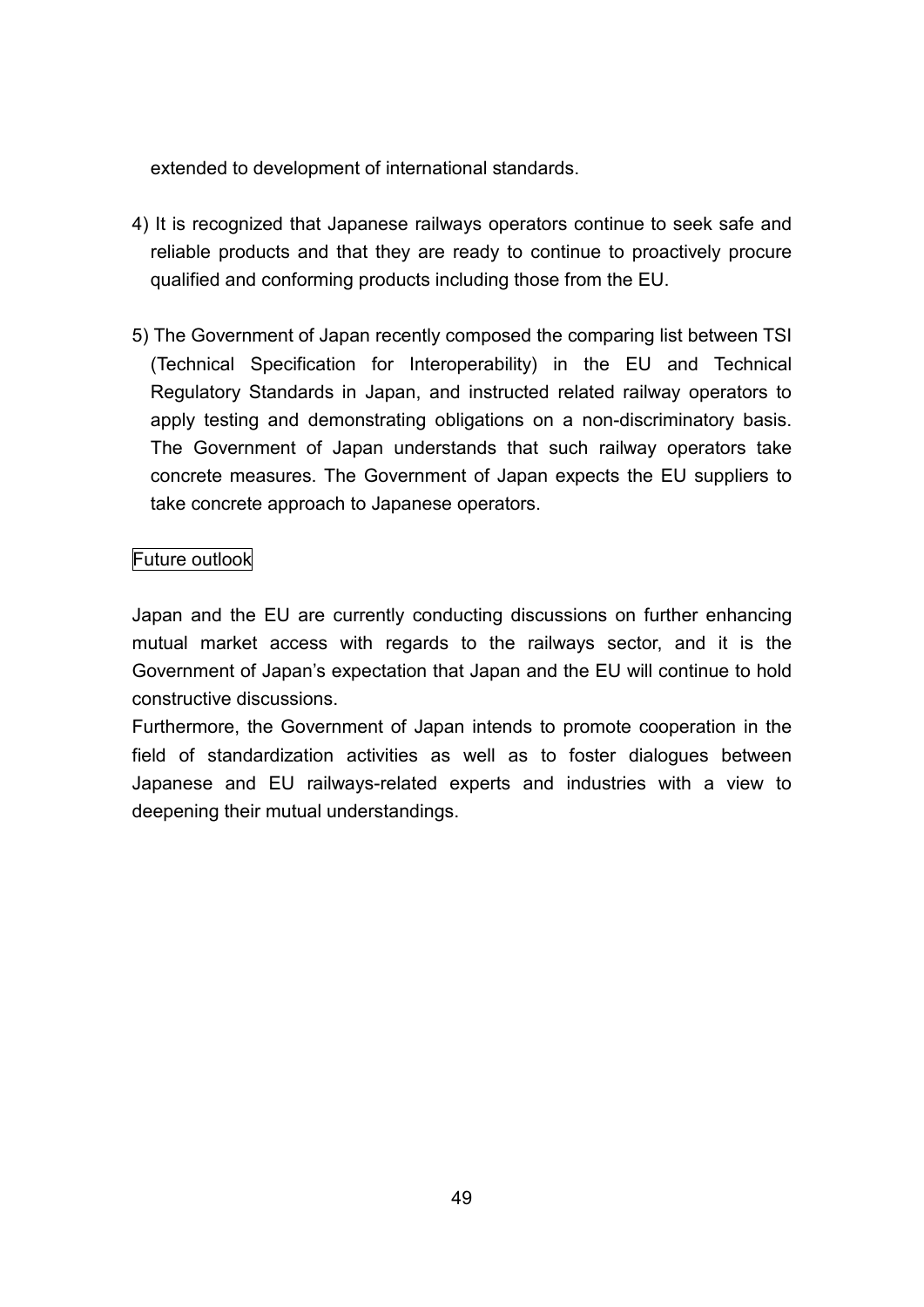extended to development of international standards.

- 4) It is recognized that Japanese railways operators continue to seek safe and reliable products and that they are ready to continue to proactively procure qualified and conforming products including those from the EU.
- 5) The Government of Japan recently composed the comparing list between TSI (Technical Specification for Interoperability) in the EU and Technical Regulatory Standards in Japan, and instructed related railway operators to apply testing and demonstrating obligations on a non-discriminatory basis. The Government of Japan understands that such railway operators take concrete measures. The Government of Japan expects the EU suppliers to take concrete approach to Japanese operators.

## Future outlook

Japan and the EU are currently conducting discussions on further enhancing mutual market access with regards to the railways sector, and it is the Government of Japan's expectation that Japan and the EU will continue to hold constructive discussions.

Furthermore, the Government of Japan intends to promote cooperation in the field of standardization activities as well as to foster dialogues between Japanese and EU railways-related experts and industries with a view to deepening their mutual understandings.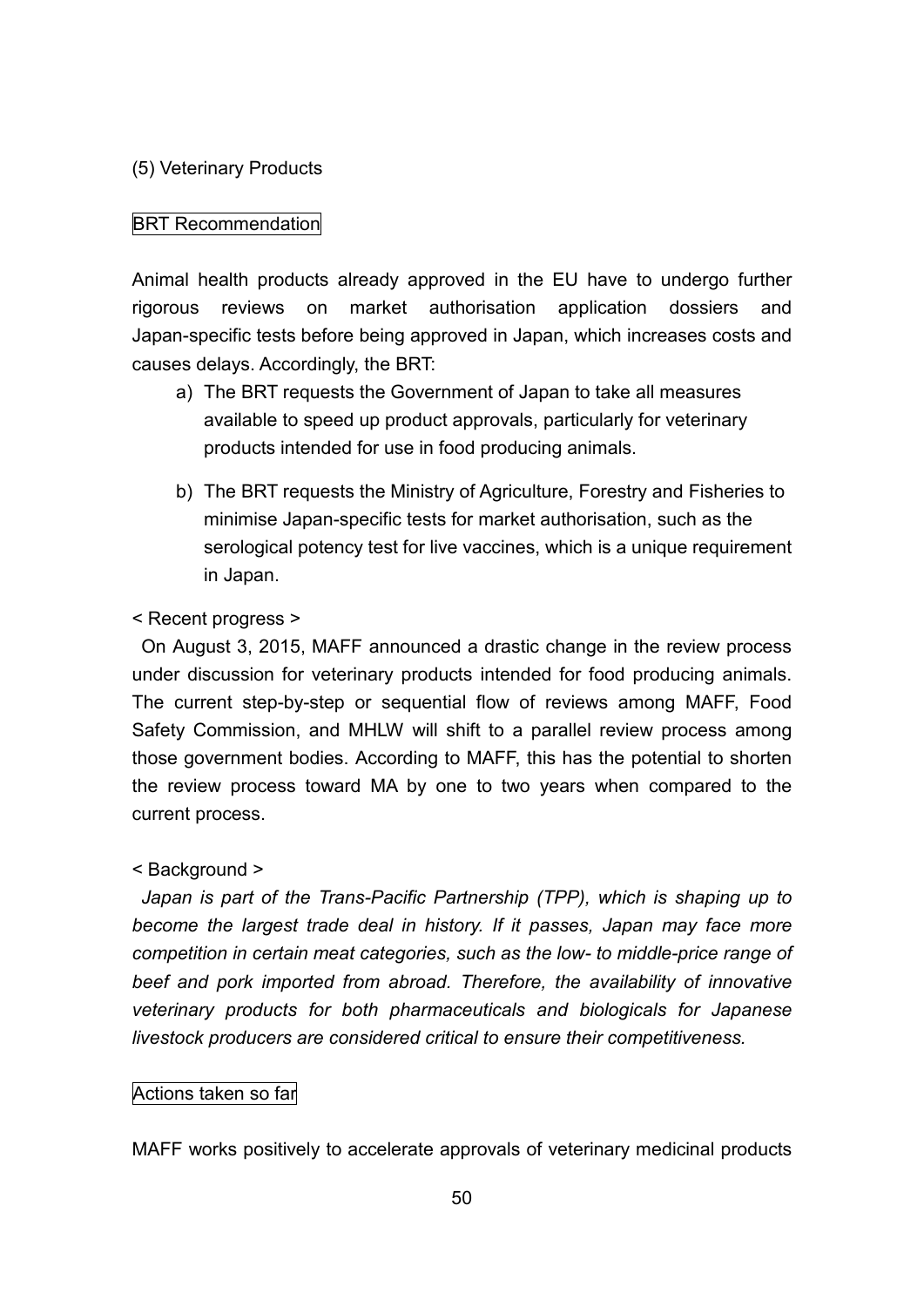### (5) Veterinary Products

#### BRT Recommendation

Animal health products already approved in the EU have to undergo further rigorous reviews on market authorisation application dossiers and Japan-specific tests before being approved in Japan, which increases costs and causes delays. Accordingly, the BRT:

- a) The BRT requests the Government of Japan to take all measures available to speed up product approvals, particularly for veterinary products intended for use in food producing animals.
- b) The BRT requests the Ministry of Agriculture, Forestry and Fisheries to minimise Japan-specific tests for market authorisation, such as the serological potency test for live vaccines, which is a unique requirement in Japan.

#### < Recent progress >

On August 3, 2015, MAFF announced a drastic change in the review process under discussion for veterinary products intended for food producing animals. The current step-by-step or sequential flow of reviews among MAFF, Food Safety Commission, and MHLW will shift to a parallel review process among those government bodies. According to MAFF, this has the potential to shorten the review process toward MA by one to two years when compared to the current process.

#### < Background >

*Japan is part of the Trans-Pacific Partnership (TPP), which is shaping up to become the largest trade deal in history. If it passes, Japan may face more competition in certain meat categories, such as the low- to middle-price range of beef and pork imported from abroad. Therefore, the availability of innovative veterinary products for both pharmaceuticals and biologicals for Japanese livestock producers are considered critical to ensure their competitiveness.*

#### Actions taken so far

MAFF works positively to accelerate approvals of veterinary medicinal products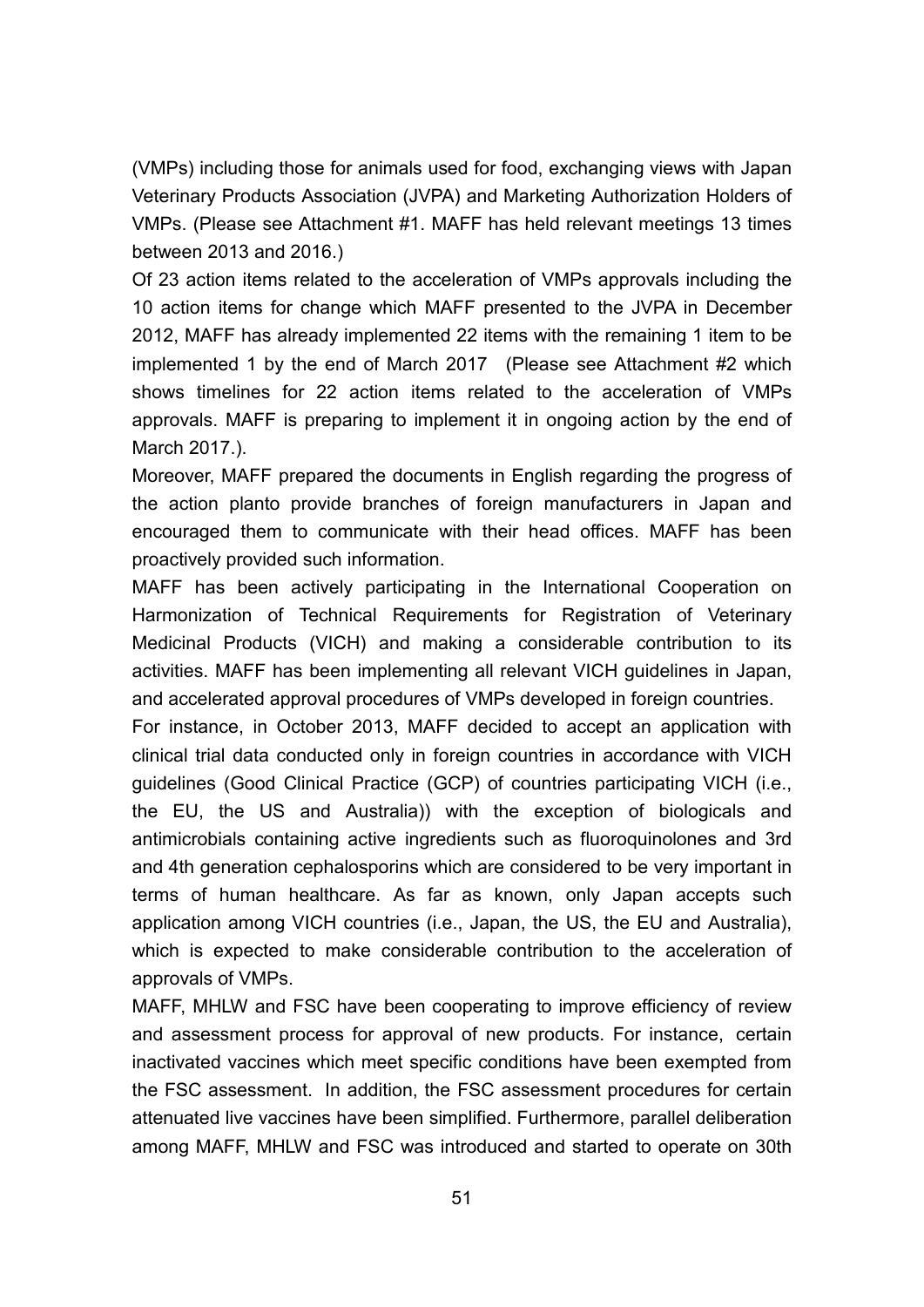(VMPs) including those for animals used for food, exchanging views with Japan Veterinary Products Association (JVPA) and Marketing Authorization Holders of VMPs. (Please see Attachment #1. MAFF has held relevant meetings 13 times between 2013 and 2016.)

Of 23 action items related to the acceleration of VMPs approvals including the 10 action items for change which MAFF presented to the JVPA in December 2012, MAFF has already implemented 22 items with the remaining 1 item to be implemented 1 by the end of March 2017 (Please see Attachment #2 which shows timelines for 22 action items related to the acceleration of VMPs approvals. MAFF is preparing to implement it in ongoing action by the end of March 2017.).

Moreover, MAFF prepared the documents in English regarding the progress of the action planto provide branches of foreign manufacturers in Japan and encouraged them to communicate with their head offices. MAFF has been proactively provided such information.

MAFF has been actively participating in the International Cooperation on Harmonization of Technical Requirements for Registration of Veterinary Medicinal Products (VICH) and making a considerable contribution to its activities. MAFF has been implementing all relevant VICH guidelines in Japan, and accelerated approval procedures of VMPs developed in foreign countries.

For instance, in October 2013, MAFF decided to accept an application with clinical trial data conducted only in foreign countries in accordance with VICH guidelines (Good Clinical Practice (GCP) of countries participating VICH (i.e., the EU, the US and Australia)) with the exception of biologicals and antimicrobials containing active ingredients such as fluoroquinolones and 3rd and 4th generation cephalosporins which are considered to be very important in terms of human healthcare. As far as known, only Japan accepts such application among VICH countries (i.e., Japan, the US, the EU and Australia), which is expected to make considerable contribution to the acceleration of approvals of VMPs.

MAFF, MHLW and FSC have been cooperating to improve efficiency of review and assessment process for approval of new products. For instance, certain inactivated vaccines which meet specific conditions have been exempted from the FSC assessment. In addition, the FSC assessment procedures for certain attenuated live vaccines have been simplified. Furthermore, parallel deliberation among MAFF, MHLW and FSC was introduced and started to operate on 30th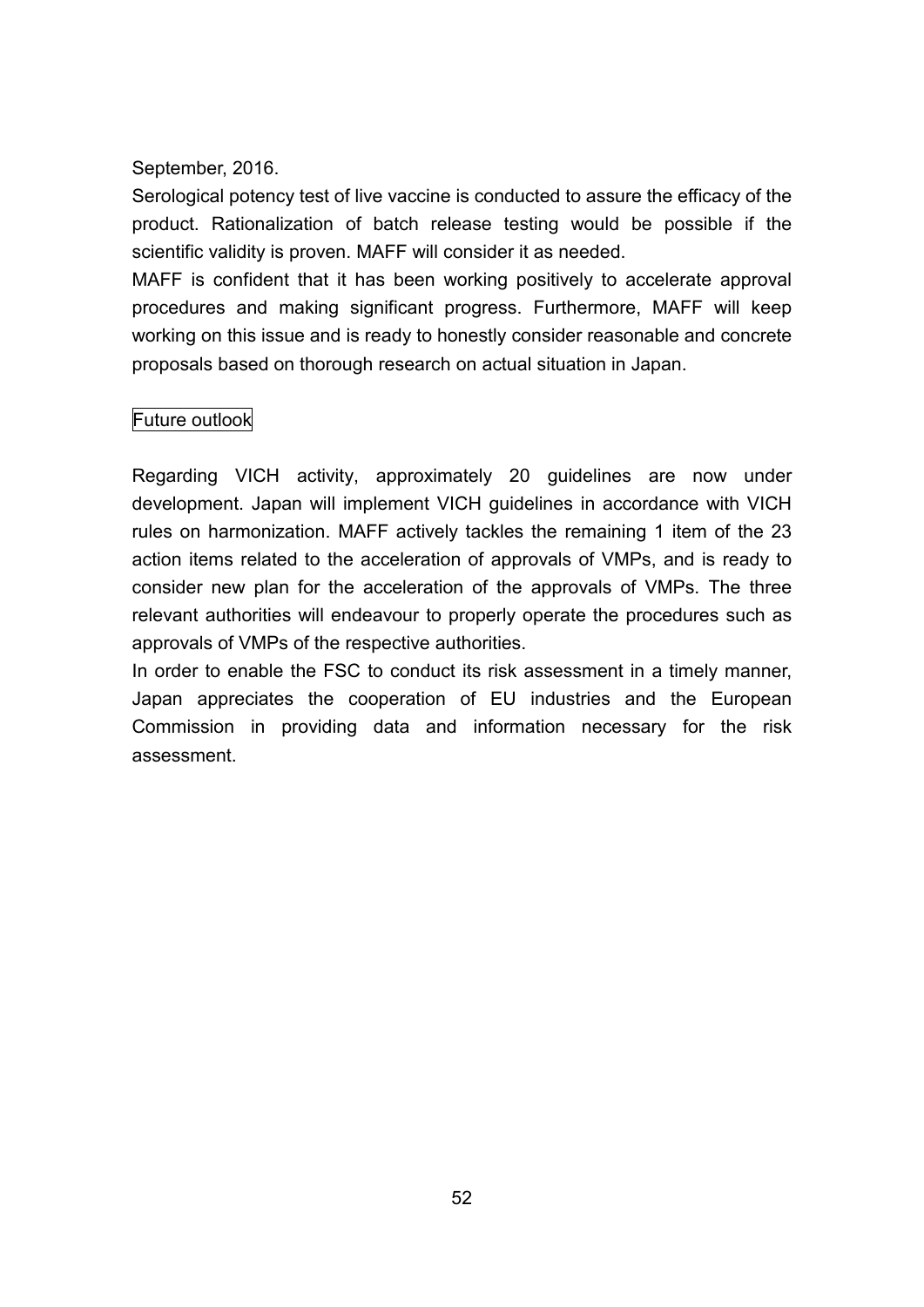September, 2016.

Serological potency test of live vaccine is conducted to assure the efficacy of the product. Rationalization of batch release testing would be possible if the scientific validity is proven. MAFF will consider it as needed.

MAFF is confident that it has been working positively to accelerate approval procedures and making significant progress. Furthermore, MAFF will keep working on this issue and is ready to honestly consider reasonable and concrete proposals based on thorough research on actual situation in Japan.

## Future outlook

Regarding VICH activity, approximately 20 guidelines are now under development. Japan will implement VICH guidelines in accordance with VICH rules on harmonization. MAFF actively tackles the remaining 1 item of the 23 action items related to the acceleration of approvals of VMPs, and is ready to consider new plan for the acceleration of the approvals of VMPs. The three relevant authorities will endeavour to properly operate the procedures such as approvals of VMPs of the respective authorities.

In order to enable the FSC to conduct its risk assessment in a timely manner, Japan appreciates the cooperation of EU industries and the European Commission in providing data and information necessary for the risk assessment.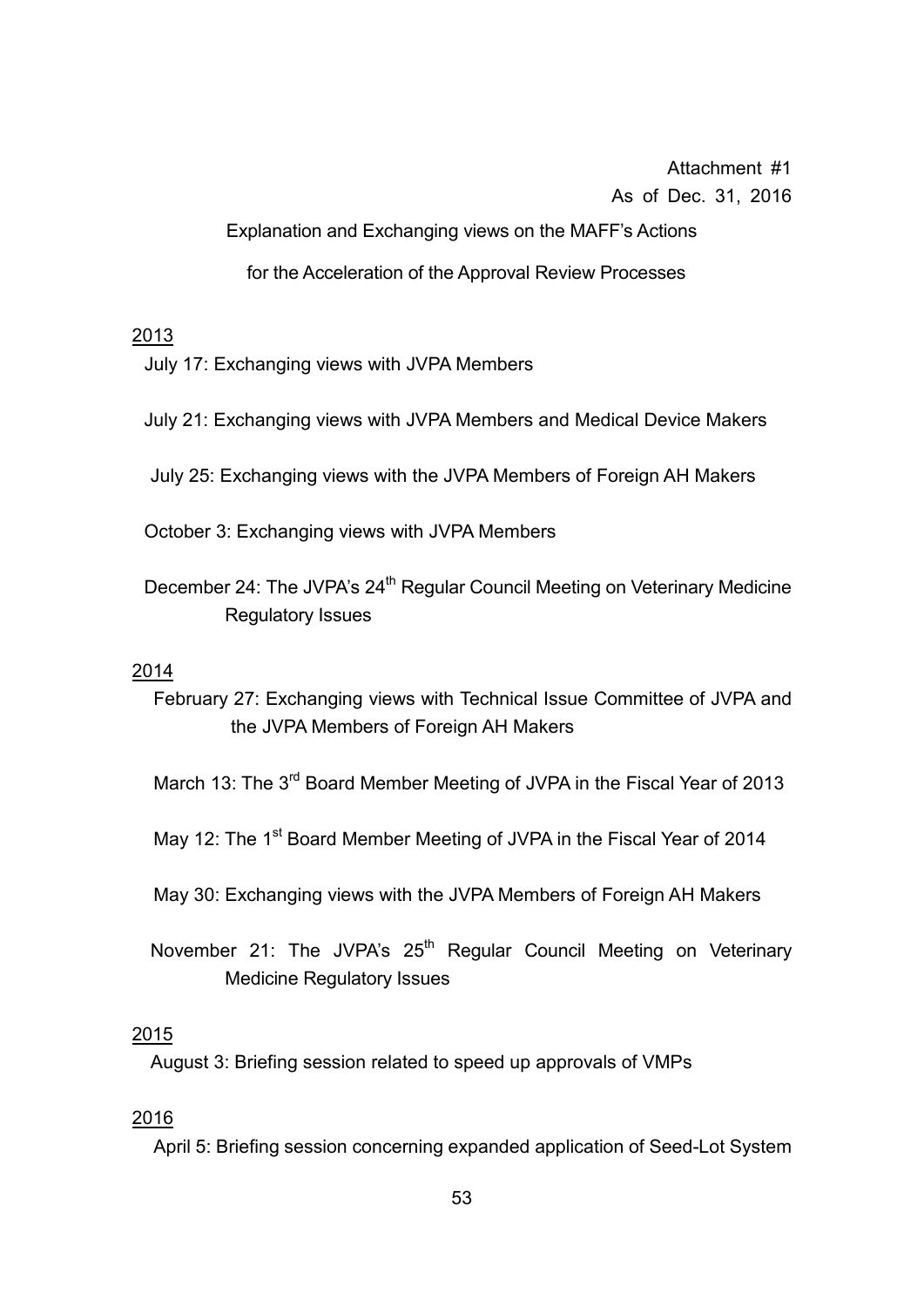Attachment #1 As of Dec. 31, 2016

Explanation and Exchanging views on the MAFF's Actions

for the Acceleration of the Approval Review Processes

### 2013

July 17: Exchanging views with JVPA Members

- July 21: Exchanging views with JVPA Members and Medical Device Makers
- July 25: Exchanging views with the JVPA Members of Foreign AH Makers

October 3: Exchanging views with JVPA Members

December 24: The JVPA's 24<sup>th</sup> Regular Council Meeting on Veterinary Medicine Regulatory Issues

#### 2014

- February 27: Exchanging views with Technical Issue Committee of JVPA and the JVPA Members of Foreign AH Makers
- March 13: The 3<sup>rd</sup> Board Member Meeting of JVPA in the Fiscal Year of 2013
- May 12: The 1<sup>st</sup> Board Member Meeting of JVPA in the Fiscal Year of 2014
- May 30: Exchanging views with the JVPA Members of Foreign AH Makers
- November 21: The JVPA's 25<sup>th</sup> Regular Council Meeting on Veterinary Medicine Regulatory Issues

#### 2015

August 3: Briefing session related to speed up approvals of VMPs

#### 2016

April 5: Briefing session concerning expanded application of Seed-Lot System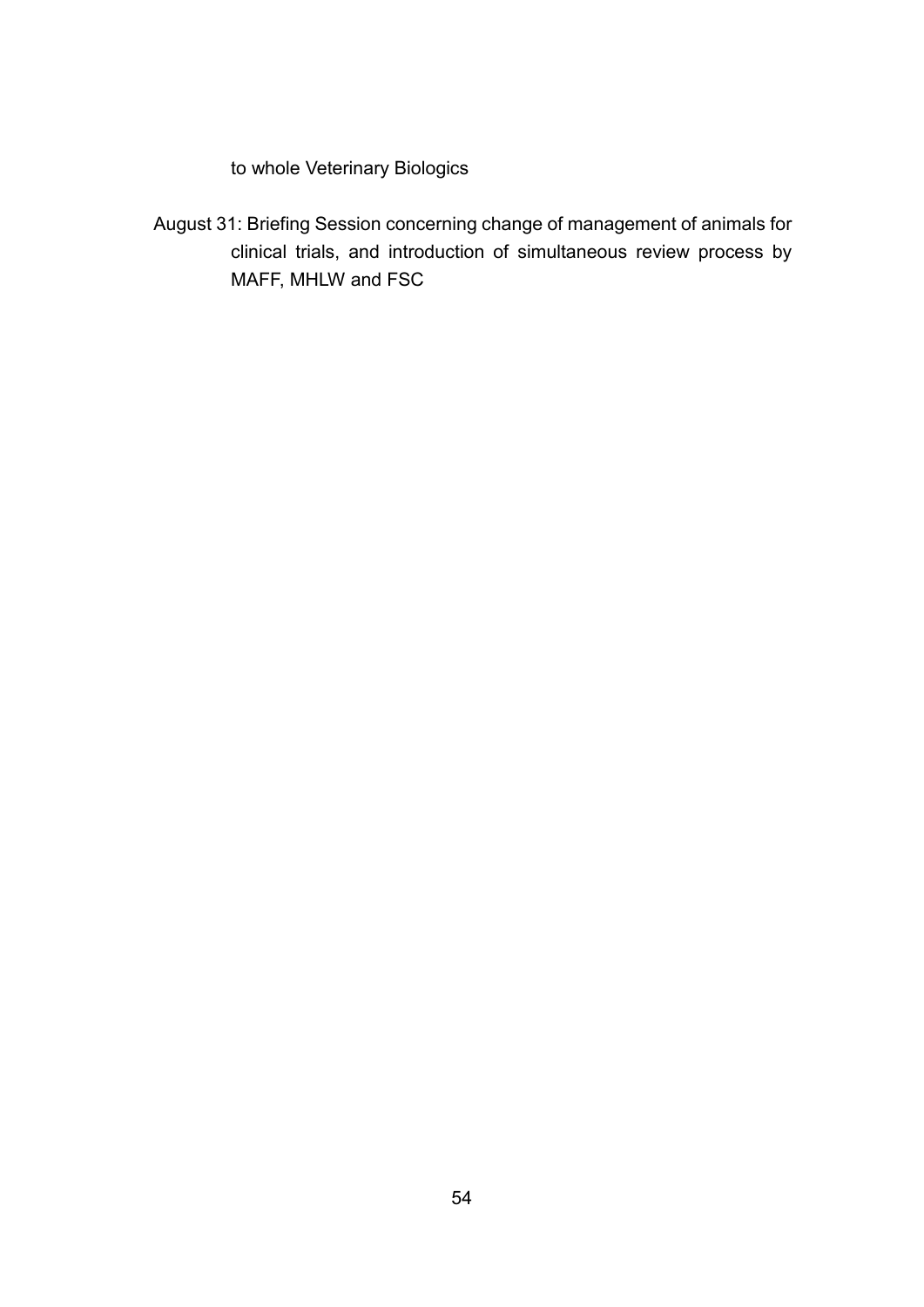to whole Veterinary Biologics

August 31: Briefing Session concerning change of management of animals for clinical trials, and introduction of simultaneous review process by MAFF, MHLW and FSC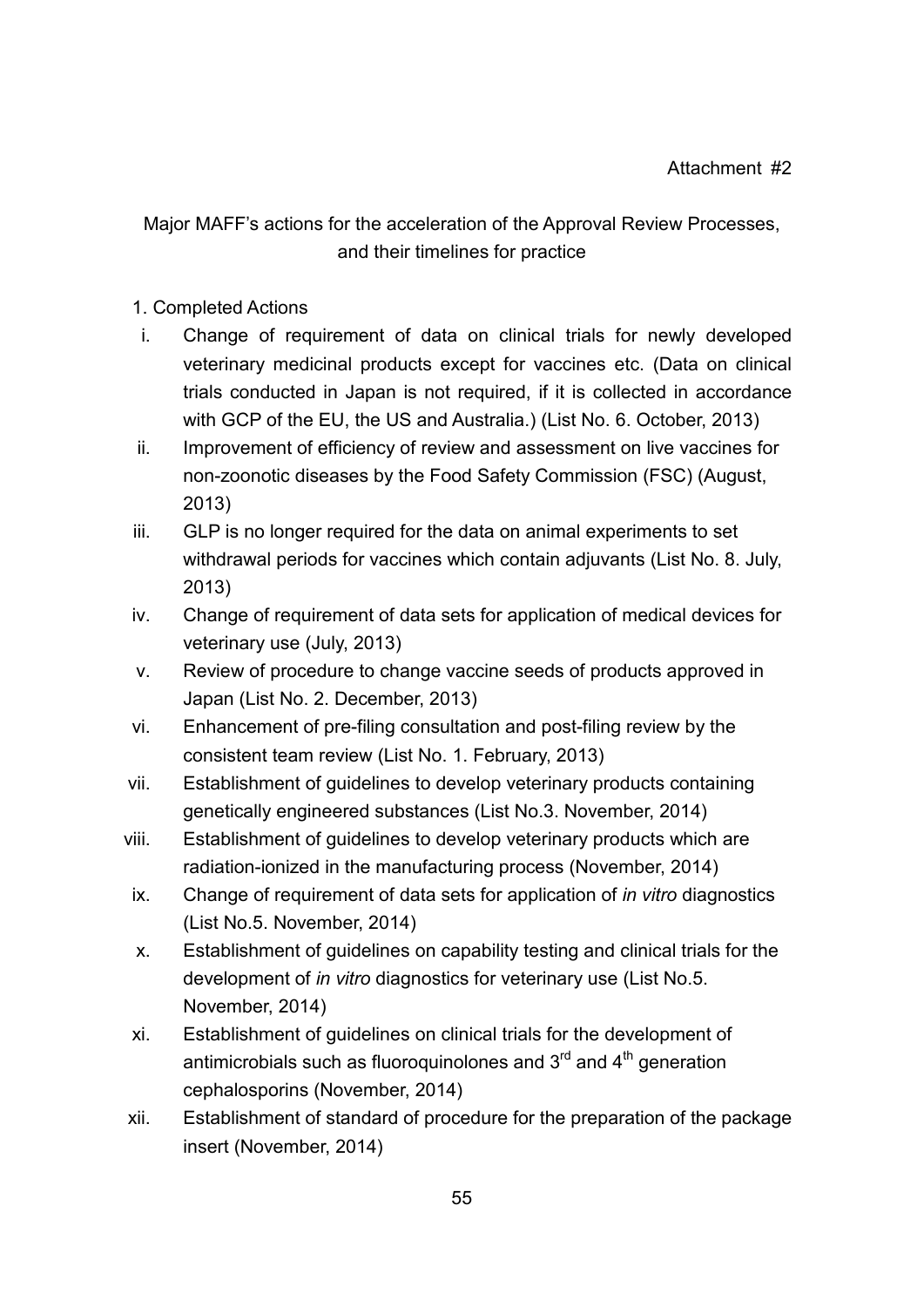## Major MAFF's actions for the acceleration of the Approval Review Processes, and their timelines for practice

## 1. Completed Actions

- i. Change of requirement of data on clinical trials for newly developed veterinary medicinal products except for vaccines etc. (Data on clinical trials conducted in Japan is not required, if it is collected in accordance with GCP of the EU, the US and Australia.) (List No. 6. October, 2013)
- ii. Improvement of efficiency of review and assessment on live vaccines for non-zoonotic diseases by the Food Safety Commission (FSC) (August, 2013)
- iii. GLP is no longer required for the data on animal experiments to set withdrawal periods for vaccines which contain adjuvants (List No. 8. July, 2013)
- iv. Change of requirement of data sets for application of medical devices for veterinary use (July, 2013)
- v. Review of procedure to change vaccine seeds of products approved in Japan (List No. 2. December, 2013)
- vi. Enhancement of pre-filing consultation and post-filing review by the consistent team review (List No. 1. February, 2013)
- vii. Establishment of guidelines to develop veterinary products containing genetically engineered substances (List No.3. November, 2014)
- viii. Establishment of guidelines to develop veterinary products which are radiation-ionized in the manufacturing process (November, 2014)
- ix. Change of requirement of data sets for application of *in vitro* diagnostics (List No.5. November, 2014)
- x. Establishment of guidelines on capability testing and clinical trials for the development of *in vitro* diagnostics for veterinary use (List No.5. November, 2014)
- xi. Establishment of guidelines on clinical trials for the development of antimicrobials such as fluoroquinolones and 3 $^{\text{rd}}$  and 4<sup>th</sup> generation cephalosporins (November, 2014)
- xii. Establishment of standard of procedure for the preparation of the package insert (November, 2014)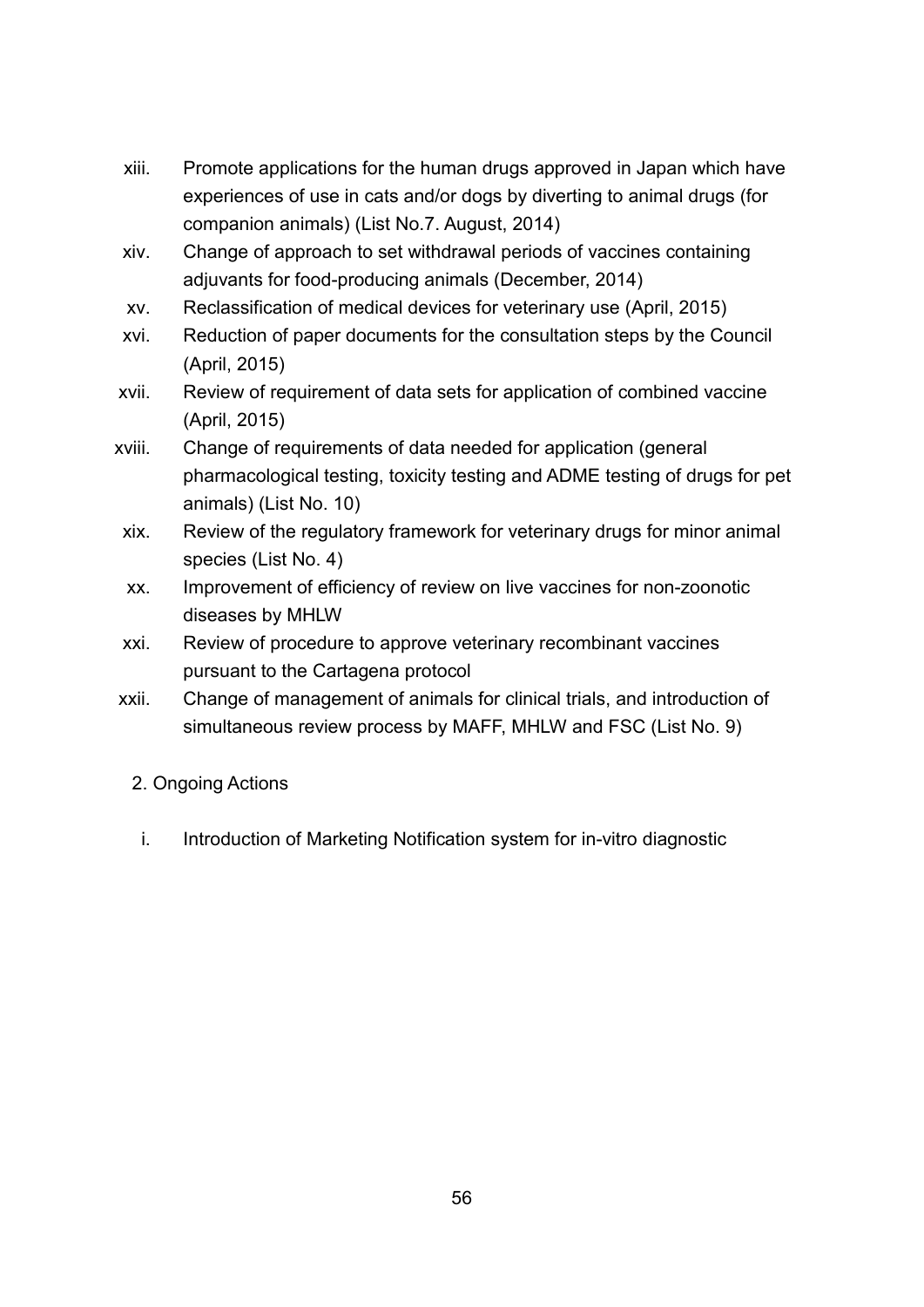- xiii. Promote applications for the human drugs approved in Japan which have experiences of use in cats and/or dogs by diverting to animal drugs (for companion animals) (List No.7. August, 2014)
- xiv. Change of approach to set withdrawal periods of vaccines containing adjuvants for food-producing animals (December, 2014)
- xv. Reclassification of medical devices for veterinary use (April, 2015)
- xvi. Reduction of paper documents for the consultation steps by the Council (April, 2015)
- xvii. Review of requirement of data sets for application of combined vaccine (April, 2015)
- xviii. Change of requirements of data needed for application (general pharmacological testing, toxicity testing and ADME testing of drugs for pet animals) (List No. 10)
- xix. Review of the regulatory framework for veterinary drugs for minor animal species (List No. 4)
- xx. Improvement of efficiency of review on live vaccines for non-zoonotic diseases by MHLW
- xxi. Review of procedure to approve veterinary recombinant vaccines pursuant to the Cartagena protocol
- xxii. Change of management of animals for clinical trials, and introduction of simultaneous review process by MAFF, MHLW and FSC (List No. 9)
	- 2. Ongoing Actions
	- i. Introduction of Marketing Notification system for in-vitro diagnostic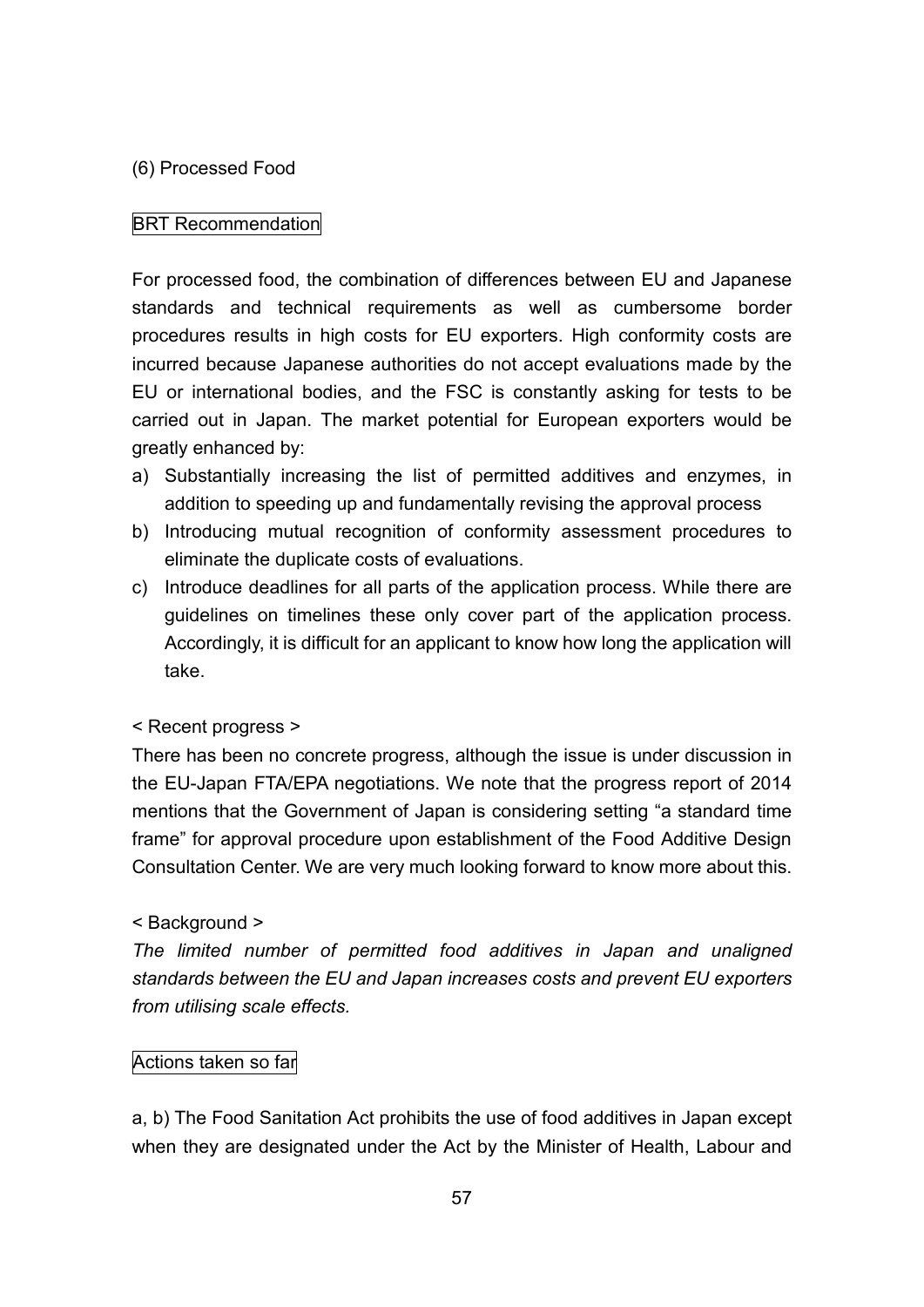## (6) Processed Food

## BRT Recommendation

For processed food, the combination of differences between EU and Japanese standards and technical requirements as well as cumbersome border procedures results in high costs for EU exporters. High conformity costs are incurred because Japanese authorities do not accept evaluations made by the EU or international bodies, and the FSC is constantly asking for tests to be carried out in Japan. The market potential for European exporters would be greatly enhanced by:

- a) Substantially increasing the list of permitted additives and enzymes, in addition to speeding up and fundamentally revising the approval process
- b) Introducing mutual recognition of conformity assessment procedures to eliminate the duplicate costs of evaluations.
- c) Introduce deadlines for all parts of the application process. While there are guidelines on timelines these only cover part of the application process. Accordingly, it is difficult for an applicant to know how long the application will take.

## < Recent progress >

There has been no concrete progress, although the issue is under discussion in the EU-Japan FTA/EPA negotiations. We note that the progress report of 2014 mentions that the Government of Japan is considering setting "a standard time frame" for approval procedure upon establishment of the Food Additive Design Consultation Center. We are very much looking forward to know more about this.

## < Background >

*The limited number of permitted food additives in Japan and unaligned standards between the EU and Japan increases costs and prevent EU exporters from utilising scale effects.*

## Actions taken so far

a, b) The Food Sanitation Act prohibits the use of food additives in Japan except when they are designated under the Act by the Minister of Health, Labour and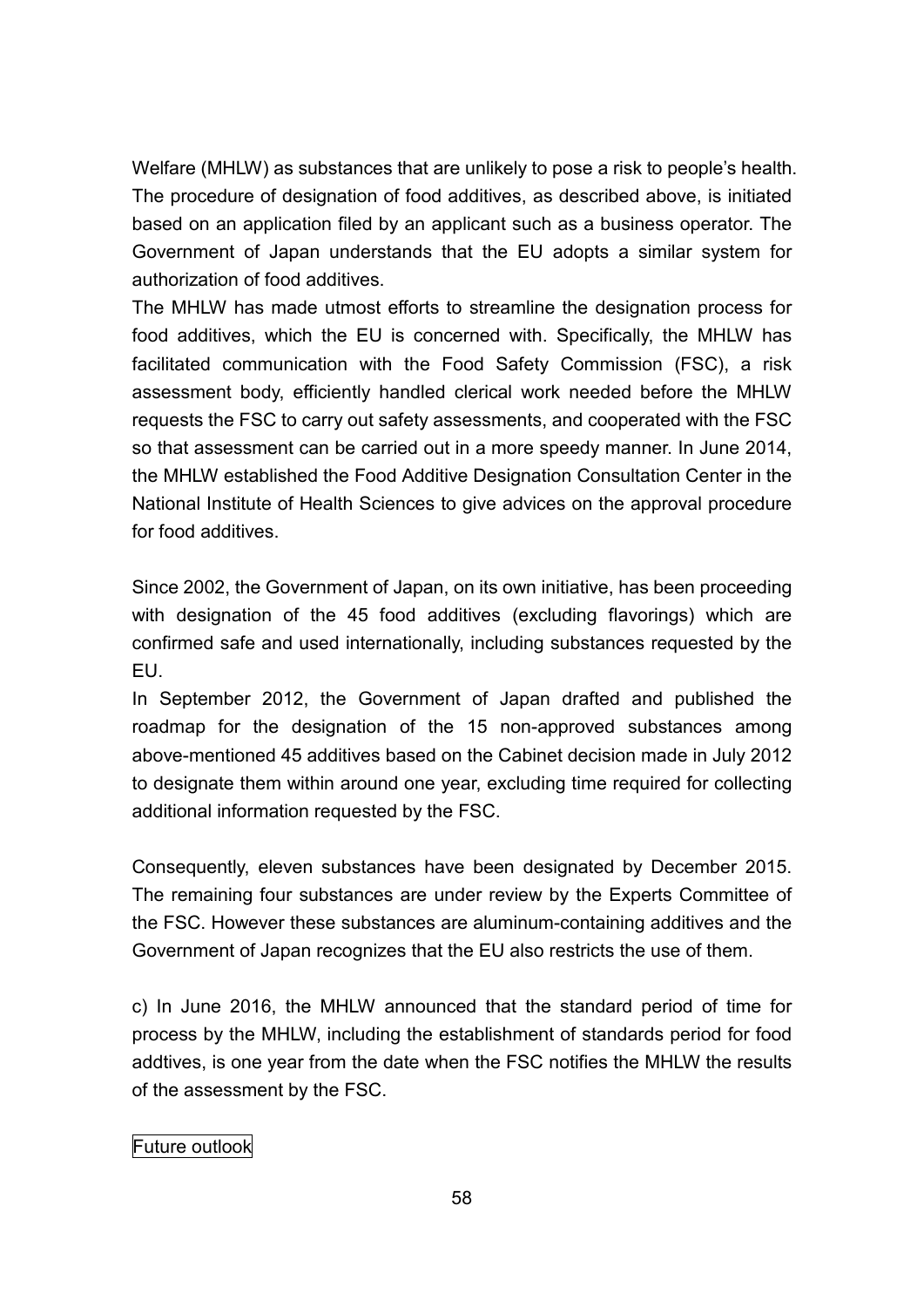Welfare (MHLW) as substances that are unlikely to pose a risk to people's health. The procedure of designation of food additives, as described above, is initiated based on an application filed by an applicant such as a business operator. The Government of Japan understands that the EU adopts a similar system for authorization of food additives.

The MHLW has made utmost efforts to streamline the designation process for food additives, which the EU is concerned with. Specifically, the MHLW has facilitated communication with the Food Safety Commission (FSC), a risk assessment body, efficiently handled clerical work needed before the MHLW requests the FSC to carry out safety assessments, and cooperated with the FSC so that assessment can be carried out in a more speedy manner. In June 2014, the MHLW established the Food Additive Designation Consultation Center in the National Institute of Health Sciences to give advices on the approval procedure for food additives.

Since 2002, the Government of Japan, on its own initiative, has been proceeding with designation of the 45 food additives (excluding flavorings) which are confirmed safe and used internationally, including substances requested by the EU.

In September 2012, the Government of Japan drafted and published the roadmap for the designation of the 15 non-approved substances among above-mentioned 45 additives based on the Cabinet decision made in July 2012 to designate them within around one year, excluding time required for collecting additional information requested by the FSC.

Consequently, eleven substances have been designated by December 2015. The remaining four substances are under review by the Experts Committee of the FSC. However these substances are aluminum-containing additives and the Government of Japan recognizes that the EU also restricts the use of them.

c) In June 2016, the MHLW announced that the standard period of time for process by the MHLW, including the establishment of standards period for food addtives, is one year from the date when the FSC notifies the MHLW the results of the assessment by the FSC.

Future outlook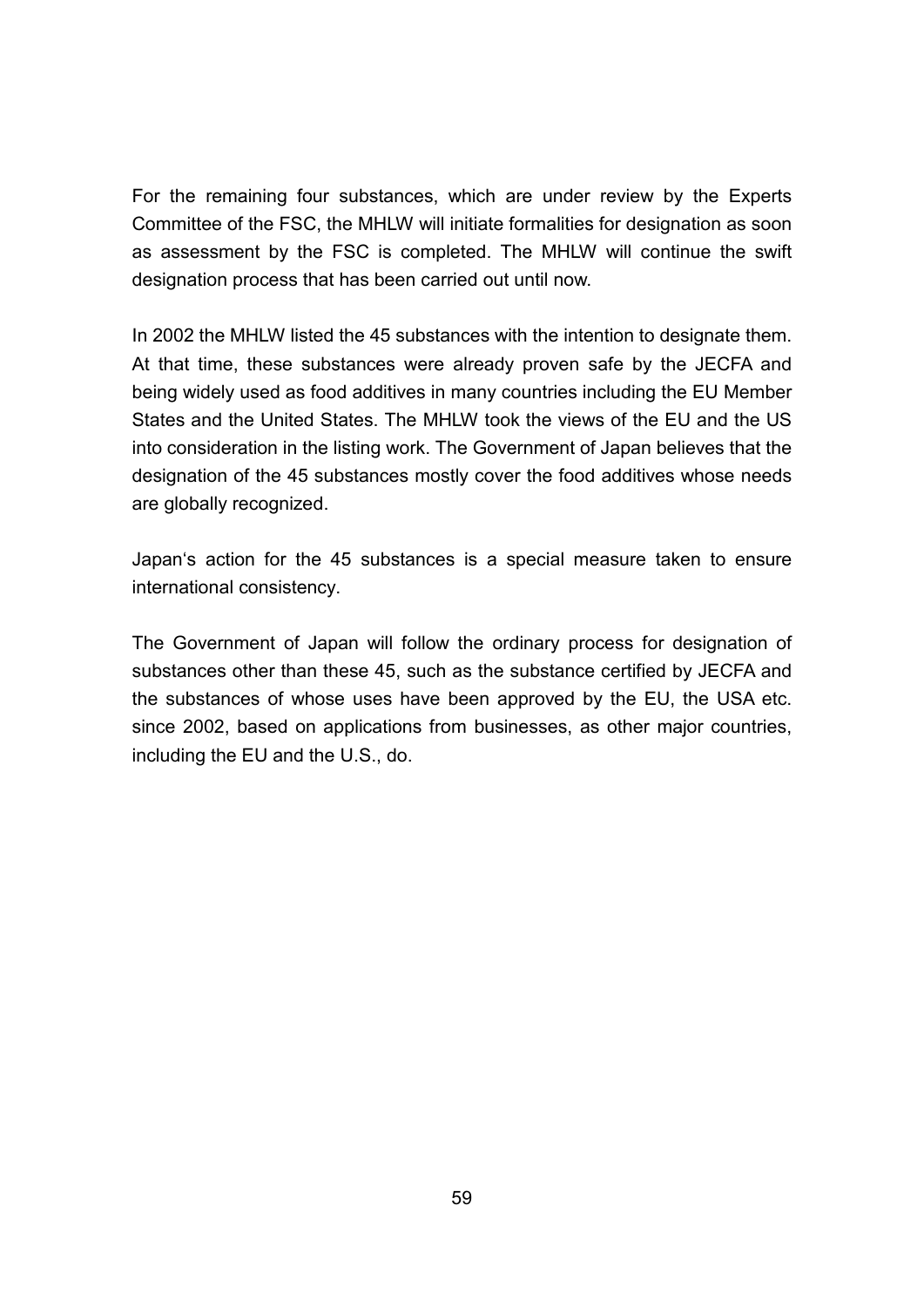For the remaining four substances, which are under review by the Experts Committee of the FSC, the MHLW will initiate formalities for designation as soon as assessment by the FSC is completed. The MHLW will continue the swift designation process that has been carried out until now.

In 2002 the MHLW listed the 45 substances with the intention to designate them. At that time, these substances were already proven safe by the JECFA and being widely used as food additives in many countries including the EU Member States and the United States. The MHLW took the views of the EU and the US into consideration in the listing work. The Government of Japan believes that the designation of the 45 substances mostly cover the food additives whose needs are globally recognized.

Japan's action for the 45 substances is a special measure taken to ensure international consistency.

The Government of Japan will follow the ordinary process for designation of substances other than these 45, such as the substance certified by JECFA and the substances of whose uses have been approved by the EU, the USA etc. since 2002, based on applications from businesses, as other major countries, including the EU and the U.S., do.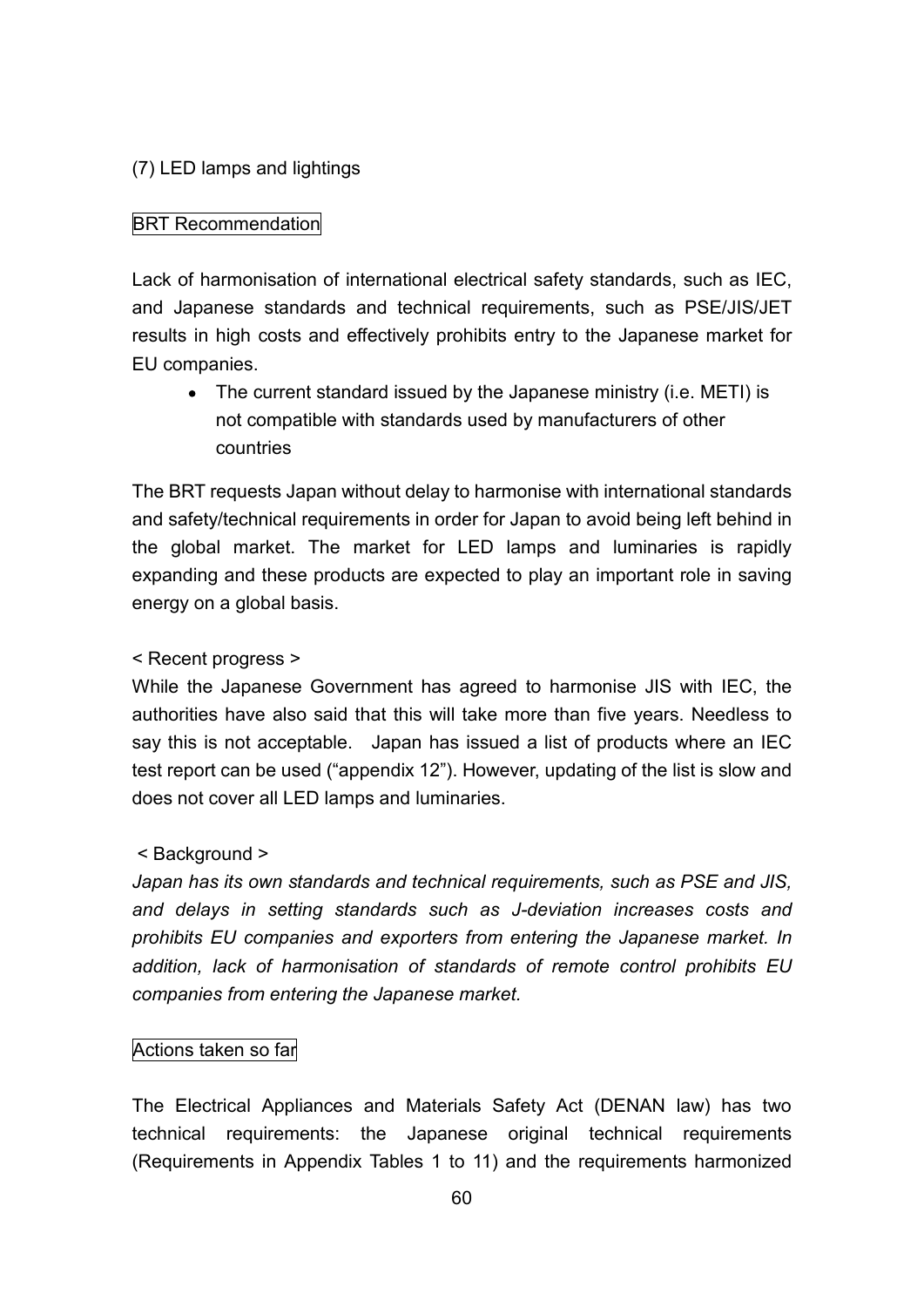## (7) LED lamps and lightings

## **BRT** Recommendation

Lack of harmonisation of international electrical safety standards, such as IEC, and Japanese standards and technical requirements, such as PSE/JIS/JET results in high costs and effectively prohibits entry to the Japanese market for EU companies.

• The current standard issued by the Japanese ministry (i.e. METI) is not compatible with standards used by manufacturers of other countries

The BRT requests Japan without delay to harmonise with international standards and safety/technical requirements in order for Japan to avoid being left behind in the global market. The market for LED lamps and luminaries is rapidly expanding and these products are expected to play an important role in saving energy on a global basis.

## < Recent progress >

While the Japanese Government has agreed to harmonise JIS with IEC, the authorities have also said that this will take more than five years. Needless to say this is not acceptable. Japan has issued a list of products where an IEC test report can be used ("appendix 12"). However, updating of the list is slow and does not cover all LED lamps and luminaries.

## < Background >

*Japan has its own standards and technical requirements, such as PSE and JIS, and delays in setting standards such as J-deviation increases costs and prohibits EU companies and exporters from entering the Japanese market. In addition, lack of harmonisation of standards of remote control prohibits EU companies from entering the Japanese market.*

## Actions taken so far

The Electrical Appliances and Materials Safety Act (DENAN law) has two technical requirements: the Japanese original technical requirements (Requirements in Appendix Tables 1 to 11) and the requirements harmonized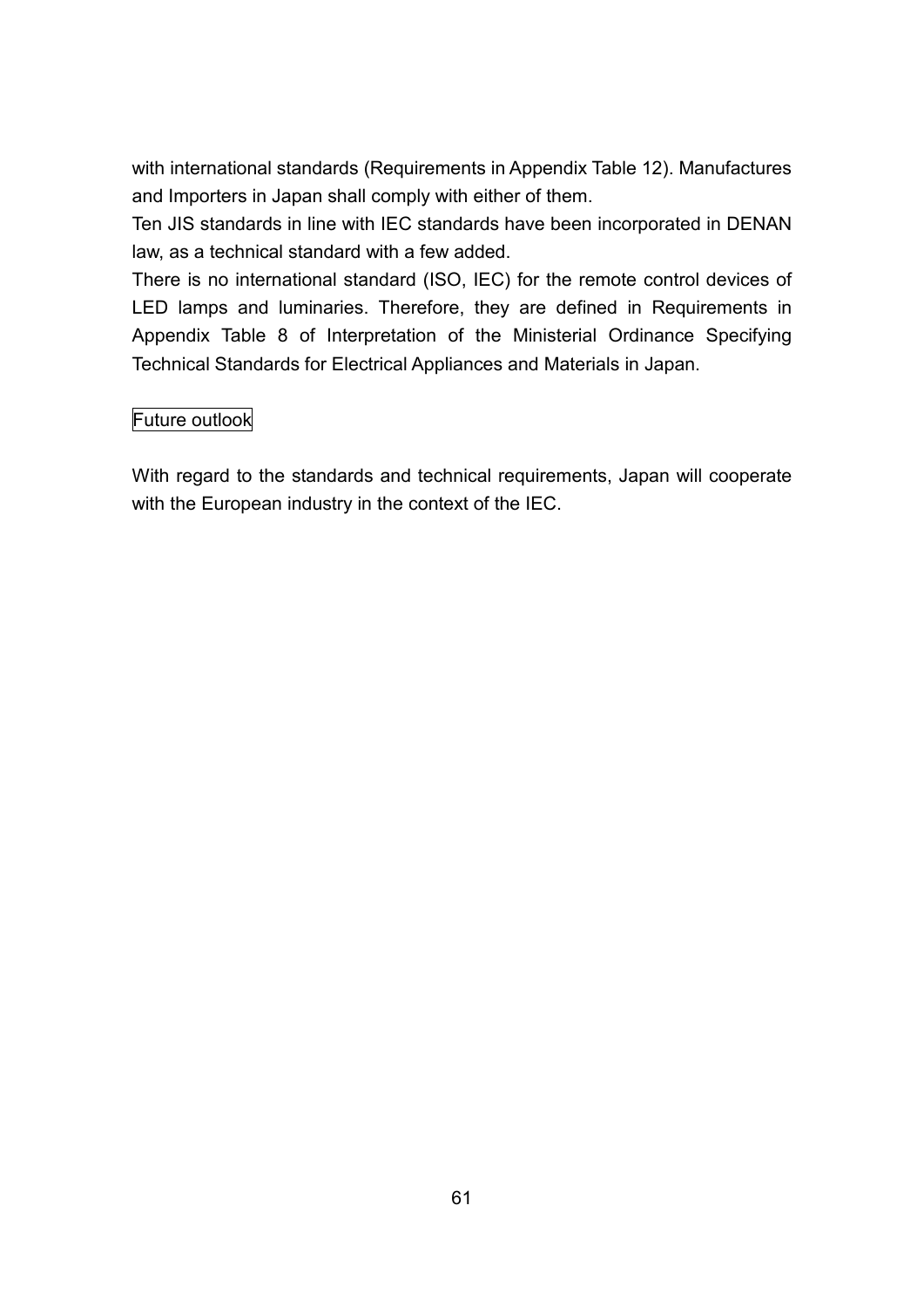with international standards (Requirements in Appendix Table 12). Manufactures and Importers in Japan shall comply with either of them.

Ten JIS standards in line with IEC standards have been incorporated in DENAN law, as a technical standard with a few added.

There is no international standard (ISO, IEC) for the remote control devices of LED lamps and luminaries. Therefore, they are defined in Requirements in Appendix Table 8 of Interpretation of the Ministerial Ordinance Specifying Technical Standards for Electrical Appliances and Materials in Japan.

## Future outlook

With regard to the standards and technical requirements, Japan will cooperate with the European industry in the context of the IEC.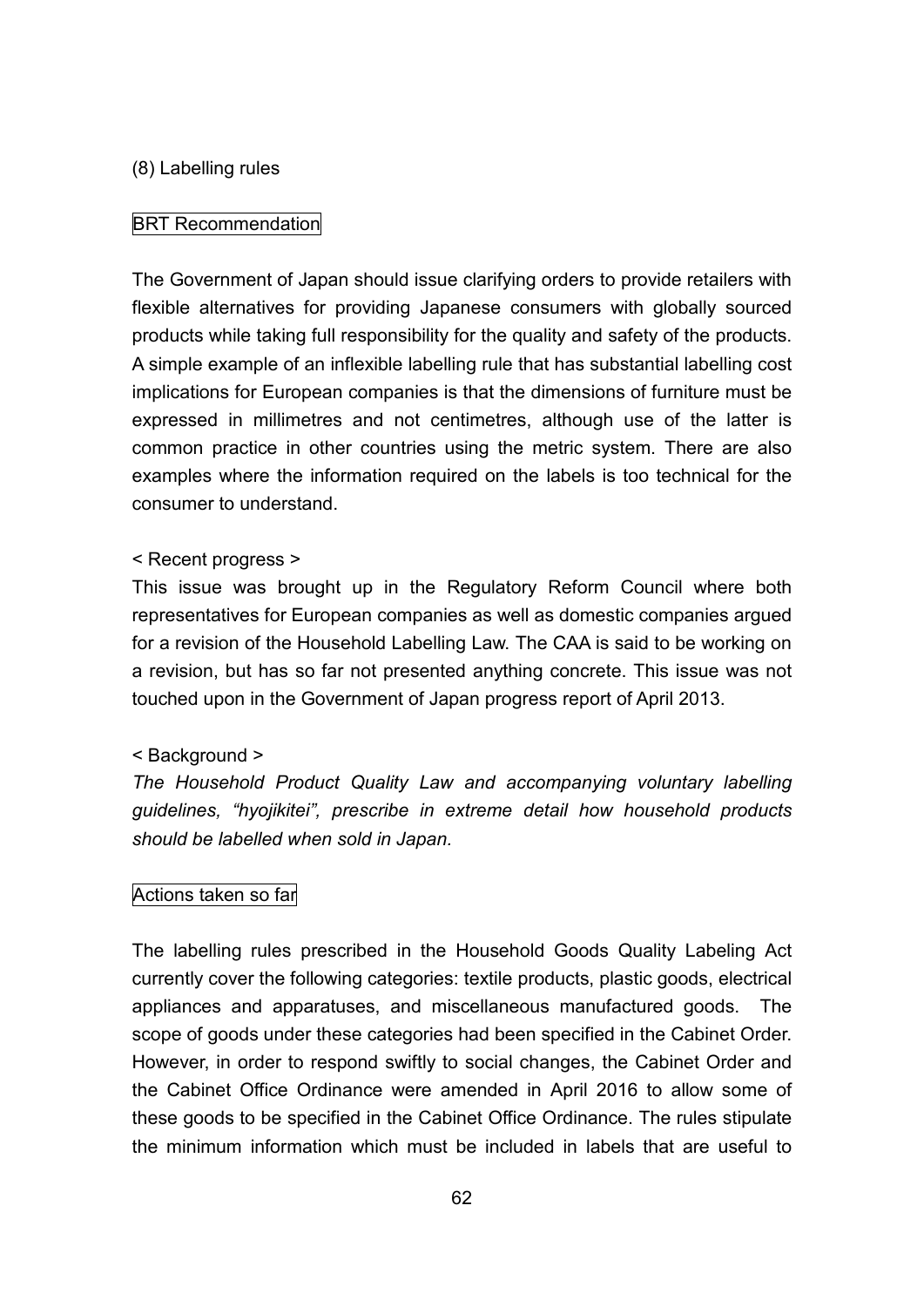### (8) Labelling rules

## BRT Recommendation

The Government of Japan should issue clarifying orders to provide retailers with flexible alternatives for providing Japanese consumers with globally sourced products while taking full responsibility for the quality and safety of the products. A simple example of an inflexible labelling rule that has substantial labelling cost implications for European companies is that the dimensions of furniture must be expressed in millimetres and not centimetres, although use of the latter is common practice in other countries using the metric system. There are also examples where the information required on the labels is too technical for the consumer to understand.

## < Recent progress >

This issue was brought up in the Regulatory Reform Council where both representatives for European companies as well as domestic companies argued for a revision of the Household Labelling Law. The CAA is said to be working on a revision, but has so far not presented anything concrete. This issue was not touched upon in the Government of Japan progress report of April 2013.

### < Background >

*The Household Product Quality Law and accompanying voluntary labelling guidelines, "hyojikitei", prescribe in extreme detail how household products should be labelled when sold in Japan.*

## Actions taken so far

The labelling rules prescribed in the Household Goods Quality Labeling Act currently cover the following categories: textile products, plastic goods, electrical appliances and apparatuses, and miscellaneous manufactured goods. The scope of goods under these categories had been specified in the Cabinet Order. However, in order to respond swiftly to social changes, the Cabinet Order and the Cabinet Office Ordinance were amended in April 2016 to allow some of these goods to be specified in the Cabinet Office Ordinance. The rules stipulate the minimum information which must be included in labels that are useful to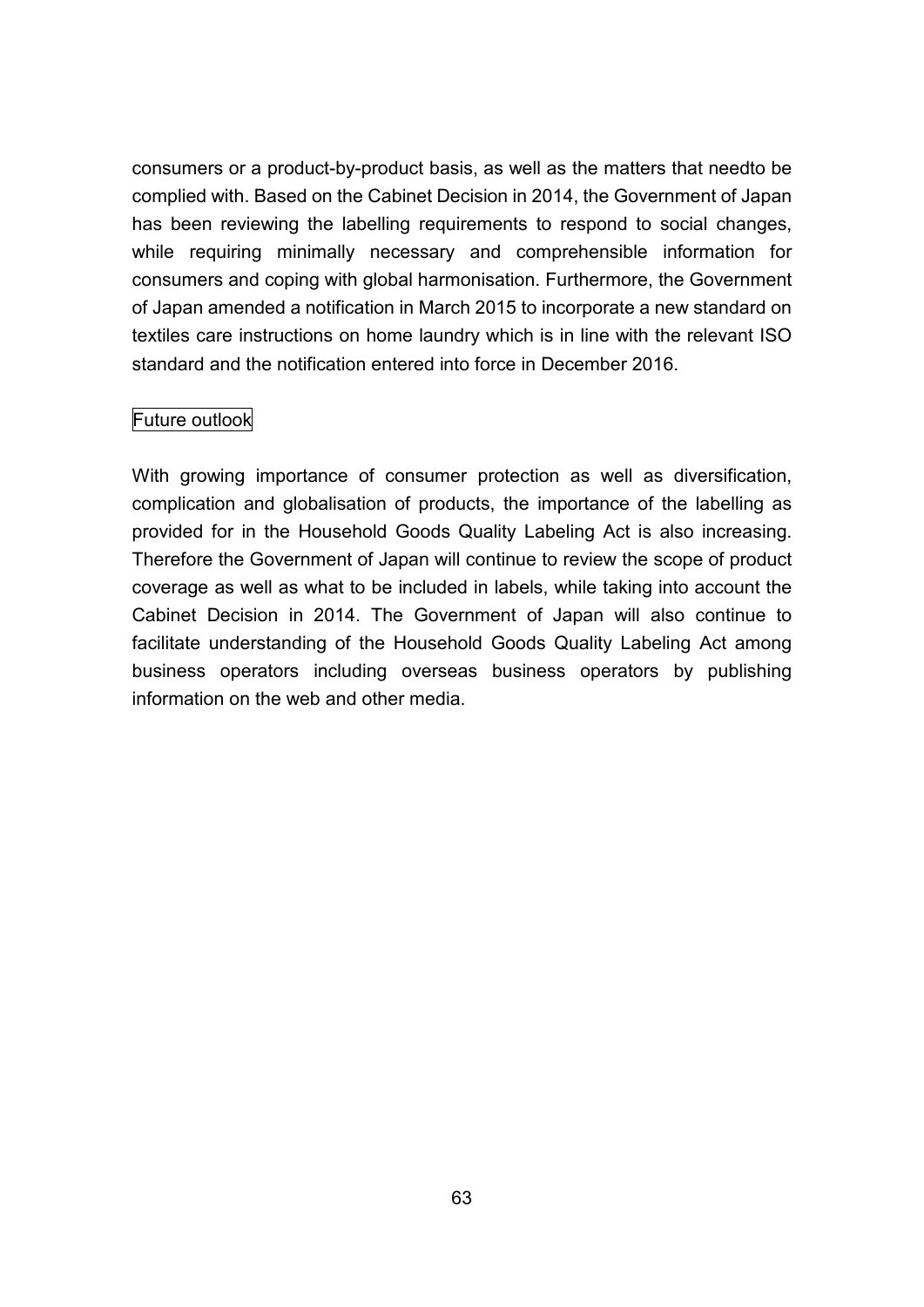consumers or a product-by-product basis, as well as the matters that needto be complied with. Based on the Cabinet Decision in 2014, the Government of Japan has been reviewing the labelling requirements to respond to social changes, while requiring minimally necessary and comprehensible information for consumers and coping with global harmonisation. Furthermore, the Government of Japan amended a notification in March 2015 to incorporate a new standard on textiles care instructions on home laundry which is in line with the relevant ISO standard and the notification entered into force in December 2016.

## Future outlook

With growing importance of consumer protection as well as diversification, complication and globalisation of products, the importance of the labelling as provided for in the Household Goods Quality Labeling Act is also increasing. Therefore the Government of Japan will continue to review the scope of product coverage as well as what to be included in labels, while taking into account the Cabinet Decision in 2014. The Government of Japan will also continue to facilitate understanding of the Household Goods Quality Labeling Act among business operators including overseas business operators by publishing information on the web and other media.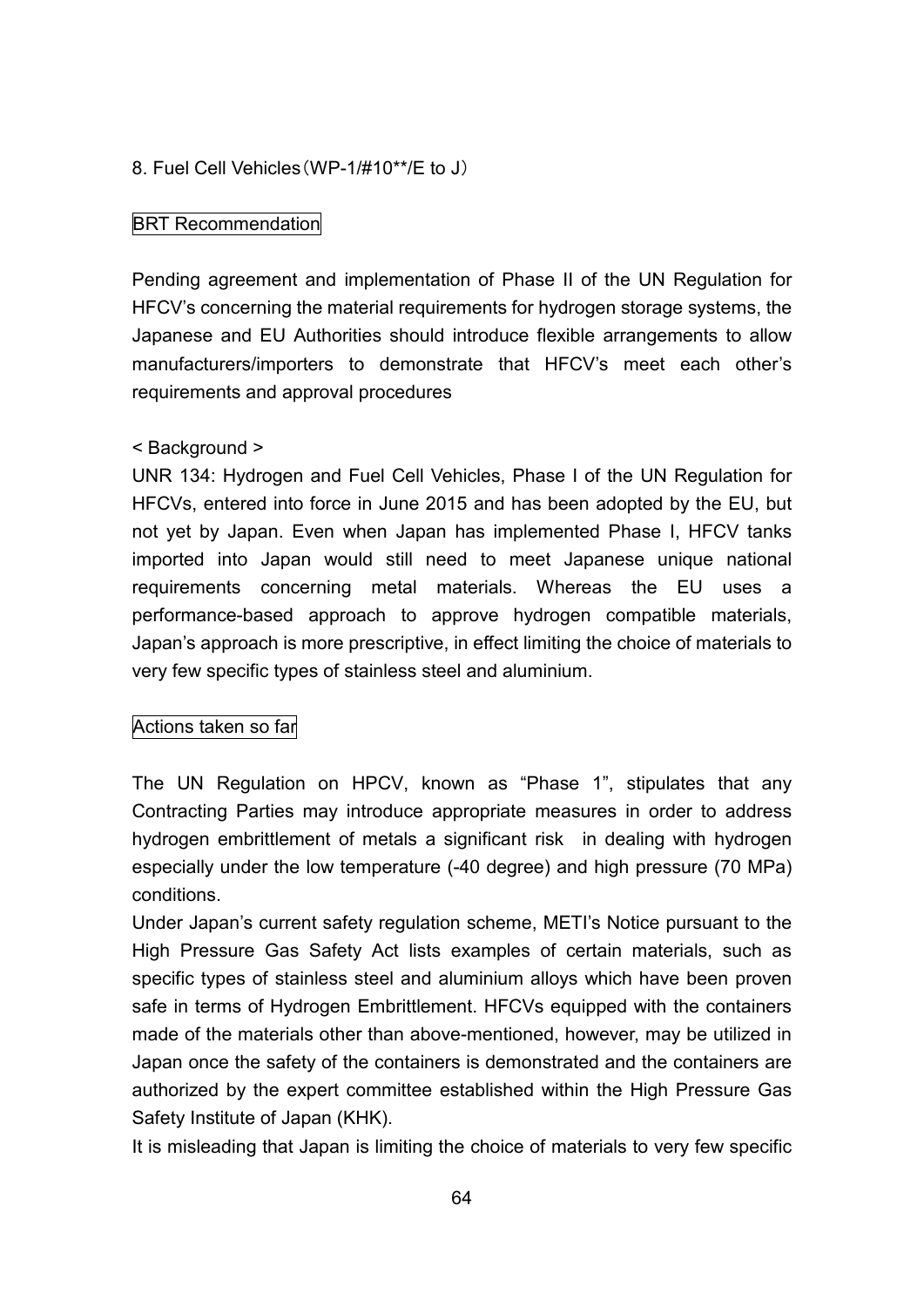## 8. Fuel Cell Vehicles(WP-1/#10\*\*/E to J)

## BRT Recommendation

Pending agreement and implementation of Phase II of the UN Regulation for HFCV's concerning the material requirements for hydrogen storage systems, the Japanese and EU Authorities should introduce flexible arrangements to allow manufacturers/importers to demonstrate that HFCV's meet each other's requirements and approval procedures

### < Background >

UNR 134: Hydrogen and Fuel Cell Vehicles, Phase I of the UN Regulation for HFCVs, entered into force in June 2015 and has been adopted by the EU, but not yet by Japan. Even when Japan has implemented Phase I, HFCV tanks imported into Japan would still need to meet Japanese unique national requirements concerning metal materials. Whereas the EU uses a performance-based approach to approve hydrogen compatible materials, Japan's approach is more prescriptive, in effect limiting the choice of materials to very few specific types of stainless steel and aluminium.

## Actions taken so far

The UN Regulation on HPCV, known as "Phase 1", stipulates that any Contracting Parties may introduce appropriate measures in order to address hydrogen embrittlement of metals a significant risk in dealing with hydrogen especially under the low temperature (-40 degree) and high pressure (70 MPa) conditions.

Under Japan's current safety regulation scheme, METI's Notice pursuant to the High Pressure Gas Safety Act lists examples of certain materials, such as specific types of stainless steel and aluminium alloys which have been proven safe in terms of Hydrogen Embrittlement. HFCVs equipped with the containers made of the materials other than above-mentioned, however, may be utilized in Japan once the safety of the containers is demonstrated and the containers are authorized by the expert committee established within the High Pressure Gas Safety Institute of Japan (KHK).

It is misleading that Japan is limiting the choice of materials to very few specific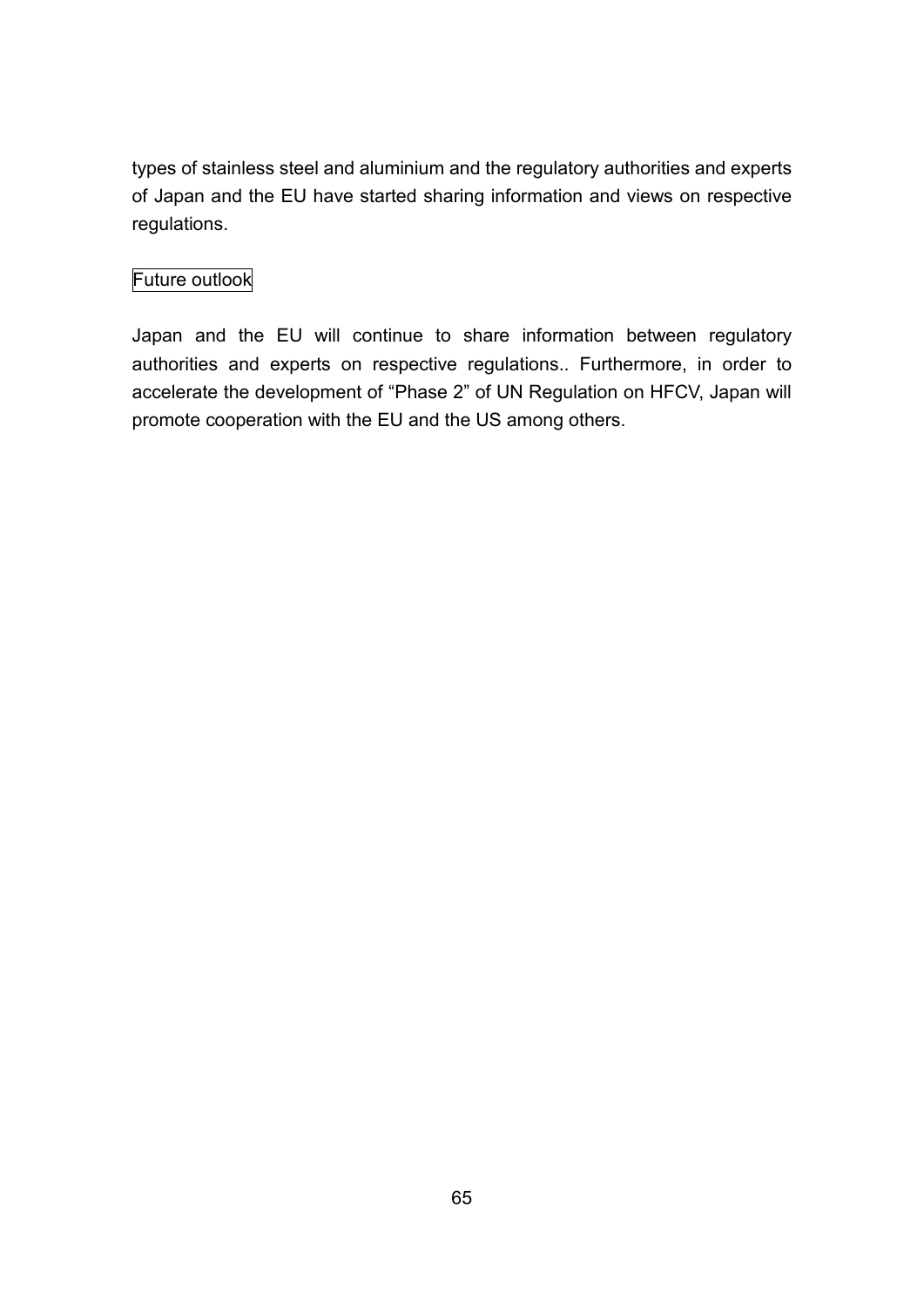types of stainless steel and aluminium and the regulatory authorities and experts of Japan and the EU have started sharing information and views on respective regulations.

## Future outlook

Japan and the EU will continue to share information between regulatory authorities and experts on respective regulations.. Furthermore, in order to accelerate the development of "Phase 2" of UN Regulation on HFCV, Japan will promote cooperation with the EU and the US among others.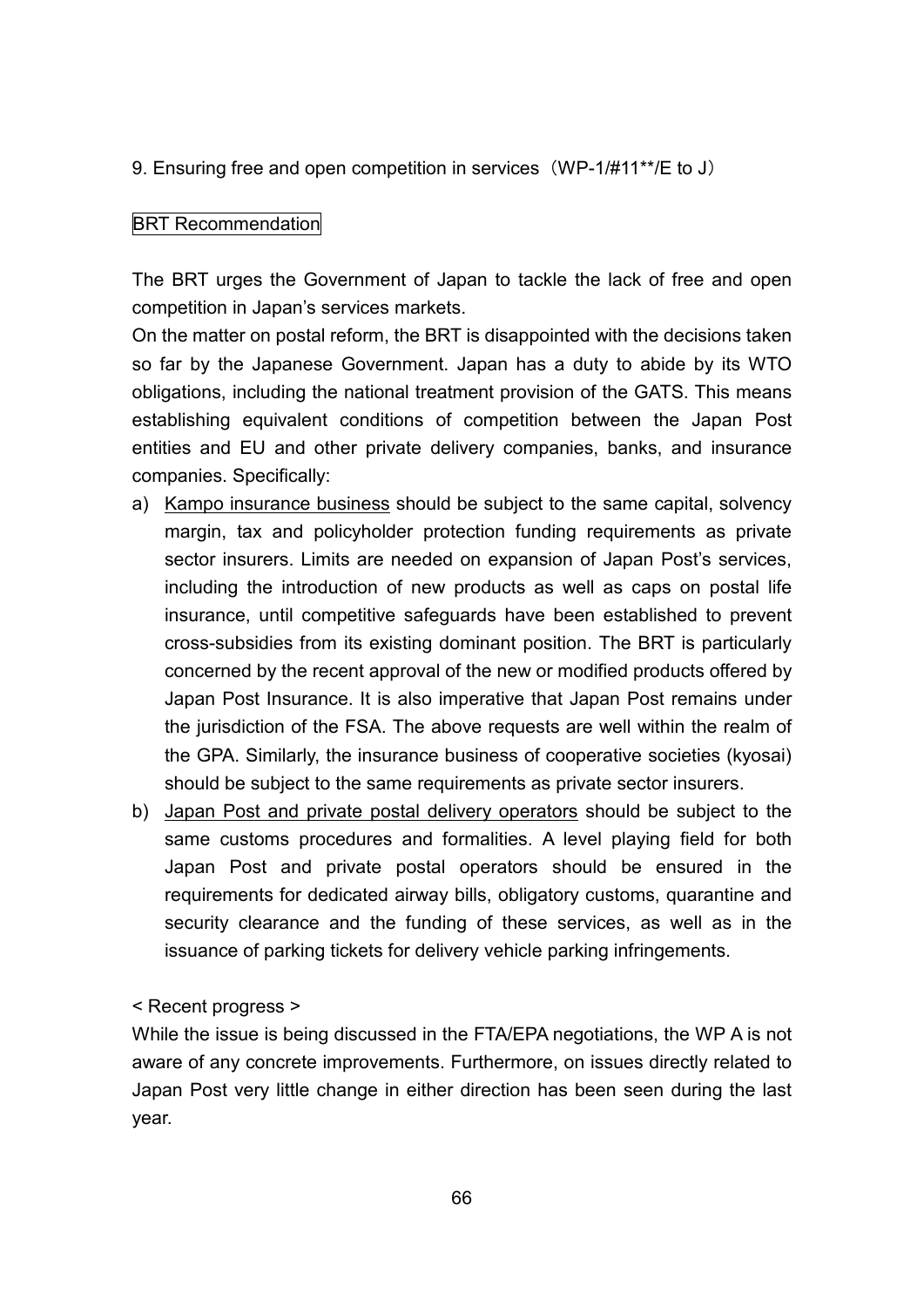9. Ensuring free and open competition in services (WP-1/#11\*\*/E to J)

## BRT Recommendation

The BRT urges the Government of Japan to tackle the lack of free and open competition in Japan's services markets.

On the matter on postal reform, the BRT is disappointed with the decisions taken so far by the Japanese Government. Japan has a duty to abide by its WTO obligations, including the national treatment provision of the GATS. This means establishing equivalent conditions of competition between the Japan Post entities and EU and other private delivery companies, banks, and insurance companies. Specifically:

- a) Kampo insurance business should be subject to the same capital, solvency margin, tax and policyholder protection funding requirements as private sector insurers. Limits are needed on expansion of Japan Post's services, including the introduction of new products as well as caps on postal life insurance, until competitive safeguards have been established to prevent cross-subsidies from its existing dominant position. The BRT is particularly concerned by the recent approval of the new or modified products offered by Japan Post Insurance. It is also imperative that Japan Post remains under the jurisdiction of the FSA. The above requests are well within the realm of the GPA. Similarly, the insurance business of cooperative societies (kyosai) should be subject to the same requirements as private sector insurers.
- b) Japan Post and private postal delivery operators should be subject to the same customs procedures and formalities. A level playing field for both Japan Post and private postal operators should be ensured in the requirements for dedicated airway bills, obligatory customs, quarantine and security clearance and the funding of these services, as well as in the issuance of parking tickets for delivery vehicle parking infringements.

## < Recent progress >

While the issue is being discussed in the FTA/EPA negotiations, the WP A is not aware of any concrete improvements. Furthermore, on issues directly related to Japan Post very little change in either direction has been seen during the last year.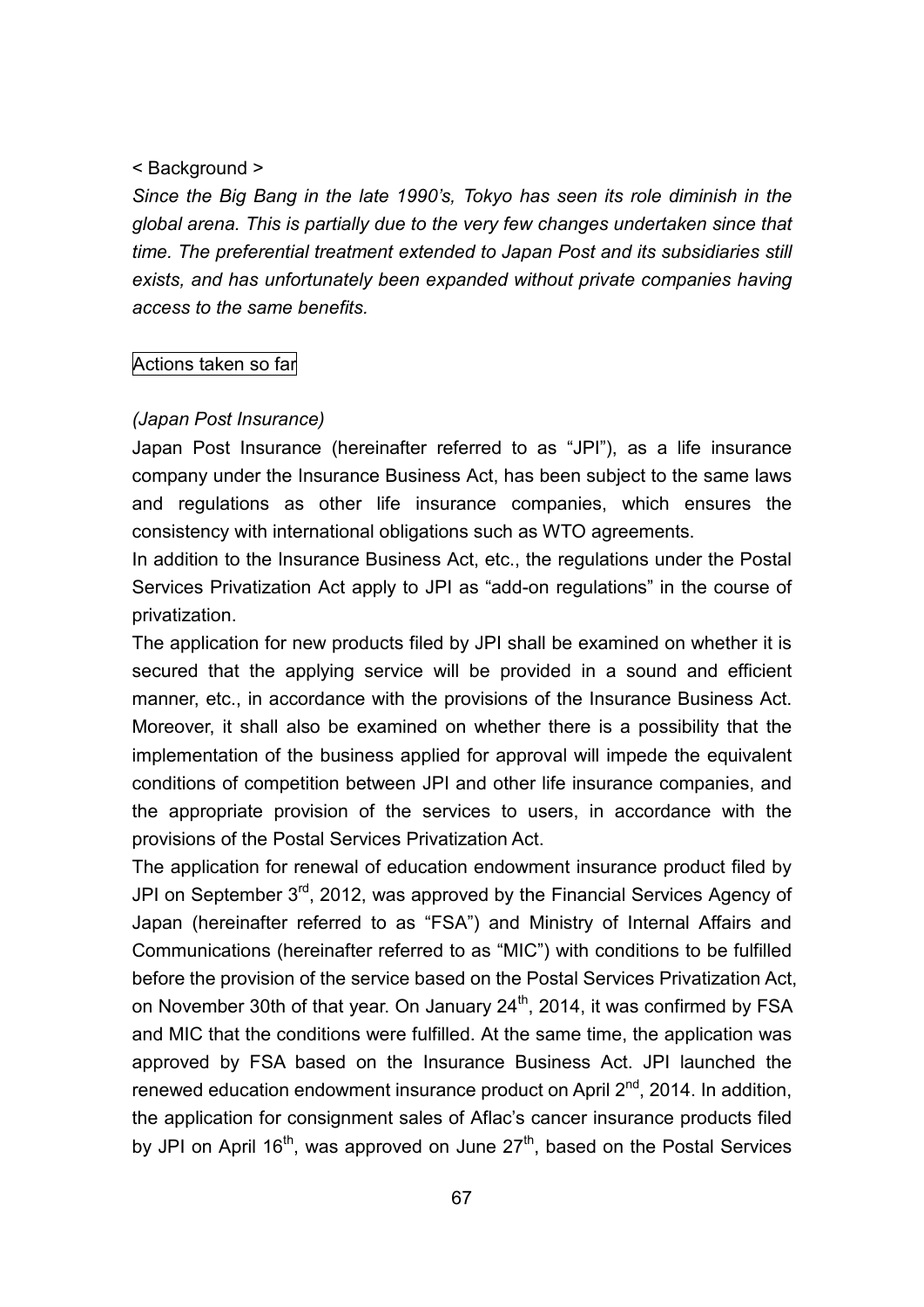#### < Background >

*Since the Big Bang in the late 1990's, Tokyo has seen its role diminish in the global arena. This is partially due to the very few changes undertaken since that time. The preferential treatment extended to Japan Post and its subsidiaries still exists, and has unfortunately been expanded without private companies having access to the same benefits.*

#### Actions taken so far

#### *(Japan Post Insurance)*

Japan Post Insurance (hereinafter referred to as "JPI"), as a life insurance company under the Insurance Business Act, has been subject to the same laws and regulations as other life insurance companies, which ensures the consistency with international obligations such as WTO agreements.

In addition to the Insurance Business Act, etc., the regulations under the Postal Services Privatization Act apply to JPI as "add-on regulations" in the course of privatization.

The application for new products filed by JPI shall be examined on whether it is secured that the applying service will be provided in a sound and efficient manner, etc., in accordance with the provisions of the Insurance Business Act. Moreover, it shall also be examined on whether there is a possibility that the implementation of the business applied for approval will impede the equivalent conditions of competition between JPI and other life insurance companies, and the appropriate provision of the services to users, in accordance with the provisions of the Postal Services Privatization Act.

The application for renewal of education endowment insurance product filed by JPI on September  $3^{rd}$ , 2012, was approved by the Financial Services Agency of Japan (hereinafter referred to as "FSA") and Ministry of Internal Affairs and Communications (hereinafter referred to as "MIC") with conditions to be fulfilled before the provision of the service based on the Postal Services Privatization Act, on November 30th of that year. On January 24<sup>th</sup>, 2014, it was confirmed by FSA and MIC that the conditions were fulfilled. At the same time, the application was approved by FSA based on the Insurance Business Act. JPI launched the renewed education endowment insurance product on April 2<sup>nd</sup>, 2014. In addition, the application for consignment sales of Aflac's cancer insurance products filed by JPI on April 16<sup>th</sup>, was approved on June 27<sup>th</sup>, based on the Postal Services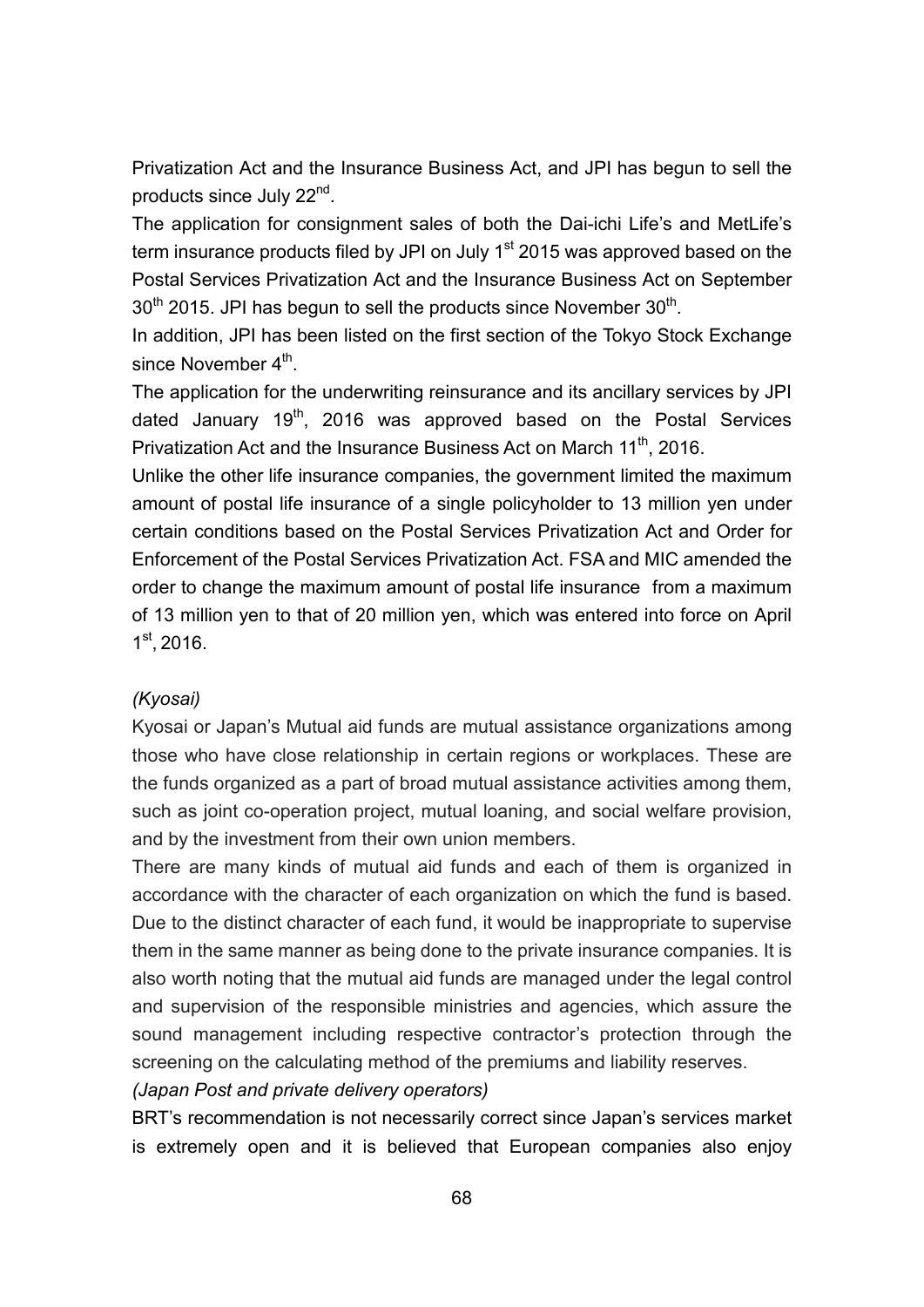Privatization Act and the Insurance Business Act, and JPI has begun to sell the products since July 22<sup>nd</sup>.

The application for consignment sales of both the Dai-ichi Life's and MetLife's term insurance products filed by JPI on July 1<sup>st</sup> 2015 was approved based on the Postal Services Privatization Act and the Insurance Business Act on September  $30<sup>th</sup>$  2015. JPI has begun to sell the products since November  $30<sup>th</sup>$ .

In addition, JPI has been listed on the first section of the Tokyo Stock Exchange since November 4<sup>th</sup>.

The application for the underwriting reinsurance and its ancillary services by JPI dated January 19<sup>th</sup>, 2016 was approved based on the Postal Services Privatization Act and the Insurance Business Act on March 11<sup>th</sup>, 2016.

Unlike the other life insurance companies, the government limited the maximum amount of postal life insurance of a single policyholder to 13 million yen under certain conditions based on the Postal Services Privatization Act and Order for Enforcement of the Postal Services Privatization Act. FSA and MIC amended the order to change the maximum amount of postal life insurance from a maximum of 13 million yen to that of 20 million yen, which was entered into force on April 1 st , 2016.

### *(Kyosai)*

Kyosai or Japan's Mutual aid funds are mutual assistance organizations among those who have close relationship in certain regions or workplaces. These are the funds organized as a part of broad mutual assistance activities among them, such as joint co-operation project, mutual loaning, and social welfare provision, and by the investment from their own union members.

There are many kinds of mutual aid funds and each of them is organized in accordance with the character of each organization on which the fund is based. Due to the distinct character of each fund, it would be inappropriate to supervise them in the same manner as being done to the private insurance companies. It is also worth noting that the mutual aid funds are managed under the legal control and supervision of the responsible ministries and agencies, which assure the sound management including respective contractor's protection through the screening on the calculating method of the premiums and liability reserves.

## *(Japan Post and private delivery operators)*

BRT's recommendation is not necessarily correct since Japan's services market is extremely open and it is believed that European companies also enjoy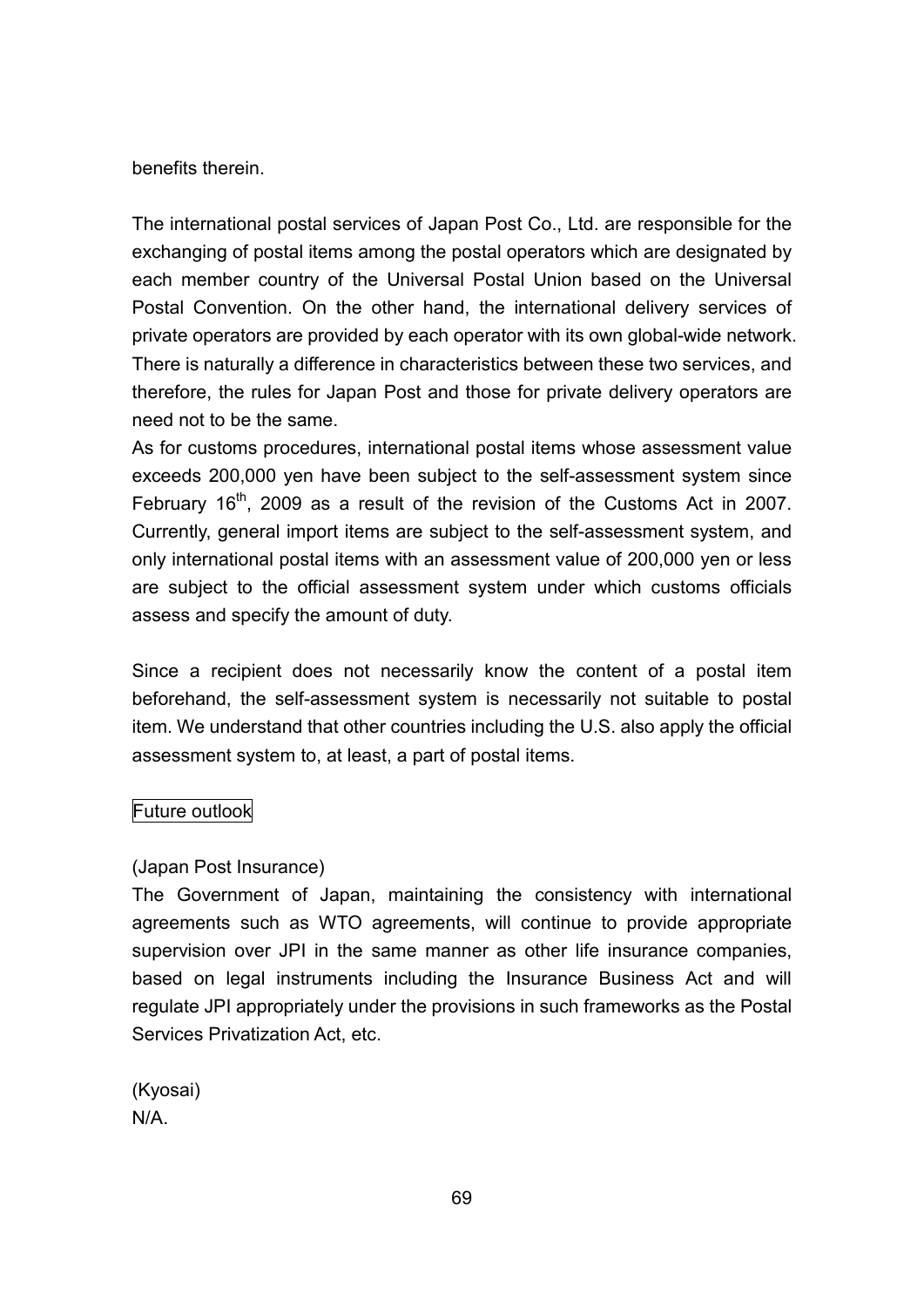benefits therein.

The international postal services of Japan Post Co., Ltd. are responsible for the exchanging of postal items among the postal operators which are designated by each member country of the Universal Postal Union based on the Universal Postal Convention. On the other hand, the international delivery services of private operators are provided by each operator with its own global-wide network. There is naturally a difference in characteristics between these two services, and therefore, the rules for Japan Post and those for private delivery operators are need not to be the same.

As for customs procedures, international postal items whose assessment value exceeds 200,000 yen have been subject to the self-assessment system since February 16<sup>th</sup>, 2009 as a result of the revision of the Customs Act in 2007. Currently, general import items are subject to the self-assessment system, and only international postal items with an assessment value of 200,000 yen or less are subject to the official assessment system under which customs officials assess and specify the amount of duty.

Since a recipient does not necessarily know the content of a postal item beforehand, the self-assessment system is necessarily not suitable to postal item. We understand that other countries including the U.S. also apply the official assessment system to, at least, a part of postal items.

### Future outlook

## (Japan Post Insurance)

The Government of Japan, maintaining the consistency with international agreements such as WTO agreements, will continue to provide appropriate supervision over JPI in the same manner as other life insurance companies, based on legal instruments including the Insurance Business Act and will regulate JPI appropriately under the provisions in such frameworks as the Postal Services Privatization Act, etc.

(Kyosai) N/A.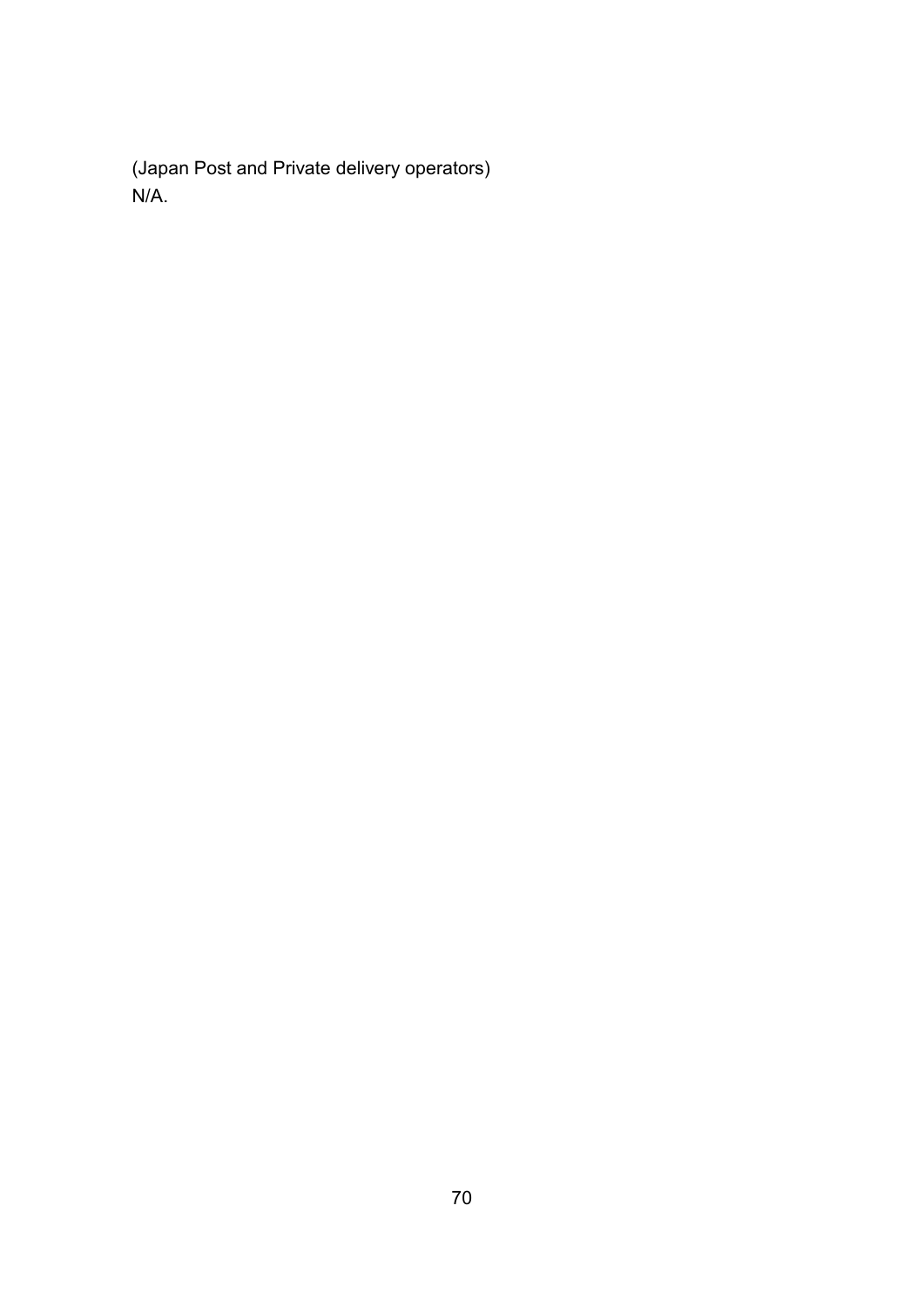(Japan Post and Private delivery operators) N/A.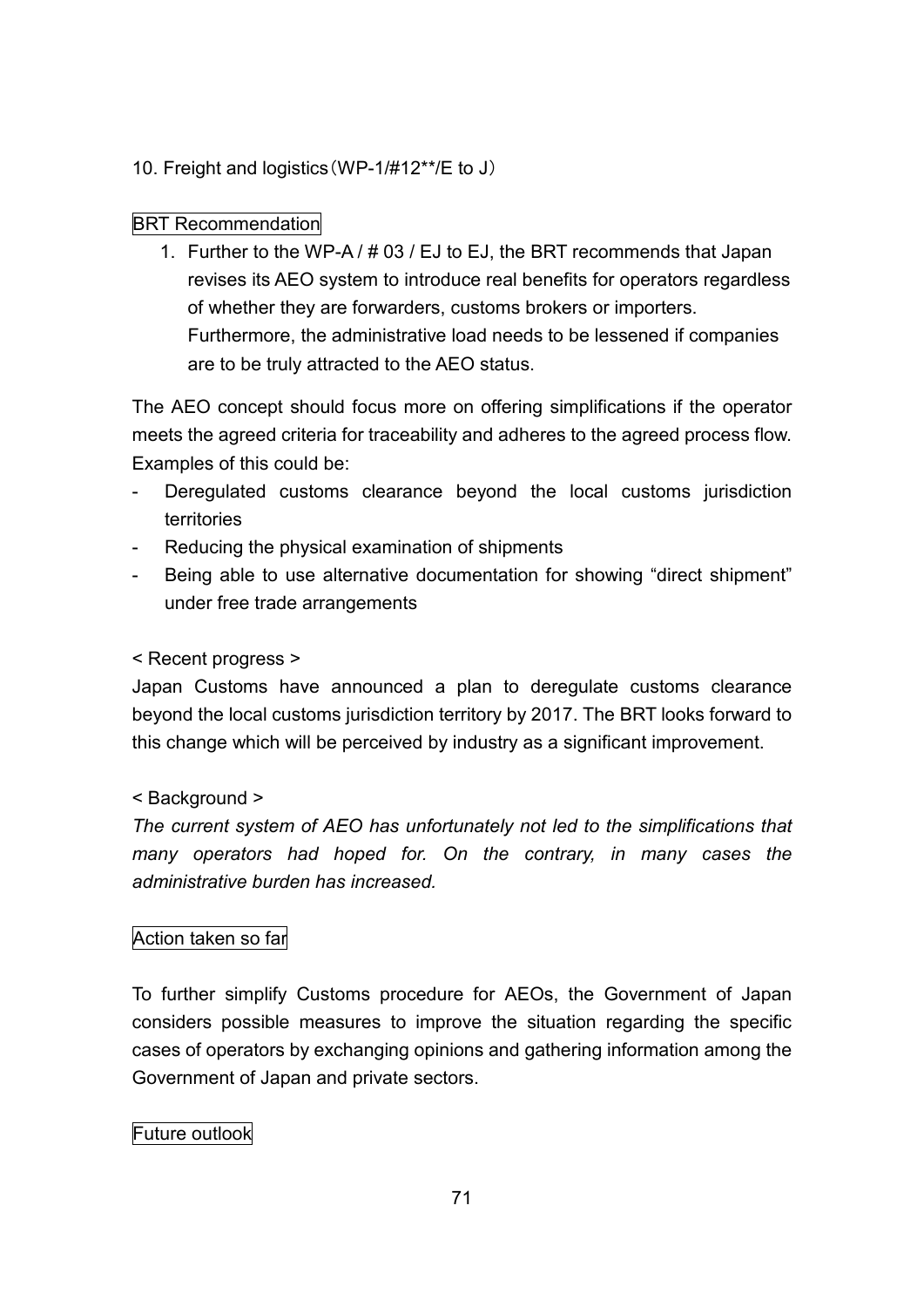10. Freight and logistics(WP-1/#12\*\*/E to J)

## BRT Recommendation

1. Further to the WP-A / # 03 / EJ to EJ, the BRT recommends that Japan revises its AEO system to introduce real benefits for operators regardless of whether they are forwarders, customs brokers or importers. Furthermore, the administrative load needs to be lessened if companies are to be truly attracted to the AEO status.

The AEO concept should focus more on offering simplifications if the operator meets the agreed criteria for traceability and adheres to the agreed process flow. Examples of this could be:

- Deregulated customs clearance beyond the local customs jurisdiction territories
- Reducing the physical examination of shipments
- Being able to use alternative documentation for showing "direct shipment" under free trade arrangements

## < Recent progress >

Japan Customs have announced a plan to deregulate customs clearance beyond the local customs jurisdiction territory by 2017. The BRT looks forward to this change which will be perceived by industry as a significant improvement.

## < Background >

*The current system of AEO has unfortunately not led to the simplifications that many operators had hoped for. On the contrary, in many cases the administrative burden has increased.*

## Action taken so far

To further simplify Customs procedure for AEOs, the Government of Japan considers possible measures to improve the situation regarding the specific cases of operators by exchanging opinions and gathering information among the Government of Japan and private sectors.

## Future outlook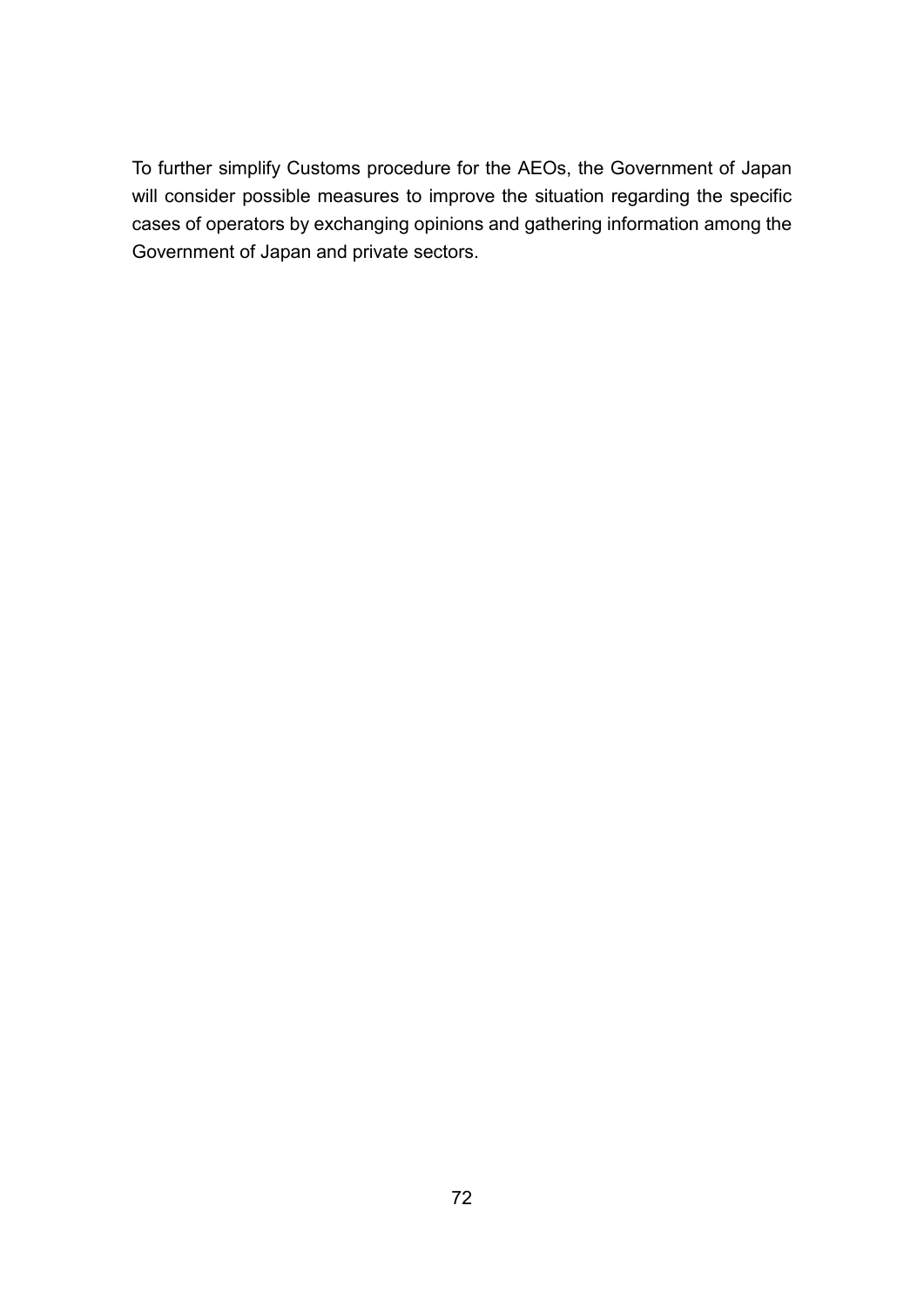To further simplify Customs procedure for the AEOs, the Government of Japan will consider possible measures to improve the situation regarding the specific cases of operators by exchanging opinions and gathering information among the Government of Japan and private sectors.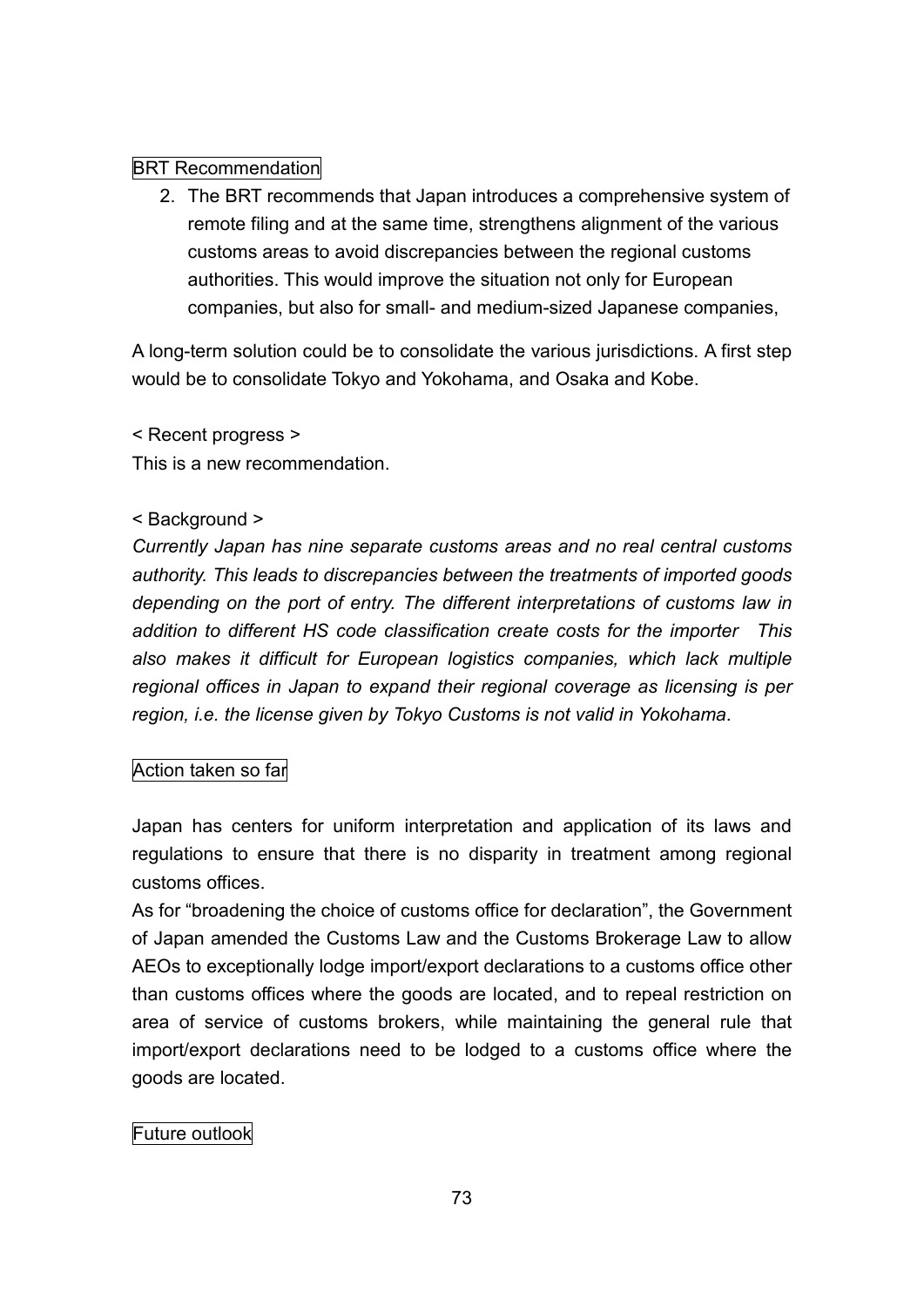# BRT Recommendation

2. The BRT recommends that Japan introduces a comprehensive system of remote filing and at the same time, strengthens alignment of the various customs areas to avoid discrepancies between the regional customs authorities. This would improve the situation not only for European companies, but also for small- and medium-sized Japanese companies,

A long-term solution could be to consolidate the various jurisdictions. A first step would be to consolidate Tokyo and Yokohama, and Osaka and Kobe.

< Recent progress >

This is a new recommendation.

# < Background >

*Currently Japan has nine separate customs areas and no real central customs authority. This leads to discrepancies between the treatments of imported goods depending on the port of entry. The different interpretations of customs law in addition to different HS code classification create costs for the importer This also makes it difficult for European logistics companies, which lack multiple regional offices in Japan to expand their regional coverage as licensing is per region, i.e. the license given by Tokyo Customs is not valid in Yokohama*.

# Action taken so far

Japan has centers for uniform interpretation and application of its laws and regulations to ensure that there is no disparity in treatment among regional customs offices.

As for "broadening the choice of customs office for declaration", the Government of Japan amended the Customs Law and the Customs Brokerage Law to allow AEOs to exceptionally lodge import/export declarations to a customs office other than customs offices where the goods are located, and to repeal restriction on area of service of customs brokers, while maintaining the general rule that import/export declarations need to be lodged to a customs office where the goods are located.

# Future outlook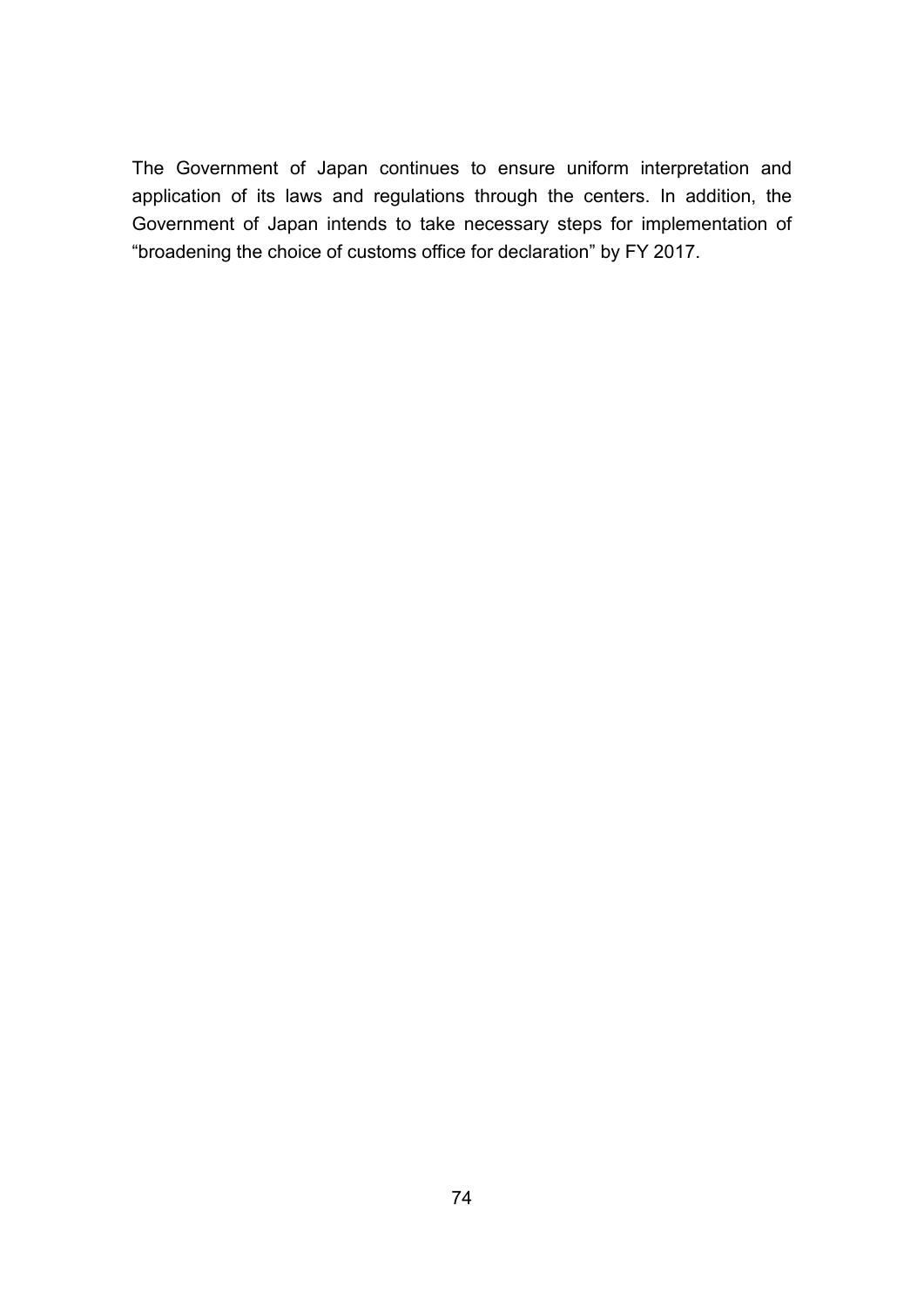The Government of Japan continues to ensure uniform interpretation and application of its laws and regulations through the centers. In addition, the Government of Japan intends to take necessary steps for implementation of "broadening the choice of customs office for declaration" by FY 2017.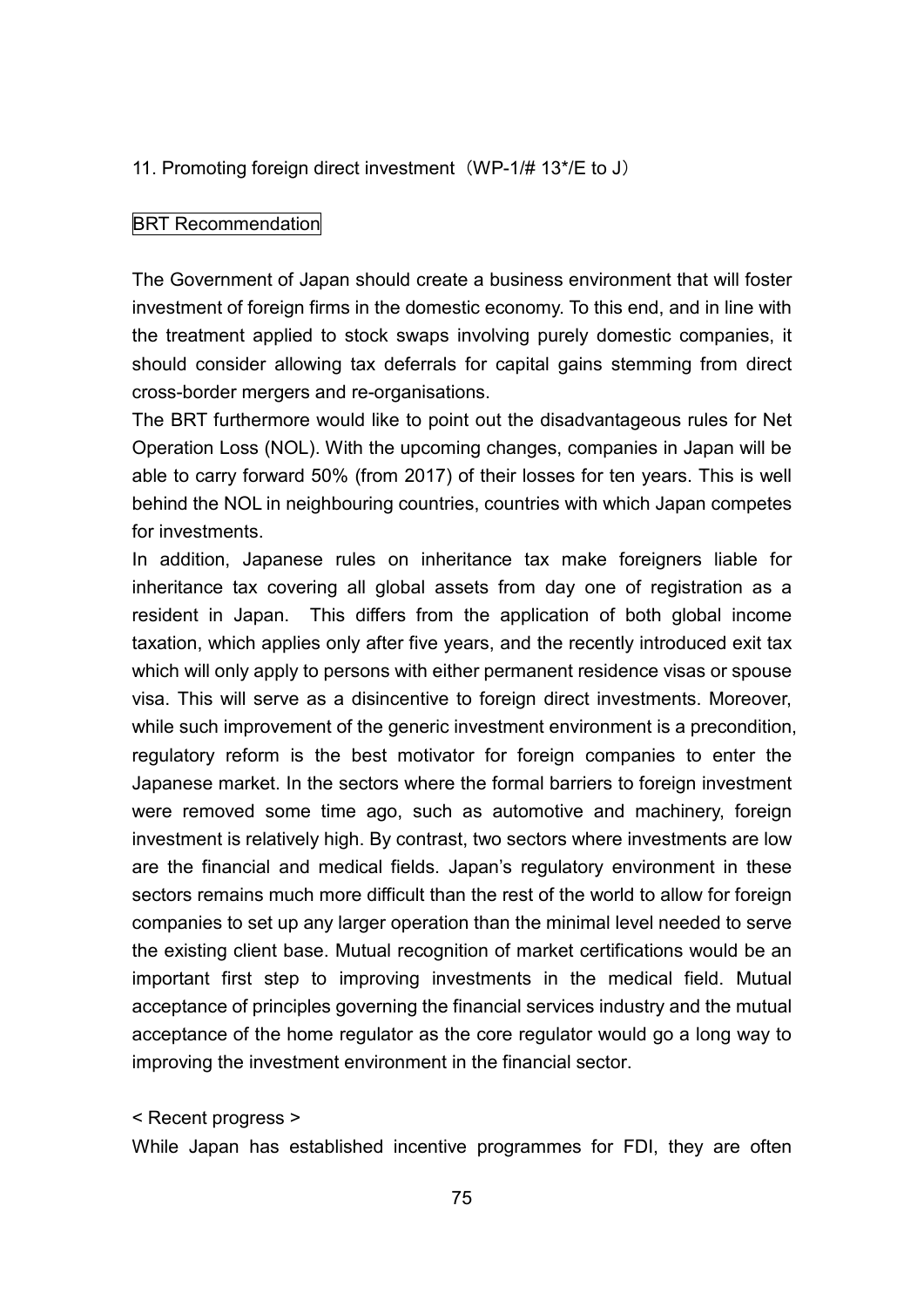#### 11. Promoting foreign direct investment (WP-1/# 13\*/E to J)

#### BRT Recommendation

The Government of Japan should create a business environment that will foster investment of foreign firms in the domestic economy. To this end, and in line with the treatment applied to stock swaps involving purely domestic companies, it should consider allowing tax deferrals for capital gains stemming from direct cross-border mergers and re-organisations.

The BRT furthermore would like to point out the disadvantageous rules for Net Operation Loss (NOL). With the upcoming changes, companies in Japan will be able to carry forward 50% (from 2017) of their losses for ten years. This is well behind the NOL in neighbouring countries, countries with which Japan competes for investments.

In addition, Japanese rules on inheritance tax make foreigners liable for inheritance tax covering all global assets from day one of registration as a resident in Japan. This differs from the application of both global income taxation, which applies only after five years, and the recently introduced exit tax which will only apply to persons with either permanent residence visas or spouse visa. This will serve as a disincentive to foreign direct investments. Moreover, while such improvement of the generic investment environment is a precondition, regulatory reform is the best motivator for foreign companies to enter the Japanese market. In the sectors where the formal barriers to foreign investment were removed some time ago, such as automotive and machinery, foreign investment is relatively high. By contrast, two sectors where investments are low are the financial and medical fields. Japan's regulatory environment in these sectors remains much more difficult than the rest of the world to allow for foreign companies to set up any larger operation than the minimal level needed to serve the existing client base. Mutual recognition of market certifications would be an important first step to improving investments in the medical field. Mutual acceptance of principles governing the financial services industry and the mutual acceptance of the home regulator as the core regulator would go a long way to improving the investment environment in the financial sector.

#### < Recent progress >

While Japan has established incentive programmes for FDI, they are often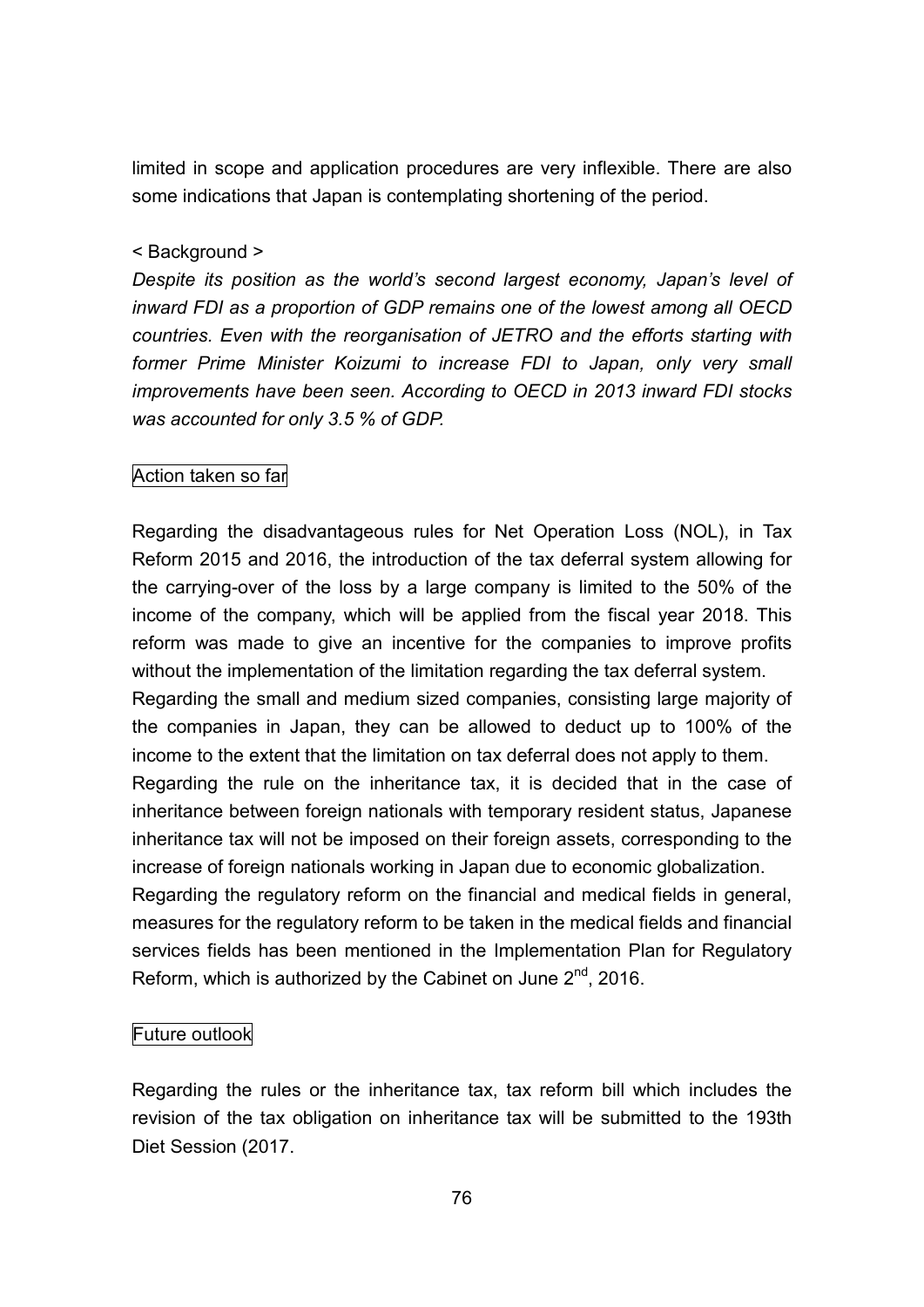limited in scope and application procedures are very inflexible. There are also some indications that Japan is contemplating shortening of the period.

### < Background >

*Despite its position as the world's second largest economy, Japan's level of inward FDI as a proportion of GDP remains one of the lowest among all OECD countries. Even with the reorganisation of JETRO and the efforts starting with former Prime Minister Koizumi to increase FDI to Japan, only very small improvements have been seen. According to OECD in 2013 inward FDI stocks was accounted for only 3.5 % of GDP.*

### Action taken so far

Regarding the disadvantageous rules for Net Operation Loss (NOL), in Tax Reform 2015 and 2016, the introduction of the tax deferral system allowing for the carrying-over of the loss by a large company is limited to the 50% of the income of the company, which will be applied from the fiscal year 2018. This reform was made to give an incentive for the companies to improve profits without the implementation of the limitation regarding the tax deferral system. Regarding the small and medium sized companies, consisting large majority of

the companies in Japan, they can be allowed to deduct up to 100% of the income to the extent that the limitation on tax deferral does not apply to them.

Regarding the rule on the inheritance tax, it is decided that in the case of inheritance between foreign nationals with temporary resident status, Japanese inheritance tax will not be imposed on their foreign assets, corresponding to the increase of foreign nationals working in Japan due to economic globalization.

Regarding the regulatory reform on the financial and medical fields in general, measures for the regulatory reform to be taken in the medical fields and financial services fields has been mentioned in the Implementation Plan for Regulatory Reform, which is authorized by the Cabinet on June  $2^{nd}$ , 2016.

# Future outlook

Regarding the rules or the inheritance tax, tax reform bill which includes the revision of the tax obligation on inheritance tax will be submitted to the 193th Diet Session (2017.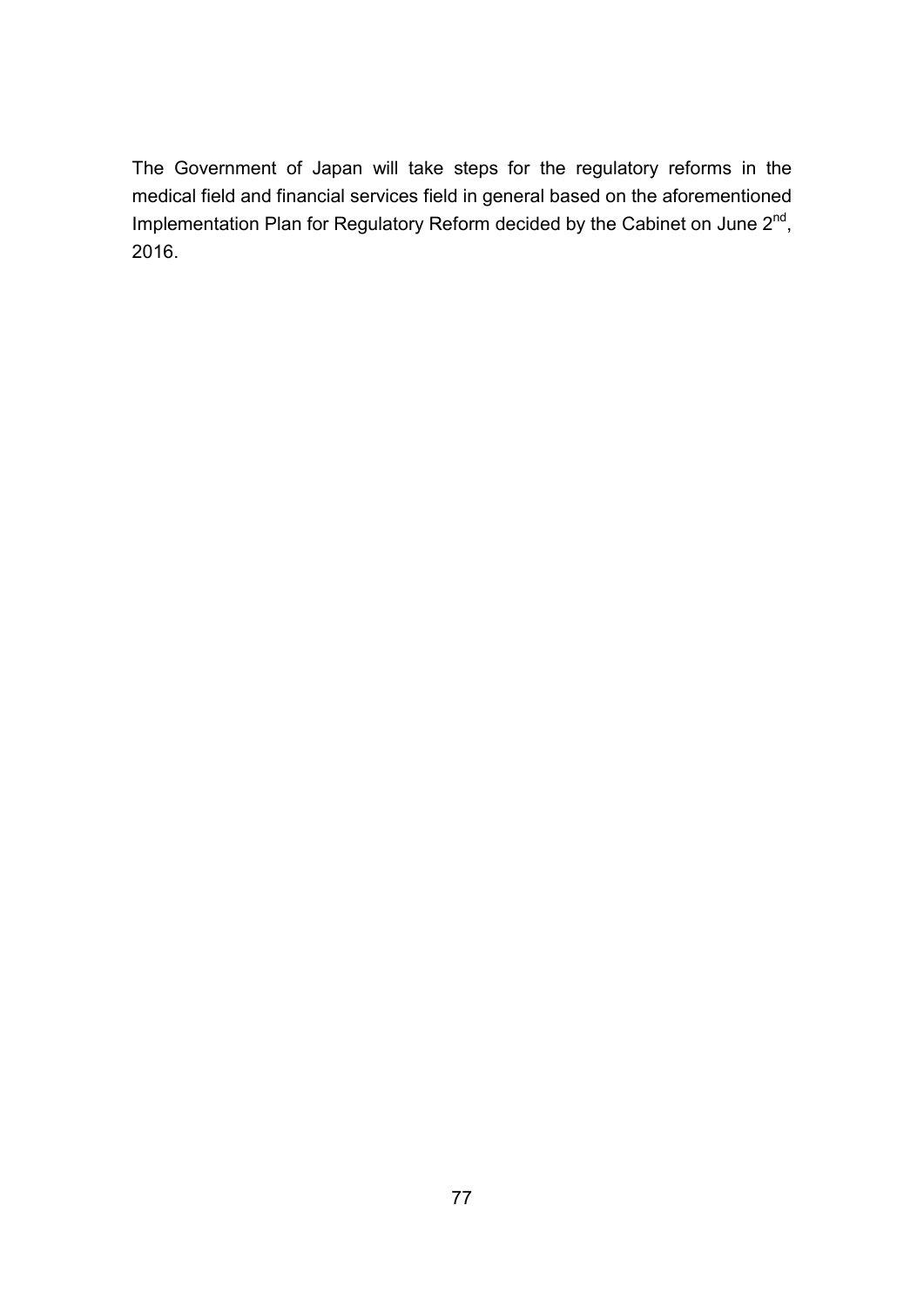The Government of Japan will take steps for the regulatory reforms in the medical field and financial services field in general based on the aforementioned Implementation Plan for Regulatory Reform decided by the Cabinet on June 2<sup>nd</sup>, 2016.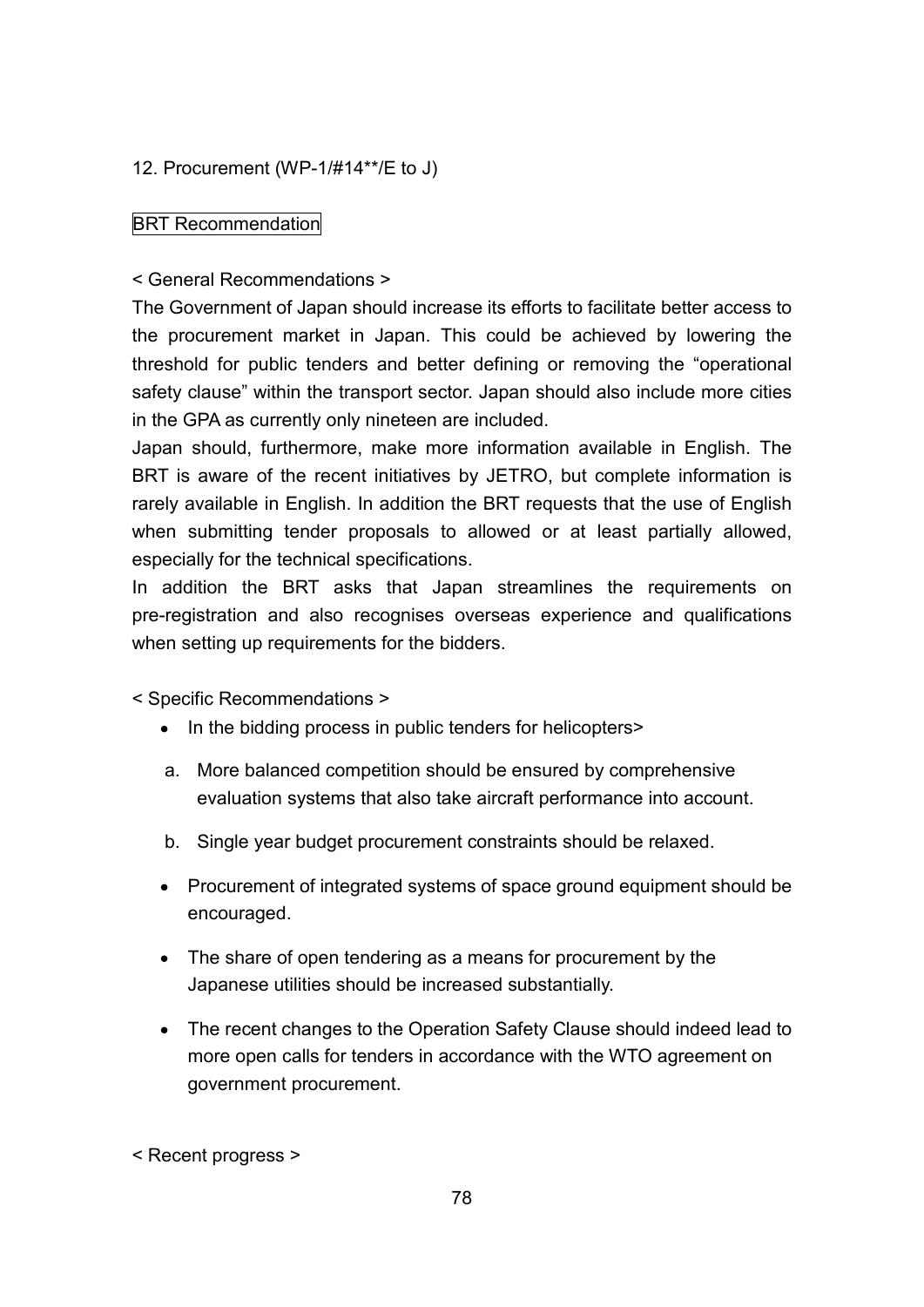# 12. Procurement (WP-1/#14\*\*/E to J)

# BRT Recommendation

# < General Recommendations >

The Government of Japan should increase its efforts to facilitate better access to the procurement market in Japan. This could be achieved by lowering the threshold for public tenders and better defining or removing the "operational safety clause" within the transport sector. Japan should also include more cities in the GPA as currently only nineteen are included.

Japan should, furthermore, make more information available in English. The BRT is aware of the recent initiatives by JETRO, but complete information is rarely available in English. In addition the BRT requests that the use of English when submitting tender proposals to allowed or at least partially allowed, especially for the technical specifications.

In addition the BRT asks that Japan streamlines the requirements on pre-registration and also recognises overseas experience and qualifications when setting up requirements for the bidders.

< Specific Recommendations >

- In the bidding process in public tenders for helicopters>
- a. More balanced competition should be ensured by comprehensive evaluation systems that also take aircraft performance into account.
- b. Single year budget procurement constraints should be relaxed.
- Procurement of integrated systems of space ground equipment should be encouraged.
- The share of open tendering as a means for procurement by the Japanese utilities should be increased substantially.
- The recent changes to the Operation Safety Clause should indeed lead to more open calls for tenders in accordance with the WTO agreement on government procurement.

< Recent progress >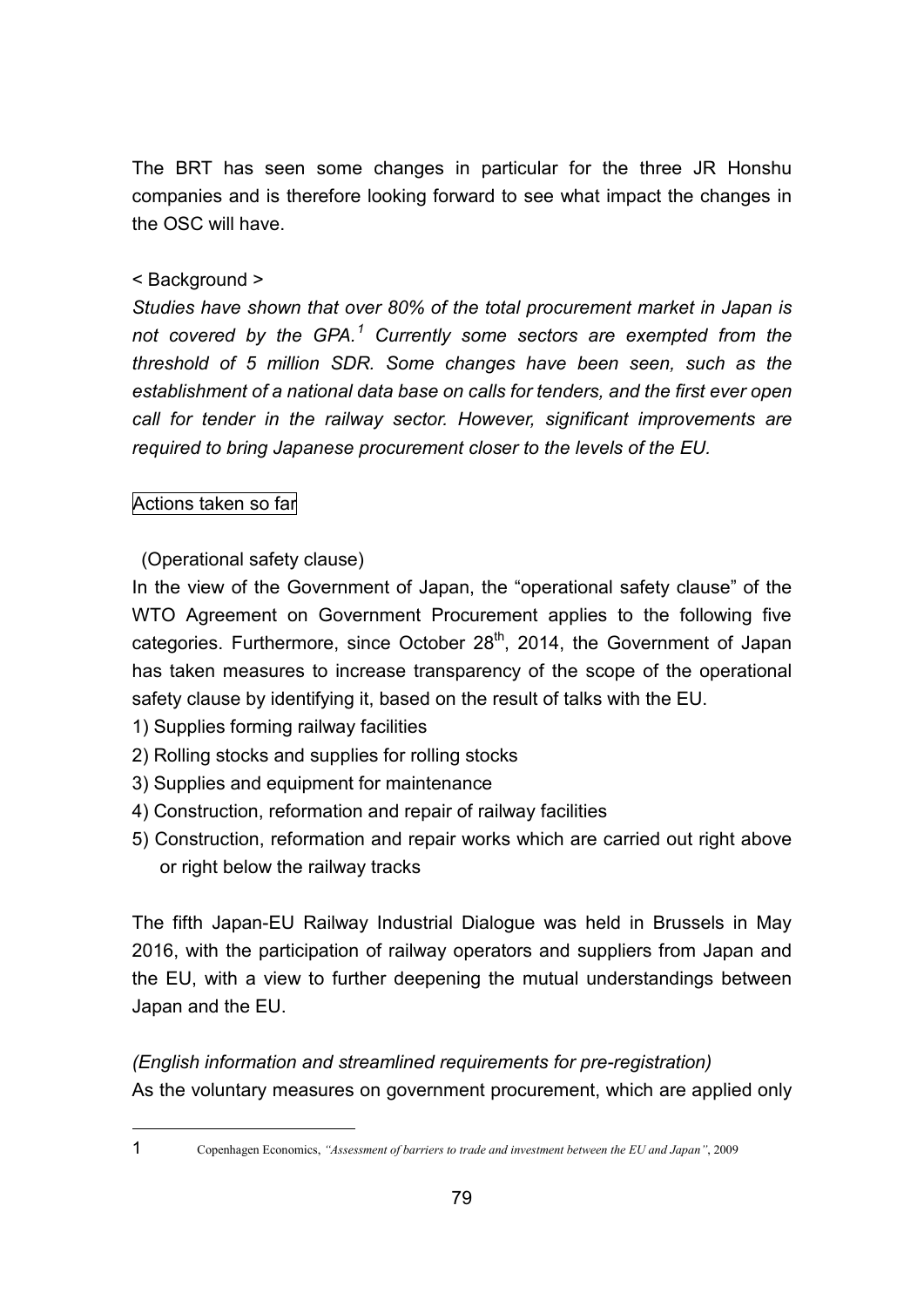The BRT has seen some changes in particular for the three JR Honshu companies and is therefore looking forward to see what impact the changes in the OSC will have.

# < Background >

*Studies have shown that over 80% of the total procurement market in Japan is not covered by the GPA. <sup>1</sup> Currently some sectors are exempted from the threshold of 5 million SDR. Some changes have been seen, such as the establishment of a national data base on calls for tenders, and the first ever open call for tender in the railway sector. However, significant improvements are required to bring Japanese procurement closer to the levels of the EU.*

# Actions taken so far

(Operational safety clause)

In the view of the Government of Japan, the "operational safety clause" of the WTO Agreement on Government Procurement applies to the following five categories. Furthermore, since October 28<sup>th</sup>, 2014, the Government of Japan has taken measures to increase transparency of the scope of the operational safety clause by identifying it, based on the result of talks with the EU.

- 1) Supplies forming railway facilities
- 2) Rolling stocks and supplies for rolling stocks
- 3) Supplies and equipment for maintenance
- 4) Construction, reformation and repair of railway facilities
- 5) Construction, reformation and repair works which are carried out right above or right below the railway tracks

The fifth Japan-EU Railway Industrial Dialogue was held in Brussels in May 2016, with the participation of railway operators and suppliers from Japan and the EU, with a view to further deepening the mutual understandings between Japan and the EU.

*(English information and streamlined requirements for pre-registration)* As the voluntary measures on government procurement, which are applied only

<sup>1</sup> Copenhagen Economics, *"Assessment of barriers to trade and investment between the EU and Japan"*, 2009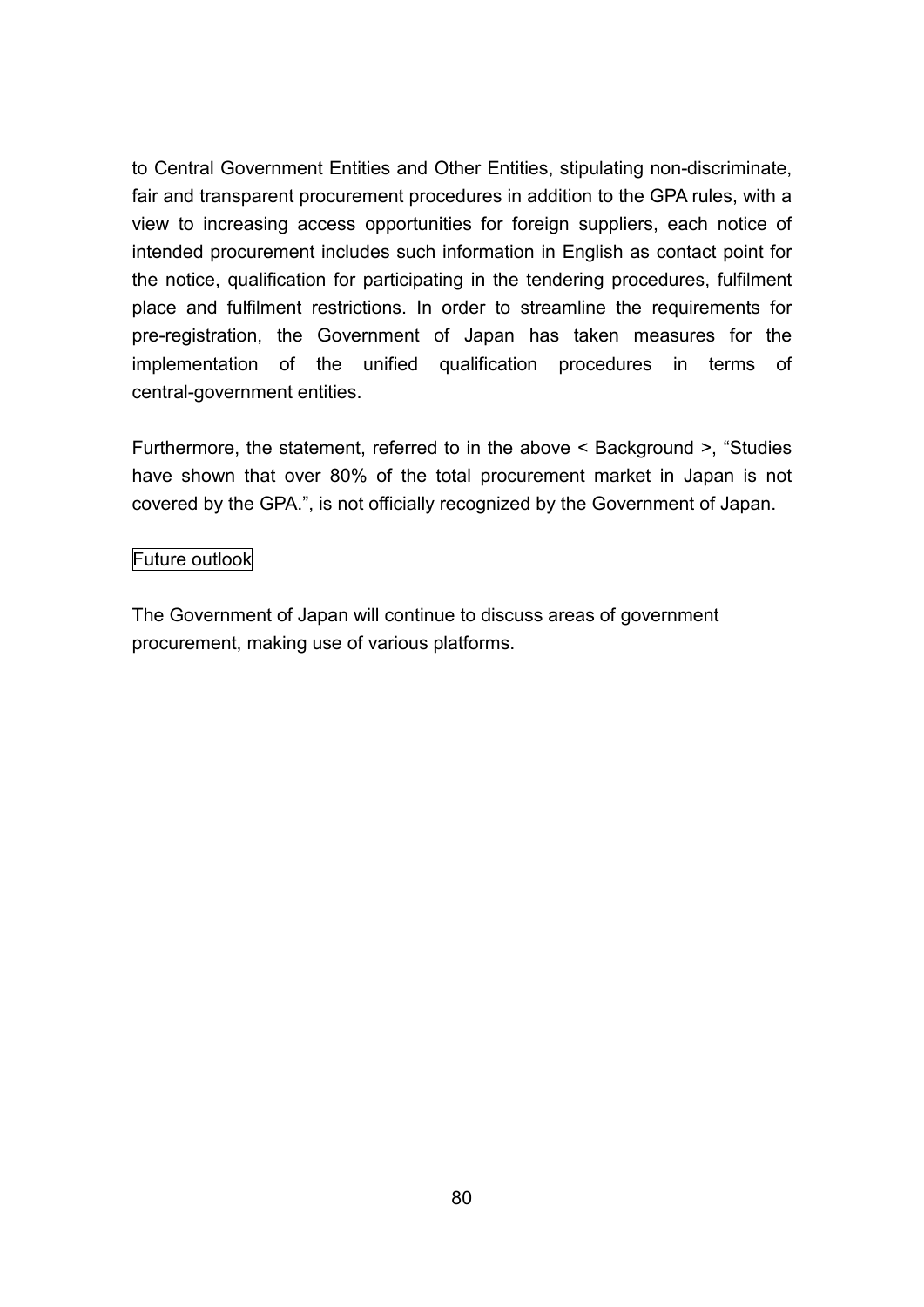to Central Government Entities and Other Entities, stipulating non-discriminate, fair and transparent procurement procedures in addition to the GPA rules, with a view to increasing access opportunities for foreign suppliers, each notice of intended procurement includes such information in English as contact point for the notice, qualification for participating in the tendering procedures, fulfilment place and fulfilment restrictions. In order to streamline the requirements for pre-registration, the Government of Japan has taken measures for the implementation of the unified qualification procedures in terms of central-government entities.

Furthermore, the statement, referred to in the above < Background >, "Studies have shown that over 80% of the total procurement market in Japan is not covered by the GPA.", is not officially recognized by the Government of Japan.

### Future outlook

The Government of Japan will continue to discuss areas of government procurement, making use of various platforms.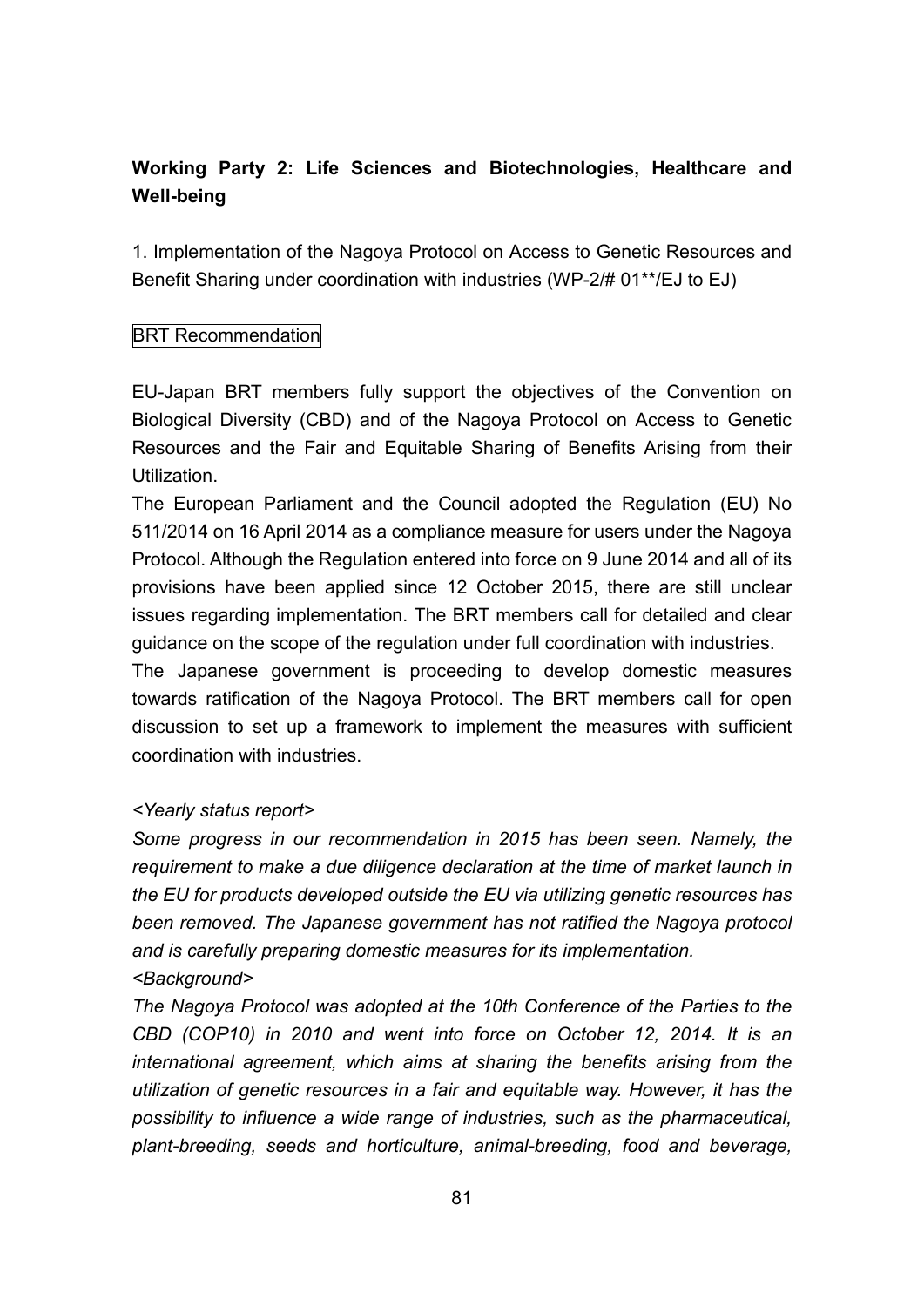# **Working Party 2: Life Sciences and Biotechnologies, Healthcare and Well-being**

1. Implementation of the Nagoya Protocol on Access to Genetic Resources and Benefit Sharing under coordination with industries (WP-2/# 01\*\*/EJ to EJ)

# BRT Recommendation

EU-Japan BRT members fully support the objectives of the Convention on Biological Diversity (CBD) and of the Nagoya Protocol on Access to Genetic Resources and the Fair and Equitable Sharing of Benefits Arising from their **Utilization** 

The European Parliament and the Council adopted the Regulation (EU) No 511/2014 on 16 April 2014 as a compliance measure for users under the Nagoya Protocol. Although the Regulation entered into force on 9 June 2014 and all of its provisions have been applied since 12 October 2015, there are still unclear issues regarding implementation. The BRT members call for detailed and clear guidance on the scope of the regulation under full coordination with industries.

The Japanese government is proceeding to develop domestic measures towards ratification of the Nagoya Protocol. The BRT members call for open discussion to set up a framework to implement the measures with sufficient coordination with industries.

# *<Yearly status report>*

*Some progress in our recommendation in 2015 has been seen. Namely, the requirement to make a due diligence declaration at the time of market launch in the EU for products developed outside the EU via utilizing genetic resources has been removed. The Japanese government has not ratified the Nagoya protocol and is carefully preparing domestic measures for its implementation. <Background>*

*The Nagoya Protocol was adopted at the 10th Conference of the Parties to the CBD (COP10) in 2010 and went into force on October 12, 2014. It is an international agreement, which aims at sharing the benefits arising from the utilization of genetic resources in a fair and equitable way. However, it has the possibility to influence a wide range of industries, such as the pharmaceutical, plant-breeding, seeds and horticulture, animal-breeding, food and beverage,*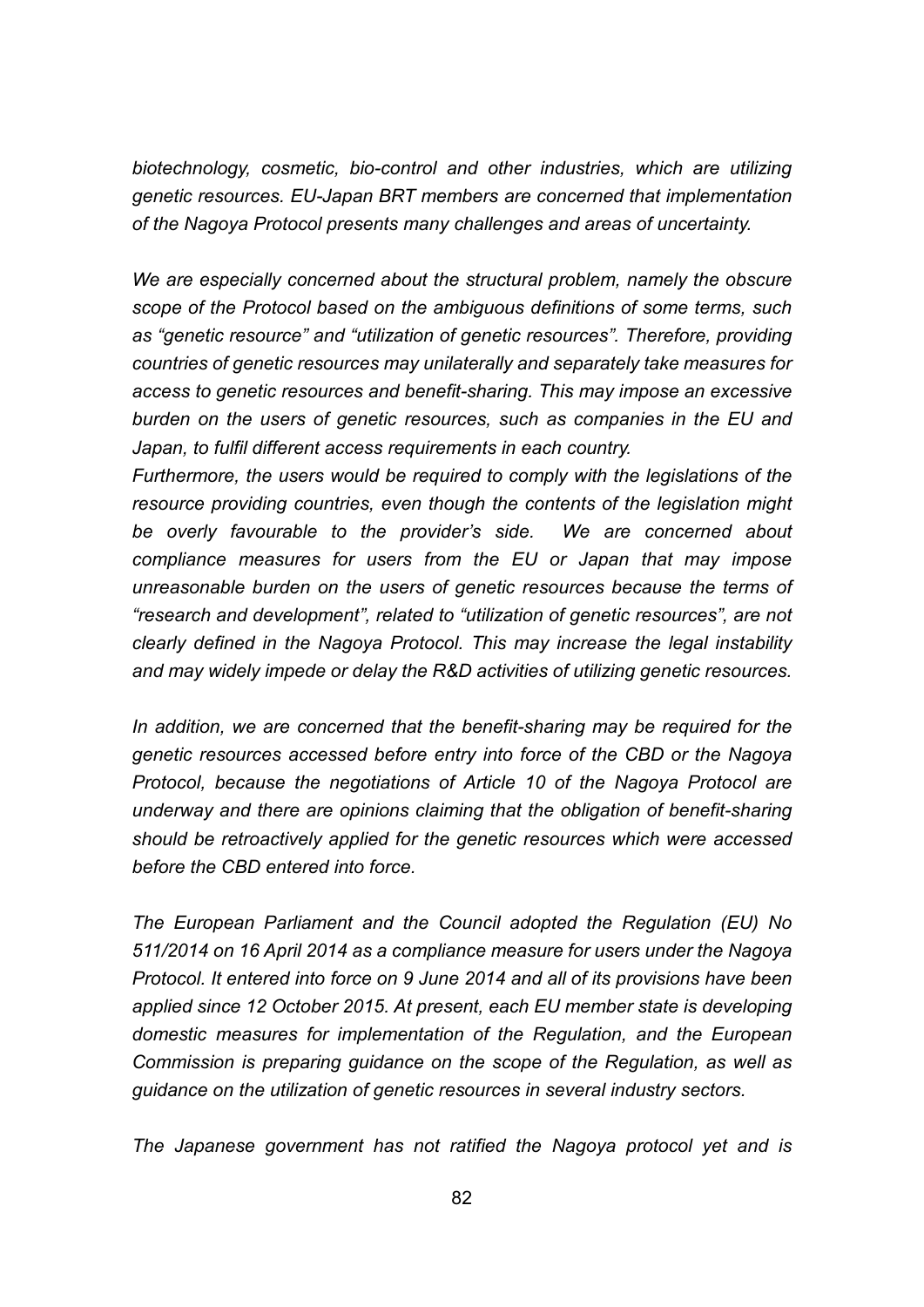*biotechnology, cosmetic, bio-control and other industries, which are utilizing genetic resources. EU-Japan BRT members are concerned that implementation of the Nagoya Protocol presents many challenges and areas of uncertainty.*

*We are especially concerned about the structural problem, namely the obscure scope of the Protocol based on the ambiguous definitions of some terms, such as "genetic resource" and "utilization of genetic resources". Therefore, providing countries of genetic resources may unilaterally and separately take measures for access to genetic resources and benefit-sharing. This may impose an excessive burden on the users of genetic resources, such as companies in the EU and Japan, to fulfil different access requirements in each country.*

*Furthermore, the users would be required to comply with the legislations of the resource providing countries, even though the contents of the legislation might be overly favourable to the provider's side. We are concerned about compliance measures for users from the EU or Japan that may impose unreasonable burden on the users of genetic resources because the terms of "research and development", related to "utilization of genetic resources", are not clearly defined in the Nagoya Protocol. This may increase the legal instability and may widely impede or delay the R&D activities of utilizing genetic resources.*

*In addition, we are concerned that the benefit-sharing may be required for the genetic resources accessed before entry into force of the CBD or the Nagoya Protocol, because the negotiations of Article 10 of the Nagoya Protocol are underway and there are opinions claiming that the obligation of benefit-sharing should be retroactively applied for the genetic resources which were accessed before the CBD entered into force.*

*The European Parliament and the Council adopted the Regulation (EU) No 511/2014 on 16 April 2014 as a compliance measure for users under the Nagoya Protocol. It entered into force on 9 June 2014 and all of its provisions have been applied since 12 October 2015. At present, each EU member state is developing domestic measures for implementation of the Regulation, and the European Commission is preparing guidance on the scope of the Regulation, as well as guidance on the utilization of genetic resources in several industry sectors.*

*The Japanese government has not ratified the Nagoya protocol yet and is*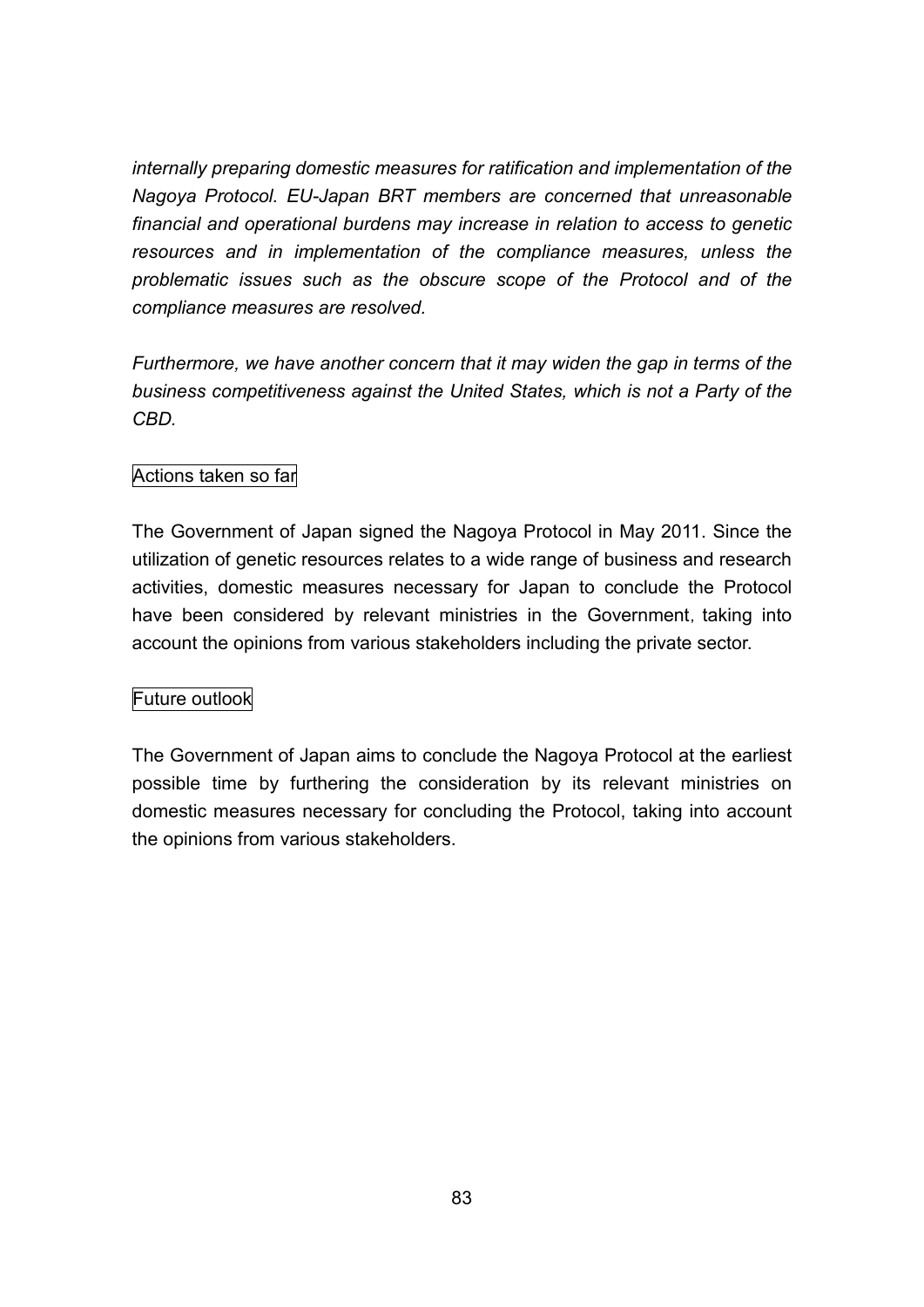*internally preparing domestic measures for ratification and implementation of the Nagoya Protocol. EU-Japan BRT members are concerned that unreasonable financial and operational burdens may increase in relation to access to genetic resources and in implementation of the compliance measures, unless the problematic issues such as the obscure scope of the Protocol and of the compliance measures are resolved.*

*Furthermore, we have another concern that it may widen the gap in terms of the business competitiveness against the United States, which is not a Party of the CBD.*

# Actions taken so far

The Government of Japan signed the Nagoya Protocol in May 2011. Since the utilization of genetic resources relates to a wide range of business and research activities, domestic measures necessary for Japan to conclude the Protocol have been considered by relevant ministries in the Government, taking into account the opinions from various stakeholders including the private sector.

# Future outlook

The Government of Japan aims to conclude the Nagoya Protocol at the earliest possible time by furthering the consideration by its relevant ministries on domestic measures necessary for concluding the Protocol, taking into account the opinions from various stakeholders.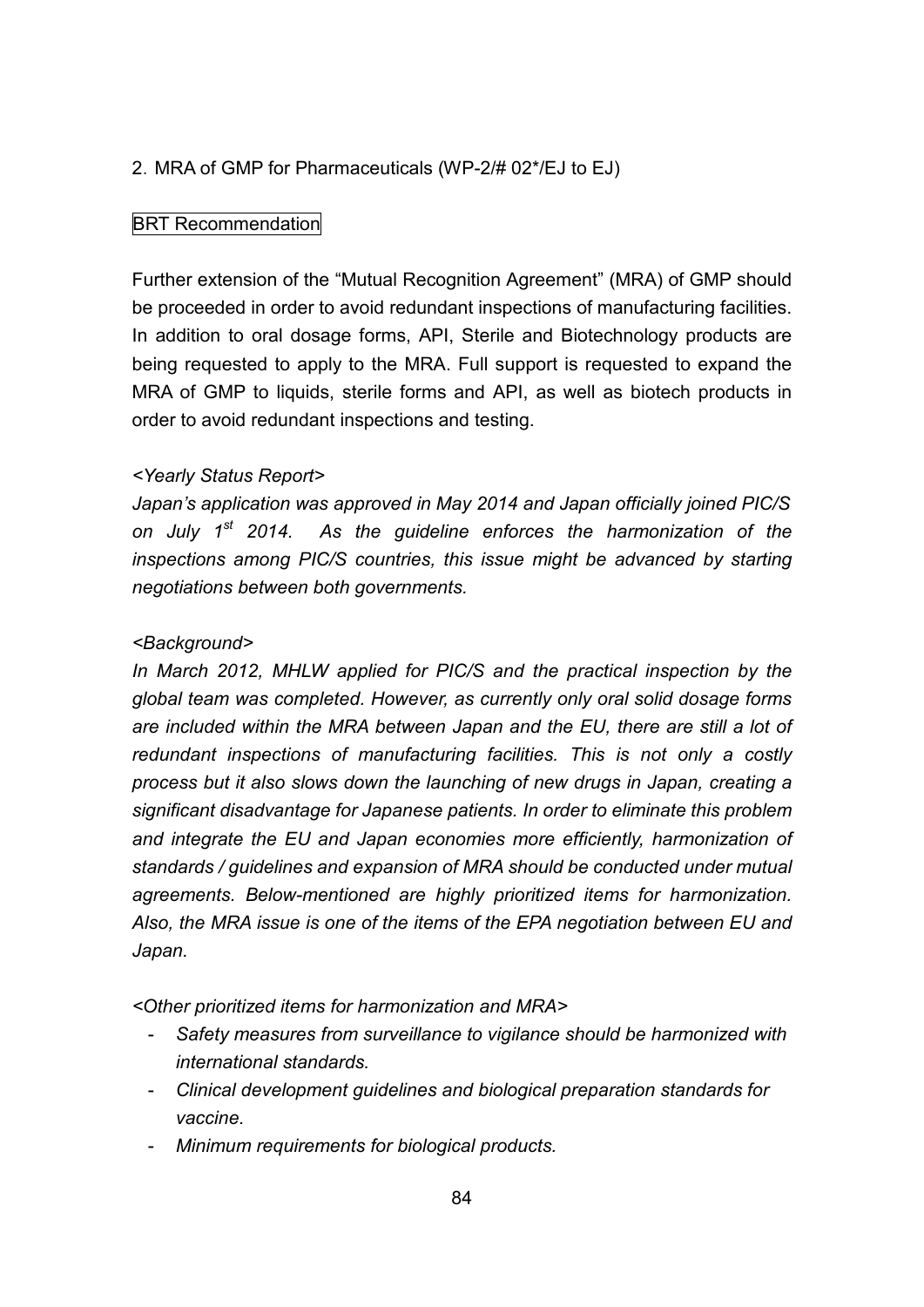# 2.MRA of GMP for Pharmaceuticals (WP-2/# 02\*/EJ to EJ)

### BRT Recommendation

Further extension of the "Mutual Recognition Agreement" (MRA) of GMP should be proceeded in order to avoid redundant inspections of manufacturing facilities. In addition to oral dosage forms, API, Sterile and Biotechnology products are being requested to apply to the MRA. Full support is requested to expand the MRA of GMP to liquids, sterile forms and API, as well as biotech products in order to avoid redundant inspections and testing.

### *<Yearly Status Report>*

*Japan's application was approved in May 2014 and Japan officially joined PIC/S on July 1 st 2014. As the guideline enforces the harmonization of the inspections among PIC/S countries, this issue might be advanced by starting negotiations between both governments.*

### *<Background>*

*In March 2012, MHLW applied for PIC/S and the practical inspection by the global team was completed. However, as currently only oral solid dosage forms are included within the MRA between Japan and the EU, there are still a lot of redundant inspections of manufacturing facilities. This is not only a costly process but it also slows down the launching of new drugs in Japan, creating a significant disadvantage for Japanese patients. In order to eliminate this problem and integrate the EU and Japan economies more efficiently, harmonization of standards / guidelines and expansion of MRA should be conducted under mutual agreements. Below-mentioned are highly prioritized items for harmonization. Also, the MRA issue is one of the items of the EPA negotiation between EU and Japan.*

*<Other prioritized items for harmonization and MRA>*

- *Safety measures from surveillance to vigilance should be harmonized with international standards.*
- *Clinical development guidelines and biological preparation standards for vaccine.*
- *Minimum requirements for biological products.*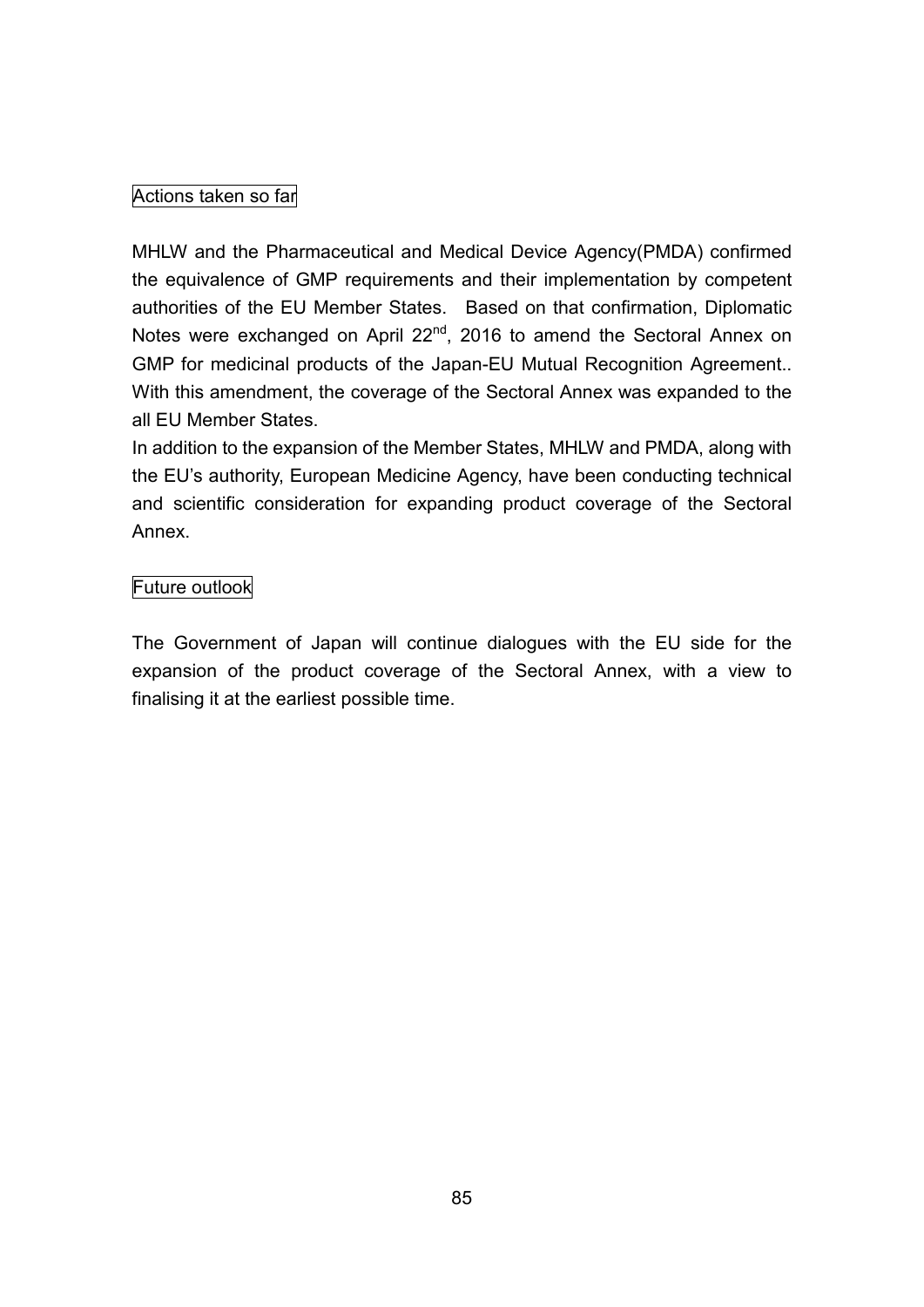# Actions taken so far

MHLW and the Pharmaceutical and Medical Device Agency(PMDA) confirmed the equivalence of GMP requirements and their implementation by competent authorities of the EU Member States. Based on that confirmation, Diplomatic Notes were exchanged on April 22<sup>nd</sup>, 2016 to amend the Sectoral Annex on GMP for medicinal products of the Japan-EU Mutual Recognition Agreement.. With this amendment, the coverage of the Sectoral Annex was expanded to the all EU Member States.

In addition to the expansion of the Member States, MHLW and PMDA, along with the EU's authority, European Medicine Agency, have been conducting technical and scientific consideration for expanding product coverage of the Sectoral Annex.

# Future outlook

The Government of Japan will continue dialogues with the EU side for the expansion of the product coverage of the Sectoral Annex, with a view to finalising it at the earliest possible time.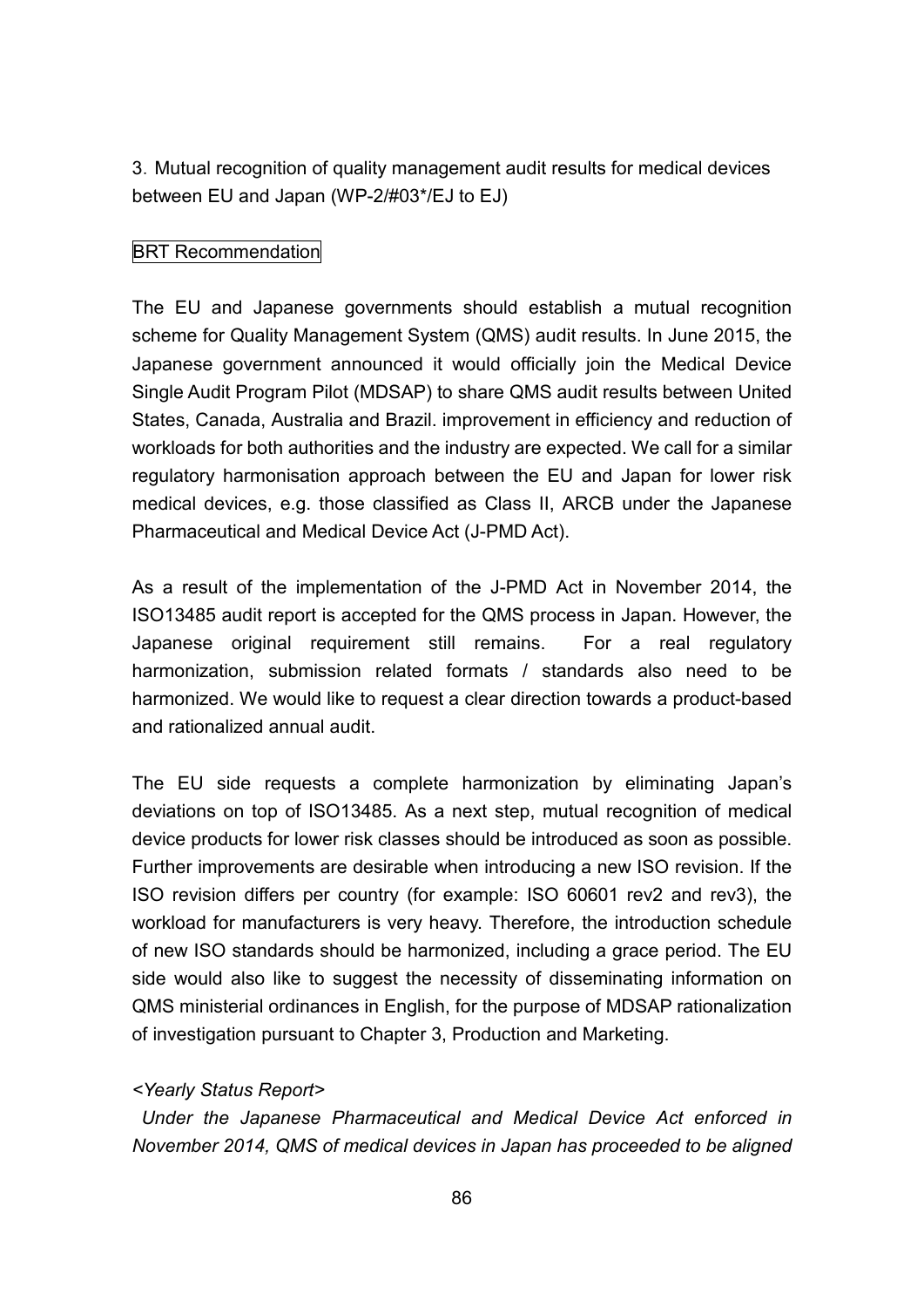3.Mutual recognition of quality management audit results for medical devices between EU and Japan (WP-2/#03\*/EJ to EJ)

# BRT Recommendation

The EU and Japanese governments should establish a mutual recognition scheme for Quality Management System (QMS) audit results. In June 2015, the Japanese government announced it would officially join the Medical Device Single Audit Program Pilot (MDSAP) to share QMS audit results between United States, Canada, Australia and Brazil. improvement in efficiency and reduction of workloads for both authorities and the industry are expected. We call for a similar regulatory harmonisation approach between the EU and Japan for lower risk medical devices, e.g. those classified as Class II, ARCB under the Japanese Pharmaceutical and Medical Device Act (J-PMD Act).

As a result of the implementation of the J-PMD Act in November 2014, the ISO13485 audit report is accepted for the QMS process in Japan. However, the Japanese original requirement still remains. For a real regulatory harmonization, submission related formats / standards also need to be harmonized. We would like to request a clear direction towards a product-based and rationalized annual audit.

The EU side requests a complete harmonization by eliminating Japan's deviations on top of ISO13485. As a next step, mutual recognition of medical device products for lower risk classes should be introduced as soon as possible. Further improvements are desirable when introducing a new ISO revision. If the ISO revision differs per country (for example: ISO 60601 rev2 and rev3), the workload for manufacturers is very heavy. Therefore, the introduction schedule of new ISO standards should be harmonized, including a grace period. The EU side would also like to suggest the necessity of disseminating information on QMS ministerial ordinances in English, for the purpose of MDSAP rationalization of investigation pursuant to Chapter 3, Production and Marketing.

### *<Yearly Status Report>*

*Under the Japanese Pharmaceutical and Medical Device Act enforced in November 2014, QMS of medical devices in Japan has proceeded to be aligned*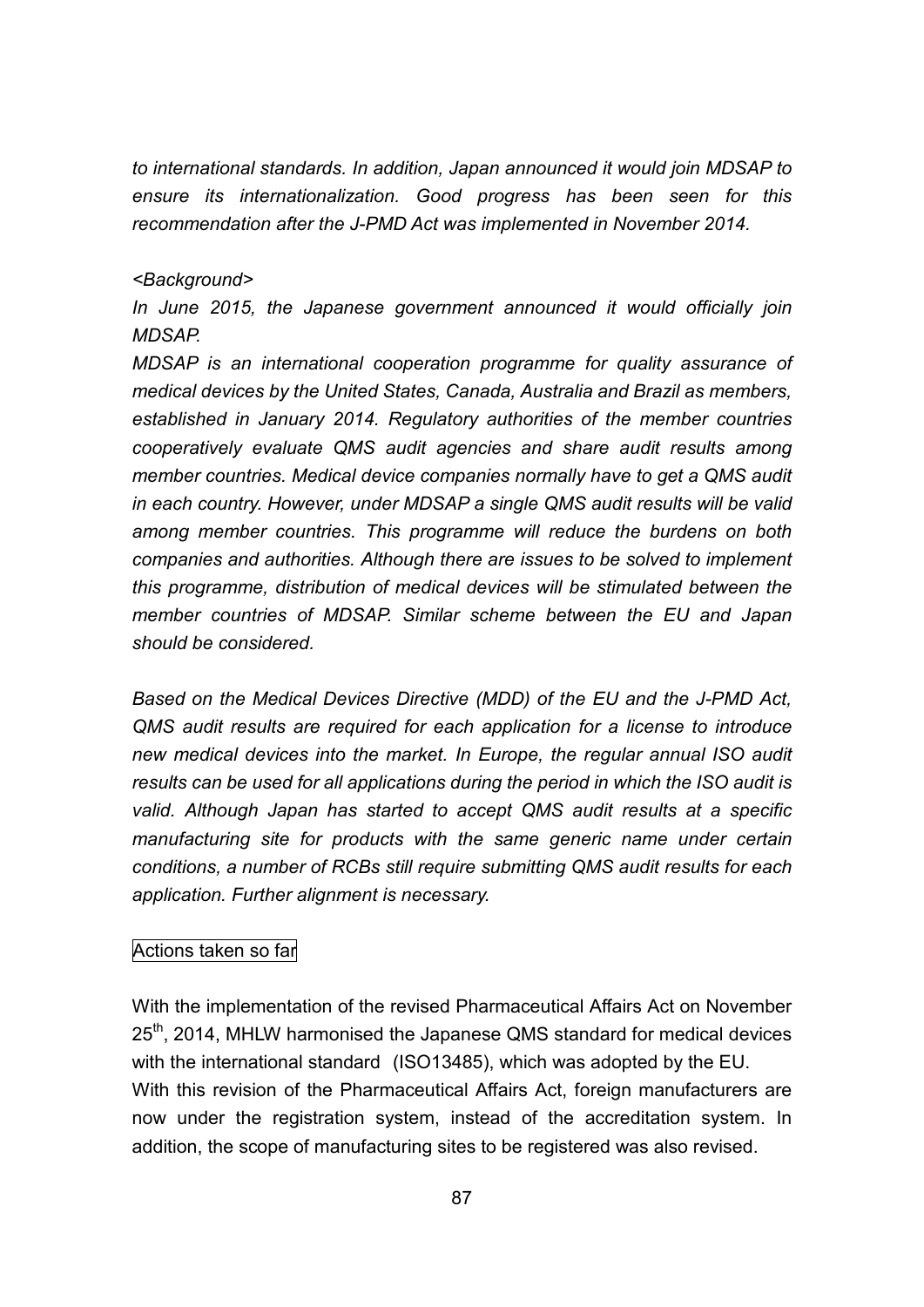*to international standards. In addition, Japan announced it would join MDSAP to ensure its internationalization. Good progress has been seen for this recommendation after the J-PMD Act was implemented in November 2014.*

#### *<Background>*

*In June 2015, the Japanese government announced it would officially join MDSAP.*

*MDSAP is an international cooperation programme for quality assurance of medical devices by the United States, Canada, Australia and Brazil as members, established in January 2014. Regulatory authorities of the member countries cooperatively evaluate QMS audit agencies and share audit results among member countries. Medical device companies normally have to get a QMS audit in each country. However, under MDSAP a single QMS audit results will be valid among member countries. This programme will reduce the burdens on both companies and authorities. Although there are issues to be solved to implement this programme, distribution of medical devices will be stimulated between the member countries of MDSAP. Similar scheme between the EU and Japan should be considered.*

*Based on the Medical Devices Directive (MDD) of the EU and the J-PMD Act, QMS audit results are required for each application for a license to introduce new medical devices into the market. In Europe, the regular annual ISO audit results can be used for all applications during the period in which the ISO audit is valid. Although Japan has started to accept QMS audit results at a specific manufacturing site for products with the same generic name under certain conditions, a number of RCBs still require submitting QMS audit results for each application. Further alignment is necessary.*

### Actions taken so far

With the implementation of the revised Pharmaceutical Affairs Act on November 25<sup>th</sup>, 2014, MHLW harmonised the Japanese QMS standard for medical devices with the international standard (ISO13485), which was adopted by the EU. With this revision of the Pharmaceutical Affairs Act, foreign manufacturers are now under the registration system, instead of the accreditation system. In addition, the scope of manufacturing sites to be registered was also revised.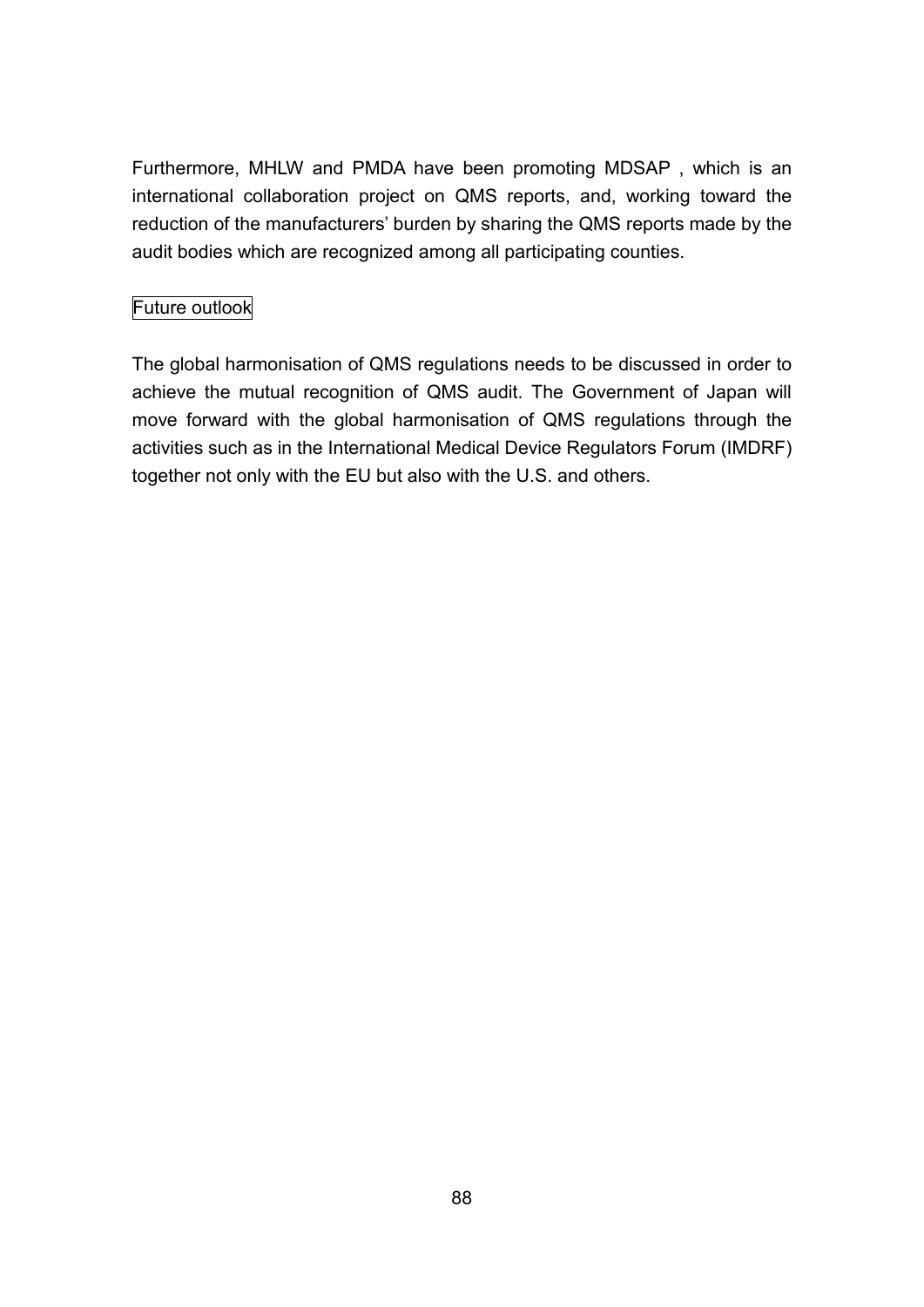Furthermore, MHLW and PMDA have been promoting MDSAP , which is an international collaboration project on QMS reports, and, working toward the reduction of the manufacturers' burden by sharing the QMS reports made by the audit bodies which are recognized among all participating counties.

# Future outlook

The global harmonisation of QMS regulations needs to be discussed in order to achieve the mutual recognition of QMS audit. The Government of Japan will move forward with the global harmonisation of QMS regulations through the activities such as in the International Medical Device Regulators Forum (IMDRF) together not only with the EU but also with the U.S. and others.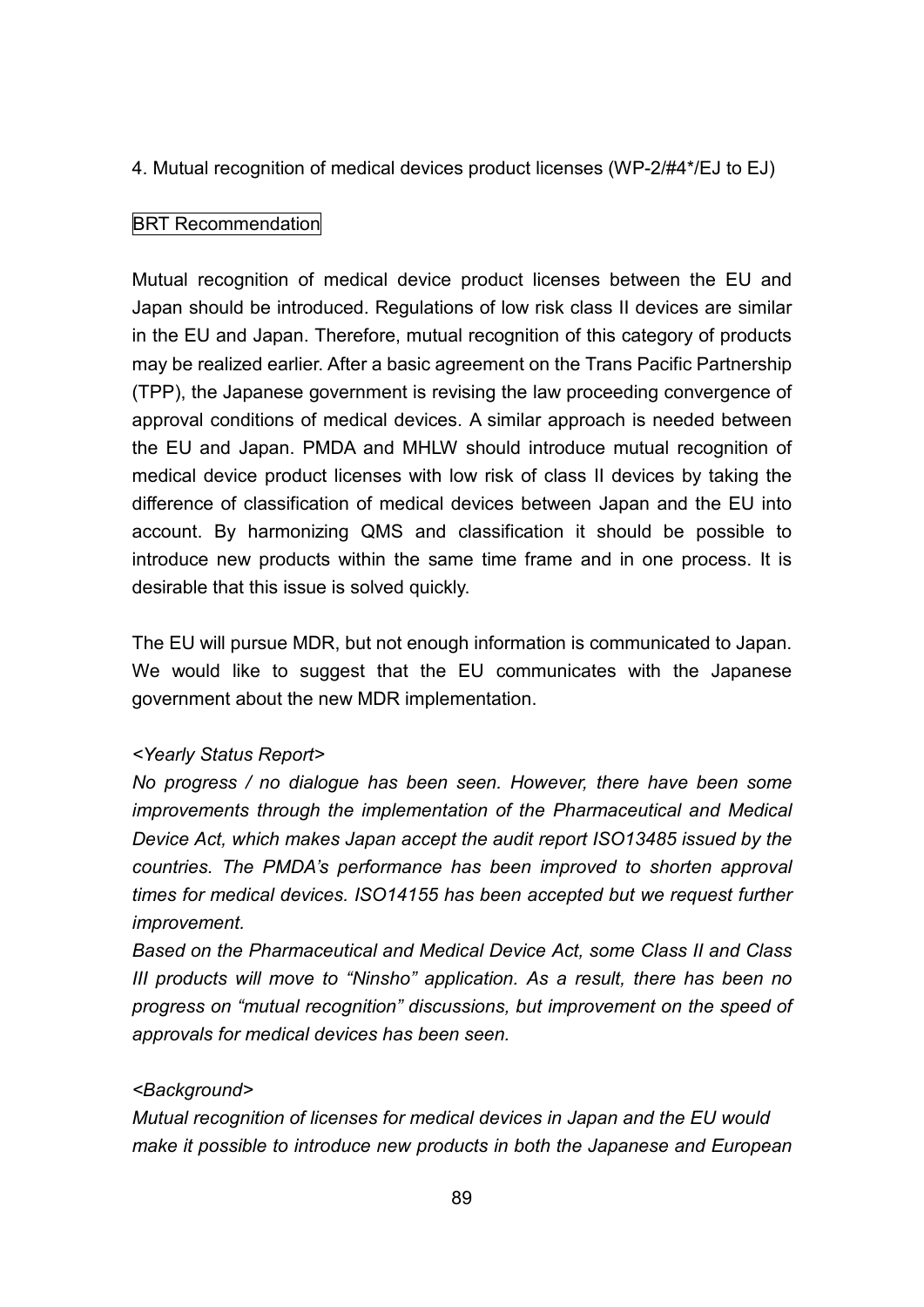4. Mutual recognition of medical devices product licenses (WP-2/#4\*/EJ to EJ)

### BRT Recommendation

Mutual recognition of medical device product licenses between the EU and Japan should be introduced. Regulations of low risk class II devices are similar in the EU and Japan. Therefore, mutual recognition of this category of products may be realized earlier. After a basic agreement on the Trans Pacific Partnership (TPP), the Japanese government is revising the law proceeding convergence of approval conditions of medical devices. A similar approach is needed between the EU and Japan. PMDA and MHLW should introduce mutual recognition of medical device product licenses with low risk of class II devices by taking the difference of classification of medical devices between Japan and the EU into account. By harmonizing QMS and classification it should be possible to introduce new products within the same time frame and in one process. It is desirable that this issue is solved quickly.

The EU will pursue MDR, but not enough information is communicated to Japan. We would like to suggest that the EU communicates with the Japanese government about the new MDR implementation.

# *<Yearly Status Report>*

*No progress / no dialogue has been seen. However, there have been some improvements through the implementation of the Pharmaceutical and Medical Device Act, which makes Japan accept the audit report ISO13485 issued by the countries. The PMDA's performance has been improved to shorten approval times for medical devices. ISO14155 has been accepted but we request further improvement.*

*Based on the Pharmaceutical and Medical Device Act, some Class II and Class III products will move to "Ninsho" application. As a result, there has been no progress on "mutual recognition" discussions, but improvement on the speed of approvals for medical devices has been seen.*

### *<Background>*

*Mutual recognition of licenses for medical devices in Japan and the EU would make it possible to introduce new products in both the Japanese and European*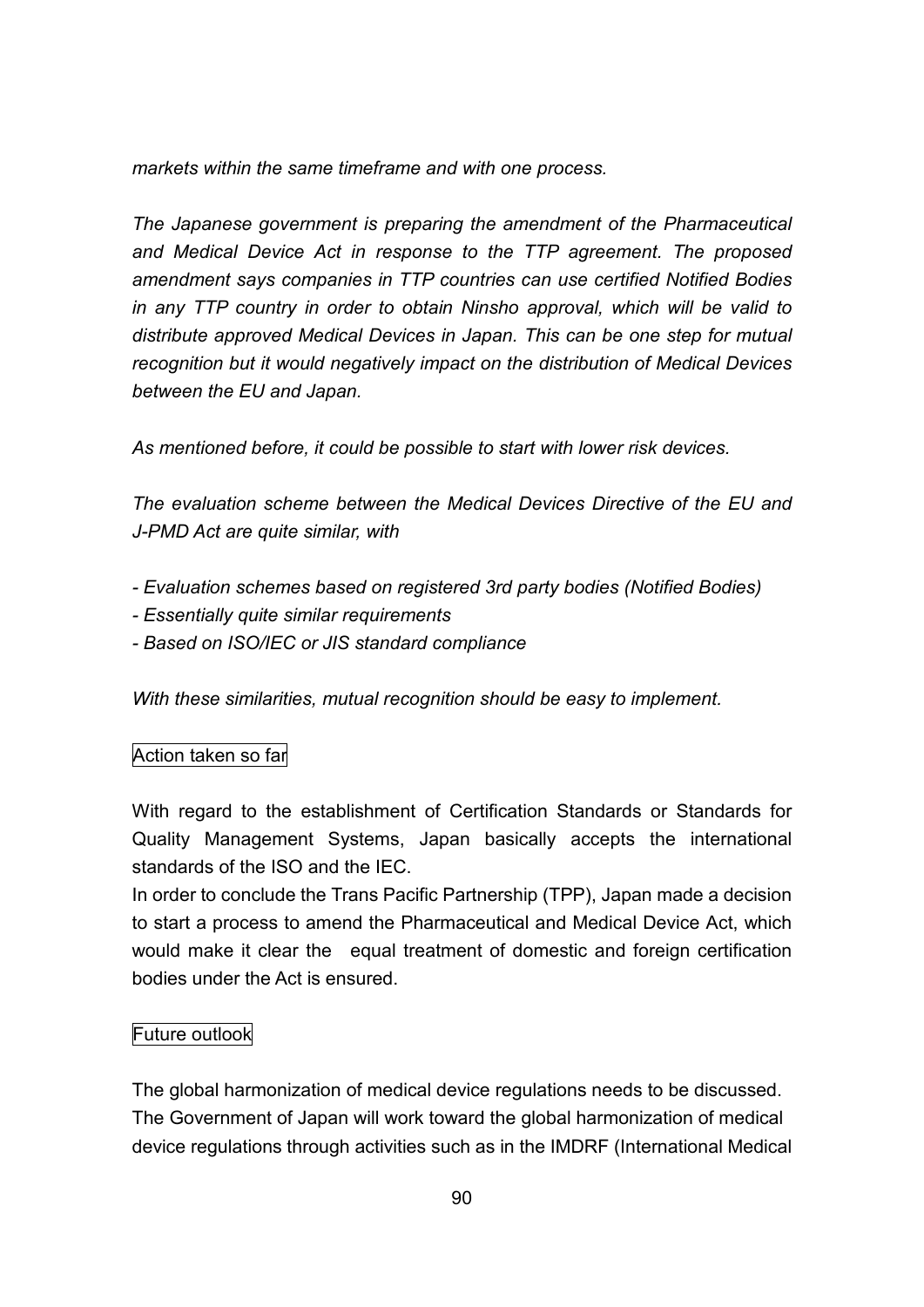*markets within the same timeframe and with one process.*

*The Japanese government is preparing the amendment of the Pharmaceutical and Medical Device Act in response to the TTP agreement. The proposed amendment says companies in TTP countries can use certified Notified Bodies in any TTP country in order to obtain Ninsho approval, which will be valid to distribute approved Medical Devices in Japan. This can be one step for mutual recognition but it would negatively impact on the distribution of Medical Devices between the EU and Japan.*

*As mentioned before, it could be possible to start with lower risk devices.*

*The evaluation scheme between the Medical Devices Directive of the EU and J-PMD Act are quite similar, with*

- *- Evaluation schemes based on registered 3rd party bodies (Notified Bodies)*
- *- Essentially quite similar requirements*
- *- Based on ISO/IEC or JIS standard compliance*

*With these similarities, mutual recognition should be easy to implement.*

# Action taken so far

With regard to the establishment of Certification Standards or Standards for Quality Management Systems, Japan basically accepts the international standards of the ISO and the IEC.

In order to conclude the Trans Pacific Partnership (TPP), Japan made a decision to start a process to amend the Pharmaceutical and Medical Device Act, which would make it clear the equal treatment of domestic and foreign certification bodies under the Act is ensured.

# Future outlook

The global harmonization of medical device regulations needs to be discussed. The Government of Japan will work toward the global harmonization of medical device regulations through activities such as in the IMDRF (International Medical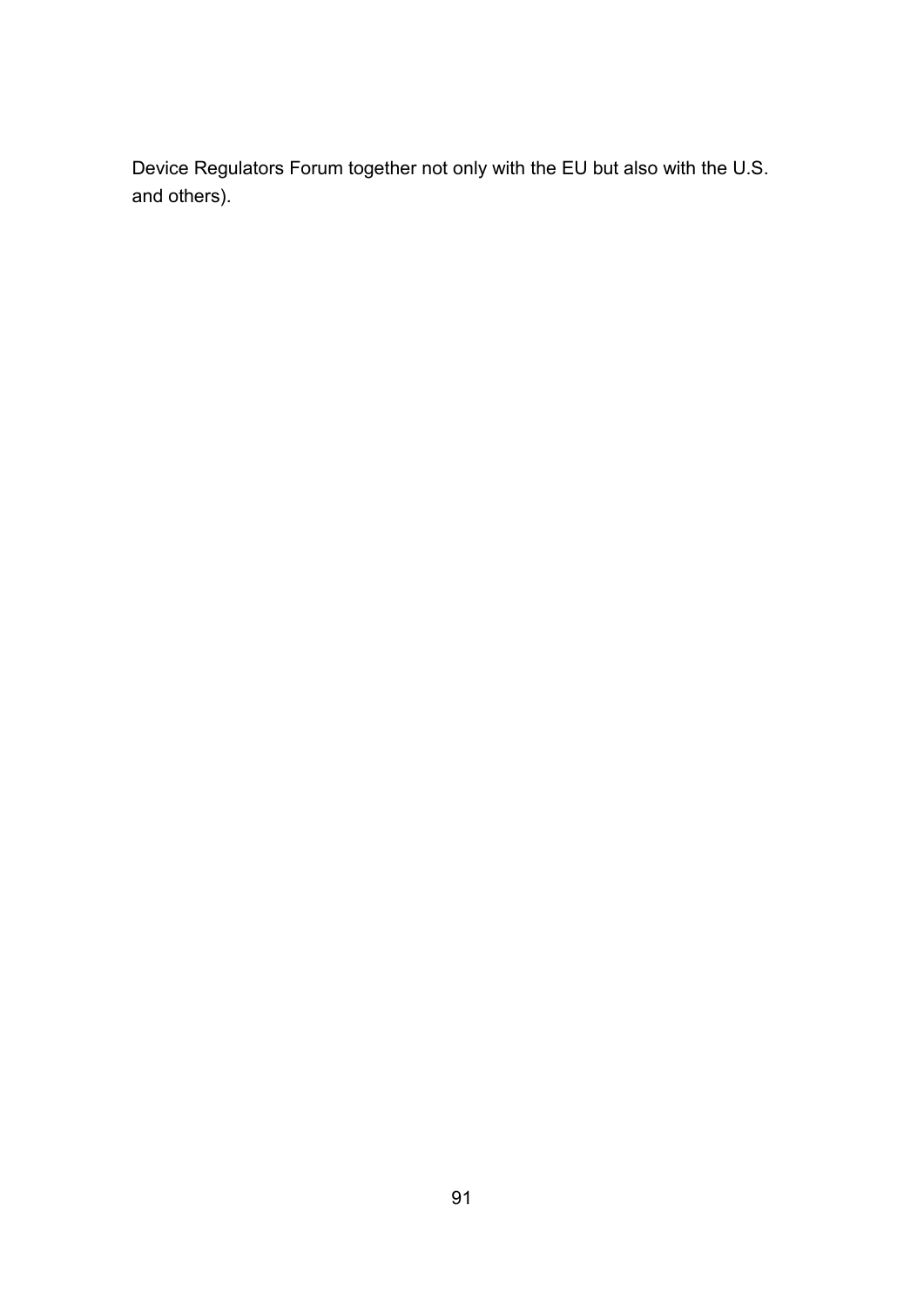Device Regulators Forum together not only with the EU but also with the U.S. and others).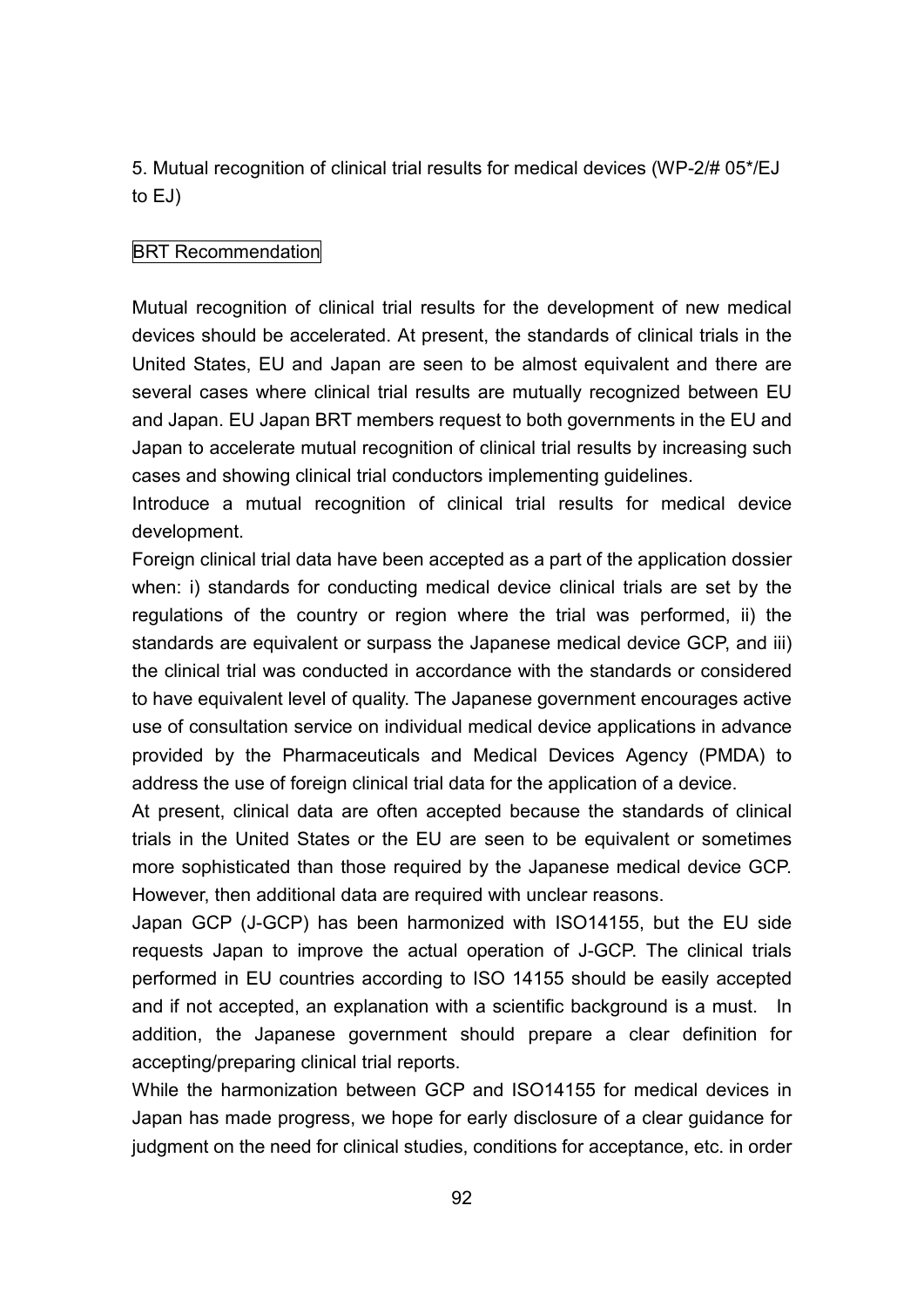5. Mutual recognition of clinical trial results for medical devices (WP-2/# 05\*/EJ to EJ)

# BRT Recommendation

Mutual recognition of clinical trial results for the development of new medical devices should be accelerated. At present, the standards of clinical trials in the United States, EU and Japan are seen to be almost equivalent and there are several cases where clinical trial results are mutually recognized between EU and Japan. EU Japan BRT members request to both governments in the EU and Japan to accelerate mutual recognition of clinical trial results by increasing such cases and showing clinical trial conductors implementing guidelines.

Introduce a mutual recognition of clinical trial results for medical device development.

Foreign clinical trial data have been accepted as a part of the application dossier when: i) standards for conducting medical device clinical trials are set by the regulations of the country or region where the trial was performed, ii) the standards are equivalent or surpass the Japanese medical device GCP, and iii) the clinical trial was conducted in accordance with the standards or considered to have equivalent level of quality. The Japanese government encourages active use of consultation service on individual medical device applications in advance provided by the Pharmaceuticals and Medical Devices Agency (PMDA) to address the use of foreign clinical trial data for the application of a device.

At present, clinical data are often accepted because the standards of clinical trials in the United States or the EU are seen to be equivalent or sometimes more sophisticated than those required by the Japanese medical device GCP. However, then additional data are required with unclear reasons.

Japan GCP (J-GCP) has been harmonized with ISO14155, but the EU side requests Japan to improve the actual operation of J-GCP. The clinical trials performed in EU countries according to ISO 14155 should be easily accepted and if not accepted, an explanation with a scientific background is a must. In addition, the Japanese government should prepare a clear definition for accepting/preparing clinical trial reports.

While the harmonization between GCP and ISO14155 for medical devices in Japan has made progress, we hope for early disclosure of a clear guidance for judgment on the need for clinical studies, conditions for acceptance, etc. in order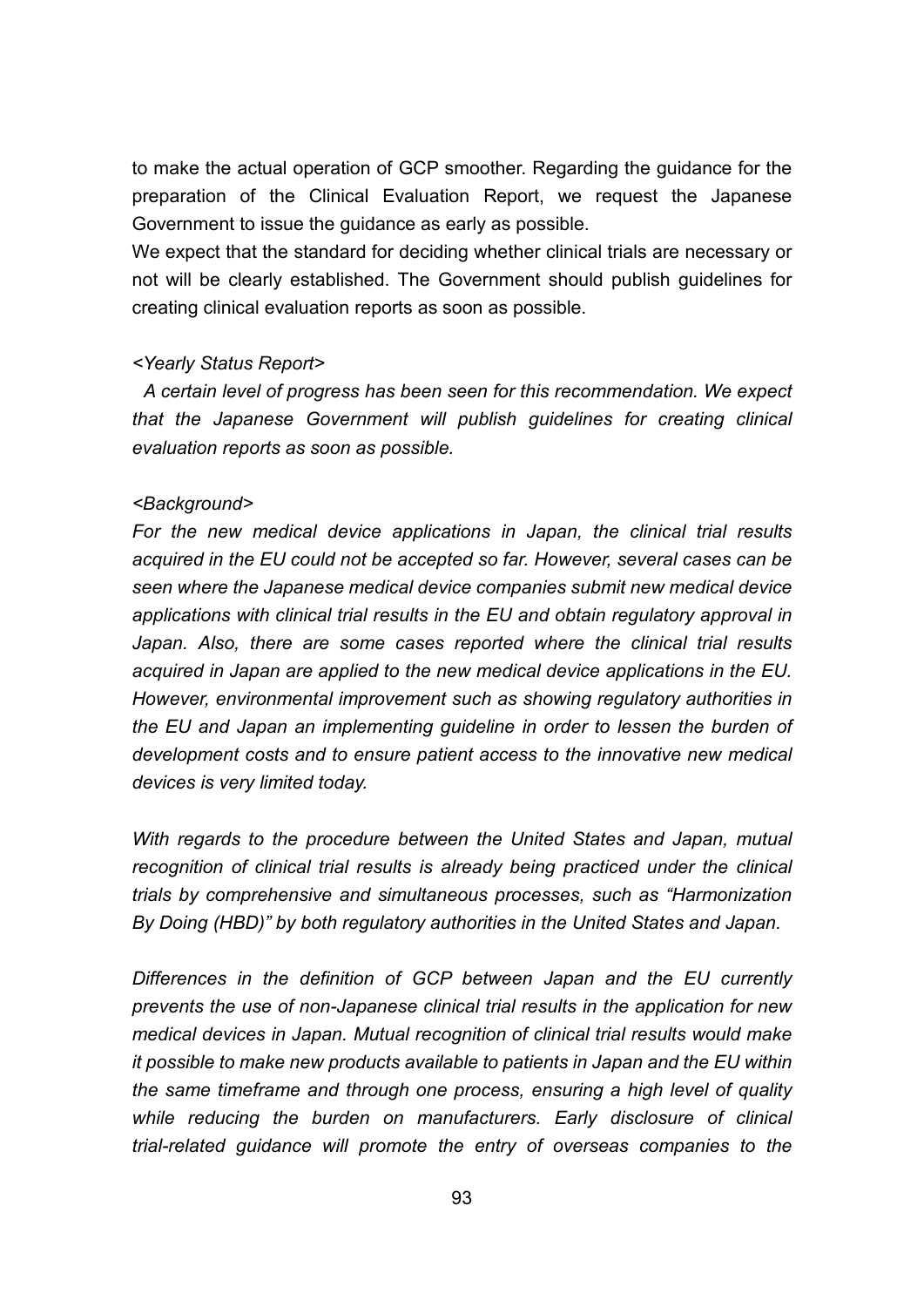to make the actual operation of GCP smoother. Regarding the guidance for the preparation of the Clinical Evaluation Report, we request the Japanese Government to issue the guidance as early as possible.

We expect that the standard for deciding whether clinical trials are necessary or not will be clearly established. The Government should publish guidelines for creating clinical evaluation reports as soon as possible.

#### *<Yearly Status Report>*

*A certain level of progress has been seen for this recommendation. We expect that the Japanese Government will publish guidelines for creating clinical evaluation reports as soon as possible.*

#### *<Background>*

*For the new medical device applications in Japan, the clinical trial results acquired in the EU could not be accepted so far. However, several cases can be seen where the Japanese medical device companies submit new medical device applications with clinical trial results in the EU and obtain regulatory approval in Japan. Also, there are some cases reported where the clinical trial results acquired in Japan are applied to the new medical device applications in the EU. However, environmental improvement such as showing regulatory authorities in the EU and Japan an implementing guideline in order to lessen the burden of development costs and to ensure patient access to the innovative new medical devices is very limited today.*

*With regards to the procedure between the United States and Japan, mutual recognition of clinical trial results is already being practiced under the clinical trials by comprehensive and simultaneous processes, such as "Harmonization By Doing (HBD)" by both regulatory authorities in the United States and Japan.*

*Differences in the definition of GCP between Japan and the EU currently prevents the use of non-Japanese clinical trial results in the application for new medical devices in Japan. Mutual recognition of clinical trial results would make it possible to make new products available to patients in Japan and the EU within the same timeframe and through one process, ensuring a high level of quality while reducing the burden on manufacturers. Early disclosure of clinical trial-related guidance will promote the entry of overseas companies to the*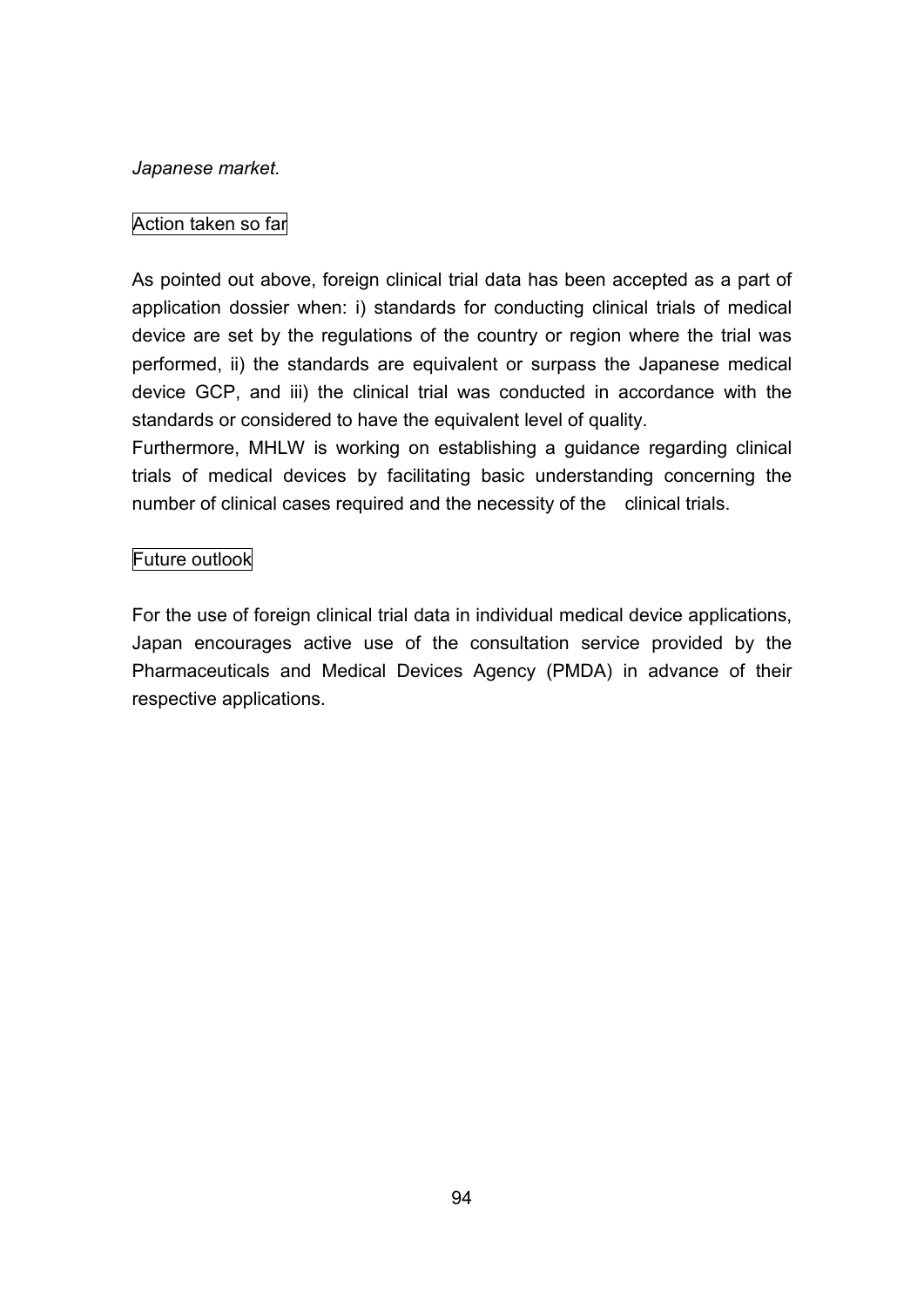### *Japanese market.*

# Action taken so far

As pointed out above, foreign clinical trial data has been accepted as a part of application dossier when: i) standards for conducting clinical trials of medical device are set by the regulations of the country or region where the trial was performed, ii) the standards are equivalent or surpass the Japanese medical device GCP, and iii) the clinical trial was conducted in accordance with the standards or considered to have the equivalent level of quality.

Furthermore, MHLW is working on establishing a guidance regarding clinical trials of medical devices by facilitating basic understanding concerning the number of clinical cases required and the necessity of the clinical trials.

# Future outlook

For the use of foreign clinical trial data in individual medical device applications, Japan encourages active use of the consultation service provided by the Pharmaceuticals and Medical Devices Agency (PMDA) in advance of their respective applications.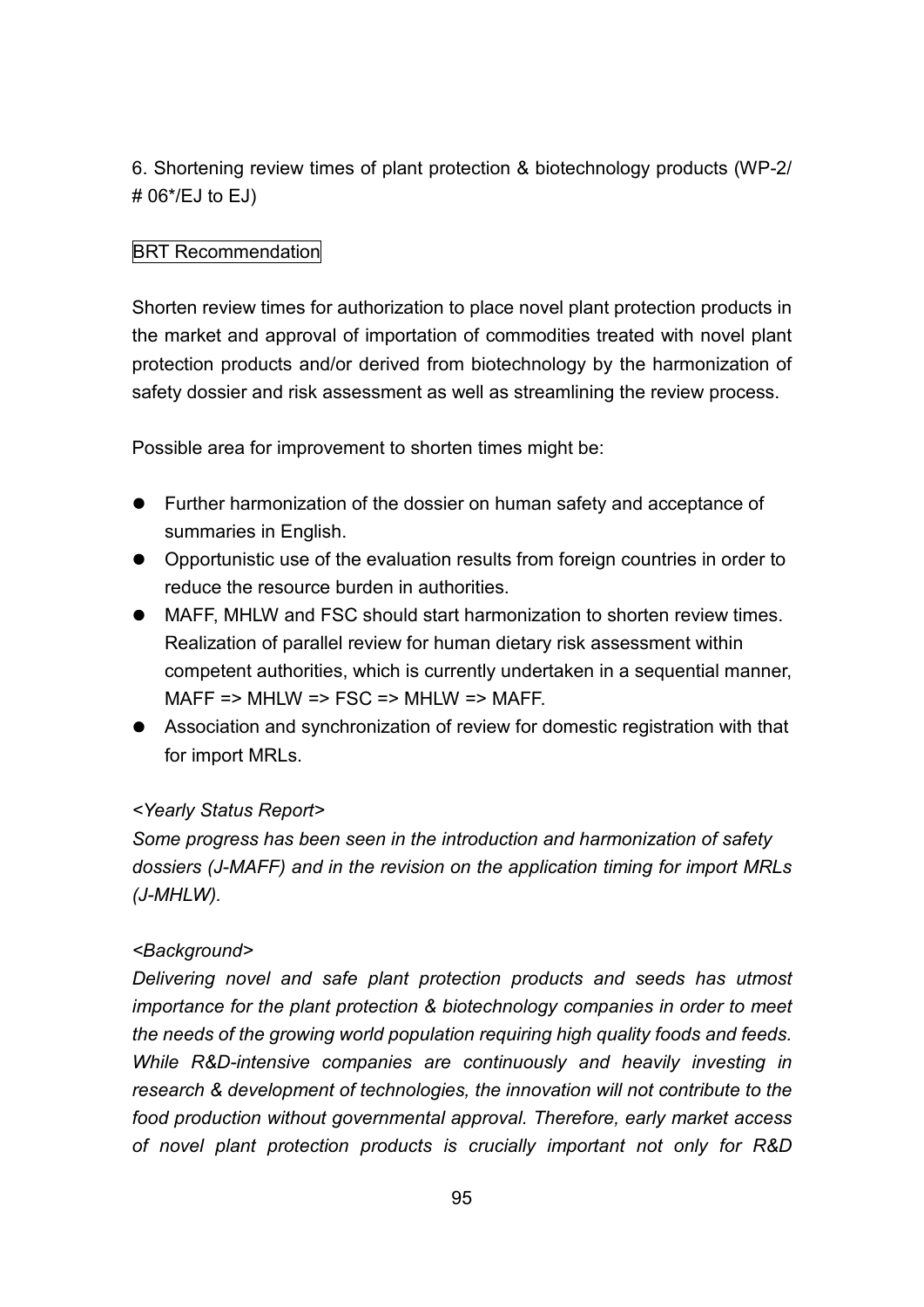6. Shortening review times of plant protection & biotechnology products (WP-2/ # 06\*/EJ to EJ)

# BRT Recommendation

Shorten review times for authorization to place novel plant protection products in the market and approval of importation of commodities treated with novel plant protection products and/or derived from biotechnology by the harmonization of safety dossier and risk assessment as well as streamlining the review process.

Possible area for improvement to shorten times might be:

- Further harmonization of the dossier on human safety and acceptance of summaries in English.
- Opportunistic use of the evaluation results from foreign countries in order to reduce the resource burden in authorities.
- MAFF, MHLW and FSC should start harmonization to shorten review times. Realization of parallel review for human dietary risk assessment within competent authorities, which is currently undertaken in a sequential manner, MAFF => MHLW => FSC => MHLW => MAFF.
- Association and synchronization of review for domestic registration with that for import MRLs.

# *<Yearly Status Report>*

*Some progress has been seen in the introduction and harmonization of safety dossiers (J-MAFF) and in the revision on the application timing for import MRLs (J-MHLW).*

# *<Background>*

*Delivering novel and safe plant protection products and seeds has utmost importance for the plant protection & biotechnology companies in order to meet the needs of the growing world population requiring high quality foods and feeds. While R&D-intensive companies are continuously and heavily investing in research & development of technologies, the innovation will not contribute to the food production without governmental approval. Therefore, early market access of novel plant protection products is crucially important not only for R&D*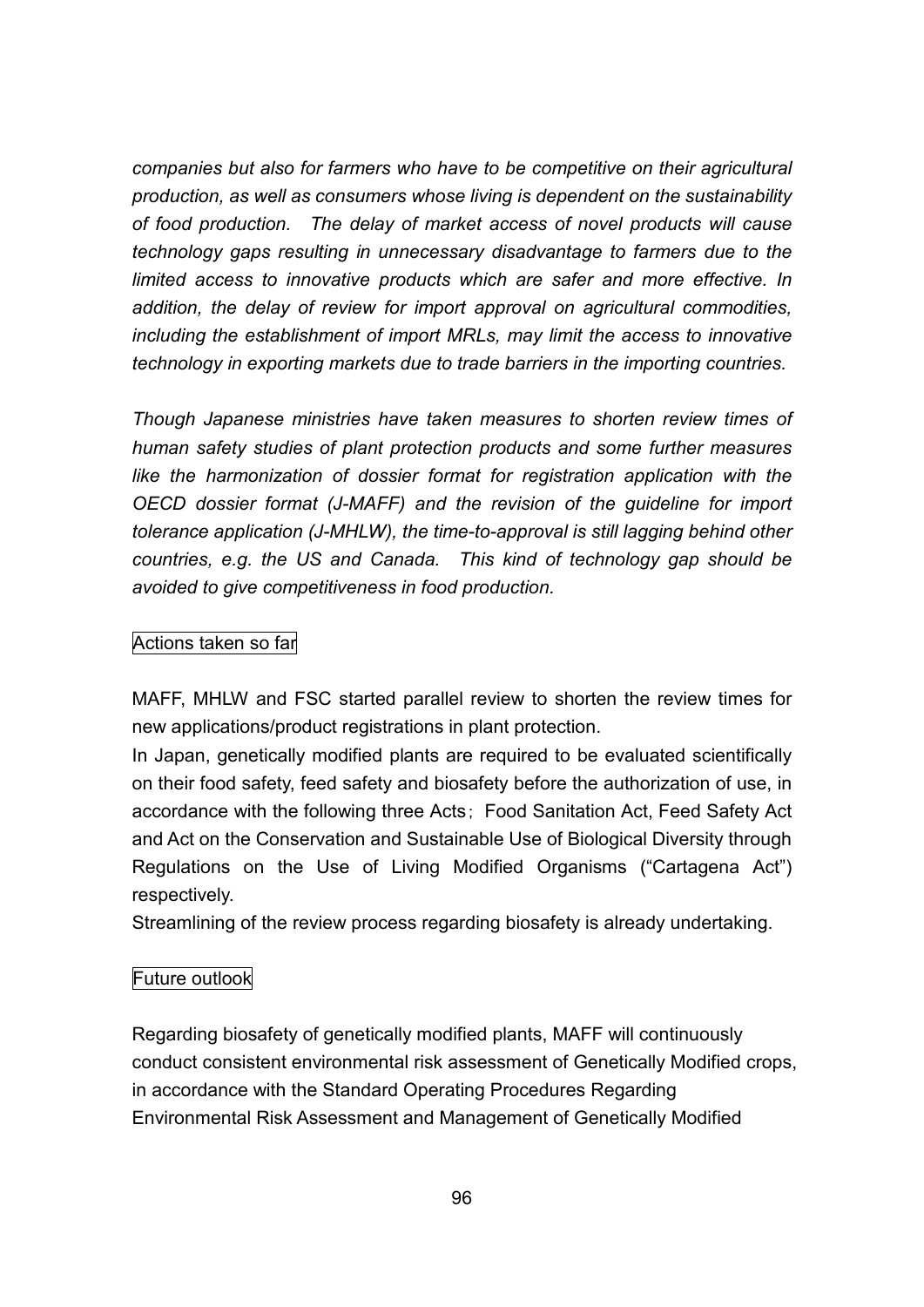*companies but also for farmers who have to be competitive on their agricultural production, as well as consumers whose living is dependent on the sustainability of food production. The delay of market access of novel products will cause technology gaps resulting in unnecessary disadvantage to farmers due to the limited access to innovative products which are safer and more effective. In addition, the delay of review for import approval on agricultural commodities, including the establishment of import MRLs, may limit the access to innovative technology in exporting markets due to trade barriers in the importing countries.*

*Though Japanese ministries have taken measures to shorten review times of human safety studies of plant protection products and some further measures like the harmonization of dossier format for registration application with the OECD dossier format (J-MAFF) and the revision of the guideline for import tolerance application (J-MHLW), the time-to-approval is still lagging behind other countries, e.g. the US and Canada. This kind of technology gap should be avoided to give competitiveness in food production.*

### Actions taken so far

MAFF, MHLW and FSC started parallel review to shorten the review times for new applications/product registrations in plant protection.

In Japan, genetically modified plants are required to be evaluated scientifically on their food safety, feed safety and biosafety before the authorization of use, in accordance with the following three Acts; Food Sanitation Act, Feed Safety Act and Act on the Conservation and Sustainable Use of Biological Diversity through Regulations on the Use of Living Modified Organisms ("Cartagena Act") respectively.

Streamlining of the review process regarding biosafety is already undertaking.

### Future outlook

Regarding biosafety of genetically modified plants, MAFF will continuously conduct consistent environmental risk assessment of Genetically Modified crops, in accordance with the Standard Operating Procedures Regarding Environmental Risk Assessment and Management of Genetically Modified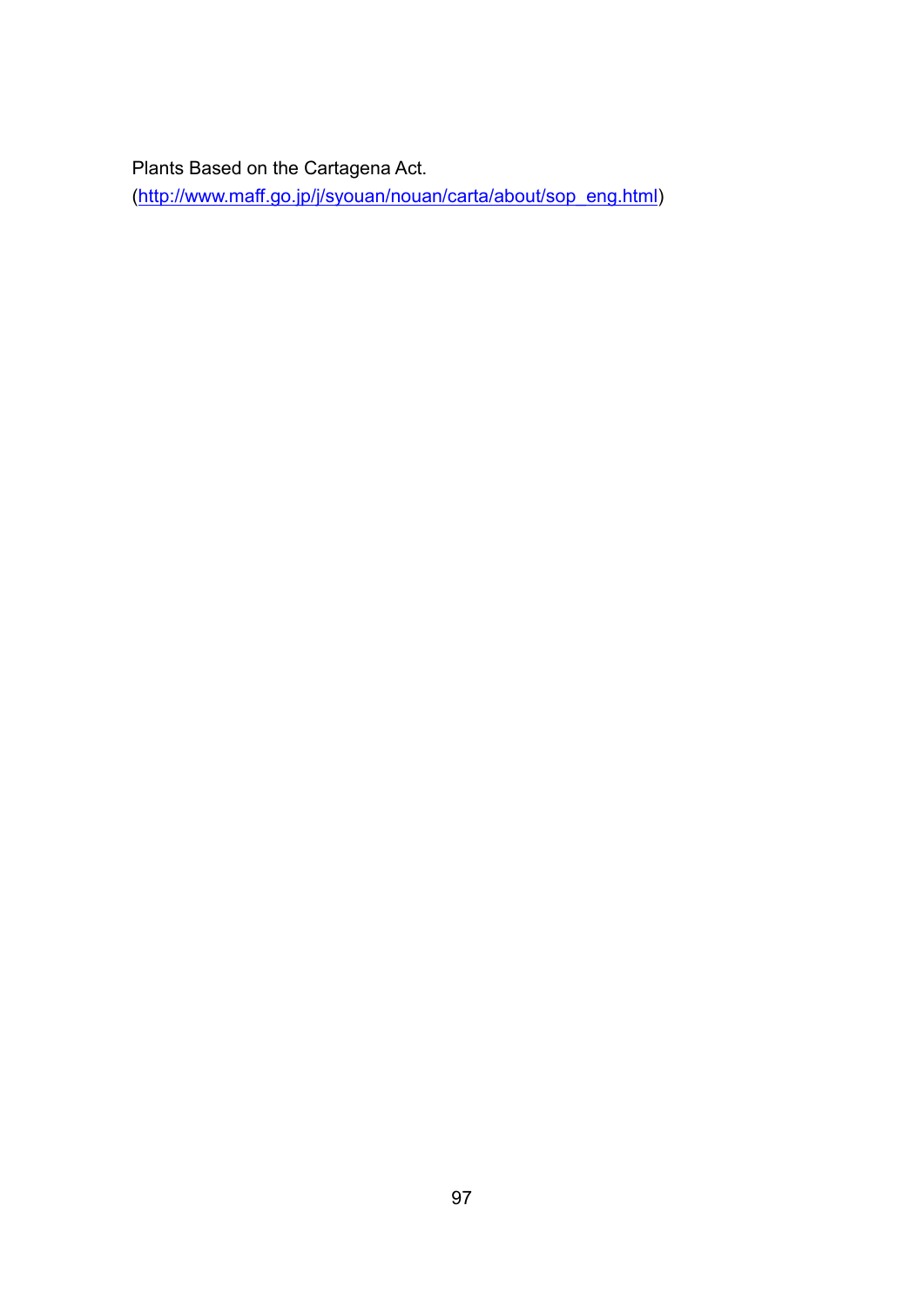Plants Based on the Cartagena Act.

(http://www.maff.go.jp/j/syouan/nouan/carta/about/sop\_eng.html)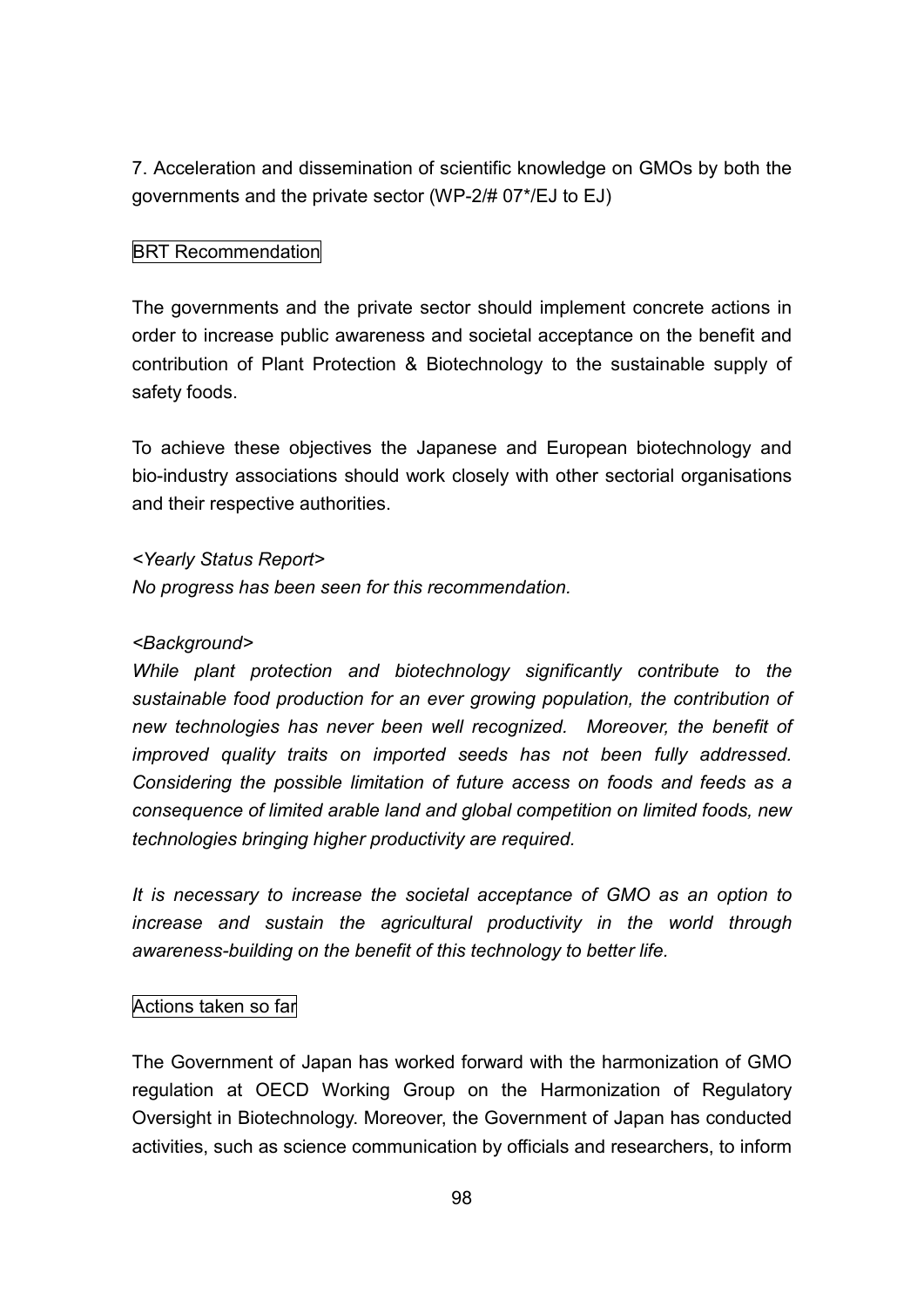7. Acceleration and dissemination of scientific knowledge on GMOs by both the governments and the private sector (WP-2/# 07\*/EJ to EJ)

# BRT Recommendation

The governments and the private sector should implement concrete actions in order to increase public awareness and societal acceptance on the benefit and contribution of Plant Protection & Biotechnology to the sustainable supply of safety foods.

To achieve these objectives the Japanese and European biotechnology and bio-industry associations should work closely with other sectorial organisations and their respective authorities.

### *<Yearly Status Report>*

*No progress has been seen for this recommendation.*

### *<Background>*

*While plant protection and biotechnology significantly contribute to the sustainable food production for an ever growing population, the contribution of new technologies has never been well recognized. Moreover, the benefit of improved quality traits on imported seeds has not been fully addressed. Considering the possible limitation of future access on foods and feeds as a consequence of limited arable land and global competition on limited foods, new technologies bringing higher productivity are required.*

*It is necessary to increase the societal acceptance of GMO as an option to increase and sustain the agricultural productivity in the world through awareness-building on the benefit of this technology to better life.*

# Actions taken so far

The Government of Japan has worked forward with the harmonization of GMO regulation at OECD Working Group on the Harmonization of Regulatory Oversight in Biotechnology. Moreover, the Government of Japan has conducted activities, such as science communication by officials and researchers, to inform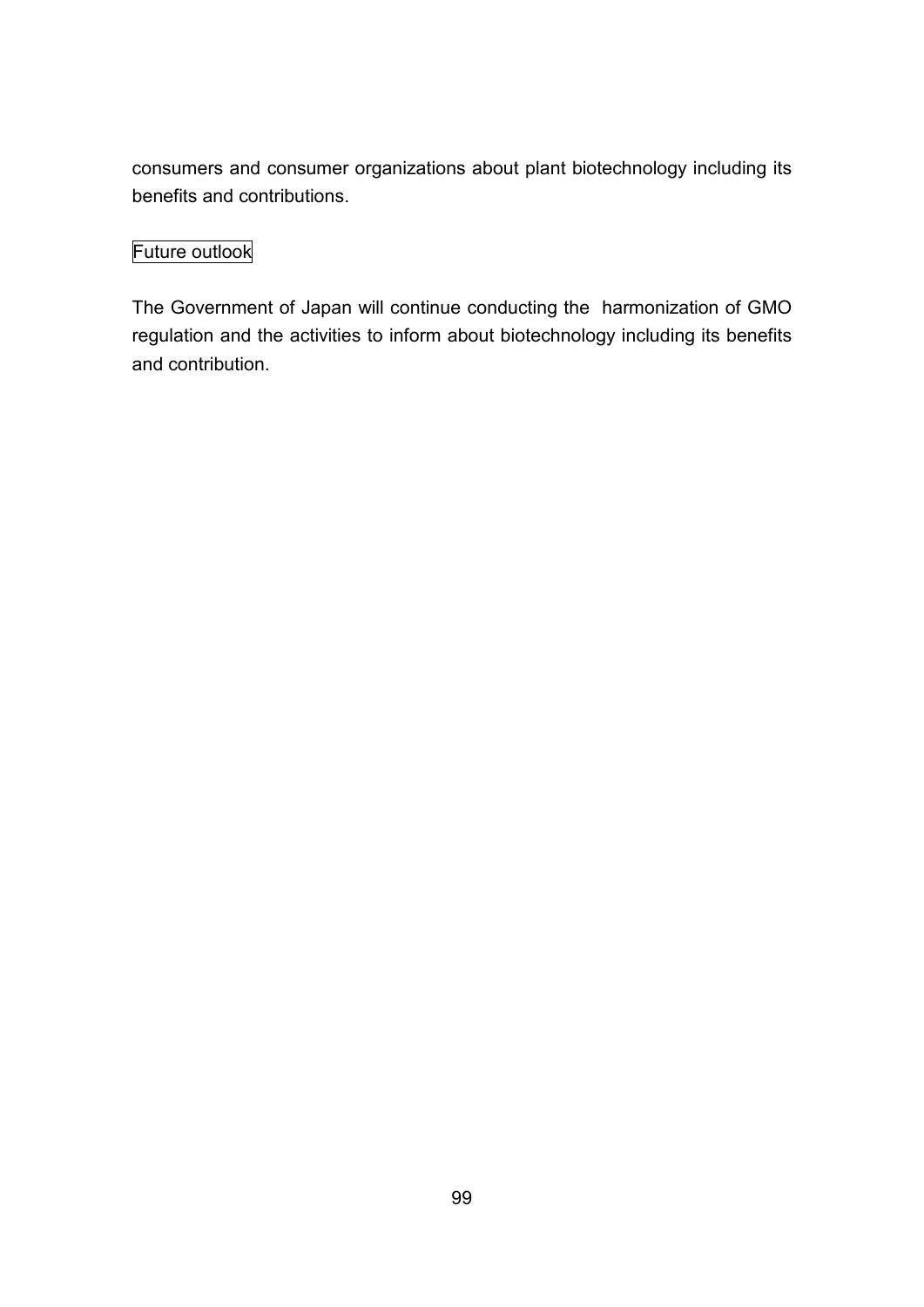consumers and consumer organizations about plant biotechnology including its benefits and contributions.

# Future outlook

The Government of Japan will continue conducting the harmonization of GMO regulation and the activities to inform about biotechnology including its benefits and contribution.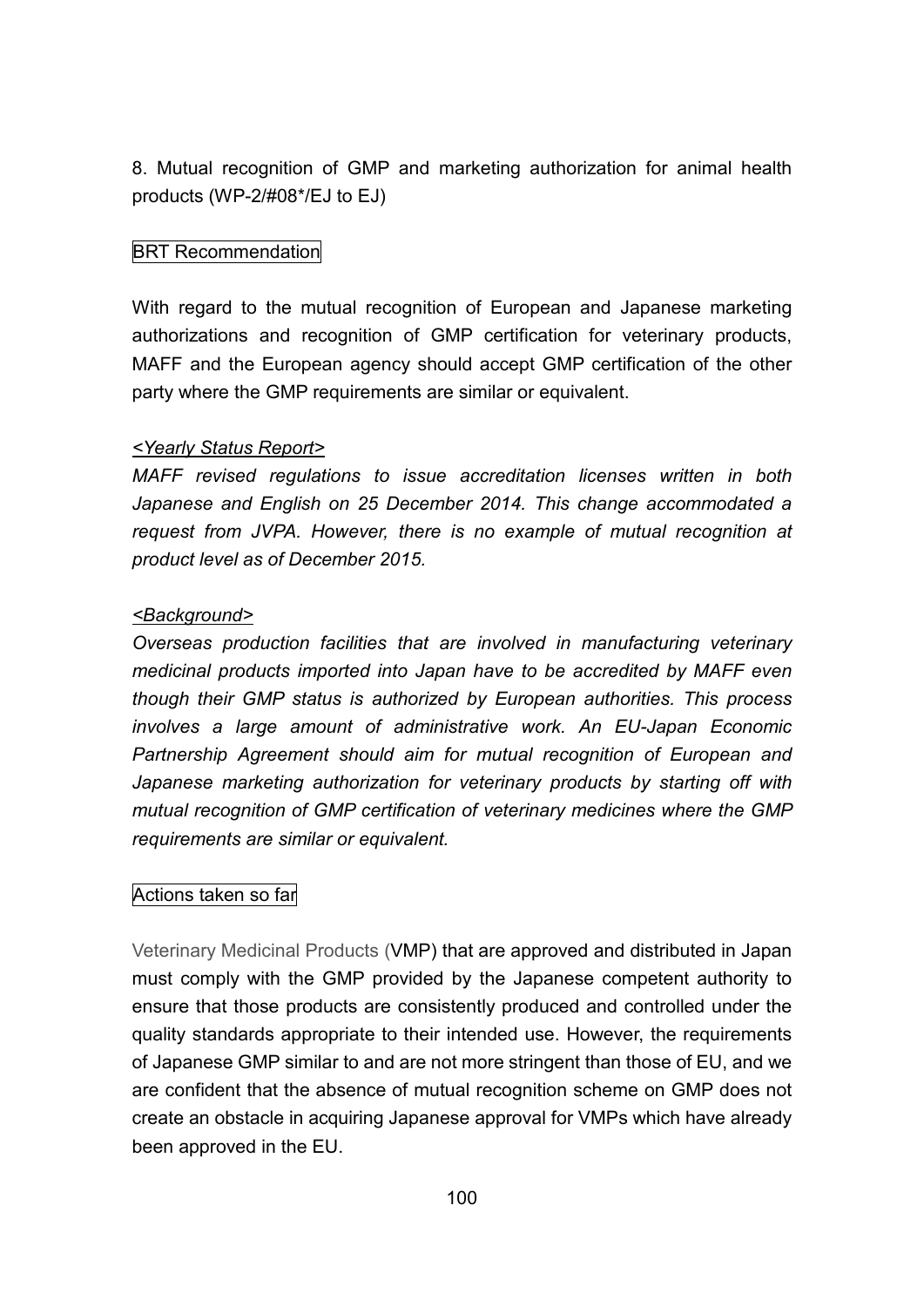8. Mutual recognition of GMP and marketing authorization for animal health products (WP-2/#08\*/EJ to EJ)

# BRT Recommendation

With regard to the mutual recognition of European and Japanese marketing authorizations and recognition of GMP certification for veterinary products, MAFF and the European agency should accept GMP certification of the other party where the GMP requirements are similar or equivalent.

### *<Yearly Status Report>*

*MAFF revised regulations to issue accreditation licenses written in both Japanese and English on 25 December 2014. This change accommodated a request from JVPA. However, there is no example of mutual recognition at product level as of December 2015.*

### *<Background>*

*Overseas production facilities that are involved in manufacturing veterinary medicinal products imported into Japan have to be accredited by MAFF even though their GMP status is authorized by European authorities. This process involves a large amount of administrative work. An EU-Japan Economic Partnership Agreement should aim for mutual recognition of European and Japanese marketing authorization for veterinary products by starting off with mutual recognition of GMP certification of veterinary medicines where the GMP requirements are similar or equivalent.*

# Actions taken so far

Veterinary Medicinal Products (VMP) that are approved and distributed in Japan must comply with the GMP provided by the Japanese competent authority to ensure that those products are consistently produced and controlled under the quality standards appropriate to their intended use. However, the requirements of Japanese GMP similar to and are not more stringent than those of EU, and we are confident that the absence of mutual recognition scheme on GMP does not create an obstacle in acquiring Japanese approval for VMPs which have already been approved in the EU.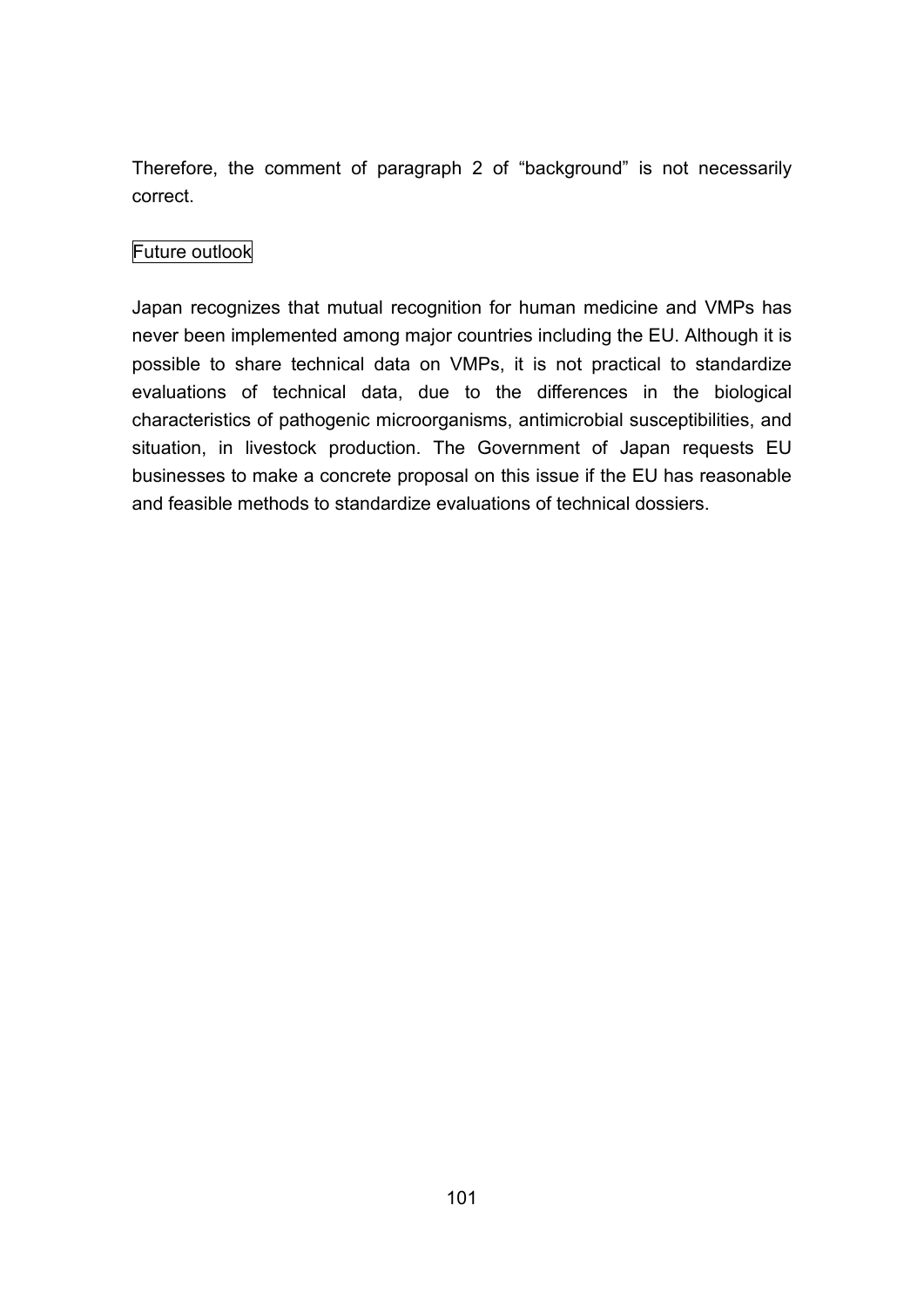Therefore, the comment of paragraph 2 of "background" is not necessarily correct.

# Future outlook

Japan recognizes that mutual recognition for human medicine and VMPs has never been implemented among major countries including the EU. Although it is possible to share technical data on VMPs, it is not practical to standardize evaluations of technical data, due to the differences in the biological characteristics of pathogenic microorganisms, antimicrobial susceptibilities, and situation, in livestock production. The Government of Japan requests EU businesses to make a concrete proposal on this issue if the EU has reasonable and feasible methods to standardize evaluations of technical dossiers.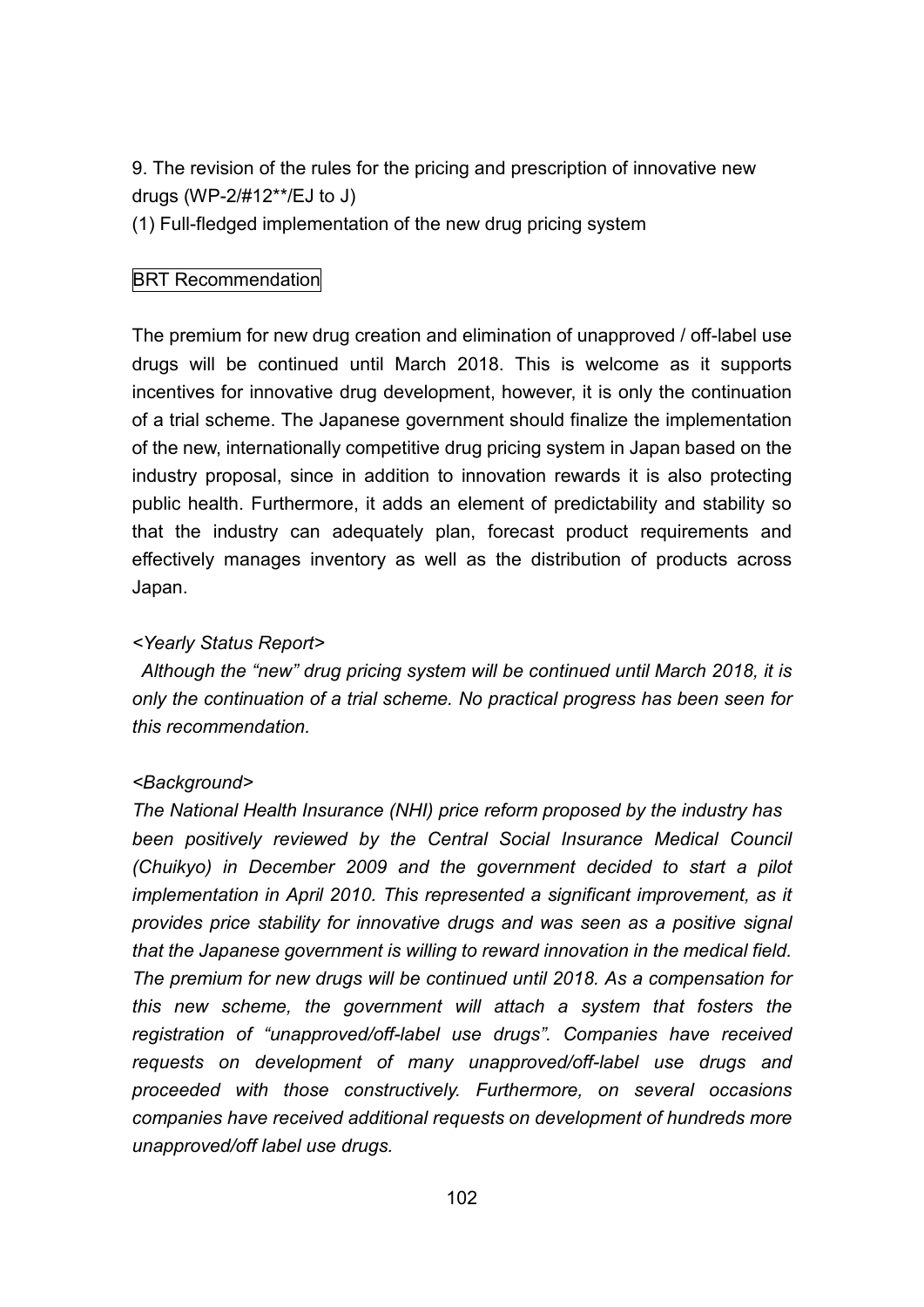9. The revision of the rules for the pricing and prescription of innovative new drugs (WP-2/#12\*\*/EJ to J)

(1) Full-fledged implementation of the new drug pricing system

# BRT Recommendation

The premium for new drug creation and elimination of unapproved / off-label use drugs will be continued until March 2018. This is welcome as it supports incentives for innovative drug development, however, it is only the continuation of a trial scheme. The Japanese government should finalize the implementation of the new, internationally competitive drug pricing system in Japan based on the industry proposal, since in addition to innovation rewards it is also protecting public health. Furthermore, it adds an element of predictability and stability so that the industry can adequately plan, forecast product requirements and effectively manages inventory as well as the distribution of products across Japan.

### *<Yearly Status Report>*

*Although the "new" drug pricing system will be continued until March 2018, it is only the continuation of a trial scheme. No practical progress has been seen for this recommendation.*

### *<Background>*

*The National Health Insurance (NHI) price reform proposed by the industry has been positively reviewed by the Central Social Insurance Medical Council (Chuikyo) in December 2009 and the government decided to start a pilot implementation in April 2010. This represented a significant improvement, as it provides price stability for innovative drugs and was seen as a positive signal that the Japanese government is willing to reward innovation in the medical field. The premium for new drugs will be continued until 2018. As a compensation for this new scheme, the government will attach a system that fosters the registration of "unapproved/off-label use drugs". Companies have received requests on development of many unapproved/off-label use drugs and proceeded with those constructively. Furthermore, on several occasions companies have received additional requests on development of hundreds more unapproved/off label use drugs.*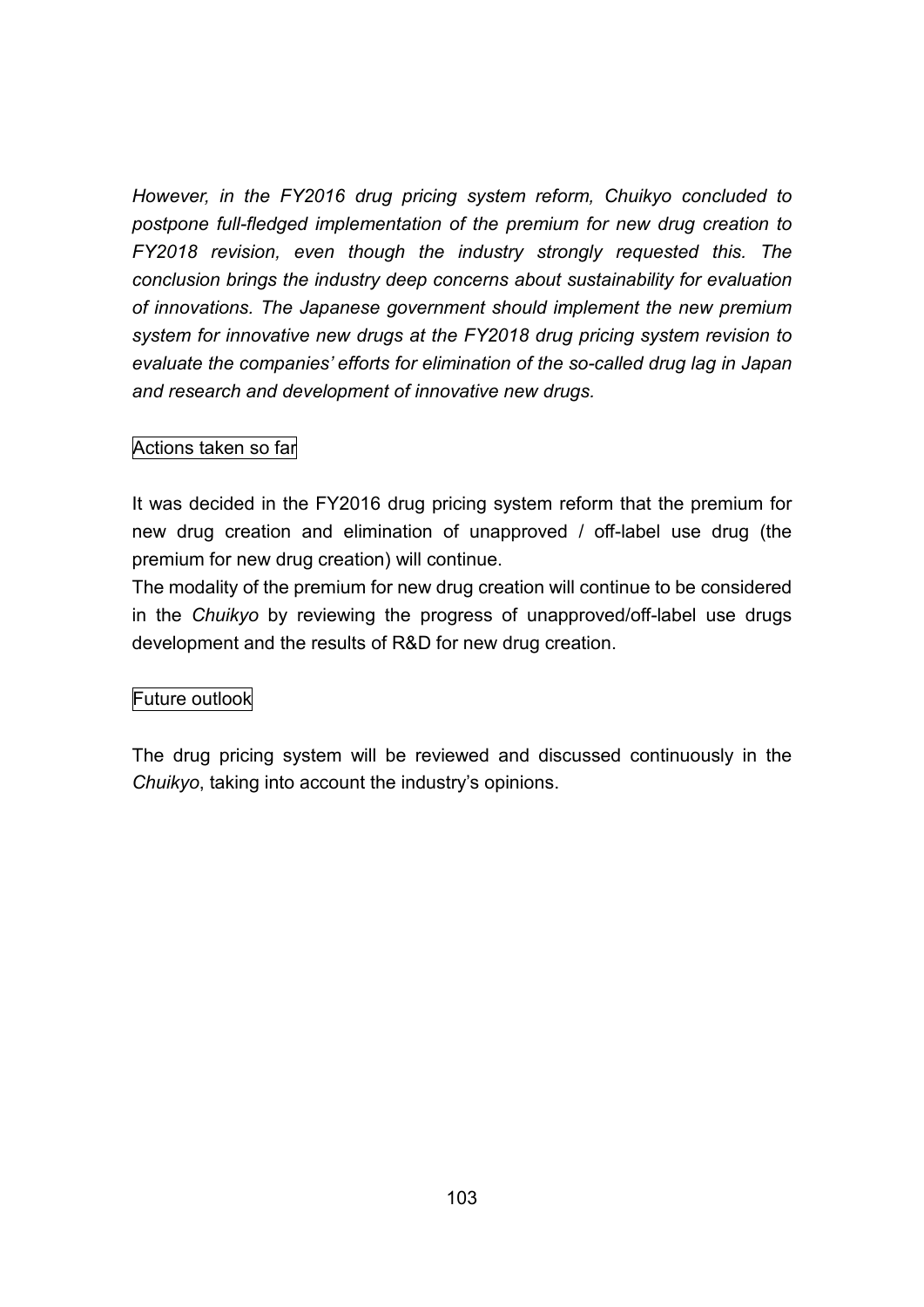*However, in the FY2016 drug pricing system reform, Chuikyo concluded to postpone full-fledged implementation of the premium for new drug creation to FY2018 revision, even though the industry strongly requested this. The conclusion brings the industry deep concerns about sustainability for evaluation of innovations. The Japanese government should implement the new premium system for innovative new drugs at the FY2018 drug pricing system revision to evaluate the companies' efforts for elimination of the so-called drug lag in Japan and research and development of innovative new drugs.*

### Actions taken so far

It was decided in the FY2016 drug pricing system reform that the premium for new drug creation and elimination of unapproved / off-label use drug (the premium for new drug creation) will continue.

The modality of the premium for new drug creation will continue to be considered in the *Chuikyo* by reviewing the progress of unapproved/off-label use drugs development and the results of R&D for new drug creation.

### Future outlook

The drug pricing system will be reviewed and discussed continuously in the *Chuikyo*, taking into account the industry's opinions.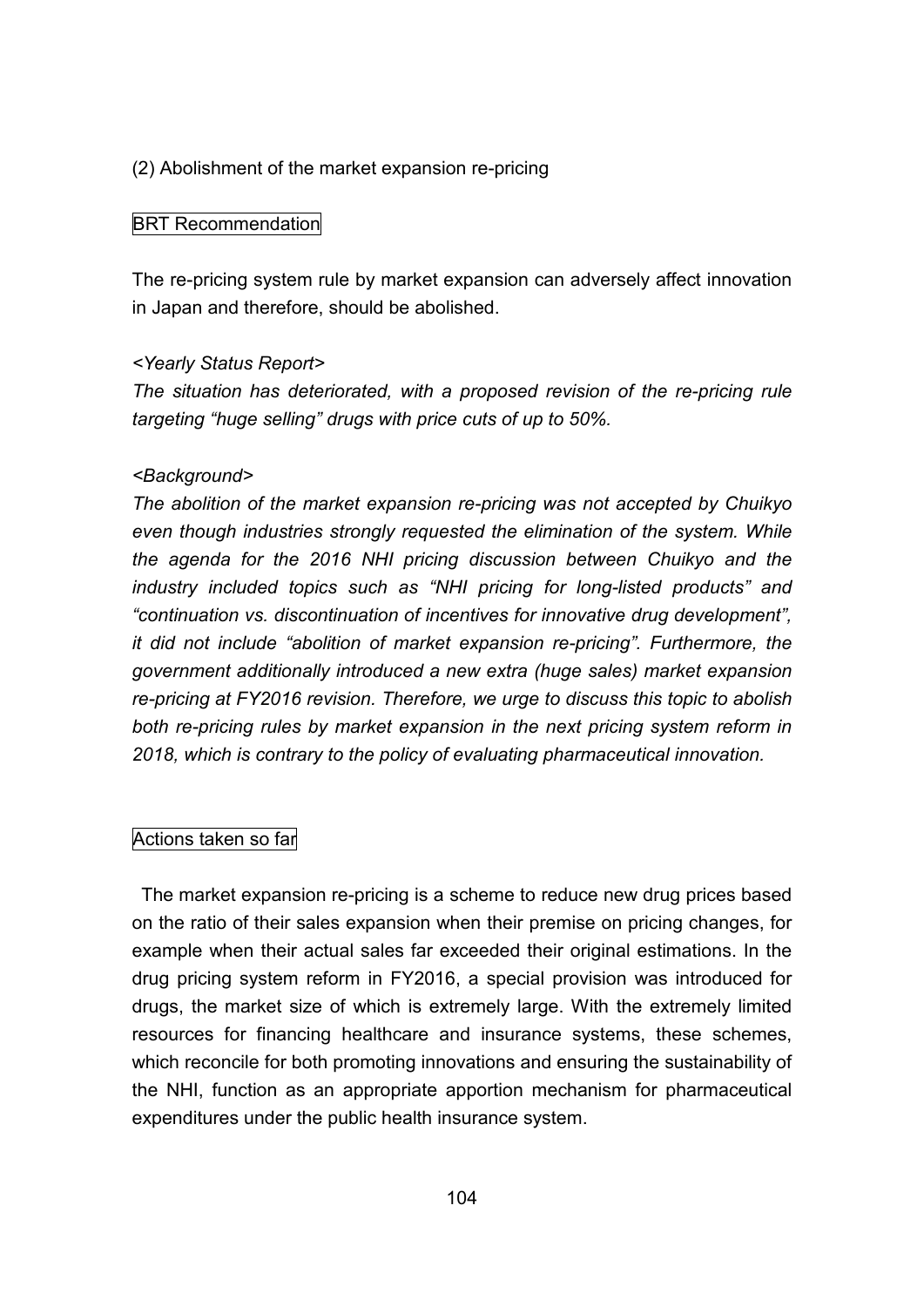### (2) Abolishment of the market expansion re-pricing

#### BRT Recommendation

The re-pricing system rule by market expansion can adversely affect innovation in Japan and therefore, should be abolished.

#### *<Yearly Status Report>*

*The situation has deteriorated, with a proposed revision of the re-pricing rule targeting "huge selling" drugs with price cuts of up to 50%.*

#### *<Background>*

*The abolition of the market expansion re-pricing was not accepted by Chuikyo even though industries strongly requested the elimination of the system. While the agenda for the 2016 NHI pricing discussion between Chuikyo and the industry included topics such as "NHI pricing for long-listed products" and "continuation vs. discontinuation of incentives for innovative drug development", it did not include "abolition of market expansion re-pricing". Furthermore, the government additionally introduced a new extra (huge sales) market expansion re-pricing at FY2016 revision. Therefore, we urge to discuss this topic to abolish both re-pricing rules by market expansion in the next pricing system reform in 2018, which is contrary to the policy of evaluating pharmaceutical innovation.*

#### Actions taken so far

The market expansion re-pricing is a scheme to reduce new drug prices based on the ratio of their sales expansion when their premise on pricing changes, for example when their actual sales far exceeded their original estimations. In the drug pricing system reform in FY2016, a special provision was introduced for drugs, the market size of which is extremely large. With the extremely limited resources for financing healthcare and insurance systems, these schemes, which reconcile for both promoting innovations and ensuring the sustainability of the NHI, function as an appropriate apportion mechanism for pharmaceutical expenditures under the public health insurance system.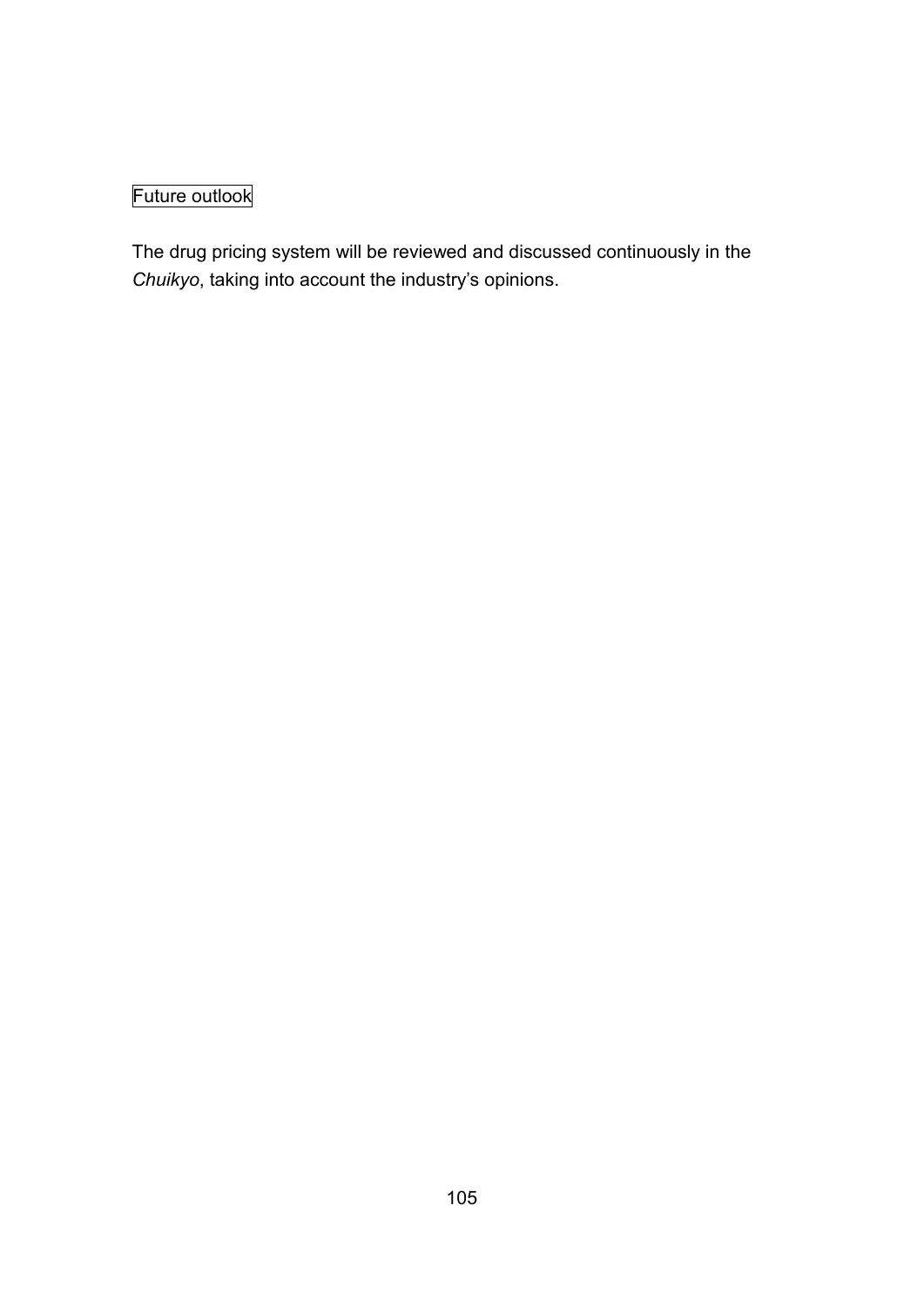# Future outlook

The drug pricing system will be reviewed and discussed continuously in the *Chuikyo*, taking into account the industry's opinions.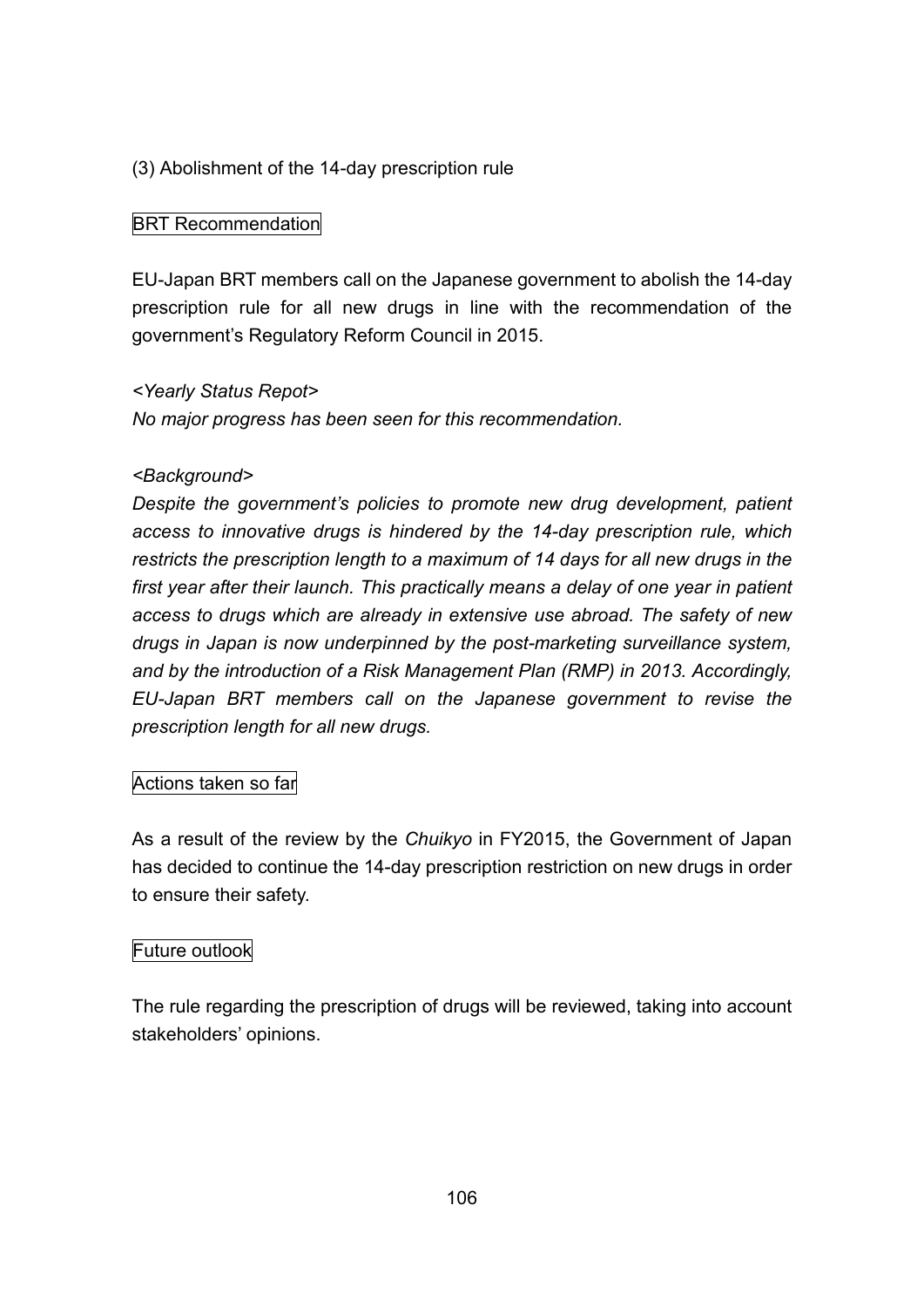# (3) Abolishment of the 14-day prescription rule

### BRT Recommendation

EU-Japan BRT members call on the Japanese government to abolish the 14-day prescription rule for all new drugs in line with the recommendation of the government's Regulatory Reform Council in 2015.

### *<Yearly Status Repot>*

*No major progress has been seen for this recommendation.*

#### *<Background>*

*Despite the government's policies to promote new drug development, patient access to innovative drugs is hindered by the 14-day prescription rule, which restricts the prescription length to a maximum of 14 days for all new drugs in the first year after their launch. This practically means a delay of one year in patient access to drugs which are already in extensive use abroad. The safety of new drugs in Japan is now underpinned by the post-marketing surveillance system, and by the introduction of a Risk Management Plan (RMP) in 2013. Accordingly, EU-Japan BRT members call on the Japanese government to revise the prescription length for all new drugs.*

### Actions taken so far

As a result of the review by the *Chuikyo* in FY2015, the Government of Japan has decided to continue the 14-day prescription restriction on new drugs in order to ensure their safety.

### Future outlook

The rule regarding the prescription of drugs will be reviewed, taking into account stakeholders' opinions.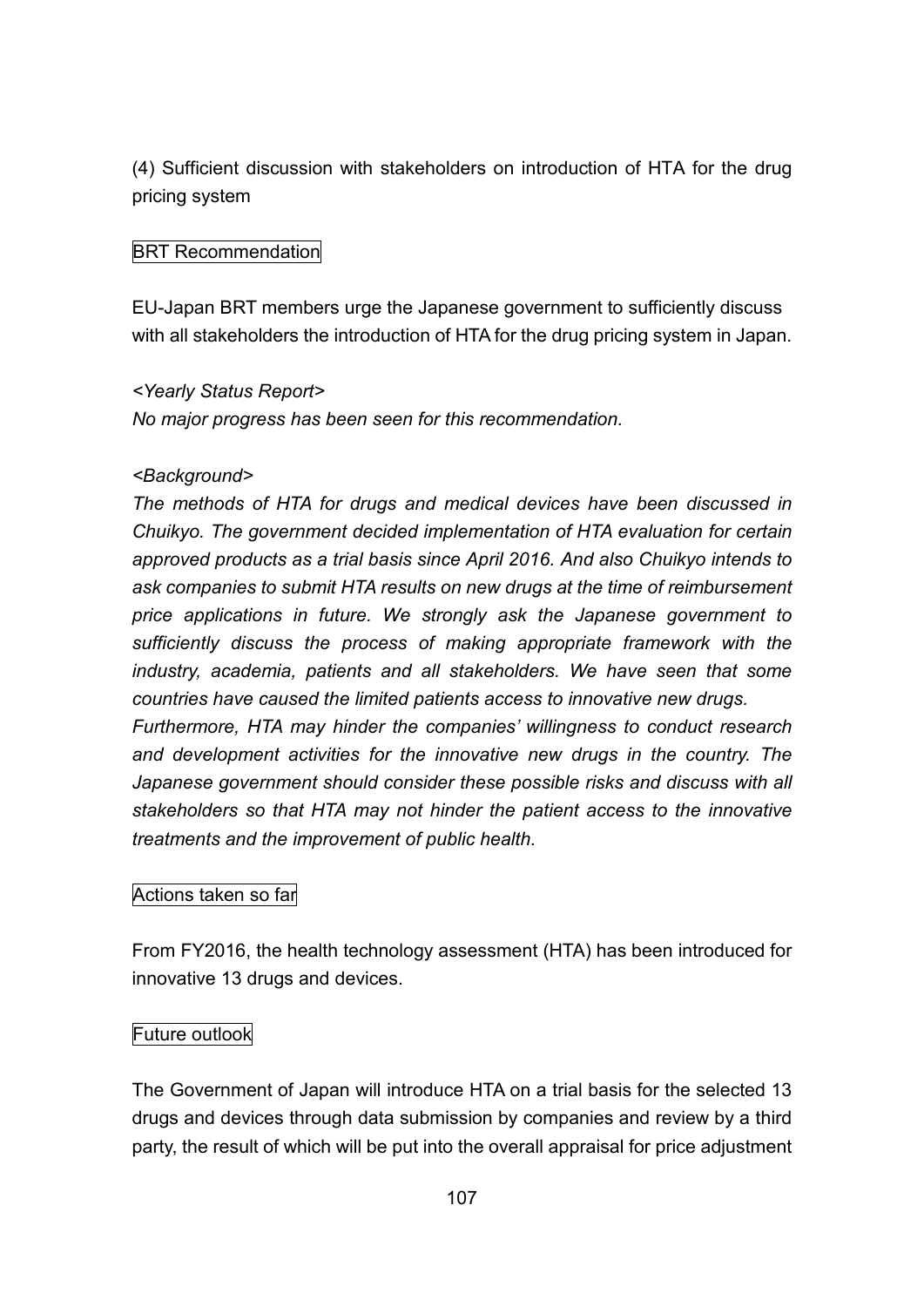(4) Sufficient discussion with stakeholders on introduction of HTA for the drug pricing system

# BRT Recommendation

EU-Japan BRT members urge the Japanese government to sufficiently discuss with all stakeholders the introduction of HTA for the drug pricing system in Japan.

### *<Yearly Status Report>*

*No major progress has been seen for this recommendation.*

### *<Background>*

*The methods of HTA for drugs and medical devices have been discussed in Chuikyo. The government decided implementation of HTA evaluation for certain approved products as a trial basis since April 2016. And also Chuikyo intends to ask companies to submit HTA results on new drugs at the time of reimbursement price applications in future. We strongly ask the Japanese government to sufficiently discuss the process of making appropriate framework with the industry, academia, patients and all stakeholders. We have seen that some countries have caused the limited patients access to innovative new drugs.*

*Furthermore, HTA may hinder the companies' willingness to conduct research and development activities for the innovative new drugs in the country. The Japanese government should consider these possible risks and discuss with all stakeholders so that HTA may not hinder the patient access to the innovative treatments and the improvement of public health.*

# Actions taken so far

From FY2016, the health technology assessment (HTA) has been introduced for innovative 13 drugs and devices.

### Future outlook

The Government of Japan will introduce HTA on a trial basis for the selected 13 drugs and devices through data submission by companies and review by a third party, the result of which will be put into the overall appraisal for price adjustment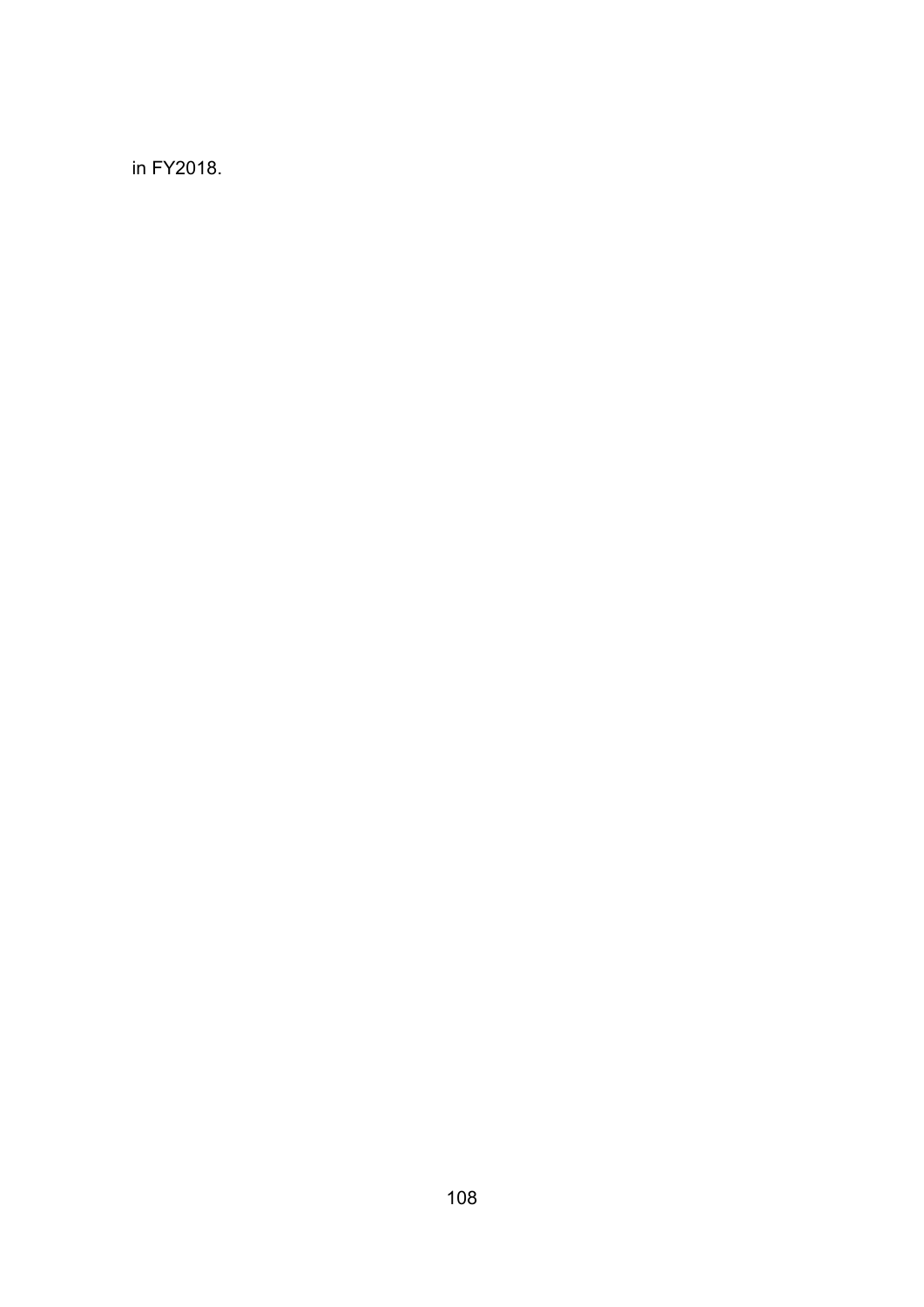in FY2018.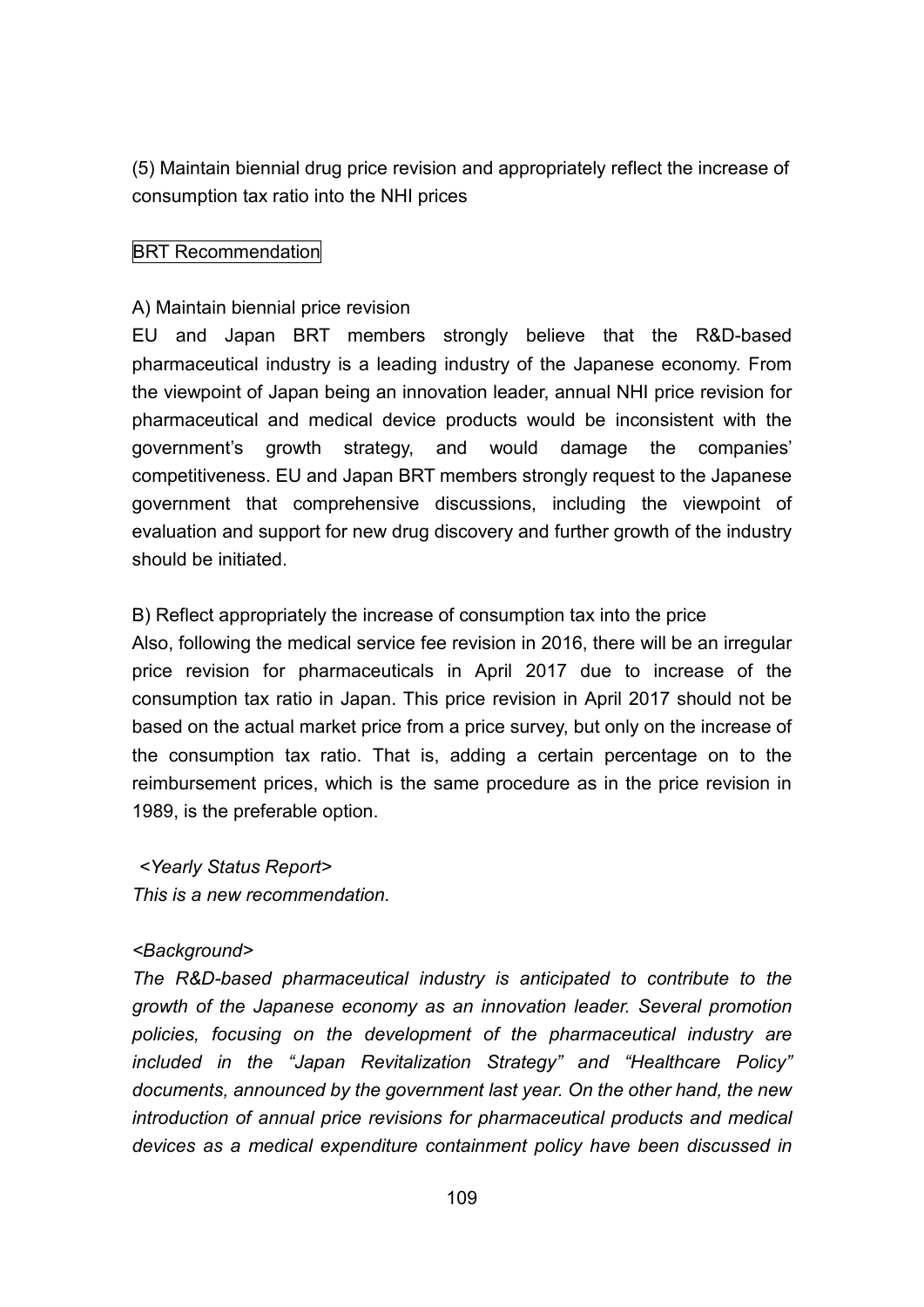(5) Maintain biennial drug price revision and appropriately reflect the increase of consumption tax ratio into the NHI prices

## BRT Recommendation

#### A) Maintain biennial price revision

EU and Japan BRT members strongly believe that the R&D-based pharmaceutical industry is a leading industry of the Japanese economy. From the viewpoint of Japan being an innovation leader, annual NHI price revision for pharmaceutical and medical device products would be inconsistent with the government's growth strategy, and would damage the companies' competitiveness. EU and Japan BRT members strongly request to the Japanese government that comprehensive discussions, including the viewpoint of evaluation and support for new drug discovery and further growth of the industry should be initiated.

#### B) Reflect appropriately the increase of consumption tax into the price

Also, following the medical service fee revision in 2016, there will be an irregular price revision for pharmaceuticals in April 2017 due to increase of the consumption tax ratio in Japan. This price revision in April 2017 should not be based on the actual market price from a price survey, but only on the increase of the consumption tax ratio. That is, adding a certain percentage on to the reimbursement prices, which is the same procedure as in the price revision in 1989, is the preferable option.

*<Yearly Status Report> This is a new recommendation.*

#### *<Background>*

*The R&D-based pharmaceutical industry is anticipated to contribute to the growth of the Japanese economy as an innovation leader. Several promotion policies, focusing on the development of the pharmaceutical industry are included in the "Japan Revitalization Strategy" and "Healthcare Policy" documents, announced by the government last year. On the other hand, the new introduction of annual price revisions for pharmaceutical products and medical devices as a medical expenditure containment policy have been discussed in*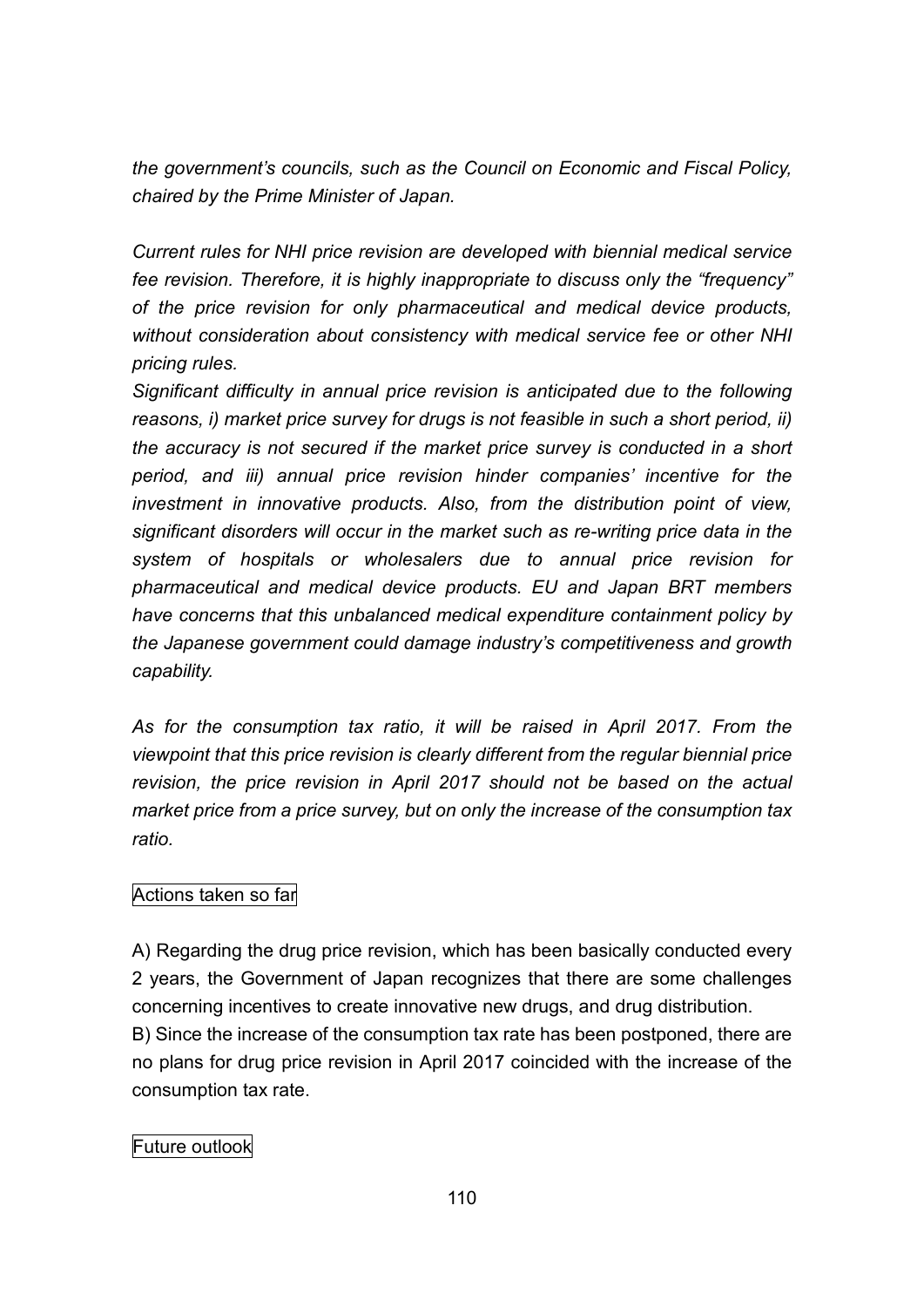*the government's councils, such as the Council on Economic and Fiscal Policy, chaired by the Prime Minister of Japan.*

*Current rules for NHI price revision are developed with biennial medical service fee revision. Therefore, it is highly inappropriate to discuss only the "frequency" of the price revision for only pharmaceutical and medical device products, without consideration about consistency with medical service fee or other NHI pricing rules.*

*Significant difficulty in annual price revision is anticipated due to the following reasons, i) market price survey for drugs is not feasible in such a short period, ii) the accuracy is not secured if the market price survey is conducted in a short period, and iii) annual price revision hinder companies' incentive for the investment in innovative products. Also, from the distribution point of view, significant disorders will occur in the market such as re-writing price data in the system of hospitals or wholesalers due to annual price revision for pharmaceutical and medical device products. EU and Japan BRT members have concerns that this unbalanced medical expenditure containment policy by the Japanese government could damage industry's competitiveness and growth capability.*

*As for the consumption tax ratio, it will be raised in April 2017. From the viewpoint that this price revision is clearly different from the regular biennial price revision, the price revision in April 2017 should not be based on the actual market price from a price survey, but on only the increase of the consumption tax ratio.*

## Actions taken so far

A) Regarding the drug price revision, which has been basically conducted every 2 years, the Government of Japan recognizes that there are some challenges concerning incentives to create innovative new drugs, and drug distribution. B) Since the increase of the consumption tax rate has been postponed, there are no plans for drug price revision in April 2017 coincided with the increase of the consumption tax rate.

## Future outlook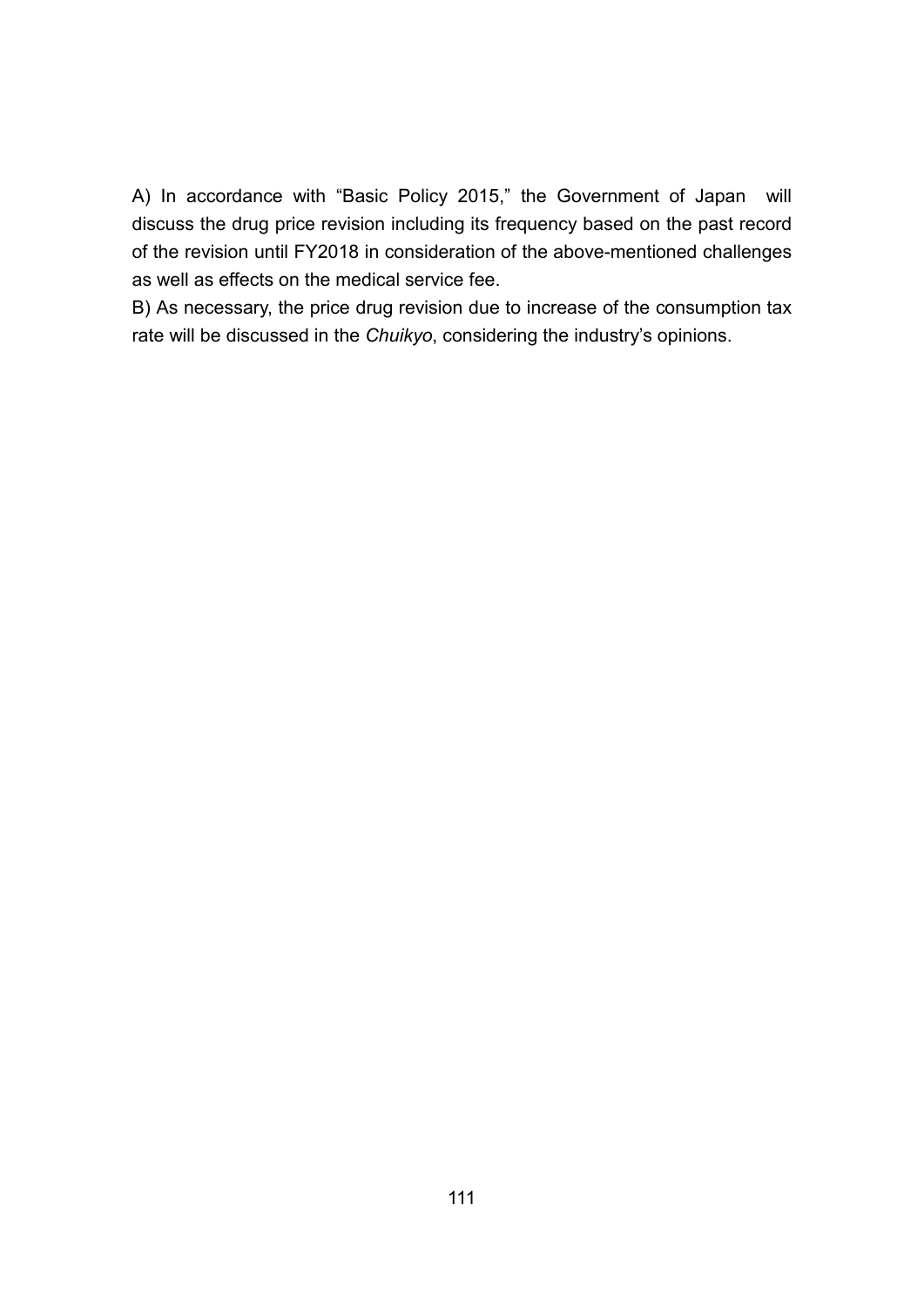A) In accordance with "Basic Policy 2015," the Government of Japan will discuss the drug price revision including its frequency based on the past record of the revision until FY2018 in consideration of the above-mentioned challenges as well as effects on the medical service fee.

B) As necessary, the price drug revision due to increase of the consumption tax rate will be discussed in the *Chuikyo*, considering the industry's opinions.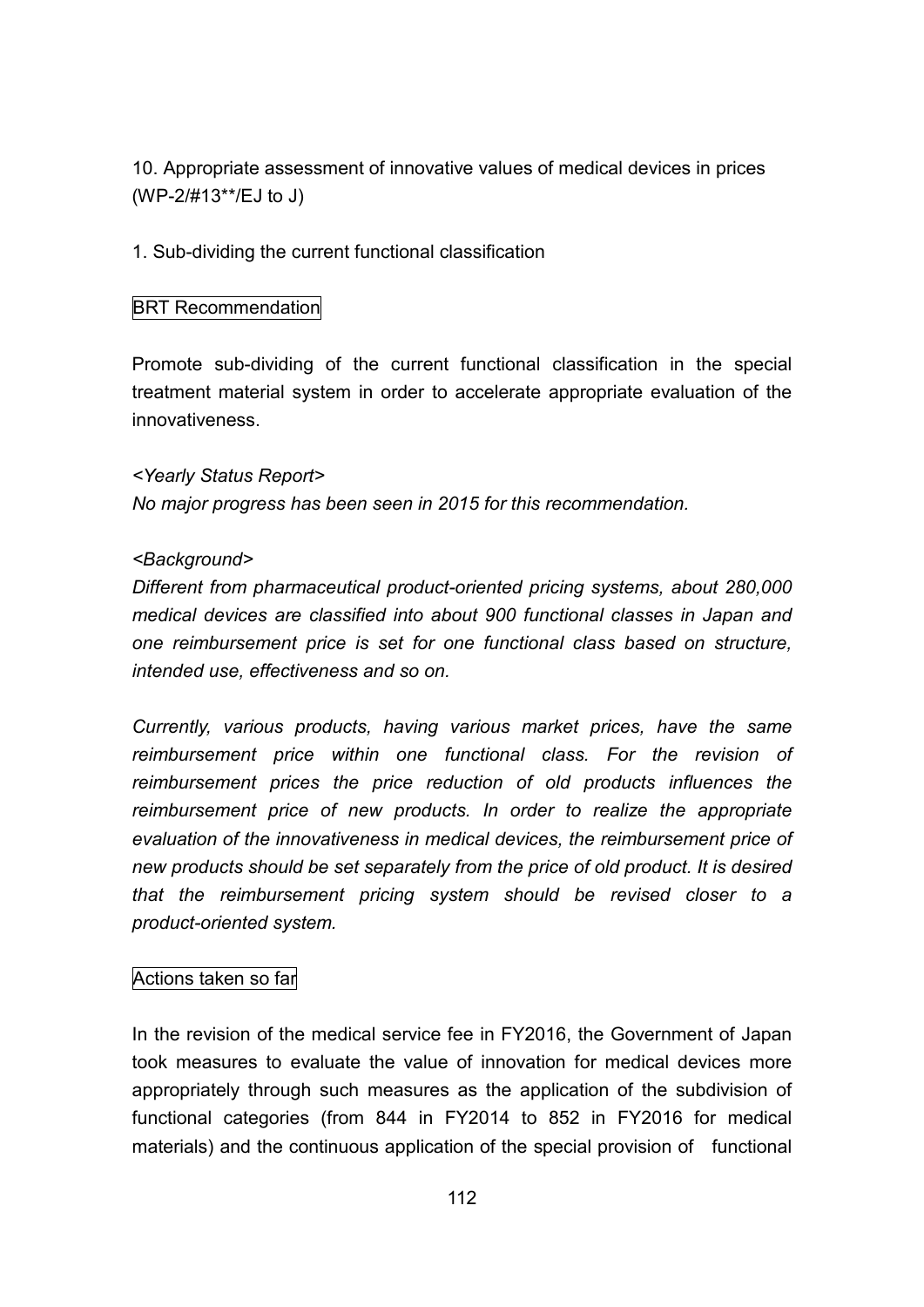10. Appropriate assessment of innovative values of medical devices in prices (WP-2/#13\*\*/EJ to J)

1. Sub-dividing the current functional classification

#### BRT Recommendation

Promote sub-dividing of the current functional classification in the special treatment material system in order to accelerate appropriate evaluation of the innovativeness.

*<Yearly Status Report> No major progress has been seen in 2015 for this recommendation.*

#### *<Background>*

*Different from pharmaceutical product-oriented pricing systems, about 280,000 medical devices are classified into about 900 functional classes in Japan and one reimbursement price is set for one functional class based on structure, intended use, effectiveness and so on.*

*Currently, various products, having various market prices, have the same reimbursement price within one functional class. For the revision of reimbursement prices the price reduction of old products influences the reimbursement price of new products. In order to realize the appropriate evaluation of the innovativeness in medical devices, the reimbursement price of new products should be set separately from the price of old product. It is desired that the reimbursement pricing system should be revised closer to a product-oriented system.*

#### Actions taken so far

In the revision of the medical service fee in FY2016, the Government of Japan took measures to evaluate the value of innovation for medical devices more appropriately through such measures as the application of the subdivision of functional categories (from 844 in FY2014 to 852 in FY2016 for medical materials) and the continuous application of the special provision of functional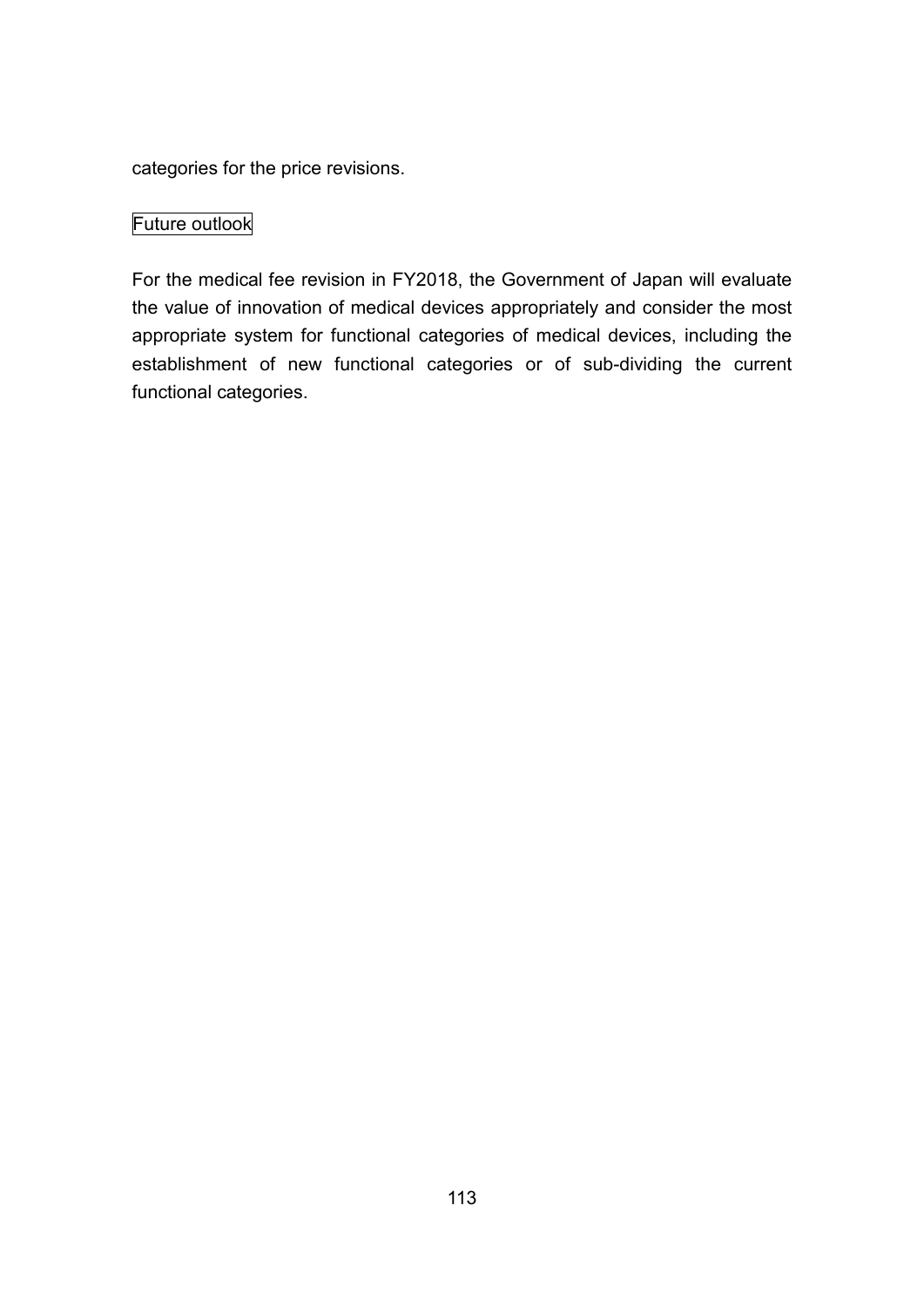categories for the price revisions.

## Future outlook

For the medical fee revision in FY2018, the Government of Japan will evaluate the value of innovation of medical devices appropriately and consider the most appropriate system for functional categories of medical devices, including the establishment of new functional categories or of sub-dividing the current functional categories.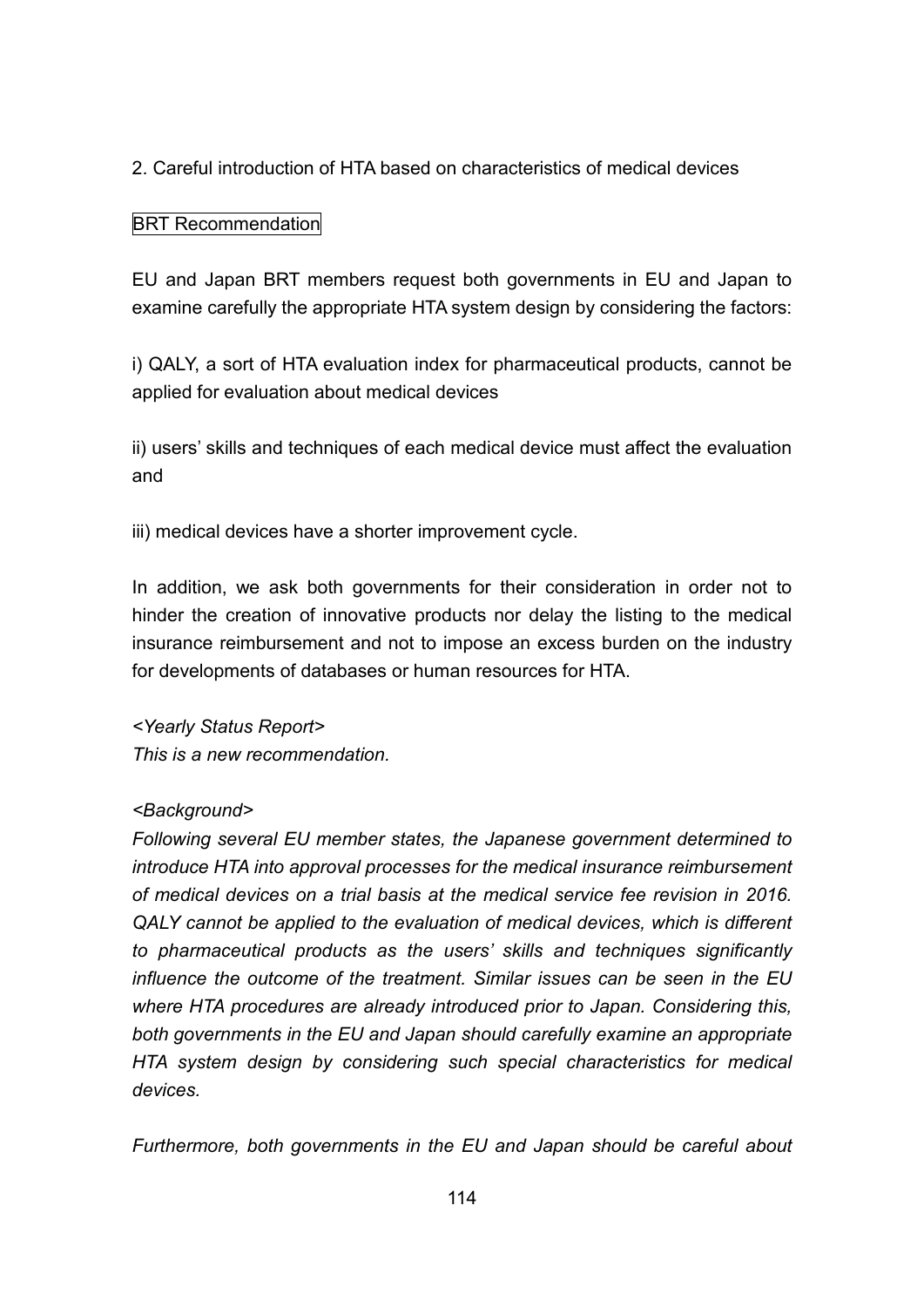## 2. Careful introduction of HTA based on characteristics of medical devices

## BRT Recommendation

EU and Japan BRT members request both governments in EU and Japan to examine carefully the appropriate HTA system design by considering the factors:

i) QALY, a sort of HTA evaluation index for pharmaceutical products, cannot be applied for evaluation about medical devices

ii) users' skills and techniques of each medical device must affect the evaluation and

iii) medical devices have a shorter improvement cycle.

In addition, we ask both governments for their consideration in order not to hinder the creation of innovative products nor delay the listing to the medical insurance reimbursement and not to impose an excess burden on the industry for developments of databases or human resources for HTA.

*<Yearly Status Report> This is a new recommendation.*

#### *<Background>*

*Following several EU member states, the Japanese government determined to introduce HTA into approval processes for the medical insurance reimbursement of medical devices on a trial basis at the medical service fee revision in 2016. QALY cannot be applied to the evaluation of medical devices, which is different to pharmaceutical products as the users' skills and techniques significantly influence the outcome of the treatment. Similar issues can be seen in the EU where HTA procedures are already introduced prior to Japan. Considering this, both governments in the EU and Japan should carefully examine an appropriate HTA system design by considering such special characteristics for medical devices.*

*Furthermore, both governments in the EU and Japan should be careful about*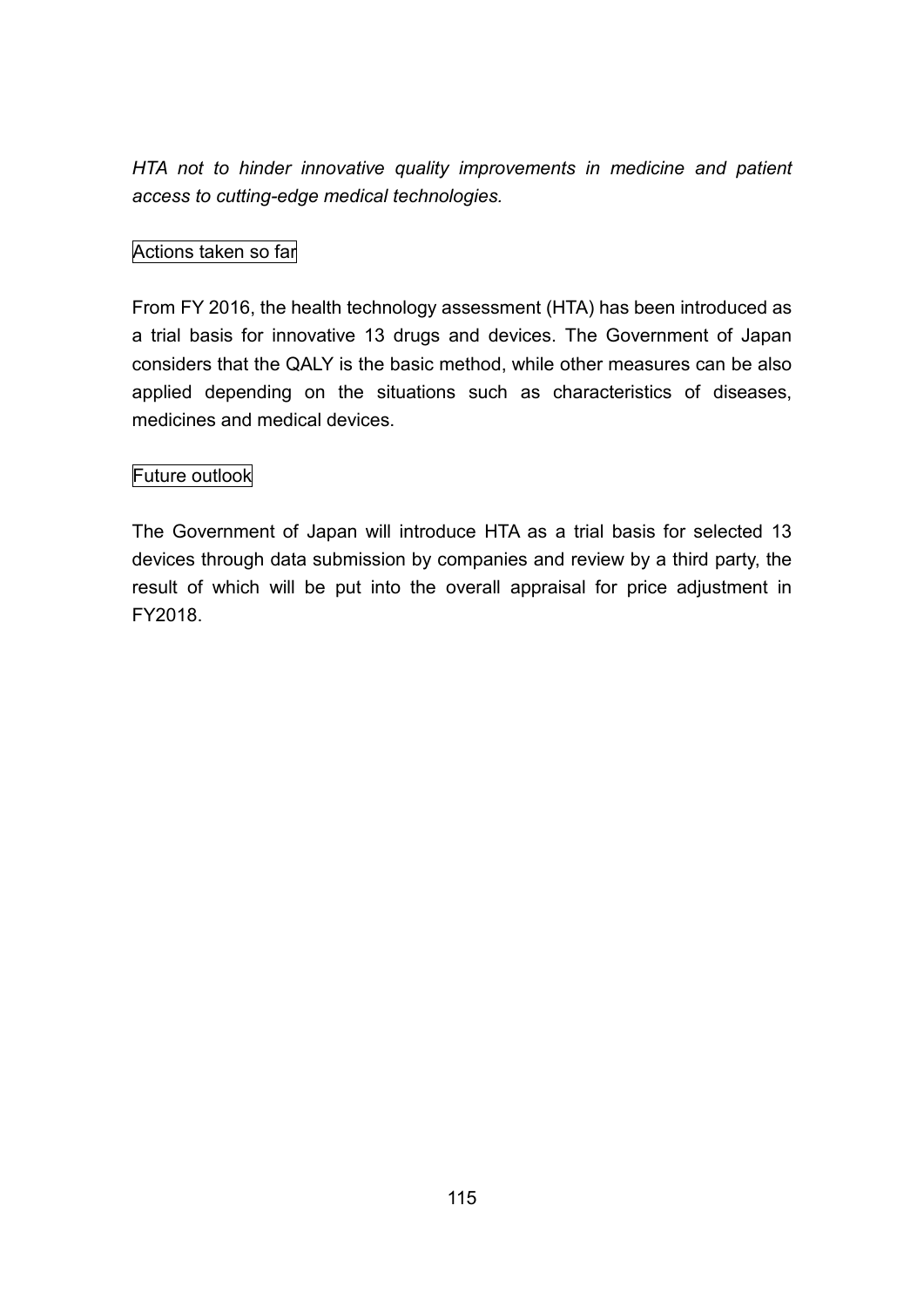*HTA not to hinder innovative quality improvements in medicine and patient access to cutting-edge medical technologies.*

## Actions taken so far

From FY 2016, the health technology assessment (HTA) has been introduced as a trial basis for innovative 13 drugs and devices. The Government of Japan considers that the QALY is the basic method, while other measures can be also applied depending on the situations such as characteristics of diseases, medicines and medical devices.

## Future outlook

The Government of Japan will introduce HTA as a trial basis for selected 13 devices through data submission by companies and review by a third party, the result of which will be put into the overall appraisal for price adjustment in FY2018.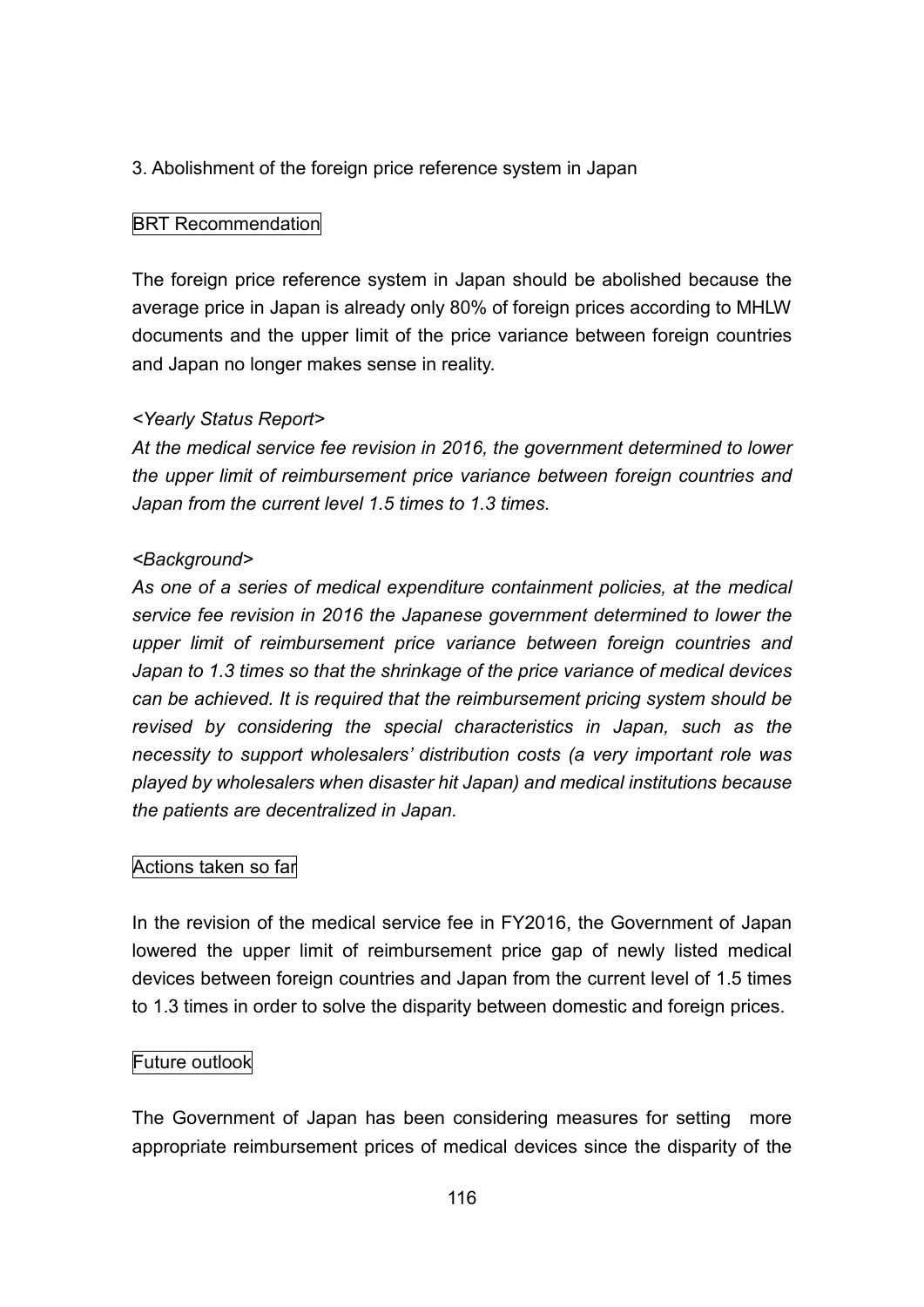## 3. Abolishment of the foreign price reference system in Japan

#### BRT Recommendation

The foreign price reference system in Japan should be abolished because the average price in Japan is already only 80% of foreign prices according to MHLW documents and the upper limit of the price variance between foreign countries and Japan no longer makes sense in reality.

#### *<Yearly Status Report>*

*At the medical service fee revision in 2016, the government determined to lower the upper limit of reimbursement price variance between foreign countries and Japan from the current level 1.5 times to 1.3 times.*

#### *<Background>*

*As one of a series of medical expenditure containment policies, at the medical service fee revision in 2016 the Japanese government determined to lower the upper limit of reimbursement price variance between foreign countries and Japan to 1.3 times so that the shrinkage of the price variance of medical devices can be achieved. It is required that the reimbursement pricing system should be revised by considering the special characteristics in Japan, such as the necessity to support wholesalers' distribution costs (a very important role was played by wholesalers when disaster hit Japan) and medical institutions because the patients are decentralized in Japan.*

## Actions taken so far

In the revision of the medical service fee in FY2016, the Government of Japan lowered the upper limit of reimbursement price gap of newly listed medical devices between foreign countries and Japan from the current level of 1.5 times to 1.3 times in order to solve the disparity between domestic and foreign prices.

#### Future outlook

The Government of Japan has been considering measures for setting more appropriate reimbursement prices of medical devices since the disparity of the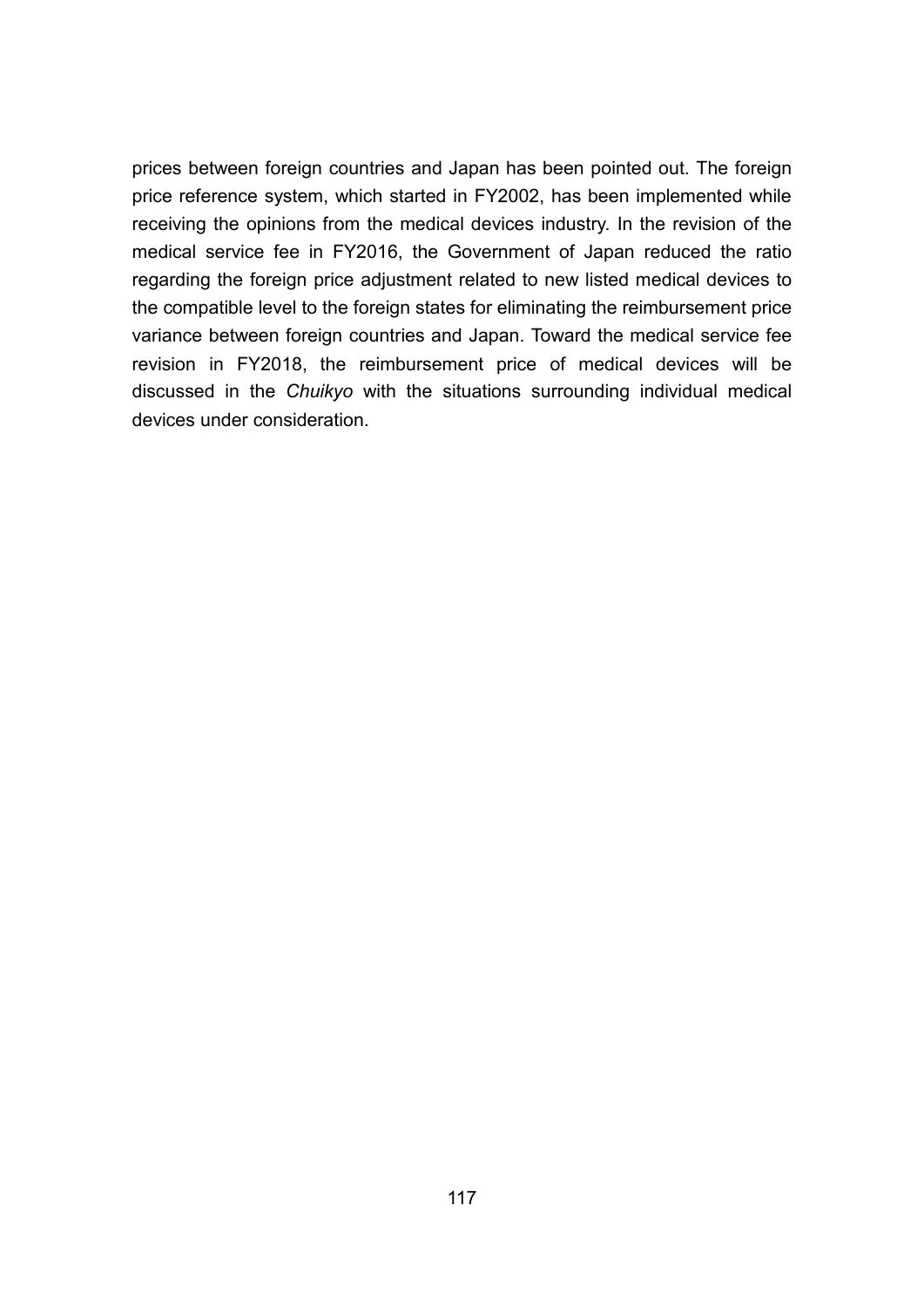prices between foreign countries and Japan has been pointed out. The foreign price reference system, which started in FY2002, has been implemented while receiving the opinions from the medical devices industry. In the revision of the medical service fee in FY2016, the Government of Japan reduced the ratio regarding the foreign price adjustment related to new listed medical devices to the compatible level to the foreign states for eliminating the reimbursement price variance between foreign countries and Japan. Toward the medical service fee revision in FY2018, the reimbursement price of medical devices will be discussed in the *Chuikyo* with the situations surrounding individual medical devices under consideration.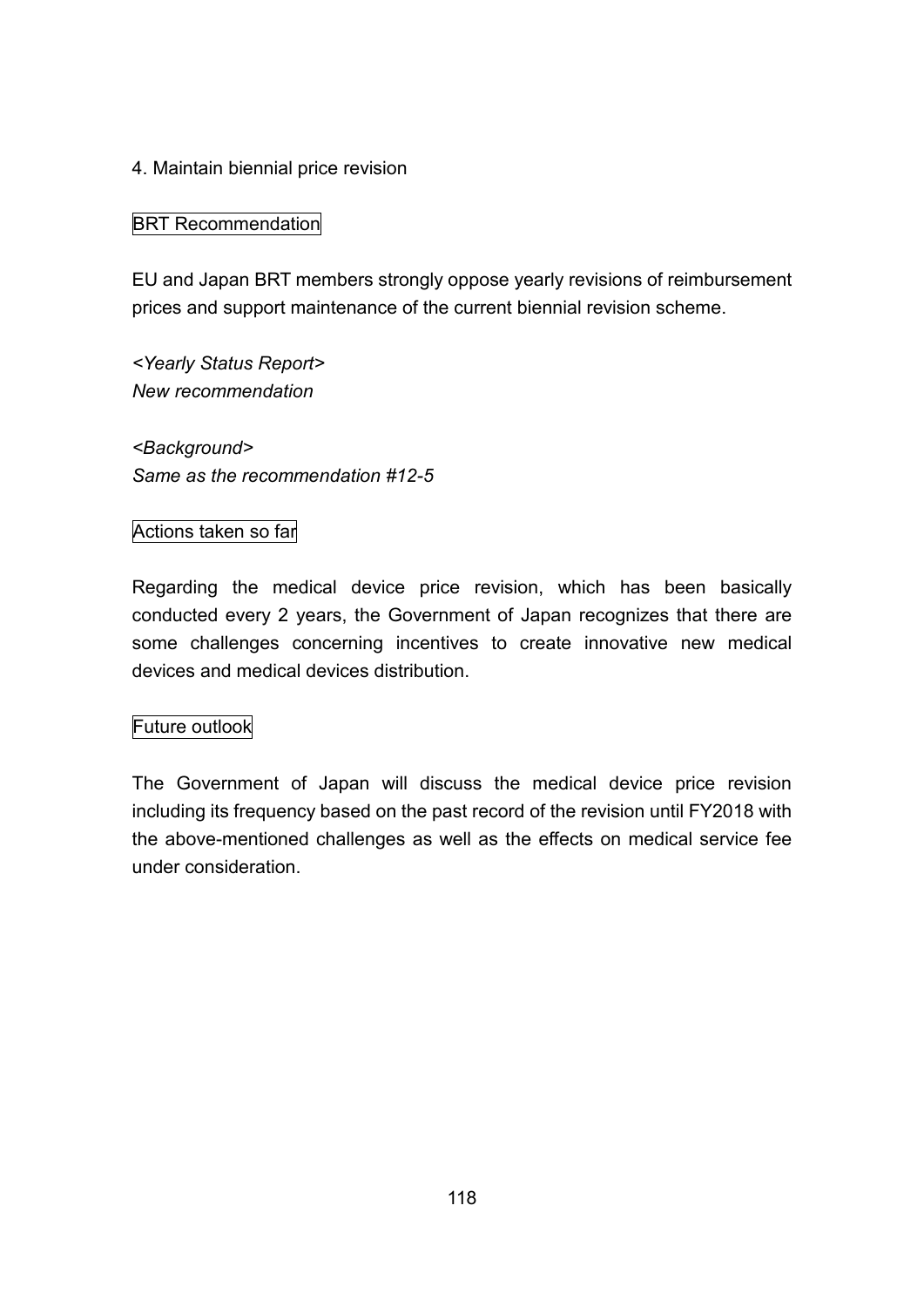#### 4. Maintain biennial price revision

#### BRT Recommendation

EU and Japan BRT members strongly oppose yearly revisions of reimbursement prices and support maintenance of the current biennial revision scheme.

*<Yearly Status Report> New recommendation*

*<Background> Same as the recommendation #12-5*

#### Actions taken so far

Regarding the medical device price revision, which has been basically conducted every 2 years, the Government of Japan recognizes that there are some challenges concerning incentives to create innovative new medical devices and medical devices distribution.

#### Future outlook

The Government of Japan will discuss the medical device price revision including its frequency based on the past record of the revision until FY2018 with the above-mentioned challenges as well as the effects on medical service fee under consideration.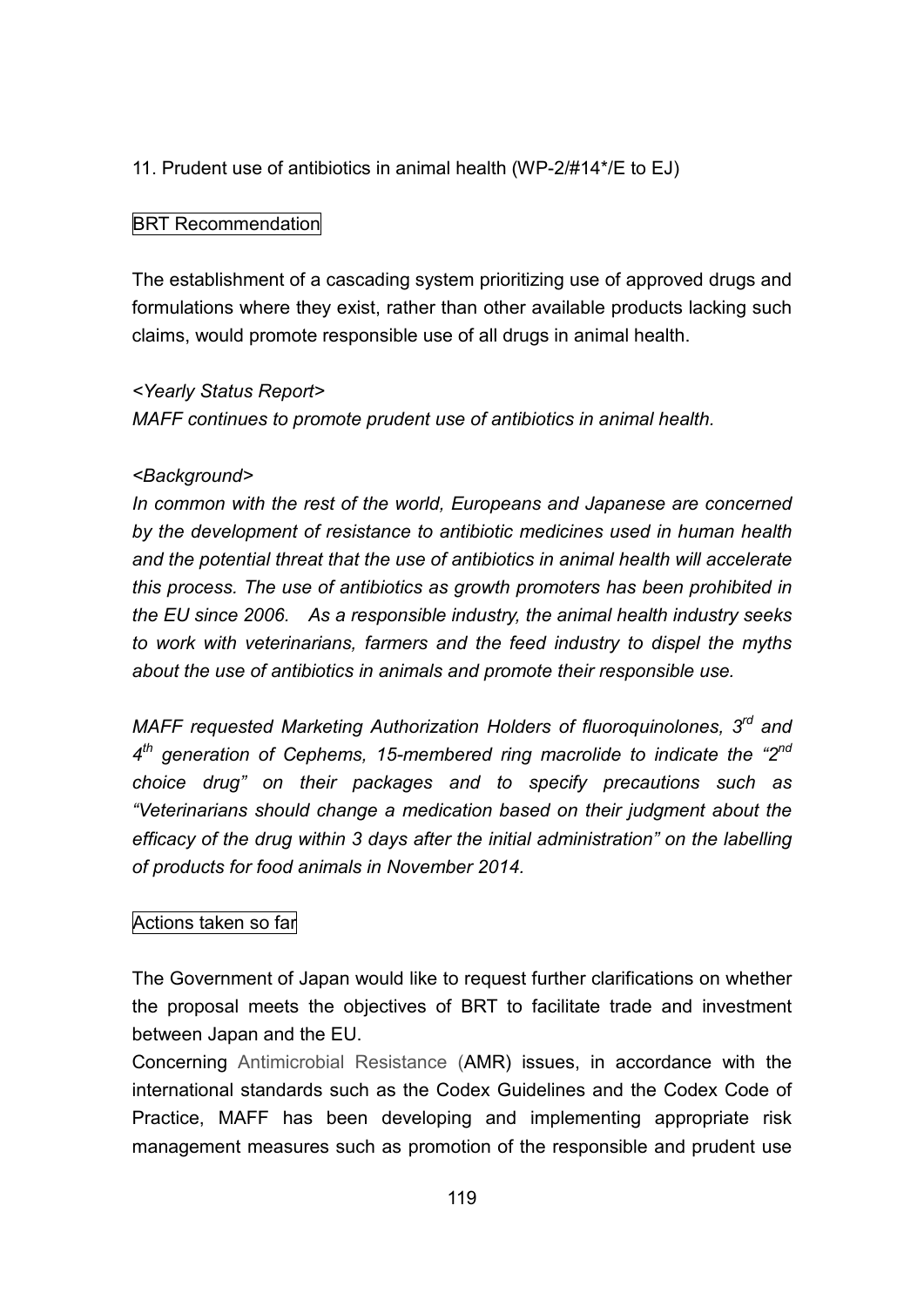11. Prudent use of antibiotics in animal health (WP-2/#14\*/E to EJ)

#### BRT Recommendation

The establishment of a cascading system prioritizing use of approved drugs and formulations where they exist, rather than other available products lacking such claims, would promote responsible use of all drugs in animal health.

#### *<Yearly Status Report>*

*MAFF continues to promote prudent use of antibiotics in animal health.*

#### *<Background>*

*In common with the rest of the world, Europeans and Japanese are concerned by the development of resistance to antibiotic medicines used in human health and the potential threat that the use of antibiotics in animal health will accelerate this process. The use of antibiotics as growth promoters has been prohibited in the EU since 2006. As a responsible industry, the animal health industry seeks to work with veterinarians, farmers and the feed industry to dispel the myths about the use of antibiotics in animals and promote their responsible use.*

*MAFF requested Marketing Authorization Holders of fluoroquinolones, 3 rd and 4 th generation of Cephems, 15-membered ring macrolide to indicate the "2 nd choice drug" on their packages and to specify precautions such as "Veterinarians should change a medication based on their judgment about the efficacy of the drug within 3 days after the initial administration" on the labelling of products for food animals in November 2014.*

## Actions taken so far

The Government of Japan would like to request further clarifications on whether the proposal meets the objectives of BRT to facilitate trade and investment between Japan and the EU.

Concerning Antimicrobial Resistance (AMR) issues, in accordance with the international standards such as the Codex Guidelines and the Codex Code of Practice, MAFF has been developing and implementing appropriate risk management measures such as promotion of the responsible and prudent use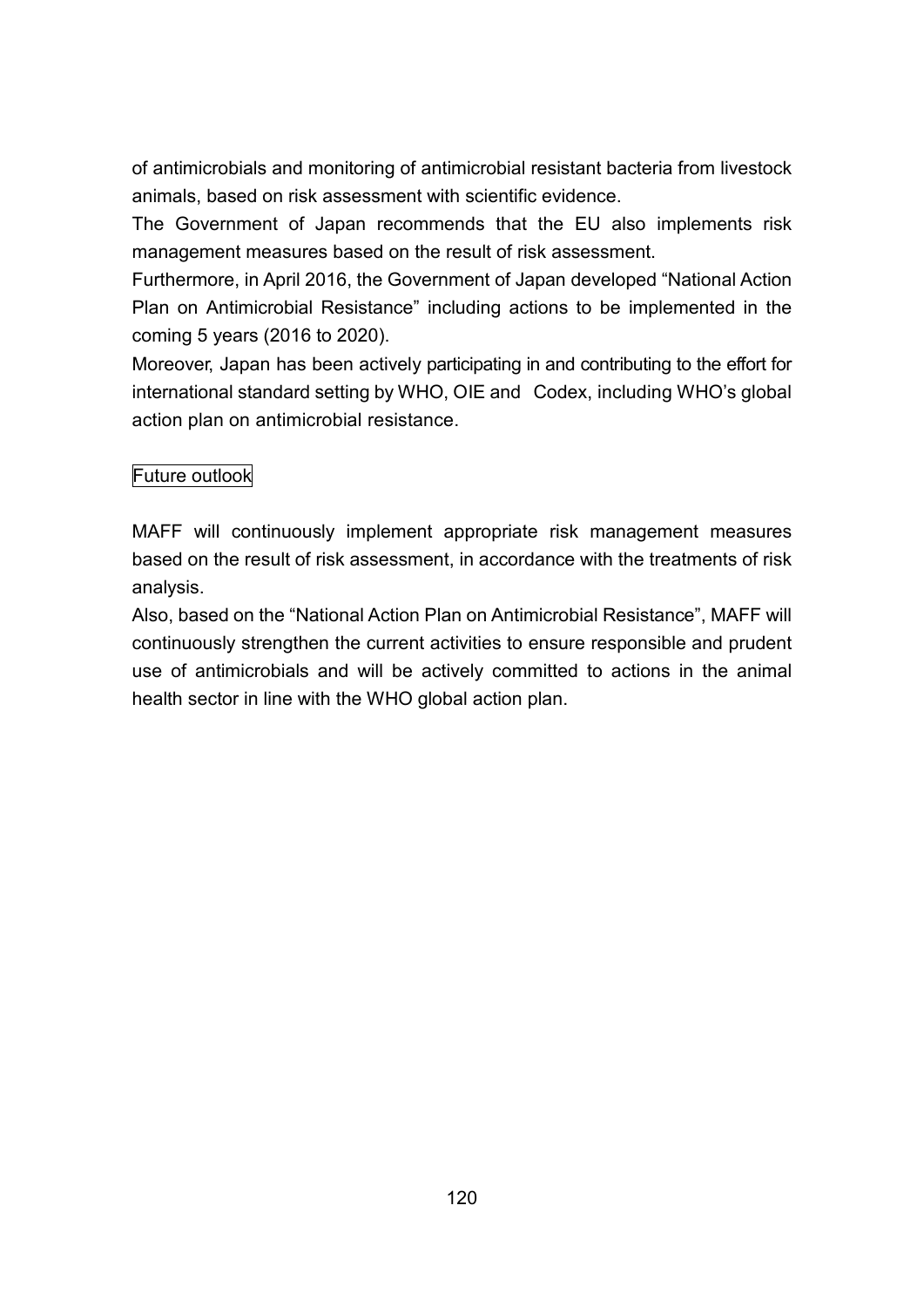of antimicrobials and monitoring of antimicrobial resistant bacteria from livestock animals, based on risk assessment with scientific evidence.

The Government of Japan recommends that the EU also implements risk management measures based on the result of risk assessment.

Furthermore, in April 2016, the Government of Japan developed "National Action Plan on Antimicrobial Resistance" including actions to be implemented in the coming 5 years (2016 to 2020).

Moreover, Japan has been actively participating in and contributing to the effort for international standard setting by WHO, OIE and Codex, including WHO's global action plan on antimicrobial resistance.

## Future outlook

MAFF will continuously implement appropriate risk management measures based on the result of risk assessment, in accordance with the treatments of risk analysis.

Also, based on the "National Action Plan on Antimicrobial Resistance", MAFF will continuously strengthen the current activities to ensure responsible and prudent use of antimicrobials and will be actively committed to actions in the animal health sector in line with the WHO global action plan.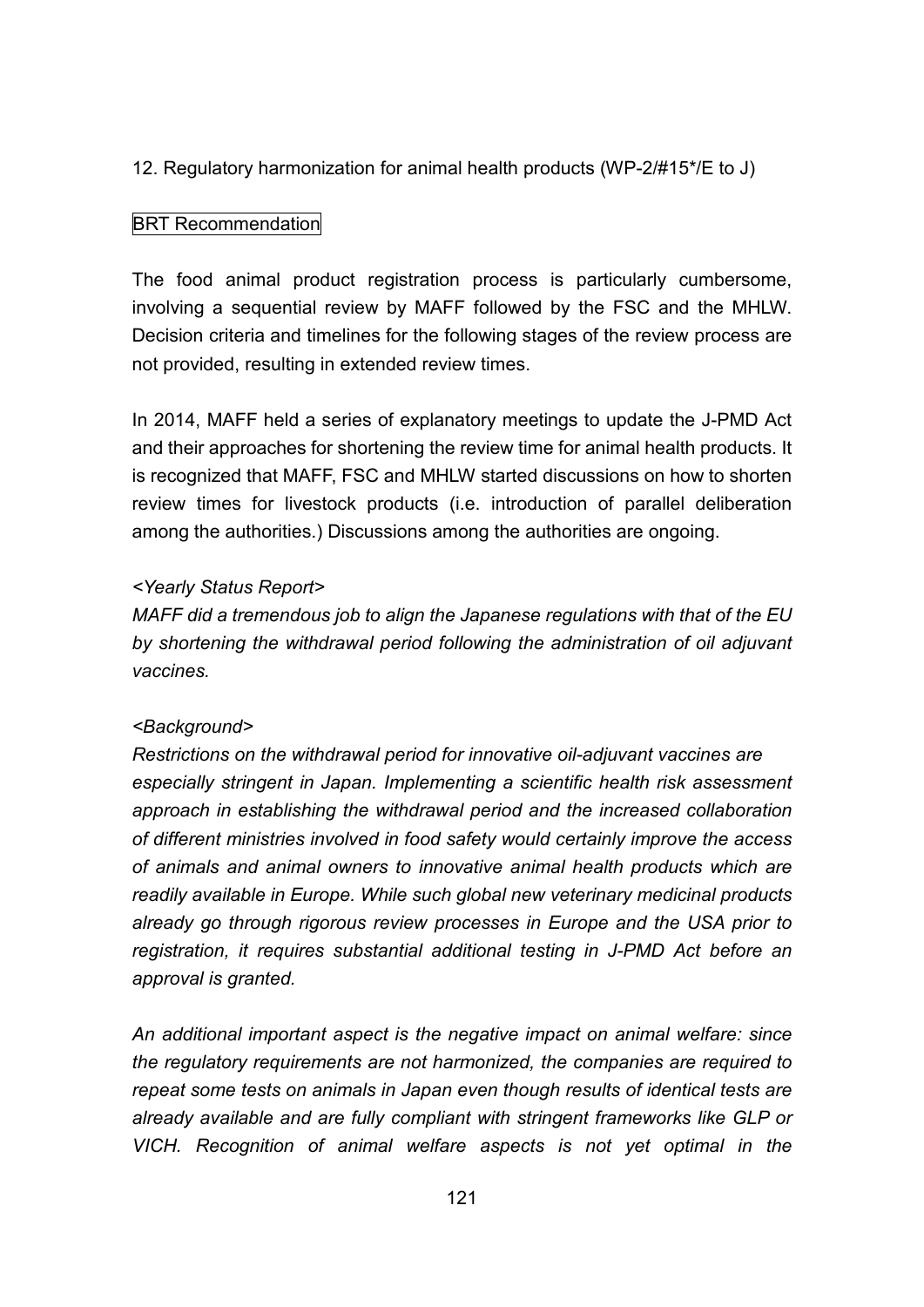12. Regulatory harmonization for animal health products (WP-2/#15\*/E to J)

#### **BRT** Recommendation

The food animal product registration process is particularly cumbersome, involving a sequential review by MAFF followed by the FSC and the MHLW. Decision criteria and timelines for the following stages of the review process are not provided, resulting in extended review times.

In 2014, MAFF held a series of explanatory meetings to update the J-PMD Act and their approaches for shortening the review time for animal health products. It is recognized that MAFF, FSC and MHLW started discussions on how to shorten review times for livestock products (i.e. introduction of parallel deliberation among the authorities.) Discussions among the authorities are ongoing.

#### *<Yearly Status Report>*

*MAFF did a tremendous job to align the Japanese regulations with that of the EU by shortening the withdrawal period following the administration of oil adjuvant vaccines.*

#### *<Background>*

*Restrictions on the withdrawal period for innovative oil-adjuvant vaccines are especially stringent in Japan. Implementing a scientific health risk assessment approach in establishing the withdrawal period and the increased collaboration of different ministries involved in food safety would certainly improve the access of animals and animal owners to innovative animal health products which are readily available in Europe. While such global new veterinary medicinal products already go through rigorous review processes in Europe and the USA prior to registration, it requires substantial additional testing in J-PMD Act before an approval is granted.*

*An additional important aspect is the negative impact on animal welfare: since the regulatory requirements are not harmonized, the companies are required to repeat some tests on animals in Japan even though results of identical tests are already available and are fully compliant with stringent frameworks like GLP or VICH. Recognition of animal welfare aspects is not yet optimal in the*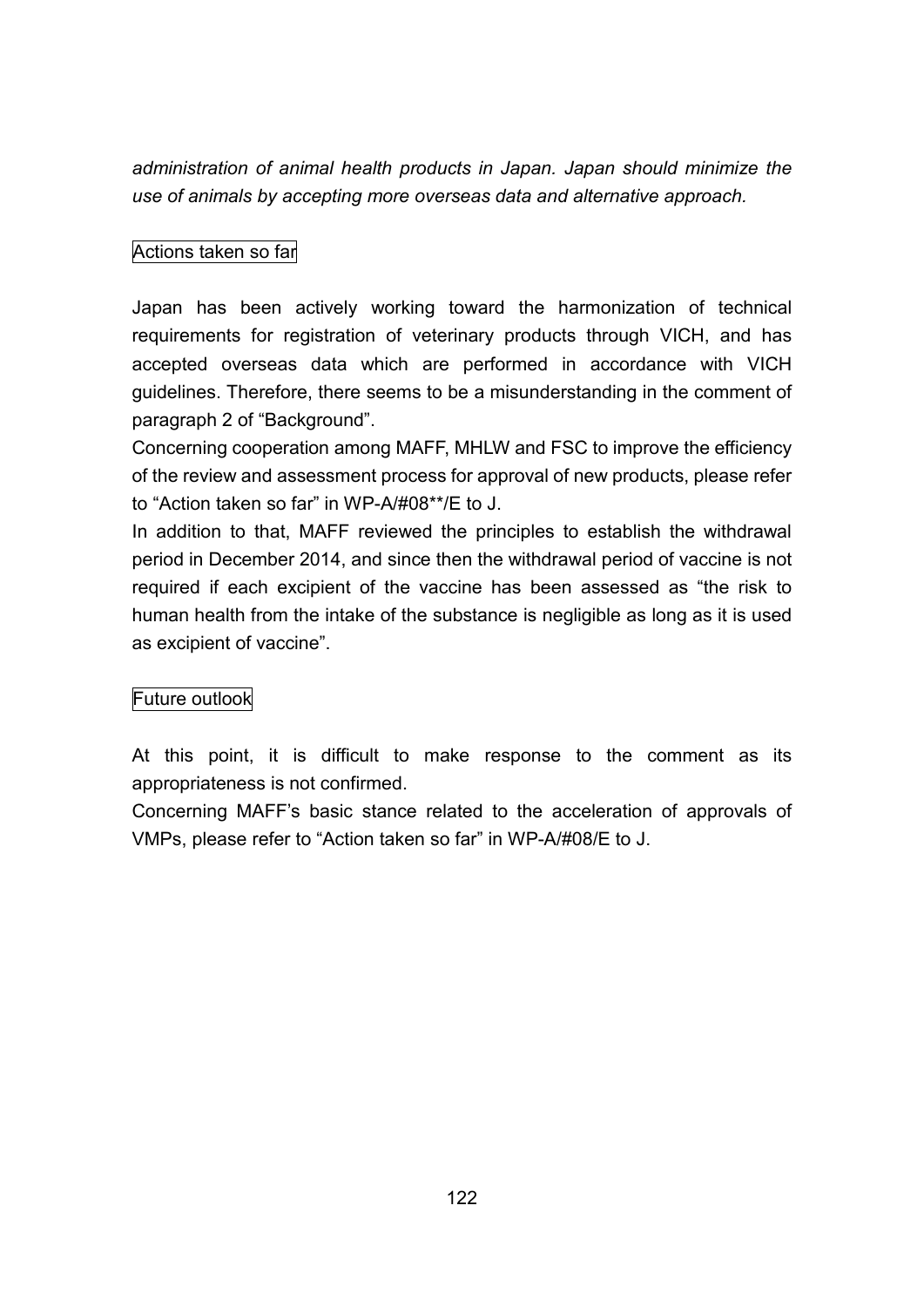*administration of animal health products in Japan. Japan should minimize the use of animals by accepting more overseas data and alternative approach.*

## Actions taken so far

Japan has been actively working toward the harmonization of technical requirements for registration of veterinary products through VICH, and has accepted overseas data which are performed in accordance with VICH guidelines. Therefore, there seems to be a misunderstanding in the comment of paragraph 2 of "Background".

Concerning cooperation among MAFF, MHLW and FSC to improve the efficiency of the review and assessment process for approval of new products, please refer to "Action taken so far" in WP-A/#08\*\*/E to J.

In addition to that, MAFF reviewed the principles to establish the withdrawal period in December 2014, and since then the withdrawal period of vaccine is not required if each excipient of the vaccine has been assessed as "the risk to human health from the intake of the substance is negligible as long as it is used as excipient of vaccine".

## Future outlook

At this point, it is difficult to make response to the comment as its appropriateness is not confirmed.

Concerning MAFF's basic stance related to the acceleration of approvals of VMPs, please refer to "Action taken so far" in WP-A/#08/E to J.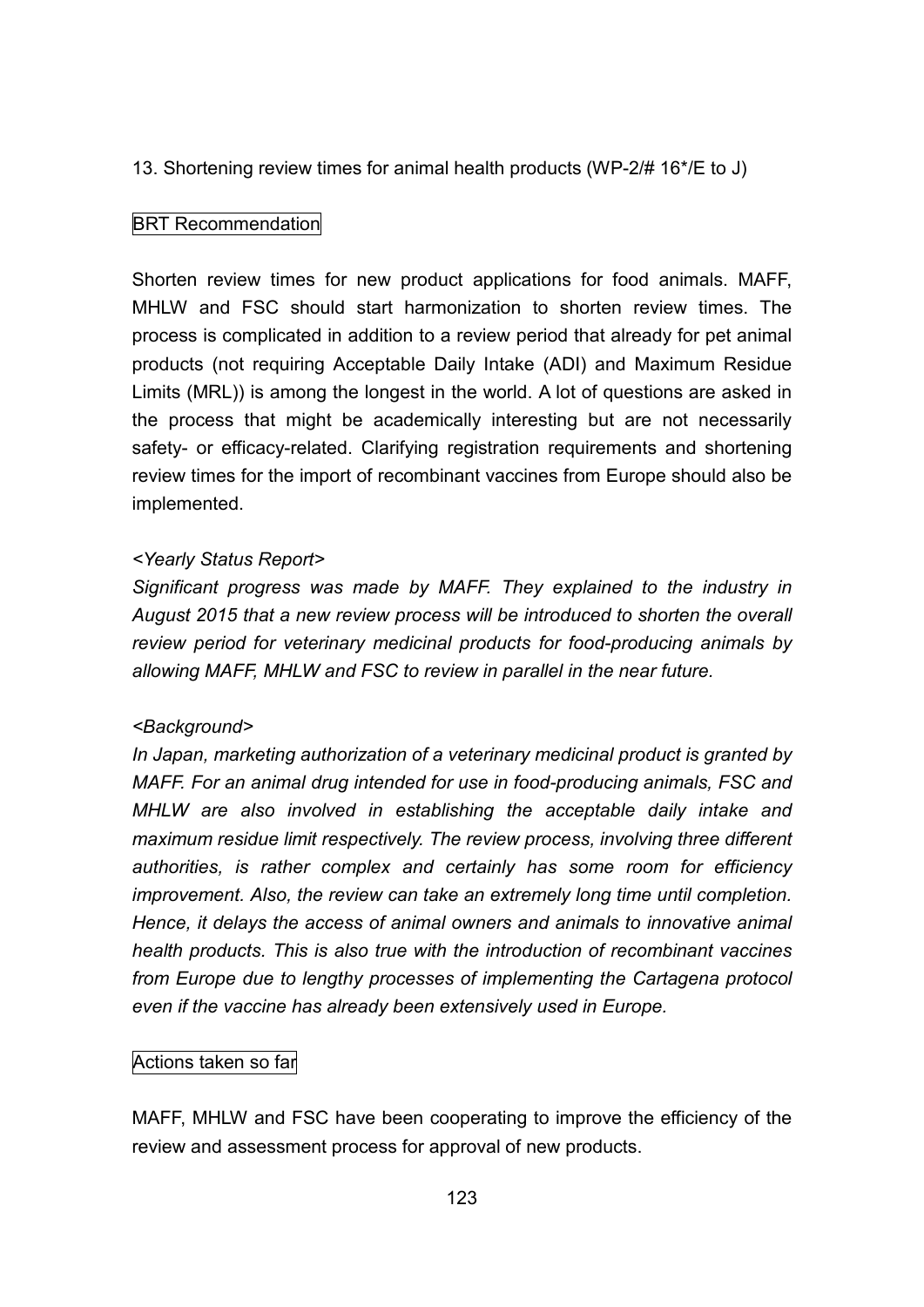13. Shortening review times for animal health products (WP-2/# 16\*/E to J)

#### BRT Recommendation

Shorten review times for new product applications for food animals. MAFF, MHLW and FSC should start harmonization to shorten review times. The process is complicated in addition to a review period that already for pet animal products (not requiring Acceptable Daily Intake (ADI) and Maximum Residue Limits (MRL)) is among the longest in the world. A lot of questions are asked in the process that might be academically interesting but are not necessarily safety- or efficacy-related. Clarifying registration requirements and shortening review times for the import of recombinant vaccines from Europe should also be implemented.

#### *<Yearly Status Report>*

*Significant progress was made by MAFF. They explained to the industry in August 2015 that a new review process will be introduced to shorten the overall review period for veterinary medicinal products for food-producing animals by allowing MAFF, MHLW and FSC to review in parallel in the near future.*

#### *<Background>*

*In Japan, marketing authorization of a veterinary medicinal product is granted by MAFF. For an animal drug intended for use in food-producing animals, FSC and MHLW are also involved in establishing the acceptable daily intake and maximum residue limit respectively. The review process, involving three different authorities, is rather complex and certainly has some room for efficiency improvement. Also, the review can take an extremely long time until completion. Hence, it delays the access of animal owners and animals to innovative animal health products. This is also true with the introduction of recombinant vaccines from Europe due to lengthy processes of implementing the Cartagena protocol even if the vaccine has already been extensively used in Europe.*

## Actions taken so far

MAFF, MHLW and FSC have been cooperating to improve the efficiency of the review and assessment process for approval of new products.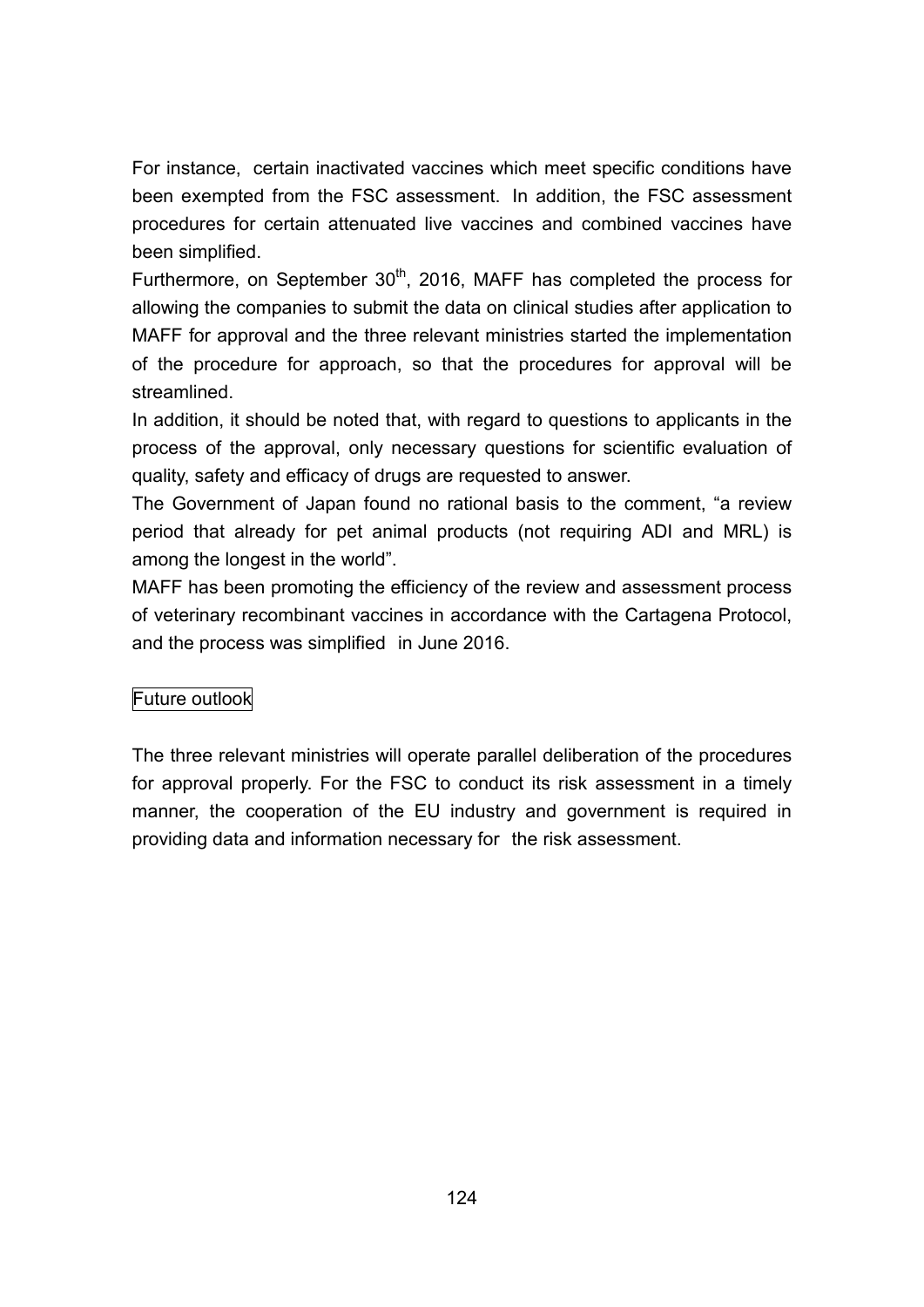For instance, certain inactivated vaccines which meet specific conditions have been exempted from the FSC assessment. In addition, the FSC assessment procedures for certain attenuated live vaccines and combined vaccines have been simplified.

Furthermore, on September 30<sup>th</sup>, 2016, MAFF has completed the process for allowing the companies to submit the data on clinical studies after application to MAFF for approval and the three relevant ministries started the implementation of the procedure for approach, so that the procedures for approval will be streamlined.

In addition, it should be noted that, with regard to questions to applicants in the process of the approval, only necessary questions for scientific evaluation of quality, safety and efficacy of drugs are requested to answer.

The Government of Japan found no rational basis to the comment, "a review period that already for pet animal products (not requiring ADI and MRL) is among the longest in the world".

MAFF has been promoting the efficiency of the review and assessment process of veterinary recombinant vaccines in accordance with the Cartagena Protocol, and the process was simplified in June 2016.

## Future outlook

The three relevant ministries will operate parallel deliberation of the procedures for approval properly. For the FSC to conduct its risk assessment in a timely manner, the cooperation of the EU industry and government is required in providing data and information necessary for the risk assessment.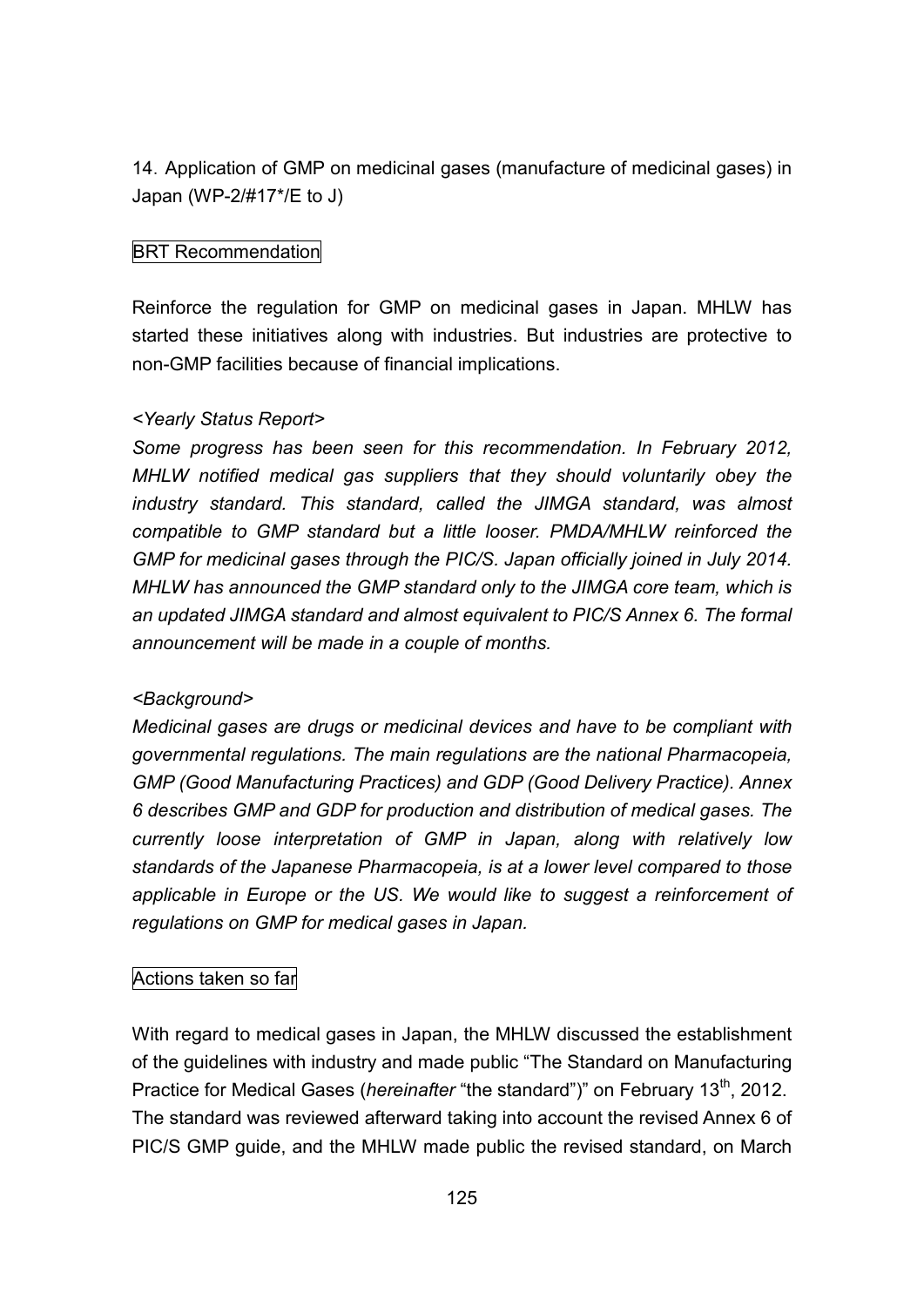14.Application of GMP on medicinal gases (manufacture of medicinal gases) in Japan (WP-2/#17\*/E to J)

## BRT Recommendation

Reinforce the regulation for GMP on medicinal gases in Japan. MHLW has started these initiatives along with industries. But industries are protective to non-GMP facilities because of financial implications.

## *<Yearly Status Report>*

*Some progress has been seen for this recommendation. In February 2012, MHLW notified medical gas suppliers that they should voluntarily obey the industry standard. This standard, called the JIMGA standard, was almost compatible to GMP standard but a little looser. PMDA/MHLW reinforced the GMP for medicinal gases through the PIC/S. Japan officially joined in July 2014. MHLW has announced the GMP standard only to the JIMGA core team, which is an updated JIMGA standard and almost equivalent to PIC/S Annex 6. The formal announcement will be made in a couple of months.*

## *<Background>*

*Medicinal gases are drugs or medicinal devices and have to be compliant with governmental regulations. The main regulations are the national Pharmacopeia, GMP (Good Manufacturing Practices) and GDP (Good Delivery Practice). Annex 6 describes GMP and GDP for production and distribution of medical gases. The currently loose interpretation of GMP in Japan, along with relatively low standards of the Japanese Pharmacopeia, is at a lower level compared to those applicable in Europe or the US. We would like to suggest a reinforcement of regulations on GMP for medical gases in Japan.*

## Actions taken so far

With regard to medical gases in Japan, the MHLW discussed the establishment of the guidelines with industry and made public "The Standard on Manufacturing Practice for Medical Gases (*hereinafter* "the standard")" on February 13<sup>th</sup>, 2012. The standard was reviewed afterward taking into account the revised Annex 6 of PIC/S GMP guide, and the MHLW made public the revised standard, on March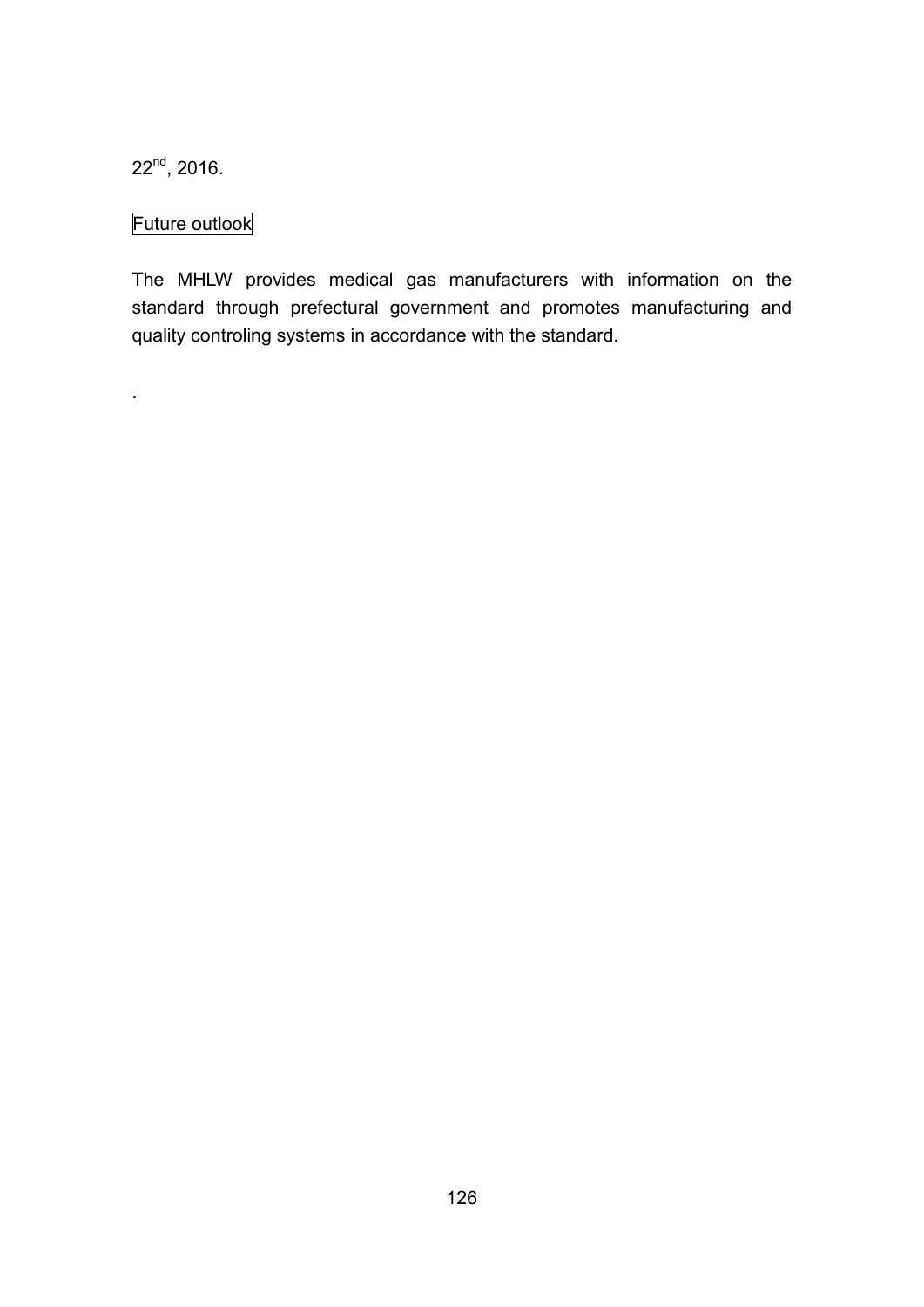$22<sup>nd</sup>$ , 2016.

.

# Future outlook

The MHLW provides medical gas manufacturers with information on the standard through prefectural government and promotes manufacturing and quality controling systems in accordance with the standard.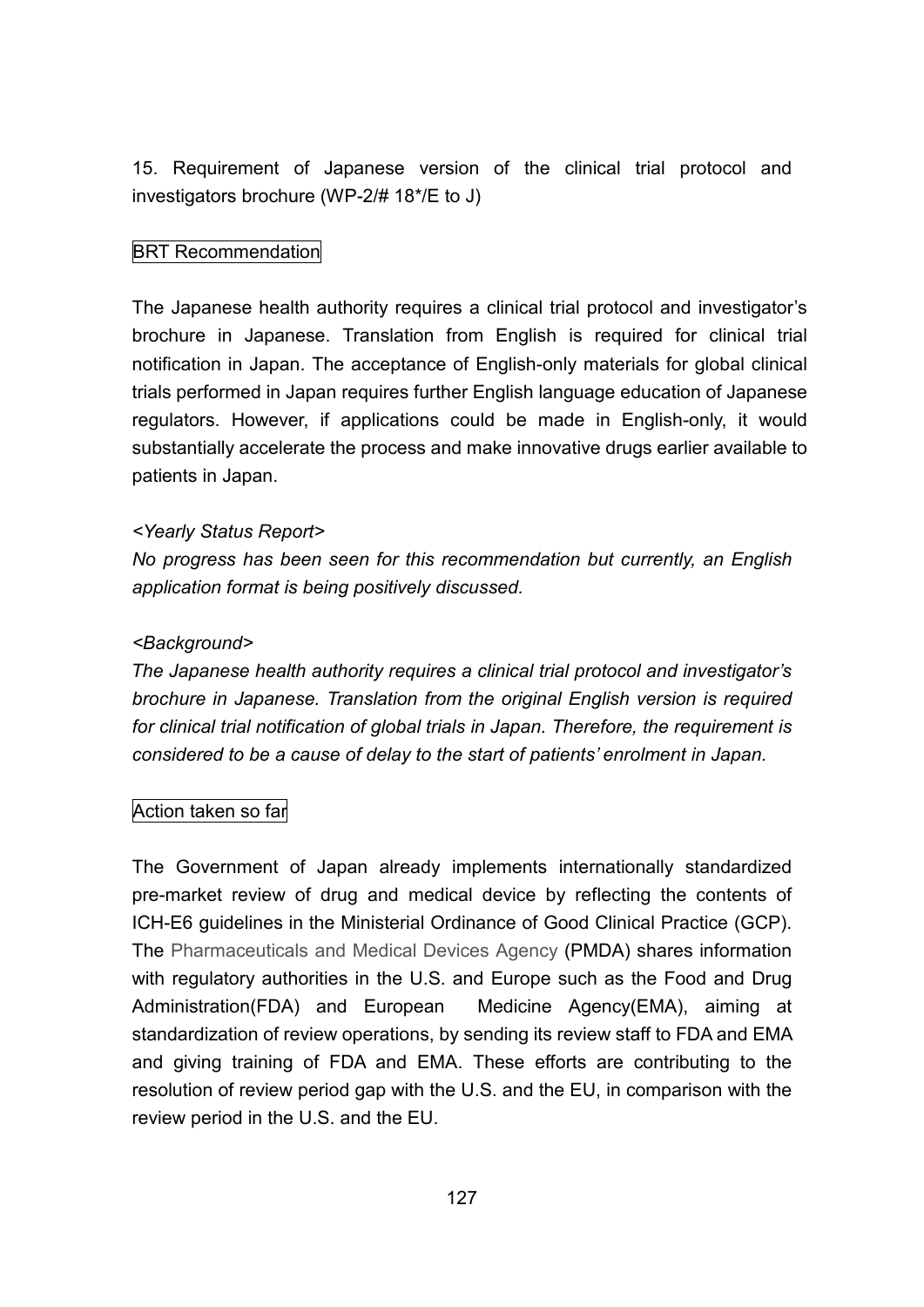15. Requirement of Japanese version of the clinical trial protocol and investigators brochure (WP-2/# 18\*/E to J)

## BRT Recommendation

The Japanese health authority requires a clinical trial protocol and investigator's brochure in Japanese. Translation from English is required for clinical trial notification in Japan. The acceptance of English-only materials for global clinical trials performed in Japan requires further English language education of Japanese regulators. However, if applications could be made in English-only, it would substantially accelerate the process and make innovative drugs earlier available to patients in Japan.

#### *<Yearly Status Report>*

*No progress has been seen for this recommendation but currently, an English application format is being positively discussed.*

#### *<Background>*

*The Japanese health authority requires a clinical trial protocol and investigator's brochure in Japanese. Translation from the original English version is required for clinical trial notification of global trials in Japan. Therefore, the requirement is considered to be a cause of delay to the start of patients' enrolment in Japan.*

#### Action taken so far

The Government of Japan already implements internationally standardized pre-market review of drug and medical device by reflecting the contents of ICH-E6 guidelines in the Ministerial Ordinance of Good Clinical Practice (GCP). The Pharmaceuticals and Medical Devices Agency (PMDA) shares information with regulatory authorities in the U.S. and Europe such as the Food and Drug Administration(FDA) and European Medicine Agency(EMA), aiming at standardization of review operations, by sending its review staff to FDA and EMA and giving training of FDA and EMA. These efforts are contributing to the resolution of review period gap with the U.S. and the EU, in comparison with the review period in the U.S. and the EU.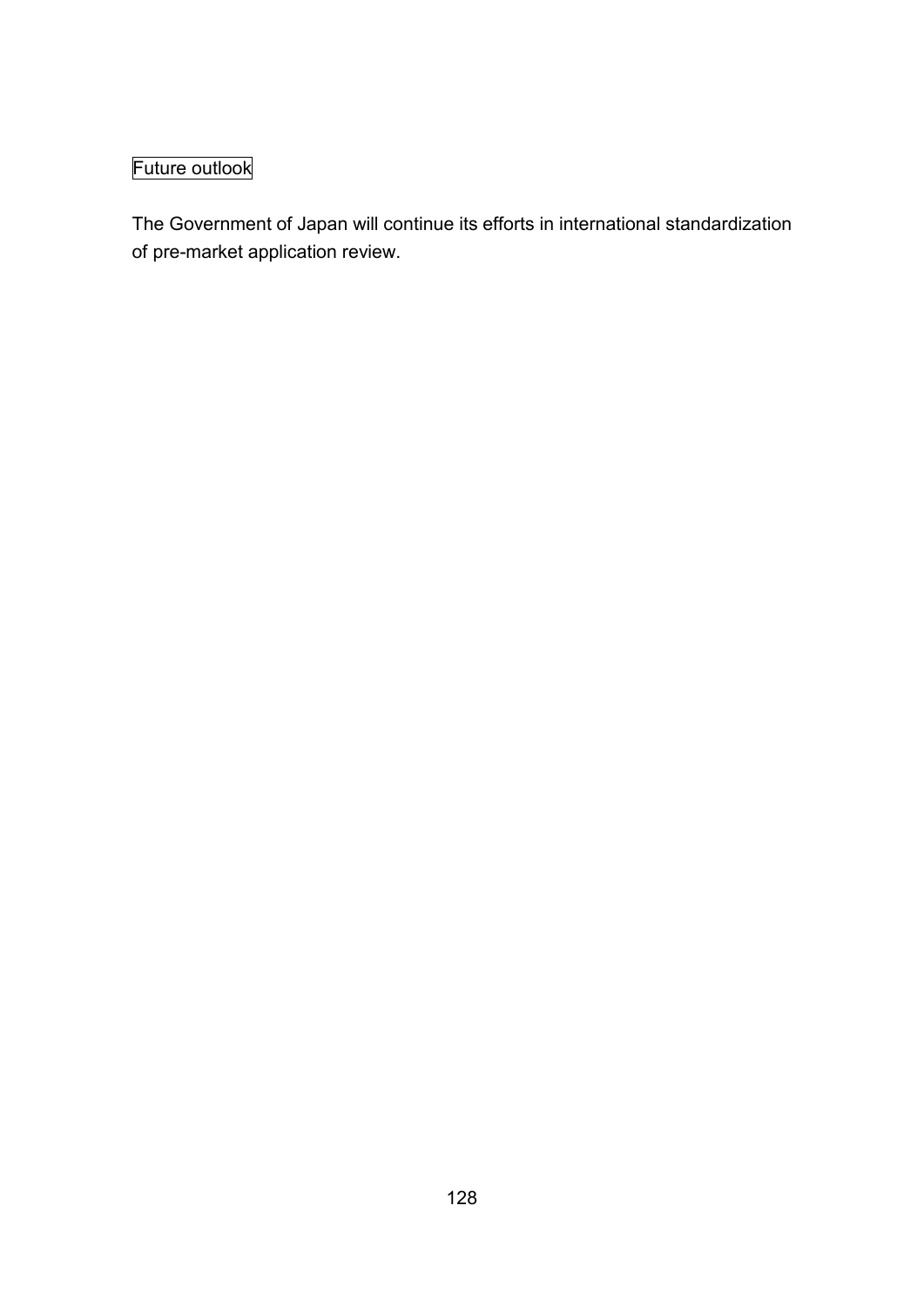# Future outlook

The Government of Japan will continue its efforts in international standardization of pre-market application review.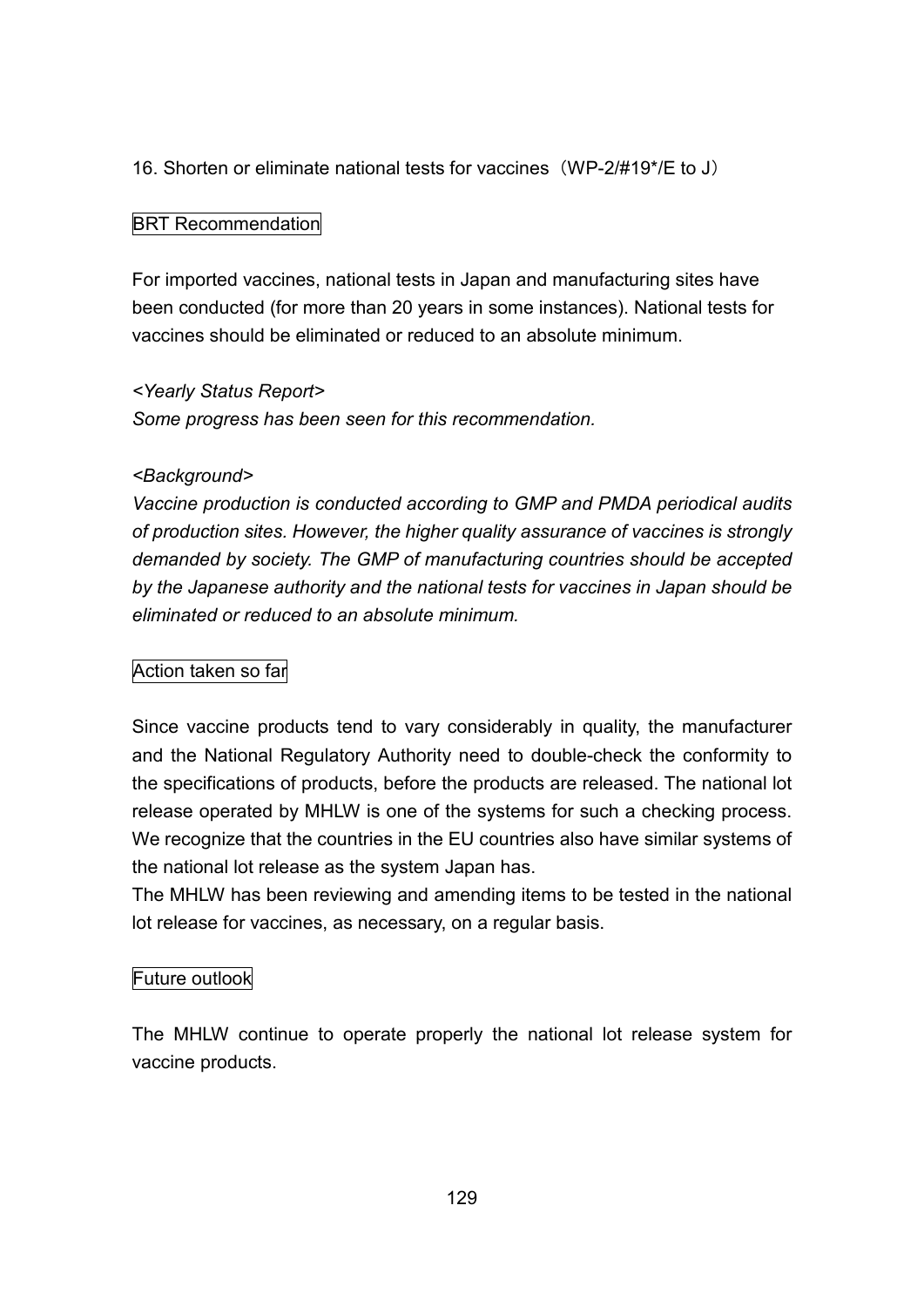## 16. Shorten or eliminate national tests for vaccines (WP-2/#19\*/E to J)

#### BRT Recommendation

For imported vaccines, national tests in Japan and manufacturing sites have been conducted (for more than 20 years in some instances). National tests for vaccines should be eliminated or reduced to an absolute minimum.

#### *<Yearly Status Report>*

*Some progress has been seen for this recommendation.*

#### *<Background>*

*Vaccine production is conducted according to GMP and PMDA periodical audits of production sites. However, the higher quality assurance of vaccines is strongly demanded by society. The GMP of manufacturing countries should be accepted by the Japanese authority and the national tests for vaccines in Japan should be eliminated or reduced to an absolute minimum.*

#### Action taken so far

Since vaccine products tend to vary considerably in quality, the manufacturer and the National Regulatory Authority need to double-check the conformity to the specifications of products, before the products are released. The national lot release operated by MHLW is one of the systems for such a checking process. We recognize that the countries in the EU countries also have similar systems of the national lot release as the system Japan has.

The MHLW has been reviewing and amending items to be tested in the national lot release for vaccines, as necessary, on a regular basis.

#### Future outlook

The MHLW continue to operate properly the national lot release system for vaccine products.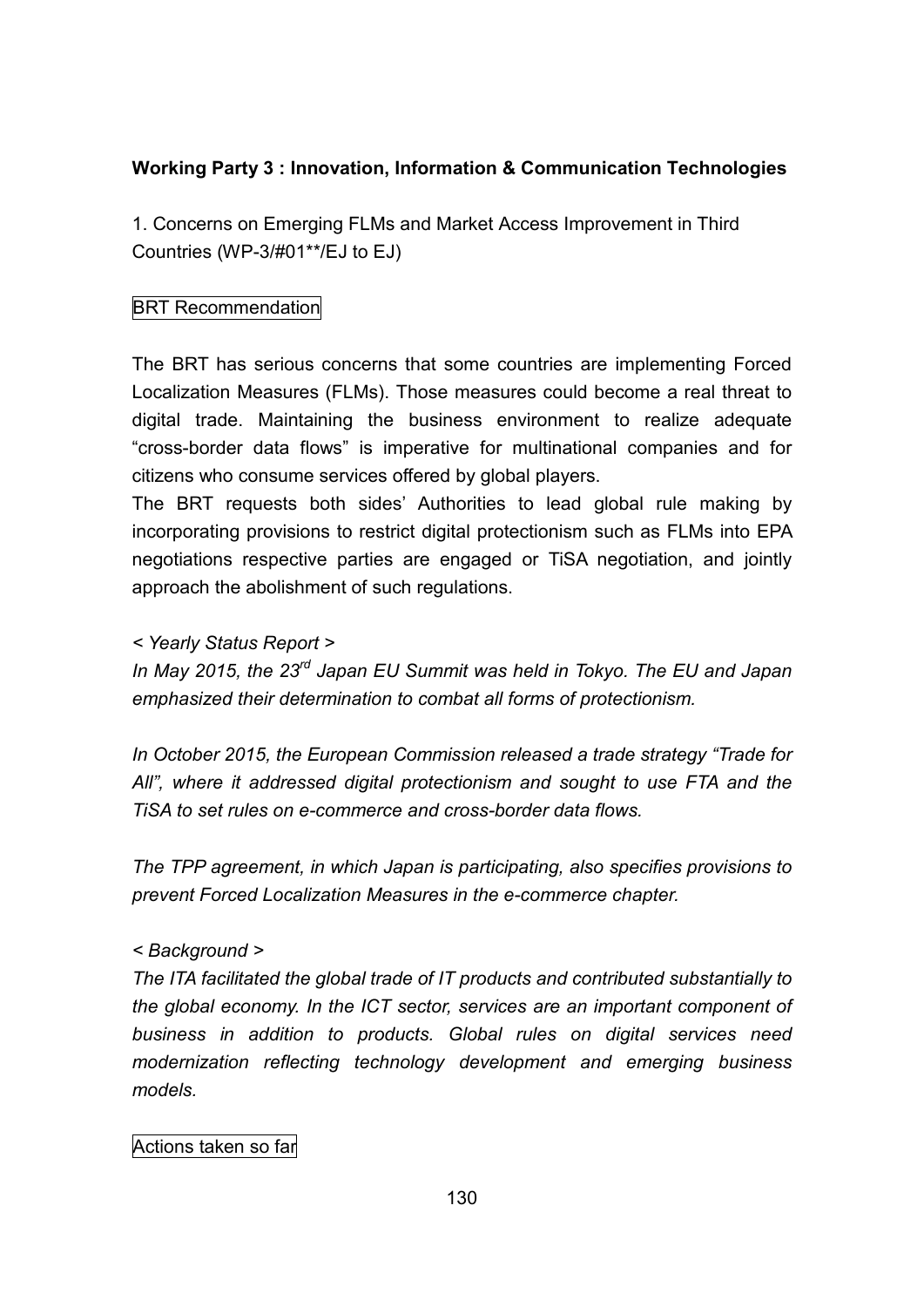## **Working Party 3 : Innovation, Information & Communication Technologies**

1. Concerns on Emerging FLMs and Market Access Improvement in Third Countries (WP-3/#01\*\*/EJ to EJ)

## BRT Recommendation

The BRT has serious concerns that some countries are implementing Forced Localization Measures (FLMs). Those measures could become a real threat to digital trade. Maintaining the business environment to realize adequate "cross-border data flows" is imperative for multinational companies and for citizens who consume services offered by global players.

The BRT requests both sides' Authorities to lead global rule making by incorporating provisions to restrict digital protectionism such as FLMs into EPA negotiations respective parties are engaged or TiSA negotiation, and jointly approach the abolishment of such regulations.

## *< Yearly Status Report >*

*In May 2015, the 23 rd Japan EU Summit was held in Tokyo. The EU and Japan emphasized their determination to combat all forms of protectionism.*

*In October 2015, the European Commission released a trade strategy "Trade for All", where it addressed digital protectionism and sought to use FTA and the TiSA to set rules on e-commerce and cross-border data flows.*

*The TPP agreement, in which Japan is participating, also specifies provisions to prevent Forced Localization Measures in the e-commerce chapter.*

#### *< Background >*

*The ITA facilitated the global trade of IT products and contributed substantially to the global economy. In the ICT sector, services are an important component of business in addition to products. Global rules on digital services need modernization reflecting technology development and emerging business models.*

## Actions taken so far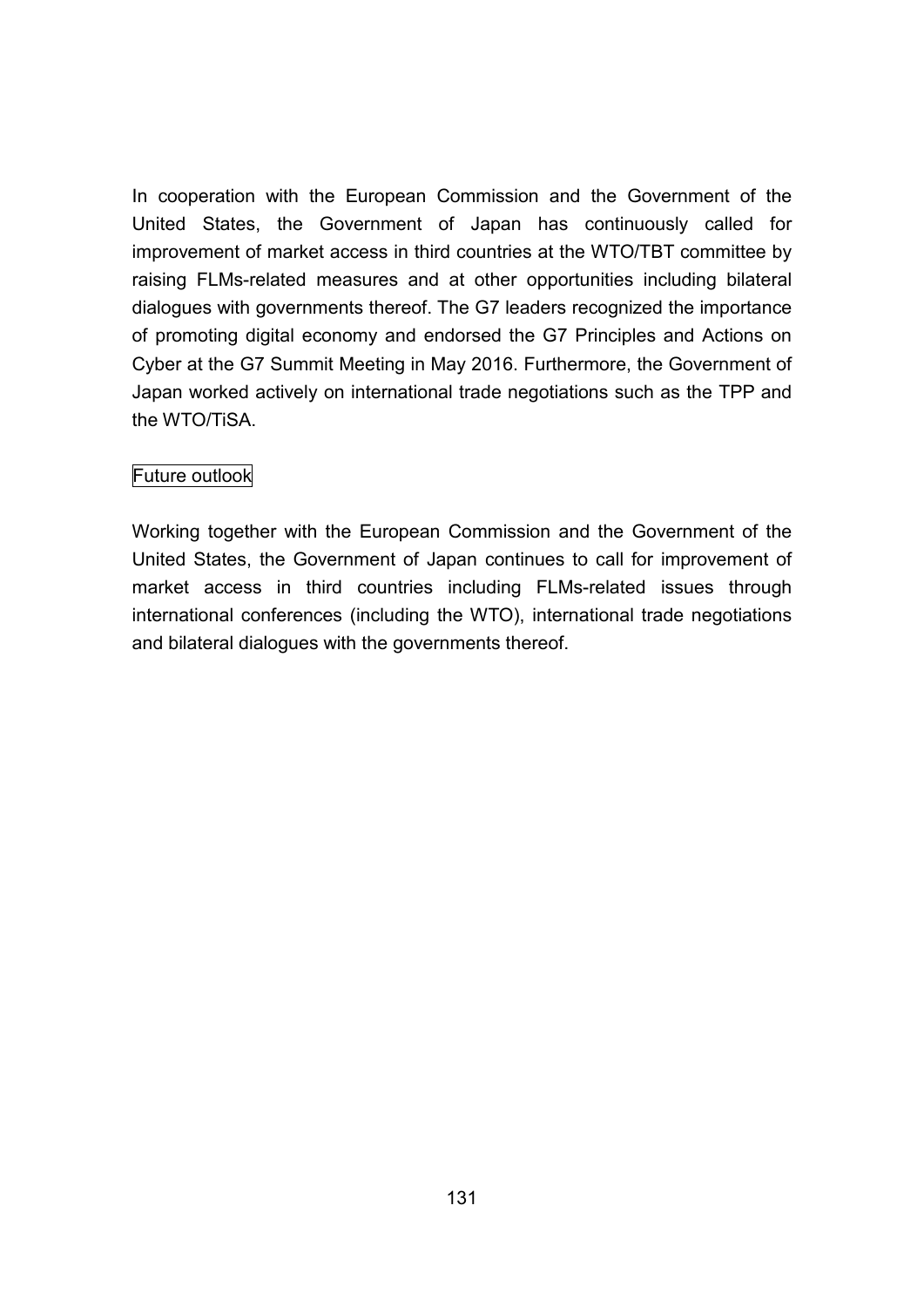In cooperation with the European Commission and the Government of the United States, the Government of Japan has continuously called for improvement of market access in third countries at the WTO/TBT committee by raising FLMs-related measures and at other opportunities including bilateral dialogues with governments thereof. The G7 leaders recognized the importance of promoting digital economy and endorsed the G7 Principles and Actions on Cyber at the G7 Summit Meeting in May 2016. Furthermore, the Government of Japan worked actively on international trade negotiations such as the TPP and the WTO/TiSA.

## Future outlook

Working together with the European Commission and the Government of the United States, the Government of Japan continues to call for improvement of market access in third countries including FLMs-related issues through international conferences (including the WTO), international trade negotiations and bilateral dialogues with the governments thereof.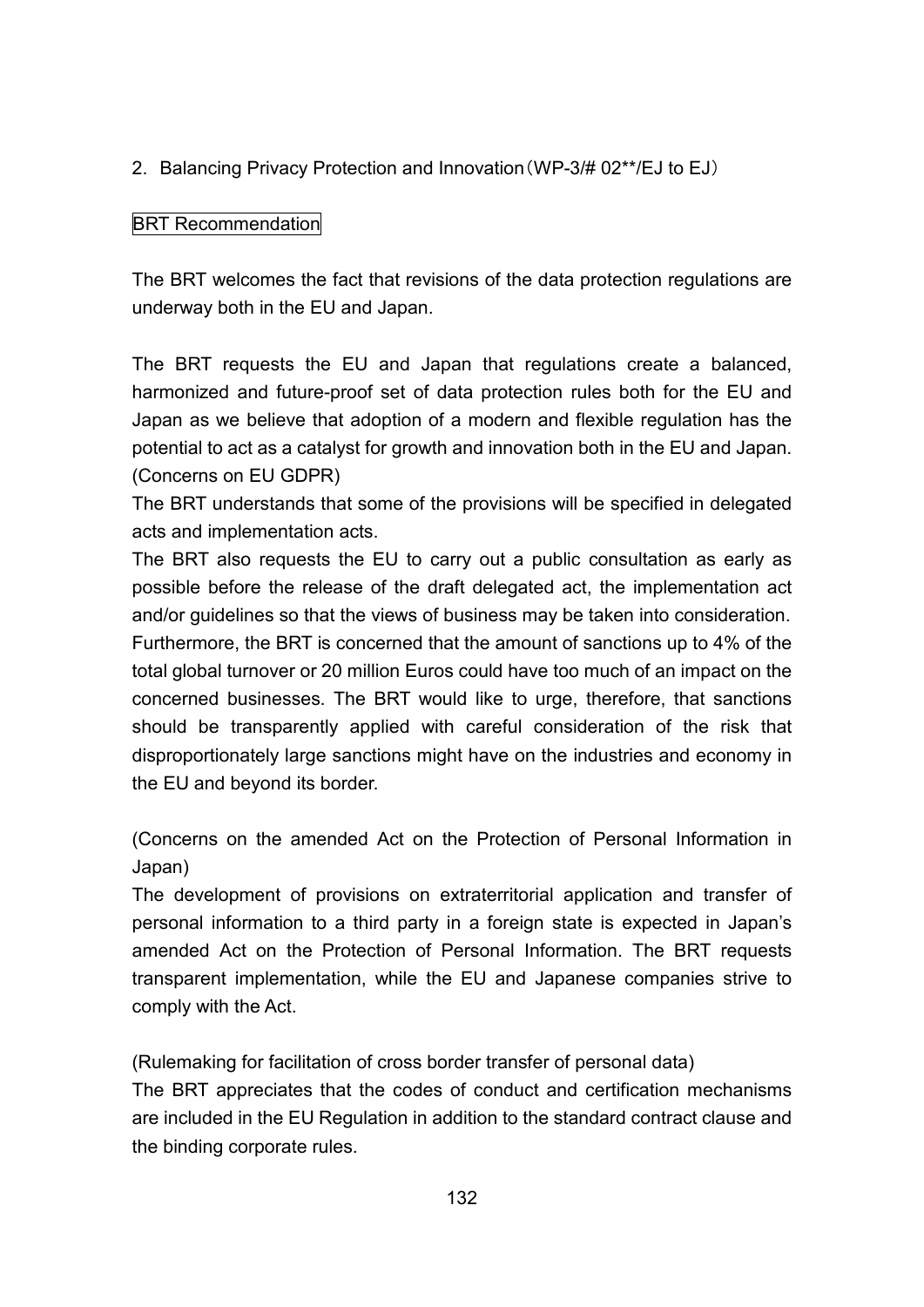2. Balancing Privacy Protection and Innovation(WP-3/# 02\*\*/EJ to EJ)

## BRT Recommendation

The BRT welcomes the fact that revisions of the data protection regulations are underway both in the EU and Japan.

The BRT requests the EU and Japan that regulations create a balanced, harmonized and future-proof set of data protection rules both for the EU and Japan as we believe that adoption of a modern and flexible regulation has the potential to act as a catalyst for growth and innovation both in the EU and Japan. (Concerns on EU GDPR)

The BRT understands that some of the provisions will be specified in delegated acts and implementation acts.

The BRT also requests the EU to carry out a public consultation as early as possible before the release of the draft delegated act, the implementation act and/or guidelines so that the views of business may be taken into consideration. Furthermore, the BRT is concerned that the amount of sanctions up to 4% of the total global turnover or 20 million Euros could have too much of an impact on the concerned businesses. The BRT would like to urge, therefore, that sanctions should be transparently applied with careful consideration of the risk that disproportionately large sanctions might have on the industries and economy in the EU and beyond its border.

(Concerns on the amended Act on the Protection of Personal Information in Japan)

The development of provisions on extraterritorial application and transfer of personal information to a third party in a foreign state is expected in Japan's amended Act on the Protection of Personal Information. The BRT requests transparent implementation, while the EU and Japanese companies strive to comply with the Act.

(Rulemaking for facilitation of cross border transfer of personal data)

The BRT appreciates that the codes of conduct and certification mechanisms are included in the EU Regulation in addition to the standard contract clause and the binding corporate rules.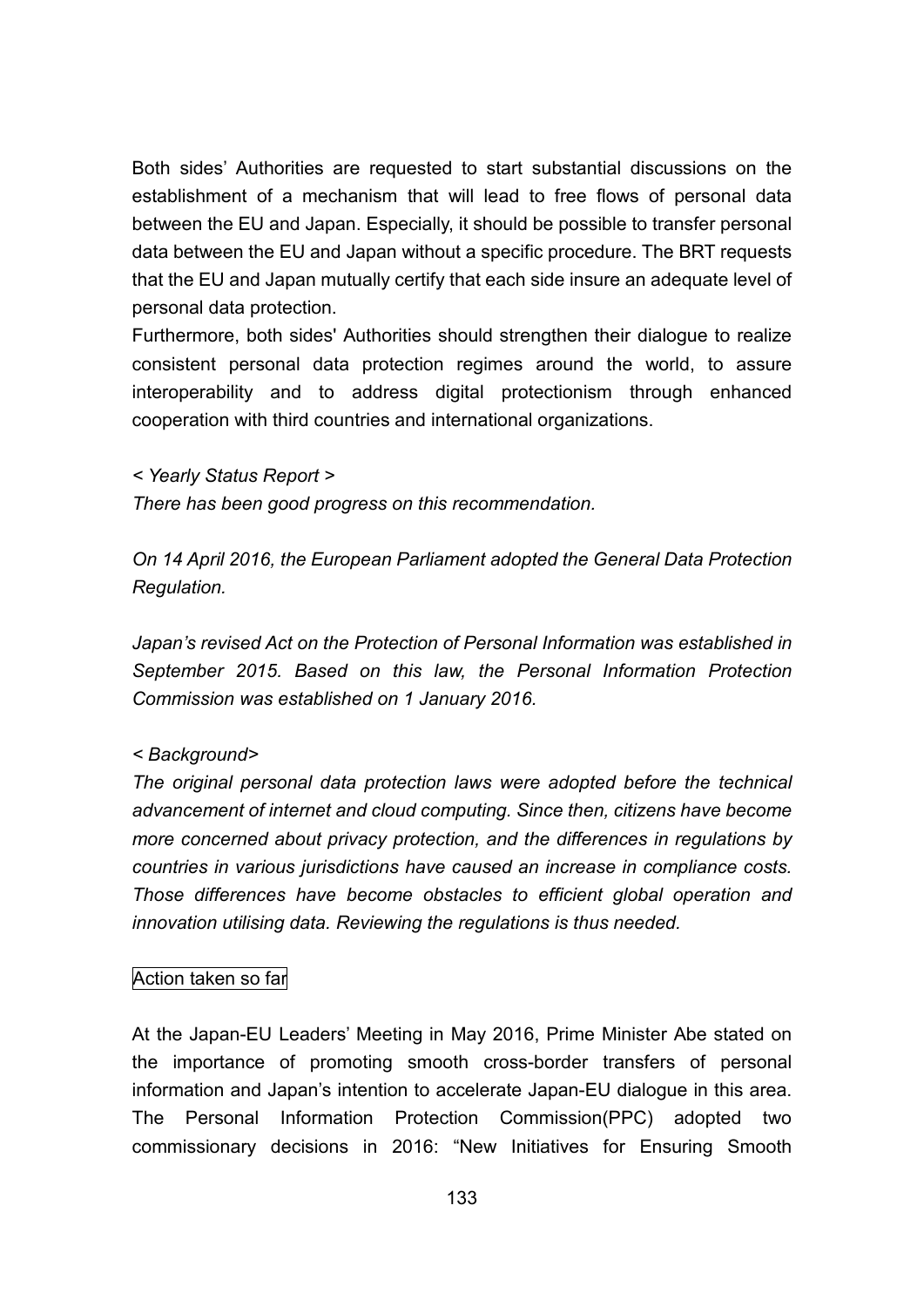Both sides' Authorities are requested to start substantial discussions on the establishment of a mechanism that will lead to free flows of personal data between the EU and Japan. Especially, it should be possible to transfer personal data between the EU and Japan without a specific procedure. The BRT requests that the EU and Japan mutually certify that each side insure an adequate level of personal data protection.

Furthermore, both sides' Authorities should strengthen their dialogue to realize consistent personal data protection regimes around the world, to assure interoperability and to address digital protectionism through enhanced cooperation with third countries and international organizations.

*< Yearly Status Report >*

*There has been good progress on this recommendation.*

*On 14 April 2016, the European Parliament adopted the General Data Protection Regulation.*

*Japan's revised Act on the Protection of Personal Information was established in September 2015. Based on this law, the Personal Information Protection Commission was established on 1 January 2016.*

#### *< Background>*

*The original personal data protection laws were adopted before the technical advancement of internet and cloud computing. Since then, citizens have become more concerned about privacy protection, and the differences in regulations by countries in various jurisdictions have caused an increase in compliance costs. Those differences have become obstacles to efficient global operation and innovation utilising data. Reviewing the regulations is thus needed.*

#### Action taken so far

At the Japan-EU Leaders' Meeting in May 2016, Prime Minister Abe stated on the importance of promoting smooth cross-border transfers of personal information and Japan's intention to accelerate Japan-EU dialogue in this area. The Personal Information Protection Commission(PPC) adopted two commissionary decisions in 2016: "New Initiatives for Ensuring Smooth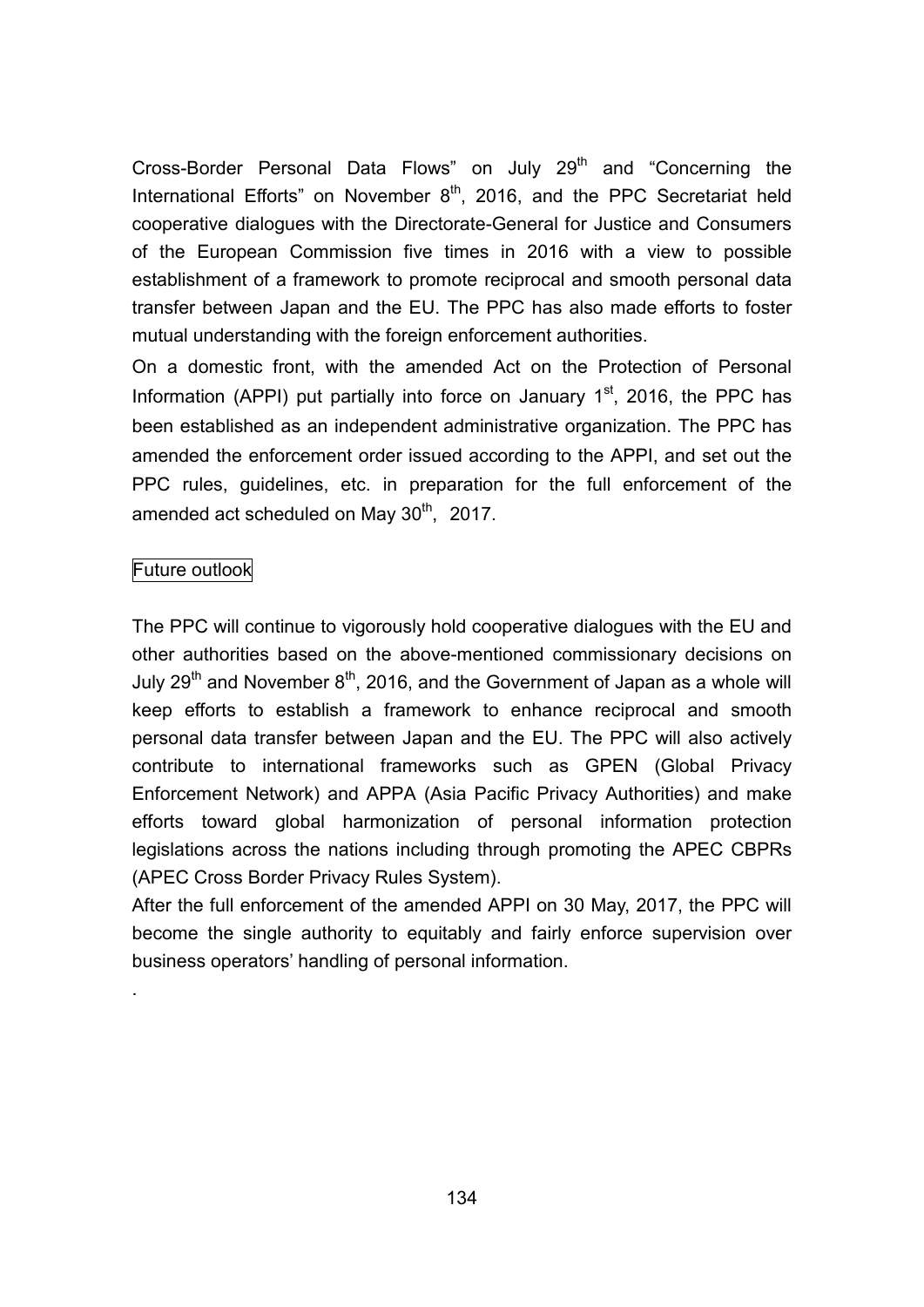Cross-Border Personal Data Flows" on July 29<sup>th</sup> and "Concerning the International Efforts" on November 8<sup>th</sup>, 2016, and the PPC Secretariat held cooperative dialogues with the Directorate-General for Justice and Consumers of the European Commission five times in 2016 with a view to possible establishment of a framework to promote reciprocal and smooth personal data transfer between Japan and the EU. The PPC has also made efforts to foster mutual understanding with the foreign enforcement authorities.

On a domestic front, with the amended Act on the Protection of Personal Information (APPI) put partially into force on January  $1<sup>st</sup>$ , 2016, the PPC has been established as an independent administrative organization. The PPC has amended the enforcement order issued according to the APPI, and set out the PPC rules, guidelines, etc. in preparation for the full enforcement of the amended act scheduled on May 30<sup>th</sup>, 2017.

## Future outlook

.

The PPC will continue to vigorously hold cooperative dialogues with the EU and other authorities based on the above-mentioned commissionary decisions on July 29<sup>th</sup> and November 8<sup>th</sup>, 2016, and the Government of Japan as a whole will keep efforts to establish a framework to enhance reciprocal and smooth personal data transfer between Japan and the EU. The PPC will also actively contribute to international frameworks such as GPEN (Global Privacy Enforcement Network) and APPA (Asia Pacific Privacy Authorities) and make efforts toward global harmonization of personal information protection legislations across the nations including through promoting the APEC CBPRs (APEC Cross Border Privacy Rules System).

After the full enforcement of the amended APPI on 30 May, 2017, the PPC will become the single authority to equitably and fairly enforce supervision over business operators' handling of personal information.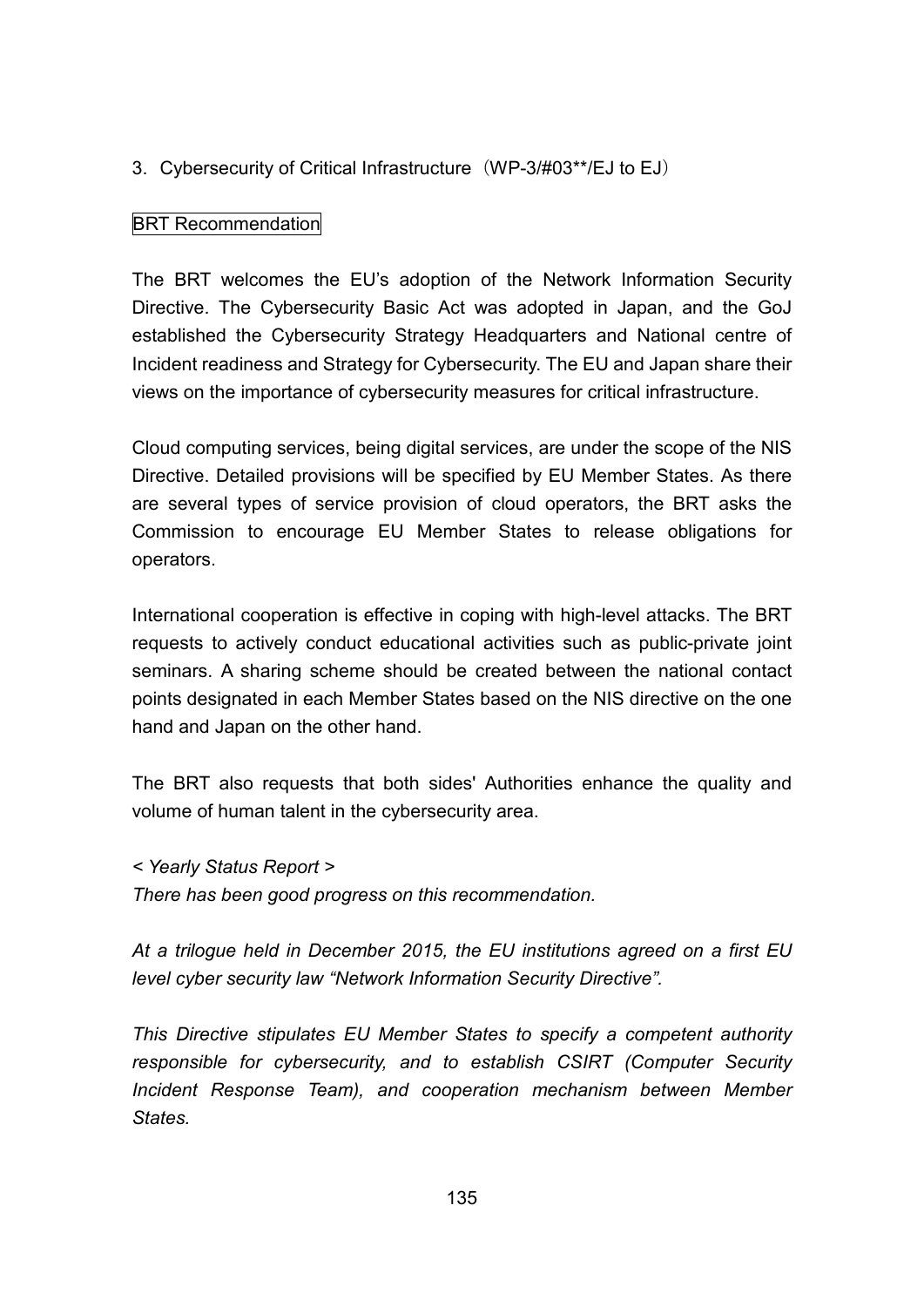## 3. Cybersecurity of Critical Infrastructure (WP-3/#03\*\*/EJ to EJ)

## BRT Recommendation

The BRT welcomes the EU's adoption of the Network Information Security Directive. The Cybersecurity Basic Act was adopted in Japan, and the GoJ established the Cybersecurity Strategy Headquarters and National centre of Incident readiness and Strategy for Cybersecurity. The EU and Japan share their views on the importance of cybersecurity measures for critical infrastructure.

Cloud computing services, being digital services, are under the scope of the NIS Directive. Detailed provisions will be specified by EU Member States. As there are several types of service provision of cloud operators, the BRT asks the Commission to encourage EU Member States to release obligations for operators.

International cooperation is effective in coping with high-level attacks. The BRT requests to actively conduct educational activities such as public-private joint seminars. A sharing scheme should be created between the national contact points designated in each Member States based on the NIS directive on the one hand and Japan on the other hand.

The BRT also requests that both sides' Authorities enhance the quality and volume of human talent in the cybersecurity area.

*< Yearly Status Report > There has been good progress on this recommendation.*

*At a trilogue held in December 2015, the EU institutions agreed on a first EU level cyber security law "Network Information Security Directive".*

*This Directive stipulates EU Member States to specify a competent authority responsible for cybersecurity, and to establish CSIRT (Computer Security Incident Response Team), and cooperation mechanism between Member States.*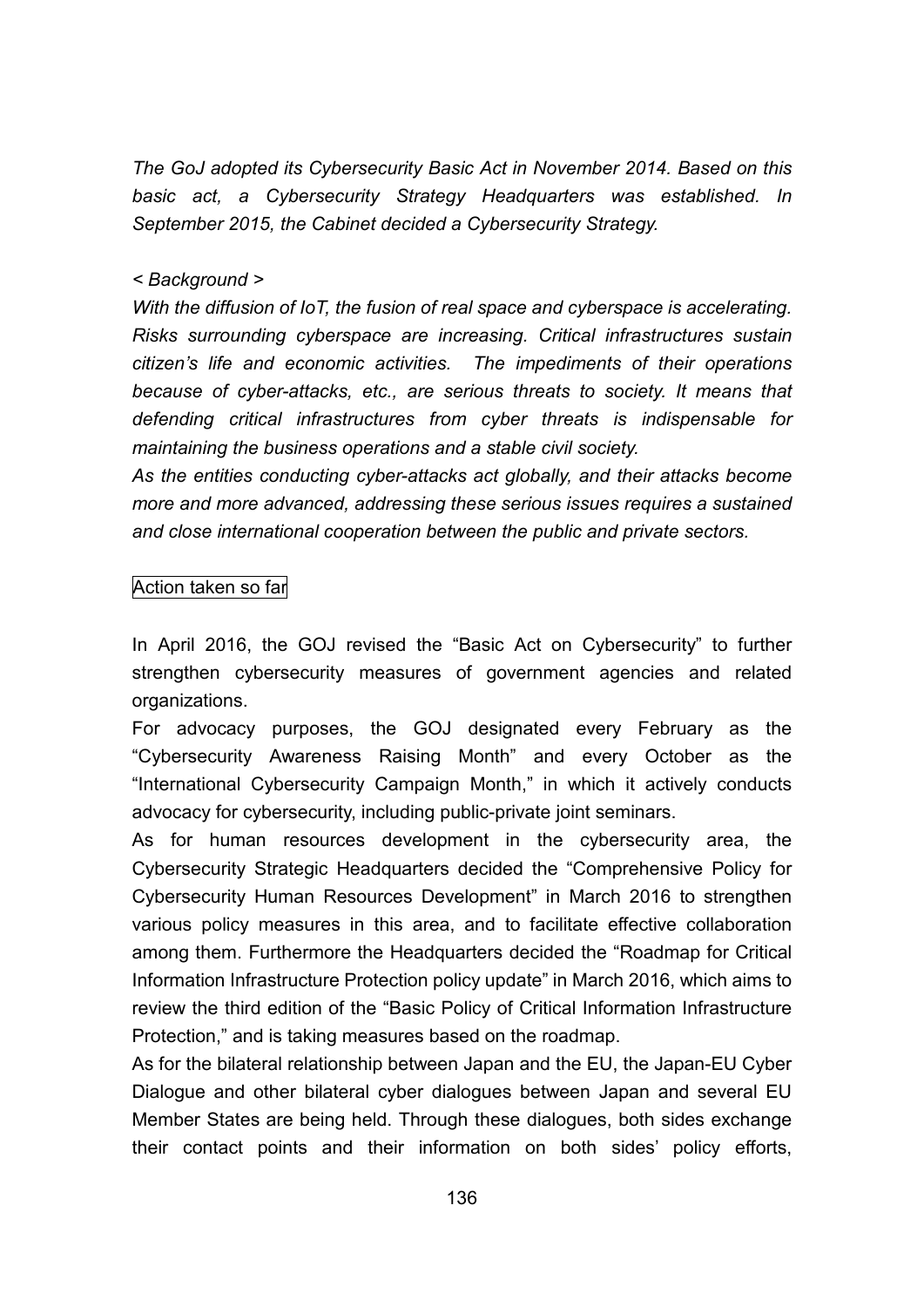*The GoJ adopted its Cybersecurity Basic Act in November 2014. Based on this basic act, a Cybersecurity Strategy Headquarters was established. In September 2015, the Cabinet decided a Cybersecurity Strategy.*

#### *< Background >*

*With the diffusion of IoT, the fusion of real space and cyberspace is accelerating. Risks surrounding cyberspace are increasing. Critical infrastructures sustain citizen's life and economic activities. The impediments of their operations because of cyber-attacks, etc., are serious threats to society. It means that defending critical infrastructures from cyber threats is indispensable for maintaining the business operations and a stable civil society.*

*As the entities conducting cyber-attacks act globally, and their attacks become more and more advanced, addressing these serious issues requires a sustained and close international cooperation between the public and private sectors.*

#### Action taken so far

In April 2016, the GOJ revised the "Basic Act on Cybersecurity" to further strengthen cybersecurity measures of government agencies and related organizations.

For advocacy purposes, the GOJ designated every February as the "Cybersecurity Awareness Raising Month" and every October as the "International Cybersecurity Campaign Month," in which it actively conducts advocacy for cybersecurity, including public-private joint seminars.

As for human resources development in the cybersecurity area, the Cybersecurity Strategic Headquarters decided the "Comprehensive Policy for Cybersecurity Human Resources Development" in March 2016 to strengthen various policy measures in this area, and to facilitate effective collaboration among them. Furthermore the Headquarters decided the "Roadmap for Critical Information Infrastructure Protection policy update" in March 2016, which aims to review the third edition of the "Basic Policy of Critical Information Infrastructure Protection," and is taking measures based on the roadmap.

As for the bilateral relationship between Japan and the EU, the Japan-EU Cyber Dialogue and other bilateral cyber dialogues between Japan and several EU Member States are being held. Through these dialogues, both sides exchange their contact points and their information on both sides' policy efforts,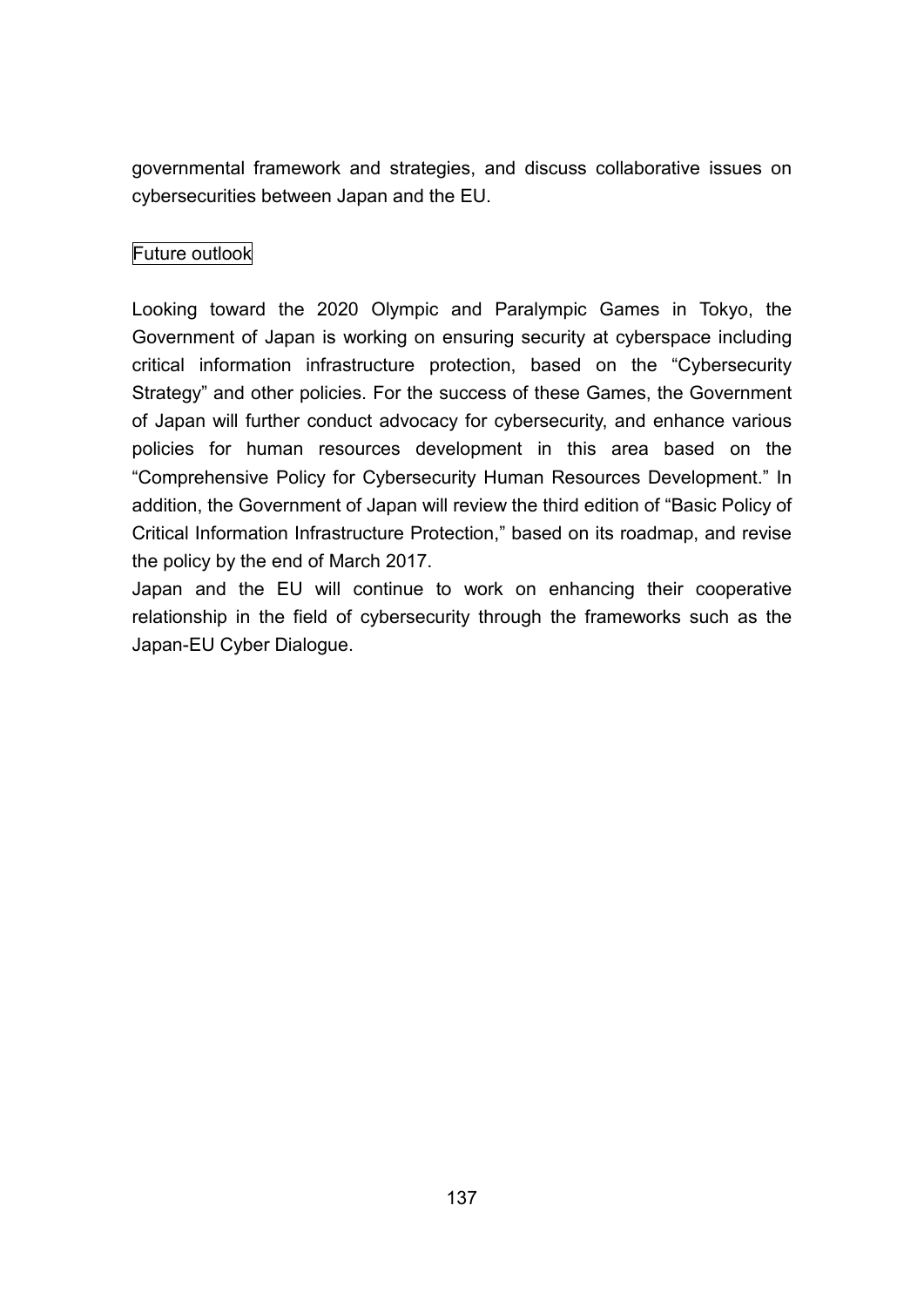governmental framework and strategies, and discuss collaborative issues on cybersecurities between Japan and the EU.

## Future outlook

Looking toward the 2020 Olympic and Paralympic Games in Tokyo, the Government of Japan is working on ensuring security at cyberspace including critical information infrastructure protection, based on the "Cybersecurity Strategy" and other policies. For the success of these Games, the Government of Japan will further conduct advocacy for cybersecurity, and enhance various policies for human resources development in this area based on the "Comprehensive Policy for Cybersecurity Human Resources Development." In addition, the Government of Japan will review the third edition of "Basic Policy of Critical Information Infrastructure Protection," based on its roadmap, and revise the policy by the end of March 2017.

Japan and the EU will continue to work on enhancing their cooperative relationship in the field of cybersecurity through the frameworks such as the Japan-EU Cyber Dialogue.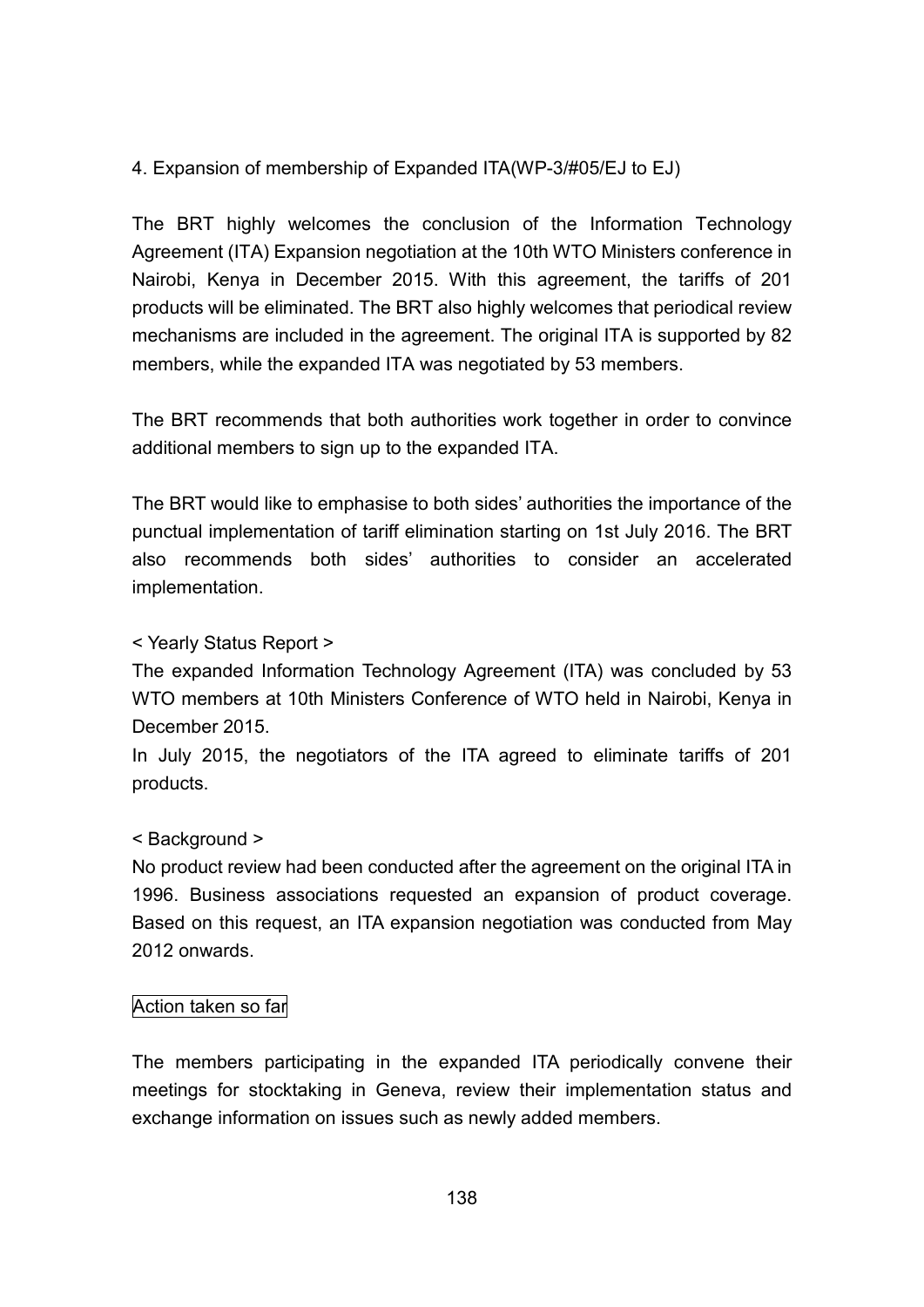## 4. Expansion of membership of Expanded ITA(WP-3/#05/EJ to EJ)

The BRT highly welcomes the conclusion of the Information Technology Agreement (ITA) Expansion negotiation at the 10th WTO Ministers conference in Nairobi, Kenya in December 2015. With this agreement, the tariffs of 201 products will be eliminated. The BRT also highly welcomes that periodical review mechanisms are included in the agreement. The original ITA is supported by 82 members, while the expanded ITA was negotiated by 53 members.

The BRT recommends that both authorities work together in order to convince additional members to sign up to the expanded ITA.

The BRT would like to emphasise to both sides' authorities the importance of the punctual implementation of tariff elimination starting on 1st July 2016. The BRT also recommends both sides' authorities to consider an accelerated implementation.

## < Yearly Status Report >

The expanded Information Technology Agreement (ITA) was concluded by 53 WTO members at 10th Ministers Conference of WTO held in Nairobi, Kenya in December 2015.

In July 2015, the negotiators of the ITA agreed to eliminate tariffs of 201 products.

#### < Background >

No product review had been conducted after the agreement on the original ITA in 1996. Business associations requested an expansion of product coverage. Based on this request, an ITA expansion negotiation was conducted from May 2012 onwards.

#### Action taken so far

The members participating in the expanded ITA periodically convene their meetings for stocktaking in Geneva, review their implementation status and exchange information on issues such as newly added members.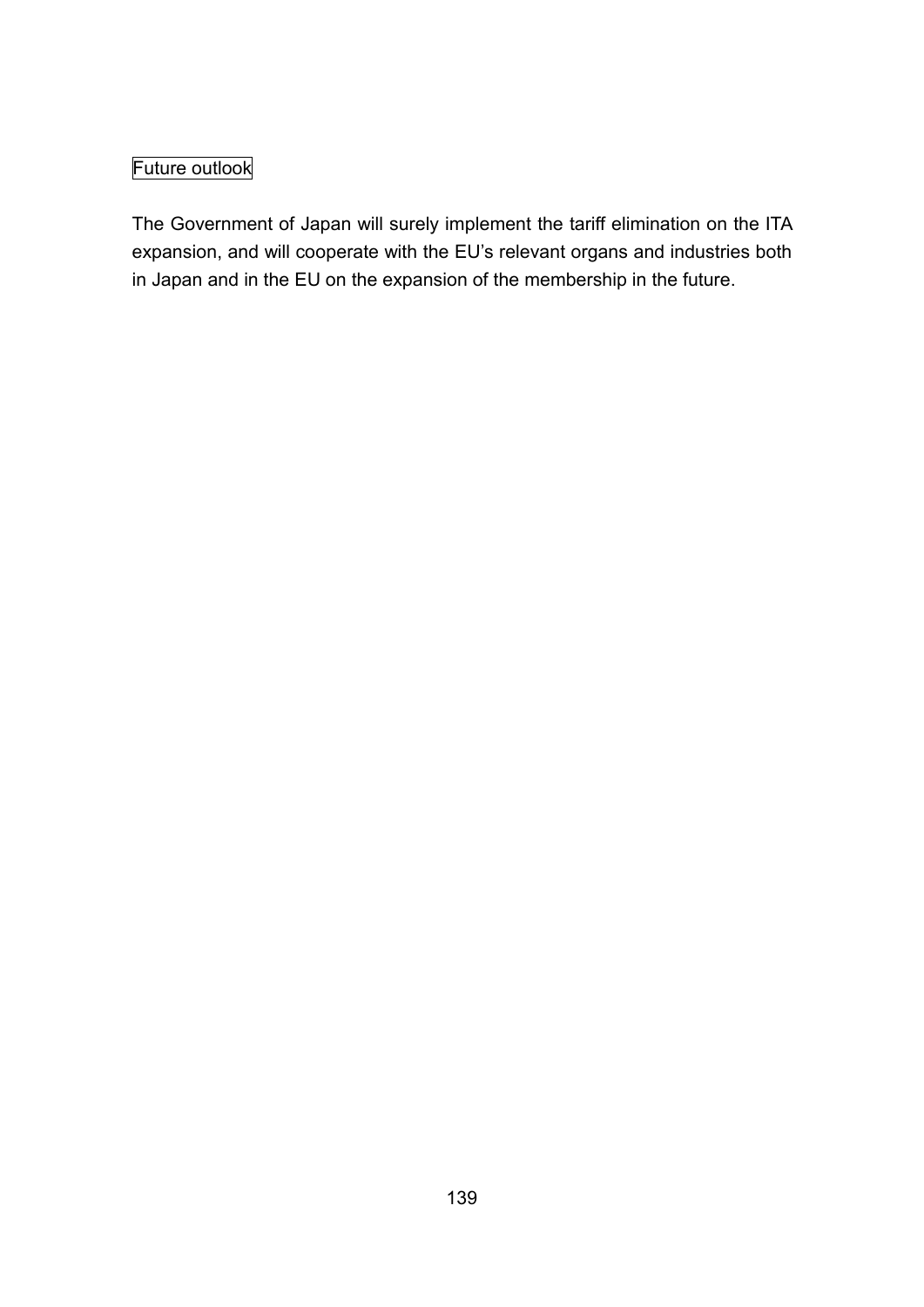# Future outlook

The Government of Japan will surely implement the tariff elimination on the ITA expansion, and will cooperate with the EU's relevant organs and industries both in Japan and in the EU on the expansion of the membership in the future.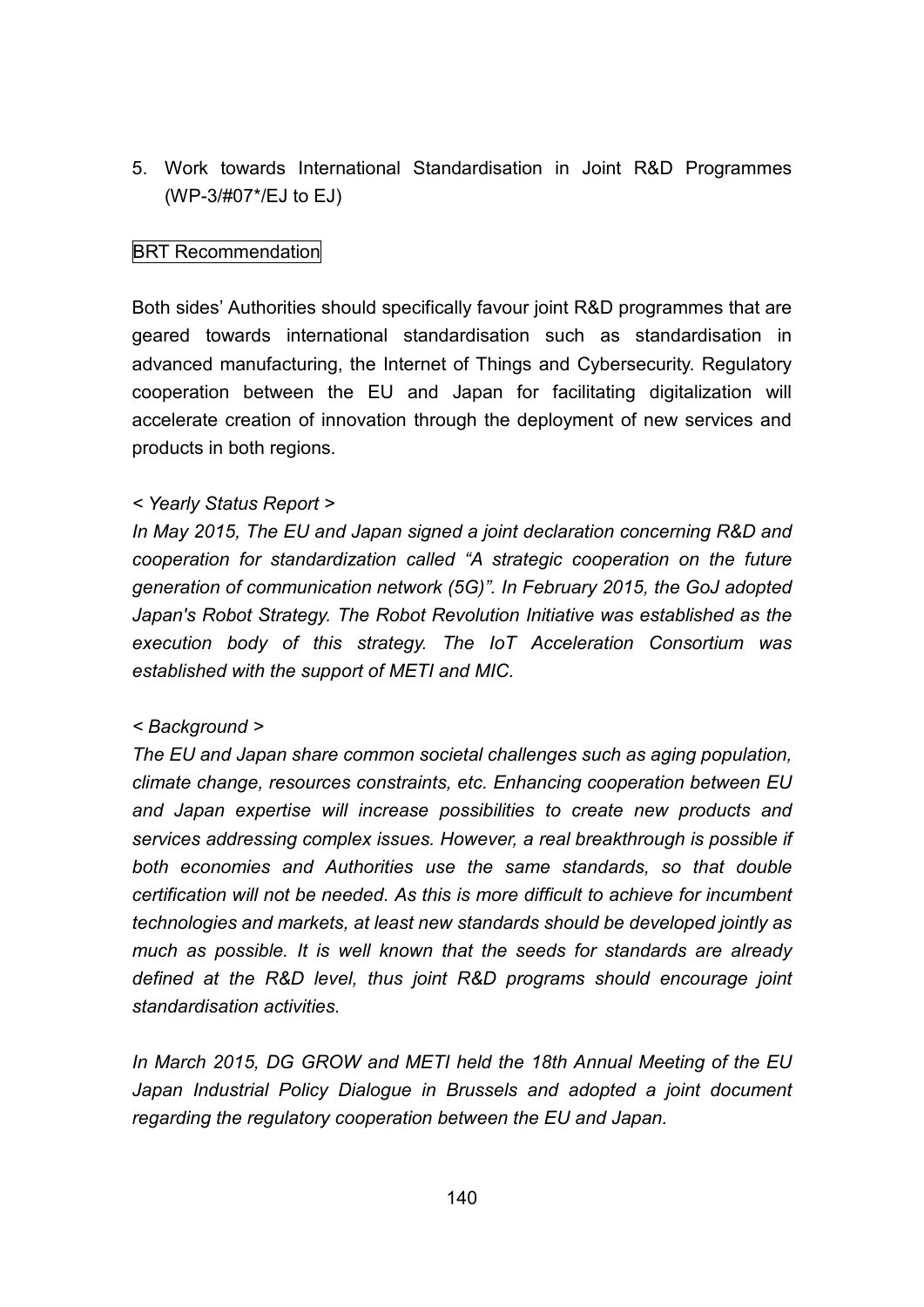5. Work towards International Standardisation in Joint R&D Programmes (WP-3/#07\*/EJ to EJ)

#### BRT Recommendation

Both sides' Authorities should specifically favour joint R&D programmes that are geared towards international standardisation such as standardisation in advanced manufacturing, the Internet of Things and Cybersecurity. Regulatory cooperation between the EU and Japan for facilitating digitalization will accelerate creation of innovation through the deployment of new services and products in both regions.

#### *< Yearly Status Report >*

*In May 2015, The EU and Japan signed a joint declaration concerning R&D and cooperation for standardization called "A strategic cooperation on the future generation of communication network (5G)". In February 2015, the GoJ adopted Japan's Robot Strategy. The Robot Revolution Initiative was established as the execution body of this strategy. The IoT Acceleration Consortium was established with the support of METI and MIC.*

#### *< Background >*

*The EU and Japan share common societal challenges such as aging population, climate change, resources constraints, etc. Enhancing cooperation between EU and Japan expertise will increase possibilities to create new products and services addressing complex issues. However, a real breakthrough is possible if both economies and Authorities use the same standards, so that double certification will not be needed. As this is more difficult to achieve for incumbent technologies and markets, at least new standards should be developed jointly as much as possible. It is well known that the seeds for standards are already defined at the R&D level, thus joint R&D programs should encourage joint standardisation activities.*

*In March 2015, DG GROW and METI held the 18th Annual Meeting of the EU Japan Industrial Policy Dialogue in Brussels and adopted a joint document regarding the regulatory cooperation between the EU and Japan.*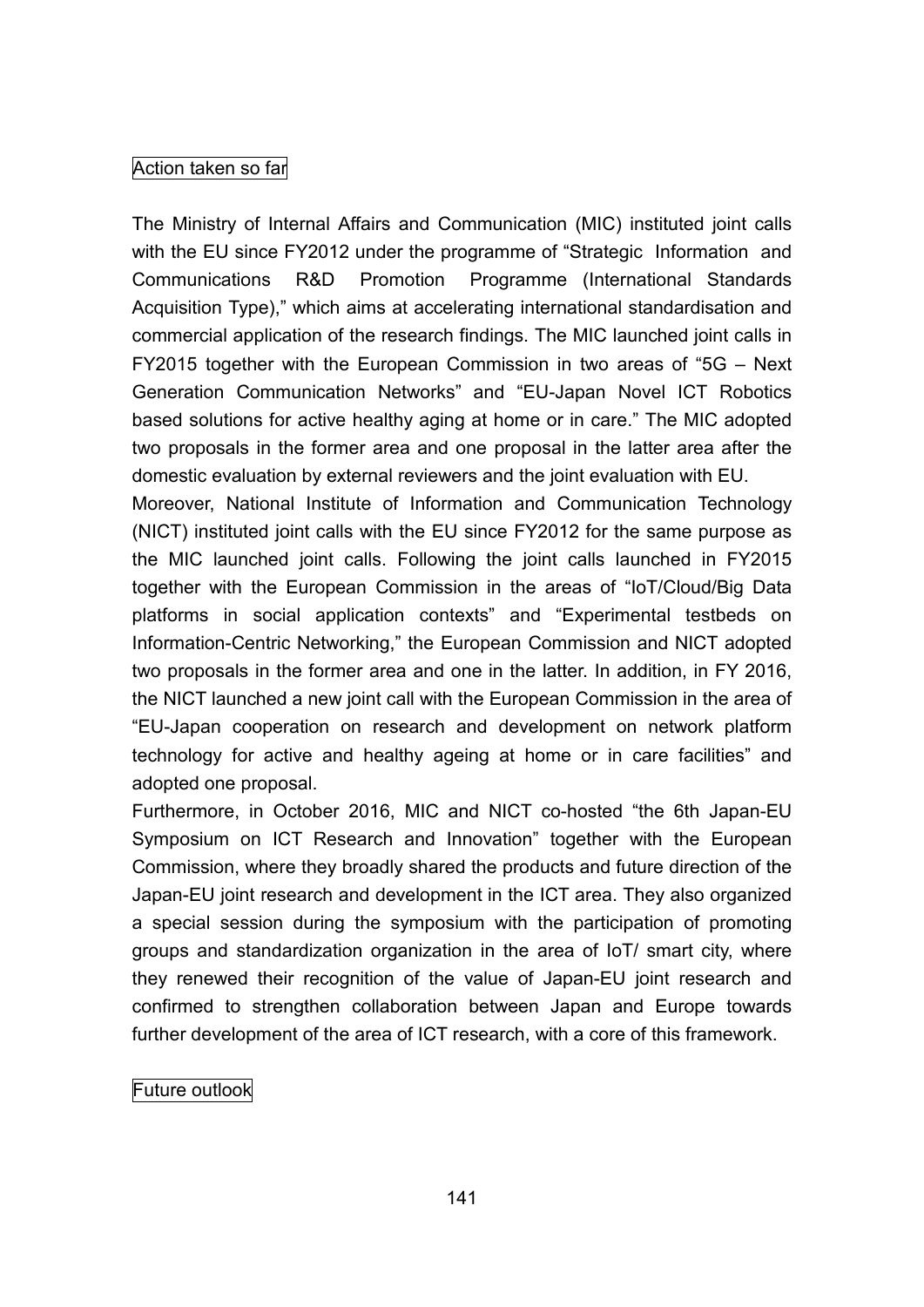### Action taken so far

The Ministry of Internal Affairs and Communication (MIC) instituted joint calls with the EU since FY2012 under the programme of "Strategic Information and Communications R&D Promotion Programme (International Standards Acquisition Type)," which aims at accelerating international standardisation and commercial application of the research findings. The MIC launched joint calls in FY2015 together with the European Commission in two areas of "5G – Next Generation Communication Networks" and "EU-Japan Novel ICT Robotics based solutions for active healthy aging at home or in care." The MIC adopted two proposals in the former area and one proposal in the latter area after the domestic evaluation by external reviewers and the joint evaluation with EU.

Moreover, National Institute of Information and Communication Technology (NICT) instituted joint calls with the EU since FY2012 for the same purpose as the MIC launched joint calls. Following the joint calls launched in FY2015 together with the European Commission in the areas of "IoT/Cloud/Big Data platforms in social application contexts" and "Experimental testbeds on Information-Centric Networking," the European Commission and NICT adopted two proposals in the former area and one in the latter. In addition, in FY 2016, the NICT launched a new joint call with the European Commission in the area of "EU-Japan cooperation on research and development on network platform technology for active and healthy ageing at home or in care facilities" and adopted one proposal.

Furthermore, in October 2016, MIC and NICT co-hosted "the 6th Japan-EU Symposium on ICT Research and Innovation" together with the European Commission, where they broadly shared the products and future direction of the Japan-EU joint research and development in the ICT area. They also organized a special session during the symposium with the participation of promoting groups and standardization organization in the area of IoT/ smart city, where they renewed their recognition of the value of Japan-EU joint research and confirmed to strengthen collaboration between Japan and Europe towards further development of the area of ICT research, with a core of this framework.

#### Future outlook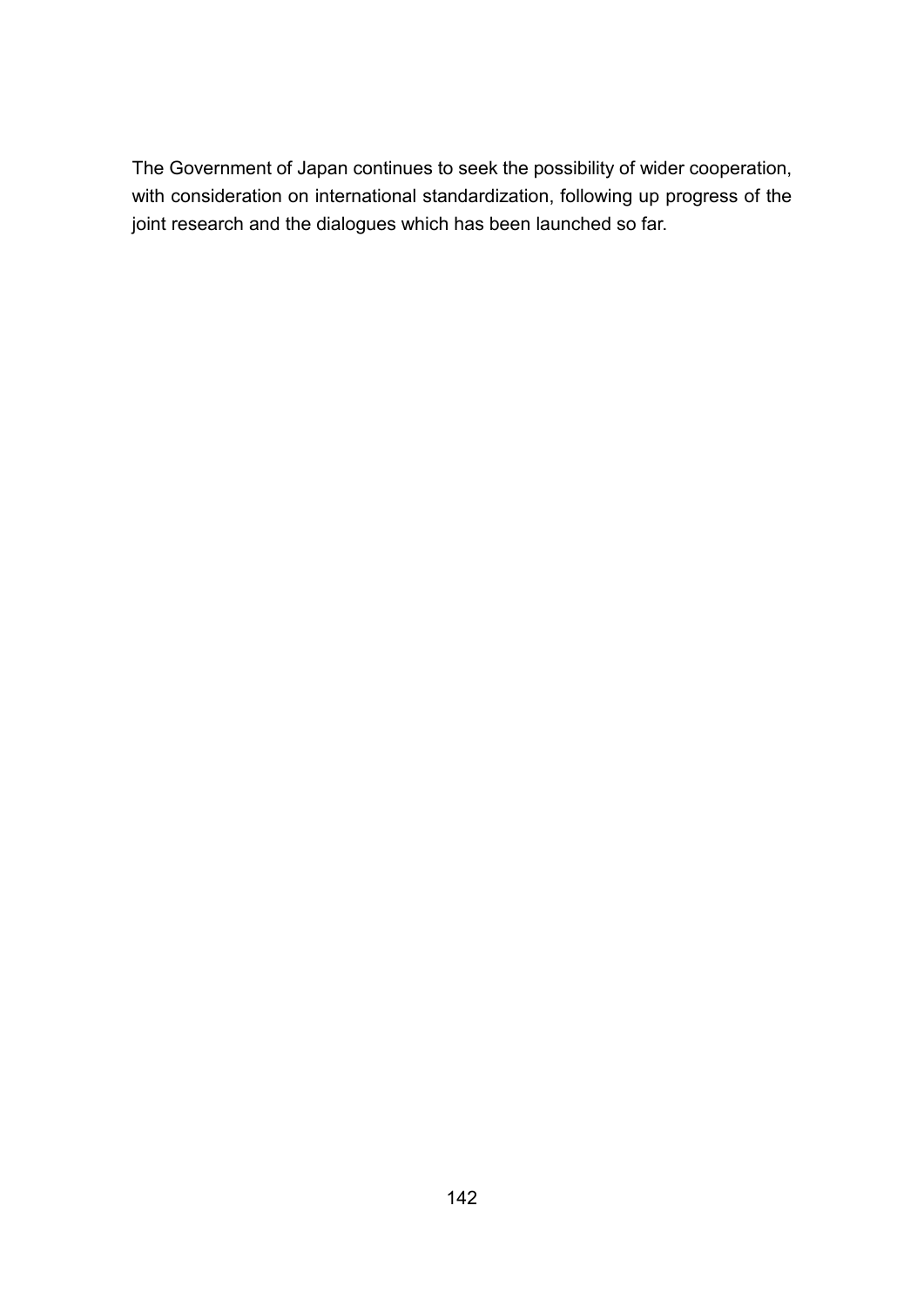The Government of Japan continues to seek the possibility of wider cooperation, with consideration on international standardization, following up progress of the joint research and the dialogues which has been launched so far.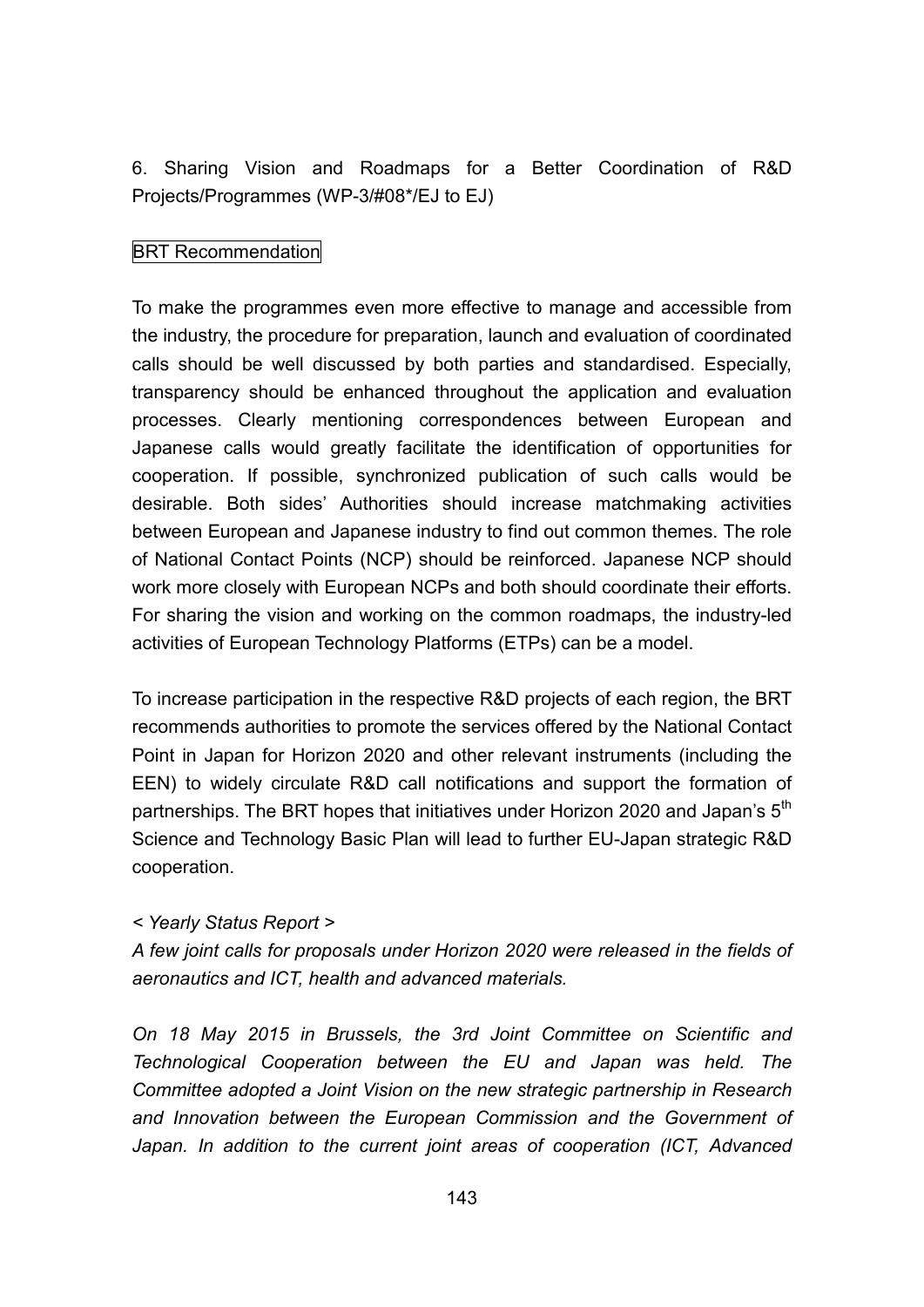6. Sharing Vision and Roadmaps for a Better Coordination of R&D Projects/Programmes (WP-3/#08\*/EJ to EJ)

#### BRT Recommendation

To make the programmes even more effective to manage and accessible from the industry, the procedure for preparation, launch and evaluation of coordinated calls should be well discussed by both parties and standardised. Especially, transparency should be enhanced throughout the application and evaluation processes. Clearly mentioning correspondences between European and Japanese calls would greatly facilitate the identification of opportunities for cooperation. If possible, synchronized publication of such calls would be desirable. Both sides' Authorities should increase matchmaking activities between European and Japanese industry to find out common themes. The role of National Contact Points (NCP) should be reinforced. Japanese NCP should work more closely with European NCPs and both should coordinate their efforts. For sharing the vision and working on the common roadmaps, the industry-led activities of European Technology Platforms (ETPs) can be a model.

To increase participation in the respective R&D projects of each region, the BRT recommends authorities to promote the services offered by the National Contact Point in Japan for Horizon 2020 and other relevant instruments (including the EEN) to widely circulate R&D call notifications and support the formation of partnerships. The BRT hopes that initiatives under Horizon 2020 and Japan's 5<sup>th</sup> Science and Technology Basic Plan will lead to further EU-Japan strategic R&D cooperation.

#### *< Yearly Status Report >*

*A few joint calls for proposals under Horizon 2020 were released in the fields of aeronautics and ICT, health and advanced materials.*

*On 18 May 2015 in Brussels, the 3rd Joint Committee on Scientific and Technological Cooperation between the EU and Japan was held. The Committee adopted a Joint Vision on the new strategic partnership in Research and Innovation between the European Commission and the Government of Japan. In addition to the current joint areas of cooperation (ICT, Advanced*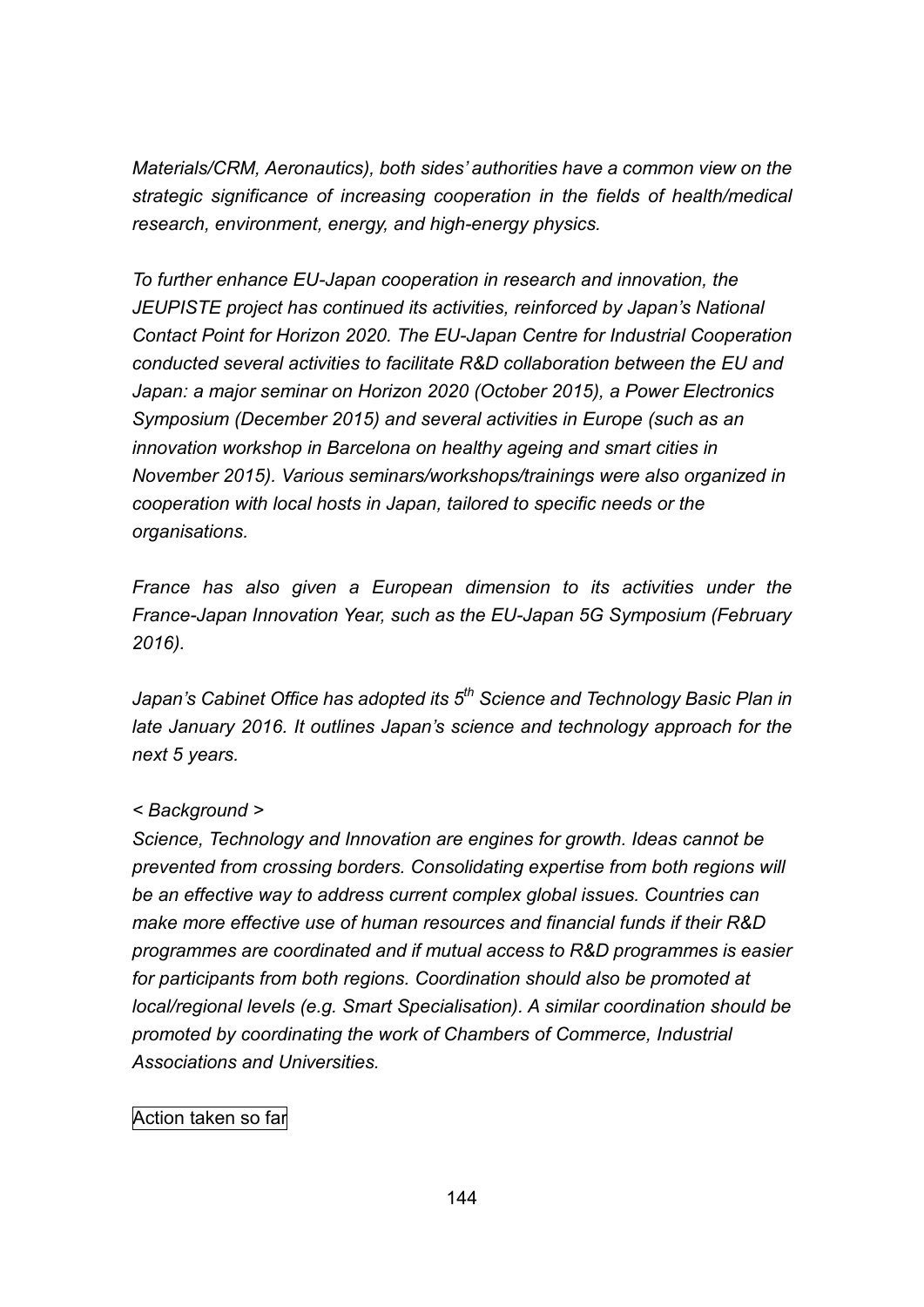*Materials/CRM, Aeronautics), both sides' authorities have a common view on the strategic significance of increasing cooperation in the fields of health/medical research, environment, energy, and high-energy physics.*

*To further enhance EU-Japan cooperation in research and innovation, the JEUPISTE project has continued its activities, reinforced by Japan's National Contact Point for Horizon 2020. The EU-Japan Centre for Industrial Cooperation conducted several activities to facilitate R&D collaboration between the EU and Japan: a major seminar on Horizon 2020 (October 2015), a Power Electronics Symposium (December 2015) and several activities in Europe (such as an innovation workshop in Barcelona on healthy ageing and smart cities in November 2015). Various seminars/workshops/trainings were also organized in cooperation with local hosts in Japan, tailored to specific needs or the organisations.*

*France has also given a European dimension to its activities under the France-Japan Innovation Year, such as the EU-Japan 5G Symposium (February 2016).*

*Japan's Cabinet Office has adopted its 5 th Science and Technology Basic Plan in late January 2016. It outlines Japan's science and technology approach for the next 5 years.*

## *< Background >*

*Science, Technology and Innovation are engines for growth. Ideas cannot be prevented from crossing borders. Consolidating expertise from both regions will be an effective way to address current complex global issues. Countries can make more effective use of human resources and financial funds if their R&D programmes are coordinated and if mutual access to R&D programmes is easier for participants from both regions. Coordination should also be promoted at local/regional levels (e.g. Smart Specialisation). A similar coordination should be promoted by coordinating the work of Chambers of Commerce, Industrial Associations and Universities.*

## Action taken so far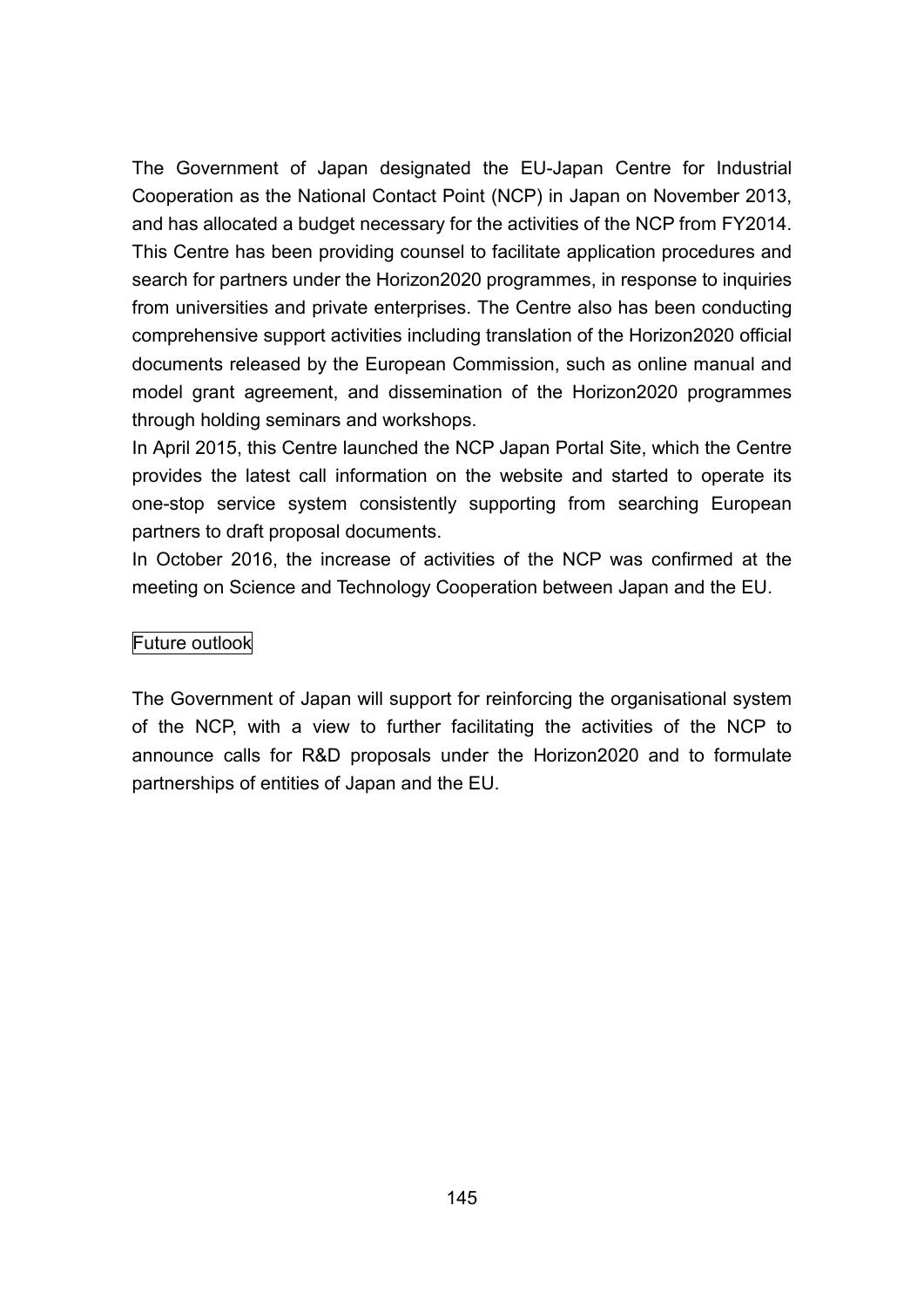The Government of Japan designated the EU-Japan Centre for Industrial Cooperation as the National Contact Point (NCP) in Japan on November 2013, and has allocated a budget necessary for the activities of the NCP from FY2014. This Centre has been providing counsel to facilitate application procedures and search for partners under the Horizon2020 programmes, in response to inquiries from universities and private enterprises. The Centre also has been conducting comprehensive support activities including translation of the Horizon2020 official documents released by the European Commission, such as online manual and model grant agreement, and dissemination of the Horizon2020 programmes through holding seminars and workshops.

In April 2015, this Centre launched the NCP Japan Portal Site, which the Centre provides the latest call information on the website and started to operate its one-stop service system consistently supporting from searching European partners to draft proposal documents.

In October 2016, the increase of activities of the NCP was confirmed at the meeting on Science and Technology Cooperation between Japan and the EU.

#### Future outlook

The Government of Japan will support for reinforcing the organisational system of the NCP, with a view to further facilitating the activities of the NCP to announce calls for R&D proposals under the Horizon2020 and to formulate partnerships of entities of Japan and the EU.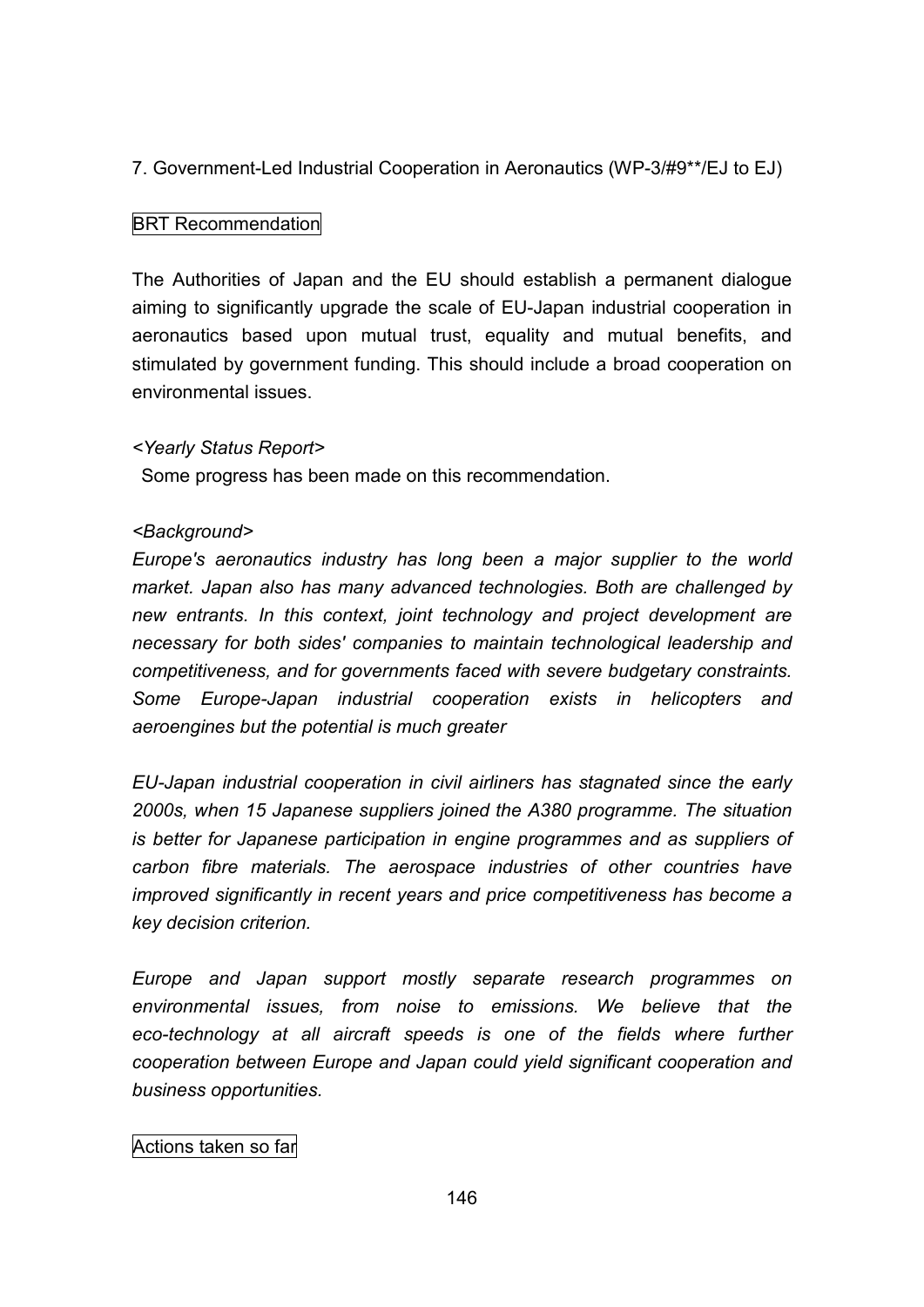# 7. Government-Led Industrial Cooperation in Aeronautics (WP-3/#9\*\*/EJ to EJ)

## BRT Recommendation

The Authorities of Japan and the EU should establish a permanent dialogue aiming to significantly upgrade the scale of EU-Japan industrial cooperation in aeronautics based upon mutual trust, equality and mutual benefits, and stimulated by government funding. This should include a broad cooperation on environmental issues.

#### *<Yearly Status Report>*

Some progress has been made on this recommendation.

#### *<Background>*

*Europe's aeronautics industry has long been a major supplier to the world market. Japan also has many advanced technologies. Both are challenged by new entrants. In this context, joint technology and project development are necessary for both sides' companies to maintain technological leadership and competitiveness, and for governments faced with severe budgetary constraints. Some Europe-Japan industrial cooperation exists in helicopters and aeroengines but the potential is much greater*

*EU-Japan industrial cooperation in civil airliners has stagnated since the early 2000s, when 15 Japanese suppliers joined the A380 programme. The situation is better for Japanese participation in engine programmes and as suppliers of carbon fibre materials. The aerospace industries of other countries have improved significantly in recent years and price competitiveness has become a key decision criterion.*

*Europe and Japan support mostly separate research programmes on environmental issues, from noise to emissions. We believe that the eco-technology at all aircraft speeds is one of the fields where further cooperation between Europe and Japan could yield significant cooperation and business opportunities.*

#### Actions taken so far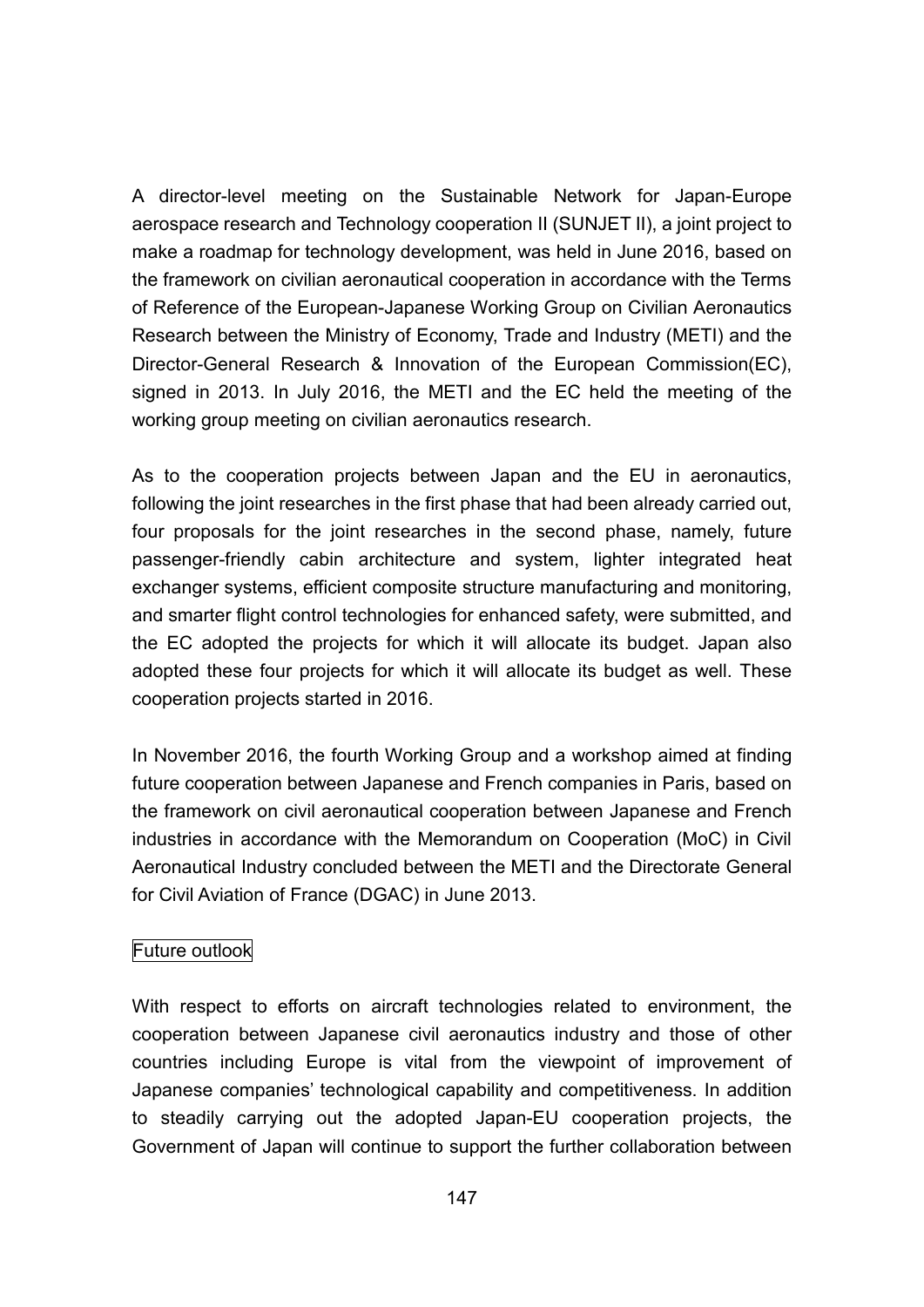A director-level meeting on the Sustainable Network for Japan-Europe aerospace research and Technology cooperation II (SUNJET II), a joint project to make a roadmap for technology development, was held in June 2016, based on the framework on civilian aeronautical cooperation in accordance with the Terms of Reference of the European-Japanese Working Group on Civilian Aeronautics Research between the Ministry of Economy, Trade and Industry (METI) and the Director-General Research & Innovation of the European Commission(EC), signed in 2013. In July 2016, the METI and the EC held the meeting of the working group meeting on civilian aeronautics research.

As to the cooperation projects between Japan and the EU in aeronautics, following the joint researches in the first phase that had been already carried out, four proposals for the joint researches in the second phase, namely, future passenger-friendly cabin architecture and system, lighter integrated heat exchanger systems, efficient composite structure manufacturing and monitoring, and smarter flight control technologies for enhanced safety, were submitted, and the EC adopted the projects for which it will allocate its budget. Japan also adopted these four projects for which it will allocate its budget as well. These cooperation projects started in 2016.

In November 2016, the fourth Working Group and a workshop aimed at finding future cooperation between Japanese and French companies in Paris, based on the framework on civil aeronautical cooperation between Japanese and French industries in accordance with the Memorandum on Cooperation (MoC) in Civil Aeronautical Industry concluded between the METI and the Directorate General for Civil Aviation of France (DGAC) in June 2013.

#### Future outlook

With respect to efforts on aircraft technologies related to environment, the cooperation between Japanese civil aeronautics industry and those of other countries including Europe is vital from the viewpoint of improvement of Japanese companies' technological capability and competitiveness. In addition to steadily carrying out the adopted Japan-EU cooperation projects, the Government of Japan will continue to support the further collaboration between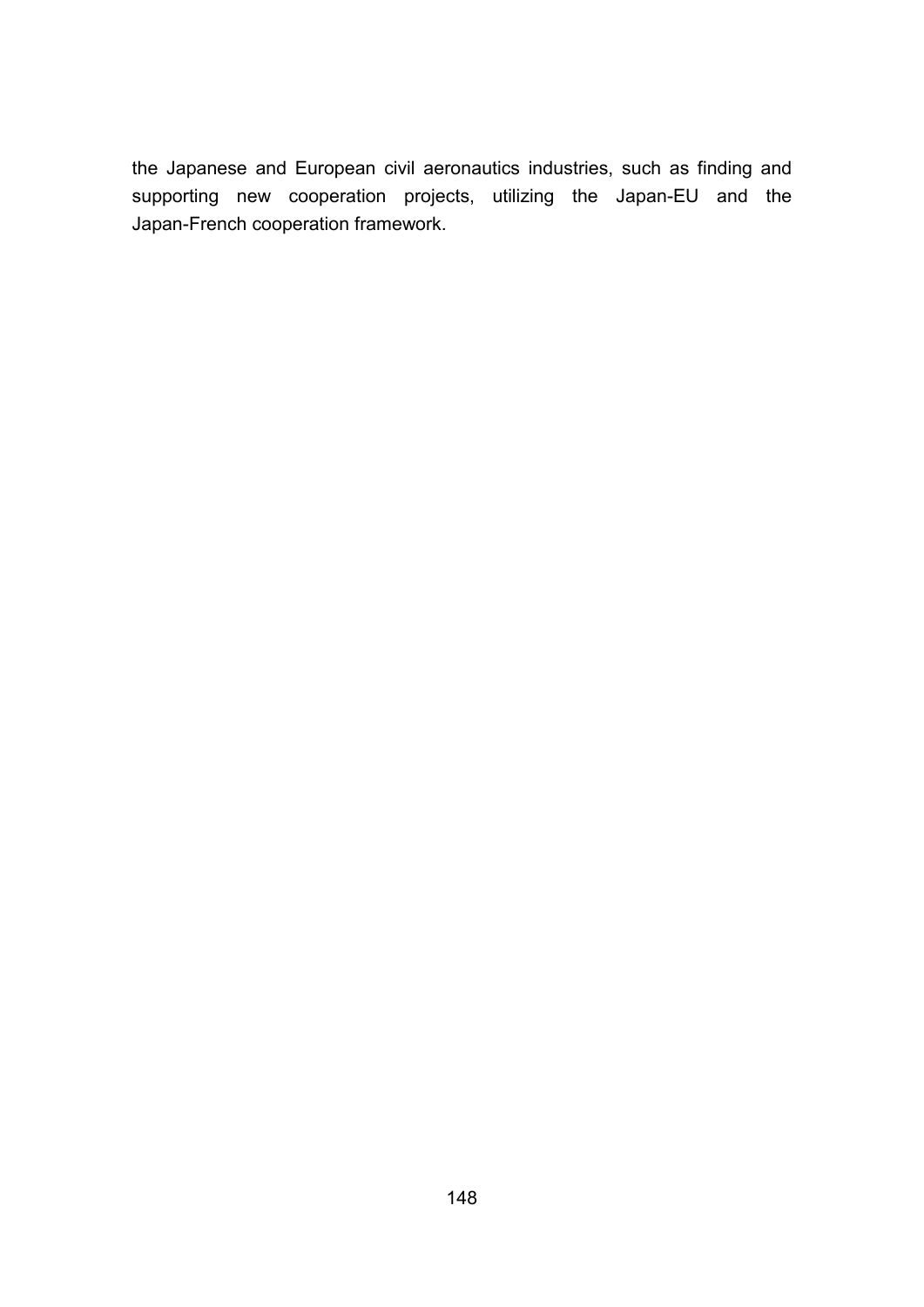the Japanese and European civil aeronautics industries, such as finding and supporting new cooperation projects, utilizing the Japan-EU and the Japan-French cooperation framework.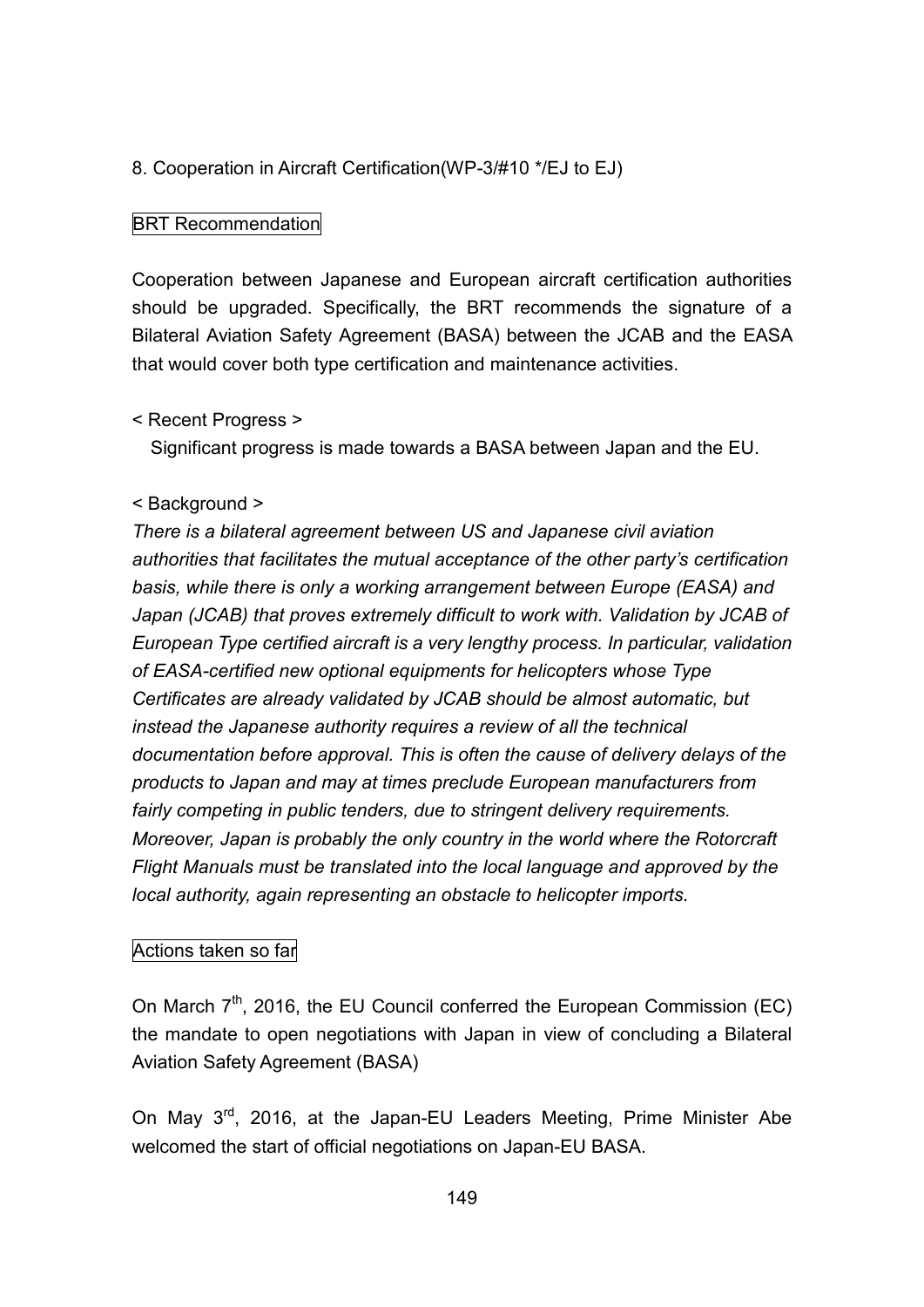### 8. Cooperation in Aircraft Certification(WP-3/#10 \*/EJ to EJ)

### BRT Recommendation

Cooperation between Japanese and European aircraft certification authorities should be upgraded. Specifically, the BRT recommends the signature of a Bilateral Aviation Safety Agreement (BASA) between the JCAB and the EASA that would cover both type certification and maintenance activities.

#### < Recent Progress >

Significant progress is made towards a BASA between Japan and the EU.

#### < Background >

*There is a bilateral agreement between US and Japanese civil aviation authorities that facilitates the mutual acceptance of the other party's certification basis, while there is only a working arrangement between Europe (EASA) and Japan (JCAB) that proves extremely difficult to work with. Validation by JCAB of European Type certified aircraft is a very lengthy process. In particular, validation of EASA-certified new optional equipments for helicopters whose Type Certificates are already validated by JCAB should be almost automatic, but instead the Japanese authority requires a review of all the technical documentation before approval. This is often the cause of delivery delays of the products to Japan and may at times preclude European manufacturers from fairly competing in public tenders, due to stringent delivery requirements. Moreover, Japan is probably the only country in the world where the Rotorcraft Flight Manuals must be translated into the local language and approved by the local authority, again representing an obstacle to helicopter imports.*

#### Actions taken so far

On March  $7<sup>th</sup>$ , 2016, the EU Council conferred the European Commission (EC) the mandate to open negotiations with Japan in view of concluding a Bilateral Aviation Safety Agreement (BASA)

On May 3<sup>rd</sup>, 2016, at the Japan-EU Leaders Meeting, Prime Minister Abe welcomed the start of official negotiations on Japan-EU BASA.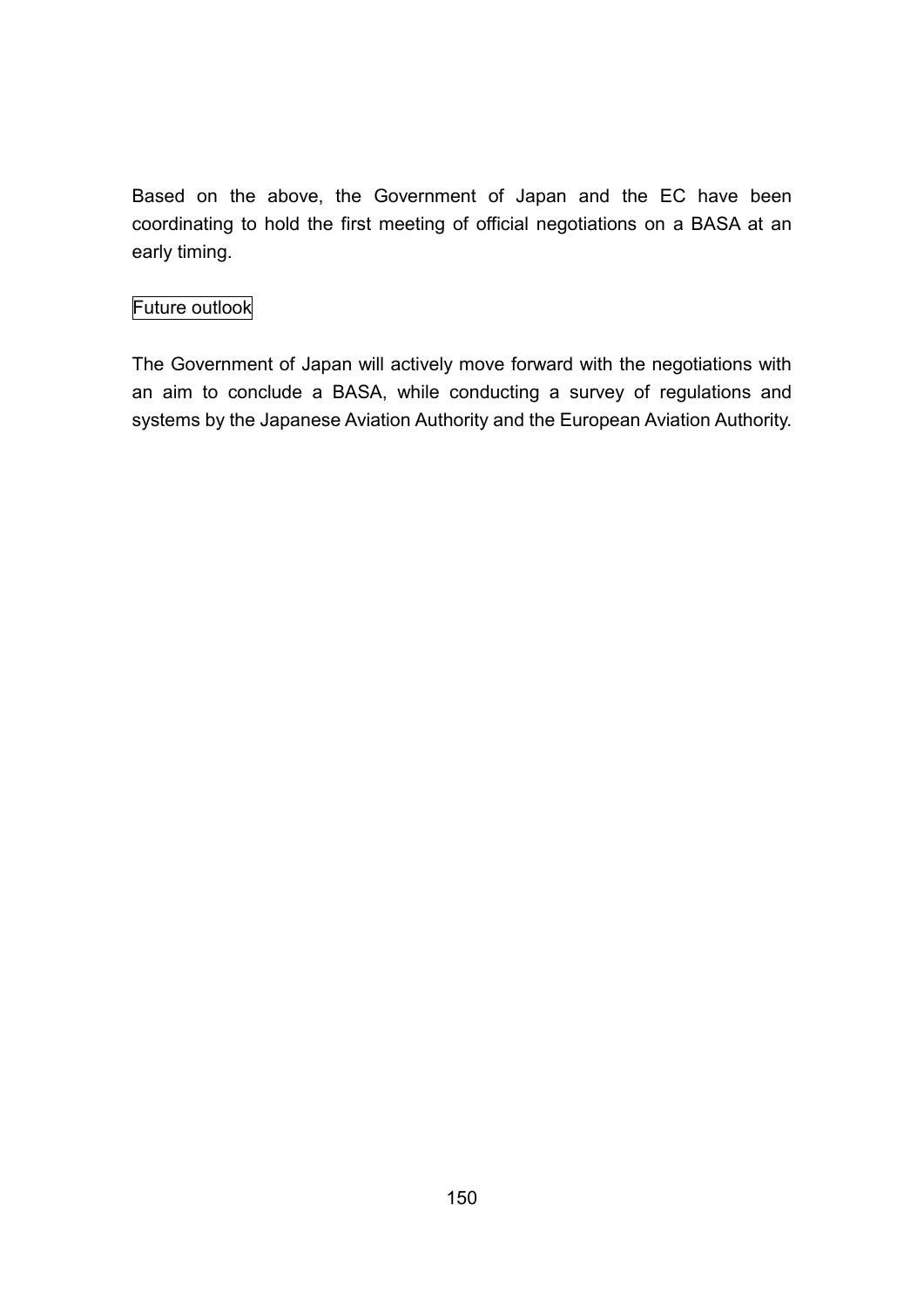Based on the above, the Government of Japan and the EC have been coordinating to hold the first meeting of official negotiations on a BASA at an early timing.

# Future outlook

The Government of Japan will actively move forward with the negotiations with an aim to conclude a BASA, while conducting a survey of regulations and systems by the Japanese Aviation Authority and the European Aviation Authority.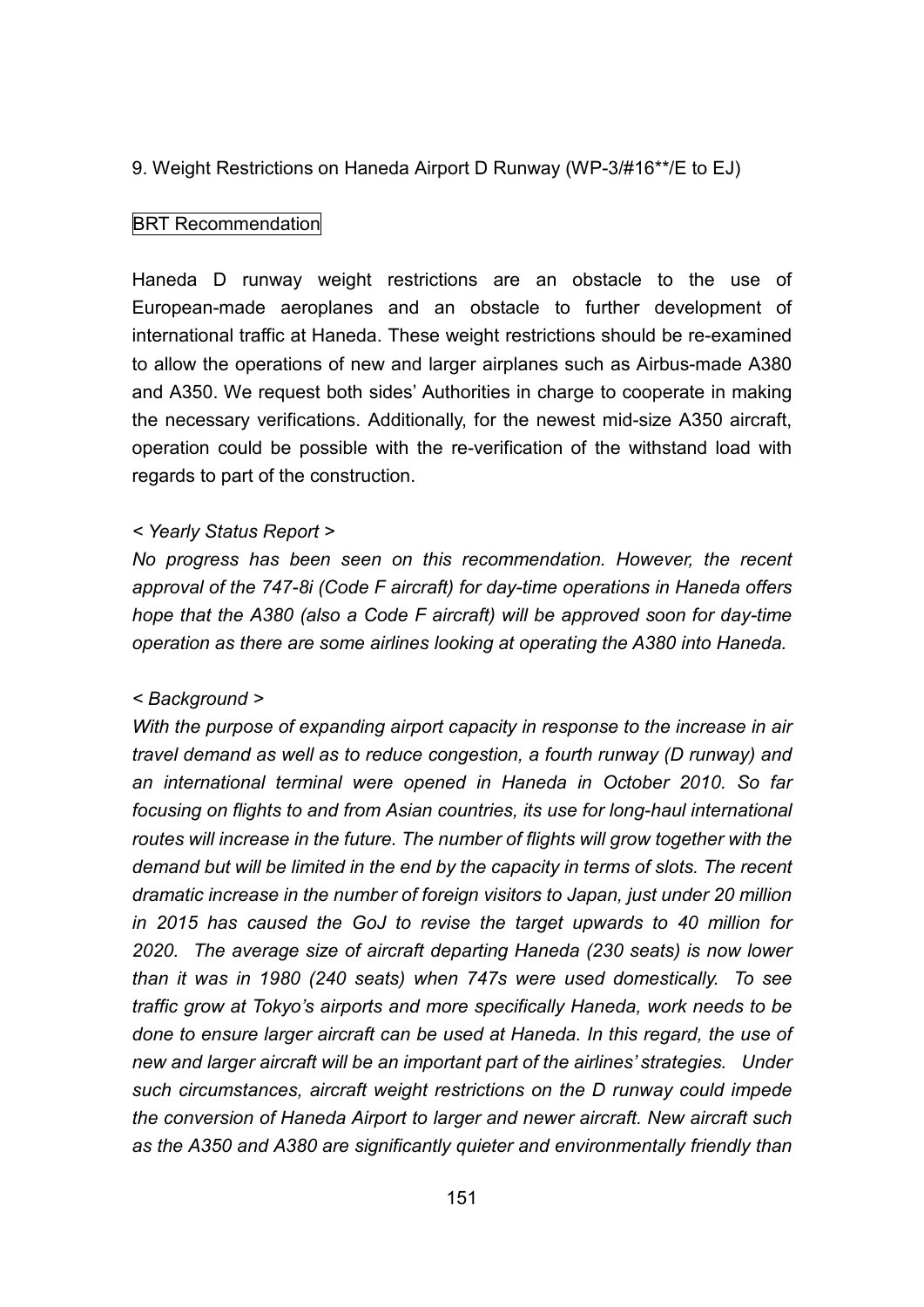#### 9. Weight Restrictions on Haneda Airport D Runway (WP-3/#16\*\*/E to EJ)

#### **BRT Recommendation**

Haneda D runway weight restrictions are an obstacle to the use of European-made aeroplanes and an obstacle to further development of international traffic at Haneda. These weight restrictions should be re-examined to allow the operations of new and larger airplanes such as Airbus-made A380 and A350. We request both sides' Authorities in charge to cooperate in making the necessary verifications. Additionally, for the newest mid-size A350 aircraft, operation could be possible with the re-verification of the withstand load with regards to part of the construction.

#### *< Yearly Status Report >*

*No progress has been seen on this recommendation. However, the recent approval of the 747-8i (Code F aircraft) for day-time operations in Haneda offers hope that the A380 (also a Code F aircraft) will be approved soon for day-time operation as there are some airlines looking at operating the A380 into Haneda.*

#### *< Background >*

*With the purpose of expanding airport capacity in response to the increase in air travel demand as well as to reduce congestion, a fourth runway (D runway) and an international terminal were opened in Haneda in October 2010. So far focusing on flights to and from Asian countries, its use for long-haul international routes will increase in the future. The number of flights will grow together with the demand but will be limited in the end by the capacity in terms of slots. The recent dramatic increase in the number of foreign visitors to Japan, just under 20 million in 2015 has caused the GoJ to revise the target upwards to 40 million for 2020. The average size of aircraft departing Haneda (230 seats) is now lower than it was in 1980 (240 seats) when 747s were used domestically. To see traffic grow at Tokyo's airports and more specifically Haneda, work needs to be done to ensure larger aircraft can be used at Haneda. In this regard, the use of new and larger aircraft will be an important part of the airlines' strategies. Under such circumstances, aircraft weight restrictions on the D runway could impede the conversion of Haneda Airport to larger and newer aircraft. New aircraft such as the A350 and A380 are significantly quieter and environmentally friendly than*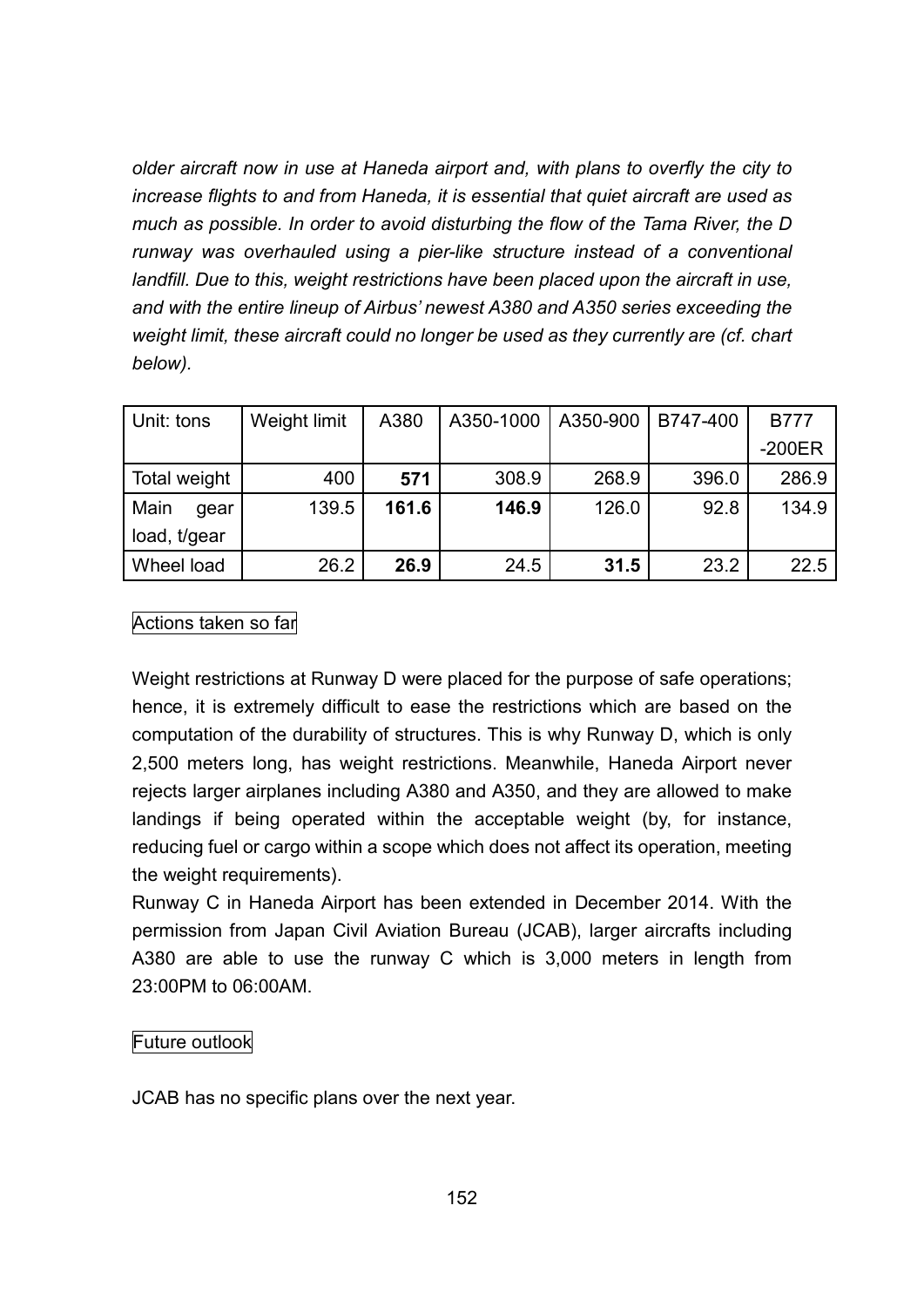*older aircraft now in use at Haneda airport and, with plans to overfly the city to increase flights to and from Haneda, it is essential that quiet aircraft are used as much as possible. In order to avoid disturbing the flow of the Tama River, the D runway was overhauled using a pier-like structure instead of a conventional landfill. Due to this, weight restrictions have been placed upon the aircraft in use, and with the entire lineup of Airbus' newest A380 and A350 series exceeding the weight limit, these aircraft could no longer be used as they currently are (cf. chart below).*

| Unit: tons   | Weight limit | A380  | A350-1000 | A350-900 | B747-400 | <b>B777</b> |
|--------------|--------------|-------|-----------|----------|----------|-------------|
|              |              |       |           |          |          | $-200ER$    |
| Total weight | 400          | 571   | 308.9     | 268.9    | 396.0    | 286.9       |
| Main<br>gear | 139.5        | 161.6 | 146.9     | 126.0    | 92.8     | 134.9       |
| load, t/gear |              |       |           |          |          |             |
| Wheel load   | 26.2         | 26.9  | 24.5      | 31.5     | 23.2     | 22.5        |

# Actions taken so far

Weight restrictions at Runway D were placed for the purpose of safe operations; hence, it is extremely difficult to ease the restrictions which are based on the computation of the durability of structures. This is why Runway D, which is only 2,500 meters long, has weight restrictions. Meanwhile, Haneda Airport never rejects larger airplanes including A380 and A350, and they are allowed to make landings if being operated within the acceptable weight (by, for instance, reducing fuel or cargo within a scope which does not affect its operation, meeting the weight requirements).

Runway C in Haneda Airport has been extended in December 2014. With the permission from Japan Civil Aviation Bureau (JCAB), larger aircrafts including A380 are able to use the runway C which is 3,000 meters in length from 23:00PM to 06:00AM.

# Future outlook

JCAB has no specific plans over the next year.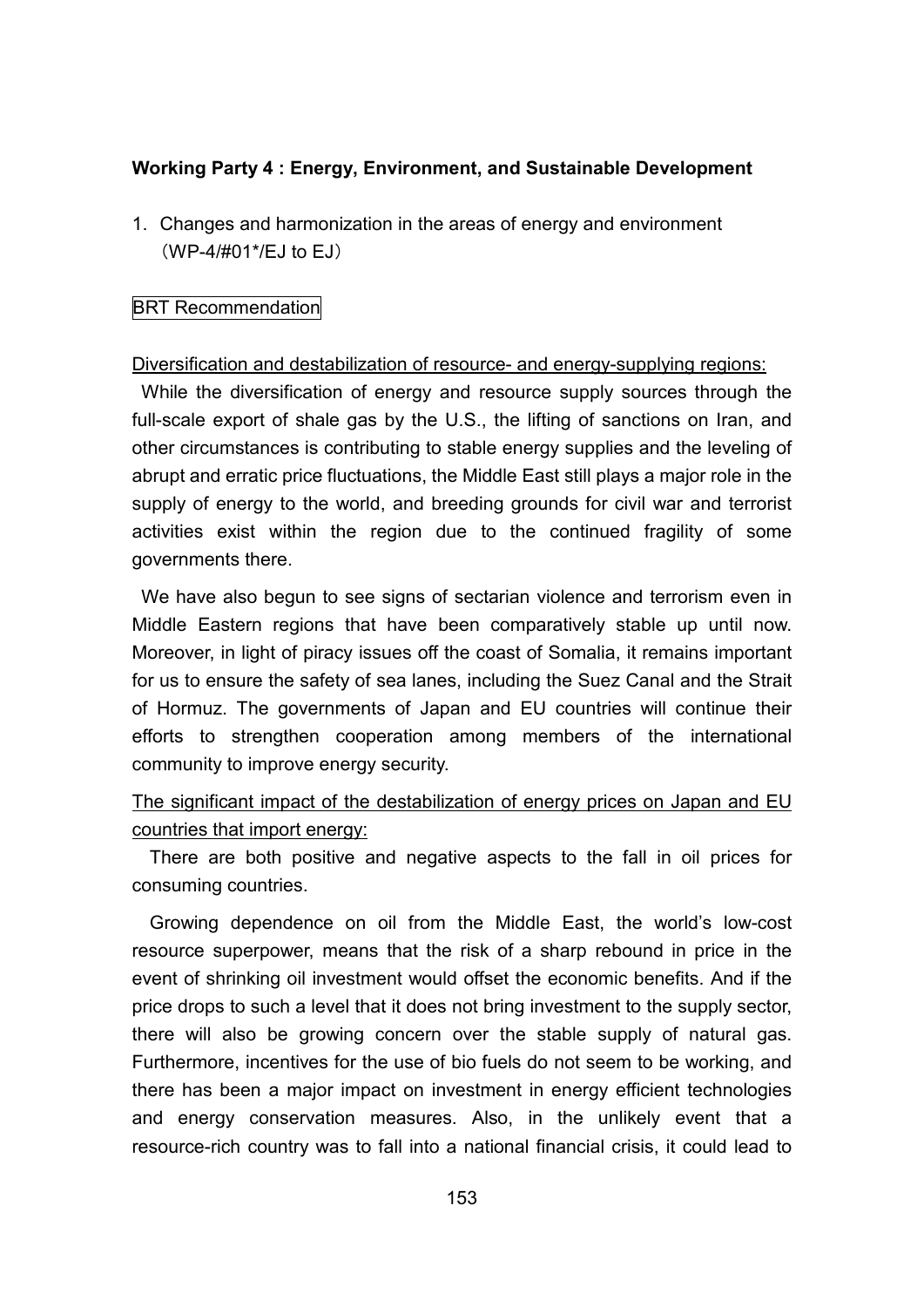### **Working Party 4 : Energy, Environment, and Sustainable Development**

1. Changes and harmonization in the areas of energy and environment (WP-4/#01\*/EJ to EJ)

#### **BRT Recommendation**

#### Diversification and destabilization of resource- and energy-supplying regions:

While the diversification of energy and resource supply sources through the full-scale export of shale gas by the U.S., the lifting of sanctions on Iran, and other circumstances is contributing to stable energy supplies and the leveling of abrupt and erratic price fluctuations, the Middle East still plays a major role in the supply of energy to the world, and breeding grounds for civil war and terrorist activities exist within the region due to the continued fragility of some governments there.

We have also begun to see signs of sectarian violence and terrorism even in Middle Eastern regions that have been comparatively stable up until now. Moreover, in light of piracy issues off the coast of Somalia, it remains important for us to ensure the safety of sea lanes, including the Suez Canal and the Strait of Hormuz. The governments of Japan and EU countries will continue their efforts to strengthen cooperation among members of the international community to improve energy security.

# The significant impact of the destabilization of energy prices on Japan and EU countries that import energy:

There are both positive and negative aspects to the fall in oil prices for consuming countries.

Growing dependence on oil from the Middle East, the world's low-cost resource superpower, means that the risk of a sharp rebound in price in the event of shrinking oil investment would offset the economic benefits. And if the price drops to such a level that it does not bring investment to the supply sector, there will also be growing concern over the stable supply of natural gas. Furthermore, incentives for the use of bio fuels do not seem to be working, and there has been a major impact on investment in energy efficient technologies and energy conservation measures. Also, in the unlikely event that a resource-rich country was to fall into a national financial crisis, it could lead to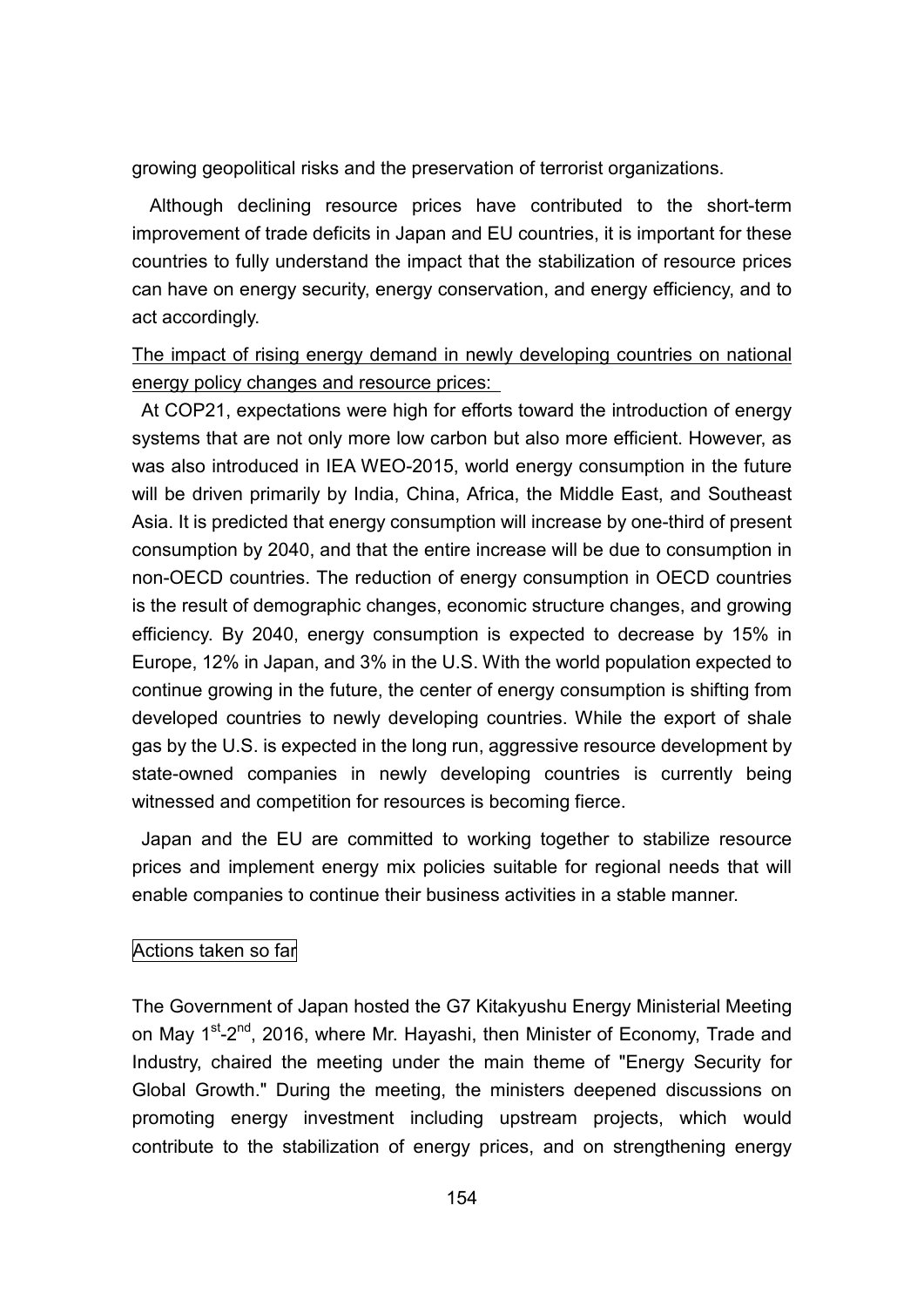growing geopolitical risks and the preservation of terrorist organizations.

Although declining resource prices have contributed to the short-term improvement of trade deficits in Japan and EU countries, it is important for these countries to fully understand the impact that the stabilization of resource prices can have on energy security, energy conservation, and energy efficiency, and to act accordingly.

The impact of rising energy demand in newly developing countries on national energy policy changes and resource prices:

At COP21, expectations were high for efforts toward the introduction of energy systems that are not only more low carbon but also more efficient. However, as was also introduced in IEA WEO-2015, world energy consumption in the future will be driven primarily by India, China, Africa, the Middle East, and Southeast Asia. It is predicted that energy consumption will increase by one-third of present consumption by 2040, and that the entire increase will be due to consumption in non-OECD countries. The reduction of energy consumption in OECD countries is the result of demographic changes, economic structure changes, and growing efficiency. By 2040, energy consumption is expected to decrease by 15% in Europe, 12% in Japan, and 3% in the U.S. With the world population expected to continue growing in the future, the center of energy consumption is shifting from developed countries to newly developing countries. While the export of shale gas by the U.S. is expected in the long run, aggressive resource development by state-owned companies in newly developing countries is currently being witnessed and competition for resources is becoming fierce.

Japan and the EU are committed to working together to stabilize resource prices and implement energy mix policies suitable for regional needs that will enable companies to continue their business activities in a stable manner.

#### Actions taken so far

The Government of Japan hosted the G7 Kitakyushu Energy Ministerial Meeting on May 1<sup>st</sup>-2<sup>nd</sup>, 2016, where Mr. Hayashi, then Minister of Economy, Trade and Industry, chaired the meeting under the main theme of "Energy Security for Global Growth." During the meeting, the ministers deepened discussions on promoting energy investment including upstream projects, which would contribute to the stabilization of energy prices, and on strengthening energy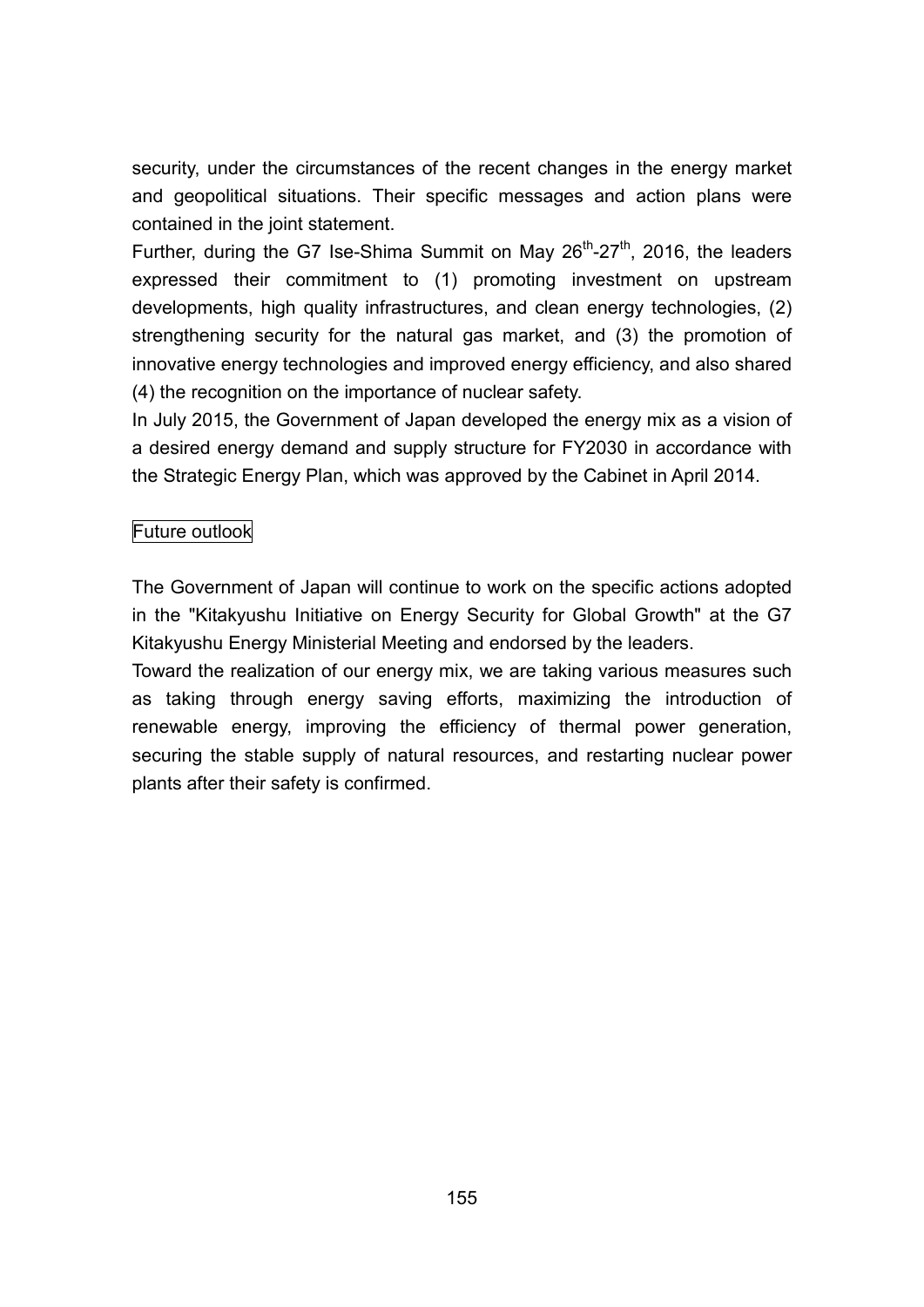security, under the circumstances of the recent changes in the energy market and geopolitical situations. Their specific messages and action plans were contained in the joint statement.

Further, during the G7 Ise-Shima Summit on May 26<sup>th</sup>-27<sup>th</sup>, 2016, the leaders expressed their commitment to (1) promoting investment on upstream developments, high quality infrastructures, and clean energy technologies, (2) strengthening security for the natural gas market, and (3) the promotion of innovative energy technologies and improved energy efficiency, and also shared (4) the recognition on the importance of nuclear safety.

In July 2015, the Government of Japan developed the energy mix as a vision of a desired energy demand and supply structure for FY2030 in accordance with the Strategic Energy Plan, which was approved by the Cabinet in April 2014.

# Future outlook

The Government of Japan will continue to work on the specific actions adopted in the "Kitakyushu Initiative on Energy Security for Global Growth" at the G7 Kitakyushu Energy Ministerial Meeting and endorsed by the leaders.

Toward the realization of our energy mix, we are taking various measures such as taking through energy saving efforts, maximizing the introduction of renewable energy, improving the efficiency of thermal power generation, securing the stable supply of natural resources, and restarting nuclear power plants after their safety is confirmed.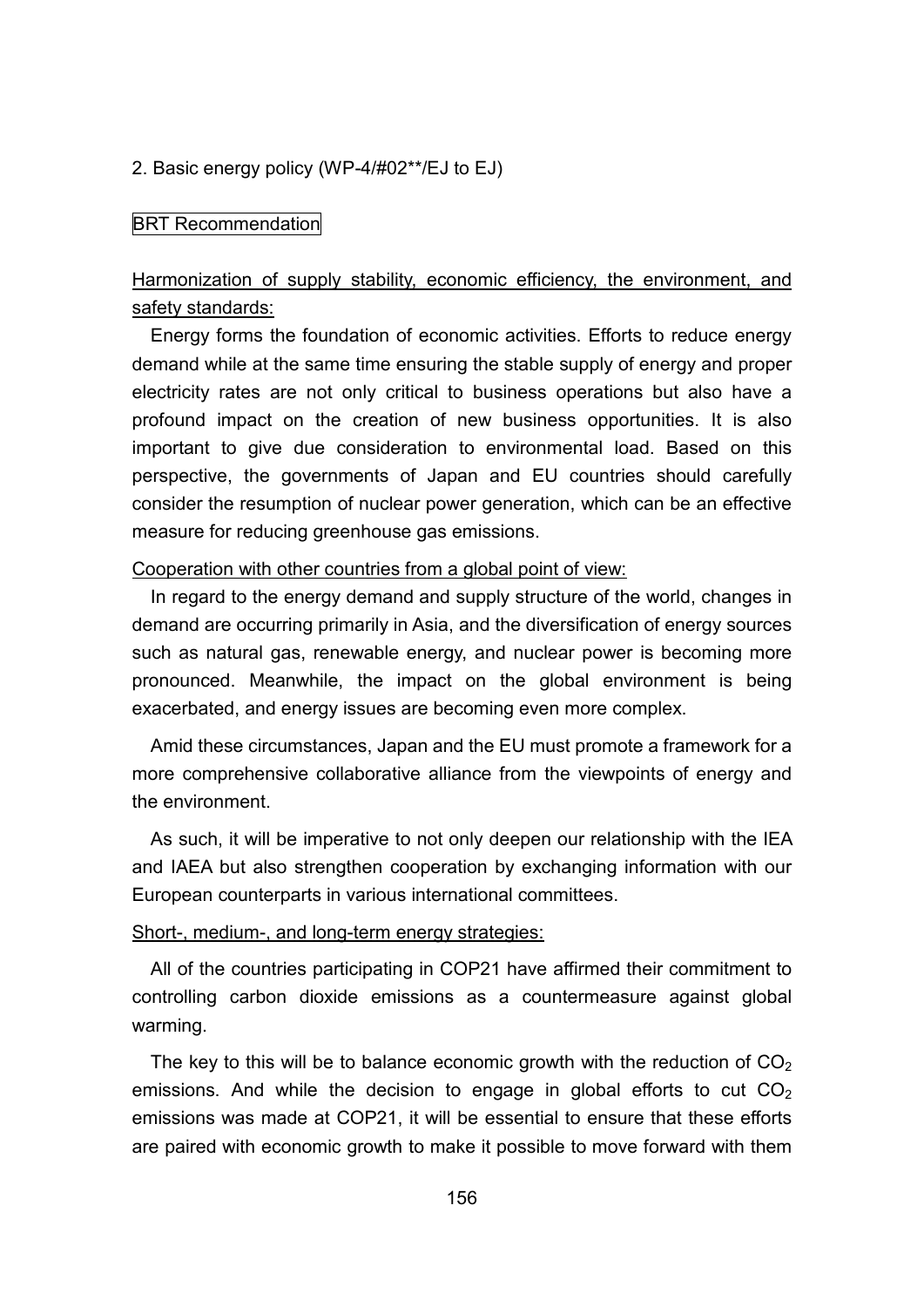#### 2. Basic energy policy (WP-4/#02\*\*/EJ to EJ)

#### BRT Recommendation

# Harmonization of supply stability, economic efficiency, the environment, and safety standards:

Energy forms the foundation of economic activities. Efforts to reduce energy demand while at the same time ensuring the stable supply of energy and proper electricity rates are not only critical to business operations but also have a profound impact on the creation of new business opportunities. It is also important to give due consideration to environmental load. Based on this perspective, the governments of Japan and EU countries should carefully consider the resumption of nuclear power generation, which can be an effective measure for reducing greenhouse gas emissions.

#### Cooperation with other countries from a global point of view:

In regard to the energy demand and supply structure of the world, changes in demand are occurring primarily in Asia, and the diversification of energy sources such as natural gas, renewable energy, and nuclear power is becoming more pronounced. Meanwhile, the impact on the global environment is being exacerbated, and energy issues are becoming even more complex.

Amid these circumstances, Japan and the EU must promote a framework for a more comprehensive collaborative alliance from the viewpoints of energy and the environment.

As such, it will be imperative to not only deepen our relationship with the IEA and IAEA but also strengthen cooperation by exchanging information with our European counterparts in various international committees.

#### Short-, medium-, and long-term energy strategies:

All of the countries participating in COP21 have affirmed their commitment to controlling carbon dioxide emissions as a countermeasure against global warming.

The key to this will be to balance economic growth with the reduction of  $CO<sub>2</sub>$ emissions. And while the decision to engage in global efforts to cut  $CO<sub>2</sub>$ emissions was made at COP21, it will be essential to ensure that these efforts are paired with economic growth to make it possible to move forward with them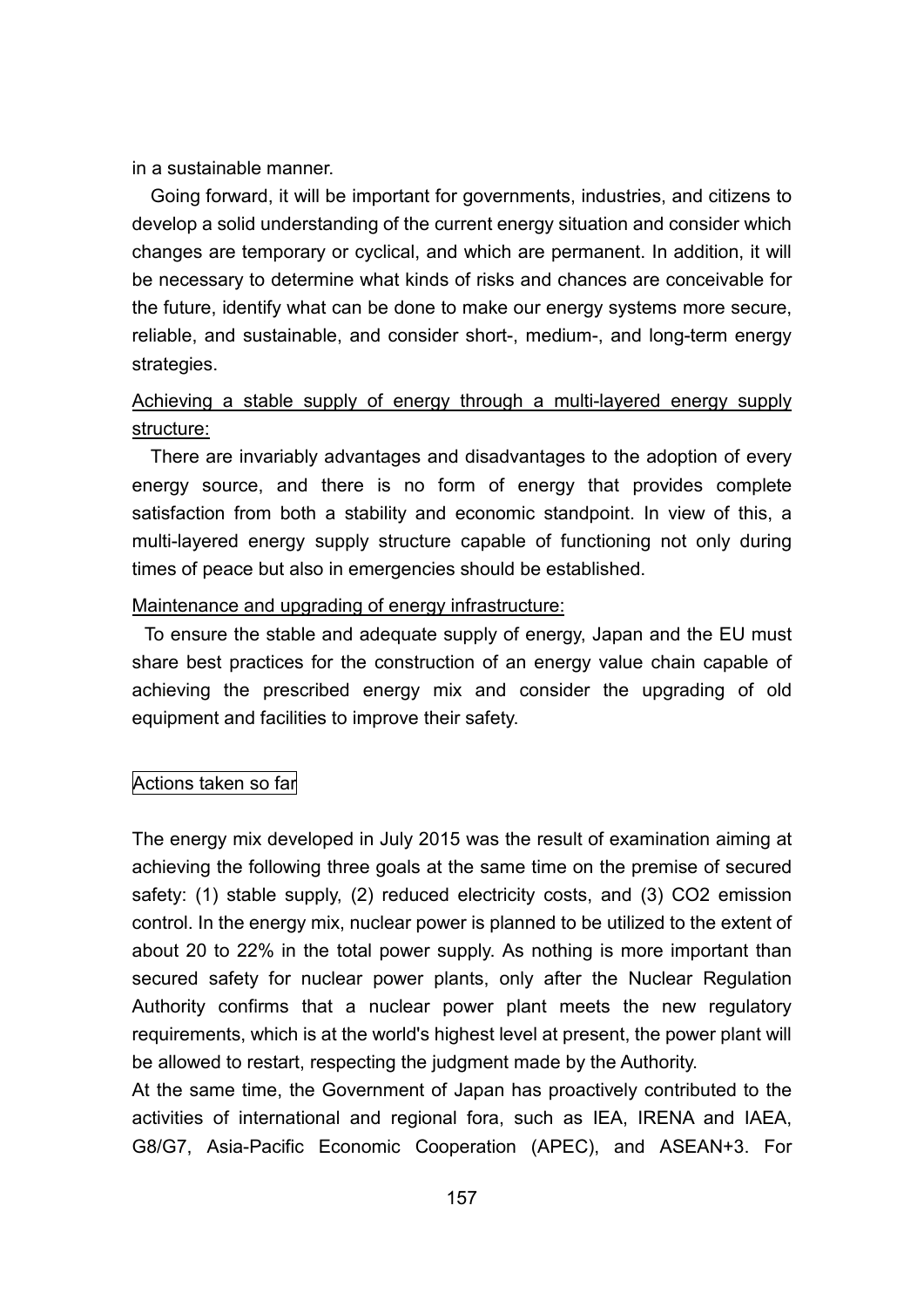in a sustainable manner.

Going forward, it will be important for governments, industries, and citizens to develop a solid understanding of the current energy situation and consider which changes are temporary or cyclical, and which are permanent. In addition, it will be necessary to determine what kinds of risks and chances are conceivable for the future, identify what can be done to make our energy systems more secure, reliable, and sustainable, and consider short-, medium-, and long-term energy strategies.

# Achieving a stable supply of energy through a multi-layered energy supply structure:

There are invariably advantages and disadvantages to the adoption of every energy source, and there is no form of energy that provides complete satisfaction from both a stability and economic standpoint. In view of this, a multi-layered energy supply structure capable of functioning not only during times of peace but also in emergencies should be established.

#### Maintenance and upgrading of energy infrastructure:

 To ensure the stable and adequate supply of energy, Japan and the EU must share best practices for the construction of an energy value chain capable of achieving the prescribed energy mix and consider the upgrading of old equipment and facilities to improve their safety.

#### Actions taken so far

The energy mix developed in July 2015 was the result of examination aiming at achieving the following three goals at the same time on the premise of secured safety: (1) stable supply, (2) reduced electricity costs, and (3) CO2 emission control. In the energy mix, nuclear power is planned to be utilized to the extent of about 20 to 22% in the total power supply. As nothing is more important than secured safety for nuclear power plants, only after the Nuclear Regulation Authority confirms that a nuclear power plant meets the new regulatory requirements, which is at the world's highest level at present, the power plant will be allowed to restart, respecting the judgment made by the Authority.

At the same time, the Government of Japan has proactively contributed to the activities of international and regional fora, such as IEA, IRENA and IAEA, G8/G7, Asia-Pacific Economic Cooperation (APEC), and ASEAN+3. For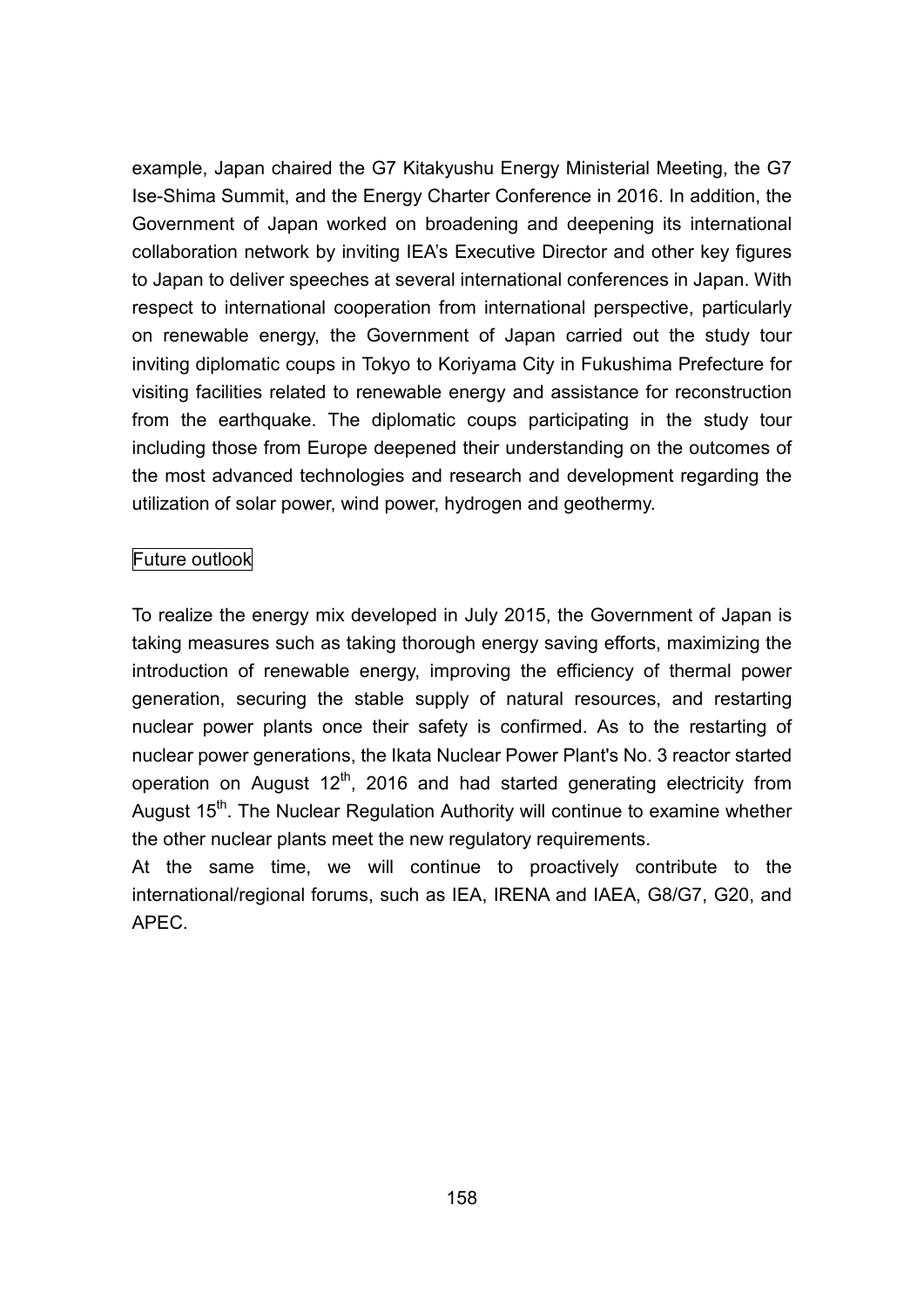example, Japan chaired the G7 Kitakyushu Energy Ministerial Meeting, the G7 Ise-Shima Summit, and the Energy Charter Conference in 2016. In addition, the Government of Japan worked on broadening and deepening its international collaboration network by inviting IEA's Executive Director and other key figures to Japan to deliver speeches at several international conferences in Japan. With respect to international cooperation from international perspective, particularly on renewable energy, the Government of Japan carried out the study tour inviting diplomatic coups in Tokyo to Koriyama City in Fukushima Prefecture for visiting facilities related to renewable energy and assistance for reconstruction from the earthquake. The diplomatic coups participating in the study tour including those from Europe deepened their understanding on the outcomes of the most advanced technologies and research and development regarding the utilization of solar power, wind power, hydrogen and geothermy.

### Future outlook

To realize the energy mix developed in July 2015, the Government of Japan is taking measures such as taking thorough energy saving efforts, maximizing the introduction of renewable energy, improving the efficiency of thermal power generation, securing the stable supply of natural resources, and restarting nuclear power plants once their safety is confirmed. As to the restarting of nuclear power generations, the Ikata Nuclear Power Plant's No. 3 reactor started operation on August 12<sup>th</sup>, 2016 and had started generating electricity from August 15<sup>th</sup>. The Nuclear Regulation Authority will continue to examine whether the other nuclear plants meet the new regulatory requirements.

At the same time, we will continue to proactively contribute to the international/regional forums, such as IEA, IRENA and IAEA, G8/G7, G20, and APEC.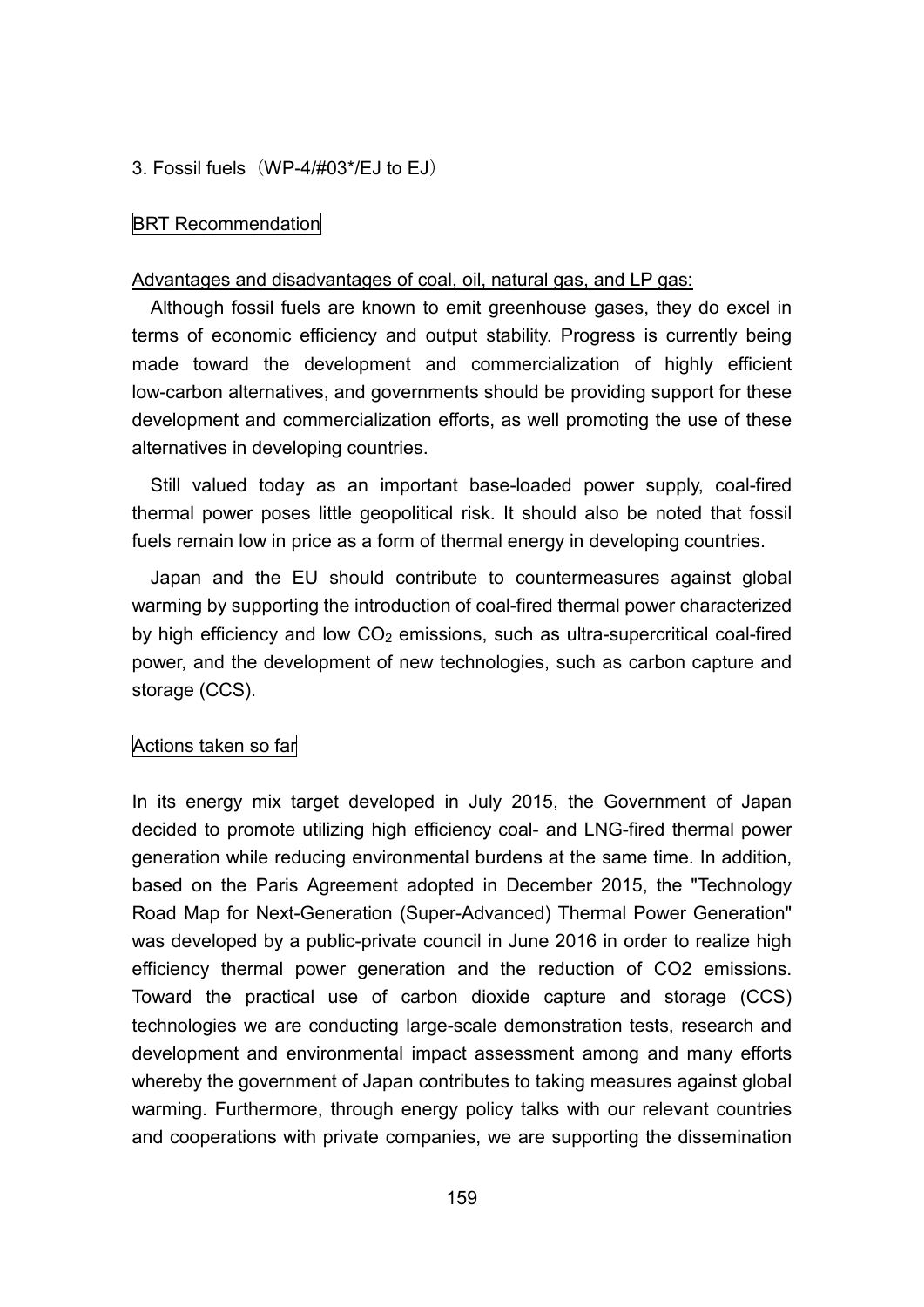3. Fossil fuels (WP-4/#03\*/EJ to EJ)

#### BRT Recommendation

#### Advantages and disadvantages of coal, oil, natural gas, and LP gas:

Although fossil fuels are known to emit greenhouse gases, they do excel in terms of economic efficiency and output stability. Progress is currently being made toward the development and commercialization of highly efficient low-carbon alternatives, and governments should be providing support for these development and commercialization efforts, as well promoting the use of these alternatives in developing countries.

Still valued today as an important base-loaded power supply, coal-fired thermal power poses little geopolitical risk. It should also be noted that fossil fuels remain low in price as a form of thermal energy in developing countries.

Japan and the EU should contribute to countermeasures against global warming by supporting the introduction of coal-fired thermal power characterized by high efficiency and low  $CO<sub>2</sub>$  emissions, such as ultra-supercritical coal-fired power, and the development of new technologies, such as carbon capture and storage (CCS).

#### Actions taken so far

In its energy mix target developed in July 2015, the Government of Japan decided to promote utilizing high efficiency coal- and LNG-fired thermal power generation while reducing environmental burdens at the same time. In addition, based on the Paris Agreement adopted in December 2015, the "Technology Road Map for Next-Generation (Super-Advanced) Thermal Power Generation" was developed by a public-private council in June 2016 in order to realize high efficiency thermal power generation and the reduction of CO2 emissions. Toward the practical use of carbon dioxide capture and storage (CCS) technologies we are conducting large-scale demonstration tests, research and development and environmental impact assessment among and many efforts whereby the government of Japan contributes to taking measures against global warming. Furthermore, through energy policy talks with our relevant countries and cooperations with private companies, we are supporting the dissemination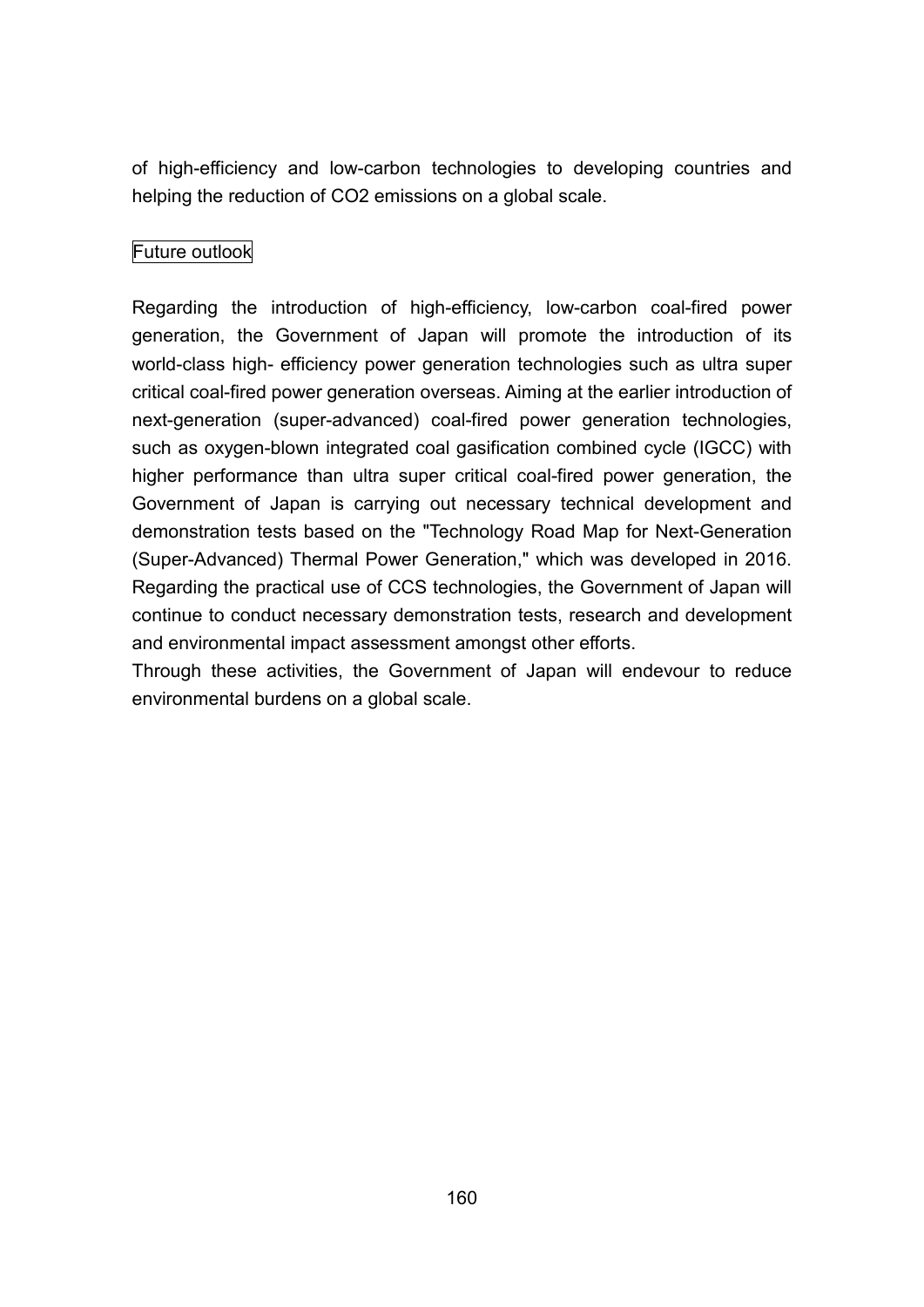of high-efficiency and low-carbon technologies to developing countries and helping the reduction of CO2 emissions on a global scale.

# Future outlook

Regarding the introduction of high-efficiency, low-carbon coal-fired power generation, the Government of Japan will promote the introduction of its world-class high- efficiency power generation technologies such as ultra super critical coal-fired power generation overseas. Aiming at the earlier introduction of next-generation (super-advanced) coal-fired power generation technologies, such as oxygen-blown integrated coal gasification combined cycle (IGCC) with higher performance than ultra super critical coal-fired power generation, the Government of Japan is carrying out necessary technical development and demonstration tests based on the "Technology Road Map for Next-Generation (Super-Advanced) Thermal Power Generation," which was developed in 2016. Regarding the practical use of CCS technologies, the Government of Japan will continue to conduct necessary demonstration tests, research and development and environmental impact assessment amongst other efforts.

Through these activities, the Government of Japan will endevour to reduce environmental burdens on a global scale.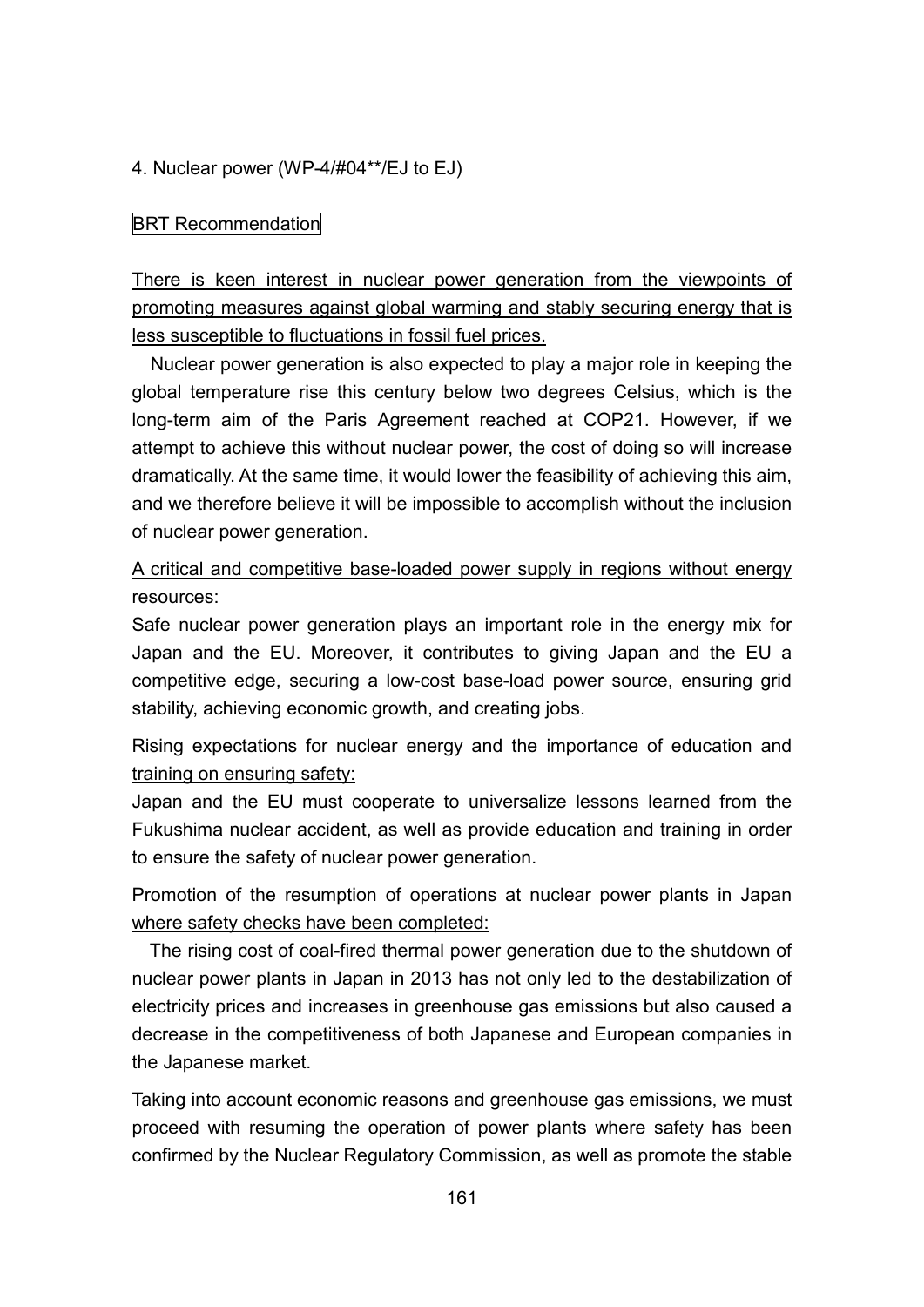### 4. Nuclear power (WP-4/#04\*\*/EJ to EJ)

### **BRT** Recommendation

There is keen interest in nuclear power generation from the viewpoints of promoting measures against global warming and stably securing energy that is less susceptible to fluctuations in fossil fuel prices.

Nuclear power generation is also expected to play a major role in keeping the global temperature rise this century below two degrees Celsius, which is the long-term aim of the Paris Agreement reached at COP21. However, if we attempt to achieve this without nuclear power, the cost of doing so will increase dramatically. At the same time, it would lower the feasibility of achieving this aim, and we therefore believe it will be impossible to accomplish without the inclusion of nuclear power generation.

# A critical and competitive base-loaded power supply in regions without energy resources:

Safe nuclear power generation plays an important role in the energy mix for Japan and the EU. Moreover, it contributes to giving Japan and the EU a competitive edge, securing a low-cost base-load power source, ensuring grid stability, achieving economic growth, and creating jobs.

# Rising expectations for nuclear energy and the importance of education and training on ensuring safety:

Japan and the EU must cooperate to universalize lessons learned from the Fukushima nuclear accident, as well as provide education and training in order to ensure the safety of nuclear power generation.

# Promotion of the resumption of operations at nuclear power plants in Japan where safety checks have been completed:

The rising cost of coal-fired thermal power generation due to the shutdown of nuclear power plants in Japan in 2013 has not only led to the destabilization of electricity prices and increases in greenhouse gas emissions but also caused a decrease in the competitiveness of both Japanese and European companies in the Japanese market.

Taking into account economic reasons and greenhouse gas emissions, we must proceed with resuming the operation of power plants where safety has been confirmed by the Nuclear Regulatory Commission, as well as promote the stable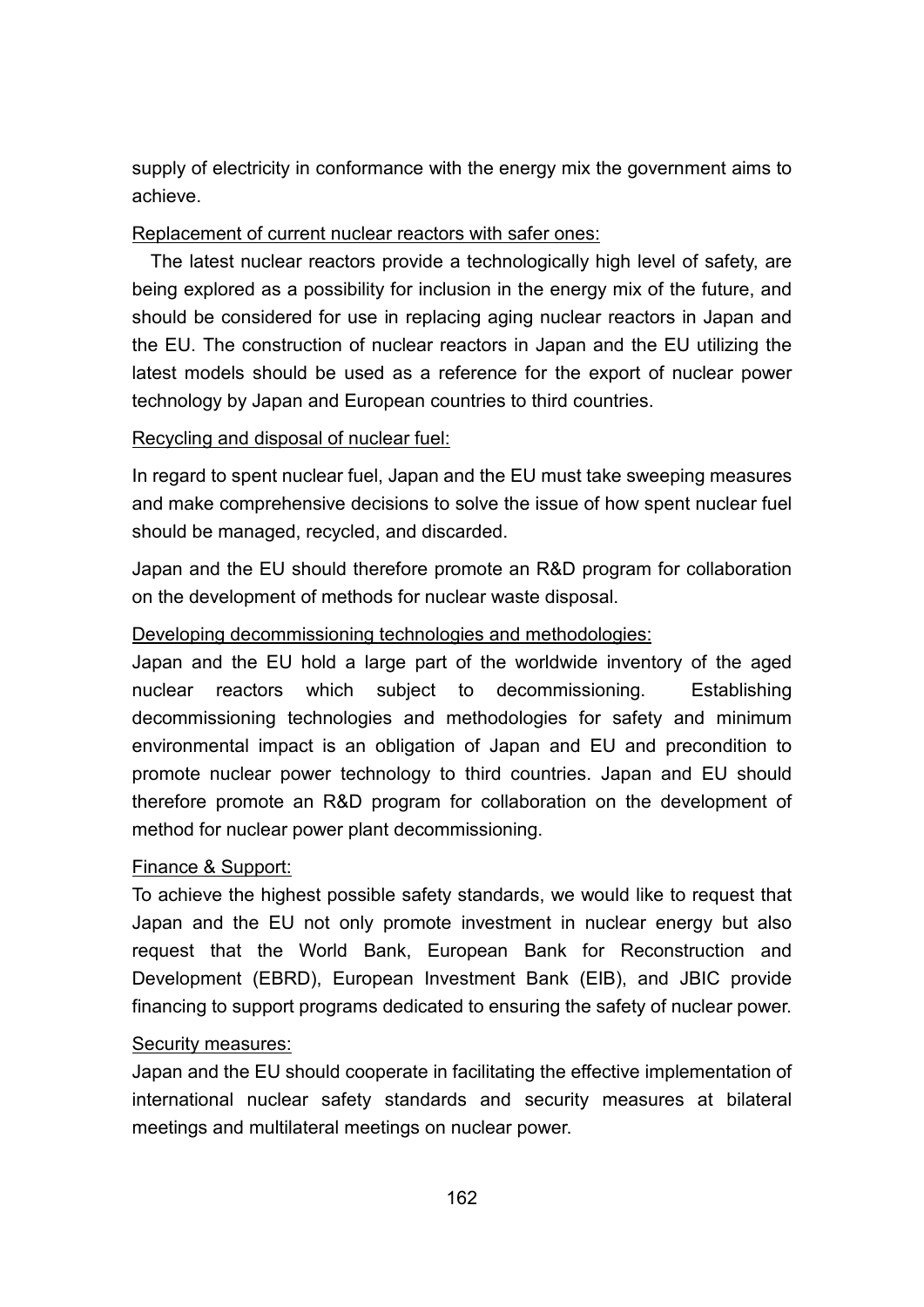supply of electricity in conformance with the energy mix the government aims to achieve.

## Replacement of current nuclear reactors with safer ones:

The latest nuclear reactors provide a technologically high level of safety, are being explored as a possibility for inclusion in the energy mix of the future, and should be considered for use in replacing aging nuclear reactors in Japan and the EU. The construction of nuclear reactors in Japan and the EU utilizing the latest models should be used as a reference for the export of nuclear power technology by Japan and European countries to third countries.

### Recycling and disposal of nuclear fuel:

In regard to spent nuclear fuel, Japan and the EU must take sweeping measures and make comprehensive decisions to solve the issue of how spent nuclear fuel should be managed, recycled, and discarded.

Japan and the EU should therefore promote an R&D program for collaboration on the development of methods for nuclear waste disposal.

### Developing decommissioning technologies and methodologies:

Japan and the EU hold a large part of the worldwide inventory of the aged nuclear reactors which subject to decommissioning. Establishing decommissioning technologies and methodologies for safety and minimum environmental impact is an obligation of Japan and EU and precondition to promote nuclear power technology to third countries. Japan and EU should therefore promote an R&D program for collaboration on the development of method for nuclear power plant decommissioning.

# Finance & Support:

To achieve the highest possible safety standards, we would like to request that Japan and the EU not only promote investment in nuclear energy but also request that the World Bank, European Bank for Reconstruction and Development (EBRD), European Investment Bank (EIB), and JBIC provide financing to support programs dedicated to ensuring the safety of nuclear power.

#### Security measures:

Japan and the EU should cooperate in facilitating the effective implementation of international nuclear safety standards and security measures at bilateral meetings and multilateral meetings on nuclear power.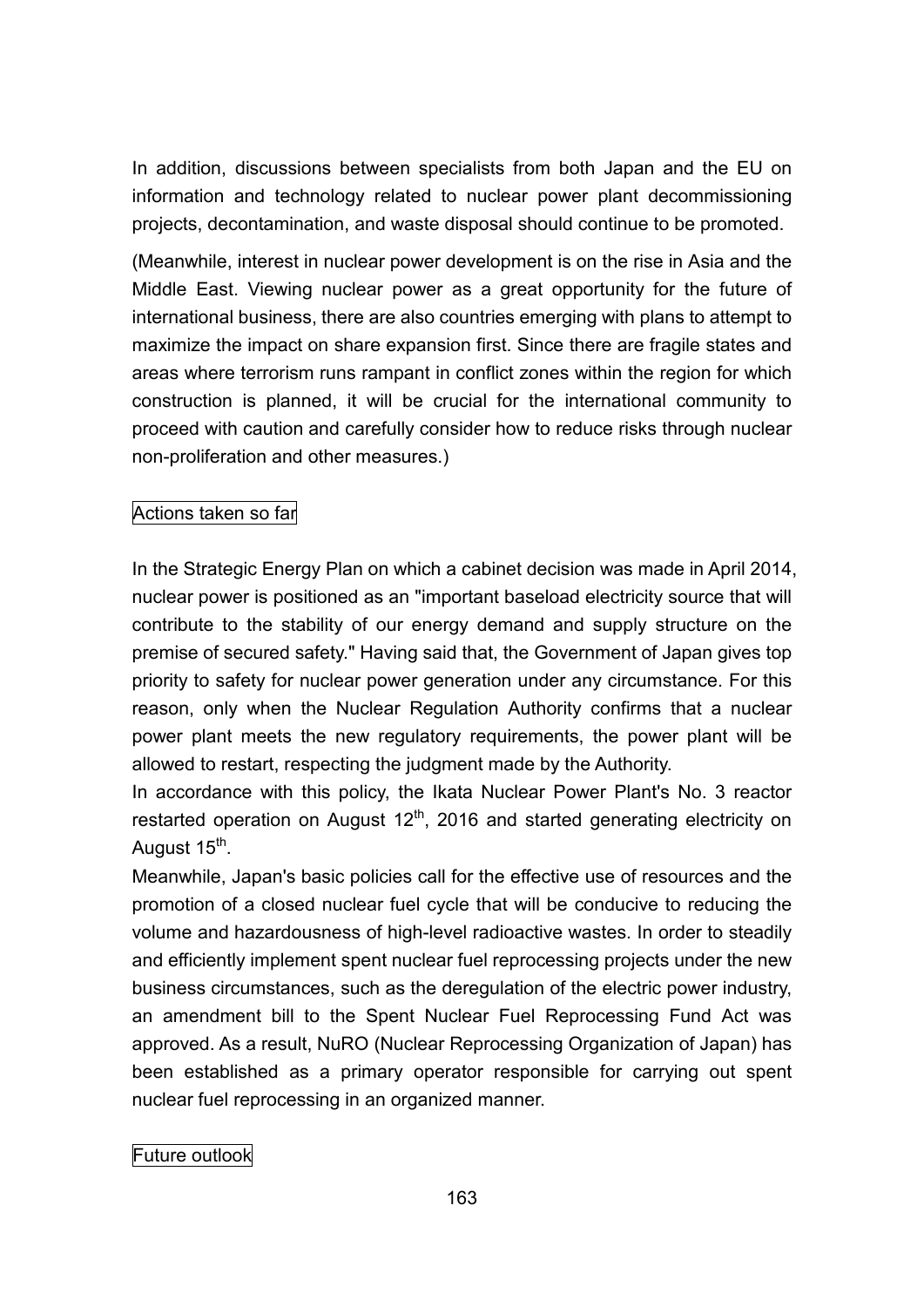In addition, discussions between specialists from both Japan and the EU on information and technology related to nuclear power plant decommissioning projects, decontamination, and waste disposal should continue to be promoted.

(Meanwhile, interest in nuclear power development is on the rise in Asia and the Middle East. Viewing nuclear power as a great opportunity for the future of international business, there are also countries emerging with plans to attempt to maximize the impact on share expansion first. Since there are fragile states and areas where terrorism runs rampant in conflict zones within the region for which construction is planned, it will be crucial for the international community to proceed with caution and carefully consider how to reduce risks through nuclear non-proliferation and other measures.)

# Actions taken so far

In the Strategic Energy Plan on which a cabinet decision was made in April 2014, nuclear power is positioned as an "important baseload electricity source that will contribute to the stability of our energy demand and supply structure on the premise of secured safety." Having said that, the Government of Japan gives top priority to safety for nuclear power generation under any circumstance. For this reason, only when the Nuclear Regulation Authority confirms that a nuclear power plant meets the new regulatory requirements, the power plant will be allowed to restart, respecting the judgment made by the Authority.

In accordance with this policy, the Ikata Nuclear Power Plant's No. 3 reactor restarted operation on August 12<sup>th</sup>, 2016 and started generating electricity on August 15<sup>th</sup>.

Meanwhile, Japan's basic policies call for the effective use of resources and the promotion of a closed nuclear fuel cycle that will be conducive to reducing the volume and hazardousness of high-level radioactive wastes. In order to steadily and efficiently implement spent nuclear fuel reprocessing projects under the new business circumstances, such as the deregulation of the electric power industry, an amendment bill to the Spent Nuclear Fuel Reprocessing Fund Act was approved. As a result, NuRO (Nuclear Reprocessing Organization of Japan) has been established as a primary operator responsible for carrying out spent nuclear fuel reprocessing in an organized manner.

# Future outlook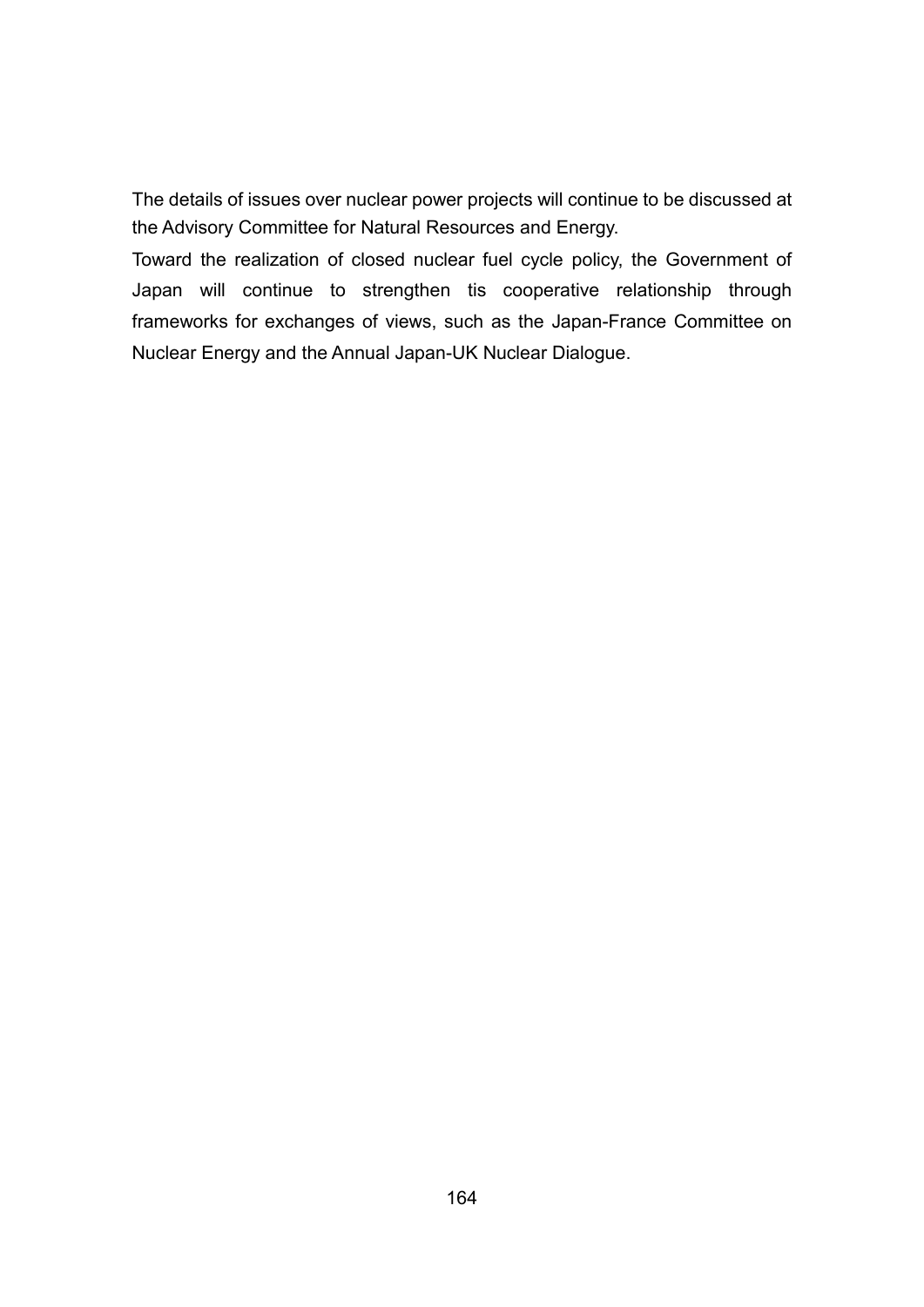The details of issues over nuclear power projects will continue to be discussed at the Advisory Committee for Natural Resources and Energy.

Toward the realization of closed nuclear fuel cycle policy, the Government of Japan will continue to strengthen tis cooperative relationship through frameworks for exchanges of views, such as the Japan-France Committee on Nuclear Energy and the Annual Japan-UK Nuclear Dialogue.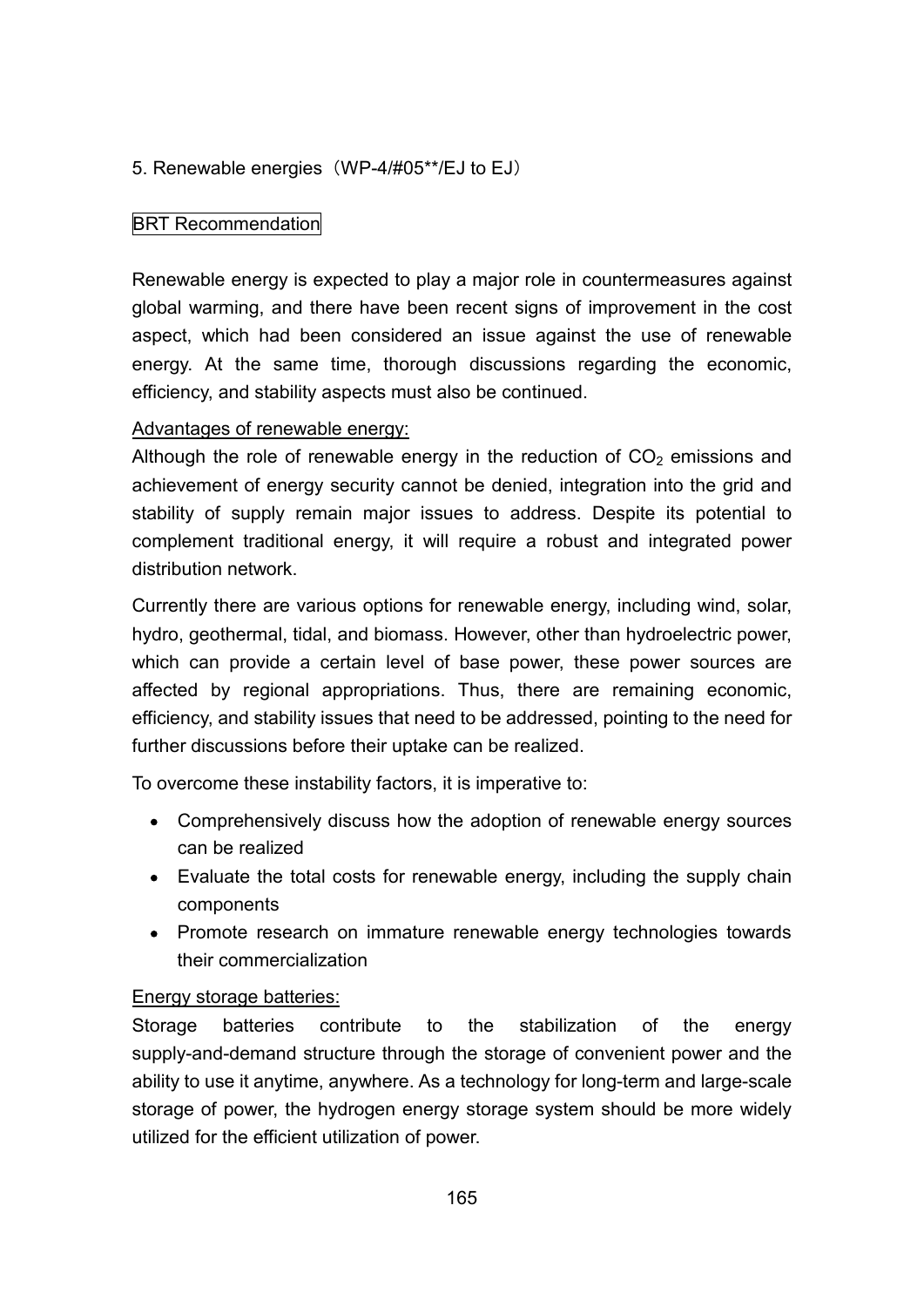# 5. Renewable energies (WP-4/#05\*\*/EJ to EJ)

## BRT Recommendation

Renewable energy is expected to play a major role in countermeasures against global warming, and there have been recent signs of improvement in the cost aspect, which had been considered an issue against the use of renewable energy. At the same time, thorough discussions regarding the economic, efficiency, and stability aspects must also be continued.

### Advantages of renewable energy:

Although the role of renewable energy in the reduction of  $CO<sub>2</sub>$  emissions and achievement of energy security cannot be denied, integration into the grid and stability of supply remain major issues to address. Despite its potential to complement traditional energy, it will require a robust and integrated power distribution network.

Currently there are various options for renewable energy, including wind, solar, hydro, geothermal, tidal, and biomass. However, other than hydroelectric power, which can provide a certain level of base power, these power sources are affected by regional appropriations. Thus, there are remaining economic, efficiency, and stability issues that need to be addressed, pointing to the need for further discussions before their uptake can be realized.

To overcome these instability factors, it is imperative to:

- Comprehensively discuss how the adoption of renewable energy sources can be realized
- Evaluate the total costs for renewable energy, including the supply chain components
- Promote research on immature renewable energy technologies towards their commercialization

#### Energy storage batteries:

Storage batteries contribute to the stabilization of the energy supply-and-demand structure through the storage of convenient power and the ability to use it anytime, anywhere. As a technology for long-term and large-scale storage of power, the hydrogen energy storage system should be more widely utilized for the efficient utilization of power.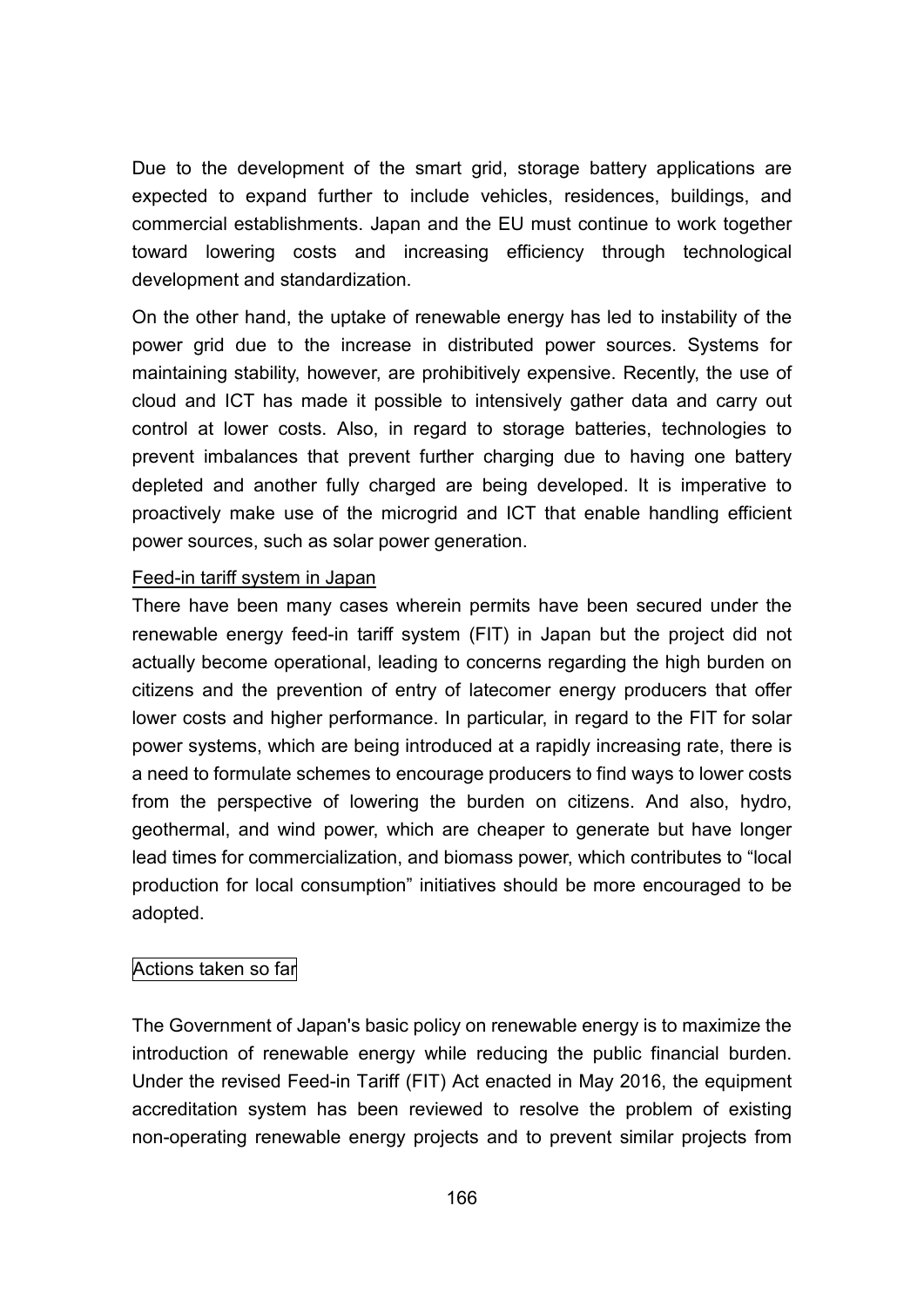Due to the development of the smart grid, storage battery applications are expected to expand further to include vehicles, residences, buildings, and commercial establishments. Japan and the EU must continue to work together toward lowering costs and increasing efficiency through technological development and standardization.

On the other hand, the uptake of renewable energy has led to instability of the power grid due to the increase in distributed power sources. Systems for maintaining stability, however, are prohibitively expensive. Recently, the use of cloud and ICT has made it possible to intensively gather data and carry out control at lower costs. Also, in regard to storage batteries, technologies to prevent imbalances that prevent further charging due to having one battery depleted and another fully charged are being developed. It is imperative to proactively make use of the microgrid and ICT that enable handling efficient power sources, such as solar power generation.

### Feed-in tariff system in Japan

There have been many cases wherein permits have been secured under the renewable energy feed-in tariff system (FIT) in Japan but the project did not actually become operational, leading to concerns regarding the high burden on citizens and the prevention of entry of latecomer energy producers that offer lower costs and higher performance. In particular, in regard to the FIT for solar power systems, which are being introduced at a rapidly increasing rate, there is a need to formulate schemes to encourage producers to find ways to lower costs from the perspective of lowering the burden on citizens. And also, hydro, geothermal, and wind power, which are cheaper to generate but have longer lead times for commercialization, and biomass power, which contributes to "local production for local consumption" initiatives should be more encouraged to be adopted.

# Actions taken so far

The Government of Japan's basic policy on renewable energy is to maximize the introduction of renewable energy while reducing the public financial burden. Under the revised Feed-in Tariff (FIT) Act enacted in May 2016, the equipment accreditation system has been reviewed to resolve the problem of existing non-operating renewable energy projects and to prevent similar projects from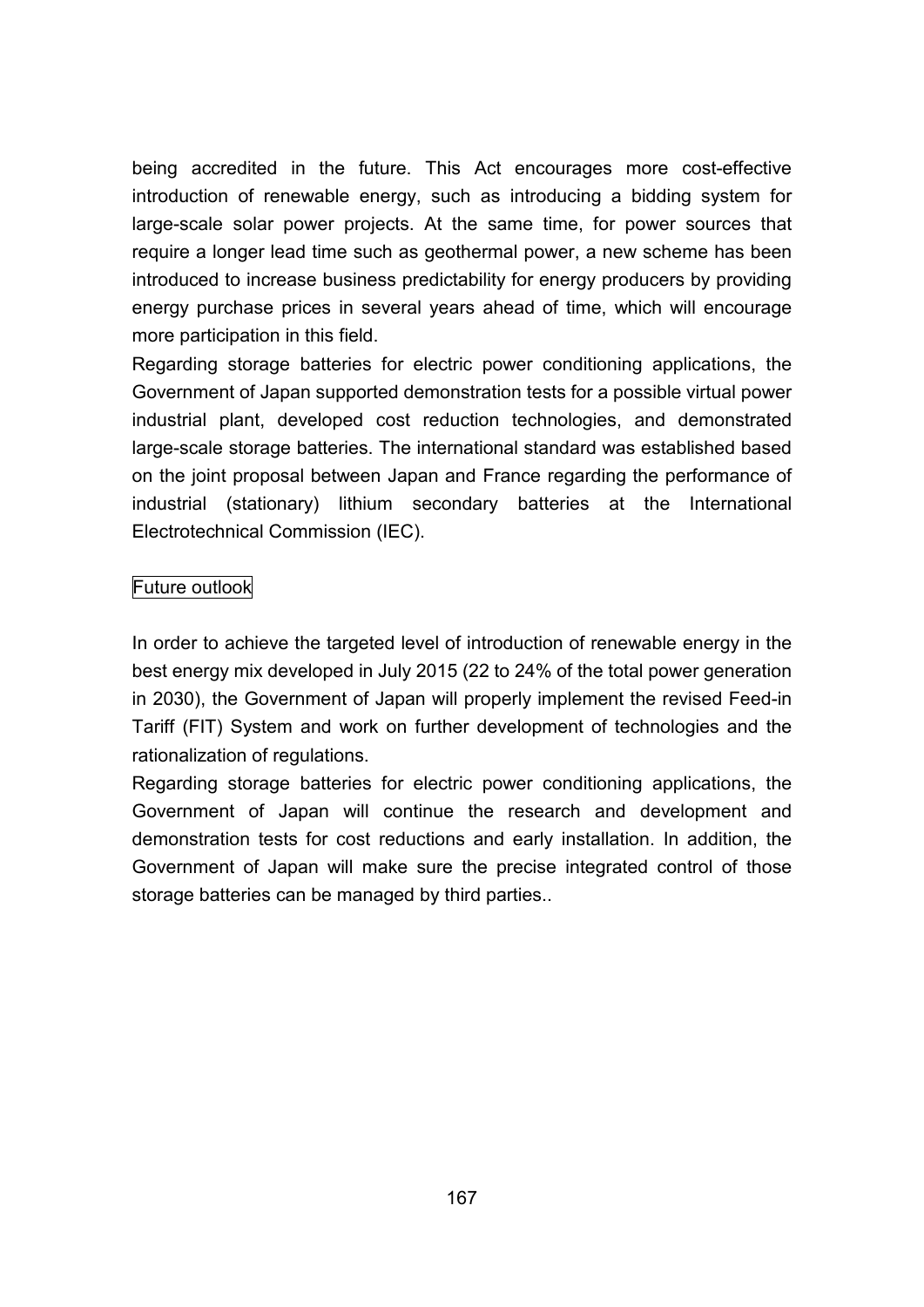being accredited in the future. This Act encourages more cost-effective introduction of renewable energy, such as introducing a bidding system for large-scale solar power projects. At the same time, for power sources that require a longer lead time such as geothermal power, a new scheme has been introduced to increase business predictability for energy producers by providing energy purchase prices in several years ahead of time, which will encourage more participation in this field.

Regarding storage batteries for electric power conditioning applications, the Government of Japan supported demonstration tests for a possible virtual power industrial plant, developed cost reduction technologies, and demonstrated large-scale storage batteries. The international standard was established based on the joint proposal between Japan and France regarding the performance of industrial (stationary) lithium secondary batteries at the International Electrotechnical Commission (IEC).

### Future outlook

In order to achieve the targeted level of introduction of renewable energy in the best energy mix developed in July 2015 (22 to 24% of the total power generation in 2030), the Government of Japan will properly implement the revised Feed-in Tariff (FIT) System and work on further development of technologies and the rationalization of regulations.

Regarding storage batteries for electric power conditioning applications, the Government of Japan will continue the research and development and demonstration tests for cost reductions and early installation. In addition, the Government of Japan will make sure the precise integrated control of those storage batteries can be managed by third parties..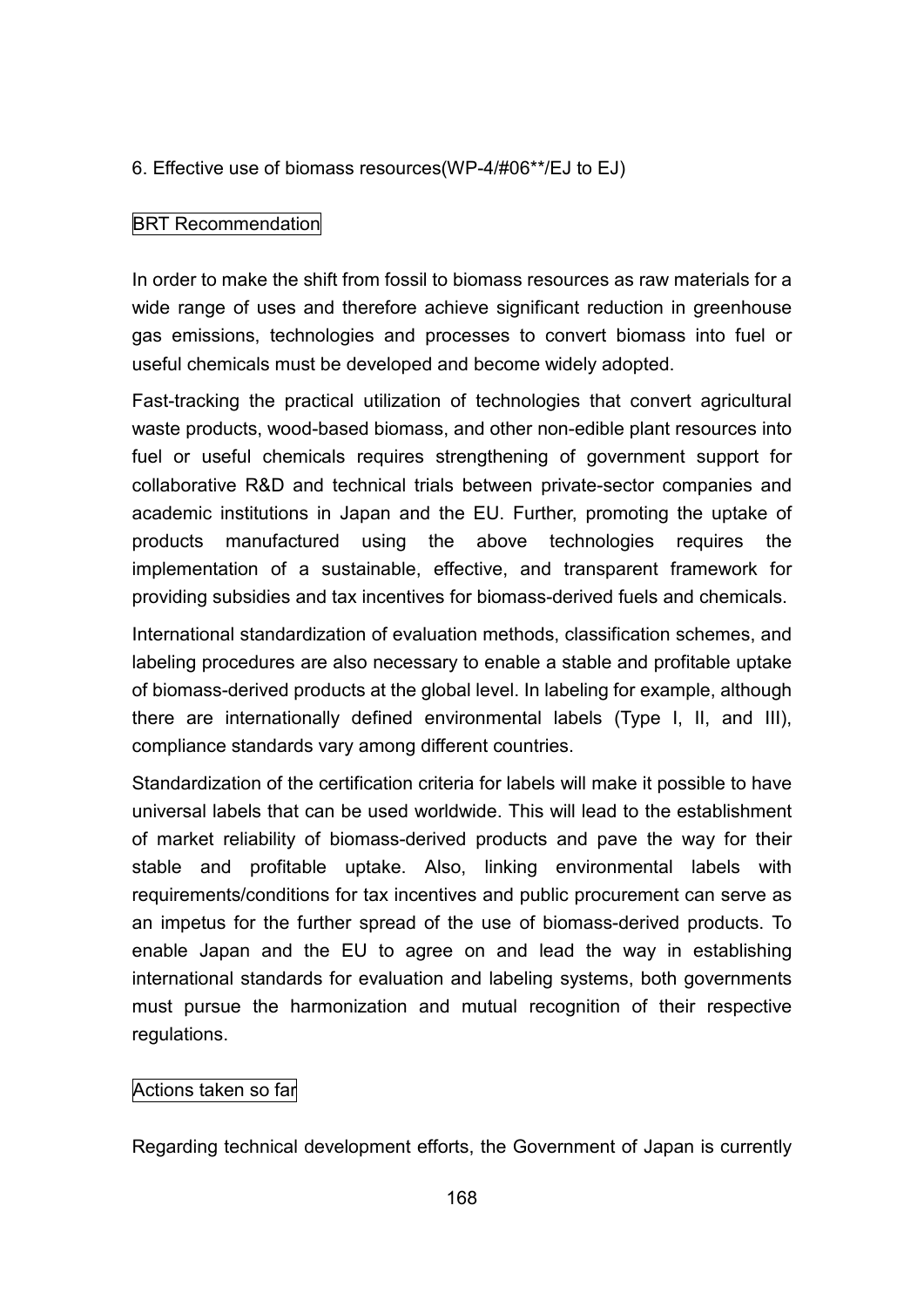## 6. Effective use of biomass resources(WP-4/#06\*\*/EJ to EJ)

## BRT Recommendation

In order to make the shift from fossil to biomass resources as raw materials for a wide range of uses and therefore achieve significant reduction in greenhouse gas emissions, technologies and processes to convert biomass into fuel or useful chemicals must be developed and become widely adopted.

Fast-tracking the practical utilization of technologies that convert agricultural waste products, wood-based biomass, and other non-edible plant resources into fuel or useful chemicals requires strengthening of government support for collaborative R&D and technical trials between private-sector companies and academic institutions in Japan and the EU. Further, promoting the uptake of products manufactured using the above technologies requires the implementation of a sustainable, effective, and transparent framework for providing subsidies and tax incentives for biomass-derived fuels and chemicals.

International standardization of evaluation methods, classification schemes, and labeling procedures are also necessary to enable a stable and profitable uptake of biomass-derived products at the global level. In labeling for example, although there are internationally defined environmental labels (Type I, II, and III), compliance standards vary among different countries.

Standardization of the certification criteria for labels will make it possible to have universal labels that can be used worldwide. This will lead to the establishment of market reliability of biomass-derived products and pave the way for their stable and profitable uptake. Also, linking environmental labels with requirements/conditions for tax incentives and public procurement can serve as an impetus for the further spread of the use of biomass-derived products. To enable Japan and the EU to agree on and lead the way in establishing international standards for evaluation and labeling systems, both governments must pursue the harmonization and mutual recognition of their respective regulations.

#### Actions taken so far

Regarding technical development efforts, the Government of Japan is currently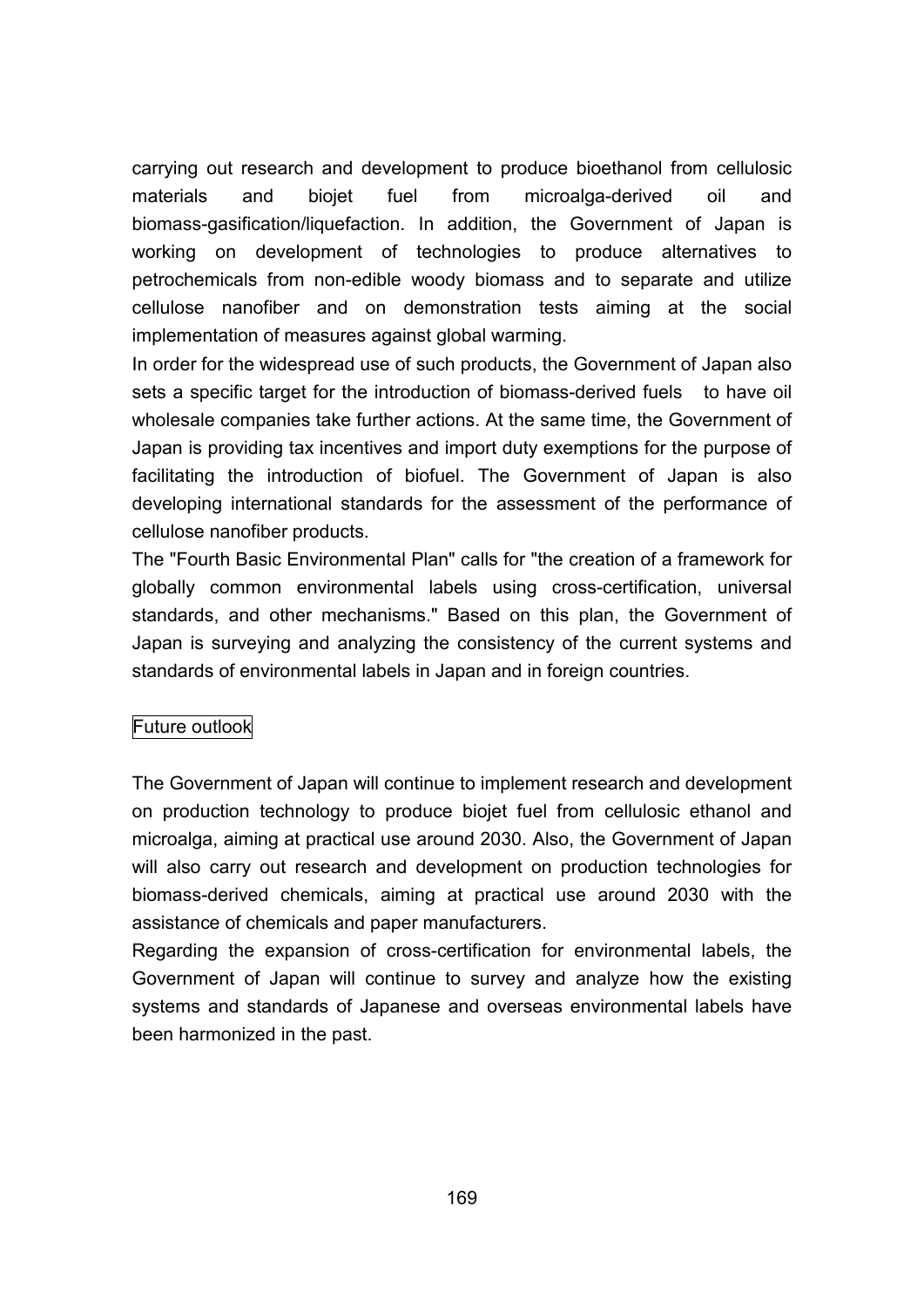carrying out research and development to produce bioethanol from cellulosic materials and biojet fuel from microalga-derived oil and biomass-gasification/liquefaction. In addition, the Government of Japan is working on development of technologies to produce alternatives to petrochemicals from non-edible woody biomass and to separate and utilize cellulose nanofiber and on demonstration tests aiming at the social implementation of measures against global warming.

In order for the widespread use of such products, the Government of Japan also sets a specific target for the introduction of biomass-derived fuels to have oil wholesale companies take further actions. At the same time, the Government of Japan is providing tax incentives and import duty exemptions for the purpose of facilitating the introduction of biofuel. The Government of Japan is also developing international standards for the assessment of the performance of cellulose nanofiber products.

The "Fourth Basic Environmental Plan" calls for "the creation of a framework for globally common environmental labels using cross-certification, universal standards, and other mechanisms." Based on this plan, the Government of Japan is surveying and analyzing the consistency of the current systems and standards of environmental labels in Japan and in foreign countries.

# Future outlook

The Government of Japan will continue to implement research and development on production technology to produce biojet fuel from cellulosic ethanol and microalga, aiming at practical use around 2030. Also, the Government of Japan will also carry out research and development on production technologies for biomass-derived chemicals, aiming at practical use around 2030 with the assistance of chemicals and paper manufacturers.

Regarding the expansion of cross-certification for environmental labels, the Government of Japan will continue to survey and analyze how the existing systems and standards of Japanese and overseas environmental labels have been harmonized in the past.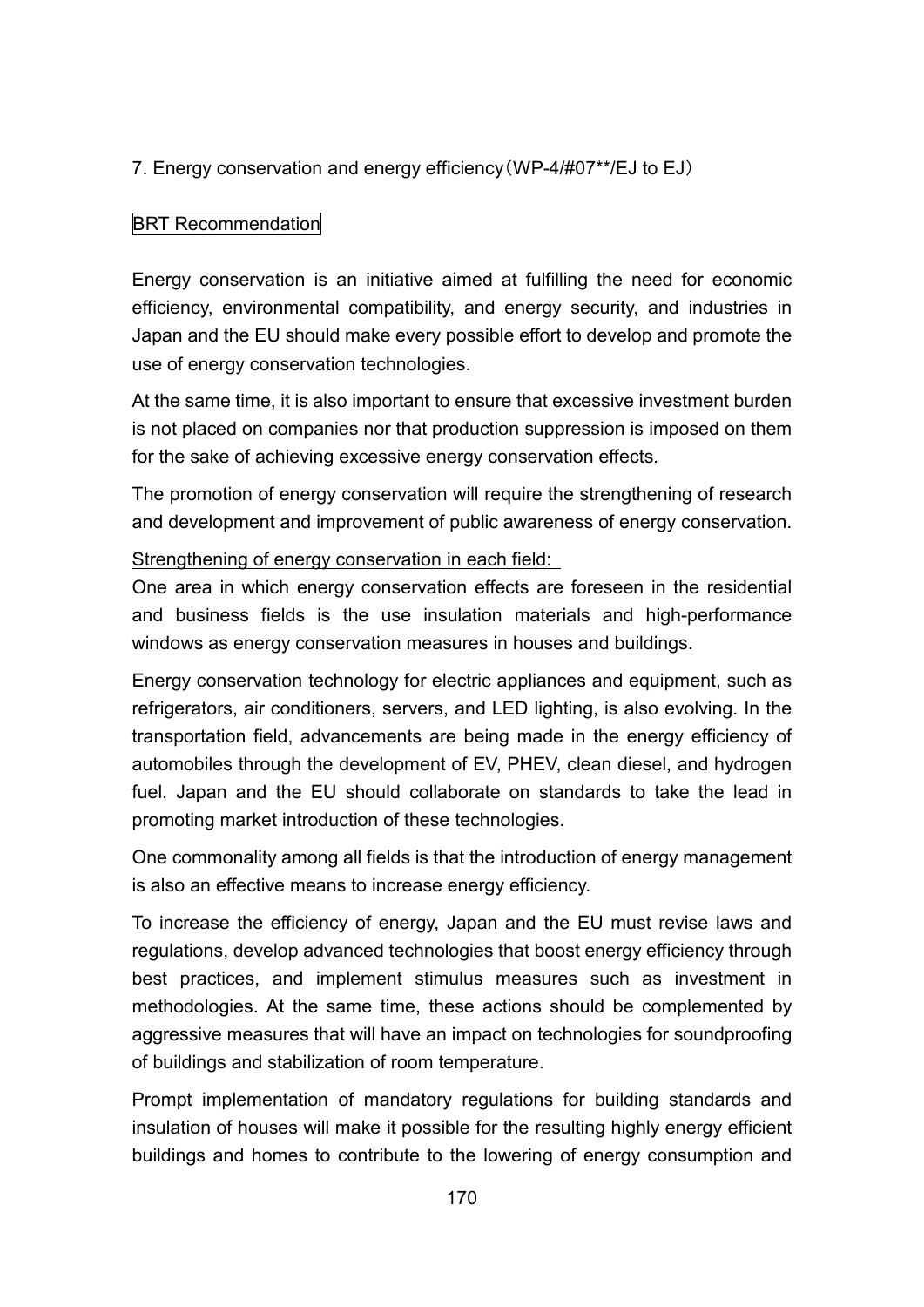# 7. Energy conservation and energy efficiency(WP-4/#07\*\*/EJ to EJ)

# BRT Recommendation

Energy conservation is an initiative aimed at fulfilling the need for economic efficiency, environmental compatibility, and energy security, and industries in Japan and the EU should make every possible effort to develop and promote the use of energy conservation technologies.

At the same time, it is also important to ensure that excessive investment burden is not placed on companies nor that production suppression is imposed on them for the sake of achieving excessive energy conservation effects.

The promotion of energy conservation will require the strengthening of research and development and improvement of public awareness of energy conservation.

### Strengthening of energy conservation in each field:

One area in which energy conservation effects are foreseen in the residential and business fields is the use insulation materials and high-performance windows as energy conservation measures in houses and buildings.

Energy conservation technology for electric appliances and equipment, such as refrigerators, air conditioners, servers, and LED lighting, is also evolving. In the transportation field, advancements are being made in the energy efficiency of automobiles through the development of EV, PHEV, clean diesel, and hydrogen fuel. Japan and the EU should collaborate on standards to take the lead in promoting market introduction of these technologies.

One commonality among all fields is that the introduction of energy management is also an effective means to increase energy efficiency.

To increase the efficiency of energy, Japan and the EU must revise laws and regulations, develop advanced technologies that boost energy efficiency through best practices, and implement stimulus measures such as investment in methodologies. At the same time, these actions should be complemented by aggressive measures that will have an impact on technologies for soundproofing of buildings and stabilization of room temperature.

Prompt implementation of mandatory regulations for building standards and insulation of houses will make it possible for the resulting highly energy efficient buildings and homes to contribute to the lowering of energy consumption and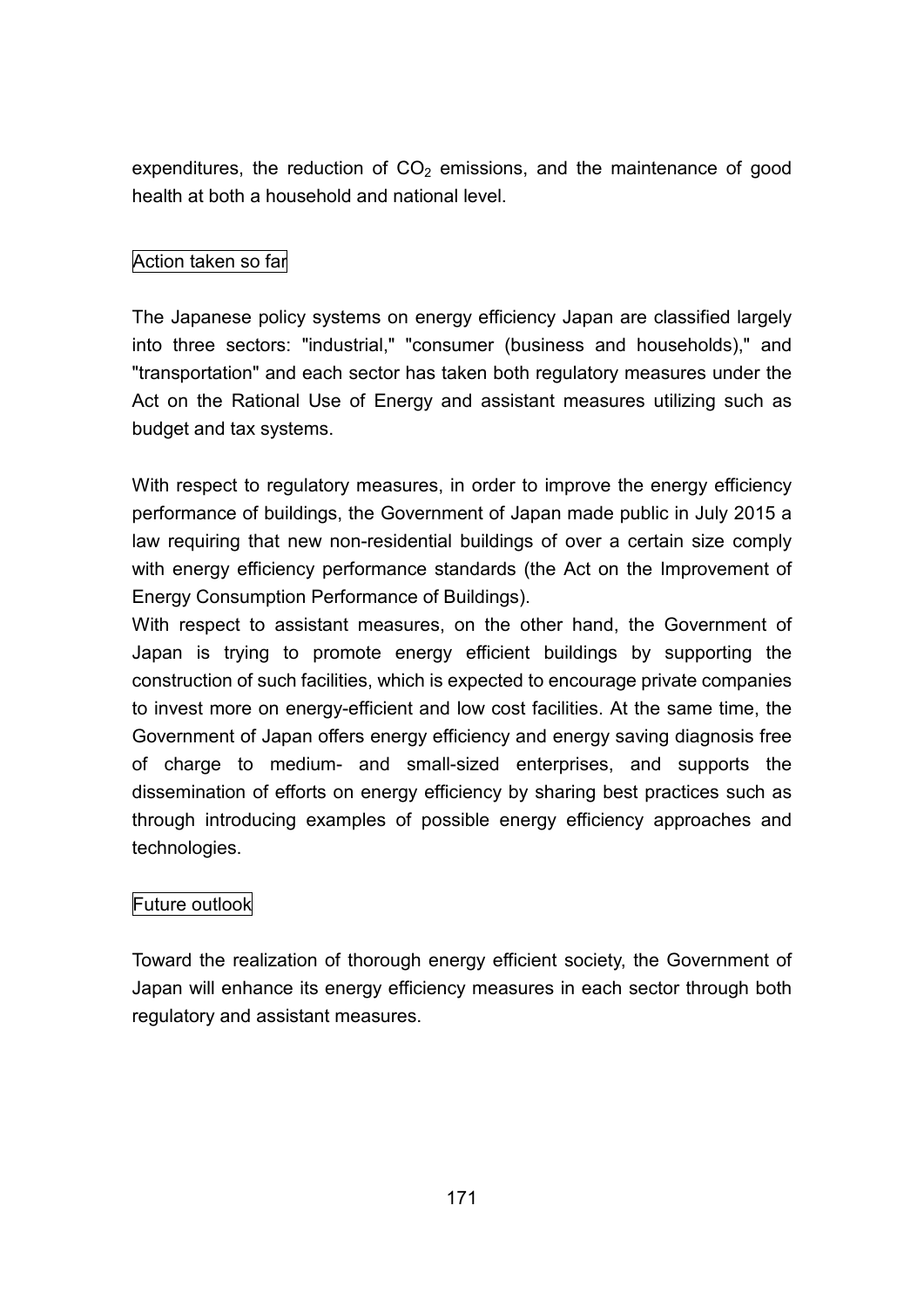expenditures, the reduction of  $CO<sub>2</sub>$  emissions, and the maintenance of good health at both a household and national level.

# Action taken so far

The Japanese policy systems on energy efficiency Japan are classified largely into three sectors: "industrial," "consumer (business and households)," and "transportation" and each sector has taken both regulatory measures under the Act on the Rational Use of Energy and assistant measures utilizing such as budget and tax systems.

With respect to regulatory measures, in order to improve the energy efficiency performance of buildings, the Government of Japan made public in July 2015 a law requiring that new non-residential buildings of over a certain size comply with energy efficiency performance standards (the Act on the Improvement of Energy Consumption Performance of Buildings).

With respect to assistant measures, on the other hand, the Government of Japan is trying to promote energy efficient buildings by supporting the construction of such facilities, which is expected to encourage private companies to invest more on energy-efficient and low cost facilities. At the same time, the Government of Japan offers energy efficiency and energy saving diagnosis free of charge to medium- and small-sized enterprises, and supports the dissemination of efforts on energy efficiency by sharing best practices such as through introducing examples of possible energy efficiency approaches and technologies.

# Future outlook

Toward the realization of thorough energy efficient society, the Government of Japan will enhance its energy efficiency measures in each sector through both regulatory and assistant measures.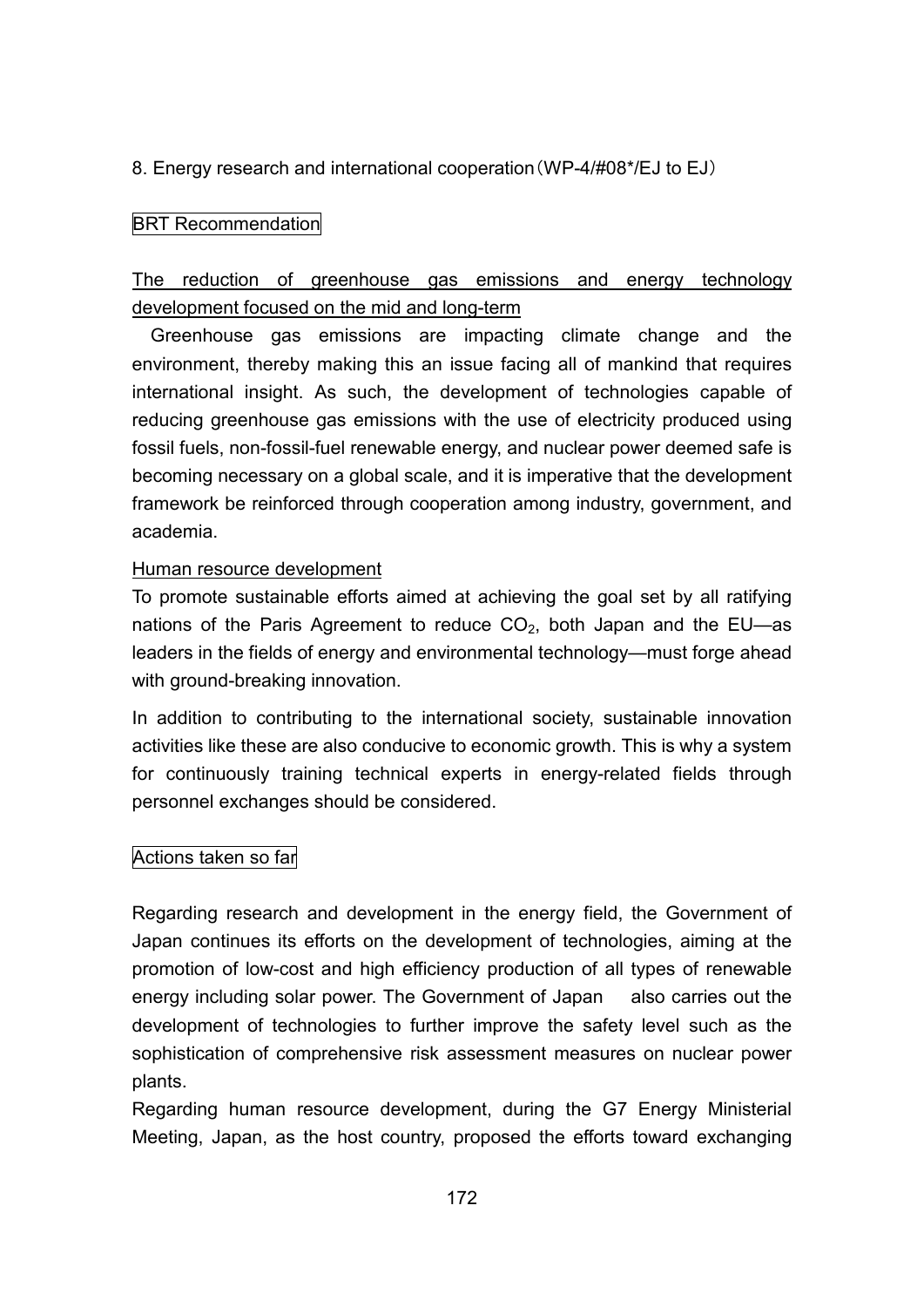# 8. Energy research and international cooperation(WP-4/#08\*/EJ to EJ)

## **BRT** Recommendation

# The reduction of greenhouse gas emissions and energy technology development focused on the mid and long-term

Greenhouse gas emissions are impacting climate change and the environment, thereby making this an issue facing all of mankind that requires international insight. As such, the development of technologies capable of reducing greenhouse gas emissions with the use of electricity produced using fossil fuels, non-fossil-fuel renewable energy, and nuclear power deemed safe is becoming necessary on a global scale, and it is imperative that the development framework be reinforced through cooperation among industry, government, and academia.

#### Human resource development

To promote sustainable efforts aimed at achieving the goal set by all ratifying nations of the Paris Agreement to reduce  $CO<sub>2</sub>$ , both Japan and the EU—as leaders in the fields of energy and environmental technology—must forge ahead with ground-breaking innovation.

In addition to contributing to the international society, sustainable innovation activities like these are also conducive to economic growth. This is why a system for continuously training technical experts in energy-related fields through personnel exchanges should be considered.

# Actions taken so far

Regarding research and development in the energy field, the Government of Japan continues its efforts on the development of technologies, aiming at the promotion of low-cost and high efficiency production of all types of renewable energy including solar power. The Government of Japan also carries out the development of technologies to further improve the safety level such as the sophistication of comprehensive risk assessment measures on nuclear power plants.

Regarding human resource development, during the G7 Energy Ministerial Meeting, Japan, as the host country, proposed the efforts toward exchanging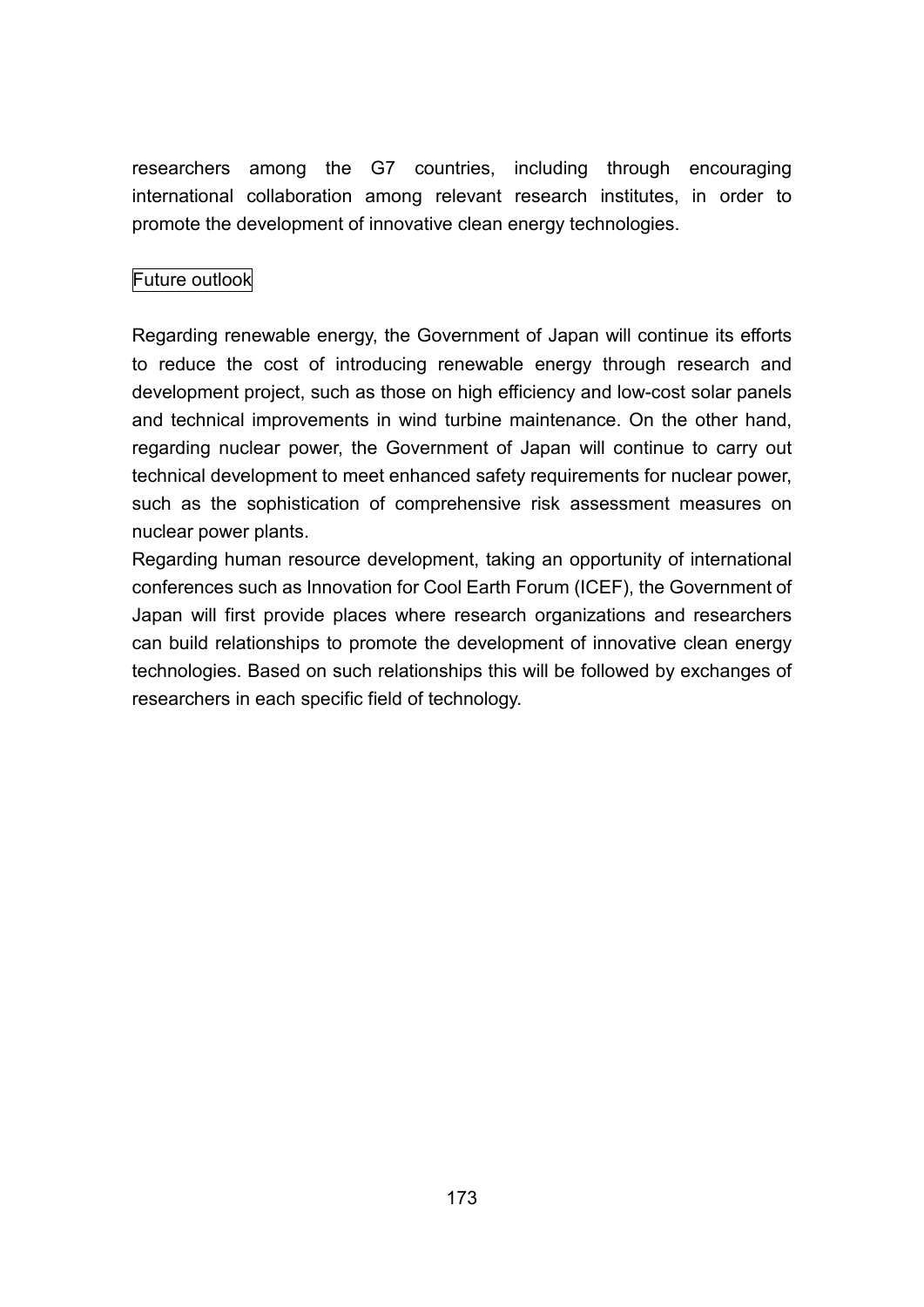researchers among the G7 countries, including through encouraging international collaboration among relevant research institutes, in order to promote the development of innovative clean energy technologies.

# Future outlook

Regarding renewable energy, the Government of Japan will continue its efforts to reduce the cost of introducing renewable energy through research and development project, such as those on high efficiency and low-cost solar panels and technical improvements in wind turbine maintenance. On the other hand, regarding nuclear power, the Government of Japan will continue to carry out technical development to meet enhanced safety requirements for nuclear power, such as the sophistication of comprehensive risk assessment measures on nuclear power plants.

Regarding human resource development, taking an opportunity of international conferences such as Innovation for Cool Earth Forum (ICEF), the Government of Japan will first provide places where research organizations and researchers can build relationships to promote the development of innovative clean energy technologies. Based on such relationships this will be followed by exchanges of researchers in each specific field of technology.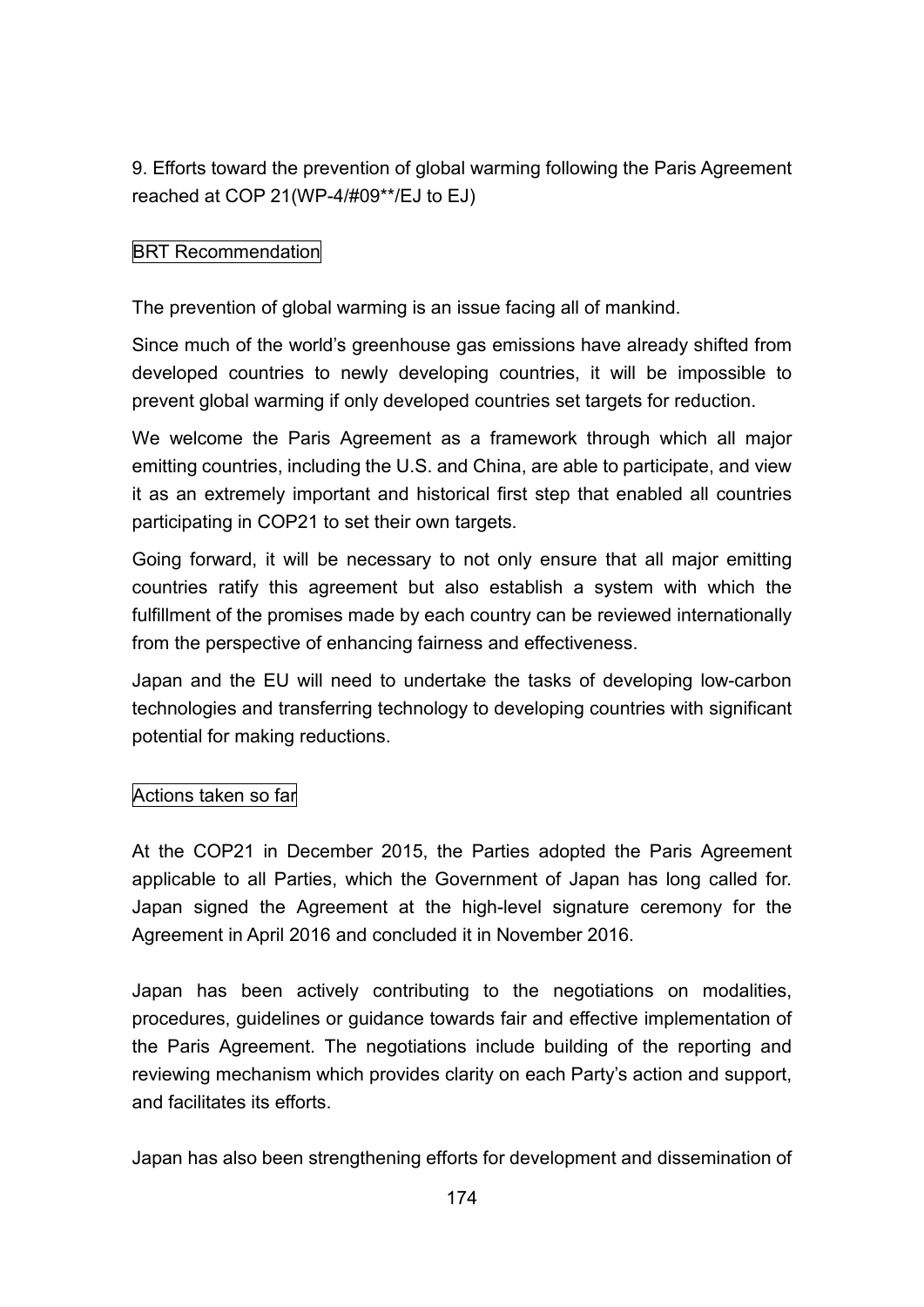9. Efforts toward the prevention of global warming following the Paris Agreement reached at COP 21(WP-4/#09\*\*/EJ to EJ)

# BRT Recommendation

The prevention of global warming is an issue facing all of mankind.

Since much of the world's greenhouse gas emissions have already shifted from developed countries to newly developing countries, it will be impossible to prevent global warming if only developed countries set targets for reduction.

We welcome the Paris Agreement as a framework through which all major emitting countries, including the U.S. and China, are able to participate, and view it as an extremely important and historical first step that enabled all countries participating in COP21 to set their own targets.

Going forward, it will be necessary to not only ensure that all major emitting countries ratify this agreement but also establish a system with which the fulfillment of the promises made by each country can be reviewed internationally from the perspective of enhancing fairness and effectiveness.

Japan and the EU will need to undertake the tasks of developing low-carbon technologies and transferring technology to developing countries with significant potential for making reductions.

# Actions taken so far

At the COP21 in December 2015, the Parties adopted the Paris Agreement applicable to all Parties, which the Government of Japan has long called for. Japan signed the Agreement at the high-level signature ceremony for the Agreement in April 2016 and concluded it in November 2016.

Japan has been actively contributing to the negotiations on modalities, procedures, guidelines or guidance towards fair and effective implementation of the Paris Agreement. The negotiations include building of the reporting and reviewing mechanism which provides clarity on each Party's action and support, and facilitates its efforts.

Japan has also been strengthening efforts for development and dissemination of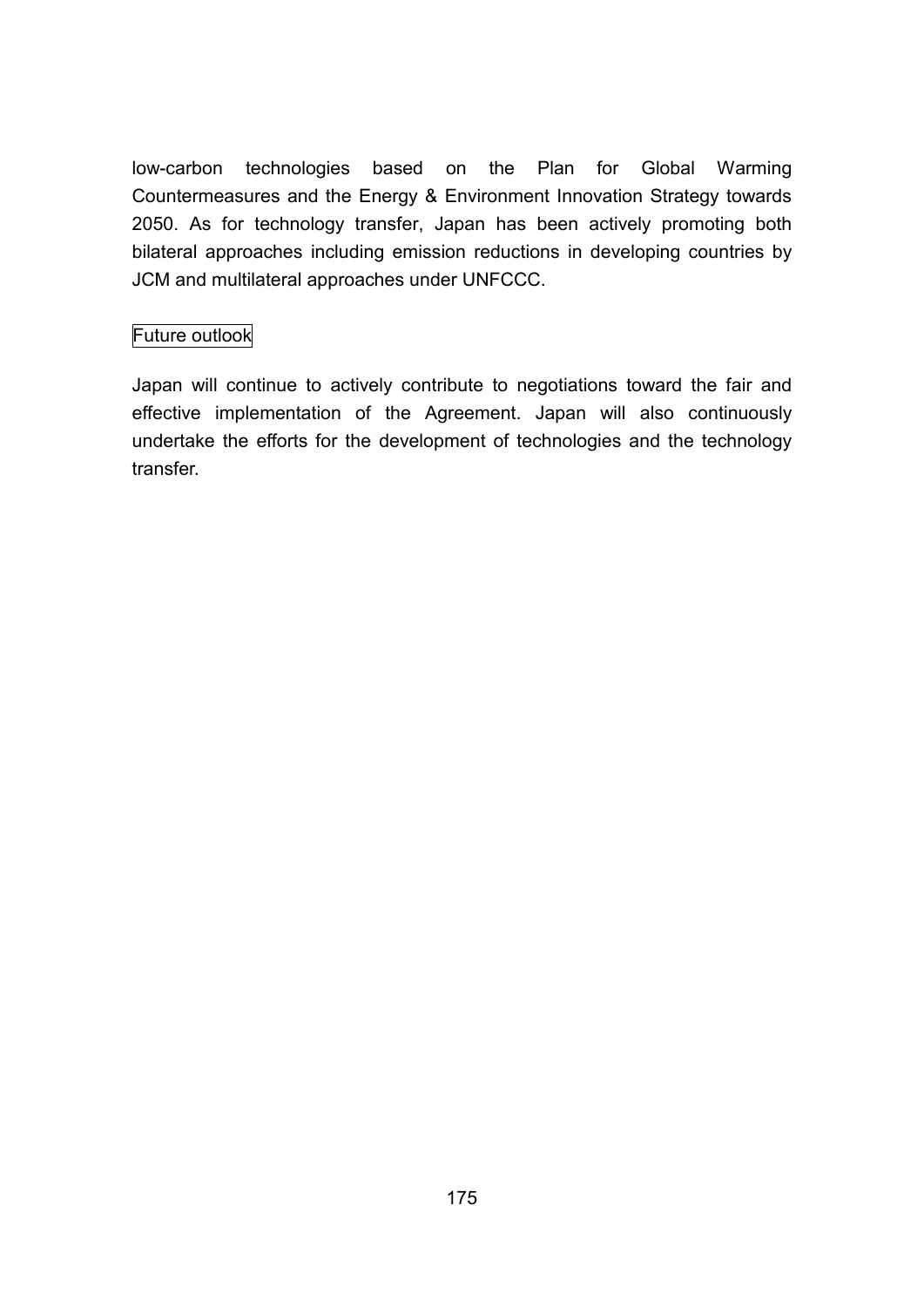low-carbon technologies based on the Plan for Global Warming Countermeasures and the Energy & Environment Innovation Strategy towards 2050. As for technology transfer, Japan has been actively promoting both bilateral approaches including emission reductions in developing countries by JCM and multilateral approaches under UNFCCC.

# Future outlook

Japan will continue to actively contribute to negotiations toward the fair and effective implementation of the Agreement. Japan will also continuously undertake the efforts for the development of technologies and the technology transfer.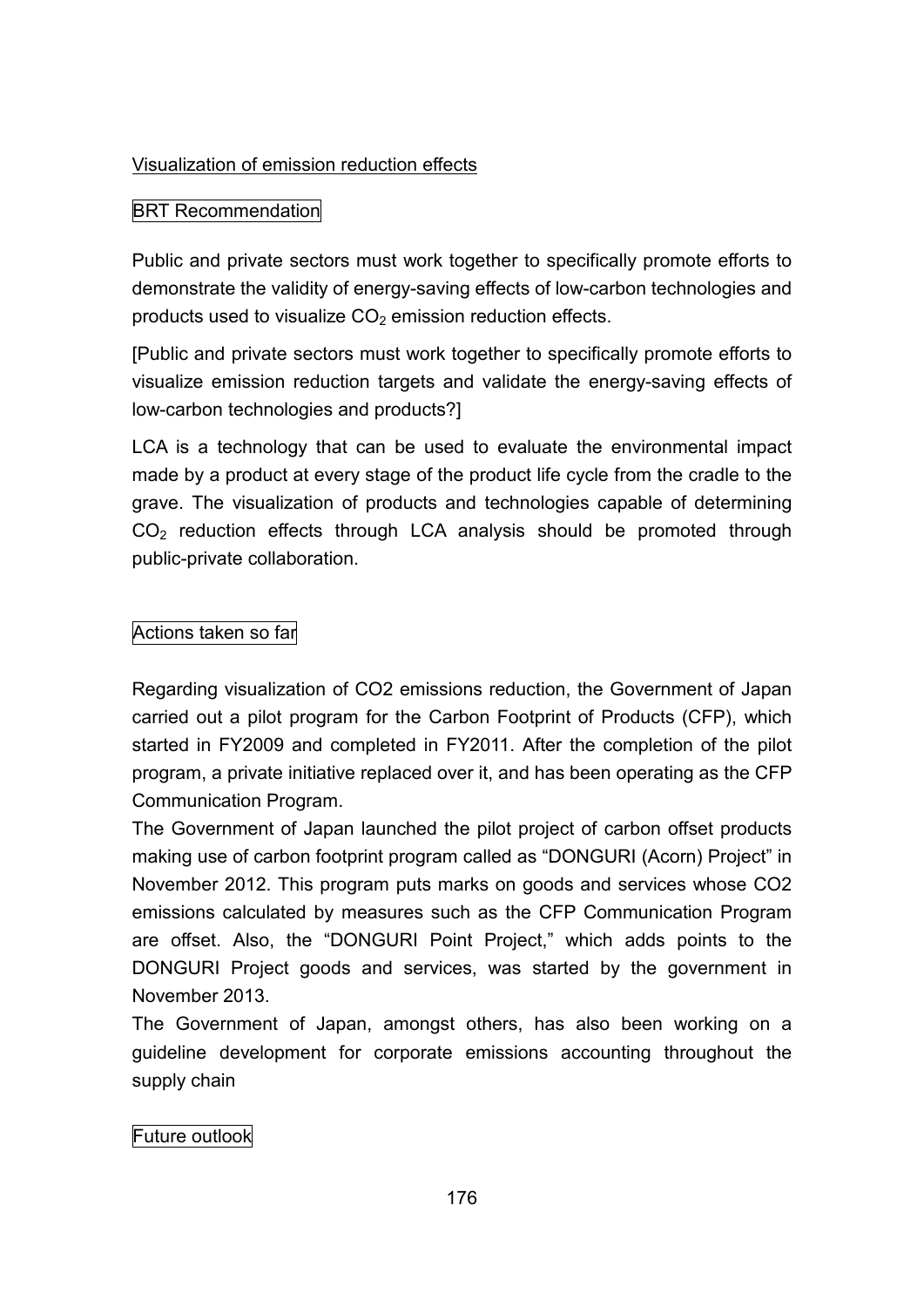# Visualization of emission reduction effects

## BRT Recommendation

Public and private sectors must work together to specifically promote efforts to demonstrate the validity of energy-saving effects of low-carbon technologies and products used to visualize  $CO<sub>2</sub>$  emission reduction effects.

[Public and private sectors must work together to specifically promote efforts to visualize emission reduction targets and validate the energy-saving effects of low-carbon technologies and products?]

LCA is a technology that can be used to evaluate the environmental impact made by a product at every stage of the product life cycle from the cradle to the grave. The visualization of products and technologies capable of determining  $CO<sub>2</sub>$  reduction effects through LCA analysis should be promoted through public-private collaboration.

### Actions taken so far

Regarding visualization of CO2 emissions reduction, the Government of Japan carried out a pilot program for the Carbon Footprint of Products (CFP), which started in FY2009 and completed in FY2011. After the completion of the pilot program, a private initiative replaced over it, and has been operating as the CFP Communication Program.

The Government of Japan launched the pilot project of carbon offset products making use of carbon footprint program called as "DONGURI (Acorn) Project" in November 2012. This program puts marks on goods and services whose CO2 emissions calculated by measures such as the CFP Communication Program are offset. Also, the "DONGURI Point Project," which adds points to the DONGURI Project goods and services, was started by the government in November 2013.

The Government of Japan, amongst others, has also been working on a guideline development for corporate emissions accounting throughout the supply chain

# Future outlook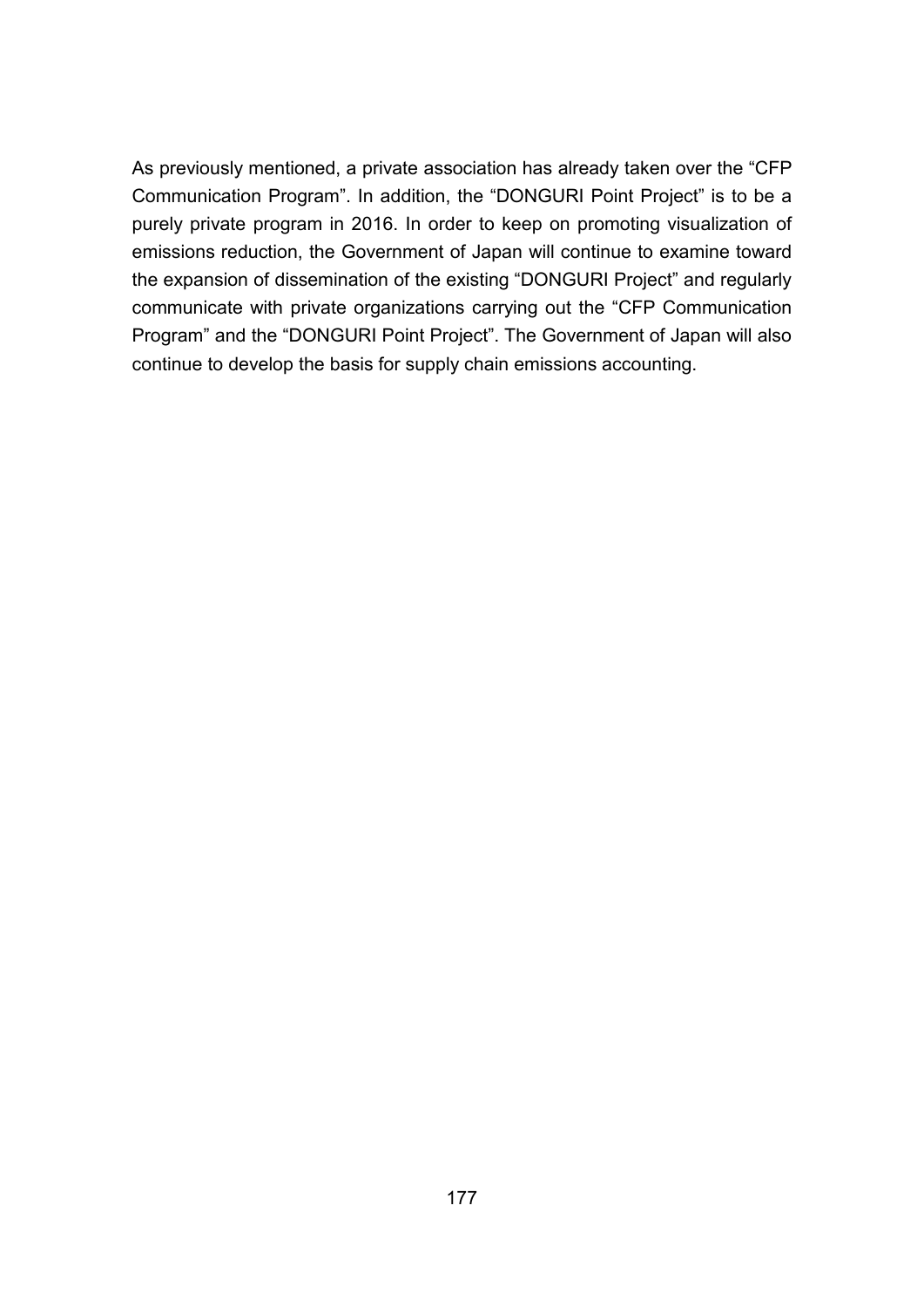As previously mentioned, a private association has already taken over the "CFP Communication Program". In addition, the "DONGURI Point Project" is to be a purely private program in 2016. In order to keep on promoting visualization of emissions reduction, the Government of Japan will continue to examine toward the expansion of dissemination of the existing "DONGURI Project" and regularly communicate with private organizations carrying out the "CFP Communication Program" and the "DONGURI Point Project". The Government of Japan will also continue to develop the basis for supply chain emissions accounting.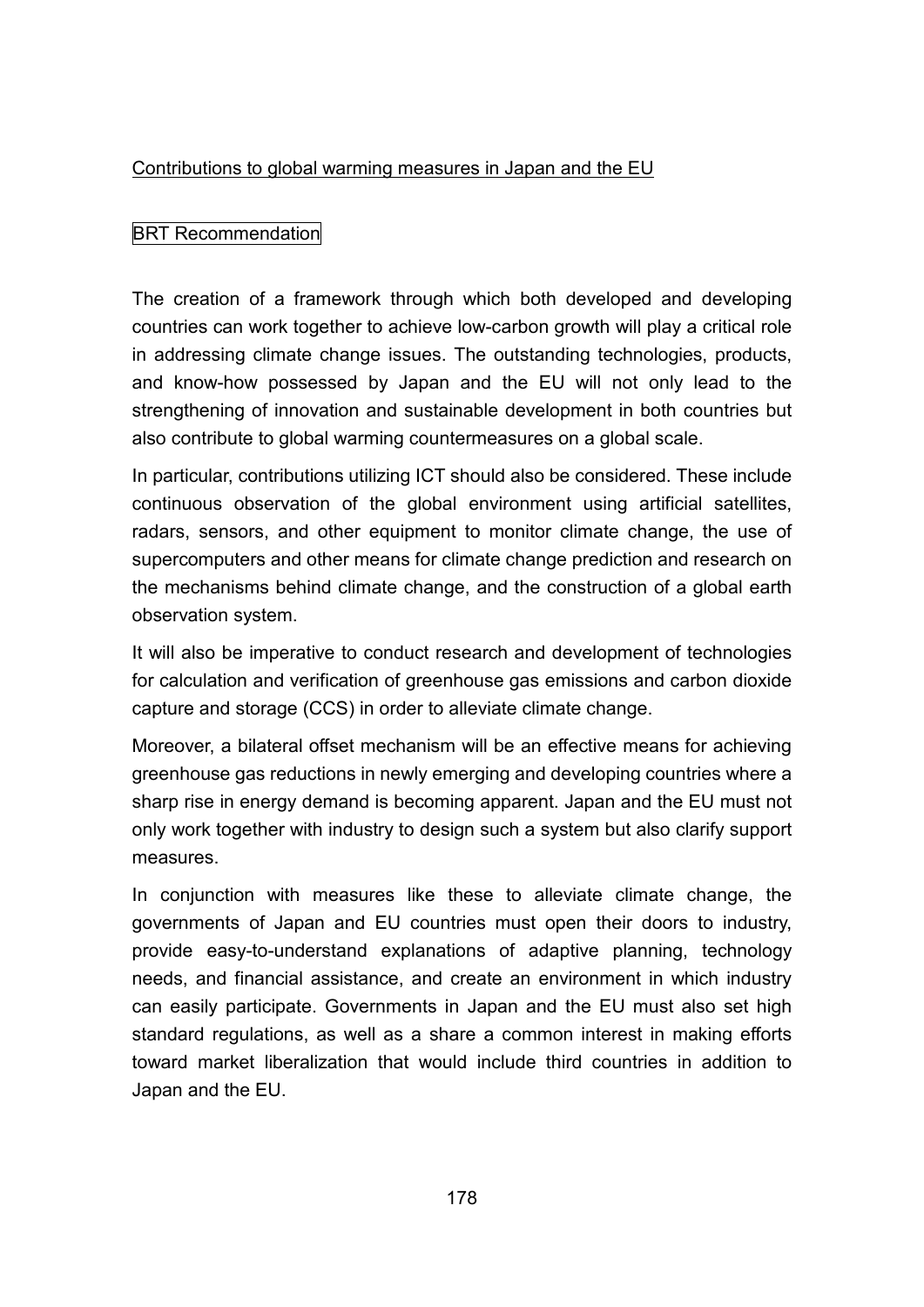### Contributions to global warming measures in Japan and the EU

# BRT Recommendation

The creation of a framework through which both developed and developing countries can work together to achieve low-carbon growth will play a critical role in addressing climate change issues. The outstanding technologies, products, and know-how possessed by Japan and the EU will not only lead to the strengthening of innovation and sustainable development in both countries but also contribute to global warming countermeasures on a global scale.

In particular, contributions utilizing ICT should also be considered. These include continuous observation of the global environment using artificial satellites, radars, sensors, and other equipment to monitor climate change, the use of supercomputers and other means for climate change prediction and research on the mechanisms behind climate change, and the construction of a global earth observation system.

It will also be imperative to conduct research and development of technologies for calculation and verification of greenhouse gas emissions and carbon dioxide capture and storage (CCS) in order to alleviate climate change.

Moreover, a bilateral offset mechanism will be an effective means for achieving greenhouse gas reductions in newly emerging and developing countries where a sharp rise in energy demand is becoming apparent. Japan and the EU must not only work together with industry to design such a system but also clarify support measures.

In conjunction with measures like these to alleviate climate change, the governments of Japan and EU countries must open their doors to industry, provide easy-to-understand explanations of adaptive planning, technology needs, and financial assistance, and create an environment in which industry can easily participate. Governments in Japan and the EU must also set high standard regulations, as well as a share a common interest in making efforts toward market liberalization that would include third countries in addition to Japan and the EU.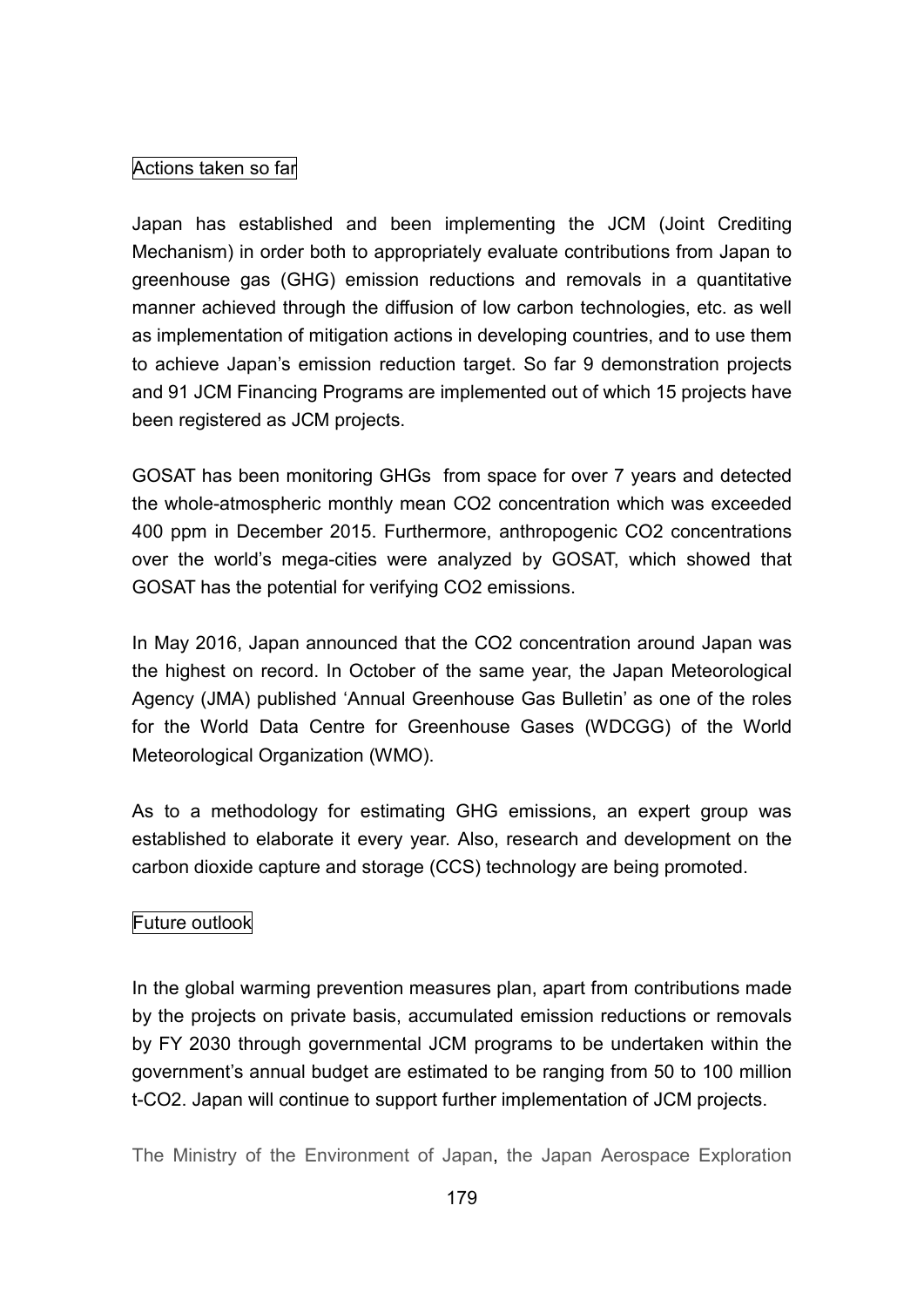# Actions taken so far

Japan has established and been implementing the JCM (Joint Crediting Mechanism) in order both to appropriately evaluate contributions from Japan to greenhouse gas (GHG) emission reductions and removals in a quantitative manner achieved through the diffusion of low carbon technologies, etc. as well as implementation of mitigation actions in developing countries, and to use them to achieve Japan's emission reduction target. So far 9 demonstration projects and 91 JCM Financing Programs are implemented out of which 15 projects have been registered as JCM projects.

GOSAT has been monitoring GHGs from space for over 7 years and detected the whole-atmospheric monthly mean CO2 concentration which was exceeded 400 ppm in December 2015. Furthermore, anthropogenic CO2 concentrations over the world's mega-cities were analyzed by GOSAT, which showed that GOSAT has the potential for verifying CO2 emissions.

In May 2016, Japan announced that the CO2 concentration around Japan was the highest on record. In October of the same year, the Japan Meteorological Agency (JMA) published 'Annual Greenhouse Gas Bulletin' as one of the roles for the World Data Centre for Greenhouse Gases (WDCGG) of the World Meteorological Organization (WMO).

As to a methodology for estimating GHG emissions, an expert group was established to elaborate it every year. Also, research and development on the carbon dioxide capture and storage (CCS) technology are being promoted.

# Future outlook

In the global warming prevention measures plan, apart from contributions made by the projects on private basis, accumulated emission reductions or removals by FY 2030 through governmental JCM programs to be undertaken within the government's annual budget are estimated to be ranging from 50 to 100 million t-CO2. Japan will continue to support further implementation of JCM projects.

The Ministry of the Environment of Japan, the Japan Aerospace Exploration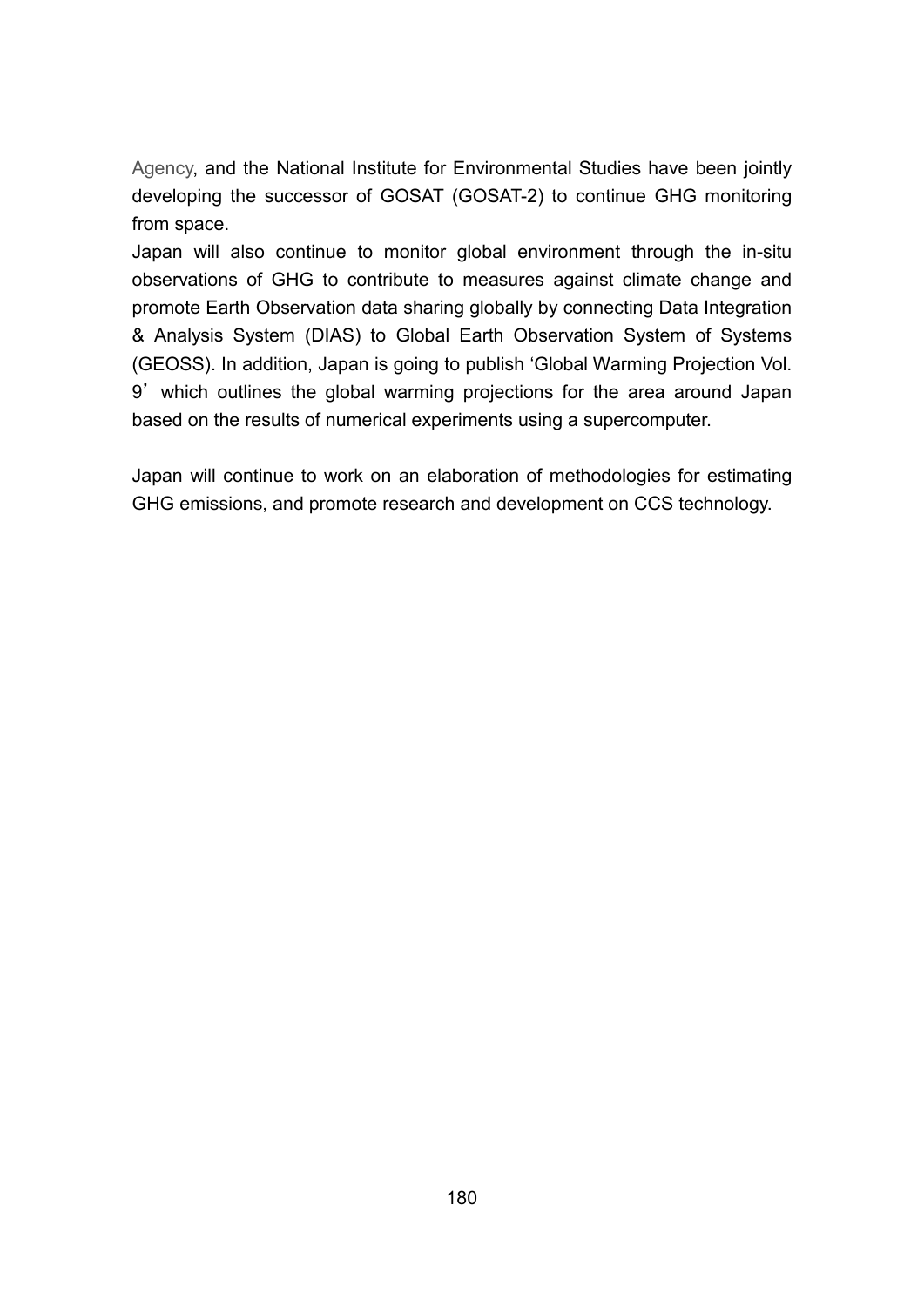Agency, and the National Institute for Environmental Studies have been jointly developing the successor of GOSAT (GOSAT-2) to continue GHG monitoring from space.

Japan will also continue to monitor global environment through the in-situ observations of GHG to contribute to measures against climate change and promote Earth Observation data sharing globally by connecting Data Integration & Analysis System (DIAS) to Global Earth Observation System of Systems (GEOSS). In addition, Japan is going to publish 'Global Warming Projection Vol. 9' which outlines the global warming projections for the area around Japan based on the results of numerical experiments using a supercomputer.

Japan will continue to work on an elaboration of methodologies for estimating GHG emissions, and promote research and development on CCS technology.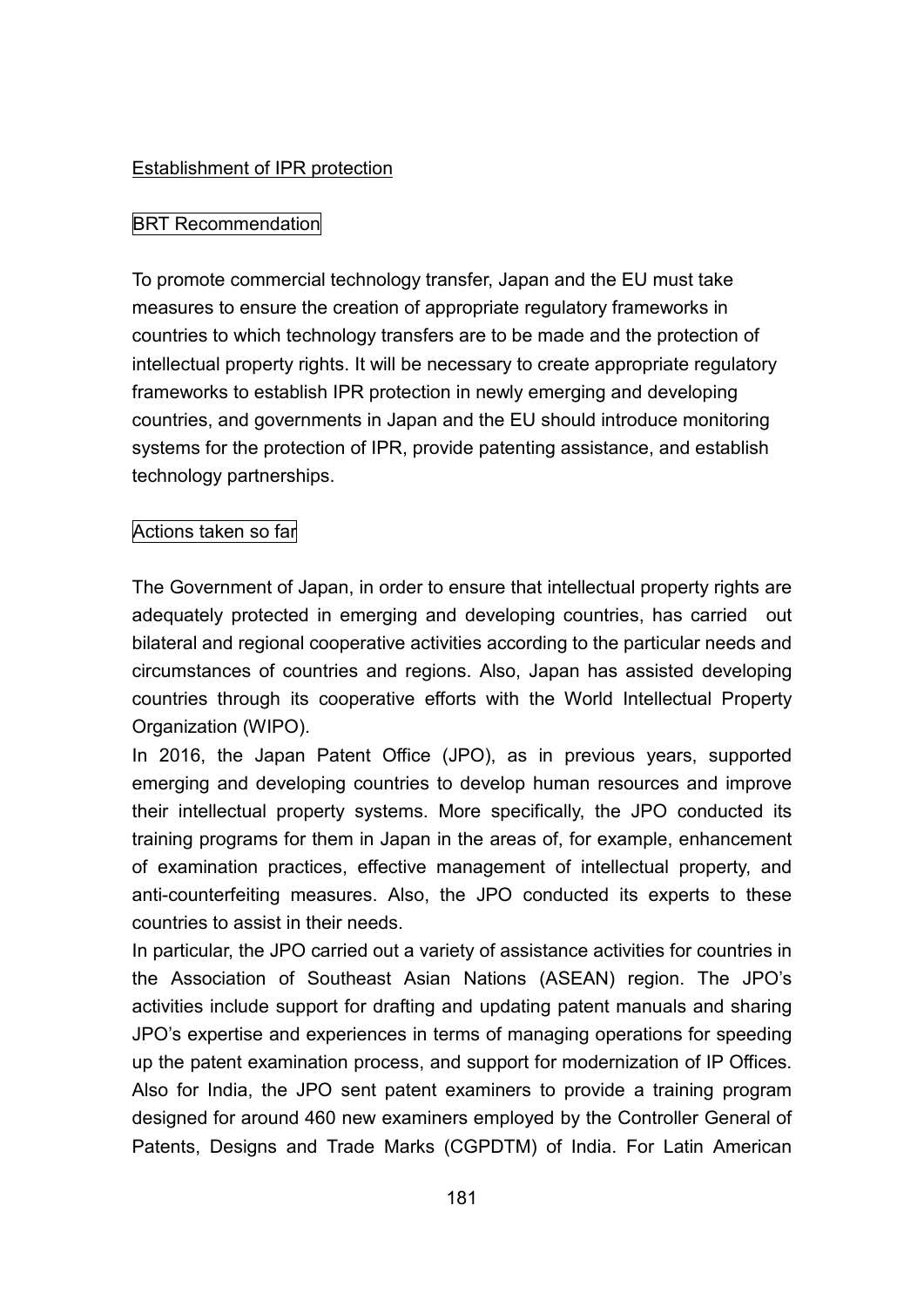#### Establishment of IPR protection

### BRT Recommendation

To promote commercial technology transfer, Japan and the EU must take measures to ensure the creation of appropriate regulatory frameworks in countries to which technology transfers are to be made and the protection of intellectual property rights. It will be necessary to create appropriate regulatory frameworks to establish IPR protection in newly emerging and developing countries, and governments in Japan and the EU should introduce monitoring systems for the protection of IPR, provide patenting assistance, and establish technology partnerships.

#### Actions taken so far

The Government of Japan, in order to ensure that intellectual property rights are adequately protected in emerging and developing countries, has carried out bilateral and regional cooperative activities according to the particular needs and circumstances of countries and regions. Also, Japan has assisted developing countries through its cooperative efforts with the World Intellectual Property Organization (WIPO).

In 2016, the Japan Patent Office (JPO), as in previous years, supported emerging and developing countries to develop human resources and improve their intellectual property systems. More specifically, the JPO conducted its training programs for them in Japan in the areas of, for example, enhancement of examination practices, effective management of intellectual property, and anti-counterfeiting measures. Also, the JPO conducted its experts to these countries to assist in their needs.

In particular, the JPO carried out a variety of assistance activities for countries in the Association of Southeast Asian Nations (ASEAN) region. The JPO's activities include support for drafting and updating patent manuals and sharing JPO's expertise and experiences in terms of managing operations for speeding up the patent examination process, and support for modernization of IP Offices. Also for India, the JPO sent patent examiners to provide a training program designed for around 460 new examiners employed by the Controller General of Patents, Designs and Trade Marks (CGPDTM) of India. For Latin American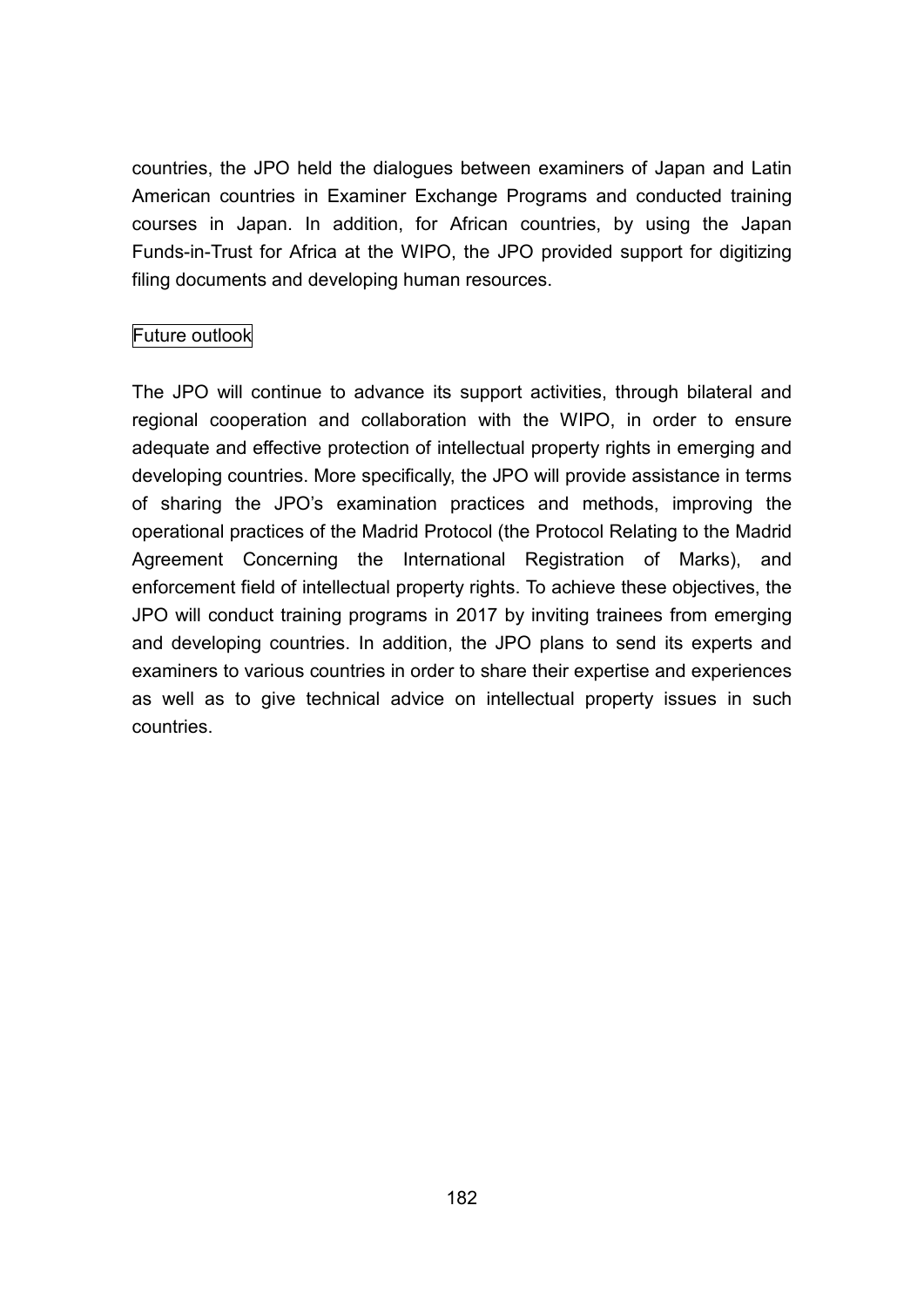countries, the JPO held the dialogues between examiners of Japan and Latin American countries in Examiner Exchange Programs and conducted training courses in Japan. In addition, for African countries, by using the Japan Funds-in-Trust for Africa at the WIPO, the JPO provided support for digitizing filing documents and developing human resources.

# Future outlook

The JPO will continue to advance its support activities, through bilateral and regional cooperation and collaboration with the WIPO, in order to ensure adequate and effective protection of intellectual property rights in emerging and developing countries. More specifically, the JPO will provide assistance in terms of sharing the JPO's examination practices and methods, improving the operational practices of the Madrid Protocol (the Protocol Relating to the Madrid Agreement Concerning the International Registration of Marks), and enforcement field of intellectual property rights. To achieve these objectives, the JPO will conduct training programs in 2017 by inviting trainees from emerging and developing countries. In addition, the JPO plans to send its experts and examiners to various countries in order to share their expertise and experiences as well as to give technical advice on intellectual property issues in such countries.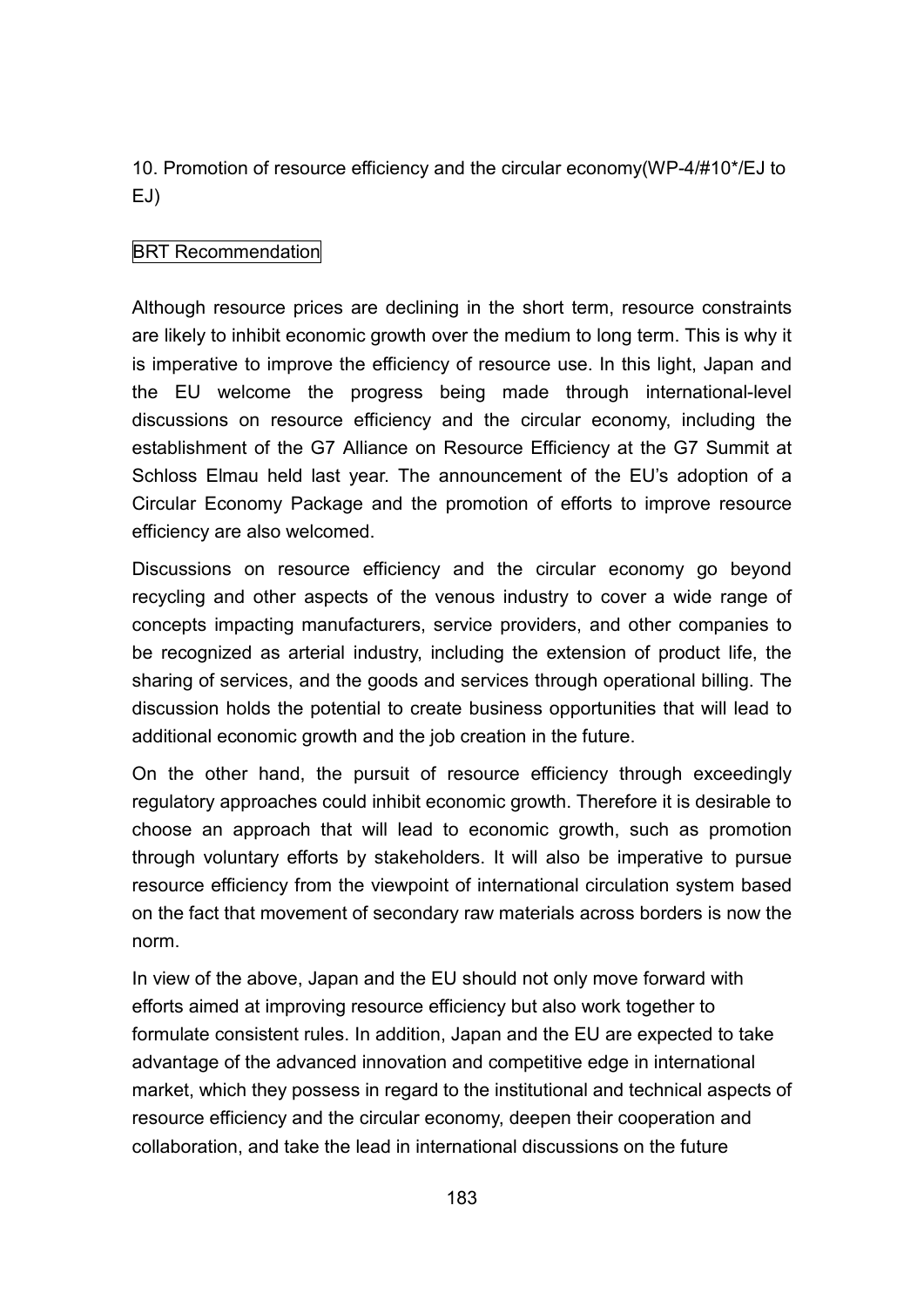10. Promotion of resource efficiency and the circular economy(WP-4/#10\*/EJ to EJ)

## BRT Recommendation

Although resource prices are declining in the short term, resource constraints are likely to inhibit economic growth over the medium to long term. This is why it is imperative to improve the efficiency of resource use. In this light, Japan and the EU welcome the progress being made through international-level discussions on resource efficiency and the circular economy, including the establishment of the G7 Alliance on Resource Efficiency at the G7 Summit at Schloss Elmau held last year. The announcement of the EU's adoption of a Circular Economy Package and the promotion of efforts to improve resource efficiency are also welcomed.

Discussions on resource efficiency and the circular economy go beyond recycling and other aspects of the venous industry to cover a wide range of concepts impacting manufacturers, service providers, and other companies to be recognized as arterial industry, including the extension of product life, the sharing of services, and the goods and services through operational billing. The discussion holds the potential to create business opportunities that will lead to additional economic growth and the job creation in the future.

On the other hand, the pursuit of resource efficiency through exceedingly regulatory approaches could inhibit economic growth. Therefore it is desirable to choose an approach that will lead to economic growth, such as promotion through voluntary efforts by stakeholders. It will also be imperative to pursue resource efficiency from the viewpoint of international circulation system based on the fact that movement of secondary raw materials across borders is now the norm.

In view of the above, Japan and the EU should not only move forward with efforts aimed at improving resource efficiency but also work together to formulate consistent rules. In addition, Japan and the EU are expected to take advantage of the advanced innovation and competitive edge in international market, which they possess in regard to the institutional and technical aspects of resource efficiency and the circular economy, deepen their cooperation and collaboration, and take the lead in international discussions on the future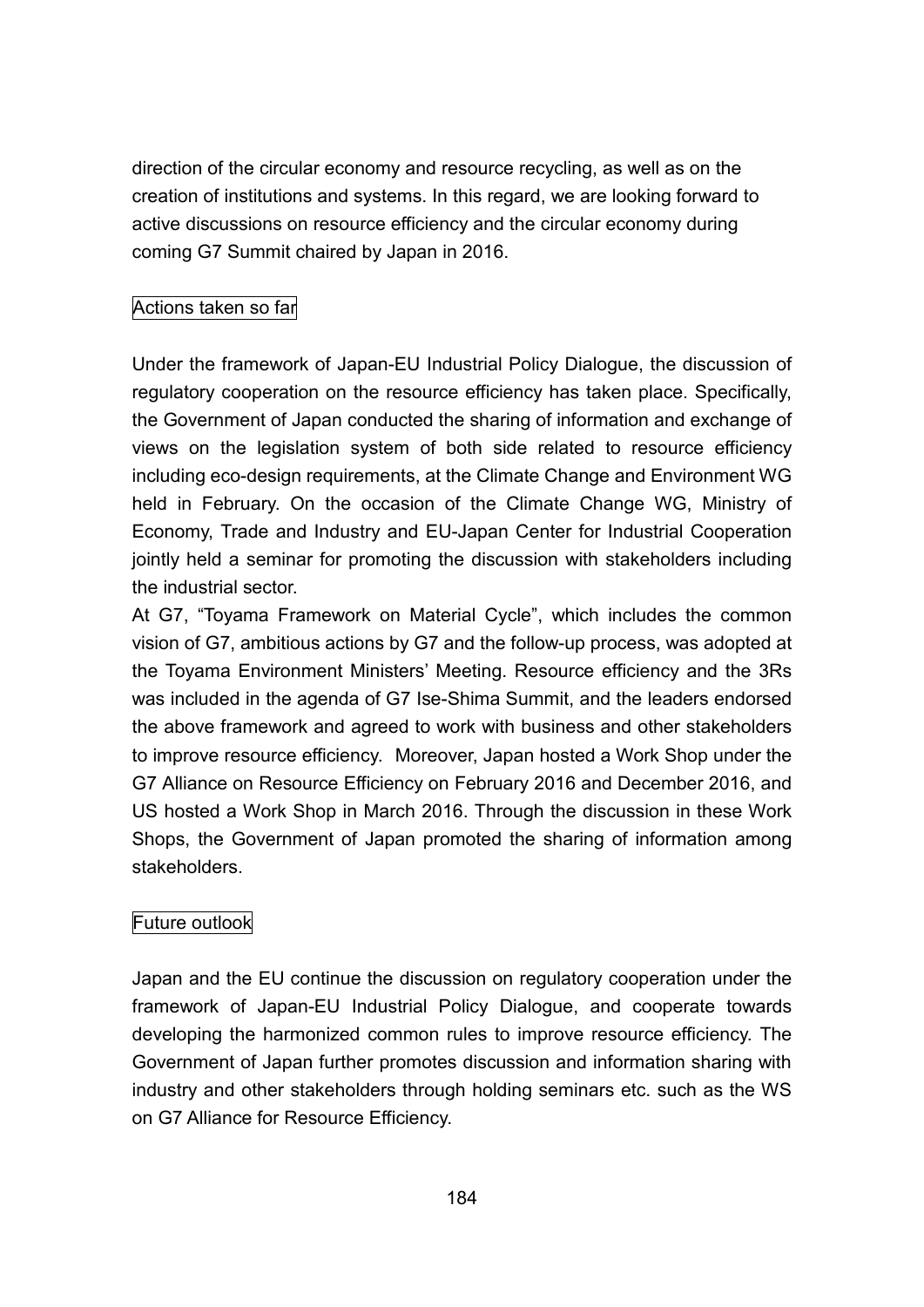direction of the circular economy and resource recycling, as well as on the creation of institutions and systems. In this regard, we are looking forward to active discussions on resource efficiency and the circular economy during coming G7 Summit chaired by Japan in 2016.

## Actions taken so far

Under the framework of Japan-EU Industrial Policy Dialogue, the discussion of regulatory cooperation on the resource efficiency has taken place. Specifically, the Government of Japan conducted the sharing of information and exchange of views on the legislation system of both side related to resource efficiency including eco-design requirements, at the Climate Change and Environment WG held in February. On the occasion of the Climate Change WG, Ministry of Economy, Trade and Industry and EU-Japan Center for Industrial Cooperation jointly held a seminar for promoting the discussion with stakeholders including the industrial sector.

At G7, "Toyama Framework on Material Cycle", which includes the common vision of G7, ambitious actions by G7 and the follow-up process, was adopted at the Toyama Environment Ministers' Meeting. Resource efficiency and the 3Rs was included in the agenda of G7 Ise-Shima Summit, and the leaders endorsed the above framework and agreed to work with business and other stakeholders to improve resource efficiency. Moreover, Japan hosted a Work Shop under the G7 Alliance on Resource Efficiency on February 2016 and December 2016, and US hosted a Work Shop in March 2016. Through the discussion in these Work Shops, the Government of Japan promoted the sharing of information among stakeholders.

## Future outlook

Japan and the EU continue the discussion on regulatory cooperation under the framework of Japan-EU Industrial Policy Dialogue, and cooperate towards developing the harmonized common rules to improve resource efficiency. The Government of Japan further promotes discussion and information sharing with industry and other stakeholders through holding seminars etc. such as the WS on G7 Alliance for Resource Efficiency.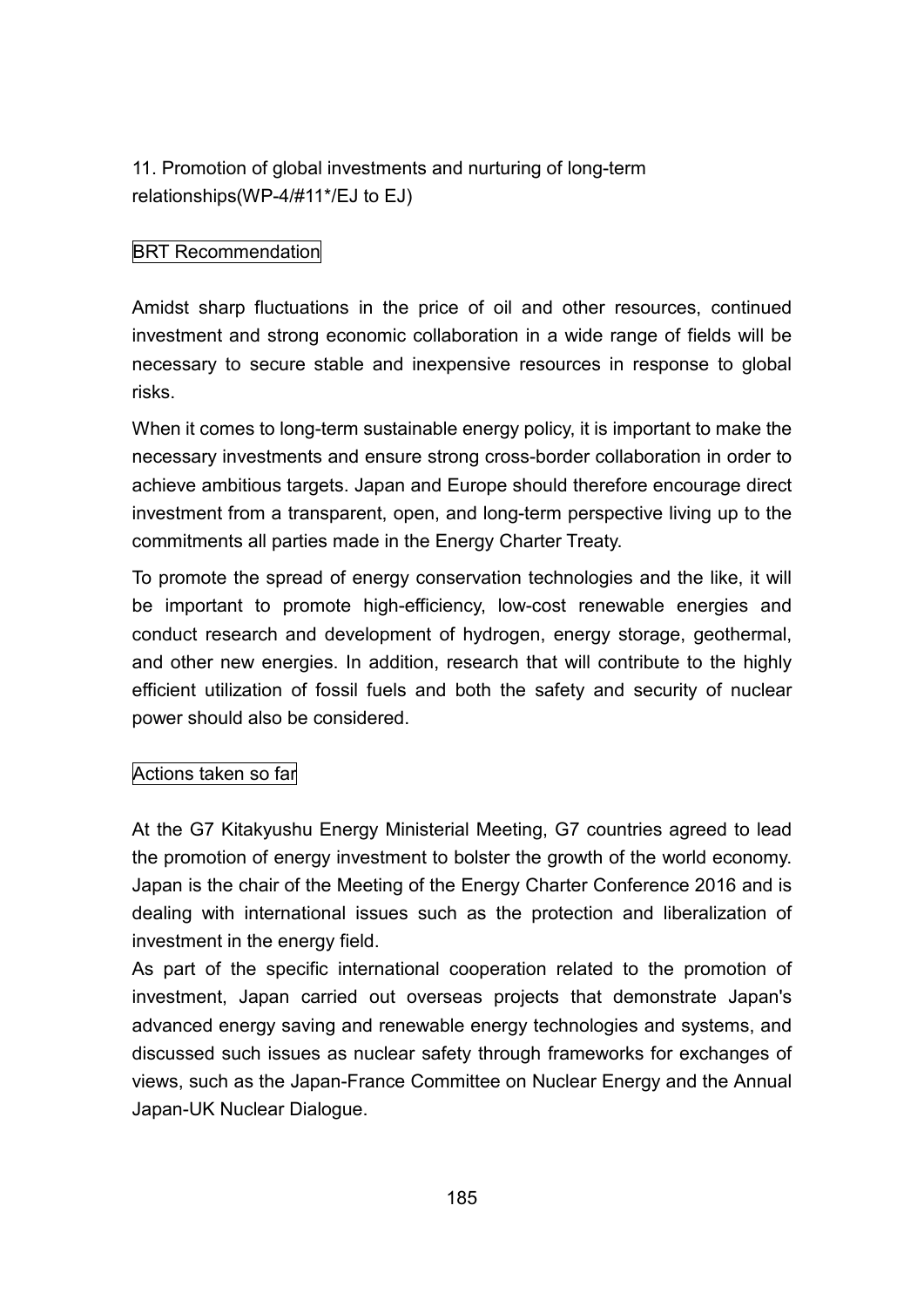11. Promotion of global investments and nurturing of long-term relationships(WP-4/#11\*/EJ to EJ)

# BRT Recommendation

Amidst sharp fluctuations in the price of oil and other resources, continued investment and strong economic collaboration in a wide range of fields will be necessary to secure stable and inexpensive resources in response to global risks.

When it comes to long-term sustainable energy policy, it is important to make the necessary investments and ensure strong cross-border collaboration in order to achieve ambitious targets. Japan and Europe should therefore encourage direct investment from a transparent, open, and long-term perspective living up to the commitments all parties made in the Energy Charter Treaty.

To promote the spread of energy conservation technologies and the like, it will be important to promote high-efficiency, low-cost renewable energies and conduct research and development of hydrogen, energy storage, geothermal, and other new energies. In addition, research that will contribute to the highly efficient utilization of fossil fuels and both the safety and security of nuclear power should also be considered.

## Actions taken so far

At the G7 Kitakyushu Energy Ministerial Meeting, G7 countries agreed to lead the promotion of energy investment to bolster the growth of the world economy. Japan is the chair of the Meeting of the Energy Charter Conference 2016 and is dealing with international issues such as the protection and liberalization of investment in the energy field.

As part of the specific international cooperation related to the promotion of investment, Japan carried out overseas projects that demonstrate Japan's advanced energy saving and renewable energy technologies and systems, and discussed such issues as nuclear safety through frameworks for exchanges of views, such as the Japan-France Committee on Nuclear Energy and the Annual Japan-UK Nuclear Dialogue.